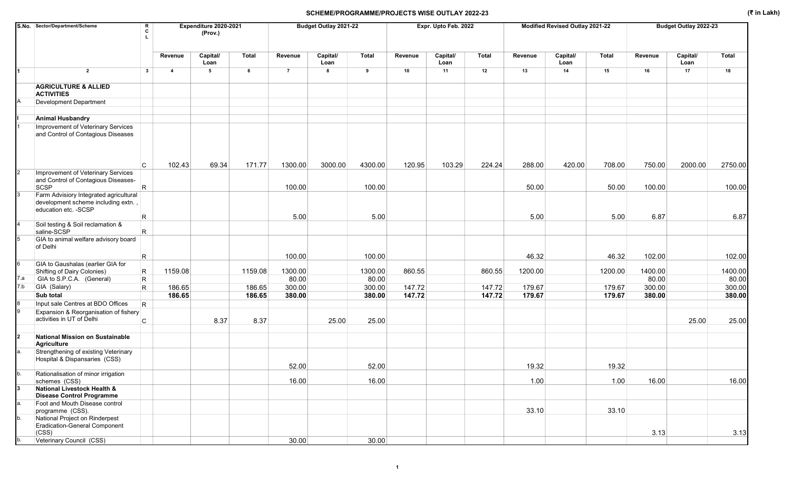|             | S.No. Sector/Department/Scheme<br>R<br>C                                                               |                         | Expenditure 2020-2021<br>(Prov.) |         |                | Budget Outlay 2021-22 |              |         | Expr. Upto Feb. 2022 |              |         | Modified Revised Outlay 2021-22 |              |         | Budget Outlay 2022-23 |         |
|-------------|--------------------------------------------------------------------------------------------------------|-------------------------|----------------------------------|---------|----------------|-----------------------|--------------|---------|----------------------|--------------|---------|---------------------------------|--------------|---------|-----------------------|---------|
|             |                                                                                                        | Revenue                 | Capital/<br>Loan                 | Total   | Revenue        | Capital/<br>Loan      | <b>Total</b> | Revenue | Capital/<br>Loan     | <b>Total</b> | Revenue | Capital/<br>Loan                | <b>Total</b> | Revenue | Capital/<br>Loan      | Total   |
| 1           | $\overline{2}$<br>$\mathbf{3}$                                                                         | $\overline{\mathbf{4}}$ | 5                                | 6       | $\overline{7}$ | 8                     | 9            | 10      | 11                   | 12           | 13      | 14                              | 15           | 16      | 17                    | 18      |
|             | <b>AGRICULTURE &amp; ALLIED</b><br><b>ACTIVITIES</b>                                                   |                         |                                  |         |                |                       |              |         |                      |              |         |                                 |              |         |                       |         |
|             | <b>Development Department</b>                                                                          |                         |                                  |         |                |                       |              |         |                      |              |         |                                 |              |         |                       |         |
|             |                                                                                                        |                         |                                  |         |                |                       |              |         |                      |              |         |                                 |              |         |                       |         |
|             | <b>Animal Husbandry</b><br>Improvement of Veterinary Services<br>and Control of Contagious Diseases    |                         |                                  |         |                |                       |              |         |                      |              |         |                                 |              |         |                       |         |
|             | C                                                                                                      | 102.43                  | 69.34                            | 171.77  | 1300.00        | 3000.00               | 4300.00      | 120.95  | 103.29               | 224.24       | 288.00  | 420.00                          | 708.00       | 750.00  | 2000.00               | 2750.00 |
|             | Improvement of Veterinary Services<br>and Control of Contagious Diseases-<br>R.<br>SCSP                |                         |                                  |         | 100.00         |                       | 100.00       |         |                      |              | 50.00   |                                 | 50.00        | 100.00  |                       | 100.00  |
|             | Farm Advisiory Integrated agricultural<br>development scheme including extn.,<br>education etc. - SCSP |                         |                                  |         |                |                       |              |         |                      |              |         |                                 |              |         |                       |         |
|             | R.<br>Soil testing & Soil reclamation &                                                                |                         |                                  |         | 5.00           |                       | 5.00         |         |                      |              | 5.00    |                                 | 5.00         | 6.87    |                       | 6.87    |
|             | R.<br>saline-SCSP                                                                                      |                         |                                  |         |                |                       |              |         |                      |              |         |                                 |              |         |                       |         |
|             | GIA to animal welfare advisory board<br>of Delhi                                                       |                         |                                  |         |                |                       |              |         |                      |              |         |                                 |              |         |                       |         |
|             | R.                                                                                                     |                         |                                  |         | 100.00         |                       | 100.00       |         |                      |              | 46.32   |                                 | 46.32        | 102.00  |                       | 102.00  |
|             | GIA to Gaushalas (earlier GIA for<br>R.<br>Shifting of Dairy Colonies)                                 | 1159.08                 |                                  | 1159.08 | 1300.00        |                       | 1300.00      | 860.55  |                      | 860.55       | 1200.00 |                                 | 1200.00      | 1400.00 |                       | 1400.00 |
| 7.a         | GIA to S.P.C.A. (General)<br>$\mathsf{R}$                                                              |                         |                                  |         | 80.00          |                       | 80.00        |         |                      |              |         |                                 |              | 80.00   |                       | 80.00   |
| 7.b         | GIA (Salary)<br>R.                                                                                     | 186.65                  |                                  | 186.65  | 300.00         |                       | 300.00       | 147.72  |                      | 147.72       | 179.67  |                                 | 179.67       | 300.00  |                       | 300.00  |
|             | Sub total                                                                                              | 186.65                  |                                  | 186.65  | 380.00         |                       | 380.00       | 147.72  |                      | 147.72       | 179.67  |                                 | 179.67       | 380.00  |                       | 380.00  |
|             | Input sale Centres at BDO Offices<br>$\mathsf{R}$                                                      |                         |                                  |         |                |                       |              |         |                      |              |         |                                 |              |         |                       |         |
|             | Expansion & Reorganisation of fishery<br>activities in UT of Delhi<br>C                                |                         | 8.37                             | 8.37    |                | 25.00                 | 25.00        |         |                      |              |         |                                 |              |         | 25.00                 | 25.00   |
|             |                                                                                                        |                         |                                  |         |                |                       |              |         |                      |              |         |                                 |              |         |                       |         |
| $\mathbf 2$ | National Mission on Sustainable<br>Agriculture                                                         |                         |                                  |         |                |                       |              |         |                      |              |         |                                 |              |         |                       |         |
|             | Strengthening of existing Veterinary<br>Hospital & Dispansaries (CSS)                                  |                         |                                  |         | 52.00          |                       | 52.00        |         |                      |              | 19.32   |                                 | 19.32        |         |                       |         |
|             | Rationalisation of minor irrigation<br>schemes (CSS)                                                   |                         |                                  |         | 16.00          |                       | 16.00        |         |                      |              | 1.00    |                                 | 1.00         | 16.00   |                       | 16.00   |
| 13          | <b>National Livestock Health &amp;</b><br><b>Disease Control Programme</b>                             |                         |                                  |         |                |                       |              |         |                      |              |         |                                 |              |         |                       |         |
| a.          | Foot and Mouth Disease control<br>programme (CSS).                                                     |                         |                                  |         |                |                       |              |         |                      |              | 33.10   |                                 | 33.10        |         |                       |         |
| b.          | National Project on Rinderpest<br>Eradication-General Component<br>(CSS)                               |                         |                                  |         |                |                       |              |         |                      |              |         |                                 |              | 3.13    |                       | 3.13    |
| b.          | Veterinary Council (CSS)                                                                               |                         |                                  |         | 30.00          |                       | 30.00        |         |                      |              |         |                                 |              |         |                       |         |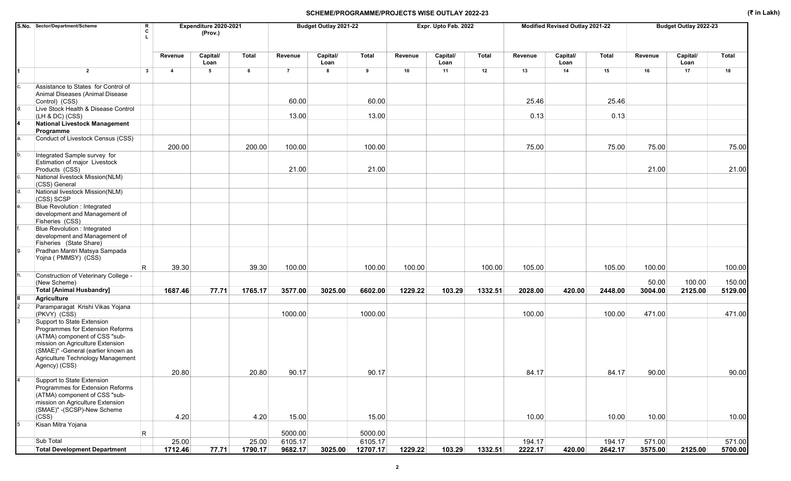|    | S.No. Sector/Department/Scheme                                                                                                                                                             | R<br>c                  |                | Expenditure 2020-2021<br>(Prov.) |         |                    | Budget Outlay 2021-22 |                    |         | Expr. Upto Feb. 2022 |              |         | Modified Revised Outlay 2021-22 |              |         | Budget Outlay 2022-23 |              |
|----|--------------------------------------------------------------------------------------------------------------------------------------------------------------------------------------------|-------------------------|----------------|----------------------------------|---------|--------------------|-----------------------|--------------------|---------|----------------------|--------------|---------|---------------------------------|--------------|---------|-----------------------|--------------|
|    |                                                                                                                                                                                            |                         | Revenue        | Capital/<br>Loan                 | Total   | Revenue            | Capital/<br>Loan      | <b>Total</b>       | Revenue | Capital/<br>Loan     | <b>Total</b> | Revenue | Capital/<br>Loan                | <b>Total</b> | Revenue | Capital/<br>Loan      | <b>Total</b> |
| 1  | $\overline{2}$                                                                                                                                                                             | $\mathbf{3}$            | $\overline{4}$ | $\sqrt{5}$                       | 6       | $\overline{7}$     | 8                     | 9                  | 10      | 11                   | 12           | 13      | 14                              | 15           | 16      | 17                    | 18           |
| c. | Assistance to States for Control of<br>Animal Diseases (Animal Disease<br>Control) (CSS)                                                                                                   |                         |                |                                  |         | 60.00              |                       | 60.00              |         |                      |              | 25.46   |                                 | 25.46        |         |                       |              |
|    | Live Stock Health & Disease Control<br>$(LH & DC)$ (CSS)                                                                                                                                   |                         |                |                                  |         | 13.00              |                       | 13.00              |         |                      |              | 0.13    |                                 | 0.13         |         |                       |              |
|    | <b>National Livestock Management</b><br>Programme                                                                                                                                          |                         |                |                                  |         |                    |                       |                    |         |                      |              |         |                                 |              |         |                       |              |
|    | Conduct of Livestock Census (CSS)                                                                                                                                                          |                         | 200.00         |                                  | 200.00  | 100.00             |                       | 100.00             |         |                      |              | 75.00   |                                 | 75.00        | 75.00   |                       | 75.00        |
| b. | Integrated Sample survey for<br>Estimation of major Livestock<br>Products (CSS)                                                                                                            |                         |                |                                  |         | 21.00              |                       | 21.00              |         |                      |              |         |                                 |              | 21.00   |                       | 21.00        |
|    | National livestock Mission(NLM)<br>(CSS) General                                                                                                                                           |                         |                |                                  |         |                    |                       |                    |         |                      |              |         |                                 |              |         |                       |              |
|    | National livestock Mission(NLM)<br>(CSS) SCSP                                                                                                                                              |                         |                |                                  |         |                    |                       |                    |         |                      |              |         |                                 |              |         |                       |              |
| e. | <b>Blue Revolution: Integrated</b><br>development and Management of<br>Fisheries (CSS)                                                                                                     |                         |                |                                  |         |                    |                       |                    |         |                      |              |         |                                 |              |         |                       |              |
|    | Blue Revolution : Integrated<br>development and Management of<br>Fisheries (State Share)                                                                                                   |                         |                |                                  |         |                    |                       |                    |         |                      |              |         |                                 |              |         |                       |              |
|    | Pradhan Mantri Matsya Sampada<br>Yojna (PMMSY) (CSS)                                                                                                                                       |                         |                |                                  |         |                    |                       |                    |         |                      |              |         |                                 |              |         |                       |              |
|    |                                                                                                                                                                                            | $\overline{\mathsf{R}}$ | 39.30          |                                  | 39.30   | 100.00             |                       | 100.00             | 100.00  |                      | 100.00       | 105.00  |                                 | 105.00       | 100.00  |                       | 100.00       |
|    | Construction of Veterinary College -<br>(New Scheme)                                                                                                                                       |                         |                |                                  |         |                    |                       |                    |         |                      |              |         |                                 |              | 50.00   | 100.00                | 150.00       |
|    | <b>Total [Animal Husbandry]</b>                                                                                                                                                            |                         | 1687.46        | 77.71                            | 1765.17 | 3577.00            | 3025.00               | 6602.00            | 1229.22 | 103.29               | 1332.51      | 2028.00 | 420.00                          | 2448.00      | 3004.00 | 2125.00               | 5129.00      |
|    | Agriculture<br>Paramparagat Krishi Vikas Yojana                                                                                                                                            |                         |                |                                  |         |                    |                       |                    |         |                      |              |         |                                 |              |         |                       |              |
|    | (PKVY) (CSS)<br>Support to State Extension<br>Programmes for Extension Reforms<br>(ATMA) component of CSS "sub-<br>mission on Agriculture Extension<br>(SMAE)" - General (earlier known as |                         |                |                                  |         | 1000.00            |                       | 1000.00            |         |                      |              | 100.00  |                                 | 100.00       | 471.00  |                       | 471.00       |
|    | Agriculture Technology Management<br>Agency) (CSS)                                                                                                                                         |                         | 20.80          |                                  | 20.80   | 90.17              |                       | 90.17              |         |                      |              | 84.17   |                                 | 84.17        | 90.00   |                       | 90.00        |
|    | Support to State Extension<br>Programmes for Extension Reforms<br>(ATMA) component of CSS "sub-<br>mission on Agriculture Extension<br>(SMAE)" - (SCSP)-New Scheme                         |                         |                |                                  |         |                    |                       |                    |         |                      |              |         |                                 |              |         |                       |              |
|    | (CSS)<br>Kisan Mitra Yojana                                                                                                                                                                |                         | 4.20           |                                  | 4.20    | 15.00              |                       | 15.00              |         |                      |              | 10.00   |                                 | 10.00        | 10.00   |                       | 10.00        |
|    | Sub Total                                                                                                                                                                                  | R                       | 25.00          |                                  | 25.00   | 5000.00<br>6105.17 |                       | 5000.00<br>6105.17 |         |                      |              | 194.17  |                                 | 194.17       | 571.00  |                       | 571.00       |
|    | <b>Total Development Department</b>                                                                                                                                                        |                         | 1712.46        | 77.71                            | 1790.17 | 9682.17            | 3025.00               | 12707.17           | 1229.22 | 103.29               | 1332.51      | 2222.17 | 420.00                          | 2642.17      | 3575.00 | 2125.00               | 5700.00      |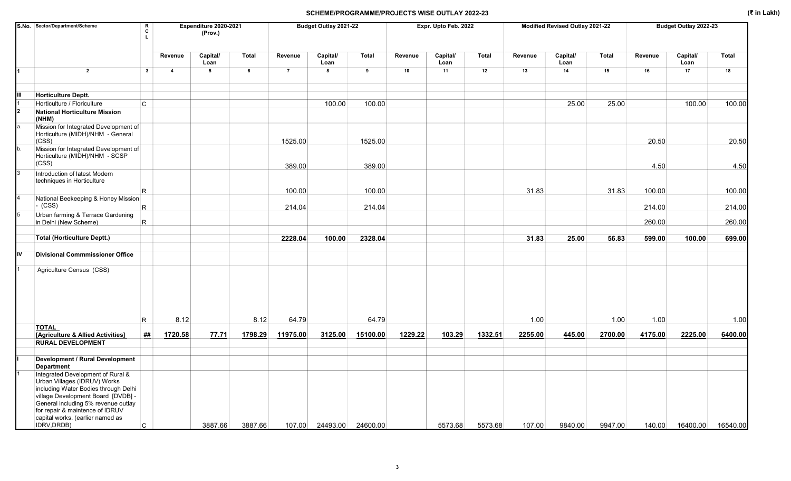|     | S.No. Sector/Department/Scheme                                                                                                                  | $\mathbf R$<br>C<br>$\mathbf{L}$ |                         | Expenditure 2020-2021<br>(Prov.) |         |                | Budget Outlay 2021-22 |          |         | Expr. Upto Feb. 2022 |         |         | Modified Revised Outlay 2021-22 |         |         | Budget Outlay 2022-23 |          |
|-----|-------------------------------------------------------------------------------------------------------------------------------------------------|----------------------------------|-------------------------|----------------------------------|---------|----------------|-----------------------|----------|---------|----------------------|---------|---------|---------------------------------|---------|---------|-----------------------|----------|
|     |                                                                                                                                                 |                                  | Revenue                 | Capital/<br>Loan                 | Total   | Revenue        | Capital/<br>Loan      | Total    | Revenue | Capital/<br>Loan     | Total   | Revenue | Capital/<br>Loan                | Total   | Revenue | Capital/<br>Loan      | Total    |
|     | $\overline{2}$                                                                                                                                  | $\mathbf{3}$                     | $\overline{\mathbf{4}}$ | 5                                | 6       | $\overline{7}$ | 8                     | 9        | 10      | 11                   | 12      | 13      | 14                              | 15      | 16      | 17                    | 18       |
| Ш   | <b>Horticulture Deptt.</b>                                                                                                                      |                                  |                         |                                  |         |                |                       |          |         |                      |         |         |                                 |         |         |                       |          |
|     | Horticulture / Floriculture                                                                                                                     | C.                               |                         |                                  |         |                | 100.00                | 100.00   |         |                      |         |         | 25.00                           | 25.00   |         | 100.00                | 100.00   |
|     | <b>National Horticulture Mission</b><br>(NHM)                                                                                                   |                                  |                         |                                  |         |                |                       |          |         |                      |         |         |                                 |         |         |                       |          |
| а.  | Mission for Integrated Development of<br>Horticulture (MIDH)/NHM - General<br>(CSS)                                                             |                                  |                         |                                  |         | 1525.00        |                       | 1525.00  |         |                      |         |         |                                 |         | 20.50   |                       | 20.50    |
| b.  | Mission for Integrated Development of<br>Horticulture (MIDH)/NHM - SCSP<br>(CSS)                                                                |                                  |                         |                                  |         | 389.00         |                       | 389.00   |         |                      |         |         |                                 |         | 4.50    |                       | 4.50     |
| 3   | Introduction of latest Modern<br>techniques in Horticulture                                                                                     | R                                |                         |                                  |         | 100.00         |                       | 100.00   |         |                      |         | 31.83   |                                 | 31.83   | 100.00  |                       | 100.00   |
| 4   | National Beekeeping & Honey Mission<br>$\sim$ (CSS)                                                                                             | R.                               |                         |                                  |         | 214.04         |                       | 214.04   |         |                      |         |         |                                 |         | 214.00  |                       | 214.00   |
| 5   | Urban farming & Terrace Gardening<br>in Delhi (New Scheme)                                                                                      | $\mathsf R$                      |                         |                                  |         |                |                       |          |         |                      |         |         |                                 |         | 260.00  |                       | 260.00   |
|     | <b>Total (Horticulture Deptt.)</b>                                                                                                              |                                  |                         |                                  |         | 2228.04        | 100.00                | 2328.04  |         |                      |         | 31.83   | 25.00                           | 56.83   | 599.00  | 100.00                | 699.00   |
| liv | <b>Divisional Commmissioner Office</b>                                                                                                          |                                  |                         |                                  |         |                |                       |          |         |                      |         |         |                                 |         |         |                       |          |
|     | Agriculture Census (CSS)                                                                                                                        |                                  |                         |                                  |         |                |                       |          |         |                      |         |         |                                 |         |         |                       |          |
|     |                                                                                                                                                 | R.                               | 8.12                    |                                  | 8.12    | 64.79          |                       | 64.79    |         |                      |         | 1.00    |                                 | 1.00    | 1.00    |                       | 1.00     |
|     | <b>TOTAL</b><br>[Agriculture & Allied Activities]                                                                                               | <u>##</u>                        | 1720.58                 | 77.71                            | 1798.29 | 11975.00       | 3125.00               | 15100.00 | 1229.22 | 103.29               | 1332.51 | 2255.00 | 445.00                          | 2700.00 | 4175.00 | 2225.00               | 6400.00  |
|     | <b>RURAL DEVELOPMENT</b>                                                                                                                        |                                  |                         |                                  |         |                |                       |          |         |                      |         |         |                                 |         |         |                       |          |
|     | <b>Development / Rural Development</b>                                                                                                          |                                  |                         |                                  |         |                |                       |          |         |                      |         |         |                                 |         |         |                       |          |
|     | <b>Department</b>                                                                                                                               |                                  |                         |                                  |         |                |                       |          |         |                      |         |         |                                 |         |         |                       |          |
|     | Integrated Development of Rural &<br>Urban Villages (IDRUV) Works<br>including Water Bodies through Delhi<br>village Development Board [DVDB] - |                                  |                         |                                  |         |                |                       |          |         |                      |         |         |                                 |         |         |                       |          |
|     | General including 5% revenue outlay<br>for repair & maintence of IDRUV<br>capital works. (earlier named as<br>IDRV, DRDB)                       | C.                               |                         | 3887.66                          | 3887.66 | 107.00         | 24493.00              | 24600.00 |         | 5573.68              | 5573.68 | 107.00  | 9840.00                         | 9947.00 | 140.00  | 16400.00              | 16540.00 |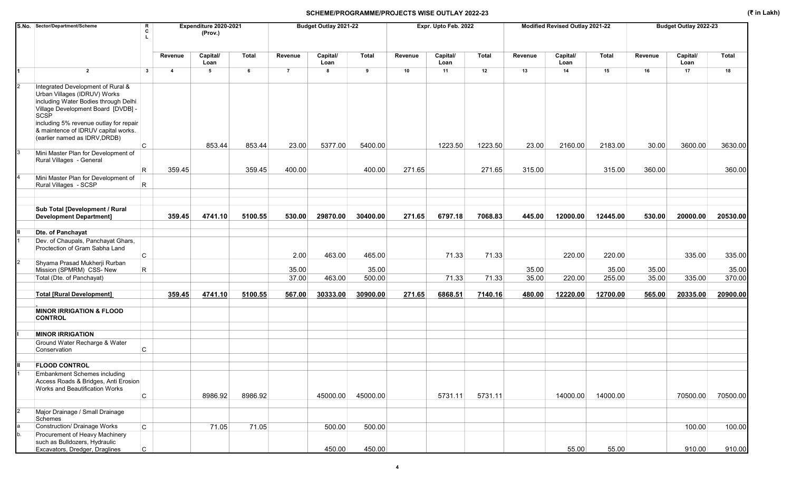|                | S.No. Sector/Department/Scheme<br>R<br>c                                                                                                                                                          |                         | Expenditure 2020-2021<br>(Prov.) |         |                | Budget Outlay 2021-22 |                |         | Expr. Upto Feb. 2022 |         |         | Modified Revised Outlay 2021-22 |          |         | Budget Outlay 2022-23 |              |
|----------------|---------------------------------------------------------------------------------------------------------------------------------------------------------------------------------------------------|-------------------------|----------------------------------|---------|----------------|-----------------------|----------------|---------|----------------------|---------|---------|---------------------------------|----------|---------|-----------------------|--------------|
|                |                                                                                                                                                                                                   | Revenue                 | Capital/<br>Loan                 | Total   | Revenue        | Capital/<br>Loan      | <b>Total</b>   | Revenue | Capital/<br>Loan     | Total   | Revenue | Capital/<br>Loan                | Total    | Revenue | Capital/<br>Loan      | <b>Total</b> |
|                | $\overline{2}$<br>$\mathbf{3}$                                                                                                                                                                    | $\overline{\mathbf{4}}$ | 5                                | 6       | $\overline{7}$ | 8                     | $\overline{9}$ | 10      | 11                   | 12      | 13      | 14                              | 15       | 16      | 17                    | 18           |
|                | Integrated Development of Rural &<br>Urban Villages (IDRUV) Works<br>including Water Bodies through Delhi<br>Village Development Board [DVDB] -<br>SCSP<br>including 5% revenue outlay for repair |                         |                                  |         |                |                       |                |         |                      |         |         |                                 |          |         |                       |              |
|                | & maintence of IDRUV capital works.<br>(earlier named as IDRV, DRDB)                                                                                                                              |                         |                                  |         |                |                       |                |         |                      |         |         |                                 |          |         |                       |              |
|                | C                                                                                                                                                                                                 |                         | 853.44                           | 853.44  | 23.00          | 5377.00               | 5400.00        |         | 1223.50              | 1223.50 | 23.00   | 2160.00                         | 2183.00  | 30.00   | 3600.00               | 3630.00      |
|                | Mini Master Plan for Development of<br>Rural Villages - General                                                                                                                                   |                         |                                  |         |                |                       |                |         |                      |         |         |                                 |          |         |                       |              |
|                | R                                                                                                                                                                                                 | 359.45                  |                                  | 359.45  | 400.00         |                       | 400.00         | 271.65  |                      | 271.65  | 315.00  |                                 | 315.00   | 360.00  |                       | 360.00       |
|                | Mini Master Plan for Development of<br>Rural Villages - SCSP<br>R                                                                                                                                 |                         |                                  |         |                |                       |                |         |                      |         |         |                                 |          |         |                       |              |
|                |                                                                                                                                                                                                   |                         |                                  |         |                |                       |                |         |                      |         |         |                                 |          |         |                       |              |
|                | Sub Total [Development / Rural<br><b>Development Department]</b>                                                                                                                                  | 359.45                  | 4741.10                          | 5100.55 | 530.00         | 29870.00              | 30400.00       | 271.65  | 6797.18              | 7068.83 | 445.00  | 12000.00                        | 12445.00 | 530.00  | 20000.00              | 20530.00     |
|                | Dte. of Panchayat                                                                                                                                                                                 |                         |                                  |         |                |                       |                |         |                      |         |         |                                 |          |         |                       |              |
|                | Dev. of Chaupals, Panchayat Ghars,                                                                                                                                                                |                         |                                  |         |                |                       |                |         |                      |         |         |                                 |          |         |                       |              |
|                | Proctection of Gram Sabha Land<br>C                                                                                                                                                               |                         |                                  |         | 2.00           | 463.00                | 465.00         |         | 71.33                | 71.33   |         | 220.00                          | 220.00   |         | 335.00                | 335.00       |
|                | Shyama Prasad Mukherji Rurban<br>R<br>Mission (SPMRM) CSS- New                                                                                                                                    |                         |                                  |         | 35.00          |                       | 35.00          |         |                      |         | 35.00   |                                 | 35.00    | 35.00   |                       | 35.00        |
|                | Total (Dte. of Panchayat)                                                                                                                                                                         |                         |                                  |         | 37.00          | 463.00                | 500.00         |         | 71.33                | 71.33   | 35.00   | 220.00                          | 255.00   | 35.00   | 335.00                | 370.00       |
|                | <b>Total [Rural Development]</b>                                                                                                                                                                  | 359.45                  | 4741.10                          | 5100.55 | 567.00         | 30333.00              | 30900.00       | 271.65  | 6868.51              | 7140.16 | 480.00  | 12220.00                        | 12700.00 | 565.00  | 20335.00              | 20900.00     |
|                | <b>MINOR IRRIGATION &amp; FLOOD</b><br><b>CONTROL</b>                                                                                                                                             |                         |                                  |         |                |                       |                |         |                      |         |         |                                 |          |         |                       |              |
|                |                                                                                                                                                                                                   |                         |                                  |         |                |                       |                |         |                      |         |         |                                 |          |         |                       |              |
|                | <b>MINOR IRRIGATION</b><br>Ground Water Recharge & Water                                                                                                                                          |                         |                                  |         |                |                       |                |         |                      |         |         |                                 |          |         |                       |              |
|                | С<br>Conservation                                                                                                                                                                                 |                         |                                  |         |                |                       |                |         |                      |         |         |                                 |          |         |                       |              |
|                | <b>FLOOD CONTROL</b>                                                                                                                                                                              |                         |                                  |         |                |                       |                |         |                      |         |         |                                 |          |         |                       |              |
|                | <b>Embankment Schemes including</b><br>Access Roads & Bridges, Anti Erosion<br>Works and Beautification Works                                                                                     |                         |                                  |         |                |                       |                |         |                      |         |         |                                 |          |         |                       |              |
|                | $\mathsf{C}$                                                                                                                                                                                      |                         | 8986.92                          | 8986.92 |                | 45000.00              | 45000.00       |         | 5731.11              | 5731.11 |         | 14000.00                        | 14000.00 |         | 70500.00              | 70500.00     |
| $\overline{2}$ | Major Drainage / Small Drainage<br>Schemes                                                                                                                                                        |                         |                                  |         |                |                       |                |         |                      |         |         |                                 |          |         |                       |              |
|                | <b>Construction/ Drainage Works</b><br>$\mathsf{C}$                                                                                                                                               |                         | 71.05                            | 71.05   |                | 500.00                | 500.00         |         |                      |         |         |                                 |          |         | 100.00                | 100.00       |
|                | Procurement of Heavy Machinery<br>such as Bulldozers, Hydraulic                                                                                                                                   |                         |                                  |         |                |                       |                |         |                      |         |         |                                 |          |         |                       |              |
|                | Excavators, Dredger, Draglines<br>C                                                                                                                                                               |                         |                                  |         |                | 450.00                | 450.00         |         |                      |         |         | 55.00                           | 55.00    |         | 910.00                | 910.00       |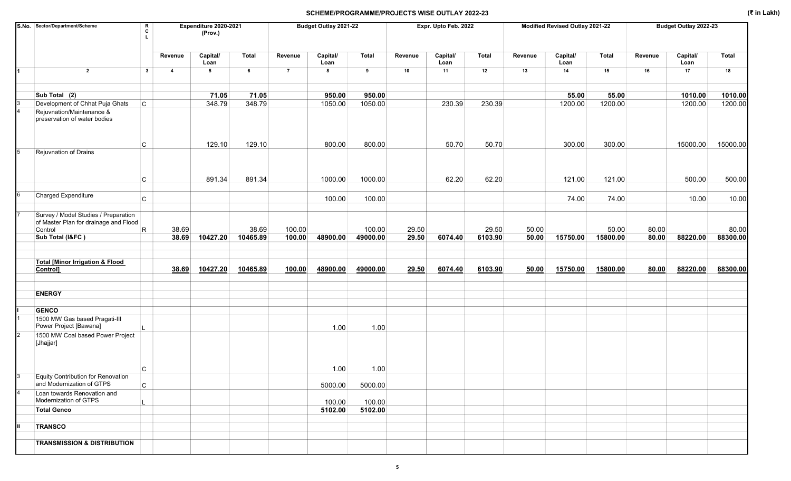|               | S.No. Sector/Department/Scheme                                                           | R<br>C       |                         | Expenditure 2020-2021<br>(Prov.) |              |                | Budget Outlay 2021-22 |          |         | Expr. Upto Feb. 2022 |              |         | Modified Revised Outlay 2021-22 |              |         | Budget Outlay 2022-23 |          |
|---------------|------------------------------------------------------------------------------------------|--------------|-------------------------|----------------------------------|--------------|----------------|-----------------------|----------|---------|----------------------|--------------|---------|---------------------------------|--------------|---------|-----------------------|----------|
|               |                                                                                          |              | Revenue                 | Capital/<br>Loan                 | <b>Total</b> | Revenue        | Capital/<br>Loan      | Total    | Revenue | Capital/<br>Loan     | <b>Total</b> | Revenue | Capital/<br>Loan                | <b>Total</b> | Revenue | Capital/<br>Loan      | Total    |
|               | $\overline{2}$                                                                           | 3            | $\overline{\mathbf{4}}$ | 5                                | 6            | $\overline{7}$ | 8                     | 9        | 10      | 11                   | 12           | 13      | 14                              | 15           | 16      | 17                    | 18       |
|               | Sub Total (2)                                                                            |              |                         | 71.05                            | 71.05        |                | 950.00                | 950.00   |         |                      |              |         | 55.00                           | 55.00        |         | 1010.00               | 1010.00  |
|               | Development of Chhat Puja Ghats                                                          | lc.          |                         | 348.79                           | 348.79       |                | 1050.00               | 1050.00  |         | 230.39               | 230.39       |         | 1200.00                         | 1200.00      |         | 1200.00               | 1200.00  |
|               | Rejuvnation/Maintenance &<br>preservation of water bodies                                |              |                         |                                  |              |                |                       |          |         |                      |              |         |                                 |              |         |                       |          |
|               |                                                                                          | C            |                         | 129.10                           | 129.10       |                | 800.00                | 800.00   |         | 50.70                | 50.70        |         | 300.00                          | 300.00       |         | 15000.00              | 15000.00 |
|               | Rejuvnation of Drains                                                                    | C            |                         | 891.34                           | 891.34       |                | 1000.00               | 1000.00  |         | 62.20                | 62.20        |         | 121.00                          | 121.00       |         | 500.00                | 500.00   |
| 6             | Charged Expenditure                                                                      | $\mathsf{C}$ |                         |                                  |              |                | 100.00                | 100.00   |         |                      |              |         | 74.00                           | 74.00        |         | 10.00                 | 10.00    |
|               | Survey / Model Studies / Preparation<br>of Master Plan for drainage and Flood<br>Control | R            | 38.69                   |                                  | 38.69        | 100.00         |                       | 100.00   | 29.50   |                      | 29.50        | 50.00   |                                 | 50.00        | 80.00   |                       | 80.00    |
|               | Sub Total (I&FC)                                                                         |              | 38.69                   | 10427.20                         | 10465.89     | 100.00         | 48900.00              | 49000.00 | 29.50   | 6074.40              | 6103.90      | 50.00   | 15750.00                        | 15800.00     | 80.00   | 88220.00              | 88300.00 |
|               |                                                                                          |              |                         |                                  |              |                |                       |          |         |                      |              |         |                                 |              |         |                       |          |
|               | <b>Total [Minor Irrigation &amp; Flood</b><br>Control]                                   |              | 38.69                   | 10427.20                         | 10465.89     | 100.00         | 48900.00              | 49000.00 | 29.50   | 6074.40              | 6103.90      | 50.00   | 15750.00                        | 15800.00     | 80.00   | 88220.00              | 88300.00 |
|               | <b>ENERGY</b>                                                                            |              |                         |                                  |              |                |                       |          |         |                      |              |         |                                 |              |         |                       |          |
|               | <b>GENCO</b><br>1500 MW Gas based Pragati-III<br>Power Project [Bawana]                  |              |                         |                                  |              |                | 1.00                  | 1.00     |         |                      |              |         |                                 |              |         |                       |          |
|               | 1500 MW Coal based Power Project<br>[Jhajjar]                                            |              |                         |                                  |              |                |                       |          |         |                      |              |         |                                 |              |         |                       |          |
|               |                                                                                          | C            |                         |                                  |              |                | 1.00                  | 1.00     |         |                      |              |         |                                 |              |         |                       |          |
| $\mathsf{I}3$ | Equity Contribution for Renovation<br>and Modernization of GTPS                          |              |                         |                                  |              |                |                       |          |         |                      |              |         |                                 |              |         |                       |          |
|               | Loan towards Renovation and                                                              | $\mathtt{C}$ |                         |                                  |              |                | 5000.00               | 5000.00  |         |                      |              |         |                                 |              |         |                       |          |
|               | Modernization of GTPS                                                                    |              |                         |                                  |              |                | 100.00                | 100.00   |         |                      |              |         |                                 |              |         |                       |          |
|               | <b>Total Genco</b>                                                                       |              |                         |                                  |              |                | 5102.00               | 5102.00  |         |                      |              |         |                                 |              |         |                       |          |
| Ш             | <b>TRANSCO</b>                                                                           |              |                         |                                  |              |                |                       |          |         |                      |              |         |                                 |              |         |                       |          |
|               | <b>TRANSMISSION &amp; DISTRIBUTION</b>                                                   |              |                         |                                  |              |                |                       |          |         |                      |              |         |                                 |              |         |                       |          |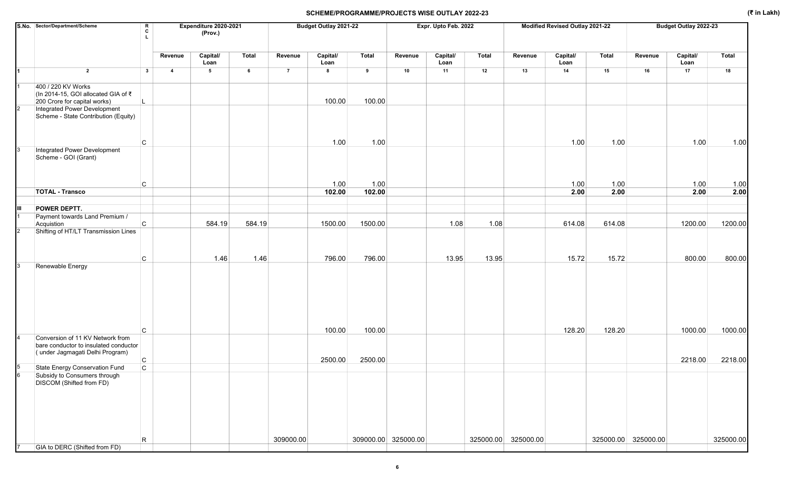|                | S.No. Sector/Department/Scheme                                                            | R<br>$\mathbf{c}$<br>L. |                | Expenditure 2020-2021<br>(Prov.) |              |                | Budget Outlay 2021-22 |              |                     | Expr. Upto Feb. 2022 |              |                     | Modified Revised Outlay 2021-22 |              |                     | Budget Outlay 2022-23 |              |
|----------------|-------------------------------------------------------------------------------------------|-------------------------|----------------|----------------------------------|--------------|----------------|-----------------------|--------------|---------------------|----------------------|--------------|---------------------|---------------------------------|--------------|---------------------|-----------------------|--------------|
|                |                                                                                           |                         | Revenue        | Capital/<br>Loan                 | <b>Total</b> | Revenue        | Capital/<br>Loan      | <b>Total</b> | Revenue             | Capital/<br>Loan     | <b>Total</b> | Revenue             | Capital/<br>Loan                | <b>Total</b> | Revenue             | Capital/<br>Loan      | <b>Total</b> |
| I1             | $\overline{2}$                                                                            | $\mathbf{3}$            | $\overline{4}$ | $5\phantom{.0}$                  | 6            | $\overline{7}$ | 8                     | 9            | 10                  | 11                   | 12           | 13                  | 14                              | 15           | 16                  | 17                    | 18           |
| Ι1             | 400 / 220 KV Works<br>(In 2014-15, GOI allocated GIA of ₹<br>200 Crore for capital works) |                         |                |                                  |              |                | 100.00                | 100.00       |                     |                      |              |                     |                                 |              |                     |                       |              |
| $\overline{2}$ | Integrated Power Development<br>Scheme - State Contribution (Equity)                      |                         |                |                                  |              |                |                       |              |                     |                      |              |                     |                                 |              |                     |                       |              |
|                | $\mathsf{C}$                                                                              |                         |                |                                  |              |                | 1.00                  | 1.00         |                     |                      |              |                     | 1.00                            | 1.00         |                     | 1.00                  | 1.00         |
| 3              | Integrated Power Development<br>Scheme - GOI (Grant)                                      |                         |                |                                  |              |                |                       |              |                     |                      |              |                     |                                 |              |                     |                       |              |
|                | C                                                                                         |                         |                |                                  |              |                | 1.00                  | 1.00         |                     |                      |              |                     | 1.00                            | 1.00         |                     | 1.00                  | 1.00         |
|                | <b>TOTAL - Transco</b>                                                                    |                         |                |                                  |              |                | 102.00                | 102.00       |                     |                      |              |                     | 2.00                            | 2.00         |                     | 2.00                  | 2.00         |
| ĮШ             | POWER DEPTT.                                                                              |                         |                |                                  |              |                |                       |              |                     |                      |              |                     |                                 |              |                     |                       |              |
|                | Payment towards Land Premium /<br>$\mathsf{C}$<br>Acquistion                              |                         |                | 584.19                           | 584.19       |                | 1500.00               | 1500.00      |                     | 1.08                 | 1.08         |                     | 614.08                          | 614.08       |                     | 1200.00               | 1200.00      |
|                | Shifting of HT/LT Transmission Lines                                                      |                         |                |                                  |              |                |                       |              |                     |                      |              |                     |                                 |              |                     |                       |              |
| Iз             | C<br>Renewable Energy                                                                     |                         |                | 1.46                             | 1.46         |                | 796.00                | 796.00       |                     | 13.95                | 13.95        |                     | 15.72                           | 15.72        |                     | 800.00                | 800.00       |
|                | $\mathsf{C}$                                                                              |                         |                |                                  |              |                | 100.00                | 100.00       |                     |                      |              |                     | 128.20                          | 128.20       |                     | 1000.00               | 1000.00      |
| 4              | Conversion of 11 KV Network from                                                          |                         |                |                                  |              |                |                       |              |                     |                      |              |                     |                                 |              |                     |                       |              |
|                | bare conductor to insulated conductor<br>(under Jagmagati Delhi Program)<br>C             |                         |                |                                  |              |                | 2500.00               | 2500.00      |                     |                      |              |                     |                                 |              |                     | 2218.00               | 2218.00      |
| 5              | State Energy Conservation Fund<br>$\mathtt{C}$                                            |                         |                |                                  |              |                |                       |              |                     |                      |              |                     |                                 |              |                     |                       |              |
| 6              | Subsidy to Consumers through<br><b>DISCOM</b> (Shifted from FD)                           |                         |                |                                  |              |                |                       |              |                     |                      |              |                     |                                 |              |                     |                       |              |
|                | $\mathsf R$                                                                               |                         |                |                                  |              | 309000.00      |                       |              | 309000.00 325000.00 |                      |              | 325000.00 325000.00 |                                 |              | 325000.00 325000.00 |                       | 325000.00    |
|                | GIA to DERC (Shifted from FD)                                                             |                         |                |                                  |              |                |                       |              |                     |                      |              |                     |                                 |              |                     |                       |              |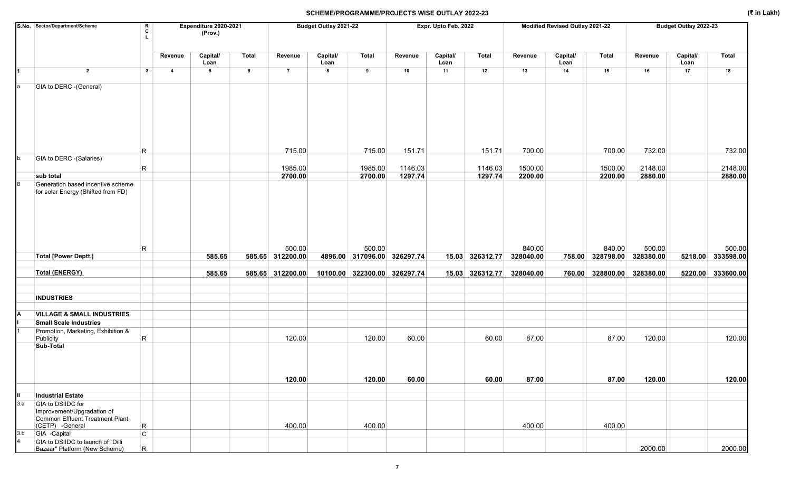|     | S.No. Sector/Department/Scheme                                                       | $\mathbf R$<br>C<br>L        |                         | Expenditure 2020-2021<br>(Prov.) |        |                            | Budget Outlay 2021-22 |                                       |         | Expr. Upto Feb. 2022 |                 |                     | Modified Revised Outlay 2021-22 |                            |                     | Budget Outlay 2022-23 |                             |
|-----|--------------------------------------------------------------------------------------|------------------------------|-------------------------|----------------------------------|--------|----------------------------|-----------------------|---------------------------------------|---------|----------------------|-----------------|---------------------|---------------------------------|----------------------------|---------------------|-----------------------|-----------------------------|
|     |                                                                                      |                              | Revenue                 | Capital/<br>Loan                 | Total  | Revenue                    | Capital/<br>Loan      | <b>Total</b>                          | Revenue | Capital/<br>Loan     | <b>Total</b>    | Revenue             | Capital/<br>Loan                | <b>Total</b>               | Revenue             | Capital/<br>Loan      | <b>Total</b>                |
|     | $\overline{2}$                                                                       | 3                            | $\overline{\mathbf{4}}$ | $5\phantom{.0}$                  | $\,$ 6 | $\overline{7}$             | 8                     | 9                                     | 10      | 11                   | 12              | 13                  | 14                              | 15                         | 16                  | 17                    | 18                          |
| a.  | GIA to DERC -(General)                                                               |                              |                         |                                  |        |                            |                       |                                       |         |                      |                 |                     |                                 |                            |                     |                       |                             |
|     |                                                                                      | R                            |                         |                                  |        | 715.00                     |                       | 715.00                                | 151.71  |                      | 151.71          | 700.00              |                                 | 700.00                     | 732.00              |                       | 732.00                      |
| b.  | GIA to DERC -(Salaries)                                                              |                              |                         |                                  |        |                            |                       |                                       |         |                      |                 |                     |                                 |                            |                     |                       |                             |
|     |                                                                                      | R.                           |                         |                                  |        | 1985.00                    |                       | 1985.00                               | 1146.03 |                      | 1146.03         | 1500.00             |                                 | 1500.00                    | 2148.00             |                       | 2148.00                     |
|     | sub total<br>Generation based incentive scheme<br>for solar Energy (Shifted from FD) |                              |                         |                                  |        | 2700.00                    |                       | 2700.00                               | 1297.74 |                      | 1297.74         | 2200.00             |                                 | 2200.00                    | 2880.00             |                       | 2880.00                     |
|     | <b>Total [Power Deptt.]</b>                                                          | R                            |                         | 585.65                           |        | 500.00<br>585.65 312200.00 |                       | 500.00<br>4896.00 317096.00 326297.74 |         |                      | 15.03 326312.77 | 840.00<br>328040.00 |                                 | 840.00<br>758.00 328798.00 | 500.00<br>328380.00 |                       | 500.00<br>5218.00 333598.00 |
|     |                                                                                      |                              |                         |                                  |        |                            |                       |                                       |         |                      |                 |                     |                                 |                            |                     |                       |                             |
|     | <b>Total (ENERGY)</b>                                                                |                              |                         | 585.65                           |        | 585.65 312200.00           |                       | 10100.00 322300.00 326297.74          |         |                      | 15.03 326312.77 | 328040.00           |                                 | 760.00 328800.00           | 328380.00           |                       | 5220.00 333600.00           |
|     | <b>INDUSTRIES</b>                                                                    |                              |                         |                                  |        |                            |                       |                                       |         |                      |                 |                     |                                 |                            |                     |                       |                             |
|     |                                                                                      |                              |                         |                                  |        |                            |                       |                                       |         |                      |                 |                     |                                 |                            |                     |                       |                             |
|     | <b>VILLAGE &amp; SMALL INDUSTRIES</b>                                                |                              |                         |                                  |        |                            |                       |                                       |         |                      |                 |                     |                                 |                            |                     |                       |                             |
|     | <b>Small Scale Industries</b><br>Promotion, Marketing, Exhibition &                  |                              |                         |                                  |        |                            |                       |                                       |         |                      |                 |                     |                                 |                            |                     |                       |                             |
|     | Publicity<br>Sub-Total                                                               | R                            |                         |                                  |        | 120.00                     |                       | 120.00                                | 60.00   |                      | 60.00           | 87.00               |                                 | 87.00                      | 120.00              |                       | 120.00                      |
|     |                                                                                      |                              |                         |                                  |        |                            |                       |                                       |         |                      |                 |                     |                                 |                            |                     |                       |                             |
|     |                                                                                      |                              |                         |                                  |        | 120.00                     |                       | 120.00                                | 60.00   |                      | 60.00           | 87.00               |                                 | 87.00                      | 120.00              |                       | 120.00                      |
|     |                                                                                      |                              |                         |                                  |        |                            |                       |                                       |         |                      |                 |                     |                                 |                            |                     |                       |                             |
| 3.a | <b>Industrial Estate</b><br>GIA to DSIIDC for                                        |                              |                         |                                  |        |                            |                       |                                       |         |                      |                 |                     |                                 |                            |                     |                       |                             |
|     | Improvement/Upgradation of<br>Common Effluent Treatment Plant<br>(CETP) -General     |                              |                         |                                  |        | 400.00                     |                       | 400.00                                |         |                      |                 | 400.00              |                                 | 400.00                     |                     |                       |                             |
| 3.b | GIA -Capital                                                                         | $\mathsf{R}$<br>$\mathsf{C}$ |                         |                                  |        |                            |                       |                                       |         |                      |                 |                     |                                 |                            |                     |                       |                             |
|     | GIA to DSIIDC to launch of "Dilli<br>Bazaar" Platform (New Scheme)                   | R                            |                         |                                  |        |                            |                       |                                       |         |                      |                 |                     |                                 |                            | 2000.00             |                       | 2000.00                     |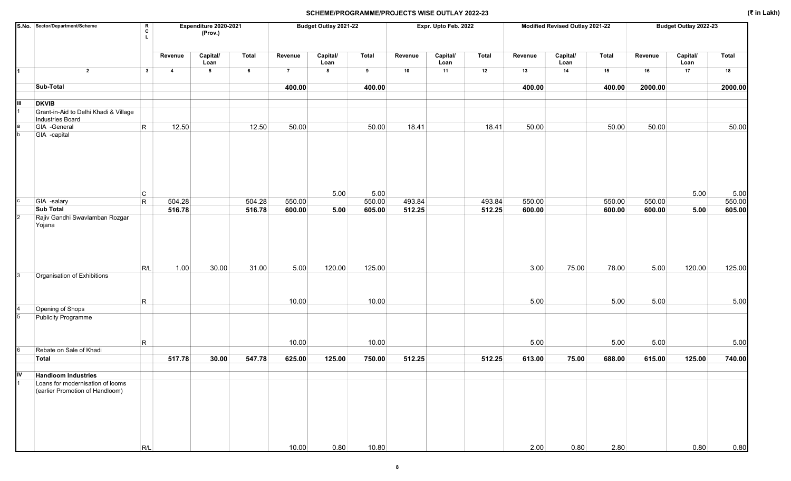|                | S.No. Sector/Department/Scheme                                      | $\mathbf R$<br>c<br>т. |                | Expenditure 2020-2021<br>(Prov.) |        |                | Budget Outlay 2021-22 |                  |         | Expr. Upto Feb. 2022 |              |         | Modified Revised Outlay 2021-22 |        |         | Budget Outlay 2022-23 |              |
|----------------|---------------------------------------------------------------------|------------------------|----------------|----------------------------------|--------|----------------|-----------------------|------------------|---------|----------------------|--------------|---------|---------------------------------|--------|---------|-----------------------|--------------|
|                |                                                                     |                        | Revenue        | Capital/<br>Loan                 | Total  | Revenue        | Capital/<br>Loan      | <b>Total</b>     | Revenue | Capital/<br>Loan     | <b>Total</b> | Revenue | Capital/<br>Loan                | Total  | Revenue | Capital/<br>Loan      | <b>Total</b> |
| I1             | $\overline{2}$                                                      | $\mathbf{3}$           | $\overline{4}$ | $5\phantom{.0}$                  | 6      | $\overline{7}$ | 8                     | $\boldsymbol{9}$ | 10      | 11                   | 12           | 13      | 14                              | 15     | 16      | 17                    | 18           |
|                | Sub-Total                                                           |                        |                |                                  |        | 400.00         |                       | 400.00           |         |                      |              | 400.00  |                                 | 400.00 | 2000.00 |                       | 2000.00      |
| IШ             | <b>DKVIB</b>                                                        |                        |                |                                  |        |                |                       |                  |         |                      |              |         |                                 |        |         |                       |              |
|                | Grant-in-Aid to Delhi Khadi & Village<br>Industries Board           |                        |                |                                  |        |                |                       |                  |         |                      |              |         |                                 |        |         |                       |              |
|                | GIA -General                                                        | $\mathsf{R}$           | 12.50          |                                  | 12.50  | 50.00          |                       | 50.00            | 18.41   |                      | 18.41        | 50.00   |                                 | 50.00  | 50.00   |                       | 50.00        |
| b              | GIA -capital                                                        |                        |                |                                  |        |                |                       |                  |         |                      |              |         |                                 |        |         |                       |              |
|                |                                                                     | $\mathsf{C}$           |                |                                  |        |                | 5.00                  | 5.00             |         |                      |              |         |                                 |        |         | 5.00                  | 5.00         |
| C              | GIA -salary                                                         | $\mathsf{R}$           | 504.28         |                                  | 504.28 | 550.00         |                       | 550.00           | 493.84  |                      | 493.84       | 550.00  |                                 | 550.00 | 550.00  |                       | 550.00       |
| $\overline{c}$ | <b>Sub Total</b><br>Rajiv Gandhi Swavlamban Rozgar                  |                        | 516.78         |                                  | 516.78 | 600.00         | 5.00                  | 605.00           | 512.25  |                      | 512.25       | 600.00  |                                 | 600.00 | 600.00  | 5.00                  | 605.00       |
|                | Yojana                                                              | R/L                    | 1.00           | 30.00                            | 31.00  | 5.00           | 120.00                | 125.00           |         |                      |              | 3.00    | 75.00                           | 78.00  | 5.00    | 120.00                | 125.00       |
| 3              | Organisation of Exhibitions                                         |                        |                |                                  |        |                |                       |                  |         |                      |              |         |                                 |        |         |                       |              |
|                |                                                                     |                        |                |                                  |        |                |                       |                  |         |                      |              |         |                                 |        |         |                       |              |
|                | Opening of Shops                                                    | R                      |                |                                  |        | 10.00          |                       | 10.00            |         |                      |              | 5.00    |                                 | 5.00   | 5.00    |                       | 5.00         |
| 5              | <b>Publicity Programme</b>                                          |                        |                |                                  |        |                |                       |                  |         |                      |              |         |                                 |        |         |                       |              |
|                |                                                                     | R                      |                |                                  |        | 10.00          |                       | 10.00            |         |                      |              | 5.00    |                                 | 5.00   | 5.00    |                       | 5.00         |
| 6              | Rebate on Sale of Khadi                                             |                        |                |                                  |        |                |                       |                  |         |                      |              |         |                                 |        |         |                       |              |
|                | Total                                                               |                        | 517.78         | 30.00                            | 547.78 | 625.00         | 125.00                | 750.00           | 512.25  |                      | 512.25       | 613.00  | 75.00                           | 688.00 | 615.00  | 125.00                | 740.00       |
| ļΙV            | <b>Handloom Industries</b>                                          |                        |                |                                  |        |                |                       |                  |         |                      |              |         |                                 |        |         |                       |              |
|                | Loans for modernisation of looms<br>(earlier Promotion of Handloom) |                        |                |                                  |        |                |                       |                  |         |                      |              |         |                                 |        |         |                       |              |
|                |                                                                     | R/L                    |                |                                  |        | 10.00          | 0.80                  | 10.80            |         |                      |              | 2.00    | 0.80                            | 2.80   |         | 0.80                  | 0.80         |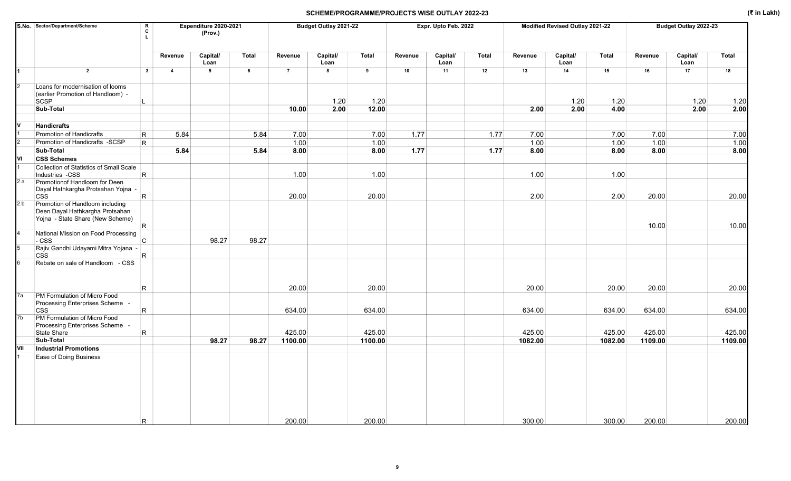|     | S.No. Sector/Department/Scheme                                                                         | $\mathbf R$<br>$\mathbf c$ |                | Expenditure 2020-2021<br>(Prov.) |                 |                | Budget Outlay 2021-22   |                |         | Expr. Upto Feb. 2022 |              |         | Modified Revised Outlay 2021-22 |              |         | Budget Outlay 2022-23 |         |
|-----|--------------------------------------------------------------------------------------------------------|----------------------------|----------------|----------------------------------|-----------------|----------------|-------------------------|----------------|---------|----------------------|--------------|---------|---------------------------------|--------------|---------|-----------------------|---------|
|     |                                                                                                        |                            | Revenue        | Capital/<br>Loan                 | Total           | Revenue        | Capital/<br>Loan        | Total          | Revenue | Capital/<br>Loan     | <b>Total</b> | Revenue | Capital/<br>Loan                | <b>Total</b> | Revenue | Capital/<br>Loan      | Total   |
| 1   | $\overline{2}$                                                                                         | $\overline{\mathbf{3}}$    | $\overline{4}$ | $5\overline{5}$                  | $6\overline{6}$ | $\overline{7}$ | $\overline{\mathbf{8}}$ | $\overline{9}$ | 10      | 11                   | 12           | 13      | 14                              | 15           | 16      | 17                    | 18      |
|     | Loans for modernisation of looms                                                                       |                            |                |                                  |                 |                |                         |                |         |                      |              |         |                                 |              |         |                       |         |
|     | (earlier Promotion of Handloom) -<br>SCSP                                                              |                            |                |                                  |                 |                | 1.20                    | 1.20           |         |                      |              |         | 1.20                            | 1.20         |         | 1.20                  | 1.20    |
|     | Sub-Total                                                                                              |                            |                |                                  |                 | 10.00          | 2.00                    | 12.00          |         |                      |              | 2.00    | 2.00                            | 4.00         |         | 2.00                  | 2.00    |
|     |                                                                                                        |                            |                |                                  |                 |                |                         |                |         |                      |              |         |                                 |              |         |                       |         |
|     | <b>Handicrafts</b>                                                                                     |                            |                |                                  |                 |                |                         |                |         |                      |              |         |                                 |              |         |                       |         |
|     | Promotion of Handicrafts                                                                               | R                          | 5.84           |                                  | 5.84            | 7.00           |                         | 7.00           | 1.77    |                      | 1.77         | 7.00    |                                 | 7.00         | 7.00    |                       | 7.00    |
|     | Promotion of Handicrafts -SCSP                                                                         | R                          |                |                                  |                 | 1.00           |                         | 1.00           |         |                      |              | 1.00    |                                 | 1.00         | 1.00    |                       | 1.00    |
|     | Sub-Total                                                                                              |                            | 5.84           |                                  | 5.84            | 8.00           |                         | 8.00           | 1.77    |                      | 1.77         | 8.00    |                                 | 8.00         | 8.00    |                       | 8.00    |
| ٧I  | <b>CSS Schemes</b>                                                                                     |                            |                |                                  |                 |                |                         |                |         |                      |              |         |                                 |              |         |                       |         |
|     | Collection of Statistics of Small Scale<br>Industries -CSS                                             | $\overline{\mathsf{R}}$    |                |                                  |                 | 1.00           |                         | 1.00           |         |                      |              | 1.00    |                                 | 1.00         |         |                       |         |
| 2.a | Promotionof Handloom for Deen<br>Dayal Hathkargha Protsahan Yojna -<br><b>CSS</b>                      | $\overline{\mathsf{R}}$    |                |                                  |                 | 20.00          |                         | 20.00          |         |                      |              | 2.00    |                                 | 2.00         | 20.00   |                       | 20.00   |
| 2.b | Promotion of Handloom including<br>Deen Dayal Hathkargha Protsahan<br>Yojna - State Share (New Scheme) | IR.                        |                |                                  |                 |                |                         |                |         |                      |              |         |                                 |              | 10.00   |                       | 10.00   |
|     | National Mission on Food Processing<br>- CSS                                                           | $\mathsf{C}$               |                | 98.27                            | 98.27           |                |                         |                |         |                      |              |         |                                 |              |         |                       |         |
|     | Rajiv Gandhi Udayami Mitra Yojana -<br><b>CSS</b>                                                      | R.                         |                |                                  |                 |                |                         |                |         |                      |              |         |                                 |              |         |                       |         |
|     | Rebate on sale of Handloom - CSS                                                                       |                            |                |                                  |                 |                |                         |                |         |                      |              |         |                                 |              |         |                       |         |
|     |                                                                                                        | $\mathsf{R}$               |                |                                  |                 | 20.00          |                         | 20.00          |         |                      |              | 20.00   |                                 | 20.00        | 20.00   |                       | 20.00   |
| 7a  | PM Formulation of Micro Food<br>Processing Enterprises Scheme -                                        |                            |                |                                  |                 |                |                         |                |         |                      |              |         |                                 |              |         |                       |         |
|     | <b>CSS</b>                                                                                             | $\overline{\mathsf{R}}$    |                |                                  |                 | 634.00         |                         | 634.00         |         |                      |              | 634.00  |                                 | 634.00       | 634.00  |                       | 634.00  |
| 7b  | PM Formulation of Micro Food<br>Processing Enterprises Scheme -<br>State Share                         |                            |                |                                  |                 | 425.00         |                         | 425.00         |         |                      |              | 425.00  |                                 | 425.00       | 425.00  |                       | 425.00  |
|     | Sub-Total                                                                                              | $\overline{\mathsf{R}}$    |                | 98.27                            | 98.27           | 1100.00        |                         | 1100.00        |         |                      |              | 1082.00 |                                 | 1082.00      | 1109.00 |                       | 1109.00 |
| VII | <b>Industrial Promotions</b>                                                                           |                            |                |                                  |                 |                |                         |                |         |                      |              |         |                                 |              |         |                       |         |
|     | Ease of Doing Business                                                                                 |                            |                |                                  |                 |                |                         |                |         |                      |              |         |                                 |              |         |                       |         |
|     |                                                                                                        | R.                         |                |                                  |                 | 200.00         |                         | 200.00         |         |                      |              | 300.00  |                                 | 300.00       | 200.00  |                       | 200.00  |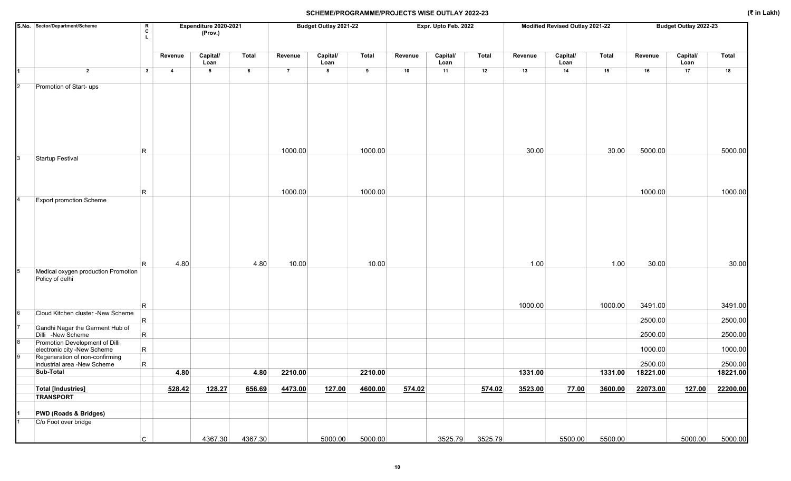|                | S.No. Sector/Department/Scheme                                | R<br>C<br>L  |                | Expenditure 2020-2021<br>(Prov.) |         |                | Budget Outlay 2021-22 |         |         | Expr. Upto Feb. 2022 |              |         | Modified Revised Outlay 2021-22 |              |                  | Budget Outlay 2022-23 |          |
|----------------|---------------------------------------------------------------|--------------|----------------|----------------------------------|---------|----------------|-----------------------|---------|---------|----------------------|--------------|---------|---------------------------------|--------------|------------------|-----------------------|----------|
|                |                                                               |              | Revenue        | Capital/<br>Loan                 | Total   | Revenue        | Capital/<br>Loan      | Total   | Revenue | Capital/<br>Loan     | <b>Total</b> | Revenue | Capital/<br>Loan                | <b>Total</b> | Revenue          | Capital/<br>Loan      | Total    |
|                | $\overline{2}$                                                | $\mathbf{3}$ | $\overline{4}$ | $5\phantom{.0}$                  | 6       | $\overline{7}$ | 8                     | 9       | 10      | 11                   | 12           | 13      | 14                              | 15           | 16               | 17                    | 18       |
| $\overline{2}$ | Promotion of Start- ups                                       |              |                |                                  |         |                |                       |         |         |                      |              |         |                                 |              |                  |                       |          |
|                |                                                               |              |                |                                  |         | 1000.00        |                       | 1000.00 |         |                      |              | 30.00   |                                 | 30.00        | 5000.00          |                       | 5000.00  |
| 3              | <b>Startup Festival</b>                                       | R            |                |                                  |         |                |                       |         |         |                      |              |         |                                 |              |                  |                       |          |
|                |                                                               | R            |                |                                  |         | 1000.00        |                       | 1000.00 |         |                      |              |         |                                 |              | 1000.00          |                       | 1000.00  |
|                | <b>Export promotion Scheme</b>                                |              |                |                                  |         |                |                       |         |         |                      |              |         |                                 |              |                  |                       |          |
|                | Medical oxygen production Promotion<br>Policy of delhi        | R            | 4.80           |                                  | 4.80    | 10.00          |                       | 10.00   |         |                      |              | 1.00    |                                 | 1.00         | 30.00            |                       | 30.00    |
| 6              | Cloud Kitchen cluster -New Scheme                             | R            |                |                                  |         |                |                       |         |         |                      |              | 1000.00 |                                 | 1000.00      | 3491.00          |                       | 3491.00  |
|                | Gandhi Nagar the Garment Hub of                               | R.           |                |                                  |         |                |                       |         |         |                      |              |         |                                 |              | 2500.00          |                       | 2500.00  |
|                | Dilli -New Scheme                                             | $\mathsf{R}$ |                |                                  |         |                |                       |         |         |                      |              |         |                                 |              | 2500.00          |                       | 2500.00  |
|                | Promotion Development of Dilli<br>electronic city -New Scheme | $\mathsf{R}$ |                |                                  |         |                |                       |         |         |                      |              |         |                                 |              | 1000.00          |                       | 1000.00  |
|                | Regeneration of non-confirming<br>industrial area -New Scheme | $\mathsf{R}$ |                |                                  |         |                |                       |         |         |                      |              |         |                                 |              | 2500.00          |                       | 2500.00  |
|                | <b>Sub-Total</b>                                              |              | 4.80           |                                  | 4.80    | 2210.00        |                       | 2210.00 |         |                      |              | 1331.00 |                                 |              | 1331.00 18221.00 |                       | 18221.00 |
|                | <b>Total [Industries]</b><br><b>TRANSPORT</b>                 |              | 528.42         | 128.27                           | 656.69  | 4473.00        | 127.00                | 4600.00 | 574.02  |                      | 574.02       | 3523.00 | 77.00                           | 3600.00      | 22073.00         | 127.00                | 22200.00 |
|                |                                                               |              |                |                                  |         |                |                       |         |         |                      |              |         |                                 |              |                  |                       |          |
|                | <b>PWD (Roads &amp; Bridges)</b><br>C/o Foot over bridge      |              |                |                                  |         |                |                       |         |         |                      |              |         |                                 |              |                  |                       |          |
|                |                                                               | $\mathsf{C}$ |                | 4367.30                          | 4367.30 |                | 5000.00               | 5000.00 |         | 3525.79              | 3525.79      |         | 5500.00                         | 5500.00      |                  | 5000.00               | 5000.00  |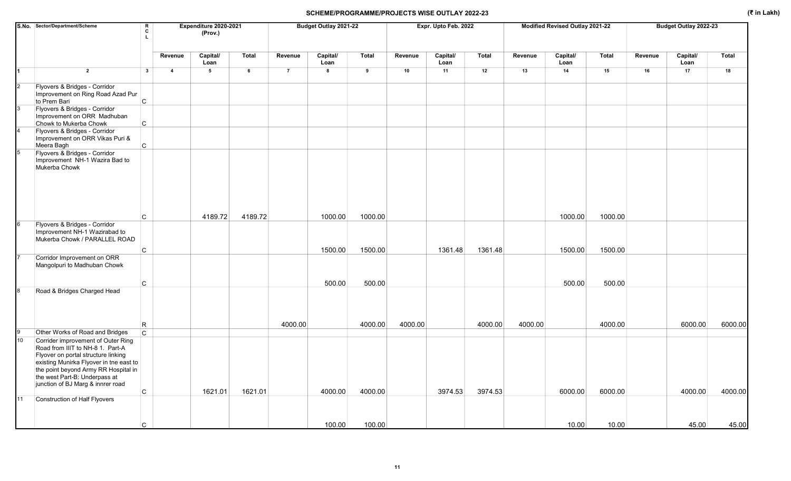|                | S.No. Sector/Department/Scheme                                                                                                                                                                                                                                         | R<br>C<br>L       |                         | Expenditure 2020-2021<br>(Prov.) |         |                | Budget Outlay 2021-22 |         |         | Expr. Upto Feb. 2022 |              |         | Modified Revised Outlay 2021-22 |         |         | Budget Outlay 2022-23 |         |
|----------------|------------------------------------------------------------------------------------------------------------------------------------------------------------------------------------------------------------------------------------------------------------------------|-------------------|-------------------------|----------------------------------|---------|----------------|-----------------------|---------|---------|----------------------|--------------|---------|---------------------------------|---------|---------|-----------------------|---------|
|                |                                                                                                                                                                                                                                                                        |                   | Revenue                 | Capital/<br>Loan                 | Total   | Revenue        | Capital/<br>Loan      | Total   | Revenue | Capital/<br>Loan     | <b>Total</b> | Revenue | Capital/<br>Loan                | Total   | Revenue | Capital/<br>Loan      | Total   |
|                | $\overline{2}$                                                                                                                                                                                                                                                         | 3                 | $\overline{\mathbf{4}}$ | $5\phantom{.0}$                  | 6       | $\overline{7}$ | 8                     | 9       | 10      | 11                   | 12           | 13      | 14                              | 15      | 16      | 17                    | 18      |
| $\overline{2}$ | Flyovers & Bridges - Corridor<br>Improvement on Ring Road Azad Pur                                                                                                                                                                                                     |                   |                         |                                  |         |                |                       |         |         |                      |              |         |                                 |         |         |                       |         |
|                | to Prem Bari<br>Flyovers & Bridges - Corridor<br>Improvement on ORR Madhuban                                                                                                                                                                                           | $\mathsf{C}$      |                         |                                  |         |                |                       |         |         |                      |              |         |                                 |         |         |                       |         |
|                | Chowk to Mukerba Chowk<br>Flyovers & Bridges - Corridor<br>Improvement on ORR Vikas Puri &<br>Meera Bagh                                                                                                                                                               | C<br>$\mathtt{C}$ |                         |                                  |         |                |                       |         |         |                      |              |         |                                 |         |         |                       |         |
|                | Flyovers & Bridges - Corridor<br>Improvement NH-1 Wazira Bad to<br>Mukerba Chowk                                                                                                                                                                                       |                   |                         |                                  |         |                |                       |         |         |                      |              |         |                                 |         |         |                       |         |
|                |                                                                                                                                                                                                                                                                        | C                 |                         | 4189.72                          | 4189.72 |                | 1000.00               | 1000.00 |         |                      |              |         | 1000.00                         | 1000.00 |         |                       |         |
|                | Flyovers & Bridges - Corridor<br>Improvement NH-1 Wazirabad to<br>Mukerba Chowk / PARALLEL ROAD                                                                                                                                                                        |                   |                         |                                  |         |                |                       |         |         |                      |              |         |                                 |         |         |                       |         |
|                | Corridor Improvement on ORR                                                                                                                                                                                                                                            | $\mathsf{C}$      |                         |                                  |         |                | 1500.00               | 1500.00 |         | 1361.48              | 1361.48      |         | 1500.00                         | 1500.00 |         |                       |         |
|                | Mangolpuri to Madhuban Chowk                                                                                                                                                                                                                                           |                   |                         |                                  |         |                |                       |         |         |                      |              |         |                                 |         |         |                       |         |
|                | Road & Bridges Charged Head                                                                                                                                                                                                                                            | C                 |                         |                                  |         |                | 500.00                | 500.00  |         |                      |              |         | 500.00                          | 500.00  |         |                       |         |
|                |                                                                                                                                                                                                                                                                        |                   |                         |                                  |         |                |                       |         |         |                      |              |         |                                 |         |         |                       |         |
|                |                                                                                                                                                                                                                                                                        | R                 |                         |                                  |         | 4000.00        |                       | 4000.00 | 4000.00 |                      | 4000.00      | 4000.00 |                                 | 4000.00 |         | 6000.00               | 6000.00 |
|                | Other Works of Road and Bridges                                                                                                                                                                                                                                        | $\mathsf{C}$      |                         |                                  |         |                |                       |         |         |                      |              |         |                                 |         |         |                       |         |
| 10             | Corrider improvement of Outer Ring<br>Road from IIIT to NH-8 1. Part-A<br>Flyover on portal structure linking<br>existing Munirka Flyover in tne east to<br>the point beyond Army RR Hospital in<br>the west Part-B: Underpass at<br>junction of BJ Marg & innrer road |                   |                         |                                  |         |                |                       |         |         |                      |              |         |                                 |         |         |                       |         |
|                |                                                                                                                                                                                                                                                                        | C                 |                         | 1621.01                          | 1621.01 |                | 4000.00               | 4000.00 |         | 3974.53              | 3974.53      |         | 6000.00                         | 6000.00 |         | 4000.00               | 4000.00 |
| 11             | <b>Construction of Half Flyovers</b>                                                                                                                                                                                                                                   |                   |                         |                                  |         |                |                       |         |         |                      |              |         |                                 |         |         |                       |         |
|                |                                                                                                                                                                                                                                                                        | C                 |                         |                                  |         |                | 100.00                | 100.00  |         |                      |              |         | 10.00                           | 10.00   |         | 45.00                 | 45.00   |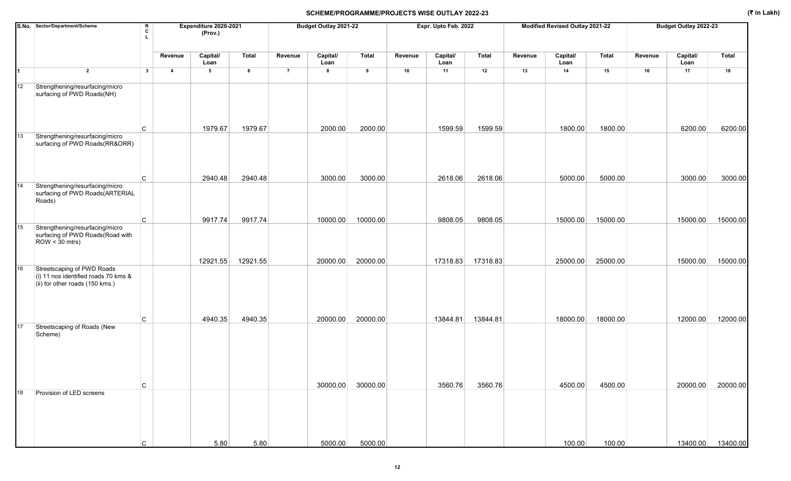|    | S.No. Sector/Department/Scheme                                                           | R<br>c<br>L  |                | Expenditure 2020-2021<br>(Prov.) |          |                | Budget Outlay 2021-22 |          |         | Expr. Upto Feb. 2022 |          |         | Modified Revised Outlay 2021-22 |          |         | Budget Outlay 2022-23 |                   |
|----|------------------------------------------------------------------------------------------|--------------|----------------|----------------------------------|----------|----------------|-----------------------|----------|---------|----------------------|----------|---------|---------------------------------|----------|---------|-----------------------|-------------------|
|    |                                                                                          |              | Revenue        | Capital/<br>Loan                 | Total    | Revenue        | Capital/<br>Loan      | Total    | Revenue | Capital/<br>Loan     | Total    | Revenue | Capital/<br>Loan                | Total    | Revenue | Capital/<br>Loan      | <b>Total</b>      |
| 1  | $\overline{2}$                                                                           | $\mathbf{3}$ | $\overline{4}$ | $5\phantom{.0}$                  | 6        | $\overline{7}$ | 8                     | 9        | 10      | 11                   | 12       | 13      | 14                              | 15       | 16      | 17                    | 18                |
| 12 | Strengthening/resurfacing/micro<br>surfacing of PWD Roads(NH)                            |              |                |                                  |          |                |                       |          |         |                      |          |         |                                 |          |         |                       |                   |
|    |                                                                                          | C            |                | 1979.67                          | 1979.67  |                | 2000.00               | 2000.00  |         | 1599.59              | 1599.59  |         | 1800.00                         | 1800.00  |         | 6200.00               | 6200.00           |
| 13 | Strengthening/resurfacing/micro<br>surfacing of PWD Roads(RR&ORR)                        |              |                |                                  |          |                |                       |          |         |                      |          |         |                                 |          |         |                       |                   |
|    |                                                                                          | C            |                | 2940.48                          | 2940.48  |                | 3000.00               | 3000.00  |         | 2618.06              | 2618.06  |         | 5000.00                         | 5000.00  |         | 3000.00               | 3000.00           |
| 14 | Strengthening/resurfacing/micro<br>surfacing of PWD Roads(ARTERIAL<br>Roads)             |              |                |                                  |          |                |                       |          |         |                      |          |         |                                 |          |         |                       |                   |
|    |                                                                                          | C            |                | 9917.74                          | 9917.74  |                | 10000.00              | 10000.00 |         | 9808.05              | 9808.05  |         | 15000.00                        | 15000.00 |         | 15000.00              | 15000.00          |
| 15 | Strengthening/resurfacing/micro<br>surfacing of PWD Roads (Road with<br>$ROW < 30$ mtrs) |              |                |                                  |          |                |                       |          |         |                      |          |         |                                 |          |         |                       |                   |
| 16 | Streetscaping of PWD Roads                                                               |              |                | 12921.55                         | 12921.55 |                | 20000.00              | 20000.00 |         | 17318.83             | 17318.83 |         | 25000.00                        | 25000.00 |         | 15000.00              | 15000.00          |
|    | (i) 11 nos identified roads 70 kms &<br>(ii) for other roads (150 kms.)                  | C            |                | 4940.35                          | 4940.35  |                | 20000.00              | 20000.00 |         | 13844.81             | 13844.81 |         | 18000.00                        | 18000.00 |         | 12000.00              | 12000.00          |
| 17 | Streetscaping of Roads (New<br>Scheme)                                                   |              |                |                                  |          |                |                       |          |         |                      |          |         |                                 |          |         |                       |                   |
| 18 | Provision of LED screens                                                                 | C            |                |                                  |          |                | 30000.00              | 30000.00 |         | 3560.76              | 3560.76  |         | 4500.00                         | 4500.00  |         | 20000.00              | 20000.00          |
|    |                                                                                          | С            |                | 5.80                             | 5.80     |                | 5000.00               | 5000.00  |         |                      |          |         | 100.00                          | 100.00   |         |                       | 13400.00 13400.00 |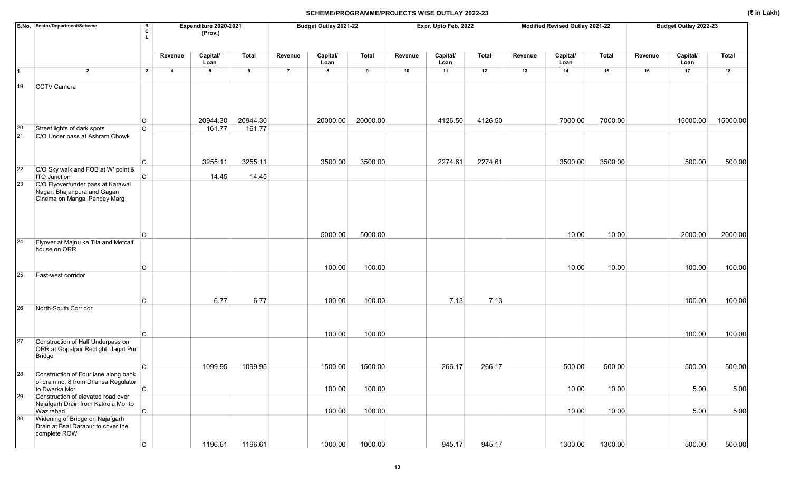|                 | S.No. Sector/Department/Scheme                                                                                          | R<br>C<br>L  |                | Expenditure 2020-2021<br>(Prov.) |          |                | Budget Outlay 2021-22 |          |         | Expr. Upto Feb. 2022 |         |         | Modified Revised Outlay 2021-22 |         |         | Budget Outlay 2022-23 |              |
|-----------------|-------------------------------------------------------------------------------------------------------------------------|--------------|----------------|----------------------------------|----------|----------------|-----------------------|----------|---------|----------------------|---------|---------|---------------------------------|---------|---------|-----------------------|--------------|
|                 |                                                                                                                         |              | Revenue        | Capital/<br>Loan                 | Total    | Revenue        | Capital/<br>Loan      | Total    | Revenue | Capital/<br>Loan     | Total   | Revenue | Capital/<br>Loan                | Total   | Revenue | Capital/<br>Loan      | <b>Total</b> |
|                 | $\overline{2}$                                                                                                          | $\mathbf{3}$ | $\overline{a}$ | $5\phantom{.0}$                  | 6        | $\overline{7}$ | 8                     | 9        | 10      | 11                   | 12      | 13      | 14                              | 15      | 16      | 17                    | 18           |
| 19              | CCTV Camera                                                                                                             |              |                |                                  |          |                |                       |          |         |                      |         |         |                                 |         |         |                       |              |
|                 |                                                                                                                         | С            |                | 20944.30                         | 20944.30 |                | 20000.00              | 20000.00 |         | 4126.50              | 4126.50 |         | 7000.00                         | 7000.00 |         | 15000.00              | 15000.00     |
| 20              | Street lights of dark spots                                                                                             | $\mathsf{C}$ |                | 161.77                           | 161.77   |                |                       |          |         |                      |         |         |                                 |         |         |                       |              |
| 21              | C/O Under pass at Ashram Chowk                                                                                          | C            |                | 3255.11                          | 3255.11  |                | 3500.00               | 3500.00  |         | 2274.61              | 2274.61 |         | 3500.00                         | 3500.00 |         | 500.00                | 500.00       |
| 22              | C/O Sky walk and FOB at W' point &                                                                                      |              |                |                                  |          |                |                       |          |         |                      |         |         |                                 |         |         |                       |              |
| 23              | <b>ITO Junction</b><br>C/O Flyover/under pass at Karawal<br>Nagar, Bhajanpura and Gagan<br>Cinema on Mangal Pandey Marg | <sub>C</sub> |                | 14.45                            | 14.45    |                |                       |          |         |                      |         |         |                                 |         |         |                       |              |
| 24              | Flyover at Majnu ka Tila and Metcalf                                                                                    | C            |                |                                  |          |                | 5000.00               | 5000.00  |         |                      |         |         | 10.00                           | 10.00   |         | 2000.00               | 2000.00      |
|                 | house on ORR                                                                                                            | C            |                |                                  |          |                | 100.00                | 100.00   |         |                      |         |         | 10.00                           | 10.00   |         | 100.00                | 100.00       |
| 25              | East-west corridor                                                                                                      |              |                |                                  |          |                |                       |          |         |                      |         |         |                                 |         |         |                       |              |
|                 |                                                                                                                         | C            |                | 6.77                             | 6.77     |                | 100.00                | 100.00   |         | 7.13                 | 7.13    |         |                                 |         |         | 100.00                | 100.00       |
| 26              | North-South Corridor                                                                                                    |              |                |                                  |          |                |                       |          |         |                      |         |         |                                 |         |         |                       |              |
| 27              | Construction of Half Underpass on<br>ORR at Gopalpur Redlight, Jagat Pur<br><b>Bridge</b>                               | C            |                |                                  |          |                | 100.00                | 100.00   |         |                      |         |         |                                 |         |         | 100.00                | 100.00       |
|                 |                                                                                                                         | С            |                | 1099.95                          | 1099.95  |                | 1500.00               | 1500.00  |         | 266.17               | 266.17  |         | 500.00                          | 500.00  |         | 500.00                | 500.00       |
|                 | Construction of Four lane along bank<br>of drain no. 8 from Dhansa Regulator<br>to Dwarka Mor                           | $\vert$ C    |                |                                  |          |                | 100.00                | 100.00   |         |                      |         |         | 10.00                           | 10.00   |         | 5.00                  | 5.00         |
| 29              | Construction of elevated road over<br>Najafgarh Drain from Kakrola Mor to<br>Wazirabad                                  | $\circ$      |                |                                  |          |                | 100.00                | 100.00   |         |                      |         |         | 10.00                           | 10.00   |         | 5.00                  | 5.00         |
| 30 <sub>o</sub> | Widening of Bridge on Najafgarh<br>Drain at Bsai Darapur to cover the<br>complete ROW                                   |              |                |                                  |          |                |                       |          |         |                      |         |         |                                 |         |         |                       |              |
|                 |                                                                                                                         | C            |                | 1196.61                          | 1196.61  |                | 1000.00               | 1000.00  |         | 945.17               | 945.17  |         | 1300.00                         | 1300.00 |         | 500.00                | 500.00       |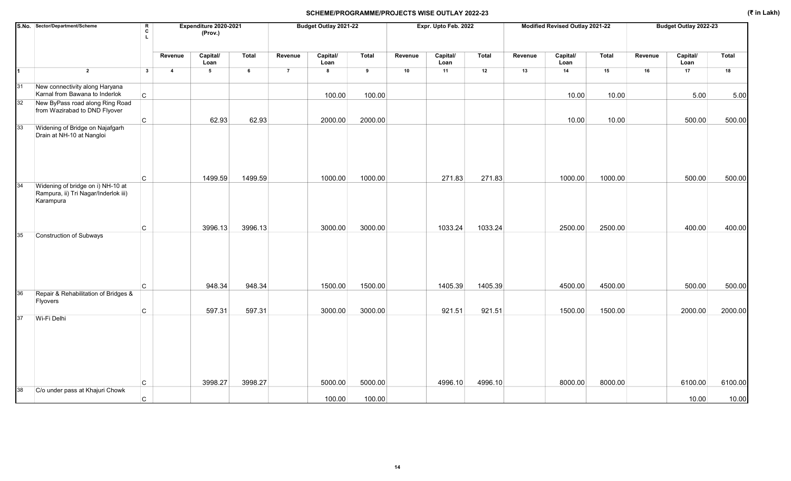|    | S.No. Sector/Department/Scheme                                                         | R<br>C<br>L. |                | Expenditure 2020-2021<br>(Prov.) |              |                | Budget Outlay 2021-22 |              |         | Expr. Upto Feb. 2022 |         |         | Modified Revised Outlay 2021-22 |              |         | Budget Outlay 2022-23 |         |
|----|----------------------------------------------------------------------------------------|--------------|----------------|----------------------------------|--------------|----------------|-----------------------|--------------|---------|----------------------|---------|---------|---------------------------------|--------------|---------|-----------------------|---------|
|    |                                                                                        |              | Revenue        | Capital/<br>Loan                 | <b>Total</b> | Revenue        | Capital/<br>Loan      | <b>Total</b> | Revenue | Capital/<br>Loan     | Total   | Revenue | Capital/<br>Loan                | <b>Total</b> | Revenue | Capital/<br>Loan      | Total   |
| 1  | $\overline{2}$                                                                         | $\mathbf{3}$ | $\overline{4}$ | 5                                | $\,$ 6       | $\overline{7}$ | $\bf{8}$              | 9            | 10      | 11                   | 12      | 13      | 14                              | 15           | 16      | 17                    | 18      |
| 31 | New connectivity along Haryana<br>Karnal from Bawana to Inderlok                       | $\mathsf{C}$ |                |                                  |              |                | 100.00                | 100.00       |         |                      |         |         | 10.00                           | 10.00        |         | 5.00                  | 5.00    |
| 32 | New ByPass road along Ring Road<br>from Wazirabad to DND Flyover                       |              |                |                                  |              |                |                       |              |         |                      |         |         |                                 |              |         |                       |         |
|    |                                                                                        | $\mathsf{C}$ |                | 62.93                            | 62.93        |                | 2000.00               | 2000.00      |         |                      |         |         | 10.00                           | 10.00        |         | 500.00                | 500.00  |
| 33 | Widening of Bridge on Najafgarh<br>Drain at NH-10 at Nangloi                           |              |                |                                  |              |                |                       |              |         |                      |         |         |                                 |              |         |                       |         |
|    |                                                                                        | $\mathsf{C}$ |                | 1499.59                          | 1499.59      |                | 1000.00               | 1000.00      |         | 271.83               | 271.83  |         | 1000.00                         | 1000.00      |         | 500.00                | 500.00  |
| 34 | Widening of bridge on i) NH-10 at<br>Rampura, ii) Tri Nagar/Inderlok iii)<br>Karampura | C            |                | 3996.13                          | 3996.13      |                | 3000.00               | 3000.00      |         | 1033.24              | 1033.24 |         | 2500.00                         | 2500.00      |         | 400.00                | 400.00  |
| 35 | Construction of Subways                                                                |              |                |                                  |              |                |                       |              |         |                      |         |         |                                 |              |         |                       |         |
|    |                                                                                        | C            |                | 948.34                           | 948.34       |                | 1500.00               | 1500.00      |         | 1405.39              | 1405.39 |         | 4500.00                         | 4500.00      |         | 500.00                | 500.00  |
| 36 | Repair & Rehabilitation of Bridges &<br>Flyovers                                       |              |                |                                  |              |                |                       |              |         |                      |         |         |                                 |              |         |                       |         |
| 37 |                                                                                        | $\mathsf C$  |                | 597.31                           | 597.31       |                | 3000.00               | 3000.00      |         | 921.51               | 921.51  |         | 1500.00                         | 1500.00      |         | 2000.00               | 2000.00 |
|    | Wi-Fi Delhi                                                                            | C            |                | 3998.27                          | 3998.27      |                | 5000.00               | 5000.00      |         | 4996.10              | 4996.10 |         | 8000.00                         | 8000.00      |         | 6100.00               | 6100.00 |
| 38 | C/o under pass at Khajuri Chowk                                                        |              |                |                                  |              |                |                       |              |         |                      |         |         |                                 |              |         |                       |         |
|    |                                                                                        | $\mathsf{C}$ |                |                                  |              |                | 100.00                | 100.00       |         |                      |         |         |                                 |              |         | 10.00                 | 10.00   |

14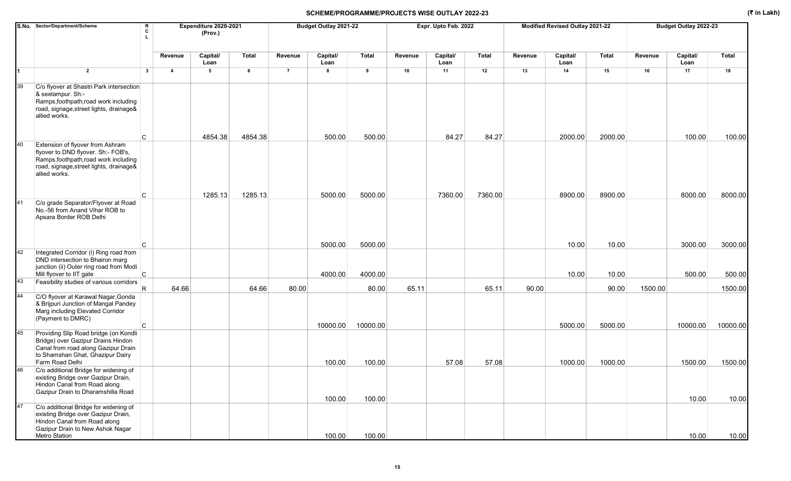|    | S.No. Sector/Department/Scheme<br>R<br>c                                                                                                                                          |                | Expenditure 2020-2021<br>(Prov.) |         |                | Budget Outlay 2021-22 |                   |         | Expr. Upto Feb. 2022 |         |         | Modified Revised Outlay 2021-22 |                  |         | Budget Outlay 2022-23 |                     |
|----|-----------------------------------------------------------------------------------------------------------------------------------------------------------------------------------|----------------|----------------------------------|---------|----------------|-----------------------|-------------------|---------|----------------------|---------|---------|---------------------------------|------------------|---------|-----------------------|---------------------|
|    |                                                                                                                                                                                   | Revenue        | Capital/<br>Loan                 | Total   | Revenue        | Capital/<br>Loan      | <b>Total</b>      | Revenue | Capital/<br>Loan     | Total   | Revenue | Capital/<br>Loan                | Total            | Revenue | Capital/<br>Loan      | <b>Total</b>        |
| 1  | $\overline{2}$<br>$\overline{\mathbf{3}}$                                                                                                                                         | $\overline{4}$ | 5                                | 6       | $\overline{7}$ | 8                     | 9                 | 10      | 11                   | 12      | 13      | 14                              | 15               | 16      | 17                    | 18                  |
| 39 | C/o flyover at Shastri Park intersection<br>& seelampur. Sh:-<br>Ramps, foothpath, road work including<br>road, signage, street lights, drainage&<br>allied works.<br>C           |                | 4854.38                          | 4854.38 |                | 500.00                | 500.00            |         | 84.27                | 84.27   |         | 2000.00                         | 2000.00          |         | 100.00                | 100.00              |
| 40 | Extension of flyover from Ashram<br>flyover to DND flyover. Sh:- FOB's,<br>Ramps, foothpath, road work including<br>road, signage, street lights, drainage&<br>allied works.<br>C |                | 1285.13                          | 1285.13 |                | 5000.00               | 5000.00           |         | 7360.00              | 7360.00 |         | 8900.00                         | 8900.00          |         | 8000.00               | 8000.00             |
| 41 | C/o grade Separator/Flyover at Road<br>No.-56 from Anand Vihar ROB to<br>Apsara Border ROB Delhi                                                                                  |                |                                  |         |                |                       |                   |         |                      |         |         |                                 |                  |         |                       |                     |
|    | C                                                                                                                                                                                 |                |                                  |         |                | 5000.00               | 5000.00           |         |                      |         |         | 10.00                           | 10.00            |         | 3000.00               | 3000.00             |
| 42 | Integrated Corridor (i) Ring road from<br>DND intersection to Bhairon marg<br>junction (ii) Outer ring road from Modi<br>C<br>Mill flyover to IIT gate                            |                |                                  |         |                | 4000.00               | 4000.00           |         |                      |         |         | 10.00                           | 10.00            |         | 500.00                | 500.00              |
| 43 | Feasibility studies of various corridors                                                                                                                                          |                |                                  |         |                |                       |                   |         |                      |         |         |                                 |                  |         |                       |                     |
| 44 | R.<br>C/O flyover at Karawal Nagar, Gonda<br>& Brijpuri Junction of Mangal Pandey<br>Marg including Elevated Corridor<br>(Payment to DMRC)<br>C.                                  | 64.66          |                                  | 64.66   | 80.00          | 10000.00              | 80.00<br>10000.00 | 65.11   |                      | 65.11   | 90.00   | 5000.00                         | 90.00<br>5000.00 | 1500.00 | 10000.00              | 1500.00<br>10000.00 |
| 45 | Providing Slip Road bridge (on Kondli<br>Bridge) over Gazipur Drains Hindon<br>Canal from road along Gazipur Drain<br>to Shamshan Ghat, Ghazipur Dairy<br>Farm Road Delhi         |                |                                  |         |                | 100.00                | 100.00            |         | 57.08                | 57.08   |         | 1000.00                         | 1000.00          |         | 1500.00               | 1500.00             |
| 46 | C/o additional Bridge for widening of<br>existing Bridge over Gazipur Drain,<br>Hindon Canal from Road along<br>Gazipur Drain to Dharamshilla Road                                |                |                                  |         |                | 100.00                | 100.00            |         |                      |         |         |                                 |                  |         | 10.00                 | 10.00               |
| 47 | C/o additional Bridge for widening of<br>existing Bridge over Gazipur Drain,<br>Hindon Canal from Road along<br>Gazipur Drain to New Ashok Nagar<br>Metro Station                 |                |                                  |         |                | 100.00                | 100.00            |         |                      |         |         |                                 |                  |         | 10.00                 | 10.00               |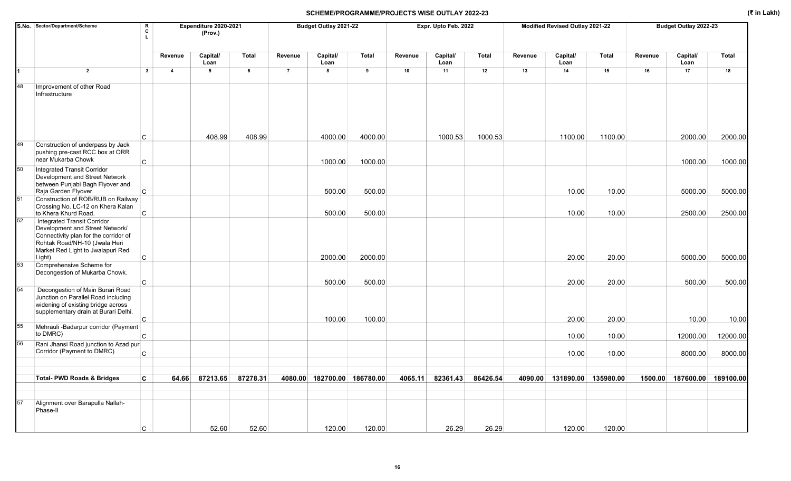|    | S.No. Sector/Department/Scheme<br>R<br>c                                                                                                                                      | Expenditure 2020-2021<br>(Prov.) |                  |          |                | Budget Outlay 2021-22       |         |         | Expr. Upto Feb. 2022 |              |         | Modified Revised Outlay 2021-22 |         |         | Budget Outlay 2022-23 |                             |
|----|-------------------------------------------------------------------------------------------------------------------------------------------------------------------------------|----------------------------------|------------------|----------|----------------|-----------------------------|---------|---------|----------------------|--------------|---------|---------------------------------|---------|---------|-----------------------|-----------------------------|
|    |                                                                                                                                                                               | Revenue                          | Capital/<br>Loan | Total    | Revenue        | Capital/<br>Loan            | Total   | Revenue | Capital/<br>Loan     | <b>Total</b> | Revenue | Capital/<br>Loan                | Total   | Revenue | Capital/<br>Loan      | Total                       |
| 1  | $\overline{2}$<br>$\overline{\mathbf{3}}$                                                                                                                                     | $\overline{4}$                   | 5                | 6        | $\overline{7}$ | 8                           | 9       | 10      | 11                   | 12           | 13      | 14                              | 15      | 16      | 17                    | 18                          |
| 48 | Improvement of other Road<br>Infrastructure                                                                                                                                   |                                  |                  |          |                |                             |         |         |                      |              |         |                                 |         |         |                       |                             |
|    | C                                                                                                                                                                             |                                  | 408.99           | 408.99   |                | 4000.00                     | 4000.00 |         | 1000.53              | 1000.53      |         | 1100.00                         | 1100.00 |         | 2000.00               | 2000.00                     |
| 49 | Construction of underpass by Jack<br>pushing pre-cast RCC box at ORR<br>near Mukarba Chowk                                                                                    |                                  |                  |          |                |                             |         |         |                      |              |         |                                 |         |         |                       |                             |
| 50 | C<br>Integrated Transit Corridor<br>Development and Street Network<br>between Punjabi Bagh Flyover and                                                                        |                                  |                  |          |                | 1000.00                     | 1000.00 |         |                      |              |         |                                 |         |         | 1000.00               | 1000.00                     |
| 51 | Raja Garden Flyover.<br>C<br>Construction of ROB/RUB on Railway                                                                                                               |                                  |                  |          |                | 500.00                      | 500.00  |         |                      |              |         | 10.00                           | 10.00   |         | 5000.00               | 5000.00                     |
|    | Crossing No. LC-12 on Khera Kalan<br>$\overline{C}$<br>to Khera Khurd Road.                                                                                                   |                                  |                  |          |                | 500.00                      | 500.00  |         |                      |              |         | 10.00                           | 10.00   |         | 2500.00               | 2500.00                     |
| 52 | Integrated Transit Corridor<br>Development and Street Network/<br>Connectivity plan for the corridor of<br>Rohtak Road/NH-10 (Jwala Heri<br>Market Red Light to Jwalapuri Red |                                  |                  |          |                |                             |         |         |                      |              |         |                                 |         |         |                       |                             |
|    | Light)<br>C                                                                                                                                                                   |                                  |                  |          |                | 2000.00                     | 2000.00 |         |                      |              |         | 20.00                           | 20.00   |         | 5000.00               | 5000.00                     |
| 53 | Comprehensive Scheme for<br>Decongestion of Mukarba Chowk.                                                                                                                    |                                  |                  |          |                |                             |         |         |                      |              |         |                                 |         |         |                       |                             |
| 54 | $\mathsf{C}$<br>Decongestion of Main Burari Road                                                                                                                              |                                  |                  |          |                | 500.00                      | 500.00  |         |                      |              |         | 20.00                           | 20.00   |         | 500.00                | 500.00                      |
|    | Junction on Parallel Road including<br>widening of existing bridge across<br>supplementary drain at Burari Delhi.                                                             |                                  |                  |          |                |                             |         |         |                      |              |         |                                 |         |         |                       |                             |
| 55 | C<br>Mehrauli - Badarpur corridor (Payment                                                                                                                                    |                                  |                  |          |                | 100.00                      | 100.00  |         |                      |              |         | 20.00                           | 20.00   |         | 10.00                 | 10.00                       |
|    | to DMRC)<br>$\mathsf{C}$                                                                                                                                                      |                                  |                  |          |                |                             |         |         |                      |              |         | 10.00                           | 10.00   |         | 12000.00              | 12000.00                    |
| 56 | Rani Jhansi Road junction to Azad pur<br>Corridor (Payment to DMRC)<br>$\mathsf{C}$                                                                                           |                                  |                  |          |                |                             |         |         |                      |              |         | 10.00                           | 10.00   |         | 8000.00               | 8000.00                     |
|    |                                                                                                                                                                               |                                  |                  |          |                |                             |         |         |                      |              |         |                                 |         |         |                       |                             |
|    | <b>Total- PWD Roads &amp; Bridges</b><br>C                                                                                                                                    | 64.66                            | 87213.65         | 87278.31 |                | 4080.00 182700.00 186780.00 |         | 4065.11 | 82361.43             | 86426.54     |         | 4090.00 131890.00 135980.00     |         |         |                       | 1500.00 187600.00 189100.00 |
| 57 | Alignment over Barapulla Nallah-<br>Phase-II<br>С                                                                                                                             |                                  | 52.60            | 52.60    |                | 120.00                      | 120.00  |         | 26.29                | 26.29        |         | 120.00                          | 120.00  |         |                       |                             |
|    |                                                                                                                                                                               |                                  |                  |          |                |                             |         |         |                      |              |         |                                 |         |         |                       |                             |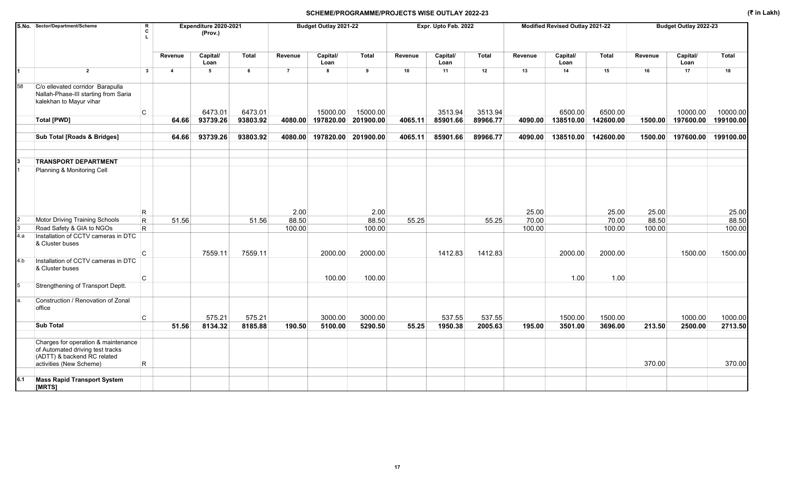|     | S.No. Sector/Department/Scheme                                                                                                    | R<br>$\mathbf{c}$       |                | Expenditure 2020-2021<br>(Prov.) |              |                | Budget Outlay 2021-22       |              |         | Expr. Upto Feb. 2022 |              |         | Modified Revised Outlay 2021-22 |           |         | Budget Outlay 2022-23 |              |
|-----|-----------------------------------------------------------------------------------------------------------------------------------|-------------------------|----------------|----------------------------------|--------------|----------------|-----------------------------|--------------|---------|----------------------|--------------|---------|---------------------------------|-----------|---------|-----------------------|--------------|
|     |                                                                                                                                   |                         | Revenue        | Capital/<br>Loan                 | <b>Total</b> | Revenue        | Capital/<br>Loan            | <b>Total</b> | Revenue | Capital/<br>Loan     | <b>Total</b> | Revenue | Capital/<br>Loan                | Total     | Revenue | Capital/<br>Loan      | <b>Total</b> |
|     | $\overline{2}$                                                                                                                    | $\overline{\mathbf{3}}$ | $\overline{4}$ | $\sqrt{5}$                       | 6            | $\overline{7}$ | 8                           | 9            | 10      | 11                   | 12           | 13      | 14                              | 15        | 16      | 17                    | 18           |
| 58  | C/o ellevated corridor Barapulla<br>Nallah-Phase-III starting from Saria<br>kalekhan to Mayur vihar                               |                         |                |                                  |              |                |                             |              |         |                      |              |         |                                 |           |         |                       |              |
|     |                                                                                                                                   | C                       |                | 6473.01                          | 6473.01      |                | 15000.00                    | 15000.00     |         | 3513.94              | 3513.94      |         | 6500.00                         | 6500.00   |         | 10000.00              | 10000.00     |
|     | <b>Total [PWD]</b>                                                                                                                |                         | 64.66          | 93739.26                         | 93803.92     | 4080.00        | 197820.00                   | 201900.00    | 4065.11 | 85901.66             | 89966.77     | 4090.00 | 138510.00                       | 142600.00 | 1500.00 | 197600.00             | 199100.00    |
|     | Sub Total [Roads & Bridges]                                                                                                       |                         | 64.66          | 93739.26                         | 93803.92     |                | 4080.00 197820.00 201900.00 |              | 4065.11 | 85901.66             | 89966.77     | 4090.00 | 138510.00                       | 142600.00 | 1500.00 | 197600.00             | 199100.00    |
|     | <b>TRANSPORT DEPARTMENT</b>                                                                                                       |                         |                |                                  |              |                |                             |              |         |                      |              |         |                                 |           |         |                       |              |
|     | Planning & Monitoring Cell                                                                                                        |                         |                |                                  |              |                |                             |              |         |                      |              |         |                                 |           |         |                       |              |
|     |                                                                                                                                   | $\mathsf R$             |                |                                  |              | 2.00           |                             | 2.00         |         |                      |              | 25.00   |                                 | 25.00     | 25.00   |                       | 25.00        |
|     | <b>Motor Driving Training Schools</b>                                                                                             | $\mathsf{R}$            | 51.56          |                                  | 51.56        | 88.50          |                             | 88.50        | 55.25   |                      | 55.25        | 70.00   |                                 | 70.00     | 88.50   |                       | 88.50        |
|     | Road Safety & GIA to NGOs                                                                                                         | R.                      |                |                                  |              | 100.00         |                             | 100.00       |         |                      |              | 100.00  |                                 | 100.00    | 100.00  |                       | 100.00       |
| 4.a | Installation of CCTV cameras in DTC<br>& Cluster buses                                                                            |                         |                |                                  |              |                |                             |              |         |                      |              |         |                                 |           |         |                       |              |
| 4.b | Installation of CCTV cameras in DTC<br>& Cluster buses                                                                            | $\mathsf{C}$            |                | 7559.11                          | 7559.11      |                | 2000.00                     | 2000.00      |         | 1412.83              | 1412.83      |         | 2000.00                         | 2000.00   |         | 1500.00               | 1500.00      |
|     |                                                                                                                                   | C                       |                |                                  |              |                | 100.00                      | 100.00       |         |                      |              |         | 1.00                            | 1.00      |         |                       |              |
| 5   | Strengthening of Transport Deptt.                                                                                                 |                         |                |                                  |              |                |                             |              |         |                      |              |         |                                 |           |         |                       |              |
|     | Construction / Renovation of Zonal<br>office                                                                                      | C                       |                | 575.21                           | 575.21       |                | 3000.00                     | 3000.00      |         | 537.55               | 537.55       |         | 1500.00                         | 1500.00   |         | 1000.00               | 1000.00      |
|     | <b>Sub Total</b>                                                                                                                  |                         | 51.56          | 8134.32                          | 8185.88      | 190.50         | 5100.00                     | 5290.50      | 55.25   | 1950.38              | 2005.63      | 195.00  | 3501.00                         | 3696.00   | 213.50  | 2500.00               | 2713.50      |
|     | Charges for operation & maintenance<br>of Automated driving test tracks<br>(ADTT) & backend RC related<br>activities (New Scheme) | R                       |                |                                  |              |                |                             |              |         |                      |              |         |                                 |           | 370.00  |                       | 370.00       |
| 6.1 | <b>Mass Rapid Transport System</b><br>[MRTS]                                                                                      |                         |                |                                  |              |                |                             |              |         |                      |              |         |                                 |           |         |                       |              |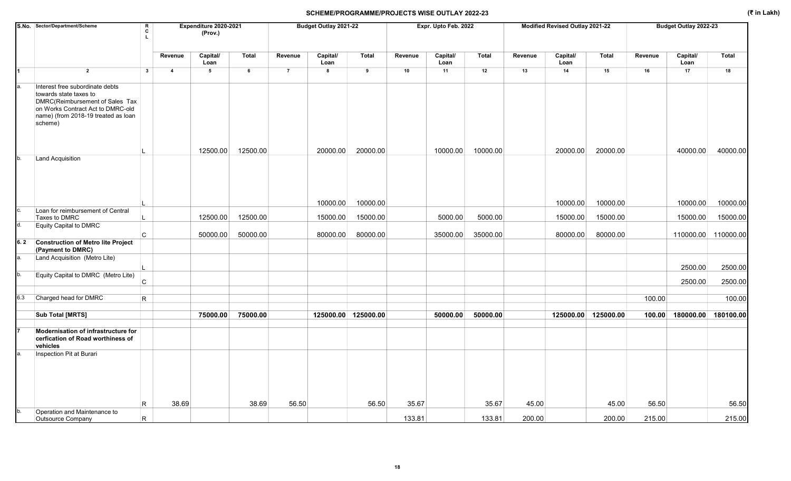|     | S.No. Sector/Department/Scheme                                                                                                                                                      | $\mathbf R$<br>c<br>L |                         | Expenditure 2020-2021<br>(Prov.) |                |                | Budget Outlay 2021-22 |          |         | Expr. Upto Feb. 2022 |          |         | Modified Revised Outlay 2021-22 |                     |         | Budget Outlay 2022-23      |          |
|-----|-------------------------------------------------------------------------------------------------------------------------------------------------------------------------------------|-----------------------|-------------------------|----------------------------------|----------------|----------------|-----------------------|----------|---------|----------------------|----------|---------|---------------------------------|---------------------|---------|----------------------------|----------|
|     |                                                                                                                                                                                     |                       | Revenue                 | Capital/<br>Loan                 | Total          | Revenue        | Capital/<br>Loan      | Total    | Revenue | Capital/<br>Loan     | Total    | Revenue | Capital/<br>Loan                | <b>Total</b>        | Revenue | Capital/<br>Loan           | Total    |
| 1   | $\overline{2}$                                                                                                                                                                      | $\mathbf{3}$          | $\overline{\mathbf{4}}$ | 5                                | $6\phantom{a}$ | $\overline{7}$ | 8                     | 9        | 10      | 11                   | 12       | 13      | 14                              | 15                  | 16      | 17                         | 18       |
|     | Interest free subordinate debts<br>towards state taxes to<br>DMRC(Reimbursement of Sales Tax<br>on Works Contract Act to DMRC-old<br>name) (from 2018-19 treated as loan<br>scheme) |                       |                         |                                  |                |                |                       |          |         |                      |          |         |                                 |                     |         |                            |          |
|     |                                                                                                                                                                                     |                       |                         | 12500.00                         | 12500.00       |                | 20000.00              | 20000.00 |         | 10000.00             | 10000.00 |         | 20000.00                        | 20000.00            |         | 40000.00                   | 40000.00 |
|     | Land Acquisition                                                                                                                                                                    |                       |                         |                                  |                |                |                       |          |         |                      |          |         |                                 |                     |         |                            |          |
|     |                                                                                                                                                                                     |                       |                         |                                  |                |                | 10000.00              | 10000.00 |         |                      |          |         | 10000.00                        | 10000.00            |         | 10000.00                   | 10000.00 |
|     | Loan for reimbursement of Central<br>Taxes to DMRC                                                                                                                                  |                       |                         | 12500.00                         | 12500.00       |                | 15000.00              | 15000.00 |         | 5000.00              | 5000.00  |         | 15000.00                        | 15000.00            |         | 15000.00                   | 15000.00 |
|     | Equity Capital to DMRC                                                                                                                                                              |                       |                         |                                  |                |                |                       |          |         |                      |          |         |                                 |                     |         |                            |          |
|     |                                                                                                                                                                                     | C                     |                         | 50000.00                         | 50000.00       |                | 80000.00              | 80000.00 |         | 35000.00             | 35000.00 |         | 80000.00                        | 80000.00            |         | 110000.00 110000.00        |          |
| 6.2 | <b>Construction of Metro lite Project</b><br>(Payment to DMRC)                                                                                                                      |                       |                         |                                  |                |                |                       |          |         |                      |          |         |                                 |                     |         |                            |          |
|     | Land Acquisition (Metro Lite)                                                                                                                                                       |                       |                         |                                  |                |                |                       |          |         |                      |          |         |                                 |                     |         | 2500.00                    | 2500.00  |
| b.  | Equity Capital to DMRC (Metro Lite)                                                                                                                                                 | $\mathsf{C}$          |                         |                                  |                |                |                       |          |         |                      |          |         |                                 |                     |         | 2500.00                    | 2500.00  |
|     |                                                                                                                                                                                     |                       |                         |                                  |                |                |                       |          |         |                      |          |         |                                 |                     |         |                            |          |
| 6.3 | Charged head for DMRC                                                                                                                                                               | R                     |                         |                                  |                |                |                       |          |         |                      |          |         |                                 |                     | 100.00  |                            | 100.00   |
|     | <b>Sub Total [MRTS]</b>                                                                                                                                                             |                       |                         | 75000.00                         | 75000.00       |                | 125000.00 125000.00   |          |         | 50000.00             | 50000.00 |         |                                 | 125000.00 125000.00 |         | 100.00 180000.00 180100.00 |          |
|     |                                                                                                                                                                                     |                       |                         |                                  |                |                |                       |          |         |                      |          |         |                                 |                     |         |                            |          |
|     | Modernisation of infrastructure for<br>cerfication of Road worthiness of<br>vehicles                                                                                                |                       |                         |                                  |                |                |                       |          |         |                      |          |         |                                 |                     |         |                            |          |
|     | Inspection Pit at Burari                                                                                                                                                            | R                     | 38.69                   |                                  | 38.69          | 56.50          |                       | 56.50    | 35.67   |                      | 35.67    | 45.00   |                                 | 45.00               | 56.50   |                            | 56.50    |
|     | Operation and Maintenance to<br>Outsource Company                                                                                                                                   | R.                    |                         |                                  |                |                |                       |          | 133.81  |                      | 133.81   | 200.00  |                                 | 200.00              | 215.00  |                            | 215.00   |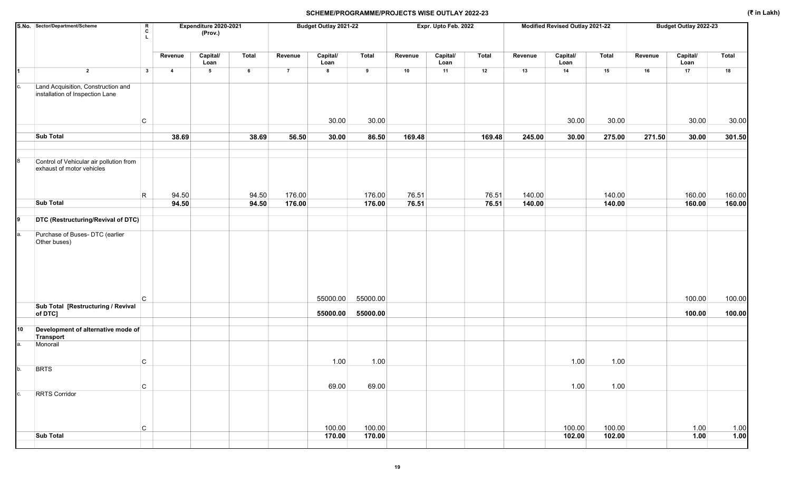|    | S.No. Sector/Department/Scheme                                        | R<br>c<br>L. |                         | Expenditure 2020-2021<br>(Prov.) |              |                | Budget Outlay 2021-22 |                 |         | Expr. Upto Feb. 2022 |              |         | Modified Revised Outlay 2021-22 |                |         | Budget Outlay 2022-23 |                |
|----|-----------------------------------------------------------------------|--------------|-------------------------|----------------------------------|--------------|----------------|-----------------------|-----------------|---------|----------------------|--------------|---------|---------------------------------|----------------|---------|-----------------------|----------------|
|    |                                                                       |              | Revenue                 | Capital/<br>Loan                 | <b>Total</b> | Revenue        | Capital/<br>Loan      | <b>Total</b>    | Revenue | Capital/<br>Loan     | <b>Total</b> | Revenue | Capital/<br>Loan                | Total          | Revenue | Capital/<br>Loan      | Total          |
|    | $\overline{\mathbf{2}}$                                               | $\mathbf{3}$ | $\overline{\mathbf{4}}$ | $5\overline{)}$                  | 6            | $\overline{7}$ | 8                     | $\,$ 9          | 10      | 11                   | 12           | 13      | 14                              | 15             | 16      | 17                    | 18             |
| c. | Land Acquisition, Construction and<br>installation of Inspection Lane |              |                         |                                  |              |                |                       |                 |         |                      |              |         |                                 |                |         |                       |                |
|    |                                                                       | C            |                         |                                  |              |                | 30.00                 | 30.00           |         |                      |              |         | 30.00                           | 30.00          |         | 30.00                 | 30.00          |
|    | <b>Sub Total</b>                                                      |              | 38.69                   |                                  | 38.69        | 56.50          | 30.00                 | 86.50           | 169.48  |                      | 169.48       | 245.00  | 30.00                           | 275.00         | 271.50  | 30.00                 | 301.50         |
|    | Control of Vehicular air pollution from<br>exhaust of motor vehicles  |              |                         |                                  |              |                |                       |                 |         |                      |              |         |                                 |                |         |                       |                |
|    |                                                                       | R            | 94.50                   |                                  | 94.50        | 176.00         |                       | 176.00          | 76.51   |                      | 76.51        | 140.00  |                                 | 140.00         |         | 160.00                | 160.00         |
|    | <b>Sub Total</b>                                                      |              | 94.50                   |                                  | 94.50        | 176.00         |                       | 176.00          | 76.51   |                      | 76.51        | 140.00  |                                 | 140.00         |         | 160.00                | 160.00         |
|    | DTC (Restructuring/Revival of DTC)                                    |              |                         |                                  |              |                |                       |                 |         |                      |              |         |                                 |                |         |                       |                |
| a. | Purchase of Buses- DTC (earlier<br>Other buses)                       |              |                         |                                  |              |                |                       |                 |         |                      |              |         |                                 |                |         |                       |                |
|    |                                                                       | C            |                         |                                  |              |                | 55000.00              | 55000.00        |         |                      |              |         |                                 |                |         | 100.00                | 100.00         |
|    | Sub Total [Restructuring / Revival<br>of DTC]                         |              |                         |                                  |              |                | 55000.00              | 55000.00        |         |                      |              |         |                                 |                |         | 100.00                | 100.00         |
| 10 | Development of alternative mode of<br>Transport                       |              |                         |                                  |              |                |                       |                 |         |                      |              |         |                                 |                |         |                       |                |
| а. | Monorail                                                              | C            |                         |                                  |              |                | 1.00                  | 1.00            |         |                      |              |         | 1.00                            | 1.00           |         |                       |                |
| b. | <b>BRTS</b>                                                           |              |                         |                                  |              |                |                       |                 |         |                      |              |         |                                 |                |         |                       |                |
|    | <b>RRTS Corridor</b>                                                  | C<br>C       |                         |                                  |              |                | 69.00<br>100.00       | 69.00<br>100.00 |         |                      |              |         | 1.00<br>100.00                  | 1.00<br>100.00 |         | 1.00                  | $1.00$         |
|    | <b>Sub Total</b>                                                      |              |                         |                                  |              |                | 170.00                | 170.00          |         |                      |              |         | 102.00                          | 102.00         |         | 1.00                  | $\boxed{1.00}$ |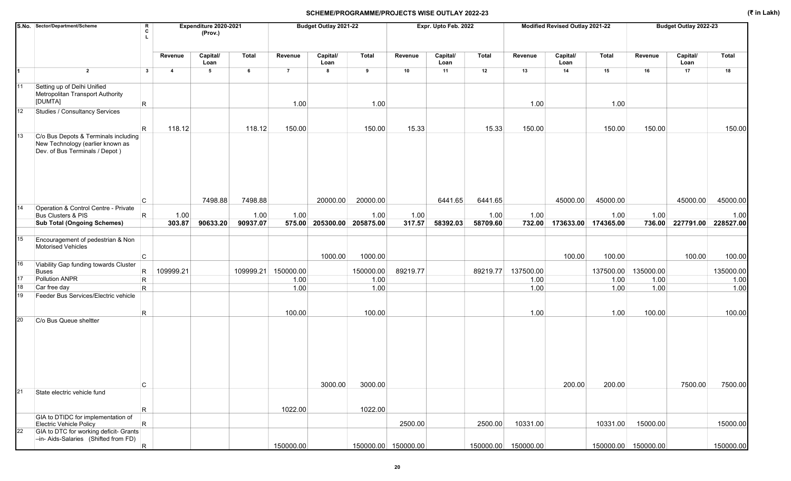|    | S.No. Sector/Department/Scheme                                                                             | R<br>c       |                | Expenditure 2020-2021<br>(Prov.) |           |                | Budget Outlay 2021-22      |           |                     | Expr. Upto Feb. 2022 |              |                     | Modified Revised Outlay 2021-22 |           |                     | Budget Outlay 2022-23 |           |
|----|------------------------------------------------------------------------------------------------------------|--------------|----------------|----------------------------------|-----------|----------------|----------------------------|-----------|---------------------|----------------------|--------------|---------------------|---------------------------------|-----------|---------------------|-----------------------|-----------|
|    |                                                                                                            |              | Revenue        | Capital/<br>Loan                 | Total     | Revenue        | Capital/<br>Loan           | Total     | Revenue             | Capital/<br>Loan     | <b>Total</b> | Revenue             | Capital/<br>Loan                | Total     | Revenue             | Capital/<br>Loan      | Total     |
|    | $\overline{2}$                                                                                             | $\mathbf{3}$ | $\overline{4}$ | $5\phantom{.0}$                  | 6         | $\overline{7}$ | 8                          | 9         | 10                  | 11                   | 12           | 13                  | 14                              | 15        | 16                  | 17                    | 18        |
| 11 | Setting up of Delhi Unified<br>Metropolitan Transport Authority                                            |              |                |                                  |           |                |                            |           |                     |                      |              |                     |                                 |           |                     |                       |           |
|    | [DUMTA]                                                                                                    | $\mathsf R$  |                |                                  |           | 1.00           |                            | 1.00      |                     |                      |              | 1.00                |                                 | 1.00      |                     |                       |           |
| 12 | Studies / Consultancy Services                                                                             |              |                |                                  |           |                |                            |           |                     |                      |              |                     |                                 |           |                     |                       |           |
|    |                                                                                                            | $\mathsf R$  | 118.12         |                                  | 118.12    | 150.00         |                            | 150.00    | 15.33               |                      | 15.33        | 150.00              |                                 | 150.00    | 150.00              |                       | 150.00    |
| 13 | C/o Bus Depots & Terminals including<br>New Technology (earlier known as<br>Dev. of Bus Terminals / Depot) |              |                |                                  |           |                |                            |           |                     |                      |              |                     |                                 |           |                     |                       |           |
| 14 | Operation & Control Centre - Private                                                                       | C            |                | 7498.88                          | 7498.88   |                | 20000.00                   | 20000.00  |                     | 6441.65              | 6441.65      |                     | 45000.00                        | 45000.00  |                     | 45000.00              | 45000.00  |
|    | <b>Bus Clusters &amp; PIS</b>                                                                              | R            | 1.00           |                                  | 1.00      | 1.00           |                            | 1.00      | 1.00                |                      | 1.00         | 1.00                |                                 | 1.00      | 1.00                |                       | 1.00      |
|    | <b>Sub Total (Ongoing Schemes)</b>                                                                         |              | 303.87         | 90633.20                         | 90937.07  |                | 575.00 205300.00 205875.00 |           | 317.57              | 58392.03             | 58709.60     | 732.00              | 173633.00                       | 174365.00 | 736.00              | 227791.00             | 228527.00 |
|    |                                                                                                            |              |                |                                  |           |                |                            |           |                     |                      |              |                     |                                 |           |                     |                       |           |
| 15 | Encouragement of pedestrian & Non<br>Motorised Vehicles                                                    |              |                |                                  |           |                |                            |           |                     |                      |              |                     |                                 |           |                     |                       |           |
| 16 | Viability Gap funding towards Cluster                                                                      | C            |                |                                  |           |                | 1000.00                    | 1000.00   |                     |                      |              |                     | 100.00                          | 100.00    |                     | 100.00                | 100.00    |
|    | <b>Buses</b>                                                                                               | R            | 109999.21      |                                  | 109999.21 | 150000.00      |                            | 150000.00 | 89219.77            |                      | 89219.77     | 137500.00           |                                 | 137500.00 | 135000.00           |                       | 135000.00 |
| 17 | Pollution ANPR                                                                                             | $\mathsf R$  |                |                                  |           | 1.00           |                            | 1.00      |                     |                      |              | 1.00                |                                 | 1.00      | 1.00                |                       | 1.00      |
| 18 | Car free day                                                                                               | R.           |                |                                  |           | 1.00           |                            | 1.00      |                     |                      |              | 1.00                |                                 | 1.00      | 1.00                |                       | 1.00      |
| 19 | Feeder Bus Services/Electric vehicle                                                                       |              |                |                                  |           |                |                            |           |                     |                      |              |                     |                                 |           |                     |                       |           |
|    |                                                                                                            | R            |                |                                  |           | 100.00         |                            | 100.00    |                     |                      |              | 1.00                |                                 | 1.00      | 100.00              |                       | 100.00    |
| 20 | C/o Bus Queue sheltter                                                                                     |              |                |                                  |           |                |                            |           |                     |                      |              |                     |                                 |           |                     |                       |           |
|    |                                                                                                            | C            |                |                                  |           |                | 3000.00                    | 3000.00   |                     |                      |              |                     | 200.00                          | 200.00    |                     | 7500.00               | 7500.00   |
| 21 | State electric vehicle fund                                                                                |              |                |                                  |           | 1022.00        |                            | 1022.00   |                     |                      |              |                     |                                 |           |                     |                       |           |
|    | GIA to DTIDC for implementation of                                                                         | R            |                |                                  |           |                |                            |           |                     |                      |              |                     |                                 |           |                     |                       |           |
| 22 | <b>Electric Vehicle Policy</b><br>GIA to DTC for working deficit- Grants                                   | R            |                |                                  |           |                |                            |           | 2500.00             |                      | 2500.00      | 10331.00            |                                 | 10331.00  | 15000.00            |                       | 15000.00  |
|    | -in- Aids-Salaries (Shifted from FD)                                                                       |              |                |                                  |           |                |                            |           |                     |                      |              |                     |                                 |           |                     |                       |           |
|    |                                                                                                            | R            |                |                                  |           | 150000.00      |                            |           | 150000.00 150000.00 |                      |              | 150000.00 150000.00 |                                 |           | 150000.00 150000.00 |                       | 150000.00 |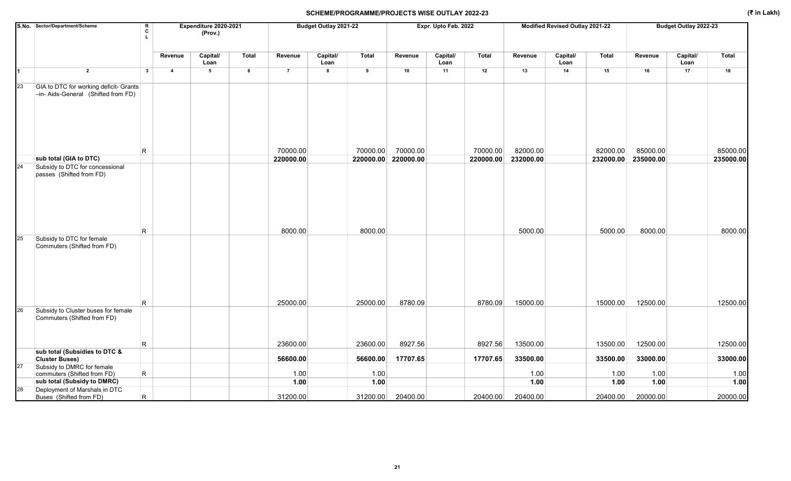|    | S.No. Sector/Department/Scheme                                                | R<br>C<br>Τ. |                         | Expenditure 2020-2021<br>(Prov.) |       |                | Budget Outlay 2021-22 |              |           | Expr. Upto Feb. 2022 |              |              | Modified Revised Outlay 2021-22 |              |              | Budget Outlay 2022-23 |              |
|----|-------------------------------------------------------------------------------|--------------|-------------------------|----------------------------------|-------|----------------|-----------------------|--------------|-----------|----------------------|--------------|--------------|---------------------------------|--------------|--------------|-----------------------|--------------|
|    |                                                                               |              | Revenue                 | Capital/<br>Loan                 | Total | Revenue        | Capital/<br>Loan      | <b>Total</b> | Revenue   | Capital/<br>Loan     | <b>Total</b> | Revenue      | Capital/<br>Loan                | Total        | Revenue      | Capital/<br>Loan      | Total        |
|    | $\overline{2}$                                                                | $\mathbf{3}$ | $\overline{\mathbf{4}}$ | 5                                | 6     | $\overline{7}$ | 8                     | 9            | 10        | 11                   | 12           | 13           | 14                              | 15           | 16           | 17                    | 18           |
| 23 | GIA to DTC for working deficit- Grants<br>-in- Aids-General (Shifted from FD) |              |                         |                                  |       |                |                       |              |           |                      |              |              |                                 |              |              |                       |              |
|    |                                                                               | R            |                         |                                  |       | 70000.00       |                       | 70000.00     | 70000.00  |                      | 70000.00     | 82000.00     |                                 | 82000.00     | 85000.00     |                       | 85000.00     |
|    | sub total (GIA to DTC)                                                        |              |                         |                                  |       | 220000.00      |                       | 220000.00    | 220000.00 |                      | 220000.00    | 232000.00    |                                 | 232000.00    | 235000.00    |                       | 235000.00    |
| 24 | Subsidy to DTC for concessional<br>passes (Shifted from FD)                   | R            |                         |                                  |       | 8000.00        |                       | 8000.00      |           |                      |              | 5000.00      |                                 | 5000.00      | 8000.00      |                       | 8000.00      |
| 25 | Subsidy to DTC for female<br>Commuters (Shifted from FD)                      |              |                         |                                  |       |                |                       |              |           |                      |              |              |                                 |              |              |                       |              |
|    |                                                                               | R            |                         |                                  |       | 25000.00       |                       | 25000.00     | 8780.09   |                      | 8780.09      | 15000.00     |                                 | 15000.00     | 12500.00     |                       | 12500.00     |
| 26 | Subsidy to Cluster buses for female<br>Commuters (Shifted from FD)            | R            |                         |                                  |       | 23600.00       |                       | 23600.00     | 8927.56   |                      | 8927.56      | 13500.00     |                                 | 13500.00     | 12500.00     |                       | 12500.00     |
|    | sub total (Subsidies to DTC &                                                 |              |                         |                                  |       |                |                       |              |           |                      |              |              |                                 |              |              |                       |              |
|    | <b>Cluster Buses)</b>                                                         |              |                         |                                  |       | 56600.00       |                       | 56600.00     | 17707.65  |                      | 17707.65     | 33500.00     |                                 | 33500.00     | 33000.00     |                       | 33000.00     |
| 27 | Subsidy to DMRC for female                                                    |              |                         |                                  |       |                |                       |              |           |                      |              |              |                                 |              |              |                       |              |
|    | commuters (Shifted from FD)<br>sub total (Subsidy to DMRC)                    | R            |                         |                                  |       | 1.00<br>1.00   |                       | 1.00<br>1.00 |           |                      |              | 1.00<br>1.00 |                                 | 1.00<br>1.00 | 1.00<br>1.00 |                       | 1.00<br>1.00 |
| 28 | Deployment of Marshals in DTC                                                 |              |                         |                                  |       |                |                       |              |           |                      |              |              |                                 |              |              |                       |              |
|    | Buses (Shifted from FD)                                                       | R.           |                         |                                  |       | 31200.00       |                       | 31200.00     | 20400.00  |                      | 20400.00     | 20400.00     |                                 | 20400.00     | 20000.00     |                       | 20000.00     |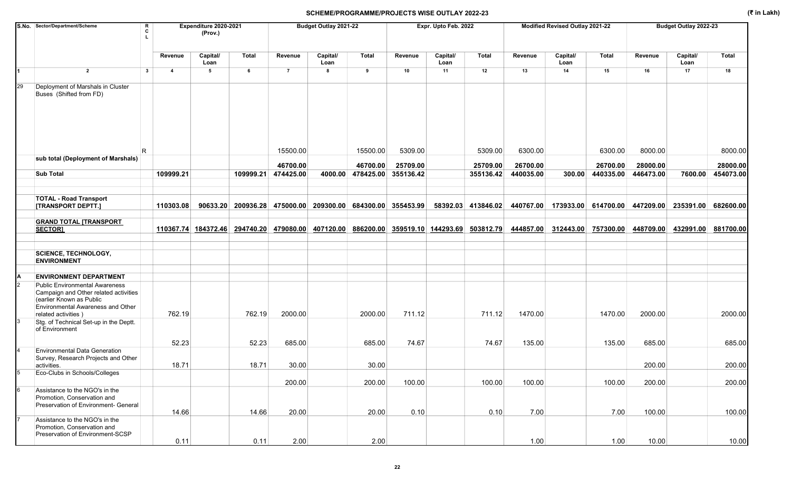|    | S.No. Sector/Department/Scheme                                                                                                                                                | R<br>c                         | Expenditure 2020-2021<br>(Prov.) |                    |                       | Budget Outlay 2021-22 |                                         |                               | Expr. Upto Feb. 2022 |                       |                       | Modified Revised Outlay 2021-22 |                       |                       | Budget Outlay 2022-23 |                       |
|----|-------------------------------------------------------------------------------------------------------------------------------------------------------------------------------|--------------------------------|----------------------------------|--------------------|-----------------------|-----------------------|-----------------------------------------|-------------------------------|----------------------|-----------------------|-----------------------|---------------------------------|-----------------------|-----------------------|-----------------------|-----------------------|
|    |                                                                                                                                                                               | Revenue                        | Capital/<br>Loan                 | Total              | Revenue               | Capital/<br>Loan      | <b>Total</b>                            | Revenue                       | Capital/<br>Loan     | Total                 | Revenue               | Capital/<br>Loan                | <b>Total</b>          | Revenue               | Capital/<br>Loan      | <b>Total</b>          |
|    | $\overline{2}$                                                                                                                                                                | $\mathbf{3}$<br>$\overline{4}$ | $5\phantom{.0}$                  | 6                  | $\overline{7}$        | 8                     | 9                                       | 10                            | 11                   | 12                    | 13                    | 14                              | 15                    | 16                    | 17                    | 18                    |
| 29 | Deployment of Marshals in Cluster<br>Buses (Shifted from FD)                                                                                                                  |                                |                                  |                    |                       |                       |                                         |                               |                      |                       |                       |                                 |                       |                       |                       |                       |
|    |                                                                                                                                                                               | R.                             |                                  |                    | 15500.00              |                       | 15500.00                                | 5309.00                       |                      | 5309.00               | 6300.00               |                                 | 6300.00               | 8000.00               |                       | 8000.00               |
|    | sub total (Deployment of Marshals)                                                                                                                                            |                                |                                  |                    |                       |                       |                                         |                               |                      |                       |                       |                                 |                       |                       |                       |                       |
|    | <b>Sub Total</b>                                                                                                                                                              | 109999.21                      |                                  | 109999.21          | 46700.00<br>474425.00 | 4000.00               | 46700.00<br>478425.00 355136.42         | 25709.00                      |                      | 25709.00<br>355136.42 | 26700.00<br>440035.00 | 300.00                          | 26700.00<br>440335.00 | 28000.00<br>446473.00 | 7600.00               | 28000.00<br>454073.00 |
|    |                                                                                                                                                                               |                                |                                  |                    |                       |                       |                                         |                               |                      |                       |                       |                                 |                       |                       |                       |                       |
|    | <b>TOTAL - Road Transport</b><br>[TRANSPORT DEPTT.]                                                                                                                           | 110303.08                      |                                  | 90633.20 200936.28 |                       |                       | 475000.00 209300.00 684300.00 355453.99 |                               |                      | 58392.03 413846.02    | 440767.00             |                                 | 173933.00 614700.00   | 447209.00 235391.00   |                       | 682600.00             |
|    |                                                                                                                                                                               |                                |                                  |                    |                       |                       |                                         |                               |                      |                       |                       |                                 |                       |                       |                       |                       |
|    | <b>GRAND TOTAL [TRANSPORT</b><br><b>SECTORI</b>                                                                                                                               |                                | 110367.74 184372.46              | 294740.20          | 479080.00             | 407120.00             |                                         | 886200.00 359519.10 144293.69 |                      | 503812.79             | 444857.00             | 312443.00                       | 757300.00             | 448709.00             | 432991.00             | 881700.00             |
|    | <b>SCIENCE, TECHNOLOGY,</b><br><b>ENVIRONMENT</b>                                                                                                                             |                                |                                  |                    |                       |                       |                                         |                               |                      |                       |                       |                                 |                       |                       |                       |                       |
|    | <b>ENVIRONMENT DEPARTMENT</b>                                                                                                                                                 |                                |                                  |                    |                       |                       |                                         |                               |                      |                       |                       |                                 |                       |                       |                       |                       |
|    | <b>Public Environmental Awareness</b><br>Campaign and Other related activities<br>(earlier Known as Public<br><b>Environmental Awareness and Other</b><br>related activities) | 762.19                         |                                  | 762.19             | 2000.00               |                       | 2000.00                                 | 711.12                        |                      | 711.12                | 1470.00               |                                 | 1470.00               | 2000.00               |                       | 2000.00               |
|    | Stg. of Technical Set-up in the Deptt.<br>of Environment                                                                                                                      |                                |                                  |                    |                       |                       |                                         |                               |                      |                       |                       |                                 |                       |                       |                       |                       |
|    | <b>Environmental Data Generation</b>                                                                                                                                          | 52.23                          |                                  | 52.23              | 685.00                |                       | 685.00                                  | 74.67                         |                      | 74.67                 | 135.00                |                                 | 135.00                | 685.00                |                       | 685.00                |
|    | Survey, Research Projects and Other<br>activities.                                                                                                                            | 18.71                          |                                  | 18.71              | 30.00                 |                       | 30.00                                   |                               |                      |                       |                       |                                 |                       | 200.00                |                       | 200.00                |
|    | Eco-Clubs in Schools/Colleges                                                                                                                                                 |                                |                                  |                    | 200.00                |                       | 200.00                                  | 100.00                        |                      | 100.00                | 100.00                |                                 | 100.00                | 200.00                |                       | 200.00                |
|    | Assistance to the NGO's in the<br>Promotion, Conservation and<br>Preservation of Environment- General                                                                         | 14.66                          |                                  | 14.66              | 20.00                 |                       | 20.00                                   | 0.10                          |                      | 0.10                  | 7.00                  |                                 | 7.00                  | 100.00                |                       | 100.00                |
|    | Assistance to the NGO's in the<br>Promotion, Conservation and<br>Preservation of Environment-SCSP                                                                             | 0.11                           |                                  | 0.11               | 2.00                  |                       | 2.00                                    |                               |                      |                       | 1.00                  |                                 | 1.00                  | 10.00                 |                       | 10.00                 |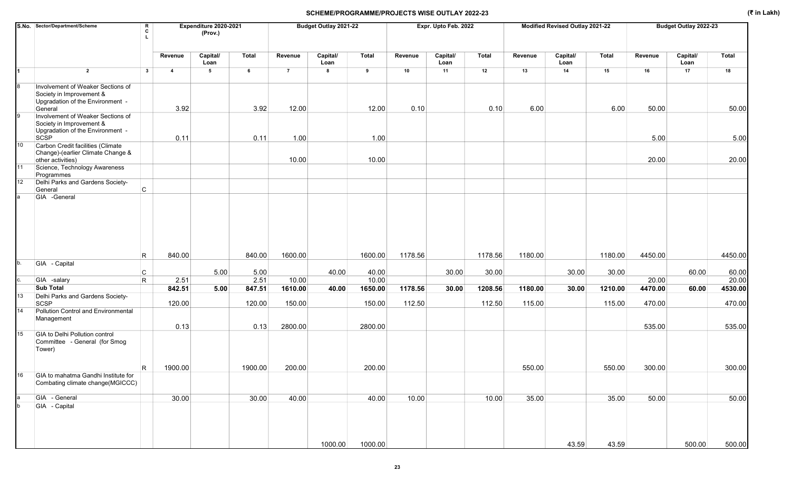|                 | S.No. Sector/Department/Scheme<br>л.                                                                         | R<br>C                                 | Expenditure 2020-2021<br>(Prov.) |                |                   | Budget Outlay 2021-22 |                   |         | Expr. Upto Feb. 2022 |              |         | Modified Revised Outlay 2021-22 |              |                  | Budget Outlay 2022-23 |                  |
|-----------------|--------------------------------------------------------------------------------------------------------------|----------------------------------------|----------------------------------|----------------|-------------------|-----------------------|-------------------|---------|----------------------|--------------|---------|---------------------------------|--------------|------------------|-----------------------|------------------|
|                 |                                                                                                              | Revenue                                | Capital/<br>Loan                 | Total          | Revenue           | Capital/<br>Loan      | Total             | Revenue | Capital/<br>Loan     | <b>Total</b> | Revenue | Capital/<br>Loan                | <b>Total</b> | Revenue          | Capital/<br>Loan      | Total            |
| 1               | $\overline{2}$                                                                                               | $3^{\circ}$<br>$\overline{\mathbf{4}}$ | 5                                | 6              | $\overline{7}$    | 8                     | 9                 | 10      | 11                   | 12           | 13      | 14                              | 15           | 16               | 17                    | 18               |
| 8               | Involvement of Weaker Sections of<br>Society in Improvement &<br>Upgradation of the Environment -<br>General | 3.92                                   |                                  | 3.92           | 12.00             |                       | 12.00             | 0.10    |                      | 0.10         | 6.00    |                                 | 6.00         | 50.00            |                       | 50.00            |
| 9               | Involvement of Weaker Sections of<br>Society in Improvement &<br>Upgradation of the Environment -<br>SCSP    | 0.11                                   |                                  | 0.11           | 1.00              |                       | 1.00              |         |                      |              |         |                                 |              | 5.00             |                       | 5.00             |
| 10 <sub>1</sub> | Carbon Credit facilities (Climate<br>Change)-(earlier Climate Change &<br>other activities)                  |                                        |                                  |                | 10.00             |                       | 10.00             |         |                      |              |         |                                 |              | 20.00            |                       | 20.00            |
| 11              | Science, Technology Awareness<br>Programmes                                                                  |                                        |                                  |                |                   |                       |                   |         |                      |              |         |                                 |              |                  |                       |                  |
| 12              | Delhi Parks and Gardens Society-<br>$\mathsf{C}$<br>General                                                  |                                        |                                  |                |                   |                       |                   |         |                      |              |         |                                 |              |                  |                       |                  |
|                 | R                                                                                                            | 840.00                                 |                                  | 840.00         | 1600.00           |                       | 1600.00           | 1178.56 |                      | 1178.56      | 1180.00 |                                 | 1180.00      | 4450.00          |                       | 4450.00          |
| b.              | GIA - Capital                                                                                                |                                        |                                  |                |                   |                       |                   |         |                      |              |         |                                 |              |                  |                       |                  |
|                 | C<br>$\mathsf{R}$<br>GIA -salary                                                                             | 2.51                                   | 5.00                             | 5.00<br>2.51   | 10.00             | 40.00                 | 40.00<br>10.00    |         | 30.00                | 30.00        |         | 30.00                           | 30.00        | 20.00            | 60.00                 | 60.00<br>20.00   |
|                 | <b>Sub Total</b>                                                                                             | 842.51                                 | 5.00                             | 847.51         | 1610.00           | 40.00                 | 1650.00           | 1178.56 | 30.00                | 1208.56      | 1180.00 | 30.00                           | 1210.00      | 4470.00          | 60.00                 | 4530.00          |
| 13              | Delhi Parks and Gardens Society-                                                                             |                                        |                                  |                |                   |                       |                   |         |                      |              |         |                                 |              |                  |                       |                  |
| 14              | SCSP<br>Pollution Control and Environmental<br>Management                                                    | 120.00<br>0.13                         |                                  | 120.00<br>0.13 | 150.00<br>2800.00 |                       | 150.00<br>2800.00 | 112.50  |                      | 112.50       | 115.00  |                                 | 115.00       | 470.00<br>535.00 |                       | 470.00<br>535.00 |
| 15              | GIA to Delhi Pollution control<br>Committee - General (for Smog<br>Tower)                                    |                                        |                                  |                |                   |                       |                   |         |                      |              |         |                                 |              |                  |                       |                  |
|                 | R                                                                                                            | 1900.00                                |                                  | 1900.00        | 200.00            |                       | 200.00            |         |                      |              | 550.00  |                                 | 550.00       | 300.00           |                       | 300.00           |
| 16              | GIA to mahatma Gandhi Institute for<br>Combating climate change(MGICCC)                                      |                                        |                                  |                |                   |                       |                   |         |                      |              |         |                                 |              |                  |                       |                  |
|                 | GIA - General                                                                                                | 30.00                                  |                                  | 30.00          | 40.00             |                       | 40.00             | 10.00   |                      | 10.00        | 35.00   |                                 | 35.00        | 50.00            |                       | 50.00            |
|                 | GIA - Capital                                                                                                |                                        |                                  |                |                   |                       |                   |         |                      |              |         |                                 |              |                  |                       |                  |
|                 |                                                                                                              |                                        |                                  |                |                   | 1000.00               | 1000.00           |         |                      |              |         | 43.59                           | 43.59        |                  | 500.00                | 500.00           |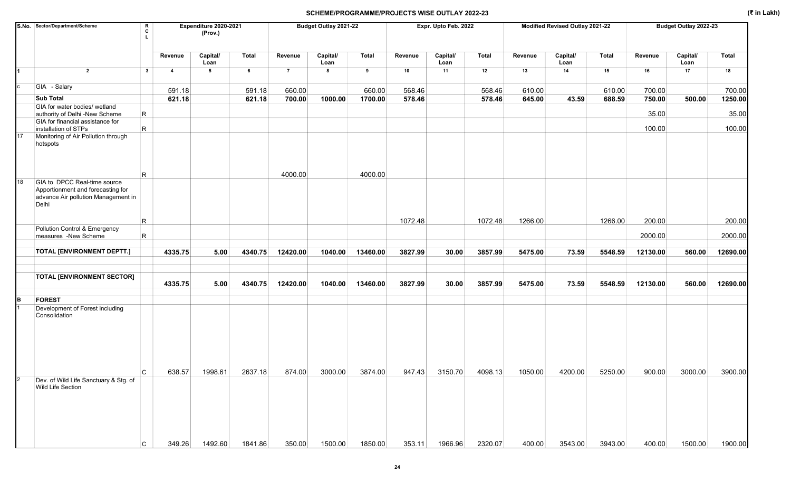|                | S.No. Sector/Department/Scheme                                                                                    | R<br>C       |                | Expenditure 2020-2021<br>(Prov.) |              |                | Budget Outlay 2021-22 |          |         | Expr. Upto Feb. 2022 |         |         | Modified Revised Outlay 2021-22 |              |          | Budget Outlay 2022-23 |              |
|----------------|-------------------------------------------------------------------------------------------------------------------|--------------|----------------|----------------------------------|--------------|----------------|-----------------------|----------|---------|----------------------|---------|---------|---------------------------------|--------------|----------|-----------------------|--------------|
|                |                                                                                                                   |              | Revenue        | Capital/<br>Loan                 | <b>Total</b> | Revenue        | Capital/<br>Loan      | Total    | Revenue | Capital/<br>Loan     | Total   | Revenue | Capital/<br>Loan                | <b>Total</b> | Revenue  | Capital/<br>Loan      | <b>Total</b> |
|                | $\overline{2}$                                                                                                    | $\mathbf{3}$ | $\overline{4}$ | 5                                | 6            | $\overline{7}$ | 8                     | 9        | 10      | 11                   | 12      | 13      | 14                              | 15           | 16       | 17                    | 18           |
| c              | GIA - Salary                                                                                                      |              | 591.18         |                                  | 591.18       | 660.00         |                       | 660.00   | 568.46  |                      | 568.46  | 610.00  |                                 | 610.00       | 700.00   |                       | 700.00       |
|                | <b>Sub Total</b>                                                                                                  |              | 621.18         |                                  | 621.18       | 700.00         | 1000.00               | 1700.00  | 578.46  |                      | 578.46  | 645.00  | 43.59                           | 688.59       | 750.00   | 500.00                | 1250.00      |
|                | GIA for water bodies/ wetland                                                                                     |              |                |                                  |              |                |                       |          |         |                      |         |         |                                 |              |          |                       |              |
|                | authority of Delhi -New Scheme                                                                                    | R            |                |                                  |              |                |                       |          |         |                      |         |         |                                 |              | 35.00    |                       | 35.00        |
|                | GIA for financial assistance for<br>installation of STPs                                                          | $\mathsf R$  |                |                                  |              |                |                       |          |         |                      |         |         |                                 |              | 100.00   |                       | 100.00       |
| 17             | Monitoring of Air Pollution through<br>hotspots                                                                   |              |                |                                  |              |                |                       |          |         |                      |         |         |                                 |              |          |                       |              |
|                |                                                                                                                   | R            |                |                                  |              | 4000.00        |                       | 4000.00  |         |                      |         |         |                                 |              |          |                       |              |
| 18             | GIA to DPCC Real-time source<br>Apportionment and forecasting for<br>advance Air pollution Management in<br>Delhi |              |                |                                  |              |                |                       |          |         |                      |         |         |                                 |              |          |                       |              |
|                |                                                                                                                   | $\mathsf R$  |                |                                  |              |                |                       |          | 1072.48 |                      | 1072.48 | 1266.00 |                                 | 1266.00      | 200.00   |                       | 200.00       |
|                | Pollution Control & Emergency<br>measures -New Scheme                                                             | R            |                |                                  |              |                |                       |          |         |                      |         |         |                                 |              | 2000.00  |                       | 2000.00      |
|                |                                                                                                                   |              |                |                                  |              |                |                       |          |         |                      |         |         |                                 |              |          |                       |              |
|                | <b>TOTAL [ENVIRONMENT DEPTT.]</b>                                                                                 |              | 4335.75        | 5.00                             | 4340.75      | 12420.00       | 1040.00               | 13460.00 | 3827.99 | 30.00                | 3857.99 | 5475.00 | 73.59                           | 5548.59      | 12130.00 | 560.00                | 12690.00     |
|                |                                                                                                                   |              |                |                                  |              |                |                       |          |         |                      |         |         |                                 |              |          |                       |              |
|                | <b>TOTAL [ENVIRONMENT SECTOR]</b>                                                                                 |              |                |                                  |              |                |                       |          |         |                      |         |         |                                 |              |          |                       |              |
|                |                                                                                                                   |              | 4335.75        | 5.00                             | 4340.75      | 12420.00       | 1040.00               | 13460.00 | 3827.99 | 30.00                | 3857.99 | 5475.00 | 73.59                           | 5548.59      | 12130.00 | 560.00                | 12690.00     |
| B.             | <b>FOREST</b>                                                                                                     |              |                |                                  |              |                |                       |          |         |                      |         |         |                                 |              |          |                       |              |
|                | Development of Forest including<br>Consolidation                                                                  | C.           | 638.57         | 1998.61                          | 2637.18      | 874.00         | 3000.00               | 3874.00  | 947.43  | 3150.70              | 4098.13 | 1050.00 | 4200.00                         | 5250.00      | 900.00   | 3000.00               | 3900.00      |
| $\overline{2}$ | Dev. of Wild Life Sanctuary & Stg. of<br>Wild Life Section                                                        |              |                |                                  |              |                |                       |          |         |                      |         |         |                                 |              |          |                       |              |
|                |                                                                                                                   | C            | 349.26         | 1492.60                          | 1841.86      | 350.00         | 1500.00               | 1850.00  | 353.11  | 1966.96              | 2320.07 | 400.00  | 3543.00                         | 3943.00      | 400.00   | 1500.00               | 1900.00      |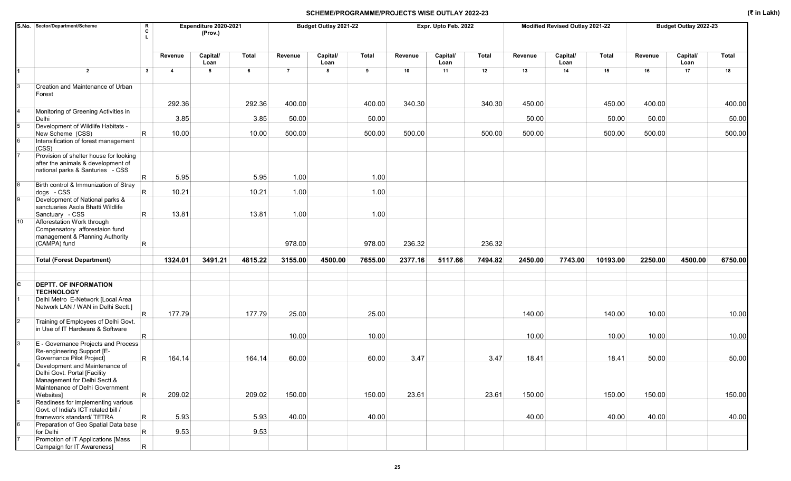|    | S.No. Sector/Department/Scheme                                                                         | R<br>c                  |                         | Expenditure 2020-2021<br>(Prov.) |         |                | Budget Outlay 2021-22 |              |         | Expr. Upto Feb. 2022 |         |         | Modified Revised Outlay 2021-22 |              |         | Budget Outlay 2022-23 |         |
|----|--------------------------------------------------------------------------------------------------------|-------------------------|-------------------------|----------------------------------|---------|----------------|-----------------------|--------------|---------|----------------------|---------|---------|---------------------------------|--------------|---------|-----------------------|---------|
|    |                                                                                                        |                         | Revenue                 | Capital/<br>Loan                 | Total   | Revenue        | Capital/<br>Loan      | <b>Total</b> | Revenue | Capital/<br>Loan     | Total   | Revenue | Capital/<br>Loan                | <b>Total</b> | Revenue | Capital/<br>Loan      | Total   |
| 1  | $\overline{2}$                                                                                         | $\mathbf{3}$            | $\overline{\mathbf{4}}$ | $5^{\circ}$                      | 6       | $\overline{7}$ | 8                     | 9            | 10      | 11                   | 12      | 13      | 14                              | 15           | 16      | 17                    | 18      |
|    | Creation and Maintenance of Urban<br>Forest                                                            |                         |                         |                                  |         |                |                       |              |         |                      |         |         |                                 |              |         |                       |         |
|    |                                                                                                        |                         | 292.36                  |                                  | 292.36  | 400.00         |                       | 400.00       | 340.30  |                      | 340.30  | 450.00  |                                 | 450.00       | 400.00  |                       | 400.00  |
|    | Monitoring of Greening Activities in<br>Delhi                                                          |                         | 3.85                    |                                  | 3.85    | 50.00          |                       | 50.00        |         |                      |         | 50.00   |                                 | 50.00        | 50.00   |                       | 50.00   |
|    | Development of Wildlife Habitats -                                                                     |                         |                         |                                  |         |                |                       |              |         |                      |         |         |                                 |              |         |                       |         |
|    | New Scheme (CSS)                                                                                       | $\overline{\mathsf{R}}$ | 10.00                   |                                  | 10.00   | 500.00         |                       | 500.00       | 500.00  |                      | 500.00  | 500.00  |                                 | 500.00       | 500.00  |                       | 500.00  |
|    | Intensification of forest management<br>(CSS)                                                          |                         |                         |                                  |         |                |                       |              |         |                      |         |         |                                 |              |         |                       |         |
|    | Provision of shelter house for looking<br>after the animals & development of                           |                         |                         |                                  |         |                |                       |              |         |                      |         |         |                                 |              |         |                       |         |
|    | national parks & Santuries - CSS                                                                       |                         |                         |                                  |         |                |                       |              |         |                      |         |         |                                 |              |         |                       |         |
|    | Birth control & Immunization of Stray                                                                  | R                       | 5.95                    |                                  | 5.95    | 1.00           |                       | 1.00         |         |                      |         |         |                                 |              |         |                       |         |
|    | dogs - CSS                                                                                             | R.                      | 10.21                   |                                  | 10.21   | 1.00           |                       | 1.00         |         |                      |         |         |                                 |              |         |                       |         |
|    | Development of National parks &<br>sanctuaries Asola Bhatti Wildlife<br>Sanctuary - CSS                | R.                      | 13.81                   |                                  | 13.81   | 1.00           |                       | 1.00         |         |                      |         |         |                                 |              |         |                       |         |
| 10 | Afforestation Work through                                                                             |                         |                         |                                  |         |                |                       |              |         |                      |         |         |                                 |              |         |                       |         |
|    | Compensatory afforestaion fund<br>management & Planning Authority<br>(CAMPA) fund                      | $\overline{\mathsf{R}}$ |                         |                                  |         | 978.00         |                       | 978.00       | 236.32  |                      | 236.32  |         |                                 |              |         |                       |         |
|    |                                                                                                        |                         |                         |                                  |         |                |                       |              |         |                      |         |         |                                 |              |         |                       |         |
|    | <b>Total (Forest Department)</b>                                                                       |                         | 1324.01                 | 3491.21                          | 4815.22 | 3155.00        | 4500.00               | 7655.00      | 2377.16 | 5117.66              | 7494.82 | 2450.00 | 7743.00                         | 10193.00     | 2250.00 | 4500.00               | 6750.00 |
|    |                                                                                                        |                         |                         |                                  |         |                |                       |              |         |                      |         |         |                                 |              |         |                       |         |
| C  | <b>DEPTT. OF INFORMATION</b><br><b>TECHNOLOGY</b>                                                      |                         |                         |                                  |         |                |                       |              |         |                      |         |         |                                 |              |         |                       |         |
|    | Delhi Metro E-Network [Local Area<br>Network LAN / WAN in Delhi Sectt.]                                | IR.                     | 177.79                  |                                  | 177.79  | 25.00          |                       | 25.00        |         |                      |         | 140.00  |                                 | 140.00       | 10.00   |                       | 10.00   |
|    | Training of Employees of Delhi Govt.                                                                   |                         |                         |                                  |         |                |                       |              |         |                      |         |         |                                 |              |         |                       |         |
|    | in Use of IT Hardware & Software                                                                       | R.                      |                         |                                  |         | 10.00          |                       | 10.00        |         |                      |         | 10.00   |                                 | 10.00        | 10.00   |                       | 10.00   |
|    | E - Governance Projects and Process<br>Re-engineering Support [E-                                      | $\overline{\mathsf{R}}$ | 164.14                  |                                  | 164.14  | 60.00          |                       | 60.00        | 3.47    |                      | 3.47    | 18.41   |                                 | 18.41        | 50.00   |                       | 50.00   |
|    | Governance Pilot Project]<br>Development and Maintenance of                                            |                         |                         |                                  |         |                |                       |              |         |                      |         |         |                                 |              |         |                       |         |
|    | Delhi Govt. Portal [Facility<br>Management for Delhi Sectt.&<br>Maintenance of Delhi Government        |                         |                         |                                  |         |                |                       |              |         |                      |         |         |                                 |              |         |                       |         |
|    | Websites]                                                                                              | $\mathsf{R}$            | 209.02                  |                                  | 209.02  | 150.00         |                       | 150.00       | 23.61   |                      | 23.61   | 150.00  |                                 | 150.00       | 150.00  |                       | 150.00  |
| 5  | Readiness for implementing various<br>Govt. of India's ICT related bill /<br>framework standard/ TETRA | $\mathsf R$             | 5.93                    |                                  | 5.93    | 40.00          |                       | 40.00        |         |                      |         | 40.00   |                                 | 40.00        | 40.00   |                       | 40.00   |
|    | Preparation of Geo Spatial Data base<br>for Delhi                                                      | $\mathsf R$             | 9.53                    |                                  | 9.53    |                |                       |              |         |                      |         |         |                                 |              |         |                       |         |
|    | Promotion of IT Applications [Mass                                                                     |                         |                         |                                  |         |                |                       |              |         |                      |         |         |                                 |              |         |                       |         |
|    | Campaign for IT Awareness]                                                                             | R.                      |                         |                                  |         |                |                       |              |         |                      |         |         |                                 |              |         |                       |         |

25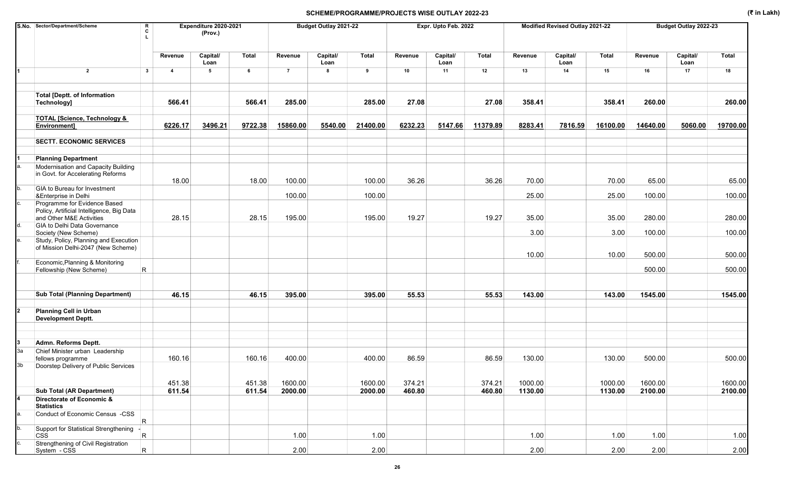|    | S.No. Sector/Department/Scheme                                                                    | R<br>c                  |                         | Expenditure 2020-2021<br>(Prov.) |         |                | Budget Outlay 2021-22 |              |         | Expr. Upto Feb. 2022 |          |         | Modified Revised Outlay 2021-22 |              |          | Budget Outlay 2022-23 |              |
|----|---------------------------------------------------------------------------------------------------|-------------------------|-------------------------|----------------------------------|---------|----------------|-----------------------|--------------|---------|----------------------|----------|---------|---------------------------------|--------------|----------|-----------------------|--------------|
|    |                                                                                                   |                         | Revenue                 | Capital/<br>Loan                 | Total   | Revenue        | Capital/<br>Loan      | <b>Total</b> | Revenue | Capital/<br>Loan     | Total    | Revenue | Capital/<br>Loan                | <b>Total</b> | Revenue  | Capital/<br>Loan      | <b>Total</b> |
|    | $\overline{2}$                                                                                    | $\mathbf{3}$            | $\overline{\mathbf{4}}$ | $5\phantom{.0}$                  | 6       | $\overline{7}$ | 8                     | 9            | 10      | 11                   | 12       | 13      | 14                              | 15           | 16       | 17                    | 18           |
|    | <b>Total [Deptt. of Information</b><br>Technology]                                                |                         | 566.41                  |                                  | 566.41  | 285.00         |                       | 285.00       | 27.08   |                      | 27.08    | 358.41  |                                 | 358.41       | 260.00   |                       | 260.00       |
|    | <b>TOTAL [Science, Technology &amp;</b><br>Environment]                                           |                         | 6226.17                 | 3496.21                          | 9722.38 | 15860.00       | 5540.00               | 21400.00     | 6232.23 | 5147.66              | 11379.89 | 8283.41 | 7816.59                         | 16100.00     | 14640.00 | 5060.00               | 19700.00     |
|    | <b>SECTT. ECONOMIC SERVICES</b>                                                                   |                         |                         |                                  |         |                |                       |              |         |                      |          |         |                                 |              |          |                       |              |
|    | <b>Planning Department</b>                                                                        |                         |                         |                                  |         |                |                       |              |         |                      |          |         |                                 |              |          |                       |              |
|    | Modernisation and Capacity Building<br>in Govt. for Accelerating Reforms                          |                         | 18.00                   |                                  | 18.00   | 100.00         |                       | 100.00       | 36.26   |                      | 36.26    | 70.00   |                                 | 70.00        | 65.00    |                       | 65.00        |
|    | GIA to Bureau for Investment                                                                      |                         |                         |                                  |         |                |                       |              |         |                      |          |         |                                 |              |          |                       |              |
|    | &Enterprise in Delhi<br>Programme for Evidence Based<br>Policy, Artificial Intelligence, Big Data |                         |                         |                                  |         | 100.00         |                       | 100.00       |         |                      |          | 25.00   |                                 | 25.00        | 100.00   |                       | 100.00       |
|    | and Other M&E Activities                                                                          |                         | 28.15                   |                                  | 28.15   | 195.00         |                       | 195.00       | 19.27   |                      | 19.27    | 35.00   |                                 | 35.00        | 280.00   |                       | 280.00       |
|    | GIA to Delhi Data Governance<br>Society (New Scheme)                                              |                         |                         |                                  |         |                |                       |              |         |                      |          | 3.00    |                                 | 3.00         | 100.00   |                       | 100.00       |
|    | Study, Policy, Planning and Execution<br>of Mission Delhi-2047 (New Scheme)                       |                         |                         |                                  |         |                |                       |              |         |                      |          | 10.00   |                                 | 10.00        | 500.00   |                       | 500.00       |
|    | Economic, Planning & Monitoring<br>Fellowship (New Scheme)                                        | $\overline{\mathsf{R}}$ |                         |                                  |         |                |                       |              |         |                      |          |         |                                 |              | 500.00   |                       | 500.00       |
|    | <b>Sub Total (Planning Department)</b>                                                            |                         | 46.15                   |                                  | 46.15   | 395.00         |                       | 395.00       | 55.53   |                      | 55.53    | 143.00  |                                 | 143.00       | 1545.00  |                       | 1545.00      |
|    | <b>Planning Cell in Urban</b><br><b>Development Deptt.</b>                                        |                         |                         |                                  |         |                |                       |              |         |                      |          |         |                                 |              |          |                       |              |
|    |                                                                                                   |                         |                         |                                  |         |                |                       |              |         |                      |          |         |                                 |              |          |                       |              |
| За | Admn. Reforms Deptt.<br>Chief Minister urban Leadership                                           |                         |                         |                                  |         |                |                       |              |         |                      |          |         |                                 |              |          |                       |              |
| 3b | fellows programme<br>Doorstep Delivery of Public Services                                         |                         | 160.16                  |                                  | 160.16  | 400.00         |                       | 400.00       | 86.59   |                      | 86.59    | 130.00  |                                 | 130.00       | 500.00   |                       | 500.00       |
|    |                                                                                                   |                         | 451.38                  |                                  | 451.38  | 1600.00        |                       | 1600.00      | 374.21  |                      | 374.21   | 1000.00 |                                 | 1000.00      | 1600.00  |                       | 1600.00      |
|    | <b>Sub Total (AR Department)</b>                                                                  |                         | 611.54                  |                                  | 611.54  | 2000.00        |                       | 2000.00      | 460.80  |                      | 460.80   | 1130.00 |                                 | 1130.00      | 2100.00  |                       | 2100.00      |
|    | Directorate of Economic &<br><b>Statistics</b>                                                    |                         |                         |                                  |         |                |                       |              |         |                      |          |         |                                 |              |          |                       |              |
| a. | Conduct of Economic Census -CSS                                                                   | $\overline{R}$          |                         |                                  |         |                |                       |              |         |                      |          |         |                                 |              |          |                       |              |
|    | Support for Statistical Strengthening<br><b>CSS</b>                                               | $\overline{R}$          |                         |                                  |         | 1.00           |                       | 1.00         |         |                      |          | 1.00    |                                 | 1.00         | 1.00     |                       | 1.00         |
|    | Strengthening of Civil Registration<br>System - CSS                                               | $\overline{R}$          |                         |                                  |         | 2.00           |                       | 2.00         |         |                      |          | 2.00    |                                 | 2.00         | 2.00     |                       | 2.00         |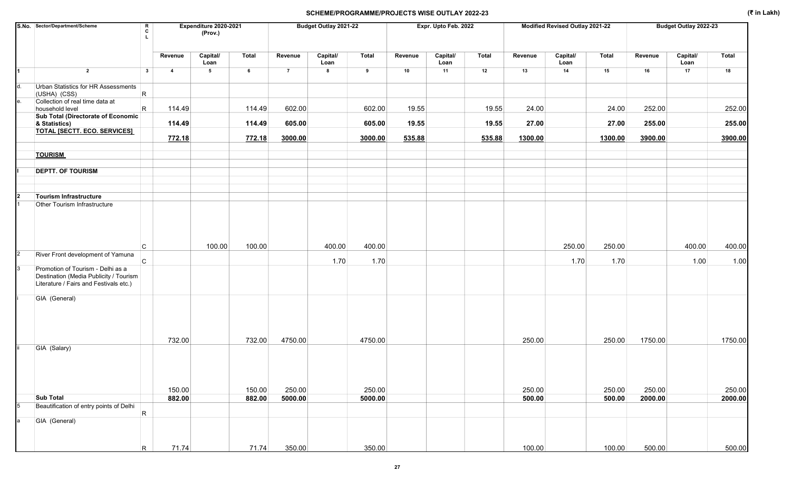|                | S.No. Sector/Department/Scheme                                                                                        | R<br>C<br>$\mathbf{L}$ |                | Expenditure 2020-2021<br>(Prov.) |        |                | Budget Outlay 2021-22 |         |         | Expr. Upto Feb. 2022 |        |         | Modified Revised Outlay 2021-22 |         |         | Budget Outlay 2022-23 |         |
|----------------|-----------------------------------------------------------------------------------------------------------------------|------------------------|----------------|----------------------------------|--------|----------------|-----------------------|---------|---------|----------------------|--------|---------|---------------------------------|---------|---------|-----------------------|---------|
|                |                                                                                                                       |                        | Revenue        | Capital/<br>Loan                 | Total  | Revenue        | Capital/<br>Loan      | Total   | Revenue | Capital/<br>Loan     | Total  | Revenue | Capital/<br>Loan                | Total   | Revenue | Capital/<br>Loan      | Total   |
|                | $\overline{2}$                                                                                                        | $\mathbf{3}$           | $\overline{4}$ | 5                                | 6      | $\overline{7}$ | 8                     | 9       | 10      | 11                   | 12     | 13      | 14                              | 15      | 16      | 17                    | 18      |
| d.             | Urban Statistics for HR Assessments<br>(USHA) (CSS)                                                                   | R                      |                |                                  |        |                |                       |         |         |                      |        |         |                                 |         |         |                       |         |
| е.             | Collection of real time data at<br>household level                                                                    | $\mathsf{R}$           | 114.49         |                                  | 114.49 | 602.00         |                       | 602.00  | 19.55   |                      | 19.55  | 24.00   |                                 | 24.00   | 252.00  |                       | 252.00  |
|                | Sub Total (Directorate of Economic<br>& Statistics)                                                                   |                        | 114.49         |                                  | 114.49 | 605.00         |                       | 605.00  | 19.55   |                      | 19.55  | 27.00   |                                 | 27.00   | 255.00  |                       | 255.00  |
|                | <b>TOTAL [SECTT. ECO. SERVICES]</b>                                                                                   |                        |                |                                  |        |                |                       |         |         |                      |        |         |                                 |         |         |                       |         |
|                |                                                                                                                       |                        | 772.18         |                                  | 772.18 | 3000.00        |                       | 3000.00 | 535.88  |                      | 535.88 | 1300.00 |                                 | 1300.00 | 3900.00 |                       | 3900.00 |
|                | <b>TOURISM</b>                                                                                                        |                        |                |                                  |        |                |                       |         |         |                      |        |         |                                 |         |         |                       |         |
|                | <b>DEPTT. OF TOURISM</b>                                                                                              |                        |                |                                  |        |                |                       |         |         |                      |        |         |                                 |         |         |                       |         |
|                | <b>Tourism Infrastructure</b>                                                                                         |                        |                |                                  |        |                |                       |         |         |                      |        |         |                                 |         |         |                       |         |
|                | Other Tourism Infrastructure                                                                                          |                        |                |                                  |        |                |                       |         |         |                      |        |         |                                 |         |         |                       |         |
|                |                                                                                                                       | C                      |                | 100.00                           | 100.00 |                | 400.00                | 400.00  |         |                      |        |         | 250.00                          | 250.00  |         | 400.00                | 400.00  |
| $\overline{c}$ | River Front development of Yamuna                                                                                     | IC.                    |                |                                  |        |                | 1.70                  | 1.70    |         |                      |        |         | 1.70                            | 1.70    |         | 1.00                  | 1.00    |
| 3              | Promotion of Tourism - Delhi as a<br>Destination (Media Publicity / Tourism<br>Literature / Fairs and Festivals etc.) |                        |                |                                  |        |                |                       |         |         |                      |        |         |                                 |         |         |                       |         |
|                | GIA (General)                                                                                                         |                        |                |                                  |        |                |                       |         |         |                      |        |         |                                 |         |         |                       |         |
|                |                                                                                                                       |                        | 732.00         |                                  | 732.00 | 4750.00        |                       | 4750.00 |         |                      |        | 250.00  |                                 | 250.00  | 1750.00 |                       | 1750.00 |
|                | GIA (Salary)                                                                                                          |                        | 150.00         |                                  | 150.00 | 250.00         |                       | 250.00  |         |                      |        | 250.00  |                                 | 250.00  | 250.00  |                       | 250.00  |
|                | <b>Sub Total</b>                                                                                                      |                        | 882.00         |                                  | 882.00 | 5000.00        |                       | 5000.00 |         |                      |        | 500.00  |                                 | 500.00  | 2000.00 |                       | 2000.00 |
| 5              | Beautification of entry points of Delhi                                                                               | R                      |                |                                  |        |                |                       |         |         |                      |        |         |                                 |         |         |                       |         |
| a              | GIA (General)                                                                                                         |                        |                |                                  |        |                |                       |         |         |                      |        |         |                                 |         |         |                       |         |
|                |                                                                                                                       | R.                     | 71.74          |                                  | 71.74  | 350.00         |                       | 350.00  |         |                      |        | 100.00  |                                 | 100.00  | 500.00  |                       | 500.00  |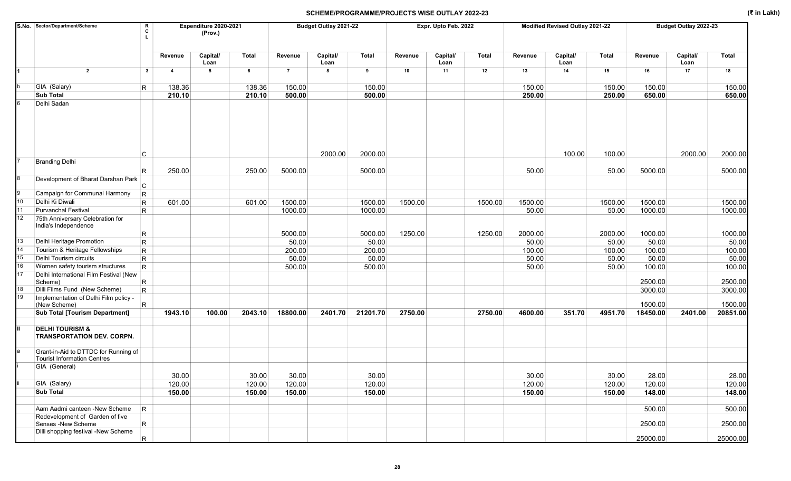| Capital/<br>Capital/<br>Capital/<br>Capital/<br>Capital/<br><b>Total</b><br><b>Total</b><br>Total<br><b>Total</b><br><b>Total</b><br>Revenue<br>Revenue<br>Revenue<br>Revenue<br>Revenue<br>Loan<br>Loan<br>Loan<br>Loan<br>Loan<br>$\overline{2}$<br>$\mathbf{3}$<br>$\overline{\mathbf{4}}$<br>5<br>6<br>$\overline{7}$<br>8<br>9<br>10<br>11<br>12<br>13<br>14<br>15<br>16<br>17<br>18<br>GIA (Salary)<br>150.00<br>150.00<br>R<br>138.36<br>138.36<br>150.00<br>150.00<br>150.00<br>150.00<br><b>Sub Total</b><br>210.10<br>210.10<br>500.00<br>500.00<br>650.00<br>650.00<br>250.00<br>250.00<br>Delhi Sadan<br>2000.00<br>100.00<br>2000.00<br>100.00<br>2000.00<br>2000.00<br>С<br><b>Branding Delhi</b><br>250.00<br>250.00<br>5000.00<br>5000.00<br>50.00<br>5000.00<br>5000.00<br>50.00<br>R<br>Development of Bharat Darshan Park<br>C<br>Campaign for Communal Harmony<br>$\mathsf{R}$<br>10<br>Delhi Ki Diwali<br>1500.00<br>1500.00<br>$\mathsf R$<br>601.00<br>601.00<br>1500.00<br>1500.00<br>1500.00<br>1500.00<br>1500.00<br>1500.00<br>11<br><b>Purvanchal Festival</b><br>$\mathsf{R}$<br>1000.00<br>1000.00<br>50.00<br>1000.00<br>1000.00<br>50.00<br>12<br>75th Anniversary Celebration for<br>India's Independence<br>1250.00<br>1000.00<br>1000.00<br>$\mathsf R$<br>5000.00<br>5000.00<br>1250.00<br>2000.00<br>2000.00<br>$\mathsf{R}$<br>50.00<br>Delhi Heritage Promotion<br>50.00<br>50.00<br>50.00<br>50.00<br>50.00<br>Tourism & Heritage Fellowships<br>R<br>100.00<br>200.00<br>200.00<br>100.00<br>100.00<br>100.00<br>Delhi Tourism circuits<br>50.00<br>50.00<br>50.00<br>$\mathsf{R}$<br>50.00<br>50.00<br>50.00<br>R<br>Women safety tourism structures<br>50.00<br>100.00<br>100.00<br>500.00<br>500.00<br>50.00<br>Delhi International Film Festival (New<br>$\mathsf R$<br>2500.00<br>2500.00<br>Scheme)<br>Dilli Films Fund (New Scheme)<br>$\mathsf{R}$<br>3000.00<br>3000.00<br>Implementation of Delhi Film policy -<br>1500.00<br>1500.00<br>R<br>(New Scheme)<br><b>Sub Total [Tourism Department]</b><br>1943.10<br>100.00<br>2043.10<br>18800.00<br>2401.70<br>21201.70<br>2750.00<br>2750.00<br>351.70<br>4951.70<br>20851.00<br>4600.00<br>18450.00<br>2401.00<br><b>DELHI TOURISM &amp;</b><br><b>TRANSPORTATION DEV. CORPN.</b><br>Grant-in-Aid to DTTDC for Running of<br><b>Tourist Information Centres</b><br>GIA (General)<br>30.00<br>30.00<br>30.00<br>30.00<br>30.00<br>30.00<br>28.00<br>28.00<br>GIA (Salary)<br>120.00<br>120.00<br>120.00<br>120.00<br>120.00<br>120.00<br>120.00<br>120.00<br><b>Sub Total</b><br>150.00<br>150.00<br>150.00<br>150.00<br>150.00<br>148.00<br>148.00<br>150.00<br>Aam Aadmi canteen -New Scheme<br>500.00<br>500.00<br>$\overline{\mathsf{R}}$<br>Redevelopment of Garden of five<br>$\mathsf{R}$<br>2500.00<br>Senses -New Scheme<br>2500.00<br>Dilli shopping festival -New Scheme<br>25000.00<br>25000.00<br>$\overline{\mathsf{R}}$ |    | S.No. Sector/Department/Scheme<br>R<br>Expenditure 2020-2021<br>C<br>(Prov.) |  |  |  | Budget Outlay 2021-22 |  | Expr. Upto Feb. 2022 |  | Modified Revised Outlay 2021-22 |  | Budget Outlay 2022-23 |  |  |
|-------------------------------------------------------------------------------------------------------------------------------------------------------------------------------------------------------------------------------------------------------------------------------------------------------------------------------------------------------------------------------------------------------------------------------------------------------------------------------------------------------------------------------------------------------------------------------------------------------------------------------------------------------------------------------------------------------------------------------------------------------------------------------------------------------------------------------------------------------------------------------------------------------------------------------------------------------------------------------------------------------------------------------------------------------------------------------------------------------------------------------------------------------------------------------------------------------------------------------------------------------------------------------------------------------------------------------------------------------------------------------------------------------------------------------------------------------------------------------------------------------------------------------------------------------------------------------------------------------------------------------------------------------------------------------------------------------------------------------------------------------------------------------------------------------------------------------------------------------------------------------------------------------------------------------------------------------------------------------------------------------------------------------------------------------------------------------------------------------------------------------------------------------------------------------------------------------------------------------------------------------------------------------------------------------------------------------------------------------------------------------------------------------------------------------------------------------------------------------------------------------------------------------------------------------------------------------------------------------------------------------------------------------------------------------------------------------------------------------------------------------------------------------------------------------------------------------------------------------------------------------------------------------------------------------------------|----|------------------------------------------------------------------------------|--|--|--|-----------------------|--|----------------------|--|---------------------------------|--|-----------------------|--|--|
|                                                                                                                                                                                                                                                                                                                                                                                                                                                                                                                                                                                                                                                                                                                                                                                                                                                                                                                                                                                                                                                                                                                                                                                                                                                                                                                                                                                                                                                                                                                                                                                                                                                                                                                                                                                                                                                                                                                                                                                                                                                                                                                                                                                                                                                                                                                                                                                                                                                                                                                                                                                                                                                                                                                                                                                                                                                                                                                                           |    |                                                                              |  |  |  |                       |  |                      |  |                                 |  |                       |  |  |
|                                                                                                                                                                                                                                                                                                                                                                                                                                                                                                                                                                                                                                                                                                                                                                                                                                                                                                                                                                                                                                                                                                                                                                                                                                                                                                                                                                                                                                                                                                                                                                                                                                                                                                                                                                                                                                                                                                                                                                                                                                                                                                                                                                                                                                                                                                                                                                                                                                                                                                                                                                                                                                                                                                                                                                                                                                                                                                                                           | 1  |                                                                              |  |  |  |                       |  |                      |  |                                 |  |                       |  |  |
|                                                                                                                                                                                                                                                                                                                                                                                                                                                                                                                                                                                                                                                                                                                                                                                                                                                                                                                                                                                                                                                                                                                                                                                                                                                                                                                                                                                                                                                                                                                                                                                                                                                                                                                                                                                                                                                                                                                                                                                                                                                                                                                                                                                                                                                                                                                                                                                                                                                                                                                                                                                                                                                                                                                                                                                                                                                                                                                                           |    |                                                                              |  |  |  |                       |  |                      |  |                                 |  |                       |  |  |
|                                                                                                                                                                                                                                                                                                                                                                                                                                                                                                                                                                                                                                                                                                                                                                                                                                                                                                                                                                                                                                                                                                                                                                                                                                                                                                                                                                                                                                                                                                                                                                                                                                                                                                                                                                                                                                                                                                                                                                                                                                                                                                                                                                                                                                                                                                                                                                                                                                                                                                                                                                                                                                                                                                                                                                                                                                                                                                                                           |    |                                                                              |  |  |  |                       |  |                      |  |                                 |  |                       |  |  |
|                                                                                                                                                                                                                                                                                                                                                                                                                                                                                                                                                                                                                                                                                                                                                                                                                                                                                                                                                                                                                                                                                                                                                                                                                                                                                                                                                                                                                                                                                                                                                                                                                                                                                                                                                                                                                                                                                                                                                                                                                                                                                                                                                                                                                                                                                                                                                                                                                                                                                                                                                                                                                                                                                                                                                                                                                                                                                                                                           |    |                                                                              |  |  |  |                       |  |                      |  |                                 |  |                       |  |  |
|                                                                                                                                                                                                                                                                                                                                                                                                                                                                                                                                                                                                                                                                                                                                                                                                                                                                                                                                                                                                                                                                                                                                                                                                                                                                                                                                                                                                                                                                                                                                                                                                                                                                                                                                                                                                                                                                                                                                                                                                                                                                                                                                                                                                                                                                                                                                                                                                                                                                                                                                                                                                                                                                                                                                                                                                                                                                                                                                           |    |                                                                              |  |  |  |                       |  |                      |  |                                 |  |                       |  |  |
|                                                                                                                                                                                                                                                                                                                                                                                                                                                                                                                                                                                                                                                                                                                                                                                                                                                                                                                                                                                                                                                                                                                                                                                                                                                                                                                                                                                                                                                                                                                                                                                                                                                                                                                                                                                                                                                                                                                                                                                                                                                                                                                                                                                                                                                                                                                                                                                                                                                                                                                                                                                                                                                                                                                                                                                                                                                                                                                                           |    |                                                                              |  |  |  |                       |  |                      |  |                                 |  |                       |  |  |
|                                                                                                                                                                                                                                                                                                                                                                                                                                                                                                                                                                                                                                                                                                                                                                                                                                                                                                                                                                                                                                                                                                                                                                                                                                                                                                                                                                                                                                                                                                                                                                                                                                                                                                                                                                                                                                                                                                                                                                                                                                                                                                                                                                                                                                                                                                                                                                                                                                                                                                                                                                                                                                                                                                                                                                                                                                                                                                                                           |    |                                                                              |  |  |  |                       |  |                      |  |                                 |  |                       |  |  |
|                                                                                                                                                                                                                                                                                                                                                                                                                                                                                                                                                                                                                                                                                                                                                                                                                                                                                                                                                                                                                                                                                                                                                                                                                                                                                                                                                                                                                                                                                                                                                                                                                                                                                                                                                                                                                                                                                                                                                                                                                                                                                                                                                                                                                                                                                                                                                                                                                                                                                                                                                                                                                                                                                                                                                                                                                                                                                                                                           |    |                                                                              |  |  |  |                       |  |                      |  |                                 |  |                       |  |  |
|                                                                                                                                                                                                                                                                                                                                                                                                                                                                                                                                                                                                                                                                                                                                                                                                                                                                                                                                                                                                                                                                                                                                                                                                                                                                                                                                                                                                                                                                                                                                                                                                                                                                                                                                                                                                                                                                                                                                                                                                                                                                                                                                                                                                                                                                                                                                                                                                                                                                                                                                                                                                                                                                                                                                                                                                                                                                                                                                           |    |                                                                              |  |  |  |                       |  |                      |  |                                 |  |                       |  |  |
|                                                                                                                                                                                                                                                                                                                                                                                                                                                                                                                                                                                                                                                                                                                                                                                                                                                                                                                                                                                                                                                                                                                                                                                                                                                                                                                                                                                                                                                                                                                                                                                                                                                                                                                                                                                                                                                                                                                                                                                                                                                                                                                                                                                                                                                                                                                                                                                                                                                                                                                                                                                                                                                                                                                                                                                                                                                                                                                                           |    |                                                                              |  |  |  |                       |  |                      |  |                                 |  |                       |  |  |
|                                                                                                                                                                                                                                                                                                                                                                                                                                                                                                                                                                                                                                                                                                                                                                                                                                                                                                                                                                                                                                                                                                                                                                                                                                                                                                                                                                                                                                                                                                                                                                                                                                                                                                                                                                                                                                                                                                                                                                                                                                                                                                                                                                                                                                                                                                                                                                                                                                                                                                                                                                                                                                                                                                                                                                                                                                                                                                                                           |    |                                                                              |  |  |  |                       |  |                      |  |                                 |  |                       |  |  |
|                                                                                                                                                                                                                                                                                                                                                                                                                                                                                                                                                                                                                                                                                                                                                                                                                                                                                                                                                                                                                                                                                                                                                                                                                                                                                                                                                                                                                                                                                                                                                                                                                                                                                                                                                                                                                                                                                                                                                                                                                                                                                                                                                                                                                                                                                                                                                                                                                                                                                                                                                                                                                                                                                                                                                                                                                                                                                                                                           |    |                                                                              |  |  |  |                       |  |                      |  |                                 |  |                       |  |  |
|                                                                                                                                                                                                                                                                                                                                                                                                                                                                                                                                                                                                                                                                                                                                                                                                                                                                                                                                                                                                                                                                                                                                                                                                                                                                                                                                                                                                                                                                                                                                                                                                                                                                                                                                                                                                                                                                                                                                                                                                                                                                                                                                                                                                                                                                                                                                                                                                                                                                                                                                                                                                                                                                                                                                                                                                                                                                                                                                           | 13 |                                                                              |  |  |  |                       |  |                      |  |                                 |  |                       |  |  |
|                                                                                                                                                                                                                                                                                                                                                                                                                                                                                                                                                                                                                                                                                                                                                                                                                                                                                                                                                                                                                                                                                                                                                                                                                                                                                                                                                                                                                                                                                                                                                                                                                                                                                                                                                                                                                                                                                                                                                                                                                                                                                                                                                                                                                                                                                                                                                                                                                                                                                                                                                                                                                                                                                                                                                                                                                                                                                                                                           | 14 |                                                                              |  |  |  |                       |  |                      |  |                                 |  |                       |  |  |
|                                                                                                                                                                                                                                                                                                                                                                                                                                                                                                                                                                                                                                                                                                                                                                                                                                                                                                                                                                                                                                                                                                                                                                                                                                                                                                                                                                                                                                                                                                                                                                                                                                                                                                                                                                                                                                                                                                                                                                                                                                                                                                                                                                                                                                                                                                                                                                                                                                                                                                                                                                                                                                                                                                                                                                                                                                                                                                                                           | 15 |                                                                              |  |  |  |                       |  |                      |  |                                 |  |                       |  |  |
|                                                                                                                                                                                                                                                                                                                                                                                                                                                                                                                                                                                                                                                                                                                                                                                                                                                                                                                                                                                                                                                                                                                                                                                                                                                                                                                                                                                                                                                                                                                                                                                                                                                                                                                                                                                                                                                                                                                                                                                                                                                                                                                                                                                                                                                                                                                                                                                                                                                                                                                                                                                                                                                                                                                                                                                                                                                                                                                                           | 16 |                                                                              |  |  |  |                       |  |                      |  |                                 |  |                       |  |  |
|                                                                                                                                                                                                                                                                                                                                                                                                                                                                                                                                                                                                                                                                                                                                                                                                                                                                                                                                                                                                                                                                                                                                                                                                                                                                                                                                                                                                                                                                                                                                                                                                                                                                                                                                                                                                                                                                                                                                                                                                                                                                                                                                                                                                                                                                                                                                                                                                                                                                                                                                                                                                                                                                                                                                                                                                                                                                                                                                           | 17 |                                                                              |  |  |  |                       |  |                      |  |                                 |  |                       |  |  |
|                                                                                                                                                                                                                                                                                                                                                                                                                                                                                                                                                                                                                                                                                                                                                                                                                                                                                                                                                                                                                                                                                                                                                                                                                                                                                                                                                                                                                                                                                                                                                                                                                                                                                                                                                                                                                                                                                                                                                                                                                                                                                                                                                                                                                                                                                                                                                                                                                                                                                                                                                                                                                                                                                                                                                                                                                                                                                                                                           | 18 |                                                                              |  |  |  |                       |  |                      |  |                                 |  |                       |  |  |
|                                                                                                                                                                                                                                                                                                                                                                                                                                                                                                                                                                                                                                                                                                                                                                                                                                                                                                                                                                                                                                                                                                                                                                                                                                                                                                                                                                                                                                                                                                                                                                                                                                                                                                                                                                                                                                                                                                                                                                                                                                                                                                                                                                                                                                                                                                                                                                                                                                                                                                                                                                                                                                                                                                                                                                                                                                                                                                                                           | 19 |                                                                              |  |  |  |                       |  |                      |  |                                 |  |                       |  |  |
|                                                                                                                                                                                                                                                                                                                                                                                                                                                                                                                                                                                                                                                                                                                                                                                                                                                                                                                                                                                                                                                                                                                                                                                                                                                                                                                                                                                                                                                                                                                                                                                                                                                                                                                                                                                                                                                                                                                                                                                                                                                                                                                                                                                                                                                                                                                                                                                                                                                                                                                                                                                                                                                                                                                                                                                                                                                                                                                                           |    |                                                                              |  |  |  |                       |  |                      |  |                                 |  |                       |  |  |
|                                                                                                                                                                                                                                                                                                                                                                                                                                                                                                                                                                                                                                                                                                                                                                                                                                                                                                                                                                                                                                                                                                                                                                                                                                                                                                                                                                                                                                                                                                                                                                                                                                                                                                                                                                                                                                                                                                                                                                                                                                                                                                                                                                                                                                                                                                                                                                                                                                                                                                                                                                                                                                                                                                                                                                                                                                                                                                                                           |    |                                                                              |  |  |  |                       |  |                      |  |                                 |  |                       |  |  |
|                                                                                                                                                                                                                                                                                                                                                                                                                                                                                                                                                                                                                                                                                                                                                                                                                                                                                                                                                                                                                                                                                                                                                                                                                                                                                                                                                                                                                                                                                                                                                                                                                                                                                                                                                                                                                                                                                                                                                                                                                                                                                                                                                                                                                                                                                                                                                                                                                                                                                                                                                                                                                                                                                                                                                                                                                                                                                                                                           |    |                                                                              |  |  |  |                       |  |                      |  |                                 |  |                       |  |  |
|                                                                                                                                                                                                                                                                                                                                                                                                                                                                                                                                                                                                                                                                                                                                                                                                                                                                                                                                                                                                                                                                                                                                                                                                                                                                                                                                                                                                                                                                                                                                                                                                                                                                                                                                                                                                                                                                                                                                                                                                                                                                                                                                                                                                                                                                                                                                                                                                                                                                                                                                                                                                                                                                                                                                                                                                                                                                                                                                           |    |                                                                              |  |  |  |                       |  |                      |  |                                 |  |                       |  |  |
|                                                                                                                                                                                                                                                                                                                                                                                                                                                                                                                                                                                                                                                                                                                                                                                                                                                                                                                                                                                                                                                                                                                                                                                                                                                                                                                                                                                                                                                                                                                                                                                                                                                                                                                                                                                                                                                                                                                                                                                                                                                                                                                                                                                                                                                                                                                                                                                                                                                                                                                                                                                                                                                                                                                                                                                                                                                                                                                                           |    |                                                                              |  |  |  |                       |  |                      |  |                                 |  |                       |  |  |
|                                                                                                                                                                                                                                                                                                                                                                                                                                                                                                                                                                                                                                                                                                                                                                                                                                                                                                                                                                                                                                                                                                                                                                                                                                                                                                                                                                                                                                                                                                                                                                                                                                                                                                                                                                                                                                                                                                                                                                                                                                                                                                                                                                                                                                                                                                                                                                                                                                                                                                                                                                                                                                                                                                                                                                                                                                                                                                                                           |    |                                                                              |  |  |  |                       |  |                      |  |                                 |  |                       |  |  |
|                                                                                                                                                                                                                                                                                                                                                                                                                                                                                                                                                                                                                                                                                                                                                                                                                                                                                                                                                                                                                                                                                                                                                                                                                                                                                                                                                                                                                                                                                                                                                                                                                                                                                                                                                                                                                                                                                                                                                                                                                                                                                                                                                                                                                                                                                                                                                                                                                                                                                                                                                                                                                                                                                                                                                                                                                                                                                                                                           |    |                                                                              |  |  |  |                       |  |                      |  |                                 |  |                       |  |  |
|                                                                                                                                                                                                                                                                                                                                                                                                                                                                                                                                                                                                                                                                                                                                                                                                                                                                                                                                                                                                                                                                                                                                                                                                                                                                                                                                                                                                                                                                                                                                                                                                                                                                                                                                                                                                                                                                                                                                                                                                                                                                                                                                                                                                                                                                                                                                                                                                                                                                                                                                                                                                                                                                                                                                                                                                                                                                                                                                           |    |                                                                              |  |  |  |                       |  |                      |  |                                 |  |                       |  |  |
|                                                                                                                                                                                                                                                                                                                                                                                                                                                                                                                                                                                                                                                                                                                                                                                                                                                                                                                                                                                                                                                                                                                                                                                                                                                                                                                                                                                                                                                                                                                                                                                                                                                                                                                                                                                                                                                                                                                                                                                                                                                                                                                                                                                                                                                                                                                                                                                                                                                                                                                                                                                                                                                                                                                                                                                                                                                                                                                                           |    |                                                                              |  |  |  |                       |  |                      |  |                                 |  |                       |  |  |
|                                                                                                                                                                                                                                                                                                                                                                                                                                                                                                                                                                                                                                                                                                                                                                                                                                                                                                                                                                                                                                                                                                                                                                                                                                                                                                                                                                                                                                                                                                                                                                                                                                                                                                                                                                                                                                                                                                                                                                                                                                                                                                                                                                                                                                                                                                                                                                                                                                                                                                                                                                                                                                                                                                                                                                                                                                                                                                                                           |    |                                                                              |  |  |  |                       |  |                      |  |                                 |  |                       |  |  |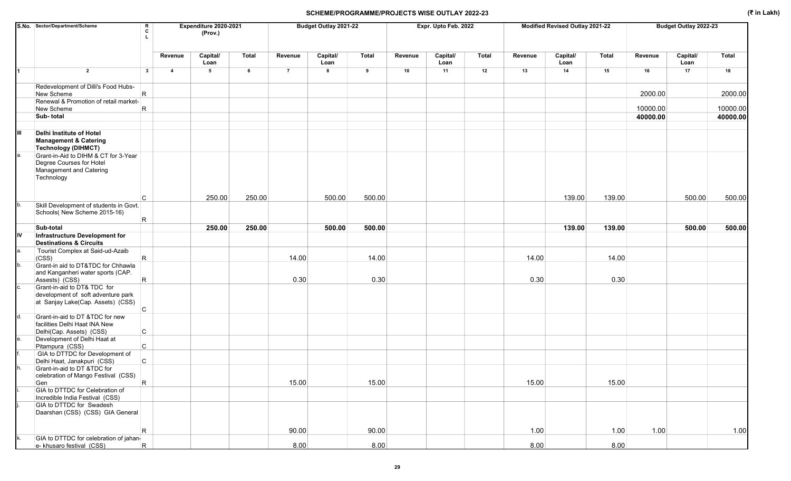|    | S.No. Sector/Department/Scheme                                                                            | R<br>C       |                         | Expenditure 2020-2021<br>(Prov.) |              |                | Budget Outlay 2021-22 |        |         | Expr. Upto Feb. 2022 |              |         | Modified Revised Outlay 2021-22 |        |          | Budget Outlay 2022-23 |              |
|----|-----------------------------------------------------------------------------------------------------------|--------------|-------------------------|----------------------------------|--------------|----------------|-----------------------|--------|---------|----------------------|--------------|---------|---------------------------------|--------|----------|-----------------------|--------------|
|    |                                                                                                           |              | Revenue                 | Capital/<br>Loan                 | <b>Total</b> | Revenue        | Capital/<br>Loan      | Total  | Revenue | Capital/<br>Loan     | <b>Total</b> | Revenue | Capital/<br>Loan                | Total  | Revenue  | Capital/<br>Loan      | <b>Total</b> |
|    | $\overline{2}$                                                                                            | $\mathbf{3}$ | $\overline{\mathbf{4}}$ | $\sqrt{5}$                       | 6            | $\overline{7}$ | 8                     | 9      | 10      | 11                   | 12           | 13      | 14                              | 15     | 16       | 17                    | 18           |
|    | Redevelopment of Dilli's Food Hubs-<br>New Scheme                                                         | R            |                         |                                  |              |                |                       |        |         |                      |              |         |                                 |        | 2000.00  |                       | 2000.00      |
|    | Renewal & Promotion of retail market-                                                                     |              |                         |                                  |              |                |                       |        |         |                      |              |         |                                 |        | 10000.00 |                       | 10000.00     |
|    | New Scheme<br>Sub-total                                                                                   | R            |                         |                                  |              |                |                       |        |         |                      |              |         |                                 |        | 40000.00 |                       | 40000.00     |
|    |                                                                                                           |              |                         |                                  |              |                |                       |        |         |                      |              |         |                                 |        |          |                       |              |
| Ш  | <b>Delhi Institute of Hotel</b><br><b>Management &amp; Catering</b><br><b>Technology (DIHMCT)</b>         |              |                         |                                  |              |                |                       |        |         |                      |              |         |                                 |        |          |                       |              |
| а. | Grant-in-Aid to DIHM & CT for 3-Year<br>Degree Courses for Hotel<br>Management and Catering<br>Technology |              |                         |                                  |              |                |                       |        |         |                      |              |         |                                 |        |          |                       |              |
|    |                                                                                                           | <b>C</b>     |                         | 250.00                           | 250.00       |                | 500.00                | 500.00 |         |                      |              |         | 139.00                          | 139.00 |          | 500.00                | 500.00       |
| b. | Skill Development of students in Govt.<br>Schools( New Scheme 2015-16)                                    | R            |                         |                                  |              |                |                       |        |         |                      |              |         |                                 |        |          |                       |              |
|    | Sub-total                                                                                                 |              |                         | 250.00                           | 250.00       |                | 500.00                | 500.00 |         |                      |              |         | 139.00                          | 139.00 |          | 500.00                | 500.00       |
| IV | Infrastructure Development for<br><b>Destinations &amp; Circuits</b>                                      |              |                         |                                  |              |                |                       |        |         |                      |              |         |                                 |        |          |                       |              |
| а. | Tourist Complex at Said-ud-Azaib<br>(CSS)                                                                 | R            |                         |                                  |              | 14.00          |                       | 14.00  |         |                      |              | 14.00   |                                 | 14.00  |          |                       |              |
| b. | Grant-in aid to DT&TDC for Chhawla<br>and Kanganheri water sports (CAP.<br>Assests) (CSS)                 | R            |                         |                                  |              | 0.30           |                       | 0.30   |         |                      |              | 0.30    |                                 | 0.30   |          |                       |              |
| C. | Grant-in-aid to DT& TDC for<br>development of soft adventure park<br>at Sanjay Lake(Cap. Assets) (CSS)    | $\mathsf{C}$ |                         |                                  |              |                |                       |        |         |                      |              |         |                                 |        |          |                       |              |
|    | Grant-in-aid to DT &TDC for new<br>facilities Delhi Haat INA New                                          |              |                         |                                  |              |                |                       |        |         |                      |              |         |                                 |        |          |                       |              |
| е. | Delhi(Cap. Assets) (CSS)<br>Development of Delhi Haat at                                                  | $\mathsf{C}$ |                         |                                  |              |                |                       |        |         |                      |              |         |                                 |        |          |                       |              |
|    | Pitampura (CSS)<br>GIA to DTTDC for Development of                                                        | C            |                         |                                  |              |                |                       |        |         |                      |              |         |                                 |        |          |                       |              |
|    | Delhi Haat, Janakpuri (CSS)                                                                               | C            |                         |                                  |              |                |                       |        |         |                      |              |         |                                 |        |          |                       |              |
|    | Grant-in-aid to DT & TDC for<br>celebration of Mango Festival (CSS)                                       |              |                         |                                  |              |                |                       |        |         |                      |              |         |                                 |        |          |                       |              |
|    | Gen<br>GIA to DTTDC for Celebration of                                                                    | R.           |                         |                                  |              | 15.00          |                       | 15.00  |         |                      |              | 15.00   |                                 | 15.00  |          |                       |              |
|    | Incredible India Festival (CSS)<br>GIA to DTTDC for Swadesh<br>Daarshan (CSS) (CSS) GIA General           |              |                         |                                  |              |                |                       |        |         |                      |              |         |                                 |        |          |                       |              |
|    |                                                                                                           | $\mathsf R$  |                         |                                  |              | 90.00          |                       | 90.00  |         |                      |              | 1.00    |                                 | 1.00   | 1.00     |                       | 1.00         |
| k. | GIA to DTTDC for celebration of jahan-<br>e- khusaro festival (CSS)                                       | R            |                         |                                  |              | 8.00           |                       | 8.00   |         |                      |              | 8.00    |                                 | 8.00   |          |                       |              |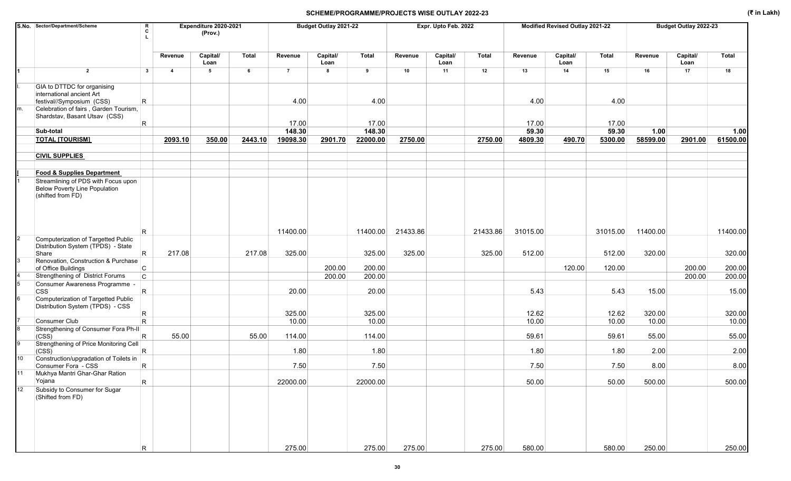|    | S.No. Sector/Department/Scheme                                                                   | R<br>c       |                | Expenditure 2020-2021<br>(Prov.) |         | Budget Outlay 2021-22 |                  |                 |          | Expr. Upto Feb. 2022 |          |                | Modified Revised Outlay 2021-22 |                |                 | Budget Outlay 2022-23 |                 |
|----|--------------------------------------------------------------------------------------------------|--------------|----------------|----------------------------------|---------|-----------------------|------------------|-----------------|----------|----------------------|----------|----------------|---------------------------------|----------------|-----------------|-----------------------|-----------------|
|    |                                                                                                  |              | Revenue        | Capital/<br>Loan                 | Total   | Revenue               | Capital/<br>Loan | Total           | Revenue  | Capital/<br>Loan     | Total    | Revenue        | Capital/<br>Loan                | <b>Total</b>   | Revenue         | Capital/<br>Loan      | Total           |
|    | $\overline{2}$                                                                                   | $\mathbf{3}$ | $\overline{4}$ | 5                                | 6       | $\overline{7}$        | 8                | 9               | 10       | 11                   | 12       | 13             | 14                              | 15             | 16              | 17                    | 18              |
|    | GIA to DTTDC for organising<br>international ancient Art                                         |              |                |                                  |         |                       |                  |                 |          |                      |          |                |                                 |                |                 |                       |                 |
| m. | festival//Symposium (CSS)<br>Celebration of fairs, Garden Tourism,                               | $\mathsf{R}$ |                |                                  |         | 4.00                  |                  | 4.00            |          |                      |          | 4.00           |                                 | 4.00           |                 |                       |                 |
|    | Shardstav, Basant Utsav (CSS)                                                                    | R.           |                |                                  |         | 17.00                 |                  | 17.00           |          |                      |          | 17.00          |                                 | 17.00          |                 |                       |                 |
|    | Sub-total                                                                                        |              |                |                                  |         | 148.30                |                  | 148.30          |          |                      |          | 59.30          |                                 | 59.30          | 1.00            |                       | 1.00            |
|    | <b>TOTAL [TOURISM]</b>                                                                           |              | 2093.10        | 350.00                           | 2443.10 | 19098.30              | 2901.70          | 22000.00        | 2750.00  |                      | 2750.00  | 4809.30        | 490.70                          | 5300.00        | 58599.00        | 2901.00               | 61500.00        |
|    | <b>CIVIL SUPPLIES</b>                                                                            |              |                |                                  |         |                       |                  |                 |          |                      |          |                |                                 |                |                 |                       |                 |
|    | <b>Food &amp; Supplies Department</b>                                                            |              |                |                                  |         |                       |                  |                 |          |                      |          |                |                                 |                |                 |                       |                 |
|    | Streamlining of PDS with Focus upon<br><b>Below Poverty Line Population</b><br>(shifted from FD) |              |                |                                  |         |                       |                  |                 |          |                      |          |                |                                 |                |                 |                       |                 |
|    |                                                                                                  | R            |                |                                  |         | 11400.00              |                  | 11400.00        | 21433.86 |                      | 21433.86 | 31015.00       |                                 | 31015.00       | 11400.00        |                       | 11400.00        |
|    | Computerization of Targetted Public<br>Distribution System (TPDS) - State<br>Share               | R.           | 217.08         |                                  | 217.08  | 325.00                |                  | 325.00          | 325.00   |                      | 325.00   | 512.00         |                                 | 512.00         | 320.00          |                       | 320.00          |
|    | Renovation, Construction & Purchase<br>of Office Buildings                                       | C            |                |                                  |         |                       | 200.00           | 200.00          |          |                      |          |                | 120.00                          | 120.00         |                 | 200.00                | 200.00          |
|    | Strengthening of District Forums                                                                 | $\mathsf{C}$ |                |                                  |         |                       | 200.00           | 200.00          |          |                      |          |                |                                 |                |                 | 200.00                | 200.00          |
|    | Consumer Awareness Programme -<br><b>CSS</b>                                                     | $\mathsf{R}$ |                |                                  |         | 20.00                 |                  | 20.00           |          |                      |          | 5.43           |                                 | 5.43           | 15.00           |                       | 15.00           |
|    | Computerization of Targetted Public<br>Distribution System (TPDS) - CSS                          |              |                |                                  |         |                       |                  |                 |          |                      |          |                |                                 |                |                 |                       |                 |
|    | Consumer Club                                                                                    | R<br>R.      |                |                                  |         | 325.00<br>10.00       |                  | 325.00<br>10.00 |          |                      |          | 12.62<br>10.00 |                                 | 12.62<br>10.00 | 320.00<br>10.00 |                       | 320.00<br>10.00 |
|    | Strengthening of Consumer Fora Ph-II                                                             |              |                |                                  |         |                       |                  |                 |          |                      |          |                |                                 |                |                 |                       |                 |
|    | (CSS)<br>Strengthening of Price Monitoring Cell                                                  | R            | 55.00          |                                  | 55.00   | 114.00                |                  | 114.00          |          |                      |          | 59.61          |                                 | 59.61          | 55.00           |                       | 55.00           |
| 10 | (CSS)<br>Construction/upgradation of Toilets in                                                  | R.           |                |                                  |         | 1.80                  |                  | 1.80            |          |                      |          | 1.80           |                                 | 1.80           | 2.00            |                       | 2.00            |
|    | Consumer Fora - CSS                                                                              | $\mathsf R$  |                |                                  |         | 7.50                  |                  | 7.50            |          |                      |          | 7.50           |                                 | 7.50           | 8.00            |                       | 8.00            |
|    | Mukhya Mantri Ghar-Ghar Ration<br>Yojana                                                         | $\mathsf{R}$ |                |                                  |         | 22000.00              |                  | 22000.00        |          |                      |          | 50.00          |                                 | 50.00          | 500.00          |                       | 500.00          |
| 12 | Subsidy to Consumer for Sugar<br>(Shifted from FD)                                               |              |                |                                  |         |                       |                  |                 |          |                      |          |                |                                 |                |                 |                       |                 |
|    |                                                                                                  | R            |                |                                  |         | 275.00                |                  | 275.00          | 275.00   |                      | 275.00   | 580.00         |                                 | 580.00         | 250.00          |                       | 250.00          |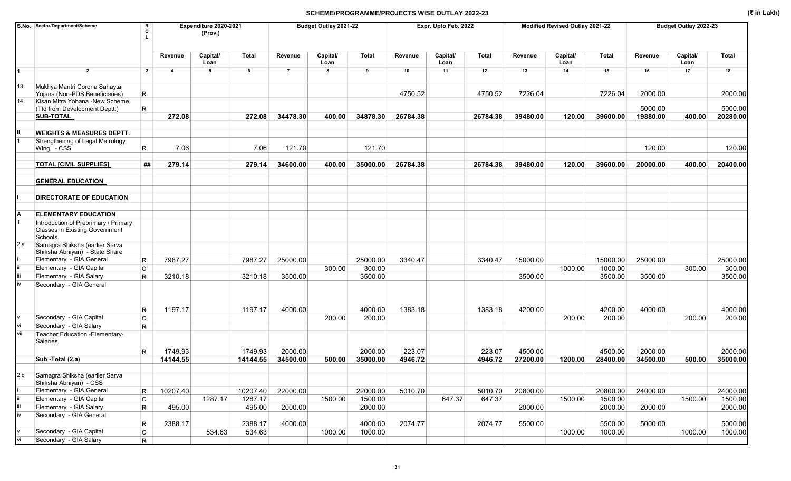|     | S.No. Sector/Department/Scheme                                   | R<br>Expenditure 2020-2021<br>c<br>(Prov.) |                         |                  |              |                | Budget Outlay 2021-22 |              |          | Expr. Upto Feb. 2022 |              |          | Modified Revised Outlay 2021-22 |              |          | Budget Outlay 2022-23 |              |
|-----|------------------------------------------------------------------|--------------------------------------------|-------------------------|------------------|--------------|----------------|-----------------------|--------------|----------|----------------------|--------------|----------|---------------------------------|--------------|----------|-----------------------|--------------|
|     |                                                                  |                                            | Revenue                 | Capital/<br>Loan | <b>Total</b> | Revenue        | Capital/<br>Loan      | <b>Total</b> | Revenue  | Capital/<br>Loan     | <b>Total</b> | Revenue  | Capital/<br>Loan                | <b>Total</b> | Revenue  | Capital/<br>Loan      | <b>Total</b> |
|     | $\overline{2}$                                                   | $\mathbf{3}$                               | $\overline{\mathbf{4}}$ | 5                | 6            | $\overline{7}$ | 8                     | 9            | 10       | 11                   | 12           | 13       | 14                              | 15           | 16       | 17                    | 18           |
| 13  | Mukhya Mantri Corona Sahayta<br>Yojana (Non-PDS Beneficiaries)   | R                                          |                         |                  |              |                |                       |              | 4750.52  |                      | 4750.52      | 7226.04  |                                 | 7226.04      | 2000.00  |                       | 2000.00      |
| 14  | Kisan Mitra Yohana -New Scheme                                   | R                                          |                         |                  |              |                |                       |              |          |                      |              |          |                                 |              | 5000.00  |                       | 5000.00      |
|     | (Tfd from Development Deptt.)<br><b>SUB-TOTAL</b>                |                                            | 272.08                  |                  | 272.08       | 34478.30       | 400.00                | 34878.30     | 26784.38 |                      | 26784.38     | 39480.00 | 120.00                          | 39600.00     | 19880.00 | 400.00                | 20280.00     |
|     |                                                                  |                                            |                         |                  |              |                |                       |              |          |                      |              |          |                                 |              |          |                       |              |
|     | <b>WEIGHTS &amp; MEASURES DEPTT.</b>                             |                                            |                         |                  |              |                |                       |              |          |                      |              |          |                                 |              |          |                       |              |
|     | Strengthening of Legal Metrology                                 |                                            |                         |                  |              |                |                       |              |          |                      |              |          |                                 |              |          |                       |              |
|     | Wing - CSS                                                       | R                                          | 7.06                    |                  | 7.06         | 121.70         |                       | 121.70       |          |                      |              |          |                                 |              | 120.00   |                       | 120.00       |
|     | <b>TOTAL [CIVIL SUPPLIES]</b>                                    | ##                                         | 279.14                  |                  | 279.14       | 34600.00       | 400.00                | 35000.00     | 26784.38 |                      | 26784.38     | 39480.00 | 120.00                          | 39600.00     | 20000.00 | 400.00                | 20400.00     |
|     | <b>GENERAL EDUCATION</b>                                         |                                            |                         |                  |              |                |                       |              |          |                      |              |          |                                 |              |          |                       |              |
|     | DIRECTORATE OF EDUCATION                                         |                                            |                         |                  |              |                |                       |              |          |                      |              |          |                                 |              |          |                       |              |
|     | <b>ELEMENTARY EDUCATION</b>                                      |                                            |                         |                  |              |                |                       |              |          |                      |              |          |                                 |              |          |                       |              |
|     | Introduction of Preprimary / Primary                             |                                            |                         |                  |              |                |                       |              |          |                      |              |          |                                 |              |          |                       |              |
|     | <b>Classes in Existing Government</b><br>Schools                 |                                            |                         |                  |              |                |                       |              |          |                      |              |          |                                 |              |          |                       |              |
| 2.a | Samagra Shiksha (earlier Sarva<br>Shiksha Abhiyan) - State Share |                                            |                         |                  |              |                |                       |              |          |                      |              |          |                                 |              |          |                       |              |
|     | Elementary - GIA General                                         | $\mathsf R$                                | 7987.27                 |                  | 7987.27      | 25000.00       |                       | 25000.00     | 3340.47  |                      | 3340.47      | 15000.00 |                                 | 15000.00     | 25000.00 |                       | 25000.00     |
|     | Elementary - GIA Capital                                         | C                                          |                         |                  |              |                | 300.00                | 300.00       |          |                      |              |          | 1000.00                         | 1000.00      |          | 300.00                | 300.00       |
|     | Elementary - GIA Salary                                          | $\mathsf R$                                | 3210.18                 |                  | 3210.18      | 3500.00        |                       | 3500.00      |          |                      |              | 3500.00  |                                 | 3500.00      | 3500.00  |                       | 3500.00      |
|     | Secondary - GIA General                                          | R                                          | 1197.17                 |                  | 1197.17      | 4000.00        |                       | 4000.00      | 1383.18  |                      | 1383.18      | 4200.00  |                                 | 4200.00      | 4000.00  |                       | 4000.00      |
|     | Secondary - GIA Capital                                          | $\mathsf{C}$                               |                         |                  |              |                | 200.00                | 200.00       |          |                      |              |          | 200.00                          | 200.00       |          | 200.00                | 200.00       |
|     | Secondary - GIA Salary                                           | $\mathsf{R}$                               |                         |                  |              |                |                       |              |          |                      |              |          |                                 |              |          |                       |              |
| vii | Teacher Education - Elementary-<br>Salaries                      |                                            |                         |                  |              |                |                       |              |          |                      |              |          |                                 |              |          |                       |              |
|     |                                                                  | R.                                         | 1749.93                 |                  | 1749.93      | 2000.00        |                       | 2000.00      | 223.07   |                      | 223.07       | 4500.00  |                                 | 4500.00      | 2000.00  |                       | 2000.00      |
|     | Sub -Total (2.a)                                                 |                                            | 14144.55                |                  | 14144.55     | 34500.00       | 500.00                | 35000.00     | 4946.72  |                      | 4946.72      | 27200.00 | 1200.00                         | 28400.00     | 34500.00 | 500.00                | 35000.00     |
|     | Samagra Shiksha (earlier Sarva<br>Shiksha Abhiyan) - CSS         |                                            |                         |                  |              |                |                       |              |          |                      |              |          |                                 |              |          |                       |              |
|     | Elementary - GIA General                                         | R                                          | 10207.40                |                  | 10207.40     | 22000.00       |                       | 22000.00     | 5010.70  |                      | 5010.70      | 20800.00 |                                 | 20800.00     | 24000.00 |                       | 24000.00     |
|     | Elementary - GIA Capital                                         | C                                          |                         | 1287.17          | 1287.17      |                | 1500.00               | 1500.00      |          | 647.37               | 647.37       |          | 1500.00                         | 1500.00      |          | 1500.00               | 1500.00      |
|     | Elementary - GIA Salary                                          | $\mathsf R$                                | 495.00                  |                  | 495.00       | 2000.00        |                       | 2000.00      |          |                      |              | 2000.00  |                                 | 2000.00      | 2000.00  |                       | 2000.00      |
|     | Secondary - GIA General                                          |                                            |                         |                  |              |                |                       |              |          |                      |              |          |                                 |              |          |                       |              |
|     |                                                                  | R                                          | 2388.17                 |                  | 2388.17      | 4000.00        |                       | 4000.00      | 2074.77  |                      | 2074.77      | 5500.00  |                                 | 5500.00      | 5000.00  |                       | 5000.00      |
|     | Secondary - GIA Capital                                          | C                                          |                         | 534.63           | 534.63       |                | 1000.00               | 1000.00      |          |                      |              |          | 1000.00                         | 1000.00      |          | 1000.00               | 1000.00      |
|     | Secondary - GIA Salary                                           | R                                          |                         |                  |              |                |                       |              |          |                      |              |          |                                 |              |          |                       |              |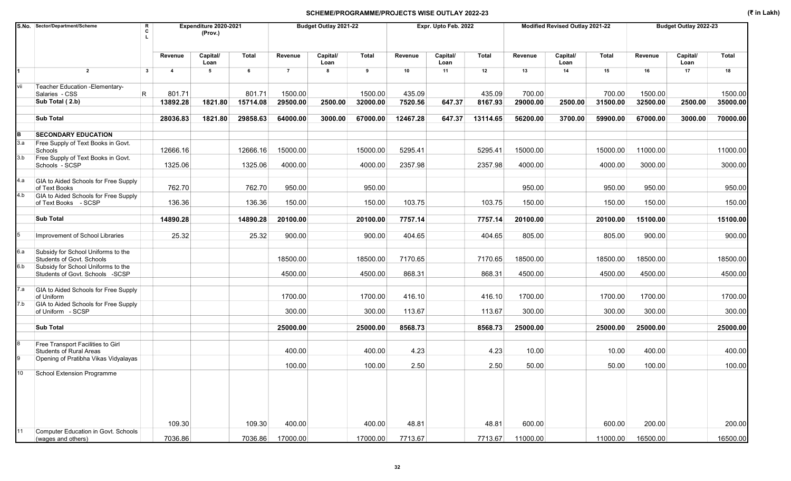|     | S.No. Sector/Department/Scheme                                      | R            |                | Expenditure 2020-2021 |              |                | Budget Outlay 2021-22 |              |          | Expr. Upto Feb. 2022 |              |          | Modified Revised Outlay 2021-22 |              |          | Budget Outlay 2022-23 |          |
|-----|---------------------------------------------------------------------|--------------|----------------|-----------------------|--------------|----------------|-----------------------|--------------|----------|----------------------|--------------|----------|---------------------------------|--------------|----------|-----------------------|----------|
|     |                                                                     | c            |                | (Prov.)               |              |                |                       |              |          |                      |              |          |                                 |              |          |                       |          |
|     |                                                                     |              |                |                       |              |                |                       |              |          |                      |              |          |                                 |              |          |                       |          |
|     |                                                                     |              | Revenue        | Capital/              | <b>Total</b> | Revenue        | Capital/              | <b>Total</b> | Revenue  | Capital/             | <b>Total</b> | Revenue  | Capital/                        | <b>Total</b> | Revenue  | Capital/              | Total    |
|     |                                                                     |              |                | Loan                  |              |                | Loan<br>8             |              |          | Loan                 |              |          | Loan                            |              |          | Loan                  |          |
|     | $\overline{2}$                                                      | $\mathbf{3}$ | $\overline{4}$ | 5                     | 6            | $\overline{7}$ |                       | 9            | 10       | 11                   | 12           | 13       | 14                              | 15           | 16       | 17                    | 18       |
| vii | Teacher Education - Elementary-                                     |              |                |                       |              |                |                       |              |          |                      |              |          |                                 |              |          |                       |          |
|     | Salaries - CSS                                                      | R            | 801.71         |                       | 801.71       | 1500.00        |                       | 1500.00      | 435.09   |                      | 435.09       | 700.00   |                                 | 700.00       | 1500.00  |                       | 1500.00  |
|     | Sub Total (2.b)                                                     |              | 13892.28       | 1821.80               | 15714.08     | 29500.00       | 2500.00               | 32000.00     | 7520.56  | 647.37               | 8167.93      | 29000.00 | 2500.00                         | 31500.00     | 32500.00 | 2500.00               | 35000.00 |
|     | <b>Sub Total</b>                                                    |              | 28036.83       | 1821.80               | 29858.63     | 64000.00       | 3000.00               | 67000.00     | 12467.28 | 647.37               | 13114.65     | 56200.00 | 3700.00                         | 59900.00     | 67000.00 | 3000.00               | 70000.00 |
| B   | <b>SECONDARY EDUCATION</b>                                          |              |                |                       |              |                |                       |              |          |                      |              |          |                                 |              |          |                       |          |
| 3.a | Free Supply of Text Books in Govt.                                  |              |                |                       |              |                |                       |              |          |                      |              |          |                                 |              |          |                       |          |
|     | Schools                                                             |              | 12666.16       |                       | 12666.16     | 15000.00       |                       | 15000.00     | 5295.41  |                      | 5295.41      | 15000.00 |                                 | 15000.00     | 11000.00 |                       | 11000.00 |
| 3.b | Free Supply of Text Books in Govt.                                  |              |                |                       |              |                |                       |              |          |                      |              |          |                                 |              |          |                       |          |
|     | Schools - SCSP                                                      |              | 1325.06        |                       | 1325.06      | 4000.00        |                       | 4000.00      | 2357.98  |                      | 2357.98      | 4000.00  |                                 | 4000.00      | 3000.00  |                       | 3000.00  |
| 4.a | GIA to Aided Schools for Free Supply<br>of Text Books               |              | 762.70         |                       | 762.70       | 950.00         |                       | 950.00       |          |                      |              | 950.00   |                                 | 950.00       | 950.00   |                       | 950.00   |
| 4.b | GIA to Aided Schools for Free Supply                                |              |                |                       |              |                |                       |              |          |                      |              |          |                                 |              |          |                       |          |
|     | of Text Books - SCSP                                                |              | 136.36         |                       | 136.36       | 150.00         |                       | 150.00       | 103.75   |                      | 103.75       | 150.00   |                                 | 150.00       | 150.00   |                       | 150.00   |
|     | <b>Sub Total</b>                                                    |              | 14890.28       |                       | 14890.28     | 20100.00       |                       | 20100.00     | 7757.14  |                      | 7757.14      | 20100.00 |                                 | 20100.00     | 15100.00 |                       | 15100.00 |
|     |                                                                     |              |                |                       |              |                |                       |              |          |                      |              |          |                                 |              |          |                       |          |
|     | Improvement of School Libraries                                     |              | 25.32          |                       | 25.32        | 900.00         |                       | 900.00       | 404.65   |                      | 404.65       | 805.00   |                                 | 805.00       | 900.00   |                       | 900.00   |
| 6.a | Subsidy for School Uniforms to the<br>Students of Govt. Schools     |              |                |                       |              | 18500.00       |                       | 18500.00     | 7170.65  |                      | 7170.65      | 18500.00 |                                 | 18500.00     | 18500.00 |                       | 18500.00 |
| 6.b | Subsidy for School Uniforms to the                                  |              |                |                       |              |                |                       |              |          |                      |              |          |                                 |              |          |                       |          |
|     | Students of Govt. Schools -SCSP                                     |              |                |                       |              | 4500.00        |                       | 4500.00      | 868.31   |                      | 868.31       | 4500.00  |                                 | 4500.00      | 4500.00  |                       | 4500.00  |
| 7.a | GIA to Aided Schools for Free Supply                                |              |                |                       |              |                |                       |              |          |                      |              |          |                                 |              |          |                       |          |
| 7.b | of Uniform<br>GIA to Aided Schools for Free Supply                  |              |                |                       |              | 1700.00        |                       | 1700.00      | 416.10   |                      | 416.10       | 1700.00  |                                 | 1700.00      | 1700.00  |                       | 1700.00  |
|     | of Uniform - SCSP                                                   |              |                |                       |              | 300.00         |                       | 300.00       | 113.67   |                      | 113.67       | 300.00   |                                 | 300.00       | 300.00   |                       | 300.00   |
|     | <b>Sub Total</b>                                                    |              |                |                       |              | 25000.00       |                       |              | 8568.73  |                      |              |          |                                 |              |          |                       |          |
|     |                                                                     |              |                |                       |              |                |                       | 25000.00     |          |                      | 8568.73      | 25000.00 |                                 | 25000.00     | 25000.00 |                       | 25000.00 |
|     | Free Transport Facilities to Girl<br><b>Students of Rural Areas</b> |              |                |                       |              | 400.00         |                       | 400.00       | 4.23     |                      | 4.23         | 10.00    |                                 | 10.00        | 400.00   |                       | 400.00   |
|     | Opening of Pratibha Vikas Vidyalayas                                |              |                |                       |              | 100.00         |                       |              | 2.50     |                      |              | 50.00    |                                 |              | 100.00   |                       | 100.00   |
|     | 10 School Extension Programme                                       |              |                |                       |              |                |                       | 100.00       |          |                      | 2.50         |          |                                 | 50.00        |          |                       |          |
|     |                                                                     |              | 109.30         |                       | 109.30       | 400.00         |                       | 400.00       | 48.81    |                      | 48.81        | 600.00   |                                 | 600.00       | 200.00   |                       | 200.00   |
| 11  | Computer Education in Govt. Schools                                 |              |                |                       |              |                |                       |              |          |                      |              |          |                                 |              |          |                       |          |
|     | (wages and others)                                                  |              | 7036.86        |                       | 7036.86      | 17000.00       |                       | 17000.00     | 7713.67  |                      | 7713.67      | 11000.00 |                                 | 11000.00     | 16500.00 |                       | 16500.00 |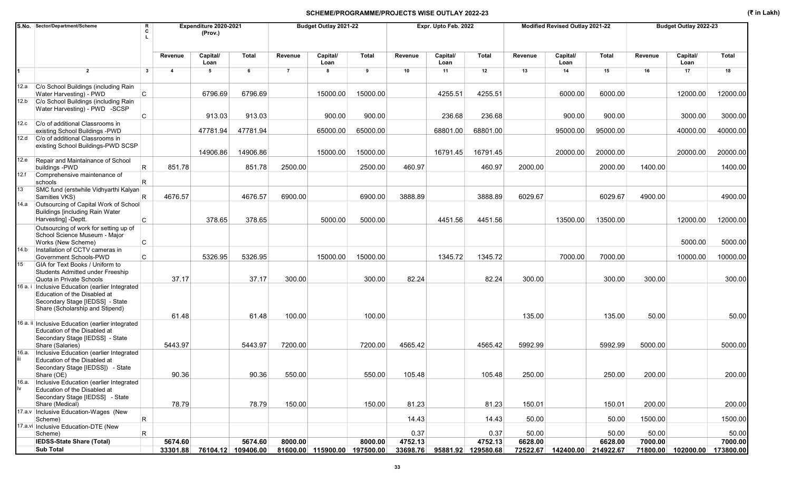|       | S.No. Sector/Department/Scheme                                                                                                                          | R<br>C       |                         | Expenditure 2020-2021<br>(Prov.) |                    |                | Budget Outlay 2021-22        |              |          | Expr. Upto Feb. 2022 |              |         | Modified Revised Outlay 2021-22 |              |         | Budget Outlay 2022-23 |           |
|-------|---------------------------------------------------------------------------------------------------------------------------------------------------------|--------------|-------------------------|----------------------------------|--------------------|----------------|------------------------------|--------------|----------|----------------------|--------------|---------|---------------------------------|--------------|---------|-----------------------|-----------|
|       |                                                                                                                                                         |              | Revenue                 | Capital/<br>Loan                 | Total              | Revenue        | Capital/<br>Loan             | <b>Total</b> | Revenue  | Capital/<br>Loan     | <b>Total</b> | Revenue | Capital/<br>Loan                | <b>Total</b> | Revenue | Capital/<br>Loan      | Total     |
|       | $\overline{2}$                                                                                                                                          | $\mathbf{3}$ | $\overline{\mathbf{A}}$ | 5                                | 6                  | $\overline{7}$ | 8                            | 9            | 10       | 11                   | 12           | 13      | 14                              | 15           | 16      | 17                    | 18        |
|       | 12.a C/o School Buildings (including Rain<br>Water Harvesting) - PWD                                                                                    | C.           |                         | 6796.69                          | 6796.69            |                | 15000.00                     | 15000.00     |          | 4255.51              | 4255.51      |         | 6000.00                         | 6000.00      |         | 12000.00              | 12000.00  |
| 12.b  | C/o School Buildings (including Rain<br>Water Harvesting) - PWD -SCSP                                                                                   |              |                         |                                  |                    |                |                              |              |          |                      |              |         |                                 |              |         |                       |           |
|       |                                                                                                                                                         | C            |                         | 913.03                           | 913.03             |                | 900.00                       | 900.00       |          | 236.68               | 236.68       |         | 900.00                          | 900.00       |         | 3000.00               | 3000.00   |
| 12.c  | C/o of additional Classrooms in<br>existing School Buildings - PWD                                                                                      |              |                         | 47781.94                         | 47781.94           |                | 65000.00                     | 65000.00     |          | 68801.00             | 68801.00     |         | 95000.00                        | 95000.00     |         | 40000.00              | 40000.00  |
|       | 12.d C/o of additional Classrooms in                                                                                                                    |              |                         |                                  |                    |                |                              |              |          |                      |              |         |                                 |              |         |                       |           |
|       | existing School Buildings-PWD SCSP                                                                                                                      |              |                         | 14906.86                         | 14906.86           |                | 15000.00                     | 15000.00     |          | 16791.45             | 16791.45     |         | 20000.00                        | 20000.00     |         | 20000.00              | 20000.00  |
|       | 12.e Repair and Maintainance of School<br>buildings - PWD                                                                                               | R            | 851.78                  |                                  | 851.78             | 2500.00        |                              | 2500.00      | 460.97   |                      | 460.97       | 2000.00 |                                 | 2000.00      | 1400.00 |                       | 1400.00   |
| 12.f  | Comprehensive maintenance of<br>schools                                                                                                                 | R            |                         |                                  |                    |                |                              |              |          |                      |              |         |                                 |              |         |                       |           |
| 13    | SMC fund (erstwhile Vidhyarthi Kalyan<br>Samities VKS)                                                                                                  | R            | 4676.57                 |                                  | 4676.57            | 6900.00        |                              | 6900.00      | 3888.89  |                      | 3888.89      | 6029.67 |                                 | 6029.67      | 4900.00 |                       | 4900.00   |
| 14.a  | Outsourcing of Capital Work of School<br><b>Buildings [including Rain Water</b><br>Harvesting] -Deptt.                                                  |              |                         |                                  |                    |                |                              |              |          |                      |              |         |                                 |              |         |                       |           |
|       | Outsourcing of work for setting up of                                                                                                                   | C.           |                         | 378.65                           | 378.65             |                | 5000.00                      | 5000.00      |          | 4451.56              | 4451.56      |         | 13500.00                        | 13500.00     |         | 12000.00              | 12000.00  |
|       | School Science Museum - Major<br>Works (New Scheme)                                                                                                     | C            |                         |                                  |                    |                |                              |              |          |                      |              |         |                                 |              |         | 5000.00               | 5000.00   |
| 14.b  | Installation of CCTV cameras in<br>Government Schools-PWD                                                                                               | C            |                         | 5326.95                          | 5326.95            |                | 15000.00                     | 15000.00     |          | 1345.72              | 1345.72      |         | 7000.00                         | 7000.00      |         | 10000.00              | 10000.00  |
| 15    | GIA for Text Books / Uniform to<br>Students Admitted under Freeship                                                                                     |              |                         |                                  |                    |                |                              |              |          |                      |              |         |                                 |              |         |                       |           |
|       | Quota in Private Schools                                                                                                                                |              | 37.17                   |                                  | 37.17              | 300.00         |                              | 300.00       | 82.24    |                      | 82.24        | 300.00  |                                 | 300.00       | 300.00  |                       | 300.00    |
|       | 16 a. i   Inclusive Education (earlier Integrated<br>Education of the Disabled at<br>Secondary Stage [IEDSS] - State<br>Share (Scholarship and Stipend) |              |                         |                                  |                    |                |                              |              |          |                      |              |         |                                 |              |         |                       |           |
|       |                                                                                                                                                         |              | 61.48                   |                                  | 61.48              | 100.00         |                              | 100.00       |          |                      |              | 135.00  |                                 | 135.00       | 50.00   |                       | 50.00     |
|       | 16 a. ii Inclusive Education (earlier integrated<br>Education of the Disabled at<br>Secondary Stage [IEDSS] - State<br>Share (Salaries)                 |              | 5443.97                 |                                  | 5443.97            | 7200.00        |                              | 7200.00      | 4565.42  |                      | 4565.42      | 5992.99 |                                 | 5992.99      | 5000.00 |                       | 5000.00   |
| 16.a. | Inclusive Education (earlier Integrated<br>Education of the Disabled at<br>Secondary Stage [IEDSS]) - State                                             |              |                         |                                  |                    |                |                              |              |          |                      |              |         |                                 |              |         |                       |           |
| 16.a. | Share (OE)<br>Inclusive Education (earlier Integrated<br>Education of the Disabled at                                                                   |              | 90.36                   |                                  | 90.36              | 550.00         |                              | 550.00       | 105.48   |                      | 105.48       | 250.00  |                                 | 250.00       | 200.00  |                       | 200.00    |
|       | Secondary Stage [IEDSS] - State<br>Share (Medical)                                                                                                      |              | 78.79                   |                                  | 78.79              | 150.00         |                              | 150.00       | 81.23    |                      | 81.23        | 150.01  |                                 | 150.01       | 200.00  |                       | 200.00    |
|       | 17.a.v   Inclusive Education-Wages (New<br>Scheme)                                                                                                      | R            |                         |                                  |                    |                |                              |              | 14.43    |                      | 14.43        | 50.00   |                                 | 50.00        | 1500.00 |                       | 1500.00   |
|       | 17.a.vi Inclusive Education-DTE (New<br>Scheme)                                                                                                         | R            |                         |                                  |                    |                |                              |              | 0.37     |                      | 0.37         | 50.00   |                                 | 50.00        | 50.00   |                       | 50.00     |
|       | <b>IEDSS-State Share (Total)</b>                                                                                                                        |              | 5674.60                 |                                  | 5674.60            | 8000.00        |                              | 8000.00      | 4752.13  |                      | 4752.13      | 6628.00 |                                 | 6628.00      | 7000.00 |                       | 7000.00   |
|       | <b>Sub Total</b>                                                                                                                                        |              | 33301.88                |                                  | 76104.12 109406.00 |                | 81600.00 115900.00 197500.00 |              | 33698.76 | 95881.92 129580.68   |              |         | 72522.67 142400.00 214922.67    |              |         | 71800.00 102000.00    | 173800.00 |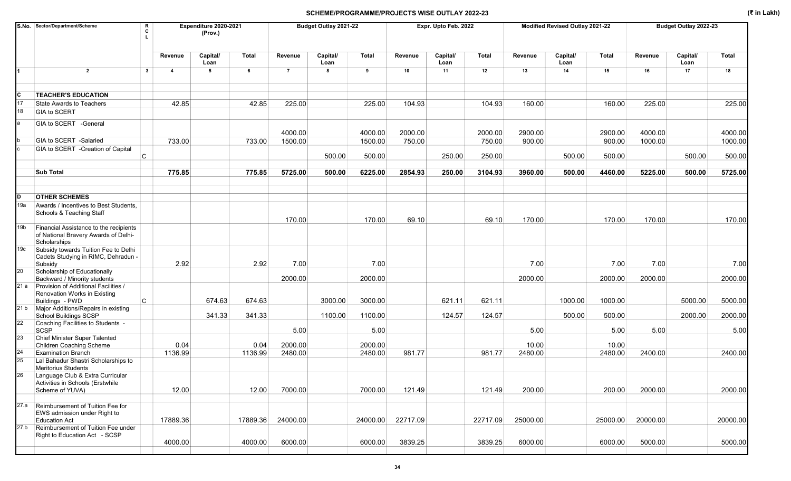|                 | S.No. Sector/Department/Scheme<br>R<br>C                                                                     |                         | Expenditure 2020-2021<br>(Prov.) |          |                | Budget Outlay 2021-22 |              |          | Expr. Upto Feb. 2022 |          |          | Modified Revised Outlay 2021-22 |              |          | Budget Outlay 2022-23 |          |
|-----------------|--------------------------------------------------------------------------------------------------------------|-------------------------|----------------------------------|----------|----------------|-----------------------|--------------|----------|----------------------|----------|----------|---------------------------------|--------------|----------|-----------------------|----------|
|                 |                                                                                                              | Revenue                 | Capital/<br>Loan                 | Total    | Revenue        | Capital/<br>Loan      | <b>Total</b> | Revenue  | Capital/<br>Loan     | Total    | Revenue  | Capital/<br>Loan                | <b>Total</b> | Revenue  | Capital/<br>Loan      | Total    |
|                 | $\overline{2}$<br>$\mathbf{3}$                                                                               | $\overline{\mathbf{4}}$ | 5                                | 6        | $\overline{7}$ | 8                     | 9            | 10       | 11                   | 12       | 13       | 14                              | 15           | 16       | 17                    | 18       |
| c               | <b>TEACHER'S EDUCATION</b>                                                                                   |                         |                                  |          |                |                       |              |          |                      |          |          |                                 |              |          |                       |          |
| 17<br>18        | State Awards to Teachers<br>GIA to SCERT                                                                     | 42.85                   |                                  | 42.85    | 225.00         |                       | 225.00       | 104.93   |                      | 104.93   | 160.00   |                                 | 160.00       | 225.00   |                       | 225.00   |
|                 | GIA to SCERT - General                                                                                       |                         |                                  |          | 4000.00        |                       | 4000.00      | 2000.00  |                      | 2000.00  | 2900.00  |                                 | 2900.00      | 4000.00  |                       | 4000.00  |
|                 | GIA to SCERT -Salaried                                                                                       | 733.00                  |                                  | 733.00   | 1500.00        |                       | 1500.00      | 750.00   |                      | 750.00   | 900.00   |                                 | 900.00       | 1000.00  |                       | 1000.00  |
|                 | GIA to SCERT - Creation of Capital<br>C                                                                      |                         |                                  |          |                | 500.00                | 500.00       |          | 250.00               | 250.00   |          | 500.00                          | 500.00       |          | 500.00                | 500.00   |
|                 | <b>Sub Total</b>                                                                                             | 775.85                  |                                  | 775.85   | 5725.00        | 500.00                | 6225.00      | 2854.93  | 250.00               | 3104.93  | 3960.00  | 500.00                          | 4460.00      | 5225.00  | 500.00                | 5725.00  |
|                 |                                                                                                              |                         |                                  |          |                |                       |              |          |                      |          |          |                                 |              |          |                       |          |
| D<br>19a        | <b>OTHER SCHEMES</b><br>Awards / Incentives to Best Students,<br>Schools & Teaching Staff                    |                         |                                  |          |                |                       |              |          |                      |          |          |                                 |              |          |                       |          |
| 19 <sub>b</sub> | Financial Assistance to the recipients<br>of National Bravery Awards of Delhi-<br>Scholarships               |                         |                                  |          | 170.00         |                       | 170.00       | 69.10    |                      | 69.10    | 170.00   |                                 | 170.00       | 170.00   |                       | 170.00   |
| 19c             | Subsidy towards Tuition Fee to Delhi<br>Cadets Studying in RIMC, Dehradun -<br>Subsidy                       | 2.92                    |                                  | 2.92     | 7.00           |                       | 7.00         |          |                      |          | 7.00     |                                 | 7.00         | 7.00     |                       | 7.00     |
| 20              | Scholarship of Educationally<br>Backward / Minority students                                                 |                         |                                  |          | 2000.00        |                       | 2000.00      |          |                      |          | 2000.00  |                                 | 2000.00      | 2000.00  |                       | 2000.00  |
|                 | 21 a Provision of Additional Facilities /<br>Renovation Works in Existing<br>$\mathsf{C}$<br>Buildings - PWD |                         | 674.63                           | 674.63   |                | 3000.00               | 3000.00      |          | 621.11               | 621.11   |          | 1000.00                         | 1000.00      |          | 5000.00               | 5000.00  |
|                 | 21 b Major Additions/Repairs in existing<br>School Buildings SCSP                                            |                         | 341.33                           | 341.33   |                | 1100.00               | 1100.00      |          | 124.57               | 124.57   |          | 500.00                          | 500.00       |          | 2000.00               | 2000.00  |
| 22              | Coaching Facilities to Students -<br>SCSP                                                                    |                         |                                  |          | 5.00           |                       | 5.00         |          |                      |          | 5.00     |                                 | 5.00         | 5.00     |                       | 5.00     |
| 23              | Chief Minister Super Talented<br>Children Coaching Scheme                                                    | 0.04                    |                                  | 0.04     | 2000.00        |                       | 2000.00      |          |                      |          | 10.00    |                                 | 10.00        |          |                       |          |
| 24              | <b>Examination Branch</b>                                                                                    | 1136.99                 |                                  | 1136.99  | 2480.00        |                       | 2480.00      | 981.77   |                      | 981.77   | 2480.00  |                                 | 2480.00      | 2400.00  |                       | 2400.00  |
| 25              | Lal Bahadur Shastri Scholarships to<br>Meritorius Students                                                   |                         |                                  |          |                |                       |              |          |                      |          |          |                                 |              |          |                       |          |
| 26              | Language Club & Extra Curricular<br>Activities in Schools (Erstwhile<br>Scheme of YUVA)                      | 12.00                   |                                  | 12.00    | 7000.00        |                       | 7000.00      | 121.49   |                      | 121.49   | 200.00   |                                 | 200.00       | 2000.00  |                       | 2000.00  |
| 27.a            | Reimbursement of Tuition Fee for<br>EWS admission under Right to<br><b>Education Act</b>                     | 17889.36                |                                  | 17889.36 | 24000.00       |                       | 24000.00     | 22717.09 |                      | 22717.09 | 25000.00 |                                 | 25000.00     | 20000.00 |                       | 20000.00 |
| 27.b            | Reimbursement of Tuition Fee under<br>Right to Education Act - SCSP                                          | 4000.00                 |                                  | 4000.00  | 6000.00        |                       | 6000.00      | 3839.25  |                      | 3839.25  | 6000.00  |                                 | 6000.00      | 5000.00  |                       | 5000.00  |
|                 |                                                                                                              |                         |                                  |          |                |                       |              |          |                      |          |          |                                 |              |          |                       |          |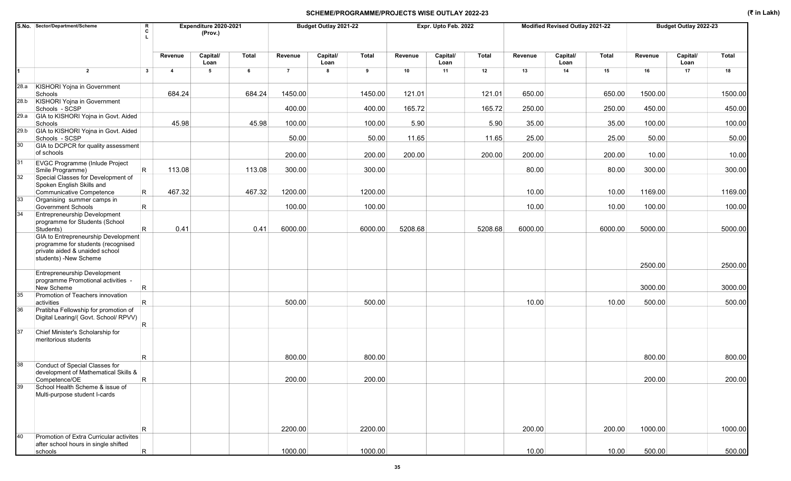|          | S.No. Sector/Department/Scheme                                                                                                       | R<br>Expenditure 2020-2021<br>C<br>(Prov.) |                  |        |                | Budget Outlay 2021-22 |         |         | Expr. Upto Feb. 2022 |         |         | Modified Revised Outlay 2021-22 |         |         | Budget Outlay 2022-23 |         |
|----------|--------------------------------------------------------------------------------------------------------------------------------------|--------------------------------------------|------------------|--------|----------------|-----------------------|---------|---------|----------------------|---------|---------|---------------------------------|---------|---------|-----------------------|---------|
|          |                                                                                                                                      | Revenue                                    | Capital/<br>Loan | Total  | Revenue        | Capital/<br>Loan      | Total   | Revenue | Capital/<br>Loan     | Total   | Revenue | Capital/<br>Loan                | Total   | Revenue | Capital/<br>Loan      | Total   |
|          | $\overline{2}$<br>$\overline{\mathbf{3}}$                                                                                            | $\overline{4}$                             | 5                | 6      | $\overline{7}$ | 8                     | 9       | 10      | 11                   | 12      | 13      | 14                              | 15      | 16      | 17                    | 18      |
| 28.a     | KISHORI Yojna in Government<br>Schools                                                                                               | 684.24                                     |                  | 684.24 | 1450.00        |                       | 1450.00 | 121.01  |                      | 121.01  | 650.00  |                                 | 650.00  | 1500.00 |                       | 1500.00 |
| 28.b     | <b>KISHORI Yojna in Government</b><br>Schools - SCSP                                                                                 |                                            |                  |        | 400.00         |                       | 400.00  | 165.72  |                      | 165.72  | 250.00  |                                 | 250.00  | 450.00  |                       | 450.00  |
| 29.a     | GIA to KISHORI Yojna in Govt. Aided<br>Schools                                                                                       | 45.98                                      |                  | 45.98  | 100.00         |                       | 100.00  | 5.90    |                      | 5.90    | 35.00   |                                 | 35.00   | 100.00  |                       | 100.00  |
| 29.b     | GIA to KISHORI Yojna in Govt. Aided<br>Schools - SCSP                                                                                |                                            |                  |        | 50.00          |                       | 50.00   | 11.65   |                      | 11.65   | 25.00   |                                 | 25.00   | 50.00   |                       | 50.00   |
| 30       | GIA to DCPCR for quality assessment<br>of schools                                                                                    |                                            |                  |        |                |                       |         |         |                      |         |         |                                 |         |         |                       |         |
|          |                                                                                                                                      |                                            |                  |        | 200.00         |                       | 200.00  | 200.00  |                      | 200.00  | 200.00  |                                 | 200.00  | 10.00   |                       | 10.00   |
| 31<br>32 | <b>EVGC Programme (Inlude Project</b><br>R<br>Smile Programme)<br>Special Classes for Development of                                 | 113.08                                     |                  | 113.08 | 300.00         |                       | 300.00  |         |                      |         | 80.00   |                                 | 80.00   | 300.00  |                       | 300.00  |
|          | Spoken English Skills and<br>Communicative Competence<br>R.                                                                          | 467.32                                     |                  | 467.32 | 1200.00        |                       | 1200.00 |         |                      |         | 10.00   |                                 | 10.00   | 1169.00 |                       | 1169.00 |
| 33       | Organising summer camps in<br><b>Government Schools</b><br>R                                                                         |                                            |                  |        | 100.00         |                       | 100.00  |         |                      |         | 10.00   |                                 | 10.00   | 100.00  |                       | 100.00  |
| 34       | <b>Entrepreneurship Development</b><br>programme for Students (School<br>R<br>Students)                                              | 0.41                                       |                  | 0.41   | 6000.00        |                       | 6000.00 | 5208.68 |                      | 5208.68 | 6000.00 |                                 | 6000.00 | 5000.00 |                       | 5000.00 |
|          | GIA to Entrepreneurship Development<br>programme for students (recognised<br>private aided & unaided school<br>students) -New Scheme |                                            |                  |        |                |                       |         |         |                      |         |         |                                 |         |         |                       |         |
|          |                                                                                                                                      |                                            |                  |        |                |                       |         |         |                      |         |         |                                 |         | 2500.00 |                       | 2500.00 |
|          | Entrepreneurship Development<br>programme Promotional activities -<br>New Scheme                                                     |                                            |                  |        |                |                       |         |         |                      |         |         |                                 |         | 3000.00 |                       | 3000.00 |
| 35       | R<br>Promotion of Teachers innovation                                                                                                |                                            |                  |        |                |                       |         |         |                      |         |         |                                 |         |         |                       |         |
|          | R<br>activities                                                                                                                      |                                            |                  |        | 500.00         |                       | 500.00  |         |                      |         | 10.00   |                                 | 10.00   | 500.00  |                       | 500.00  |
| 36       | Pratibha Fellowship for promotion of<br>Digital Learing/( Govt. School/ RPVV)                                                        |                                            |                  |        |                |                       |         |         |                      |         |         |                                 |         |         |                       |         |
| 37       | R<br>Chief Minister's Scholarship for                                                                                                |                                            |                  |        |                |                       |         |         |                      |         |         |                                 |         |         |                       |         |
|          | meritorious students                                                                                                                 |                                            |                  |        |                |                       |         |         |                      |         |         |                                 |         |         |                       |         |
|          | R                                                                                                                                    |                                            |                  |        | 800.00         |                       | 800.00  |         |                      |         |         |                                 |         | 800.00  |                       | 800.00  |
| 38       | Conduct of Special Classes for<br>development of Mathematical Skills &                                                               |                                            |                  |        |                |                       |         |         |                      |         |         |                                 |         |         |                       |         |
|          | $\mathsf{R}$<br>Competence/OE                                                                                                        |                                            |                  |        | 200.00         |                       | 200.00  |         |                      |         |         |                                 |         | 200.00  |                       | 200.00  |
| 39       | School Health Scheme & issue of<br>Multi-purpose student I-cards                                                                     |                                            |                  |        |                |                       |         |         |                      |         |         |                                 |         |         |                       |         |
|          | R.                                                                                                                                   |                                            |                  |        | 2200.00        |                       | 2200.00 |         |                      |         | 200.00  |                                 | 200.00  | 1000.00 |                       | 1000.00 |
| 40       | Promotion of Extra Curricular activites<br>after school hours in single shifted                                                      |                                            |                  |        |                |                       |         |         |                      |         |         |                                 |         |         |                       |         |
|          | $\mathsf{R}$<br>schools                                                                                                              |                                            |                  |        | 1000.00        |                       | 1000.00 |         |                      |         | 10.00   |                                 | 10.00   | 500.00  |                       | 500.00  |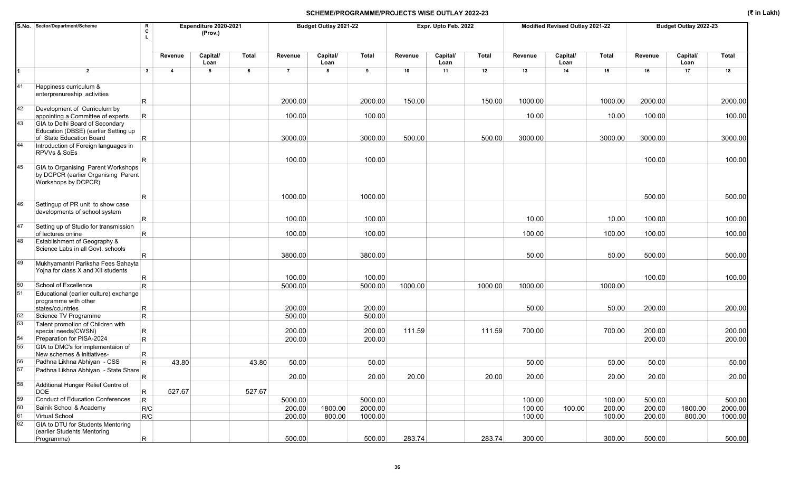|    | S.No. Sector/Department/Scheme                                                                               | R<br>c           |                | Expenditure 2020-2021<br>(Prov.) |        |                  | Budget Outlay 2021-22 |                  |         | Expr. Upto Feb. 2022 |              |         | Modified Revised Outlay 2021-22 |              |         | Budget Outlay 2022-23 |              |
|----|--------------------------------------------------------------------------------------------------------------|------------------|----------------|----------------------------------|--------|------------------|-----------------------|------------------|---------|----------------------|--------------|---------|---------------------------------|--------------|---------|-----------------------|--------------|
|    |                                                                                                              |                  | Revenue        | Capital/<br>Loan                 | Total  | Revenue          | Capital/<br>Loan      | <b>Total</b>     | Revenue | Capital/<br>Loan     | <b>Total</b> | Revenue | Capital/<br>Loan                | <b>Total</b> | Revenue | Capital/<br>Loan      | <b>Total</b> |
|    | $\overline{2}$                                                                                               | $\mathbf{3}$     | $\overline{4}$ | $5\phantom{.0}$                  | 6      | $\overline{7}$   | 8                     | 9                | 10      | 11                   | 12           | 13      | 14                              | 15           | 16      | 17                    | 18           |
| 41 | Happiness curriculum &<br>enterprenureship activities                                                        |                  |                |                                  |        |                  |                       |                  |         |                      |              |         |                                 |              |         |                       |              |
| 42 | Development of Curriculum by                                                                                 | R.               |                |                                  |        | 2000.00          |                       | 2000.00          | 150.00  |                      | 150.00       | 1000.00 |                                 | 1000.00      | 2000.00 |                       | 2000.00      |
| 43 | appointing a Committee of experts<br>GIA to Delhi Board of Secondary<br>Education (DBSE) (earlier Setting up | $\mathsf R$      |                |                                  |        | 100.00           |                       | 100.00           |         |                      |              | 10.00   |                                 | 10.00        | 100.00  |                       | 100.00       |
|    | of State Education Board                                                                                     | $\mathsf{R}$     |                |                                  |        | 3000.00          |                       | 3000.00          | 500.00  |                      | 500.00       | 3000.00 |                                 | 3000.00      | 3000.00 |                       | 3000.00      |
|    | Introduction of Foreign languages in<br>RPVVs & SoEs                                                         | R                |                |                                  |        | 100.00           |                       | 100.00           |         |                      |              |         |                                 |              | 100.00  |                       | 100.00       |
| 45 | GIA to Organising Parent Workshops<br>by DCPCR (earlier Organising Parent<br>Workshops by DCPCR)             |                  |                |                                  |        |                  |                       |                  |         |                      |              |         |                                 |              |         |                       |              |
|    |                                                                                                              | R                |                |                                  |        | 1000.00          |                       | 1000.00          |         |                      |              |         |                                 |              | 500.00  |                       | 500.00       |
| 46 | Settingup of PR unit to show case<br>developments of school system                                           | R.               |                |                                  |        | 100.00           |                       | 100.00           |         |                      |              | 10.00   |                                 | 10.00        | 100.00  |                       | 100.00       |
| 47 | Setting up of Studio for transmission                                                                        |                  |                |                                  |        |                  |                       |                  |         |                      |              |         |                                 |              |         |                       |              |
| 48 | of lectures online<br>Establishment of Geography &                                                           | R                |                |                                  |        | 100.00           |                       | 100.00           |         |                      |              | 100.00  |                                 | 100.00       | 100.00  |                       | 100.00       |
|    | Science Labs in all Govt. schools                                                                            | R                |                |                                  |        | 3800.00          |                       | 3800.00          |         |                      |              | 50.00   |                                 | 50.00        | 500.00  |                       | 500.00       |
| 49 | Mukhyamantri Pariksha Fees Sahayta<br>Yojna for class X and XII students                                     | R                |                |                                  |        | 100.00           |                       | 100.00           |         |                      |              |         |                                 |              | 100.00  |                       | 100.00       |
| 50 | School of Excellence                                                                                         | R.               |                |                                  |        | 5000.00          |                       | 5000.00          | 1000.00 |                      | 1000.00      | 1000.00 |                                 | 1000.00      |         |                       |              |
| 51 | Educational (earlier culture) exchange<br>programme with other                                               |                  |                |                                  |        |                  |                       |                  |         |                      |              |         |                                 |              |         |                       |              |
| 52 | states/countries<br>Science TV Programme                                                                     | R<br>$\mathsf R$ |                |                                  |        | 200.00<br>500.00 |                       | 200.00<br>500.00 |         |                      |              | 50.00   |                                 | 50.00        | 200.00  |                       | 200.00       |
| 53 | Talent promotion of Children with<br>special needs(CWSN)                                                     | R                |                |                                  |        | 200.00           |                       | 200.00           | 111.59  |                      | 111.59       | 700.00  |                                 | 700.00       | 200.00  |                       | 200.00       |
| 54 | Preparation for PISA-2024                                                                                    | $\mathsf{R}$     |                |                                  |        | 200.00           |                       | 200.00           |         |                      |              |         |                                 |              | 200.00  |                       | 200.00       |
| 55 | GIA to DMC's for implementaion of<br>New schemes & initiatives-                                              | $\mathsf R$      |                |                                  |        |                  |                       |                  |         |                      |              |         |                                 |              |         |                       |              |
| 56 | Padhna Likhna Abhiyan - CSS                                                                                  | R.               | 43.80          |                                  | 43.80  | 50.00            |                       | 50.00            |         |                      |              | 50.00   |                                 | 50.00        | 50.00   |                       | 50.00        |
| 57 | Padhna Likhna Abhiyan - State Share                                                                          | $\mathsf R$      |                |                                  |        | 20.00            |                       | 20.00            | 20.00   |                      | 20.00        | 20.00   |                                 | 20.00        | 20.00   |                       | 20.00        |
| 58 | Additional Hunger Relief Centre of<br>DOE                                                                    | R                | 527.67         |                                  | 527.67 |                  |                       |                  |         |                      |              |         |                                 |              |         |                       |              |
| 59 | Conduct of Education Conferences                                                                             | $\vert$ R        |                |                                  |        | 5000.00          |                       | 5000.00          |         |                      |              | 100.00  |                                 | 100.00       | 500.00  |                       | 500.00       |
| 60 | Sainik School & Academy                                                                                      | R/C              |                |                                  |        | 200.00           | 1800.00               | 2000.00          |         |                      |              | 100.00  | 100.00                          | 200.00       | 200.00  | 1800.00               | 2000.00      |
| 61 | Virtual School                                                                                               | R/C              |                |                                  |        | 200.00           | 800.00                | 1000.00          |         |                      |              | 100.00  |                                 | 100.00       | 200.00  | 800.00                | 1000.00      |
| 62 | GIA to DTU for Students Mentoring<br>(earlier Students Mentoring                                             |                  |                |                                  |        | 500.00           |                       | 500.00           | 283.74  |                      | 283.74       | 300.00  |                                 | 300.00       | 500.00  |                       | 500.00       |
|    | Programme)                                                                                                   | R.               |                |                                  |        |                  |                       |                  |         |                      |              |         |                                 |              |         |                       |              |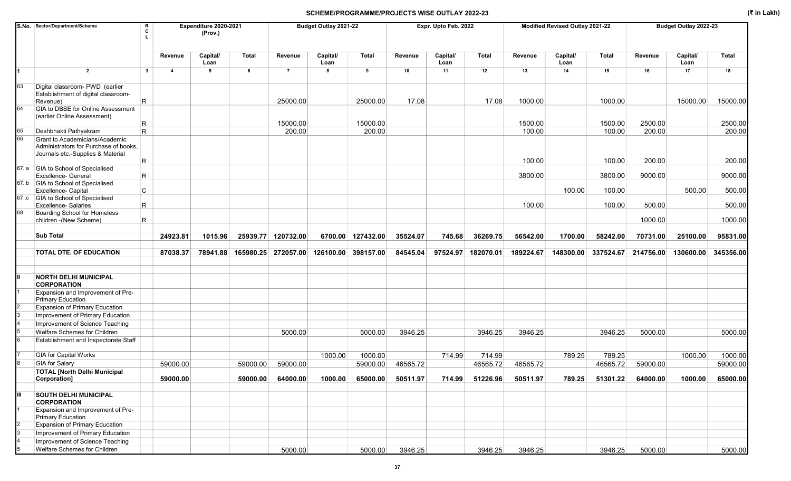|          | S.No. Sector/Department/Scheme                                                                   | R<br>C      |                         | Expenditure 2020-2021<br>(Prov.) |              |                     | Budget Outlay 2021-22 |                   |          | Expr. Upto Feb. 2022 |           |           | Modified Revised Outlay 2021-22 |              |           | Budget Outlay 2022-23 |              |
|----------|--------------------------------------------------------------------------------------------------|-------------|-------------------------|----------------------------------|--------------|---------------------|-----------------------|-------------------|----------|----------------------|-----------|-----------|---------------------------------|--------------|-----------|-----------------------|--------------|
|          |                                                                                                  |             | Revenue                 | Capital/<br>Loan                 | <b>Total</b> | Revenue             | Capital/<br>Loan      | <b>Total</b>      | Revenue  | Capital/<br>Loan     | Total     | Revenue   | Capital/<br>Loan                | <b>Total</b> | Revenue   | Capital/<br>Loan      | <b>Total</b> |
|          | $\overline{2}$                                                                                   | $3^{\circ}$ | $\overline{\mathbf{4}}$ | 5                                | 6            | $\overline{7}$      | 8                     | 9                 | 10       | 11                   | 12        | 13        | 14                              | 15           | 16        | 17                    | 18           |
| 63       | Digital classroom- PWD (earlier<br>Establishment of digital classroom-<br>Revenue)               | R.          |                         |                                  |              | 25000.00            |                       | 25000.00          | 17.08    |                      | 17.08     | 1000.00   |                                 | 1000.00      |           | 15000.00              | 15000.00     |
| 64       | GIA to DBSE for Online Assessment<br>(earlier Online Assessment)                                 |             |                         |                                  |              |                     |                       |                   |          |                      |           |           |                                 |              |           |                       |              |
|          |                                                                                                  | R           |                         |                                  |              | 15000.00            |                       | 15000.00          |          |                      |           | 1500.00   |                                 | 1500.00      | 2500.00   |                       | 2500.00      |
| 65<br>66 | Deshbhakti Pathyakram<br>Grant to Academicians/Academic<br>Administrators for Purchase of books, | R.          |                         |                                  |              | 200.00              |                       | 200.00            |          |                      |           | 100.00    |                                 | 100.00       | 200.00    |                       | 200.00       |
|          | Journals etc.-Supplies & Material                                                                | R           |                         |                                  |              |                     |                       |                   |          |                      |           | 100.00    |                                 | 100.00       | 200.00    |                       | 200.00       |
|          | 67. a GIA to School of Specialised<br><b>Excellence- General</b>                                 | R           |                         |                                  |              |                     |                       |                   |          |                      |           | 3800.00   |                                 | 3800.00      | 9000.00   |                       | 9000.00      |
|          | 67. b GIA to School of Specialised                                                               |             |                         |                                  |              |                     |                       |                   |          |                      |           |           |                                 |              |           |                       |              |
|          | Excellence- Capital<br>67 .c GIA to School of Specialised                                        | C           |                         |                                  |              |                     |                       |                   |          |                      |           |           | 100.00                          | 100.00       |           | 500.00                | 500.00       |
|          | <b>Excellence-Salaries</b>                                                                       | R           |                         |                                  |              |                     |                       |                   |          |                      |           | 100.00    |                                 | 100.00       | 500.00    |                       | 500.00       |
| 68       | Boarding School for Homeless<br>children - (New Scheme)                                          | R.          |                         |                                  |              |                     |                       |                   |          |                      |           |           |                                 |              | 1000.00   |                       | 1000.00      |
|          | <b>Sub Total</b>                                                                                 |             | 24923.81                | 1015.96                          |              | 25939.77 120732.00  |                       | 6700.00 127432.00 | 35524.07 | 745.68               | 36269.75  | 56542.00  | 1700.00                         | 58242.00     | 70731.00  | 25100.00              | 95831.00     |
|          | <b>TOTAL DTE. OF EDUCATION</b>                                                                   |             | 87038.37                | 78941.88                         |              | 165980.25 272057.00 | 126100.00 398157.00   |                   | 84545.04 | 97524.97             | 182070.01 | 189224.67 | 148300.00                       | 337524.67    | 214756.00 | 130600.00             | 345356.00    |
|          |                                                                                                  |             |                         |                                  |              |                     |                       |                   |          |                      |           |           |                                 |              |           |                       |              |
|          | <b>NORTH DELHI MUNICIPAL</b><br><b>CORPORATION</b>                                               |             |                         |                                  |              |                     |                       |                   |          |                      |           |           |                                 |              |           |                       |              |
|          | Expansion and Improvement of Pre-<br><b>Primary Education</b>                                    |             |                         |                                  |              |                     |                       |                   |          |                      |           |           |                                 |              |           |                       |              |
|          | Expansion of Primary Education                                                                   |             |                         |                                  |              |                     |                       |                   |          |                      |           |           |                                 |              |           |                       |              |
|          | Improvement of Primary Education                                                                 |             |                         |                                  |              |                     |                       |                   |          |                      |           |           |                                 |              |           |                       |              |
|          | Improvement of Science Teaching                                                                  |             |                         |                                  |              |                     |                       |                   |          |                      |           |           |                                 |              |           |                       |              |
|          | Welfare Schemes for Children                                                                     |             |                         |                                  |              | 5000.00             |                       | 5000.00           | 3946.25  |                      | 3946.25   | 3946.25   |                                 | 3946.25      | 5000.00   |                       | 5000.00      |
|          | Establishment and Inspectorate Staff                                                             |             |                         |                                  |              |                     |                       |                   |          |                      |           |           |                                 |              |           |                       |              |
|          | <b>GIA for Capital Works</b>                                                                     |             |                         |                                  |              |                     | 1000.00               | 1000.00           |          | 714.99               | 714.99    |           | 789.25                          | 789.25       |           | 1000.00               | 1000.00      |
|          | <b>GIA</b> for Salary                                                                            |             | 59000.00                |                                  | 59000.00     | 59000.00            |                       | 59000.00          | 46565.72 |                      | 46565.72  | 46565.72  |                                 | 46565.72     | 59000.00  |                       | 59000.00     |
|          | <b>TOTAL [North Delhi Municipal</b><br>Corporation]                                              |             | 59000.00                |                                  | 59000.00     | 64000.00            | 1000.00               | 65000.00 50511.97 |          | 714.99               | 51226.96  | 50511.97  | 789.25                          | 51301.22     | 64000.00  | 1000.00               | 65000.00     |
| Ш        | <b>SOUTH DELHI MUNICIPAL</b><br><b>CORPORATION</b>                                               |             |                         |                                  |              |                     |                       |                   |          |                      |           |           |                                 |              |           |                       |              |
|          | Expansion and Improvement of Pre-<br><b>Primary Education</b>                                    |             |                         |                                  |              |                     |                       |                   |          |                      |           |           |                                 |              |           |                       |              |
|          | <b>Expansion of Primary Education</b>                                                            |             |                         |                                  |              |                     |                       |                   |          |                      |           |           |                                 |              |           |                       |              |
|          | Improvement of Primary Education                                                                 |             |                         |                                  |              |                     |                       |                   |          |                      |           |           |                                 |              |           |                       |              |
|          | Improvement of Science Teaching                                                                  |             |                         |                                  |              |                     |                       |                   |          |                      |           |           |                                 |              |           |                       |              |
|          | Welfare Schemes for Children                                                                     |             |                         |                                  |              | 5000.00             |                       | 5000.00           | 3946.25  |                      | 3946.25   | 3946.25   |                                 | 3946.25      | 5000.00   |                       | 5000.00      |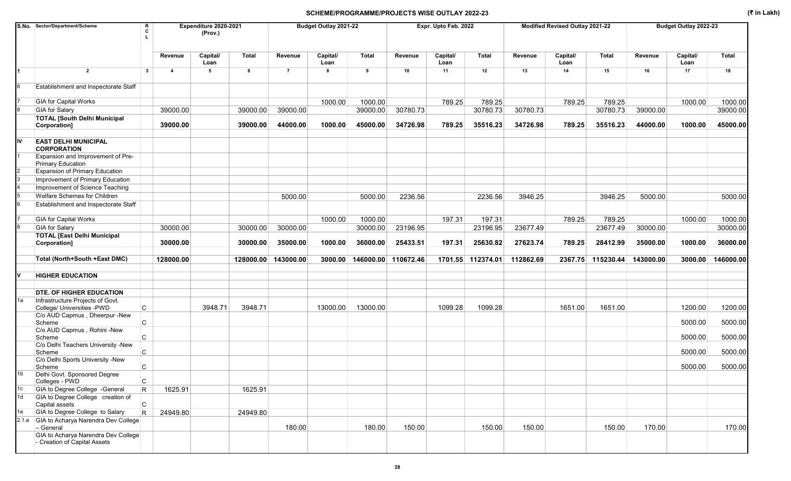|    | S.No. Sector/Department/Scheme                                      | R<br>c                                  | Expenditure 2020-2021<br>(Prov.) |              |                | Budget Outlay 2021-22 |              |           | Expr. Upto Feb. 2022 |                   |           | Modified Revised Outlay 2021-22 |           |           | Budget Outlay 2022-23 |           |
|----|---------------------------------------------------------------------|-----------------------------------------|----------------------------------|--------------|----------------|-----------------------|--------------|-----------|----------------------|-------------------|-----------|---------------------------------|-----------|-----------|-----------------------|-----------|
|    |                                                                     | Revenue                                 | Capital/<br>Loan                 | <b>Total</b> | Revenue        | Capital/<br>Loan      | <b>Total</b> | Revenue   | Capital/<br>Loan     | Total             | Revenue   | Capital/<br>Loan                | Total     | Revenue   | Capital/<br>Loan      | Total     |
|    | $\overline{2}$                                                      | $\mathbf{3}$<br>$\overline{\mathbf{A}}$ | 5                                | 6            | $\overline{7}$ | 8                     | 9            | 10        | 11                   | 12                | 13        | 14                              | 15        | 16        | 17                    | 18        |
|    | Establishment and Inspectorate Staff                                |                                         |                                  |              |                |                       |              |           |                      |                   |           |                                 |           |           |                       |           |
|    | <b>GIA for Capital Works</b>                                        |                                         |                                  |              |                | 1000.00               | 1000.00      |           | 789.25               | 789.25            |           | 789.25                          | 789.25    |           | 1000.00               | 1000.00   |
|    | <b>GIA</b> for Salary                                               | 39000.00                                |                                  | 39000.00     | 39000.00       |                       | 39000.00     | 30780.73  |                      | 30780.73          | 30780.73  |                                 | 30780.73  | 39000.00  |                       | 39000.00  |
|    | <b>TOTAL [South Delhi Municipal</b><br>Corporation]                 | 39000.00                                |                                  | 39000.00     | 44000.00       | 1000.00               | 45000.00     | 34726.98  | 789.25               | 35516.23          | 34726.98  | 789.25                          | 35516.23  | 44000.00  | 1000.00               | 45000.00  |
| IV | <b>EAST DELHI MUNICIPAL</b><br><b>CORPORATION</b>                   |                                         |                                  |              |                |                       |              |           |                      |                   |           |                                 |           |           |                       |           |
|    | Expansion and Improvement of Pre-<br><b>Primary Education</b>       |                                         |                                  |              |                |                       |              |           |                      |                   |           |                                 |           |           |                       |           |
|    | Expansion of Primary Education                                      |                                         |                                  |              |                |                       |              |           |                      |                   |           |                                 |           |           |                       |           |
|    | Improvement of Primary Education                                    |                                         |                                  |              |                |                       |              |           |                      |                   |           |                                 |           |           |                       |           |
|    | Improvement of Science Teaching                                     |                                         |                                  |              |                |                       |              |           |                      |                   |           |                                 |           |           |                       |           |
|    | Welfare Schemes for Children                                        |                                         |                                  |              | 5000.00        |                       | 5000.00      | 2236.56   |                      | 2236.56           | 3946.25   |                                 | 3946.25   | 5000.00   |                       | 5000.00   |
|    | Establishment and Inspectorate Staff                                |                                         |                                  |              |                |                       |              |           |                      |                   |           |                                 |           |           |                       |           |
|    | <b>GIA for Capital Works</b>                                        |                                         |                                  |              |                | 1000.00               | 1000.00      |           | 197.31               | 197.31            |           | 789.25                          | 789.25    |           | 1000.00               | 1000.00   |
|    | <b>GIA</b> for Salary                                               | 30000.00                                |                                  | 30000.00     | 30000.00       |                       | 30000.00     | 23196.95  |                      | 23196.95          | 23677.49  |                                 | 23677.49  | 30000.00  |                       | 30000.00  |
|    | <b>TOTAL [East Delhi Municipal</b><br>Corporation]                  | 30000.00                                |                                  | 30000.00     | 35000.00       | 1000.00               | 36000.00     | 25433.51  | 197.31               | 25630.82          | 27623.74  | 789.25                          | 28412.99  | 35000.00  | 1000.00               | 36000.00  |
|    | Total (North+South +East DMC)                                       | 128000.00                               |                                  | 128000.00    | 143000.00      | 3000.00               | 146000.00    | 110672.46 |                      | 1701.55 112374.01 | 112862.69 | 2367.75                         | 115230.44 | 143000.00 | 3000.00               | 146000.00 |
|    | <b>HIGHER EDUCATION</b>                                             |                                         |                                  |              |                |                       |              |           |                      |                   |           |                                 |           |           |                       |           |
|    |                                                                     |                                         |                                  |              |                |                       |              |           |                      |                   |           |                                 |           |           |                       |           |
| 1a | <b>DTE. OF HIGHER EDUCATION</b><br>Infrastructure Projects of Govt. |                                         |                                  |              |                |                       |              |           |                      |                   |           |                                 |           |           |                       |           |
|    | C<br>College/ Universities -PWD<br>C/o AUD Capmus, Dheerpur -New    |                                         | 3948.71                          | 3948.71      |                | 13000.00              | 13000.00     |           | 1099.28              | 1099.28           |           | 1651.00                         | 1651.00   |           | 1200.00               | 1200.00   |
|    | C<br>Scheme                                                         |                                         |                                  |              |                |                       |              |           |                      |                   |           |                                 |           |           | 5000.00               | 5000.00   |
|    | C/o AUD Capmus, Rohini -New<br>C<br>Scheme                          |                                         |                                  |              |                |                       |              |           |                      |                   |           |                                 |           |           | 5000.00               | 5000.00   |
|    | C/o Delhi Teachers University -New                                  |                                         |                                  |              |                |                       |              |           |                      |                   |           |                                 |           |           |                       |           |
|    | C<br>Scheme<br>C/o Delhi Sports University -New                     |                                         |                                  |              |                |                       |              |           |                      |                   |           |                                 |           |           | 5000.00               | 5000.00   |
|    | C<br>Scheme                                                         |                                         |                                  |              |                |                       |              |           |                      |                   |           |                                 |           |           | 5000.00               | 5000.00   |
|    | Delhi Govt. Sponsored Degree<br>$\mathsf{C}$<br>Colleges - PWD      |                                         |                                  |              |                |                       |              |           |                      |                   |           |                                 |           |           |                       |           |
| 1c | GIA to Degree College - General<br>$\mathsf{R}$                     | 1625.91                                 |                                  | 1625.91      |                |                       |              |           |                      |                   |           |                                 |           |           |                       |           |
| 1d | GIA to Degree College creation of                                   |                                         |                                  |              |                |                       |              |           |                      |                   |           |                                 |           |           |                       |           |
|    | $\mathsf{C}$<br>Capital assets                                      |                                         |                                  |              |                |                       |              |           |                      |                   |           |                                 |           |           |                       |           |
| 1e | GIA to Degree College to Salary<br>$\mathsf{R}$                     | 24949.80                                |                                  | 24949.80     |                |                       |              |           |                      |                   |           |                                 |           |           |                       |           |
|    | 2.1.a GIA to Acharya Narendra Dev College<br>- General              |                                         |                                  |              | 180.00         |                       | 180.00       | 150.00    |                      | 150.00            | 150.00    |                                 | 150.00    | 170.00    |                       | 170.00    |
|    | GIA to Acharya Narendra Dev College<br>- Creation of Capital Assets |                                         |                                  |              |                |                       |              |           |                      |                   |           |                                 |           |           |                       |           |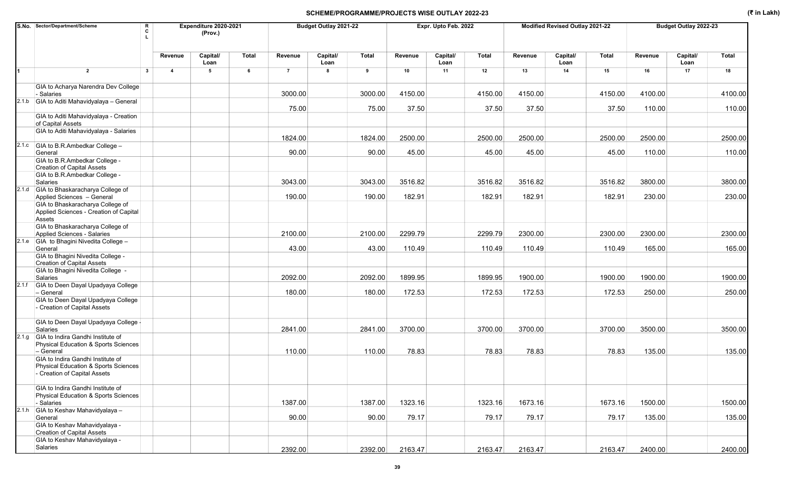|       | S.No. Sector/Department/Scheme<br>R<br>C                                                                               |                         | Expenditure 2020-2021<br>(Prov.) |       |                | Budget Outlay 2021-22 |              |         | Expr. Upto Feb. 2022 |         |         | Modified Revised Outlay 2021-22 |              |         | Budget Outlay 2022-23 |              |
|-------|------------------------------------------------------------------------------------------------------------------------|-------------------------|----------------------------------|-------|----------------|-----------------------|--------------|---------|----------------------|---------|---------|---------------------------------|--------------|---------|-----------------------|--------------|
|       |                                                                                                                        | Revenue                 | Capital/<br>Loan                 | Total | Revenue        | Capital/<br>Loan      | <b>Total</b> | Revenue | Capital/<br>Loan     | Total   | Revenue | Capital/<br>Loan                | <b>Total</b> | Revenue | Capital/<br>Loan      | <b>Total</b> |
|       | $\overline{2}$<br>$\overline{\mathbf{3}}$                                                                              | $\overline{\mathbf{4}}$ | 5                                | 6     | $\overline{7}$ | 8                     | 9            | 10      | 11                   | 12      | 13      | 14                              | 15           | 16      | 17                    | 18           |
|       | GIA to Acharya Narendra Dev College<br>- Salaries                                                                      |                         |                                  |       | 3000.00        |                       | 3000.00      | 4150.00 |                      | 4150.00 | 4150.00 |                                 | 4150.00      | 4100.00 |                       | 4100.00      |
|       | 2.1.b GIA to Aditi Mahavidyalaya - General                                                                             |                         |                                  |       | 75.00          |                       | 75.00        | 37.50   |                      | 37.50   | 37.50   |                                 | 37.50        | 110.00  |                       | 110.00       |
|       | GIA to Aditi Mahavidyalaya - Creation<br>of Capital Assets                                                             |                         |                                  |       |                |                       |              |         |                      |         |         |                                 |              |         |                       |              |
|       | GIA to Aditi Mahavidyalaya - Salaries                                                                                  |                         |                                  |       | 1824.00        |                       | 1824.00      | 2500.00 |                      | 2500.00 | 2500.00 |                                 | 2500.00      | 2500.00 |                       | 2500.00      |
|       | 2.1.c GIA to B.R.Ambedkar College -<br>General                                                                         |                         |                                  |       | 90.00          |                       | 90.00        | 45.00   |                      | 45.00   | 45.00   |                                 | 45.00        | 110.00  |                       | 110.00       |
|       | GIA to B.R.Ambedkar College -<br><b>Creation of Capital Assets</b>                                                     |                         |                                  |       |                |                       |              |         |                      |         |         |                                 |              |         |                       |              |
|       | GIA to B.R.Ambedkar College -<br>Salaries                                                                              |                         |                                  |       | 3043.00        |                       | 3043.00      | 3516.82 |                      | 3516.82 | 3516.82 |                                 | 3516.82      | 3800.00 |                       | 3800.00      |
|       | 2.1.d GIA to Bhaskaracharya College of<br>Applied Sciences - General                                                   |                         |                                  |       | 190.00         |                       | 190.00       | 182.91  |                      | 182.91  | 182.91  |                                 | 182.91       | 230.00  |                       | 230.00       |
|       | GIA to Bhaskaracharya College of<br>Applied Sciences - Creation of Capital<br>Assets                                   |                         |                                  |       |                |                       |              |         |                      |         |         |                                 |              |         |                       |              |
|       | GIA to Bhaskaracharya College of<br>Applied Sciences - Salaries                                                        |                         |                                  |       | 2100.00        |                       | 2100.00      | 2299.79 |                      | 2299.79 | 2300.00 |                                 | 2300.00      | 2300.00 |                       | 2300.00      |
|       | 2.1.e GIA to Bhagini Nivedita College -<br>General                                                                     |                         |                                  |       | 43.00          |                       | 43.00        | 110.49  |                      | 110.49  | 110.49  |                                 | 110.49       | 165.00  |                       | 165.00       |
|       | GIA to Bhagini Nivedita College -<br><b>Creation of Capital Assets</b>                                                 |                         |                                  |       |                |                       |              |         |                      |         |         |                                 |              |         |                       |              |
|       | GIA to Bhagini Nivedita College -<br>Salaries                                                                          |                         |                                  |       | 2092.00        |                       | 2092.00      | 1899.95 |                      | 1899.95 | 1900.00 |                                 | 1900.00      | 1900.00 |                       | 1900.00      |
| 2.1.f | GIA to Deen Dayal Upadyaya College<br>- General                                                                        |                         |                                  |       | 180.00         |                       | 180.00       | 172.53  |                      | 172.53  | 172.53  |                                 | 172.53       | 250.00  |                       | 250.00       |
|       | GIA to Deen Dayal Upadyaya College<br>- Creation of Capital Assets                                                     |                         |                                  |       |                |                       |              |         |                      |         |         |                                 |              |         |                       |              |
|       | GIA to Deen Dayal Upadyaya College -<br>Salaries                                                                       |                         |                                  |       | 2841.00        |                       | 2841.00      | 3700.00 |                      | 3700.00 | 3700.00 |                                 | 3700.00      | 3500.00 |                       | 3500.00      |
|       | 2.1.g GIA to Indira Gandhi Institute of<br><b>Physical Education &amp; Sports Sciences</b>                             |                         |                                  |       |                |                       |              |         |                      |         |         |                                 |              |         |                       |              |
|       | - General<br>GIA to Indira Gandhi Institute of<br>Physical Education & Sports Sciences<br>- Creation of Capital Assets |                         |                                  |       | 110.00         |                       | 110.00       | 78.83   |                      | 78.83   | 78.83   |                                 | 78.83        | 135.00  |                       | 135.00       |
|       | GIA to Indira Gandhi Institute of<br>Physical Education & Sports Sciences<br>- Salaries                                |                         |                                  |       | 1387.00        |                       | 1387.00      | 1323.16 |                      | 1323.16 | 1673.16 |                                 | 1673.16      | 1500.00 |                       | 1500.00      |
|       | 2.1.h GIA to Keshav Mahavidyalaya -<br>General                                                                         |                         |                                  |       | 90.00          |                       | 90.00        | 79.17   |                      | 79.17   | 79.17   |                                 | 79.17        | 135.00  |                       | 135.00       |
|       | GIA to Keshav Mahavidyalaya -<br><b>Creation of Capital Assets</b>                                                     |                         |                                  |       |                |                       |              |         |                      |         |         |                                 |              |         |                       |              |
|       | GIA to Keshav Mahavidyalaya -<br>Salaries                                                                              |                         |                                  |       | 2392.00        |                       | 2392.00      | 2163.47 |                      | 2163.47 | 2163.47 |                                 | 2163.47      | 2400.00 |                       | 2400.00      |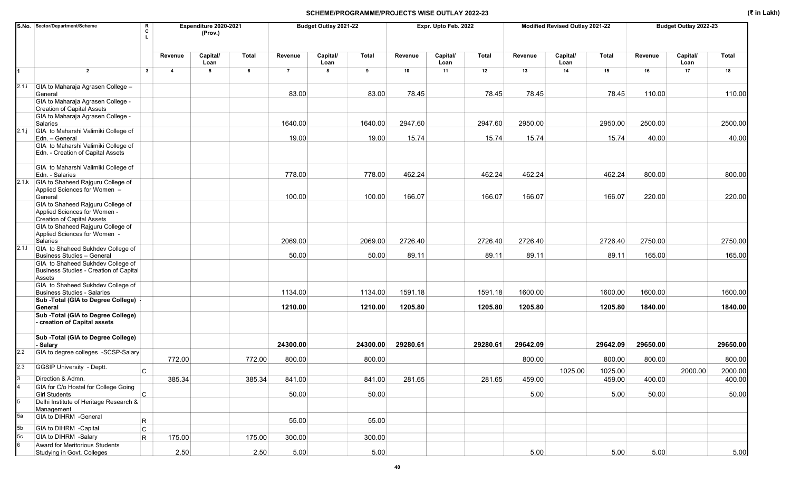|         | S.No. Sector/Department/Scheme<br>R<br>C                                                               |                         | Expenditure 2020-2021<br>(Prov.) |        |                | Budget Outlay 2021-22 |          |          | Expr. Upto Feb. 2022 |              |          | Modified Revised Outlay 2021-22 |          |          | Budget Outlay 2022-23 |              |
|---------|--------------------------------------------------------------------------------------------------------|-------------------------|----------------------------------|--------|----------------|-----------------------|----------|----------|----------------------|--------------|----------|---------------------------------|----------|----------|-----------------------|--------------|
|         |                                                                                                        | Revenue                 | Capital/<br>Loan                 | Total  | Revenue        | Capital/<br>Loan      | Total    | Revenue  | Capital/<br>Loan     | <b>Total</b> | Revenue  | Capital/<br>Loan                | Total    | Revenue  | Capital/<br>Loan      | <b>Total</b> |
|         | $\overline{2}$<br>$\mathbf{3}$                                                                         | $\overline{\mathbf{A}}$ | 5                                | 6      | $\overline{7}$ | 8                     | 9        | 10       | 11                   | 12           | 13       | 14                              | 15       | 16       | 17                    | 18           |
| 2.1.i   | GIA to Maharaja Agrasen College -<br>General                                                           |                         |                                  |        | 83.00          |                       | 83.00    | 78.45    |                      | 78.45        | 78.45    |                                 | 78.45    | 110.00   |                       | 110.00       |
|         | GIA to Maharaja Agrasen College -<br><b>Creation of Capital Assets</b>                                 |                         |                                  |        |                |                       |          |          |                      |              |          |                                 |          |          |                       |              |
|         | GIA to Maharaja Agrasen College -<br>Salaries                                                          |                         |                                  |        | 1640.00        |                       | 1640.00  | 2947.60  |                      | 2947.60      | 2950.00  |                                 | 2950.00  | 2500.00  |                       | 2500.00      |
| 2.1 j   | GIA to Maharshi Valimiki College of<br>Edn. - General                                                  |                         |                                  |        | 19.00          |                       | 19.00    | 15.74    |                      | 15.74        | 15.74    |                                 | 15.74    | 40.00    |                       | 40.00        |
|         | GIA to Maharshi Valimiki College of<br>Edn. - Creation of Capital Assets                               |                         |                                  |        |                |                       |          |          |                      |              |          |                                 |          |          |                       |              |
|         | GIA to Maharshi Valimiki College of<br>Edn. - Salaries                                                 |                         |                                  |        | 778.00         |                       | 778.00   | 462.24   |                      | 462.24       | 462.24   |                                 | 462.24   | 800.00   |                       | 800.00       |
|         | 2.1.k GIA to Shaheed Rajguru College of<br>Applied Sciences for Women -<br>General                     |                         |                                  |        | 100.00         |                       | 100.00   | 166.07   |                      | 166.07       | 166.07   |                                 | 166.07   | 220.00   |                       | 220.00       |
|         | GIA to Shaheed Rajguru College of<br>Applied Sciences for Women -<br><b>Creation of Capital Assets</b> |                         |                                  |        |                |                       |          |          |                      |              |          |                                 |          |          |                       |              |
|         | GIA to Shaheed Rajguru College of<br>Applied Sciences for Women -<br>Salaries                          |                         |                                  |        | 2069.00        |                       | 2069.00  | 2726.40  |                      | 2726.40      | 2726.40  |                                 | 2726.40  | 2750.00  |                       | 2750.00      |
| 2.1.1   | GIA to Shaheed Sukhdev College of<br><b>Business Studies - General</b>                                 |                         |                                  |        | 50.00          |                       | 50.00    | 89.11    |                      | 89.11        | 89.11    |                                 | 89.11    | 165.00   |                       | 165.00       |
|         | GIA to Shaheed Sukhdev College of<br>Business Studies - Creation of Capital<br>Assets                  |                         |                                  |        |                |                       |          |          |                      |              |          |                                 |          |          |                       |              |
|         | GIA to Shaheed Sukhdev College of<br><b>Business Studies - Salaries</b>                                |                         |                                  |        | 1134.00        |                       | 1134.00  | 1591.18  |                      | 1591.18      | 1600.00  |                                 | 1600.00  | 1600.00  |                       | 1600.00      |
|         | Sub - Total (GIA to Degree College) -<br>General                                                       |                         |                                  |        | 1210.00        |                       | 1210.00  | 1205.80  |                      | 1205.80      | 1205.80  |                                 | 1205.80  | 1840.00  |                       | 1840.00      |
|         | Sub - Total (GIA to Degree College)<br>- creation of Capital assets                                    |                         |                                  |        |                |                       |          |          |                      |              |          |                                 |          |          |                       |              |
|         | Sub - Total (GIA to Degree College)<br>- Salary                                                        |                         |                                  |        | 24300.00       |                       | 24300.00 | 29280.61 |                      | 29280.61     | 29642.09 |                                 | 29642.09 | 29650.00 |                       | 29650.00     |
| 2.2     | GIA to degree colleges -SCSP-Salary                                                                    | 772.00                  |                                  | 772.00 | 800.00         |                       | 800.00   |          |                      |              | 800.00   |                                 | 800.00   | 800.00   |                       | 800.00       |
| 2.3     | <b>GGSIP University - Deptt.</b><br>C                                                                  |                         |                                  |        |                |                       |          |          |                      |              |          | 1025.00                         | 1025.00  |          | 2000.00               | 2000.00      |
|         | Direction & Admn.                                                                                      | 385.34                  |                                  | 385.34 | 841.00         |                       | 841.00   | 281.65   |                      | 281.65       | 459.00   |                                 | 459.00   | 400.00   |                       | 400.00       |
|         | GIA for C/o Hostel for College Going<br>$\overline{\mathsf{c}}$<br><b>Girl Students</b>                |                         |                                  |        | 50.00          |                       | 50.00    |          |                      |              | 5.00     |                                 | 5.00     | 50.00    |                       | 50.00        |
| 5       | Delhi Institute of Heritage Research &<br>Management                                                   |                         |                                  |        |                |                       |          |          |                      |              |          |                                 |          |          |                       |              |
| 5a      | GIA to DIHRM -General<br>$\mathsf{R}$                                                                  |                         |                                  |        | 55.00          |                       | 55.00    |          |                      |              |          |                                 |          |          |                       |              |
| 5b      | GIA to DIHRM -Capital<br>$\mathsf{C}$                                                                  |                         |                                  |        |                |                       |          |          |                      |              |          |                                 |          |          |                       |              |
| 5c<br>6 | GIA to DIHRM -Salary<br>R.<br>Award for Meritorious Students                                           | 175.00                  |                                  | 175.00 | 300.00         |                       | 300.00   |          |                      |              |          |                                 |          |          |                       |              |
|         | Studying in Govt. Colleges                                                                             | 2.50                    |                                  | 2.50   | 5.00           |                       | 5.00     |          |                      |              | 5.00     |                                 | 5.00     | 5.00     |                       | 5.00         |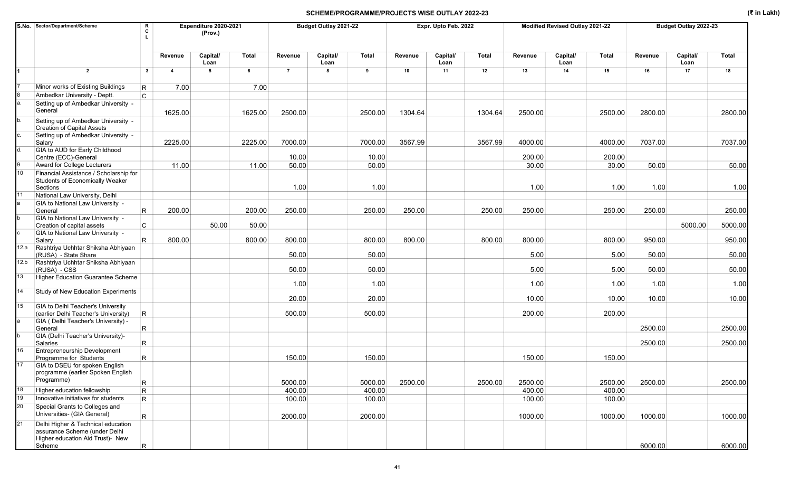|      | S.No. Sector/Department/Scheme                                                                          | R<br>C                  |                         | Expenditure 2020-2021<br>(Prov.) |         |                | Budget Outlay 2021-22 |              |         | Expr. Upto Feb. 2022 |              |         | Modified Revised Outlay 2021-22 |                 |         | Budget Outlay 2022-23 |         |
|------|---------------------------------------------------------------------------------------------------------|-------------------------|-------------------------|----------------------------------|---------|----------------|-----------------------|--------------|---------|----------------------|--------------|---------|---------------------------------|-----------------|---------|-----------------------|---------|
|      |                                                                                                         |                         | Revenue                 | Capital/<br>Loan                 | Total   | Revenue        | Capital/<br>Loan      | <b>Total</b> | Revenue | Capital/<br>Loan     | <b>Total</b> | Revenue | Capital/<br>Loan                | <b>Total</b>    | Revenue | Capital/<br>Loan      | Total   |
|      | $\overline{2}$                                                                                          | $\mathbf{3}$            | $\overline{\mathbf{4}}$ | 5                                | 6       | $\overline{7}$ | 8                     | 9            | 10      | 11                   | 12           | 13      | 14                              | 15              | 16      | 17                    | 18      |
|      | Minor works of Existing Buildings                                                                       | R                       | 7.00                    |                                  | 7.00    |                |                       |              |         |                      |              |         |                                 |                 |         |                       |         |
|      | Ambedkar University - Deptt.                                                                            | C.                      |                         |                                  |         |                |                       |              |         |                      |              |         |                                 |                 |         |                       |         |
| а.   | Setting up of Ambedkar University -<br>General                                                          |                         | 1625.00                 |                                  | 1625.00 | 2500.00        |                       | 2500.00      | 1304.64 |                      | 1304.64      | 2500.00 |                                 | 2500.00         | 2800.00 |                       | 2800.00 |
| b.   | Setting up of Ambedkar University -<br><b>Creation of Capital Assets</b>                                |                         |                         |                                  |         |                |                       |              |         |                      |              |         |                                 |                 |         |                       |         |
| c.   | Setting up of Ambedkar University -<br>Salary                                                           |                         | 2225.00                 |                                  | 2225.00 | 7000.00        |                       | 7000.00      | 3567.99 |                      | 3567.99      | 4000.00 |                                 | 4000.00         | 7037.00 |                       | 7037.00 |
| d.   | GIA to AUD for Early Childhood                                                                          |                         |                         |                                  |         | 10.00          |                       | 10.00        |         |                      |              | 200.00  |                                 |                 |         |                       |         |
|      | Centre (ECC)-General<br>Award for College Lecturers                                                     |                         | 11.00                   |                                  | 11.00   | 50.00          |                       | 50.00        |         |                      |              | 30.00   |                                 | 200.00<br>30.00 | 50.00   |                       | 50.00   |
| 10   | Financial Assistance / Scholarship for                                                                  |                         |                         |                                  |         |                |                       |              |         |                      |              |         |                                 |                 |         |                       |         |
|      | <b>Students of Economically Weaker</b><br>Sections                                                      |                         |                         |                                  |         | 1.00           |                       | 1.00         |         |                      |              | 1.00    |                                 | 1.00            | 1.00    |                       | 1.00    |
| 11   | National Law University, Delhi                                                                          |                         |                         |                                  |         |                |                       |              |         |                      |              |         |                                 |                 |         |                       |         |
|      | GIA to National Law University -<br>General                                                             | $\mathsf{R}$            | 200.00                  |                                  | 200.00  | 250.00         |                       | 250.00       | 250.00  |                      | 250.00       | 250.00  |                                 | 250.00          | 250.00  |                       | 250.00  |
|      | GIA to National Law University -<br>Creation of capital assets                                          | $\mathsf{C}$            |                         | 50.00                            | 50.00   |                |                       |              |         |                      |              |         |                                 |                 |         | 5000.00               | 5000.00 |
|      | GIA to National Law University -                                                                        |                         |                         |                                  |         |                |                       |              |         |                      |              |         |                                 |                 |         |                       |         |
| 12.a | Salary<br>Rashtriya Uchhtar Shiksha Abhiyaan                                                            | R.                      | 800.00                  |                                  | 800.00  | 800.00         |                       | 800.00       | 800.00  |                      | 800.00       | 800.00  |                                 | 800.00          | 950.00  |                       | 950.00  |
| 12.b | (RUSA) - State Share<br>Rashtriya Uchhtar Shiksha Abhiyaan                                              |                         |                         |                                  |         | 50.00          |                       | 50.00        |         |                      |              | 5.00    |                                 | 5.00            | 50.00   |                       | 50.00   |
|      | (RUSA) - CSS                                                                                            |                         |                         |                                  |         | 50.00          |                       | 50.00        |         |                      |              | 5.00    |                                 | 5.00            | 50.00   |                       | 50.00   |
| 13   | <b>Higher Education Guarantee Scheme</b>                                                                |                         |                         |                                  |         | 1.00           |                       | 1.00         |         |                      |              | 1.00    |                                 | 1.00            | 1.00    |                       | 1.00    |
| 14   | Study of New Education Experiments                                                                      |                         |                         |                                  |         | 20.00          |                       | 20.00        |         |                      |              | 10.00   |                                 | 10.00           | 10.00   |                       | 10.00   |
| 15   | GIA to Delhi Teacher's University                                                                       |                         |                         |                                  |         |                |                       |              |         |                      |              |         |                                 |                 |         |                       |         |
|      | (earlier Delhi Teacher's University)                                                                    | R                       |                         |                                  |         | 500.00         |                       | 500.00       |         |                      |              | 200.00  |                                 | 200.00          |         |                       |         |
| la.  | GIA ( Delhi Teacher's University) -<br>General                                                          | $\mathsf{R}$            |                         |                                  |         |                |                       |              |         |                      |              |         |                                 |                 | 2500.00 |                       | 2500.00 |
|      | GIA (Delhi Teacher's University)-<br>Salaries                                                           | $\overline{\mathsf{R}}$ |                         |                                  |         |                |                       |              |         |                      |              |         |                                 |                 | 2500.00 |                       | 2500.00 |
| 16   | <b>Entrepreneurship Development</b><br>Programme for Students                                           | $\overline{\mathsf{R}}$ |                         |                                  |         | 150.00         |                       | 150.00       |         |                      |              | 150.00  |                                 | 150.00          |         |                       |         |
| 17   | GIA to DSEU for spoken English<br>programme (earlier Spoken English                                     |                         |                         |                                  |         |                |                       |              |         |                      |              |         |                                 |                 |         |                       |         |
|      | Programme)                                                                                              | $\mathsf R$             |                         |                                  |         | 5000.00        |                       | 5000.00      | 2500.00 |                      | 2500.00      | 2500.00 |                                 | 2500.00         | 2500.00 |                       | 2500.00 |
| 18   | Higher education fellowship                                                                             | R                       |                         |                                  |         | 400.00         |                       | 400.00       |         |                      |              | 400.00  |                                 | 400.00          |         |                       |         |
| 19   | Innovative initiatives for students                                                                     | $\mathsf{R}$            |                         |                                  |         | 100.00         |                       | 100.00       |         |                      |              | 100.00  |                                 | 100.00          |         |                       |         |
| 20   | Special Grants to Colleges and<br>Universities- (GIA General)                                           | $\mathsf{R}$            |                         |                                  |         | 2000.00        |                       | 2000.00      |         |                      |              | 1000.00 |                                 | 1000.00         | 1000.00 |                       | 1000.00 |
| 21   | Delhi Higher & Technical education<br>assurance Scheme (under Delhi<br>Higher education Aid Trust)- New |                         |                         |                                  |         |                |                       |              |         |                      |              |         |                                 |                 |         |                       |         |
|      | Scheme                                                                                                  | R.                      |                         |                                  |         |                |                       |              |         |                      |              |         |                                 |                 | 6000.00 |                       | 6000.00 |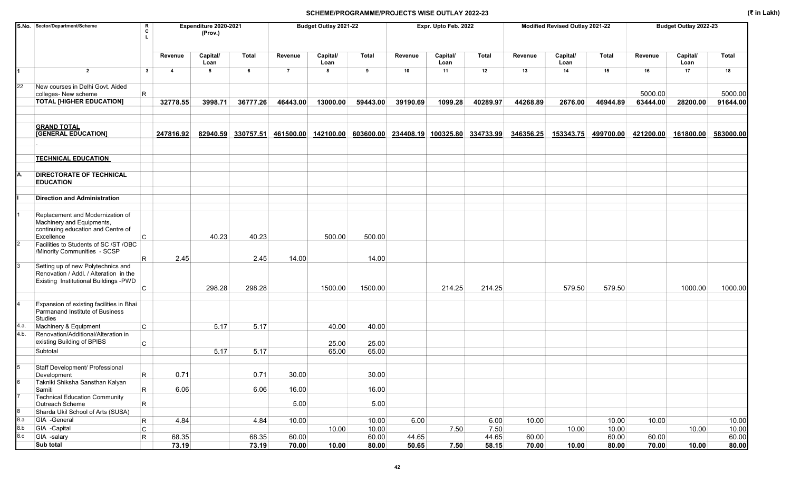| Capital/<br>Capital/<br>Capital/<br>Capital/<br><b>Total</b><br><b>Total</b><br><b>Total</b><br>Capital/<br>Total<br>Revenue<br>Revenue<br>Revenue<br>Revenue<br>Revenue<br>Loan<br>Loan<br>Loan<br>Loan<br>Loan<br>$\overline{2}$<br>$5\phantom{.0}$<br>12<br>17<br>$\mathbf{3}$<br>$\overline{7}$<br>8<br>9<br>10<br>11<br>13<br>14<br>15<br>16<br>$\overline{\bf{4}}$<br>- 6<br>New courses in Delhi Govt. Aided<br>5000.00<br>colleges- New scheme<br>R<br><b>TOTAL [HIGHER EDUCATION]</b><br>36777.26<br>13000.00<br>39190.69<br>44268.89<br>46944.89<br>32778.55<br>3998.71<br>46443.00<br>59443.00<br>1099.28<br>40289.97<br>2676.00<br>63444.00<br>28200.00<br><b>GRAND TOTAL</b><br>334733.99<br><b>[GENERAL EDUCATION]</b><br>247816.92<br>82940.59<br>330757.51<br>461500.00 142100.00<br>603600.00<br>234408.19 100325.80<br>346356.25<br>153343.75<br>499700.00<br>421200.00<br>161800.00<br><b>TECHNICAL EDUCATION</b><br><b>DIRECTORATE OF TECHNICAL</b><br><b>EDUCATION</b><br><b>Direction and Administration</b><br>Replacement and Modernization of<br>Machinery and Equipments,<br>continuing education and Centre of<br>40.23<br>40.23<br>Excellence<br>C<br>500.00<br>500.00<br>Facilities to Students of SC /ST /OBC<br>/Minority Communities - SCSP<br>2.45<br>2.45<br>14.00<br>14.00<br>R<br>Setting up of new Polytechnics and<br>Renovation / Addl. / Alteration in the<br>Existing Institutional Buildings -PWD<br>298.28<br>1500.00<br>1500.00<br>214.25<br>214.25<br>579.50<br>579.50<br>1000.00<br>298.28<br>C<br>Expansion of existing facilities in Bhai<br>Parmanand Institute of Business<br><b>Studies</b><br>Machinery & Equipment<br>$\mathsf{C}$<br>5.17<br>5.17<br>40.00<br>40.00<br>Renovation/Additional/Alteration in<br>existing Building of BPIBS<br>25.00<br>C<br>25.00<br>Subtotal<br>5.17<br>5.17<br>65.00<br>65.00<br>Staff Development/ Professional<br>30.00<br>0.71<br>0.71<br>30.00<br>Development<br>R<br>Takniki Shiksha Sansthan Kalyan<br>$\mathsf{R}$<br>6.06<br>6.06<br>16.00<br>16.00<br>Samiti<br><b>Technical Education Community</b><br>5.00<br>5.00<br>Outreach Scheme<br>R<br>Sharda Ukil School of Arts (SUSA)<br>GIA -General<br>4.84<br>6.00<br>6.00<br>10.00<br>4.84<br>10.00<br>10.00<br>10.00<br>10.00<br>R<br>GIA -Capital<br>10.00<br>7.50<br>10.00<br>10.00<br>10.00<br>C<br>10.00<br>7.50<br>GIA -salary<br>60.00<br>44.65<br>68.35<br>68.35<br>60.00<br>44.65<br>60.00<br>60.00<br>R<br>60.00 | S.No. Sector/Department/Scheme |  |       | Expenditure 2020-2021<br>(Prov.) |       |       | Budget Outlay 2021-22 |       |       | Expr. Upto Feb. 2022 |       |       | Modified Revised Outlay 2021-22 |       |       | Budget Outlay 2022-23 |                |
|---------------------------------------------------------------------------------------------------------------------------------------------------------------------------------------------------------------------------------------------------------------------------------------------------------------------------------------------------------------------------------------------------------------------------------------------------------------------------------------------------------------------------------------------------------------------------------------------------------------------------------------------------------------------------------------------------------------------------------------------------------------------------------------------------------------------------------------------------------------------------------------------------------------------------------------------------------------------------------------------------------------------------------------------------------------------------------------------------------------------------------------------------------------------------------------------------------------------------------------------------------------------------------------------------------------------------------------------------------------------------------------------------------------------------------------------------------------------------------------------------------------------------------------------------------------------------------------------------------------------------------------------------------------------------------------------------------------------------------------------------------------------------------------------------------------------------------------------------------------------------------------------------------------------------------------------------------------------------------------------------------------------------------------------------------------------------------------------------------------------------------------------------------------------------------------------------------------------------------------------------------------------------------------------------------------------------------------------------------------------------------------------------------------------------------------------------------------------------|--------------------------------|--|-------|----------------------------------|-------|-------|-----------------------|-------|-------|----------------------|-------|-------|---------------------------------|-------|-------|-----------------------|----------------|
| 22                                                                                                                                                                                                                                                                                                                                                                                                                                                                                                                                                                                                                                                                                                                                                                                                                                                                                                                                                                                                                                                                                                                                                                                                                                                                                                                                                                                                                                                                                                                                                                                                                                                                                                                                                                                                                                                                                                                                                                                                                                                                                                                                                                                                                                                                                                                                                                                                                                                                        |                                |  |       |                                  |       |       |                       |       |       |                      |       |       |                                 |       |       |                       | Total          |
|                                                                                                                                                                                                                                                                                                                                                                                                                                                                                                                                                                                                                                                                                                                                                                                                                                                                                                                                                                                                                                                                                                                                                                                                                                                                                                                                                                                                                                                                                                                                                                                                                                                                                                                                                                                                                                                                                                                                                                                                                                                                                                                                                                                                                                                                                                                                                                                                                                                                           |                                |  |       |                                  |       |       |                       |       |       |                      |       |       |                                 |       |       |                       | 18             |
|                                                                                                                                                                                                                                                                                                                                                                                                                                                                                                                                                                                                                                                                                                                                                                                                                                                                                                                                                                                                                                                                                                                                                                                                                                                                                                                                                                                                                                                                                                                                                                                                                                                                                                                                                                                                                                                                                                                                                                                                                                                                                                                                                                                                                                                                                                                                                                                                                                                                           |                                |  |       |                                  |       |       |                       |       |       |                      |       |       |                                 |       |       |                       | 5000.00        |
|                                                                                                                                                                                                                                                                                                                                                                                                                                                                                                                                                                                                                                                                                                                                                                                                                                                                                                                                                                                                                                                                                                                                                                                                                                                                                                                                                                                                                                                                                                                                                                                                                                                                                                                                                                                                                                                                                                                                                                                                                                                                                                                                                                                                                                                                                                                                                                                                                                                                           |                                |  |       |                                  |       |       |                       |       |       |                      |       |       |                                 |       |       |                       | 91644.00       |
|                                                                                                                                                                                                                                                                                                                                                                                                                                                                                                                                                                                                                                                                                                                                                                                                                                                                                                                                                                                                                                                                                                                                                                                                                                                                                                                                                                                                                                                                                                                                                                                                                                                                                                                                                                                                                                                                                                                                                                                                                                                                                                                                                                                                                                                                                                                                                                                                                                                                           |                                |  |       |                                  |       |       |                       |       |       |                      |       |       |                                 |       |       |                       |                |
|                                                                                                                                                                                                                                                                                                                                                                                                                                                                                                                                                                                                                                                                                                                                                                                                                                                                                                                                                                                                                                                                                                                                                                                                                                                                                                                                                                                                                                                                                                                                                                                                                                                                                                                                                                                                                                                                                                                                                                                                                                                                                                                                                                                                                                                                                                                                                                                                                                                                           |                                |  |       |                                  |       |       |                       |       |       |                      |       |       |                                 |       |       |                       | 583000.00      |
|                                                                                                                                                                                                                                                                                                                                                                                                                                                                                                                                                                                                                                                                                                                                                                                                                                                                                                                                                                                                                                                                                                                                                                                                                                                                                                                                                                                                                                                                                                                                                                                                                                                                                                                                                                                                                                                                                                                                                                                                                                                                                                                                                                                                                                                                                                                                                                                                                                                                           |                                |  |       |                                  |       |       |                       |       |       |                      |       |       |                                 |       |       |                       |                |
|                                                                                                                                                                                                                                                                                                                                                                                                                                                                                                                                                                                                                                                                                                                                                                                                                                                                                                                                                                                                                                                                                                                                                                                                                                                                                                                                                                                                                                                                                                                                                                                                                                                                                                                                                                                                                                                                                                                                                                                                                                                                                                                                                                                                                                                                                                                                                                                                                                                                           |                                |  |       |                                  |       |       |                       |       |       |                      |       |       |                                 |       |       |                       |                |
| 4.a.<br>4.b.<br>8.a<br>8.b<br>8.c                                                                                                                                                                                                                                                                                                                                                                                                                                                                                                                                                                                                                                                                                                                                                                                                                                                                                                                                                                                                                                                                                                                                                                                                                                                                                                                                                                                                                                                                                                                                                                                                                                                                                                                                                                                                                                                                                                                                                                                                                                                                                                                                                                                                                                                                                                                                                                                                                                         |                                |  |       |                                  |       |       |                       |       |       |                      |       |       |                                 |       |       |                       |                |
|                                                                                                                                                                                                                                                                                                                                                                                                                                                                                                                                                                                                                                                                                                                                                                                                                                                                                                                                                                                                                                                                                                                                                                                                                                                                                                                                                                                                                                                                                                                                                                                                                                                                                                                                                                                                                                                                                                                                                                                                                                                                                                                                                                                                                                                                                                                                                                                                                                                                           |                                |  |       |                                  |       |       |                       |       |       |                      |       |       |                                 |       |       |                       |                |
|                                                                                                                                                                                                                                                                                                                                                                                                                                                                                                                                                                                                                                                                                                                                                                                                                                                                                                                                                                                                                                                                                                                                                                                                                                                                                                                                                                                                                                                                                                                                                                                                                                                                                                                                                                                                                                                                                                                                                                                                                                                                                                                                                                                                                                                                                                                                                                                                                                                                           |                                |  |       |                                  |       |       |                       |       |       |                      |       |       |                                 |       |       |                       |                |
|                                                                                                                                                                                                                                                                                                                                                                                                                                                                                                                                                                                                                                                                                                                                                                                                                                                                                                                                                                                                                                                                                                                                                                                                                                                                                                                                                                                                                                                                                                                                                                                                                                                                                                                                                                                                                                                                                                                                                                                                                                                                                                                                                                                                                                                                                                                                                                                                                                                                           |                                |  |       |                                  |       |       |                       |       |       |                      |       |       |                                 |       |       |                       |                |
|                                                                                                                                                                                                                                                                                                                                                                                                                                                                                                                                                                                                                                                                                                                                                                                                                                                                                                                                                                                                                                                                                                                                                                                                                                                                                                                                                                                                                                                                                                                                                                                                                                                                                                                                                                                                                                                                                                                                                                                                                                                                                                                                                                                                                                                                                                                                                                                                                                                                           |                                |  |       |                                  |       |       |                       |       |       |                      |       |       |                                 |       |       |                       |                |
|                                                                                                                                                                                                                                                                                                                                                                                                                                                                                                                                                                                                                                                                                                                                                                                                                                                                                                                                                                                                                                                                                                                                                                                                                                                                                                                                                                                                                                                                                                                                                                                                                                                                                                                                                                                                                                                                                                                                                                                                                                                                                                                                                                                                                                                                                                                                                                                                                                                                           |                                |  |       |                                  |       |       |                       |       |       |                      |       |       |                                 |       |       |                       |                |
|                                                                                                                                                                                                                                                                                                                                                                                                                                                                                                                                                                                                                                                                                                                                                                                                                                                                                                                                                                                                                                                                                                                                                                                                                                                                                                                                                                                                                                                                                                                                                                                                                                                                                                                                                                                                                                                                                                                                                                                                                                                                                                                                                                                                                                                                                                                                                                                                                                                                           |                                |  |       |                                  |       |       |                       |       |       |                      |       |       |                                 |       |       |                       |                |
|                                                                                                                                                                                                                                                                                                                                                                                                                                                                                                                                                                                                                                                                                                                                                                                                                                                                                                                                                                                                                                                                                                                                                                                                                                                                                                                                                                                                                                                                                                                                                                                                                                                                                                                                                                                                                                                                                                                                                                                                                                                                                                                                                                                                                                                                                                                                                                                                                                                                           |                                |  |       |                                  |       |       |                       |       |       |                      |       |       |                                 |       |       |                       |                |
|                                                                                                                                                                                                                                                                                                                                                                                                                                                                                                                                                                                                                                                                                                                                                                                                                                                                                                                                                                                                                                                                                                                                                                                                                                                                                                                                                                                                                                                                                                                                                                                                                                                                                                                                                                                                                                                                                                                                                                                                                                                                                                                                                                                                                                                                                                                                                                                                                                                                           |                                |  |       |                                  |       |       |                       |       |       |                      |       |       |                                 |       |       |                       |                |
|                                                                                                                                                                                                                                                                                                                                                                                                                                                                                                                                                                                                                                                                                                                                                                                                                                                                                                                                                                                                                                                                                                                                                                                                                                                                                                                                                                                                                                                                                                                                                                                                                                                                                                                                                                                                                                                                                                                                                                                                                                                                                                                                                                                                                                                                                                                                                                                                                                                                           |                                |  |       |                                  |       |       |                       |       |       |                      |       |       |                                 |       |       |                       |                |
|                                                                                                                                                                                                                                                                                                                                                                                                                                                                                                                                                                                                                                                                                                                                                                                                                                                                                                                                                                                                                                                                                                                                                                                                                                                                                                                                                                                                                                                                                                                                                                                                                                                                                                                                                                                                                                                                                                                                                                                                                                                                                                                                                                                                                                                                                                                                                                                                                                                                           |                                |  |       |                                  |       |       |                       |       |       |                      |       |       |                                 |       |       |                       |                |
|                                                                                                                                                                                                                                                                                                                                                                                                                                                                                                                                                                                                                                                                                                                                                                                                                                                                                                                                                                                                                                                                                                                                                                                                                                                                                                                                                                                                                                                                                                                                                                                                                                                                                                                                                                                                                                                                                                                                                                                                                                                                                                                                                                                                                                                                                                                                                                                                                                                                           |                                |  |       |                                  |       |       |                       |       |       |                      |       |       |                                 |       |       |                       | 1000.00        |
|                                                                                                                                                                                                                                                                                                                                                                                                                                                                                                                                                                                                                                                                                                                                                                                                                                                                                                                                                                                                                                                                                                                                                                                                                                                                                                                                                                                                                                                                                                                                                                                                                                                                                                                                                                                                                                                                                                                                                                                                                                                                                                                                                                                                                                                                                                                                                                                                                                                                           |                                |  |       |                                  |       |       |                       |       |       |                      |       |       |                                 |       |       |                       |                |
|                                                                                                                                                                                                                                                                                                                                                                                                                                                                                                                                                                                                                                                                                                                                                                                                                                                                                                                                                                                                                                                                                                                                                                                                                                                                                                                                                                                                                                                                                                                                                                                                                                                                                                                                                                                                                                                                                                                                                                                                                                                                                                                                                                                                                                                                                                                                                                                                                                                                           |                                |  |       |                                  |       |       |                       |       |       |                      |       |       |                                 |       |       |                       |                |
|                                                                                                                                                                                                                                                                                                                                                                                                                                                                                                                                                                                                                                                                                                                                                                                                                                                                                                                                                                                                                                                                                                                                                                                                                                                                                                                                                                                                                                                                                                                                                                                                                                                                                                                                                                                                                                                                                                                                                                                                                                                                                                                                                                                                                                                                                                                                                                                                                                                                           |                                |  |       |                                  |       |       |                       |       |       |                      |       |       |                                 |       |       |                       |                |
|                                                                                                                                                                                                                                                                                                                                                                                                                                                                                                                                                                                                                                                                                                                                                                                                                                                                                                                                                                                                                                                                                                                                                                                                                                                                                                                                                                                                                                                                                                                                                                                                                                                                                                                                                                                                                                                                                                                                                                                                                                                                                                                                                                                                                                                                                                                                                                                                                                                                           |                                |  |       |                                  |       |       |                       |       |       |                      |       |       |                                 |       |       |                       |                |
|                                                                                                                                                                                                                                                                                                                                                                                                                                                                                                                                                                                                                                                                                                                                                                                                                                                                                                                                                                                                                                                                                                                                                                                                                                                                                                                                                                                                                                                                                                                                                                                                                                                                                                                                                                                                                                                                                                                                                                                                                                                                                                                                                                                                                                                                                                                                                                                                                                                                           |                                |  |       |                                  |       |       |                       |       |       |                      |       |       |                                 |       |       |                       |                |
|                                                                                                                                                                                                                                                                                                                                                                                                                                                                                                                                                                                                                                                                                                                                                                                                                                                                                                                                                                                                                                                                                                                                                                                                                                                                                                                                                                                                                                                                                                                                                                                                                                                                                                                                                                                                                                                                                                                                                                                                                                                                                                                                                                                                                                                                                                                                                                                                                                                                           |                                |  |       |                                  |       |       |                       |       |       |                      |       |       |                                 |       |       |                       |                |
|                                                                                                                                                                                                                                                                                                                                                                                                                                                                                                                                                                                                                                                                                                                                                                                                                                                                                                                                                                                                                                                                                                                                                                                                                                                                                                                                                                                                                                                                                                                                                                                                                                                                                                                                                                                                                                                                                                                                                                                                                                                                                                                                                                                                                                                                                                                                                                                                                                                                           |                                |  |       |                                  |       |       |                       |       |       |                      |       |       |                                 |       |       |                       |                |
|                                                                                                                                                                                                                                                                                                                                                                                                                                                                                                                                                                                                                                                                                                                                                                                                                                                                                                                                                                                                                                                                                                                                                                                                                                                                                                                                                                                                                                                                                                                                                                                                                                                                                                                                                                                                                                                                                                                                                                                                                                                                                                                                                                                                                                                                                                                                                                                                                                                                           |                                |  |       |                                  |       |       |                       |       |       |                      |       |       |                                 |       |       |                       |                |
|                                                                                                                                                                                                                                                                                                                                                                                                                                                                                                                                                                                                                                                                                                                                                                                                                                                                                                                                                                                                                                                                                                                                                                                                                                                                                                                                                                                                                                                                                                                                                                                                                                                                                                                                                                                                                                                                                                                                                                                                                                                                                                                                                                                                                                                                                                                                                                                                                                                                           |                                |  |       |                                  |       |       |                       |       |       |                      |       |       |                                 |       |       |                       |                |
|                                                                                                                                                                                                                                                                                                                                                                                                                                                                                                                                                                                                                                                                                                                                                                                                                                                                                                                                                                                                                                                                                                                                                                                                                                                                                                                                                                                                                                                                                                                                                                                                                                                                                                                                                                                                                                                                                                                                                                                                                                                                                                                                                                                                                                                                                                                                                                                                                                                                           |                                |  |       |                                  |       |       |                       |       |       |                      |       |       |                                 |       |       |                       |                |
|                                                                                                                                                                                                                                                                                                                                                                                                                                                                                                                                                                                                                                                                                                                                                                                                                                                                                                                                                                                                                                                                                                                                                                                                                                                                                                                                                                                                                                                                                                                                                                                                                                                                                                                                                                                                                                                                                                                                                                                                                                                                                                                                                                                                                                                                                                                                                                                                                                                                           |                                |  |       |                                  |       |       |                       |       |       |                      |       |       |                                 |       |       |                       |                |
|                                                                                                                                                                                                                                                                                                                                                                                                                                                                                                                                                                                                                                                                                                                                                                                                                                                                                                                                                                                                                                                                                                                                                                                                                                                                                                                                                                                                                                                                                                                                                                                                                                                                                                                                                                                                                                                                                                                                                                                                                                                                                                                                                                                                                                                                                                                                                                                                                                                                           |                                |  |       |                                  |       |       |                       |       |       |                      |       |       |                                 |       |       |                       |                |
|                                                                                                                                                                                                                                                                                                                                                                                                                                                                                                                                                                                                                                                                                                                                                                                                                                                                                                                                                                                                                                                                                                                                                                                                                                                                                                                                                                                                                                                                                                                                                                                                                                                                                                                                                                                                                                                                                                                                                                                                                                                                                                                                                                                                                                                                                                                                                                                                                                                                           |                                |  |       |                                  |       |       |                       |       |       |                      |       |       |                                 |       |       |                       |                |
|                                                                                                                                                                                                                                                                                                                                                                                                                                                                                                                                                                                                                                                                                                                                                                                                                                                                                                                                                                                                                                                                                                                                                                                                                                                                                                                                                                                                                                                                                                                                                                                                                                                                                                                                                                                                                                                                                                                                                                                                                                                                                                                                                                                                                                                                                                                                                                                                                                                                           |                                |  |       |                                  |       |       |                       |       |       |                      |       |       |                                 |       |       |                       |                |
|                                                                                                                                                                                                                                                                                                                                                                                                                                                                                                                                                                                                                                                                                                                                                                                                                                                                                                                                                                                                                                                                                                                                                                                                                                                                                                                                                                                                                                                                                                                                                                                                                                                                                                                                                                                                                                                                                                                                                                                                                                                                                                                                                                                                                                                                                                                                                                                                                                                                           |                                |  |       |                                  |       |       |                       |       |       |                      |       |       |                                 |       |       |                       | 10.00          |
|                                                                                                                                                                                                                                                                                                                                                                                                                                                                                                                                                                                                                                                                                                                                                                                                                                                                                                                                                                                                                                                                                                                                                                                                                                                                                                                                                                                                                                                                                                                                                                                                                                                                                                                                                                                                                                                                                                                                                                                                                                                                                                                                                                                                                                                                                                                                                                                                                                                                           |                                |  |       |                                  |       |       |                       |       |       |                      |       |       |                                 |       |       |                       | 10.00          |
|                                                                                                                                                                                                                                                                                                                                                                                                                                                                                                                                                                                                                                                                                                                                                                                                                                                                                                                                                                                                                                                                                                                                                                                                                                                                                                                                                                                                                                                                                                                                                                                                                                                                                                                                                                                                                                                                                                                                                                                                                                                                                                                                                                                                                                                                                                                                                                                                                                                                           | Sub total                      |  | 73.19 |                                  | 73.19 | 70.00 | 10.00                 | 80.00 | 50.65 | 7.50                 | 58.15 | 70.00 | 10.00                           | 80.00 | 70.00 | 10.00                 | 60.00<br>80.00 |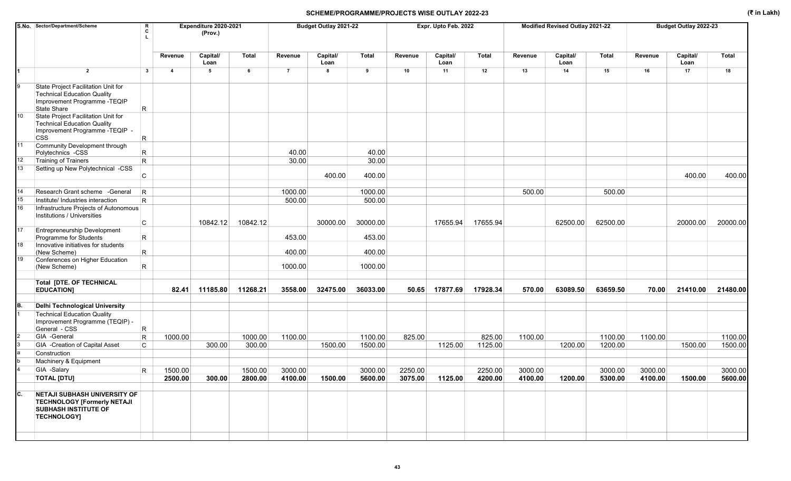|     | S.No. Sector/Department/Scheme                                                                                                   | R<br>C      |                | Expenditure 2020-2021<br>(Prov.) |          |                | Budget Outlay 2021-22 |          |         | Expr. Upto Feb. 2022 |          |         | Modified Revised Outlay 2021-22 |              |         | Budget Outlay 2022-23 |          |
|-----|----------------------------------------------------------------------------------------------------------------------------------|-------------|----------------|----------------------------------|----------|----------------|-----------------------|----------|---------|----------------------|----------|---------|---------------------------------|--------------|---------|-----------------------|----------|
|     |                                                                                                                                  |             | Revenue        | Capital/<br>Loan                 | Total    | Revenue        | Capital/<br>Loan      | Total    | Revenue | Capital/<br>Loan     | Total    | Revenue | Capital/<br>Loan                | <b>Total</b> | Revenue | Capital/<br>Loan      | Total    |
|     | $\overline{2}$                                                                                                                   | 3           | $\overline{4}$ | 5                                | 6        | $\overline{7}$ | 8                     | 9        | 10      | 11                   | 12       | 13      | 14                              | 15           | 16      | 17                    | 18       |
| 9   | State Project Facilitation Unit for<br><b>Technical Education Quality</b><br>Improvement Programme - TEQIP<br><b>State Share</b> | R           |                |                                  |          |                |                       |          |         |                      |          |         |                                 |              |         |                       |          |
| 10  | State Project Facilitation Unit for<br><b>Technical Education Quality</b><br>Improvement Programme -TEQIP -<br><b>CSS</b>        | R           |                |                                  |          |                |                       |          |         |                      |          |         |                                 |              |         |                       |          |
| 11  | Community Development through<br>Polytechnics -CSS                                                                               | R           |                |                                  |          | 40.00          |                       | 40.00    |         |                      |          |         |                                 |              |         |                       |          |
| 12  | Training of Trainers                                                                                                             | $\mathsf R$ |                |                                  |          | 30.00          |                       | 30.00    |         |                      |          |         |                                 |              |         |                       |          |
| 13  | Setting up New Polytechnical -CSS                                                                                                | C           |                |                                  |          |                | 400.00                | 400.00   |         |                      |          |         |                                 |              |         | 400.00                | 400.00   |
| 14  | Research Grant scheme - General                                                                                                  | R           |                |                                  |          | 1000.00        |                       | 1000.00  |         |                      |          | 500.00  |                                 | 500.00       |         |                       |          |
| 15  | Institute/ Industries interaction                                                                                                | R.          |                |                                  |          | 500.00         |                       | 500.00   |         |                      |          |         |                                 |              |         |                       |          |
| 16  |                                                                                                                                  |             |                |                                  |          |                |                       |          |         |                      |          |         |                                 |              |         |                       |          |
|     | Infrastructure Projects of Autonomous<br>Institutions / Universities                                                             | C           |                | 10842.12                         | 10842.12 |                | 30000.00              | 30000.00 |         | 17655.94             | 17655.94 |         | 62500.00                        | 62500.00     |         | 20000.00              | 20000.00 |
| 17  | <b>Entrepreneurship Development</b>                                                                                              |             |                |                                  |          |                |                       |          |         |                      |          |         |                                 |              |         |                       |          |
|     | Programme for Students                                                                                                           | R           |                |                                  |          | 453.00         |                       | 453.00   |         |                      |          |         |                                 |              |         |                       |          |
| 18  | Innovative initiatives for students                                                                                              |             |                |                                  |          |                |                       |          |         |                      |          |         |                                 |              |         |                       |          |
|     | (New Scheme)                                                                                                                     | $\mathsf R$ |                |                                  |          | 400.00         |                       | 400.00   |         |                      |          |         |                                 |              |         |                       |          |
| 19  | Conferences on Higher Education<br>(New Scheme)                                                                                  | R           |                |                                  |          | 1000.00        |                       | 1000.00  |         |                      |          |         |                                 |              |         |                       |          |
|     | <b>Total [DTE. OF TECHNICAL</b><br><b>EDUCATION]</b>                                                                             |             | 82.41          | 11185.80                         | 11268.21 | 3558.00        | 32475.00              | 36033.00 | 50.65   | 17877.69             | 17928.34 | 570.00  | 63089.50                        | 63659.50     | 70.00   | 21410.00              | 21480.00 |
| IB. | <b>Delhi Technological University</b>                                                                                            |             |                |                                  |          |                |                       |          |         |                      |          |         |                                 |              |         |                       |          |
|     | <b>Technical Education Quality</b><br>Improvement Programme (TEQIP) -<br>General - CSS                                           | R           |                |                                  |          |                |                       |          |         |                      |          |         |                                 |              |         |                       |          |
|     | GIA -General                                                                                                                     | $\vert$ R   | 1000.00        |                                  | 1000.00  | 1100.00        |                       | 1100.00  | 825.00  |                      | 825.00   | 1100.00 |                                 | 1100.00      | 1100.00 |                       | 1100.00  |
|     | GIA -Creation of Capital Asset                                                                                                   | C           |                | 300.00                           | 300.00   |                | 1500.00               | 1500.00  |         | 1125.00              | 1125.00  |         | 1200.00                         | 1200.00      |         | 1500.00               | 1500.00  |
|     | Construction                                                                                                                     |             |                |                                  |          |                |                       |          |         |                      |          |         |                                 |              |         |                       |          |
|     | Machinery & Equipment                                                                                                            |             |                |                                  |          |                |                       |          |         |                      |          |         |                                 |              |         |                       |          |
|     | GIA -Salary                                                                                                                      | R           | 1500.00        |                                  | 1500.00  | 3000.00        |                       | 3000.00  | 2250.00 |                      | 2250.00  | 3000.00 |                                 | 3000.00      | 3000.00 |                       | 3000.00  |
|     | <b>TOTAL [DTU]</b>                                                                                                               |             | 2500.00        | 300.00                           | 2800.00  | 4100.00        | 1500.00               | 5600.00  | 3075.00 | 1125.00              | 4200.00  | 4100.00 | 1200.00                         | 5300.00      | 4100.00 | 1500.00               | 5600.00  |
| C.  | <b>NETAJI SUBHASH UNIVERSITY OF</b><br><b>TECHNOLOGY [Formerly NETAJI</b><br><b>SUBHASH INSTITUTE OF</b><br><b>TECHNOLOGY]</b>   |             |                |                                  |          |                |                       |          |         |                      |          |         |                                 |              |         |                       |          |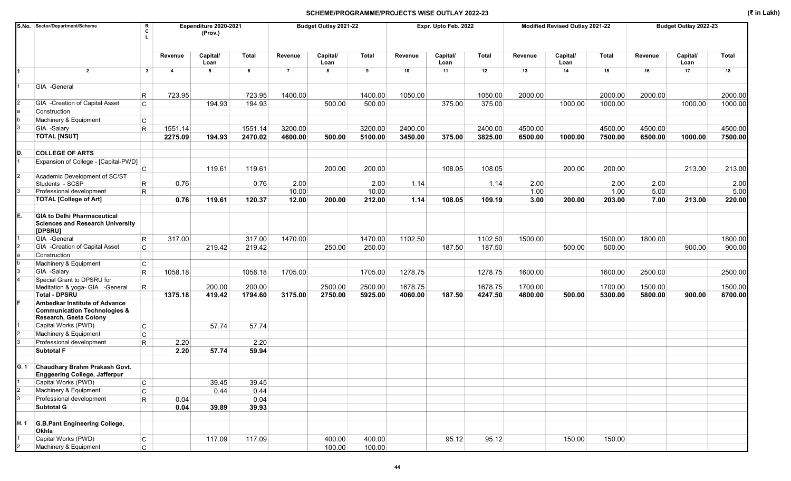|      | S.No. Sector/Department/Scheme                                                                     | R<br>C<br>Τ. |                | Expenditure 2020-2021<br>(Prov.) |              |                | Budget Outlay 2021-22 |              |         | Expr. Upto Feb. 2022 |              |         | Modified Revised Outlay 2021-22 |              |         | Budget Outlay 2022-23 |         |
|------|----------------------------------------------------------------------------------------------------|--------------|----------------|----------------------------------|--------------|----------------|-----------------------|--------------|---------|----------------------|--------------|---------|---------------------------------|--------------|---------|-----------------------|---------|
|      |                                                                                                    |              | Revenue        | Capital/<br>Loan                 | <b>Total</b> | Revenue        | Capital/<br>Loan      | <b>Total</b> | Revenue | Capital/<br>Loan     | <b>Total</b> | Revenue | Capital/<br>Loan                | <b>Total</b> | Revenue | Capital/<br>Loan      | Total   |
|      | $\overline{2}$                                                                                     | 3            | $\overline{4}$ | 5                                | 6            | $\overline{7}$ | 8                     | 9            | 10      | 11                   | 12           | 13      | 14                              | 15           | 16      | 17                    | 18      |
|      | GIA -General                                                                                       |              |                |                                  |              |                |                       |              |         |                      |              |         |                                 |              |         |                       |         |
|      |                                                                                                    | R            | 723.95         |                                  | 723.95       | 1400.00        |                       | 1400.00      | 1050.00 |                      | 1050.00      | 2000.00 |                                 | 2000.00      | 2000.00 |                       | 2000.00 |
|      | GIA - Creation of Capital Asset                                                                    | C            |                | 194.93                           | 194.93       |                | 500.00                | 500.00       |         | 375.00               | 375.00       |         | 1000.00                         | 1000.00      |         | 1000.00               | 1000.00 |
|      | Construction                                                                                       |              |                |                                  |              |                |                       |              |         |                      |              |         |                                 |              |         |                       |         |
|      | Machinery & Equipment                                                                              | $\mathsf{C}$ |                |                                  |              |                |                       |              |         |                      |              |         |                                 |              |         |                       |         |
|      | GIA -Salary                                                                                        | $\mathsf{R}$ | 1551.14        |                                  | 1551.14      | 3200.00        |                       | 3200.00      | 2400.00 |                      | 2400.00      | 4500.00 |                                 | 4500.00      | 4500.00 |                       | 4500.00 |
|      | <b>TOTAL [NSUT]</b>                                                                                |              | 2275.09        | 194.93                           | 2470.02      | 4600.00        | 500.00                | 5100.00      | 3450.00 | 375.00               | 3825.00      | 6500.00 | 1000.00                         | 7500.00      | 6500.00 | 1000.00               | 7500.00 |
|      |                                                                                                    |              |                |                                  |              |                |                       |              |         |                      |              |         |                                 |              |         |                       |         |
| D.   | <b>COLLEGE OF ARTS</b>                                                                             |              |                |                                  |              |                |                       |              |         |                      |              |         |                                 |              |         |                       |         |
|      | Expansion of College - [Capital-PWD]                                                               |              |                |                                  |              |                |                       |              |         |                      |              |         |                                 |              |         |                       |         |
|      |                                                                                                    | $\mathsf{C}$ |                | 119.61                           | 119.61       |                | 200.00                | 200.00       |         | 108.05               | 108.05       |         | 200.00                          | 200.00       |         | 213.00                | 213.00  |
|      | Academic Development of SC/ST<br>Students - SCSP                                                   | R            | 0.76           |                                  | 0.76         | 2.00           |                       | 2.00         | 1.14    |                      | 1.14         | 2.00    |                                 | 2.00         | 2.00    |                       | 2.00    |
|      | Professional development                                                                           | $\mathsf{R}$ |                |                                  |              | 10.00          |                       | 10.00        |         |                      |              | 1.00    |                                 | 1.00         | 5.00    |                       | 5.00    |
|      | <b>TOTAL [College of Art]</b>                                                                      |              | 0.76           | 119.61                           | 120.37       | 12.00          | 200.00                | 212.00       | 1.14    | 108.05               | 109.19       | 3.00    | 200.00                          | 203.00       | 7.00    | 213.00                | 220.00  |
|      |                                                                                                    |              |                |                                  |              |                |                       |              |         |                      |              |         |                                 |              |         |                       |         |
| E.   | <b>GIA to Delhi Pharmaceutical</b><br><b>Sciences and Research University</b><br>[DPSRU]           |              |                |                                  |              |                |                       |              |         |                      |              |         |                                 |              |         |                       |         |
|      | GIA -General                                                                                       | R            | 317.00         |                                  | 317.00       | 1470.00        |                       | 1470.00      | 1102.50 |                      | 1102.50      | 1500.00 |                                 | 1500.00      | 1800.00 |                       | 1800.00 |
|      | GIA -Creation of Capital Asset                                                                     | $\mathsf{C}$ |                | 219.42                           | 219.42       |                | 250.00                | 250.00       |         | 187.50               | 187.50       |         | 500.00                          | 500.00       |         | 900.00                | 900.00  |
|      | Construction                                                                                       |              |                |                                  |              |                |                       |              |         |                      |              |         |                                 |              |         |                       |         |
|      | Machinery & Equipment                                                                              | C            |                |                                  |              |                |                       |              |         |                      |              |         |                                 |              |         |                       |         |
|      | GIA -Salary                                                                                        | R.           | 1058.18        |                                  | 1058.18      | 1705.00        |                       | 1705.00      | 1278.75 |                      | 1278.75      | 1600.00 |                                 | 1600.00      | 2500.00 |                       | 2500.00 |
|      | Special Grant to DPSRU for                                                                         |              |                |                                  |              |                |                       |              |         |                      |              |         |                                 |              |         |                       |         |
|      | Meditation & yoga- GIA - General                                                                   | R            |                | 200.00                           | 200.00       |                | 2500.00               | 2500.00      | 1678.75 |                      | 1678.75      | 1700.00 |                                 | 1700.00      | 1500.00 |                       | 1500.00 |
|      | <b>Total - DPSRU</b>                                                                               |              | 1375.18        | 419.42                           | 1794.60      | 3175.00        | 2750.00               | 5925.00      | 4060.00 | 187.50               | 4247.50      | 4800.00 | 500.00                          | 5300.00      | 5800.00 | 900.00                | 6700.00 |
|      | Ambedkar Institute of Advance<br><b>Communication Technologies &amp;</b><br>Research, Geeta Colony |              |                |                                  |              |                |                       |              |         |                      |              |         |                                 |              |         |                       |         |
|      | Capital Works (PWD)                                                                                | $\mathsf{C}$ |                | 57.74                            | 57.74        |                |                       |              |         |                      |              |         |                                 |              |         |                       |         |
|      | Machinery & Equipment                                                                              | C            |                |                                  |              |                |                       |              |         |                      |              |         |                                 |              |         |                       |         |
|      | Professional development                                                                           | R            | 2.20           |                                  | 2.20         |                |                       |              |         |                      |              |         |                                 |              |         |                       |         |
|      | <b>Subtotal F</b>                                                                                  |              | 2.20           | 57.74                            | 59.94        |                |                       |              |         |                      |              |         |                                 |              |         |                       |         |
|      | G. 1 Chaudhary Brahm Prakash Govt.<br><b>Enggeering College, Jafferpur</b>                         |              |                |                                  |              |                |                       |              |         |                      |              |         |                                 |              |         |                       |         |
|      | Capital Works (PWD)                                                                                | $\mathsf{C}$ |                | 39.45                            | 39.45        |                |                       |              |         |                      |              |         |                                 |              |         |                       |         |
|      | Machinery & Equipment                                                                              | $\mathsf C$  |                | 0.44                             | 0.44         |                |                       |              |         |                      |              |         |                                 |              |         |                       |         |
| 3    | Professional development                                                                           | R            | 0.04           |                                  | 0.04         |                |                       |              |         |                      |              |         |                                 |              |         |                       |         |
|      | <b>Subtotal G</b>                                                                                  |              | 0.04           | 39.89                            | 39.93        |                |                       |              |         |                      |              |         |                                 |              |         |                       |         |
|      |                                                                                                    |              |                |                                  |              |                |                       |              |         |                      |              |         |                                 |              |         |                       |         |
| H. 1 | <b>G.B.Pant Engineering College,</b><br>Okhla                                                      |              |                |                                  |              |                |                       |              |         |                      |              |         |                                 |              |         |                       |         |
|      | Capital Works (PWD)                                                                                | $\mathsf{C}$ |                | 117.09                           | 117.09       |                | 400.00                | 400.00       |         | 95.12                | 95.12        |         | 150.00                          | 150.00       |         |                       |         |
|      | Machinery & Equipment                                                                              | $\mathsf{C}$ |                |                                  |              |                | 100.00                | 100.00       |         |                      |              |         |                                 |              |         |                       |         |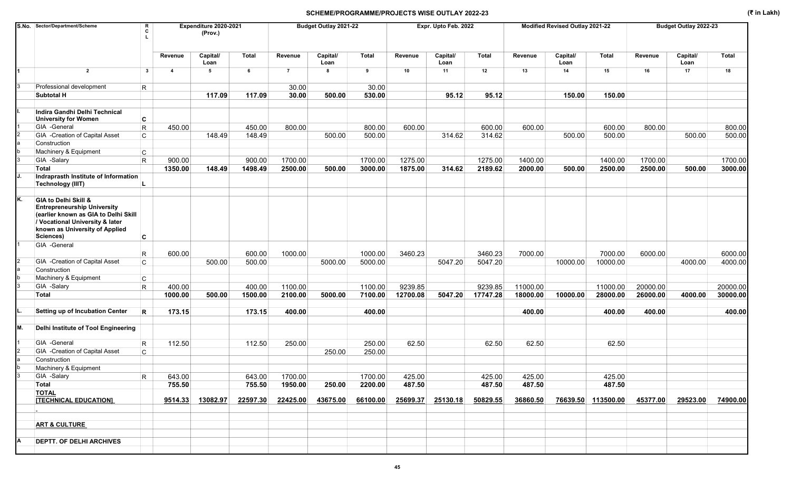|    | S.No. Sector/Department/Scheme                                                                                                                                                       | R<br>C<br>L             |                | Expenditure 2020-2021<br>(Prov.) |              |                | Budget Outlay 2021-22 |              |          | Expr. Upto Feb. 2022 |          |          | Modified Revised Outlay 2021-22 |           |          | Budget Outlay 2022-23 |              |
|----|--------------------------------------------------------------------------------------------------------------------------------------------------------------------------------------|-------------------------|----------------|----------------------------------|--------------|----------------|-----------------------|--------------|----------|----------------------|----------|----------|---------------------------------|-----------|----------|-----------------------|--------------|
|    |                                                                                                                                                                                      |                         | Revenue        | Capital/<br>Loan                 | <b>Total</b> | Revenue        | Capital/<br>Loan      | <b>Total</b> | Revenue  | Capital/<br>Loan     | Total    | Revenue  | Capital/<br>Loan                | Total     | Revenue  | Capital/<br>Loan      | <b>Total</b> |
|    | $\overline{2}$                                                                                                                                                                       | 3                       | $\overline{4}$ | 5                                | 6            | $\overline{7}$ | 8                     | 9            | 10       | 11                   | 12       | 13       | 14                              | 15        | 16       | 17                    | 18           |
|    | Professional development                                                                                                                                                             | R                       |                |                                  |              | 30.00          |                       | 30.00        |          |                      |          |          |                                 |           |          |                       |              |
|    | <b>Subtotal H</b>                                                                                                                                                                    |                         |                | 117.09                           | 117.09       | 30.00          | 500.00                | 530.00       |          | 95.12                | 95.12    |          | 150.00                          | 150.00    |          |                       |              |
|    | Indira Gandhi Delhi Technical<br><b>University for Women</b>                                                                                                                         | C                       |                |                                  |              |                |                       |              |          |                      |          |          |                                 |           |          |                       |              |
|    | GIA -General                                                                                                                                                                         | $\mathsf{R}$            | 450.00         |                                  | 450.00       | 800.00         |                       | 800.00       | 600.00   |                      | 600.00   | 600.00   |                                 | 600.00    | 800.00   |                       | 800.00       |
|    | GIA - Creation of Capital Asset                                                                                                                                                      | $\mathsf{C}$            |                | 148.49                           | 148.49       |                | 500.00                | 500.00       |          | 314.62               | 314.62   |          | 500.00                          | 500.00    |          | 500.00                | 500.00       |
|    | Construction                                                                                                                                                                         |                         |                |                                  |              |                |                       |              |          |                      |          |          |                                 |           |          |                       |              |
|    | Machinery & Equipment                                                                                                                                                                | $\mathsf{C}$            |                |                                  |              |                |                       |              |          |                      |          |          |                                 |           |          |                       |              |
|    | GIA -Salary                                                                                                                                                                          | R                       | 900.00         |                                  | 900.00       | 1700.00        |                       | 1700.00      | 1275.00  |                      | 1275.00  | 1400.00  |                                 | 1400.00   | 1700.00  |                       | 1700.00      |
|    | <b>Total</b>                                                                                                                                                                         |                         | 1350.00        | 148.49                           | 1498.49      | 2500.00        | 500.00                | 3000.00      | 1875.00  | 314.62               | 2189.62  | 2000.00  | 500.00                          | 2500.00   | 2500.00  | 500.00                | 3000.00      |
|    | Indraprasth Institute of Information<br><b>Technology (IIIT)</b>                                                                                                                     |                         |                |                                  |              |                |                       |              |          |                      |          |          |                                 |           |          |                       |              |
| K. | GIA to Delhi Skill &<br><b>Entrepreneurship University</b><br>(earlier known as GIA to Delhi Skill<br>/ Vocational University & later<br>known as University of Applied<br>Sciences) | C                       |                |                                  |              |                |                       |              |          |                      |          |          |                                 |           |          |                       |              |
|    | GIA -General                                                                                                                                                                         |                         |                |                                  |              |                |                       |              |          |                      |          |          |                                 |           |          |                       |              |
|    |                                                                                                                                                                                      | R                       | 600.00         |                                  | 600.00       | 1000.00        |                       | 1000.00      | 3460.23  |                      | 3460.23  | 7000.00  |                                 | 7000.00   | 6000.00  |                       | 6000.00      |
|    | GIA -Creation of Capital Asset                                                                                                                                                       | $\mathsf{C}$            |                | 500.00                           | 500.00       |                | 5000.00               | 5000.00      |          | 5047.20              | 5047.20  |          | 10000.00                        | 10000.00  |          | 4000.00               | 4000.00      |
|    | Construction                                                                                                                                                                         |                         |                |                                  |              |                |                       |              |          |                      |          |          |                                 |           |          |                       |              |
|    | Machinery & Equipment                                                                                                                                                                | $\mathsf{C}$            |                |                                  |              |                |                       |              |          |                      |          |          |                                 |           |          |                       |              |
|    | GIA -Salary                                                                                                                                                                          | R                       | 400.00         |                                  | 400.00       | 1100.00        |                       | 1100.00      | 9239.85  |                      | 9239.85  | 11000.00 |                                 | 11000.00  | 20000.00 |                       | 20000.00     |
|    | <b>Total</b>                                                                                                                                                                         |                         | 1000.00        | 500.00                           | 1500.00      | 2100.00        | 5000.00               | 7100.00      | 12700.08 | 5047.20              | 17747.28 | 18000.00 | 10000.00                        | 28000.00  | 26000.00 | 4000.00               | 30000.00     |
|    | Setting up of Incubation Center                                                                                                                                                      | R                       | 173.15         |                                  | 173.15       | 400.00         |                       | 400.00       |          |                      |          | 400.00   |                                 | 400.00    | 400.00   |                       | 400.00       |
| М. | Delhi Institute of Tool Engineering                                                                                                                                                  |                         |                |                                  |              |                |                       |              |          |                      |          |          |                                 |           |          |                       |              |
|    | GIA -General                                                                                                                                                                         | $\overline{\mathsf{R}}$ | 112.50         |                                  | 112.50       | 250.00         |                       | 250.00       | 62.50    |                      | 62.50    | 62.50    |                                 | 62.50     |          |                       |              |
|    | GIA - Creation of Capital Asset                                                                                                                                                      | C                       |                |                                  |              |                | 250.00                | 250.00       |          |                      |          |          |                                 |           |          |                       |              |
|    | Construction                                                                                                                                                                         |                         |                |                                  |              |                |                       |              |          |                      |          |          |                                 |           |          |                       |              |
|    | Machinery & Equipment                                                                                                                                                                |                         |                |                                  |              |                |                       |              |          |                      |          |          |                                 |           |          |                       |              |
|    | GIA -Salary                                                                                                                                                                          | R                       | 643.00         |                                  | 643.00       | 1700.00        |                       | 1700.00      | 425.00   |                      | 425.00   | 425.00   |                                 | 425.00    |          |                       |              |
|    | Total                                                                                                                                                                                |                         | 755.50         |                                  | 755.50       | 1950.00        | 250.00                | 2200.00      | 487.50   |                      | 487.50   | 487.50   |                                 | 487.50    |          |                       |              |
|    | <b>TOTAL</b><br><b>[TECHNICAL EDUCATION]</b>                                                                                                                                         |                         | 9514.33        | 13082.97                         | 22597.30     | 22425.00       | 43675.00              | 66100.00     | 25699.37 | 25130.18             | 50829.55 | 36860.50 | 76639.50                        | 113500.00 | 45377.00 | 29523.00              | 74900.00     |
|    |                                                                                                                                                                                      |                         |                |                                  |              |                |                       |              |          |                      |          |          |                                 |           |          |                       |              |
|    | <b>ART &amp; CULTURE</b>                                                                                                                                                             |                         |                |                                  |              |                |                       |              |          |                      |          |          |                                 |           |          |                       |              |
|    | <b>DEPTT. OF DELHI ARCHIVES</b>                                                                                                                                                      |                         |                |                                  |              |                |                       |              |          |                      |          |          |                                 |           |          |                       |              |
|    |                                                                                                                                                                                      |                         |                |                                  |              |                |                       |              |          |                      |          |          |                                 |           |          |                       |              |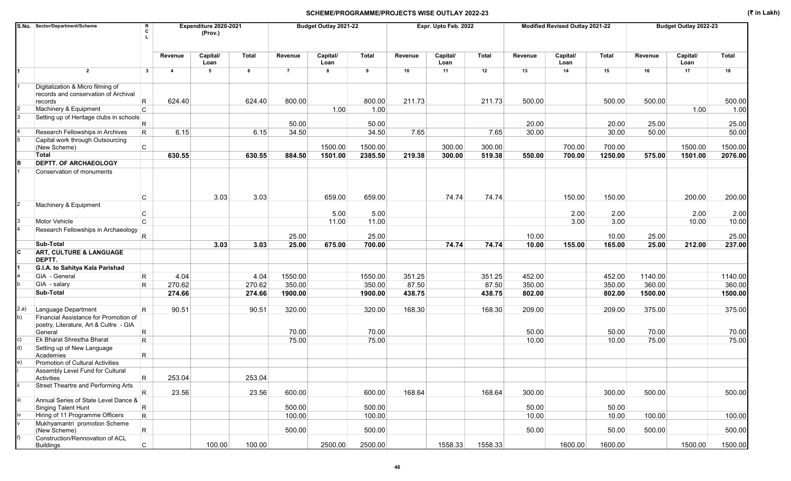|      | S.No. Sector/Department/Scheme                                                             |                 |                | Expenditure 2020-2021<br>(Prov.) |              |                | Budget Outlay 2021-22 |              |         | Expr. Upto Feb. 2022 |              |         | Modified Revised Outlay 2021-22 |         |         | Budget Outlay 2022-23 |              |
|------|--------------------------------------------------------------------------------------------|-----------------|----------------|----------------------------------|--------------|----------------|-----------------------|--------------|---------|----------------------|--------------|---------|---------------------------------|---------|---------|-----------------------|--------------|
|      |                                                                                            |                 | Revenue        | Capital/<br>Loan                 | <b>Total</b> | Revenue        | Capital/<br>Loan      | <b>Total</b> | Revenue | Capital/<br>Loan     | <b>Total</b> | Revenue | Capital/<br>Loan                | Total   | Revenue | Capital/<br>Loan      | <b>Total</b> |
|      | $\overline{2}$                                                                             | $\mathbf{3}$    | $\overline{4}$ | 5                                | 6            | $\overline{7}$ | 8                     | 9            | 10      | 11                   | 12           | 13      | 14                              | 15      | 16      | 17                    | 18           |
|      | Digitalization & Micro filming of<br>records and conservation of Archival<br>records       | R               | 624.40         |                                  | 624.40       | 800.00         |                       | 800.00       | 211.73  |                      | 211.73       | 500.00  |                                 | 500.00  | 500.00  |                       | 500.00       |
|      | Machinery & Equipment                                                                      | $\mathsf{C}$    |                |                                  |              |                | 1.00                  | 1.00         |         |                      |              |         |                                 |         |         | 1.00                  | 1.00         |
|      | Setting up of Heritage clubs in schools                                                    | R               |                |                                  |              | 50.00          |                       | 50.00        |         |                      |              | 20.00   |                                 | 20.00   | 25.00   |                       | 25.00        |
|      | Research Fellowships in Archives                                                           | R               | 6.15           |                                  | 6.15         | 34.50          |                       | 34.50        | 7.65    |                      | 7.65         | 30.00   |                                 | 30.00   | 50.00   |                       | 50.00        |
|      | Capital work through Outsourcing                                                           | C               |                |                                  |              |                | 1500.00               | 1500.00      |         | 300.00               | 300.00       |         | 700.00                          | 700.00  |         | 1500.00               | 1500.00      |
|      | (New Scheme)<br>Total                                                                      |                 | 630.55         |                                  | 630.55       | 884.50         | 1501.00               | 2385.50      | 219.38  | 300.00               | 519.38       | 550.00  | 700.00                          | 1250.00 | 575.00  | 1501.00               | 2076.00      |
|      | <b>DEPTT. OF ARCHAEOLOGY</b>                                                               |                 |                |                                  |              |                |                       |              |         |                      |              |         |                                 |         |         |                       |              |
|      | Conservation of monuments                                                                  | С               |                | 3.03                             | 3.03         |                | 659.00                | 659.00       |         | 74.74                | 74.74        |         | 150.00                          | 150.00  |         | 200.00                | 200.00       |
|      | Machinery & Equipment                                                                      | С               |                |                                  |              |                | 5.00                  | 5.00         |         |                      |              |         | 2.00                            | 2.00    |         | 2.00                  | 2.00         |
|      | Motor Vehicle                                                                              | $\mathsf{C}$    |                |                                  |              |                | 11.00                 | 11.00        |         |                      |              |         | 3.00                            | 3.00    |         | 10.00                 | 10.00        |
|      | Research Fellowships in Archaeology                                                        |                 |                |                                  |              | 25.00          |                       | 25.00        |         |                      |              | 10.00   |                                 | 10.00   | 25.00   |                       | 25.00        |
|      | Sub-Total                                                                                  | R               |                | 3.03                             | 3.03         | 25.00          | 675.00                | 700.00       |         | 74.74                | 74.74        | 10.00   | 155.00                          | 165.00  | 25.00   | 212.00                | 237.00       |
|      | ART, CULTURE & LANGUAGE<br>DEPTT.                                                          |                 |                |                                  |              |                |                       |              |         |                      |              |         |                                 |         |         |                       |              |
|      | G.I.A. to Sahitya Kala Parishad                                                            |                 |                |                                  |              |                |                       |              |         |                      |              |         |                                 |         |         |                       |              |
|      | GIA - General                                                                              | R.              | 4.04           |                                  | 4.04         | 1550.00        |                       | 1550.00      | 351.25  |                      | 351.25       | 452.00  |                                 | 452.00  | 1140.00 |                       | 1140.00      |
|      | GIA - salary                                                                               | R.              | 270.62         |                                  | 270.62       | 350.00         |                       | 350.00       | 87.50   |                      | 87.50        | 350.00  |                                 | 350.00  | 360.00  |                       | 360.00       |
|      | Sub-Total                                                                                  |                 | 274.66         |                                  | 274.66       | 1900.00        |                       | 1900.00      | 438.75  |                      | 438.75       | 802.00  |                                 | 802.00  | 1500.00 |                       | 1500.00      |
| 2.a) | Language Department                                                                        | R.              | 90.51          |                                  | 90.51        | 320.00         |                       | 320.00       | 168.30  |                      | 168.30       | 209.00  |                                 | 209.00  | 375.00  |                       | 375.00       |
| b)   | Financial Assistance for Promotion of<br>poetry, Literature, Art & Cultre - GIA<br>General | R.              |                |                                  |              | 70.00          |                       | 70.00        |         |                      |              | 50.00   |                                 | 50.00   | 70.00   |                       | 70.00        |
| c)   | <b>Ek Bharat Shrestha Bharat</b>                                                           | $\mathsf{R}$    |                |                                  |              | 75.00          |                       | 75.00        |         |                      |              | 10.00   |                                 | 10.00   | 75.00   |                       | 75.00        |
| d)   | Setting up of New Language<br>Academies                                                    | R               |                |                                  |              |                |                       |              |         |                      |              |         |                                 |         |         |                       |              |
| e)   | Promotion of Cultural Activities                                                           |                 |                |                                  |              |                |                       |              |         |                      |              |         |                                 |         |         |                       |              |
|      | Assembly Level Fund for Cultural                                                           |                 | 253.04         |                                  | 253.04       |                |                       |              |         |                      |              |         |                                 |         |         |                       |              |
|      | Activities<br>Street Theartre and Performing Arts                                          | R.              |                |                                  |              |                |                       |              |         |                      |              |         |                                 |         |         |                       |              |
|      |                                                                                            | $R_{\parallel}$ | 23.56          |                                  | 23.56        | 600.00         |                       | 600.00       | 168.64  |                      | 168.64       | 300.00  |                                 | 300.00  | 500.00  |                       | 500.00       |
|      | Annual Series of State Level Dance &<br>Singing Talent Hunt                                | $\mathsf{R}$    |                |                                  |              | 500.00         |                       | 500.00       |         |                      |              | 50.00   |                                 | 50.00   |         |                       |              |
|      | Hiring of 11 Programme Officers                                                            | $\mathsf{R}$    |                |                                  |              | 100.00         |                       | 100.00       |         |                      |              | 10.00   |                                 | 10.00   | 100.00  |                       | 100.00       |
|      | Mukhyamantri promotion Scheme<br>(New Scheme)                                              | $\mathsf{R}$    |                |                                  |              | 500.00         |                       | 500.00       |         |                      |              | 50.00   |                                 | 50.00   | 500.00  |                       | 500.00       |
|      | Construction/Rennovation of ACL<br>Buildings                                               | C.              |                | 100.00                           | 100.00       |                | 2500.00               | 2500.00      |         | 1558.33              | 1558.33      |         | 1600.00                         | 1600.00 |         | 1500.00               | 1500.00      |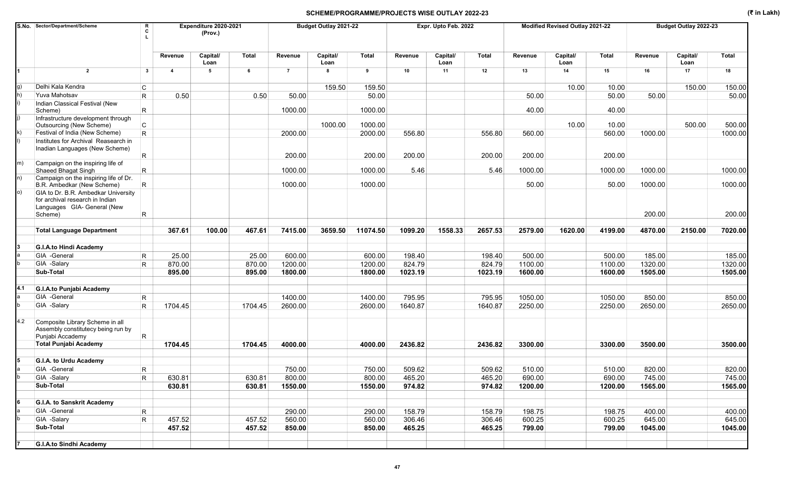|     | S.No. Sector/Department/Scheme                                                                                                      | R<br>C          |                | Expenditure 2020-2021<br>(Prov.) |              |                | Budget Outlay 2021-22 |              |         | Expr. Upto Feb. 2022 |              |         | Modified Revised Outlay 2021-22 |              |         | Budget Outlay 2022-23 |              |
|-----|-------------------------------------------------------------------------------------------------------------------------------------|-----------------|----------------|----------------------------------|--------------|----------------|-----------------------|--------------|---------|----------------------|--------------|---------|---------------------------------|--------------|---------|-----------------------|--------------|
|     |                                                                                                                                     |                 | Revenue        | Capital/<br>Loan                 | <b>Total</b> | Revenue        | Capital/<br>Loan      | <b>Total</b> | Revenue | Capital/<br>Loan     | <b>Total</b> | Revenue | Capital/<br>Loan                | <b>Total</b> | Revenue | Capital/<br>Loan      | <b>Total</b> |
|     | $\overline{2}$                                                                                                                      | $\mathbf{3}$    | $\overline{4}$ | 5                                | 6            | $\overline{7}$ | 8                     | 9            | 10      | 11                   | 12           | 13      | 14                              | 15           | 16      | 17                    | 18           |
| g)  | Delhi Kala Kendra                                                                                                                   | C               |                |                                  |              |                | 159.50                | 159.50       |         |                      |              |         | 10.00                           | 10.00        |         | 150.00                | 150.00       |
| h)  | Yuva Mahotsav                                                                                                                       | $\mathsf{R}$    | 0.50           |                                  | 0.50         | 50.00          |                       | 50.00        |         |                      |              | 50.00   |                                 | 50.00        | 50.00   |                       | 50.00        |
|     | Indian Classical Festival (New<br>Scheme)                                                                                           | R.              |                |                                  |              | 1000.00        |                       | 1000.00      |         |                      |              | 40.00   |                                 | 40.00        |         |                       |              |
|     | Infrastructure development through<br>Outsourcing (New Scheme)                                                                      | $\mathsf{C}$    |                |                                  |              |                | 1000.00               | 1000.00      |         |                      |              |         | 10.00                           | 10.00        |         | 500.00                | 500.00       |
|     | Festival of India (New Scheme)                                                                                                      | $\mathsf{R}$    |                |                                  |              | 2000.00        |                       | 2000.00      | 556.80  |                      | 556.80       | 560.00  |                                 | 560.00       | 1000.00 |                       | 1000.00      |
|     | Institutes for Archival Reasearch in<br>Inadian Languages (New Scheme)                                                              | R               |                |                                  |              | 200.00         |                       | 200.00       | 200.00  |                      | 200.00       | 200.00  |                                 | 200.00       |         |                       |              |
| m)  | Campaign on the inspiring life of<br>Shaeed Bhagat Singh                                                                            | R.              |                |                                  |              | 1000.00        |                       | 1000.00      | 5.46    |                      | 5.46         | 1000.00 |                                 | 1000.00      | 1000.00 |                       | 1000.00      |
| n)  | Campaign on the inspiring life of Dr.                                                                                               | R.              |                |                                  |              | 1000.00        |                       | 1000.00      |         |                      |              | 50.00   |                                 | 50.00        | 1000.00 |                       | 1000.00      |
|     | B.R. Ambedkar (New Scheme)<br>GIA to Dr. B.R. Ambedkar University<br>for archival research in Indian<br>Languages GIA- General (New |                 |                |                                  |              |                |                       |              |         |                      |              |         |                                 |              |         |                       |              |
|     | Scheme)                                                                                                                             | R.              |                |                                  |              |                |                       |              |         |                      |              |         |                                 |              | 200.00  |                       | 200.00       |
|     | <b>Total Language Department</b>                                                                                                    |                 | 367.61         | 100.00                           | 467.61       | 7415.00        | 3659.50               | 11074.50     | 1099.20 | 1558.33              | 2657.53      | 2579.00 | 1620.00                         | 4199.00      | 4870.00 | 2150.00               | 7020.00      |
|     | G.I.A.to Hindi Academy                                                                                                              |                 |                |                                  |              |                |                       |              |         |                      |              |         |                                 |              |         |                       |              |
|     | GIA -General                                                                                                                        | R               | 25.00          |                                  | 25.00        | 600.00         |                       | 600.00       | 198.40  |                      | 198.40       | 500.00  |                                 | 500.00       | 185.00  |                       | 185.00       |
|     | GIA -Salary<br>Sub-Total                                                                                                            | R.              | 870.00         |                                  | 870.00       | 1200.00        |                       | 1200.00      | 824.79  |                      | 824.79       | 1100.00 |                                 | 1100.00      | 1320.00 |                       | 1320.00      |
|     |                                                                                                                                     |                 | 895.00         |                                  | 895.00       | 1800.00        |                       | 1800.00      | 1023.19 |                      | 1023.19      | 1600.00 |                                 | 1600.00      | 1505.00 |                       | 1505.00      |
|     | G.I.A.to Punjabi Academy                                                                                                            |                 |                |                                  |              |                |                       |              |         |                      |              |         |                                 |              |         |                       |              |
|     | GIA -General                                                                                                                        | R.              |                |                                  |              | 1400.00        |                       | 1400.00      | 795.95  |                      | 795.95       | 1050.00 |                                 | 1050.00      | 850.00  |                       | 850.00       |
|     | GIA -Salary                                                                                                                         | $R_{\parallel}$ | 1704.45        |                                  | 1704.45      | 2600.00        |                       | 2600.00      | 1640.87 |                      | 1640.87      | 2250.00 |                                 | 2250.00      | 2650.00 |                       | 2650.00      |
| 4.2 | Composite Library Scheme in all<br>Assembly constitutecy being run by<br>Punjabi Accademy                                           | R.              |                |                                  |              |                |                       |              |         |                      |              |         |                                 |              |         |                       |              |
|     | <b>Total Punjabi Academy</b>                                                                                                        |                 | 1704.45        |                                  | 1704.45      | 4000.00        |                       | 4000.00      | 2436.82 |                      | 2436.82      | 3300.00 |                                 | 3300.00      | 3500.00 |                       | 3500.00      |
|     |                                                                                                                                     |                 |                |                                  |              |                |                       |              |         |                      |              |         |                                 |              |         |                       |              |
|     | G.I.A. to Urdu Academy                                                                                                              |                 |                |                                  |              |                |                       |              |         |                      |              |         |                                 |              |         |                       |              |
|     | GIA -General                                                                                                                        | R               |                |                                  |              | 750.00         |                       | 750.00       | 509.62  |                      | 509.62       | 510.00  |                                 | 510.00       | 820.00  |                       | 820.00       |
|     | GIA -Salary<br>Sub-Total                                                                                                            | R               | 630.81         |                                  | 630.81       | 800.00         |                       | 800.00       | 465.20  |                      | 465.20       | 690.00  |                                 | 690.00       | 745.00  |                       | 745.00       |
|     |                                                                                                                                     |                 | 630.81         |                                  | 630.81       | 1550.00        |                       | 1550.00      | 974.82  |                      | 974.82       | 1200.00 |                                 | 1200.00      | 1565.00 |                       | 1565.00      |
|     | G.I.A. to Sanskrit Academy                                                                                                          |                 |                |                                  |              |                |                       |              |         |                      |              |         |                                 |              |         |                       |              |
|     | GIA -General                                                                                                                        | R               |                |                                  |              | 290.00         |                       | 290.00       | 158.79  |                      | 158.79       | 198.75  |                                 | 198.75       | 400.00  |                       | 400.00       |
|     | GIA -Salary                                                                                                                         | R.              | 457.52         |                                  | 457.52       | 560.00         |                       | 560.00       | 306.46  |                      | 306.46       | 600.25  |                                 | 600.25       | 645.00  |                       | 645.00       |
|     | Sub-Total                                                                                                                           |                 | 457.52         |                                  | 457.52       | 850.00         |                       | 850.00       | 465.25  |                      | 465.25       | 799.00  |                                 | 799.00       | 1045.00 |                       | 1045.00      |
|     | G.I.A.to Sindhi Academy                                                                                                             |                 |                |                                  |              |                |                       |              |         |                      |              |         |                                 |              |         |                       |              |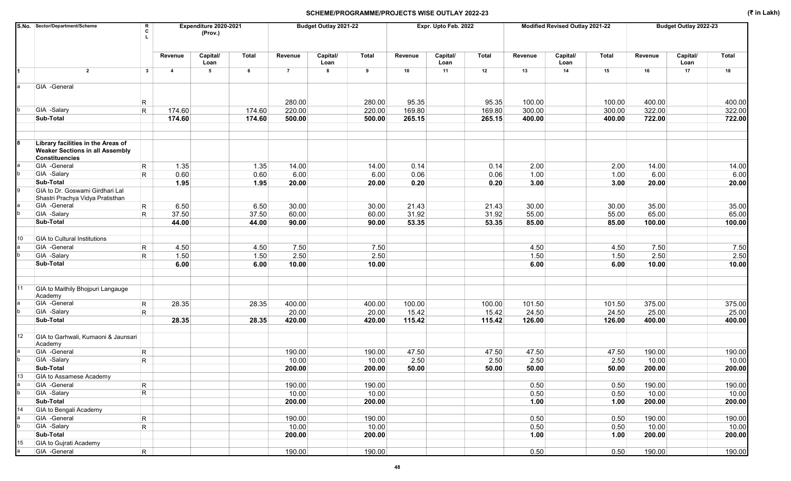|                  | S.No. Sector/Department/Scheme                                                                        | R<br>C                       |                         | Expenditure 2020-2021<br>(Prov.) |              |                  | Budget Outlay 2021-22 |                  |                 | Expr. Upto Feb. 2022 |                 |                  | Modified Revised Outlay 2021-22 |                  |                  | Budget Outlay 2022-23 |                  |
|------------------|-------------------------------------------------------------------------------------------------------|------------------------------|-------------------------|----------------------------------|--------------|------------------|-----------------------|------------------|-----------------|----------------------|-----------------|------------------|---------------------------------|------------------|------------------|-----------------------|------------------|
|                  |                                                                                                       |                              | Revenue                 | Capital/<br>Loan                 | <b>Total</b> | Revenue          | Capital/<br>Loan      | <b>Total</b>     | Revenue         | Capital/<br>Loan     | Total           | Revenue          | Capital/<br>Loan                | <b>Total</b>     | Revenue          | Capital/<br>Loan      | Total            |
|                  | $\overline{2}$                                                                                        | 3                            | $\overline{\mathbf{4}}$ | $5\phantom{.0}$                  | 6            | $\overline{7}$   | 8                     | 9                | 10              | 11                   | 12              | 13               | 14                              | 15               | 16               | 17                    | 18               |
|                  | GIA -General                                                                                          |                              |                         |                                  |              |                  |                       |                  |                 |                      |                 |                  |                                 |                  |                  |                       |                  |
|                  |                                                                                                       |                              |                         |                                  |              |                  |                       |                  |                 |                      |                 |                  |                                 |                  |                  |                       |                  |
|                  | GIA -Salary                                                                                           | R.<br>$\mathsf{R}$           | 174.60                  |                                  | 174.60       | 280.00<br>220.00 |                       | 280.00<br>220.00 | 95.35<br>169.80 |                      | 95.35<br>169.80 | 100.00<br>300.00 |                                 | 100.00<br>300.00 | 400.00<br>322.00 |                       | 400.00<br>322.00 |
|                  | Sub-Total                                                                                             |                              | 174.60                  |                                  | 174.60       | 500.00           |                       | 500.00           | 265.15          |                      | 265.15          | 400.00           |                                 | 400.00           | 722.00           |                       | 722.00           |
|                  |                                                                                                       |                              |                         |                                  |              |                  |                       |                  |                 |                      |                 |                  |                                 |                  |                  |                       |                  |
|                  | Library facilities in the Areas of<br><b>Weaker Sections in all Assembly</b><br><b>Constituencies</b> |                              |                         |                                  |              |                  |                       |                  |                 |                      |                 |                  |                                 |                  |                  |                       |                  |
|                  | GIA -General                                                                                          | $\mathsf{R}$                 | 1.35                    |                                  | 1.35         | 14.00            |                       | 14.00            | 0.14            |                      | 0.14            | 2.00             |                                 | 2.00             | 14.00            |                       | 14.00            |
|                  | GIA -Salary                                                                                           | R.                           | 0.60                    |                                  | 0.60         | 6.00             |                       | 6.00             | 0.06            |                      | 0.06            | 1.00             |                                 | 1.00             | 6.00             |                       | 6.00             |
|                  | Sub-Total                                                                                             |                              | 1.95                    |                                  | 1.95         | 20.00            |                       | 20.00            | 0.20            |                      | 0.20            | 3.00             |                                 | 3.00             | 20.00            |                       | 20.00            |
|                  | GIA to Dr. Goswami Girdhari Lal<br>Shastri Prachya Vidya Pratisthan                                   |                              |                         |                                  |              |                  |                       |                  |                 |                      |                 |                  |                                 |                  |                  |                       |                  |
|                  | GIA -General                                                                                          | $\mathsf{R}$                 | 6.50                    |                                  | 6.50         | 30.00            |                       | 30.00            | 21.43           |                      | 21.43           | 30.00            |                                 | 30.00            | 35.00            |                       | 35.00            |
|                  | GIA -Salary                                                                                           | R.                           | 37.50                   |                                  | 37.50        | 60.00            |                       | 60.00            | 31.92           |                      | 31.92           | 55.00            |                                 | 55.00            | 65.00            |                       | 65.00            |
|                  | Sub-Total                                                                                             |                              | 44.00                   |                                  | 44.00        | 90.00            |                       | 90.00            | 53.35           |                      | 53.35           | 85.00            |                                 | 85.00            | 100.00           |                       | 100.00           |
|                  |                                                                                                       |                              |                         |                                  |              |                  |                       |                  |                 |                      |                 |                  |                                 |                  |                  |                       |                  |
| 10               | <b>GIA to Cultural Institutions</b>                                                                   |                              |                         |                                  |              |                  |                       |                  |                 |                      |                 |                  |                                 |                  |                  |                       |                  |
|                  | GIA -General                                                                                          | R.                           | 4.50                    |                                  | 4.50         | 7.50             |                       | 7.50             |                 |                      |                 | 4.50             |                                 | 4.50             | 7.50             |                       | 7.50             |
|                  | GIA -Salary<br>Sub-Total                                                                              | R.                           | 1.50<br>6.00            |                                  | 1.50<br>6.00 | 2.50<br>10.00    |                       | 2.50<br>10.00    |                 |                      |                 | 1.50<br>6.00     |                                 | 1.50<br>6.00     | 2.50<br>10.00    |                       | 2.50<br>10.00    |
|                  |                                                                                                       |                              |                         |                                  |              |                  |                       |                  |                 |                      |                 |                  |                                 |                  |                  |                       |                  |
| 11               | GIA to Maithily Bhojpuri Langauge<br>Academy                                                          |                              |                         |                                  |              |                  |                       |                  |                 |                      |                 |                  |                                 |                  |                  |                       |                  |
|                  | GIA -General                                                                                          | $\mathsf{R}$                 | 28.35                   |                                  | 28.35        | 400.00           |                       | 400.00           | 100.00          |                      | 100.00          | 101.50           |                                 | 101.50           | 375.00           |                       | 375.00           |
|                  | GIA -Salary                                                                                           | R.                           |                         |                                  |              | 20.00            |                       | 20.00            | 15.42           |                      | 15.42           | 24.50            |                                 | 24.50            | 25.00            |                       | 25.00            |
|                  | Sub-Total                                                                                             |                              | 28.35                   |                                  | 28.35        | 420.00           |                       | 420.00           | 115.42          |                      | 115.42          | 126.00           |                                 | 126.00           | 400.00           |                       | 400.00           |
| 12 <sup>2</sup>  | GIA to Garhwali, Kumaoni & Jaunsari<br>Academy                                                        |                              |                         |                                  |              |                  |                       |                  |                 |                      |                 |                  |                                 |                  |                  |                       |                  |
|                  | GIA -General                                                                                          | $\mathsf{R}$                 |                         |                                  |              | 190.00           |                       | 190.00           | 47.50           |                      | 47.50           | 47.50            |                                 | 47.50            | 190.00           |                       | 190.00           |
|                  | GIA -Salary                                                                                           | $\mathsf{R}$                 |                         |                                  |              | 10.00            |                       | 10.00            | 2.50            |                      | 2.50            | 2.50             |                                 | 2.50             | 10.00            |                       | 10.00            |
|                  | Sub-Total                                                                                             |                              |                         |                                  |              | 200.00           |                       | 200.00           | 50.00           |                      | 50.00           | 50.00            |                                 | 50.00            | 200.00           |                       | 200.00           |
| 13               | GIA to Assamese Academy                                                                               |                              |                         |                                  |              |                  |                       |                  |                 |                      |                 |                  |                                 |                  |                  |                       |                  |
|                  | GIA -General                                                                                          | $\mathsf{R}$                 |                         |                                  |              | 190.00           |                       | 190.00           |                 |                      |                 | 0.50             |                                 | 0.50             | 190.00           |                       | 190.00           |
| b                | GIA -Salary                                                                                           | $\overline{\mathsf{R}}$      |                         |                                  |              | 10.00            |                       | 10.00            |                 |                      |                 | 0.50             |                                 | 0.50             | 10.00            |                       | 10.00            |
| 14               | Sub-Total<br><b>GIA to Bengali Academy</b>                                                            |                              |                         |                                  |              | 200.00           |                       | 200.00           |                 |                      |                 | 1.00             |                                 | 1.00             | 200.00           |                       | 200.00           |
|                  | GIA -General                                                                                          |                              |                         |                                  |              |                  |                       | 190.00           |                 |                      |                 | 0.50             |                                 |                  | 190.00           |                       |                  |
|                  | GIA -Salary                                                                                           | $\mathsf{R}$<br>$\mathsf{R}$ |                         |                                  |              | 190.00<br>10.00  |                       | 10.00            |                 |                      |                 | 0.50             |                                 | 0.50<br>0.50     | 10.00            |                       | 190.00<br>10.00  |
|                  | Sub-Total                                                                                             |                              |                         |                                  |              | 200.00           |                       | 200.00           |                 |                      |                 | 1.00             |                                 | 1.00             | 200.00           |                       | 200.00           |
| 15 <sup>15</sup> | <b>GIA to Gujrati Academy</b>                                                                         |                              |                         |                                  |              |                  |                       |                  |                 |                      |                 |                  |                                 |                  |                  |                       |                  |
|                  | GIA -General                                                                                          | $R_{\parallel}$              |                         |                                  |              | 190.00           |                       | 190.00           |                 |                      |                 | 0.50             |                                 | 0.50             | 190.00           |                       | 190.00           |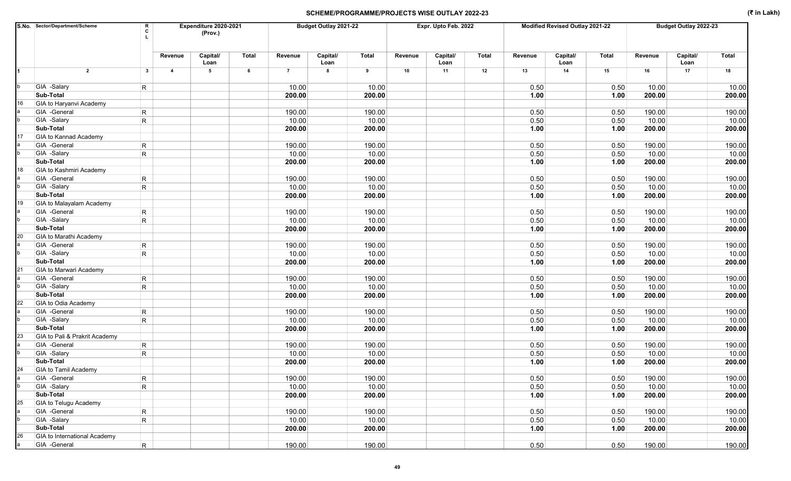|    | S.No. Sector/Department/Scheme | R<br>C          |                | Expenditure 2020-2021<br>(Prov.) | Budget Outlay 2021-22<br>Expr. Upto Feb. 2022 |                |                  |              |         |                  | Modified Revised Outlay 2021-22 |         |                  | Budget Outlay 2022-23 |         |                  |        |
|----|--------------------------------|-----------------|----------------|----------------------------------|-----------------------------------------------|----------------|------------------|--------------|---------|------------------|---------------------------------|---------|------------------|-----------------------|---------|------------------|--------|
|    |                                |                 | Revenue        | Capital/<br>Loan                 | Total                                         | Revenue        | Capital/<br>Loan | <b>Total</b> | Revenue | Capital/<br>Loan | <b>Total</b>                    | Revenue | Capital/<br>Loan | <b>Total</b>          | Revenue | Capital/<br>Loan | Total  |
| 1  | $\overline{2}$                 | 3               | $\overline{4}$ | 5                                | 6                                             | $\overline{7}$ | 8                | 9            | 10      | 11               | 12                              | 13      | 14               | 15                    | 16      | 17               | 18     |
|    | GIA -Salary                    | $\mathsf{R}$    |                |                                  |                                               | 10.00          |                  | 10.00        |         |                  |                                 | 0.50    |                  | 0.50                  | 10.00   |                  | 10.00  |
|    | Sub-Total                      |                 |                |                                  |                                               | 200.00         |                  | 200.00       |         |                  |                                 | 1.00    |                  | 1.00                  | 200.00  |                  | 200.00 |
| 16 | GIA to Haryanvi Academy        |                 |                |                                  |                                               |                |                  |              |         |                  |                                 |         |                  |                       |         |                  |        |
|    | GIA -General                   | $\mathsf R$     |                |                                  |                                               | 190.00         |                  | 190.00       |         |                  |                                 | 0.50    |                  | 0.50                  | 190.00  |                  | 190.00 |
|    | GIA -Salary                    | R               |                |                                  |                                               | 10.00          |                  | 10.00        |         |                  |                                 | 0.50    |                  | 0.50                  | 10.00   |                  | 10.00  |
|    | Sub-Total                      |                 |                |                                  |                                               | 200.00         |                  | 200.00       |         |                  |                                 | 1.00    |                  | 1.00                  | 200.00  |                  | 200.00 |
| 17 | <b>GIA to Kannad Academy</b>   |                 |                |                                  |                                               |                |                  |              |         |                  |                                 |         |                  |                       |         |                  |        |
|    | GIA -General                   | $\mathsf R$     |                |                                  |                                               | 190.00         |                  | 190.00       |         |                  |                                 | 0.50    |                  | 0.50                  | 190.00  |                  | 190.00 |
|    | GIA -Salary                    | R               |                |                                  |                                               | 10.00          |                  | 10.00        |         |                  |                                 | 0.50    |                  | 0.50                  | 10.00   |                  | 10.00  |
|    | Sub-Total                      |                 |                |                                  |                                               | 200.00         |                  | 200.00       |         |                  |                                 | 1.00    |                  | 1.00                  | 200.00  |                  | 200.00 |
| 18 | GIA to Kashmiri Academy        |                 |                |                                  |                                               |                |                  |              |         |                  |                                 |         |                  |                       |         |                  |        |
|    | GIA -General                   | $\mathsf R$     |                |                                  |                                               | 190.00         |                  | 190.00       |         |                  |                                 | 0.50    |                  | 0.50                  | 190.00  |                  | 190.00 |
|    | GIA -Salary                    | R               |                |                                  |                                               | 10.00          |                  | 10.00        |         |                  |                                 | 0.50    |                  | 0.50                  | 10.00   |                  | 10.00  |
|    | Sub-Total                      |                 |                |                                  |                                               | 200.00         |                  | 200.00       |         |                  |                                 | 1.00    |                  | 1.00                  | 200.00  |                  | 200.00 |
| 19 | GIA to Malayalam Academy       |                 |                |                                  |                                               |                |                  |              |         |                  |                                 |         |                  |                       |         |                  |        |
|    | GIA -General                   | $\mathsf R$     |                |                                  |                                               | 190.00         |                  | 190.00       |         |                  |                                 | 0.50    |                  | 0.50                  | 190.00  |                  | 190.00 |
|    | GIA -Salary                    | R               |                |                                  |                                               | 10.00          |                  | 10.00        |         |                  |                                 | 0.50    |                  | 0.50                  | 10.00   |                  | 10.00  |
|    | Sub-Total                      |                 |                |                                  |                                               | 200.00         |                  | 200.00       |         |                  |                                 | 1.00    |                  | 1.00                  | 200.00  |                  | 200.00 |
| 20 | GIA to Marathi Academy         |                 |                |                                  |                                               |                |                  |              |         |                  |                                 |         |                  |                       |         |                  |        |
|    | GIA -General                   | $\mathsf R$     |                |                                  |                                               | 190.00         |                  | 190.00       |         |                  |                                 | 0.50    |                  | 0.50                  | 190.00  |                  | 190.00 |
|    | GIA -Salary                    | R               |                |                                  |                                               | 10.00          |                  | 10.00        |         |                  |                                 | 0.50    |                  | 0.50                  | 10.00   |                  | 10.00  |
|    | Sub-Total                      |                 |                |                                  |                                               | 200.00         |                  | 200.00       |         |                  |                                 | 1.00    |                  | 1.00                  | 200.00  |                  | 200.00 |
| 21 | <b>GIA to Marwari Academy</b>  |                 |                |                                  |                                               |                |                  |              |         |                  |                                 |         |                  |                       |         |                  |        |
|    | GIA -General                   | $\mathsf R$     |                |                                  |                                               | 190.00         |                  | 190.00       |         |                  |                                 | 0.50    |                  | 0.50                  | 190.00  |                  | 190.00 |
|    | GIA -Salary                    | $\mathsf{R}$    |                |                                  |                                               | 10.00          |                  | 10.00        |         |                  |                                 | 0.50    |                  | 0.50                  | 10.00   |                  | 10.00  |
|    | Sub-Total                      |                 |                |                                  |                                               | 200.00         |                  | 200.00       |         |                  |                                 | 1.00    |                  | 1.00                  | 200.00  |                  | 200.00 |
| 22 | GIA to Odia Academy            |                 |                |                                  |                                               |                |                  |              |         |                  |                                 |         |                  |                       |         |                  |        |
|    | GIA -General                   | $\mathsf R$     |                |                                  |                                               | 190.00         |                  | 190.00       |         |                  |                                 | 0.50    |                  | 0.50                  | 190.00  |                  | 190.00 |
|    | GIA -Salary                    | $\mathsf R$     |                |                                  |                                               | 10.00          |                  | 10.00        |         |                  |                                 | 0.50    |                  | 0.50                  | 10.00   |                  | 10.00  |
|    | Sub-Total                      |                 |                |                                  |                                               | 200.00         |                  | 200.00       |         |                  |                                 | 1.00    |                  | 1.00                  | 200.00  |                  | 200.00 |
| 23 | GIA to Pali & Prakrit Academy  |                 |                |                                  |                                               |                |                  |              |         |                  |                                 |         |                  |                       |         |                  |        |
|    | GIA -General                   | $\mathsf{R}$    |                |                                  |                                               | 190.00         |                  | 190.00       |         |                  |                                 | 0.50    |                  | 0.50                  | 190.00  |                  | 190.00 |
|    | GIA -Salary                    | $\mathsf{R}$    |                |                                  |                                               | 10.00          |                  | 10.00        |         |                  |                                 | 0.50    |                  | 0.50                  | 10.00   |                  | 10.00  |
|    | Sub-Total                      |                 |                |                                  |                                               | 200.00         |                  | 200.00       |         |                  |                                 | 1.00    |                  | 1.00                  | 200.00  |                  | 200.00 |
| 24 | <b>GIA to Tamil Academy</b>    |                 |                |                                  |                                               |                |                  |              |         |                  |                                 |         |                  |                       |         |                  |        |
|    | GIA -General                   | $\vert R \vert$ |                |                                  |                                               | 190.00         |                  | 190.00       |         |                  |                                 | 0.50    |                  | 0.50                  | 190.00  |                  | 190.00 |
|    | GIA -Salary                    | R               |                |                                  |                                               | 10.00          |                  | 10.00        |         |                  |                                 | 0.50    |                  | 0.50                  | 10.00   |                  | 10.00  |
| 25 | Sub-Total                      |                 |                |                                  |                                               | 200.00         |                  | 200.00       |         |                  |                                 | 1.00    |                  | 1.00                  | 200.00  |                  | 200.00 |
|    | GIA to Telugu Academy          |                 |                |                                  |                                               |                |                  |              |         |                  |                                 |         |                  |                       |         |                  |        |
|    | GIA -General                   | $\vert R \vert$ |                |                                  |                                               | 190.00         |                  | 190.00       |         |                  |                                 | 0.50    |                  | 0.50                  | 190.00  |                  | 190.00 |
|    | GIA -Salary                    | R               |                |                                  |                                               | 10.00          |                  | 10.00        |         |                  |                                 | 0.50    |                  | 0.50                  | 10.00   |                  | 10.00  |
|    | Sub-Total                      |                 |                |                                  |                                               | 200.00         |                  | 200.00       |         |                  |                                 | 1.00    |                  | 1.00                  | 200.00  |                  | 200.00 |
| 26 | GIA to International Academy   |                 |                |                                  |                                               |                |                  |              |         |                  |                                 |         |                  |                       |         |                  |        |
|    | GIA -General                   | $\overline{R}$  |                |                                  |                                               | 190.00         |                  | 190.00       |         |                  |                                 | 0.50    |                  | 0.50                  | 190.00  |                  | 190.00 |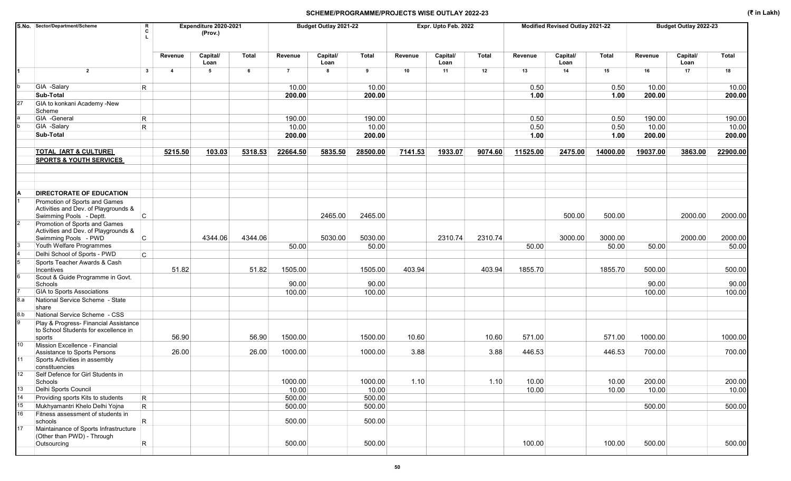|                 | S.No. Sector/Department/Scheme                                                                |              |                | Expenditure 2020-2021<br>(Prov.) |         |                | Budget Outlay 2021-22 |              |         | Expr. Upto Feb. 2022 |              |          | Modified Revised Outlay 2021-22 |              |          | Budget Outlay 2022-23 |              |
|-----------------|-----------------------------------------------------------------------------------------------|--------------|----------------|----------------------------------|---------|----------------|-----------------------|--------------|---------|----------------------|--------------|----------|---------------------------------|--------------|----------|-----------------------|--------------|
|                 |                                                                                               |              | Revenue        | Capital/<br>Loan                 | Total   | Revenue        | Capital/<br>Loan      | <b>Total</b> | Revenue | Capital/<br>Loan     | <b>Total</b> | Revenue  | Capital/<br>Loan                | <b>Total</b> | Revenue  | Capital/<br>Loan      | <b>Total</b> |
|                 | $\overline{2}$                                                                                | $\mathbf{3}$ | $\overline{4}$ | 5                                | 6       | $\overline{7}$ | 8                     | 9            | 10      | 11                   | 12           | 13       | 14                              | 15           | 16       | 17                    | 18           |
|                 | GIA -Salary                                                                                   | $\mathsf{R}$ |                |                                  |         | 10.00          |                       | 10.00        |         |                      |              | 0.50     |                                 | 0.50         | 10.00    |                       | 10.00        |
|                 | Sub-Total                                                                                     |              |                |                                  |         | 200.00         |                       | 200.00       |         |                      |              | 1.00     |                                 | 1.00         | 200.00   |                       | 200.00       |
| 27              | GIA to konkani Academy -New<br>Scheme                                                         |              |                |                                  |         |                |                       |              |         |                      |              |          |                                 |              |          |                       |              |
|                 | GIA -General                                                                                  | $\mathsf{R}$ |                |                                  |         | 190.00         |                       | 190.00       |         |                      |              | 0.50     |                                 | 0.50         | 190.00   |                       | 190.00       |
|                 | GIA -Salary                                                                                   | R.           |                |                                  |         | 10.00          |                       | 10.00        |         |                      |              | 0.50     |                                 | 0.50         | 10.00    |                       | 10.00        |
|                 | Sub-Total                                                                                     |              |                |                                  |         | 200.00         |                       | 200.00       |         |                      |              | 1.00     |                                 | 1.00         | 200.00   |                       | 200.00       |
|                 | <b>TOTAL [ART &amp; CULTURE]</b><br><b>SPORTS &amp; YOUTH SERVICES</b>                        |              | 5215.50        | 103.03                           | 5318.53 | 22664.50       | 5835.50               | 28500.00     | 7141.53 | 1933.07              | 9074.60      | 11525.00 | 2475.00                         | 14000.00     | 19037.00 | 3863.00               | 22900.00     |
|                 | <b>DIRECTORATE OF EDUCATION</b><br>Promotion of Sports and Games                              |              |                |                                  |         |                |                       |              |         |                      |              |          |                                 |              |          |                       |              |
|                 | Activities and Dev. of Playgrounds &<br>Swimming Pools - Deptt.                               | C            |                |                                  |         |                | 2465.00               | 2465.00      |         |                      |              |          | 500.00                          | 500.00       |          | 2000.00               | 2000.00      |
|                 | Promotion of Sports and Games<br>Activities and Dev. of Playgrounds &<br>Swimming Pools - PWD | C            |                | 4344.06                          | 4344.06 |                | 5030.00               | 5030.00      |         | 2310.74              | 2310.74      |          | 3000.00                         | 3000.00      |          | 2000.00               | 2000.00      |
|                 | Youth Welfare Programmes                                                                      |              |                |                                  |         | 50.00          |                       | 50.00        |         |                      |              | 50.00    |                                 | 50.00        | 50.00    |                       | 50.00        |
|                 | Delhi School of Sports - PWD                                                                  | C            |                |                                  |         |                |                       |              |         |                      |              |          |                                 |              |          |                       |              |
|                 | Sports Teacher Awards & Cash                                                                  |              |                |                                  |         |                |                       |              |         |                      |              |          |                                 |              |          |                       |              |
|                 | Incentives                                                                                    |              | 51.82          |                                  | 51.82   | 1505.00        |                       | 1505.00      | 403.94  |                      | 403.94       | 1855.70  |                                 | 1855.70      | 500.00   |                       | 500.00       |
|                 | Scout & Guide Programme in Govt.                                                              |              |                |                                  |         |                |                       |              |         |                      |              |          |                                 |              |          |                       |              |
|                 | Schools                                                                                       |              |                |                                  |         | 90.00          |                       | 90.00        |         |                      |              |          |                                 |              | 90.00    |                       | 90.00        |
|                 | <b>GIA to Sports Associations</b>                                                             |              |                |                                  |         | 100.00         |                       | 100.00       |         |                      |              |          |                                 |              | 100.00   |                       | 100.00       |
| 8.a             | National Service Scheme - State<br>share                                                      |              |                |                                  |         |                |                       |              |         |                      |              |          |                                 |              |          |                       |              |
| 8.b             | National Service Scheme - CSS                                                                 |              |                |                                  |         |                |                       |              |         |                      |              |          |                                 |              |          |                       |              |
|                 | Play & Progress- Financial Assistance<br>to School Students for excellence in<br>sports       |              | 56.90          |                                  | 56.90   | 1500.00        |                       | 1500.00      | 10.60   |                      | 10.60        | 571.00   |                                 | 571.00       | 1000.00  |                       | 1000.00      |
| 10 <sup>1</sup> | Mission Excellence - Financial                                                                |              |                |                                  |         |                |                       |              |         |                      |              |          |                                 |              |          |                       |              |
|                 | Assistance to Sports Persons                                                                  |              | 26.00          |                                  | 26.00   | 1000.00        |                       | 1000.00      | 3.88    |                      | 3.88         | 446.53   |                                 | 446.53       | 700.00   |                       | 700.00       |
| 11              | Sports Activities in assembly<br>constituencies                                               |              |                |                                  |         |                |                       |              |         |                      |              |          |                                 |              |          |                       |              |
| 12 <sup>°</sup> | Self Defence for Girl Students in<br>Schools                                                  |              |                |                                  |         | 1000.00        |                       | 1000.00      | 1.10    |                      | 1.10         | 10.00    |                                 | 10.00        | 200.00   |                       | 200.00       |
| 13              | Delhi Sports Council                                                                          |              |                |                                  |         | 10.00          |                       | 10.00        |         |                      |              | 10.00    |                                 | 10.00        | 10.00    |                       | 10.00        |
| 14              | Providing sports Kits to students                                                             | R            |                |                                  |         | 500.00         |                       | 500.00       |         |                      |              |          |                                 |              |          |                       |              |
| 15              | Mukhyamantri Khelo Delhi Yojna                                                                | $\vert$ R    |                |                                  |         | 500.00         |                       | 500.00       |         |                      |              |          |                                 |              | 500.00   |                       | 500.00       |
| 16              | Fitness assessment of students in                                                             |              |                |                                  |         |                |                       |              |         |                      |              |          |                                 |              |          |                       |              |
|                 | schools                                                                                       | R            |                |                                  |         | 500.00         |                       | 500.00       |         |                      |              |          |                                 |              |          |                       |              |
| 17 <sub>1</sub> | Maintainance of Sports Infrastructure<br>(Other than PWD) - Through                           |              |                |                                  |         |                |                       |              |         |                      |              |          |                                 |              |          |                       |              |
|                 | Outsourcing                                                                                   | $\mathsf R$  |                |                                  |         | 500.00         |                       | 500.00       |         |                      |              | 100.00   |                                 | 100.00       | 500.00   |                       | 500.00       |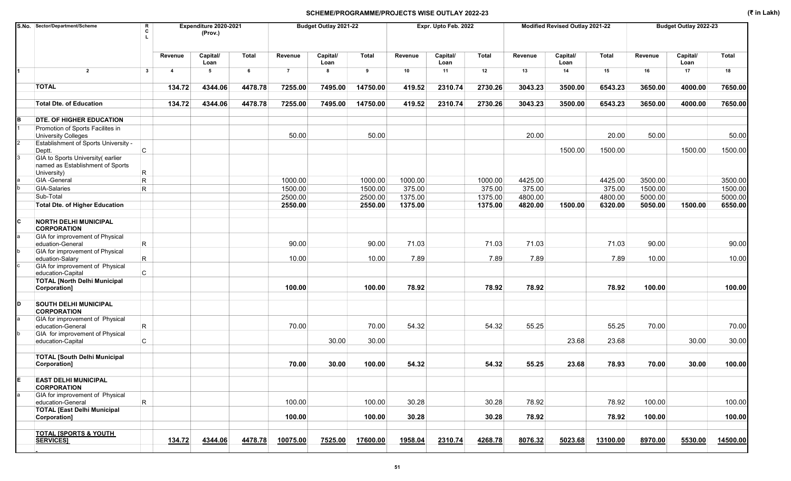|     | S.No. Sector/Department/Scheme                                       | R<br>C       | Expenditure 2020-2021<br>(Prov.) |                  |              |                | Budget Outlay 2021-22 |              |         | Expr. Upto Feb. 2022 |              |         | Modified Revised Outlay 2021-22 |              |         | Budget Outlay 2022-23 |          |
|-----|----------------------------------------------------------------------|--------------|----------------------------------|------------------|--------------|----------------|-----------------------|--------------|---------|----------------------|--------------|---------|---------------------------------|--------------|---------|-----------------------|----------|
|     |                                                                      |              | Revenue                          | Capital/<br>Loan | <b>Total</b> | Revenue        | Capital/<br>Loan      | <b>Total</b> | Revenue | Capital/<br>Loan     | <b>Total</b> | Revenue | Capital/<br>Loan                | <b>Total</b> | Revenue | Capital/<br>Loan      | Total    |
|     | $\overline{2}$                                                       | $\mathbf{3}$ | $\overline{\mathbf{4}}$          | 5                | 6            | $\overline{7}$ | 8                     | 9            | 10      | 11                   | 12           | 13      | 14                              | 15           | 16      | 17                    | 18       |
|     | <b>TOTAL</b>                                                         |              | 134.72                           | 4344.06          | 4478.78      | 7255.00        | 7495.00               | 14750.00     | 419.52  | 2310.74              | 2730.26      | 3043.23 | 3500.00                         | 6543.23      | 3650.00 | 4000.00               | 7650.00  |
|     | <b>Total Dte. of Education</b>                                       |              | 134.72                           | 4344.06          | 4478.78      | 7255.00        | 7495.00               | 14750.00     | 419.52  | 2310.74              | 2730.26      | 3043.23 | 3500.00                         | 6543.23      | 3650.00 | 4000.00               | 7650.00  |
| B   | <b>DTE. OF HIGHER EDUCATION</b>                                      |              |                                  |                  |              |                |                       |              |         |                      |              |         |                                 |              |         |                       |          |
|     | Promotion of Sports Facilites in<br><b>University Colleges</b>       |              |                                  |                  |              | 50.00          |                       | 50.00        |         |                      |              | 20.00   |                                 | 20.00        | 50.00   |                       | 50.00    |
|     | Establishment of Sports University -<br>C<br>Deptt.                  |              |                                  |                  |              |                |                       |              |         |                      |              |         | 1500.00                         | 1500.00      |         | 1500.00               | 1500.00  |
| 3   | GIA to Sports University(earlier<br>named as Establishment of Sports |              |                                  |                  |              |                |                       |              |         |                      |              |         |                                 |              |         |                       |          |
|     | R<br>University)                                                     |              |                                  |                  |              |                |                       |              |         |                      |              |         |                                 |              |         |                       |          |
|     | GIA -General<br>$\mathsf{R}$                                         |              |                                  |                  |              | 1000.00        |                       | 1000.00      | 1000.00 |                      | 1000.00      | 4425.00 |                                 | 4425.00      | 3500.00 |                       | 3500.00  |
|     | GIA-Salaries<br>R                                                    |              |                                  |                  |              | 1500.00        |                       | 1500.00      | 375.00  |                      | 375.00       | 375.00  |                                 | 375.00       | 1500.00 |                       | 1500.00  |
|     | Sub-Total                                                            |              |                                  |                  |              | 2500.00        |                       | 2500.00      | 1375.00 |                      | 1375.00      | 4800.00 |                                 | 4800.00      | 5000.00 |                       | 5000.00  |
|     | <b>Total Dte. of Higher Education</b>                                |              |                                  |                  |              | 2550.00        |                       | 2550.00      | 1375.00 |                      | 1375.00      | 4820.00 | 1500.00                         | 6320.00      | 5050.00 | 1500.00               | 6550.00  |
| lc. | <b>NORTH DELHI MUNICIPAL</b><br><b>CORPORATION</b>                   |              |                                  |                  |              |                |                       |              |         |                      |              |         |                                 |              |         |                       |          |
|     | GIA for improvement of Physical<br>$\mathsf{R}$<br>eduation-General  |              |                                  |                  |              | 90.00          |                       | 90.00        | 71.03   |                      | 71.03        | 71.03   |                                 | 71.03        | 90.00   |                       | 90.00    |
|     | GIA for improvement of Physical<br>R.<br>eduation-Salary             |              |                                  |                  |              | 10.00          |                       | 10.00        | 7.89    |                      | 7.89         | 7.89    |                                 | 7.89         | 10.00   |                       | 10.00    |
|     | GIA for improvement of Physical<br>$\mathsf{C}$<br>education-Capital |              |                                  |                  |              |                |                       |              |         |                      |              |         |                                 |              |         |                       |          |
|     | <b>TOTAL [North Delhi Municipal</b><br>Corporation]                  |              |                                  |                  |              | 100.00         |                       | 100.00       | 78.92   |                      | 78.92        | 78.92   |                                 | 78.92        | 100.00  |                       | 100.00   |
|     |                                                                      |              |                                  |                  |              |                |                       |              |         |                      |              |         |                                 |              |         |                       |          |
| ID. | <b>SOUTH DELHI MUNICIPAL</b><br><b>CORPORATION</b>                   |              |                                  |                  |              |                |                       |              |         |                      |              |         |                                 |              |         |                       |          |
|     | GIA for improvement of Physical<br>$\mathsf{R}$<br>education-General |              |                                  |                  |              | 70.00          |                       | 70.00        | 54.32   |                      | 54.32        | 55.25   |                                 | 55.25        | 70.00   |                       | 70.00    |
|     | GIA for improvement of Physical<br>C<br>education-Capital            |              |                                  |                  |              |                | 30.00                 | 30.00        |         |                      |              |         | 23.68                           | 23.68        |         | 30.00                 | 30.00    |
|     |                                                                      |              |                                  |                  |              |                |                       |              |         |                      |              |         |                                 |              |         |                       |          |
|     | <b>TOTAL [South Delhi Municipal</b><br>Corporation]                  |              |                                  |                  |              | 70.00          | 30.00                 | 100.00       | 54.32   |                      | 54.32        | 55.25   | 23.68                           | 78.93        | 70.00   | 30.00                 | 100.00   |
| Е   | <b>EAST DELHI MUNICIPAL</b>                                          |              |                                  |                  |              |                |                       |              |         |                      |              |         |                                 |              |         |                       |          |
|     | <b>CORPORATION</b>                                                   |              |                                  |                  |              |                |                       |              |         |                      |              |         |                                 |              |         |                       |          |
|     | GIA for improvement of Physical<br>$\mathsf{R}$<br>education-General |              |                                  |                  |              | 100.00         |                       | 100.00       | 30.28   |                      | 30.28        | 78.92   |                                 | 78.92        | 100.00  |                       | 100.00   |
|     | <b>TOTAL [East Delhi Municipal</b><br>Corporation]                   |              |                                  |                  |              | 100.00         |                       | 100.00       | 30.28   |                      | 30.28        | 78.92   |                                 | 78.92        | 100.00  |                       | 100.00   |
|     |                                                                      |              |                                  |                  |              |                |                       |              |         |                      |              |         |                                 |              |         |                       |          |
|     | <b>TOTAL [SPORTS &amp; YOUTH</b><br><b>SERVICES]</b>                 |              | 134.72                           | 4344.06          | 4478.78      | 10075.00       | 7525.00               | 17600.00     | 1958.04 | 2310.74              | 4268.78      | 8076.32 | 5023.68                         | 13100.00     | 8970.00 | 5530.00               | 14500.00 |
|     |                                                                      |              |                                  |                  |              |                |                       |              |         |                      |              |         |                                 |              |         |                       |          |

51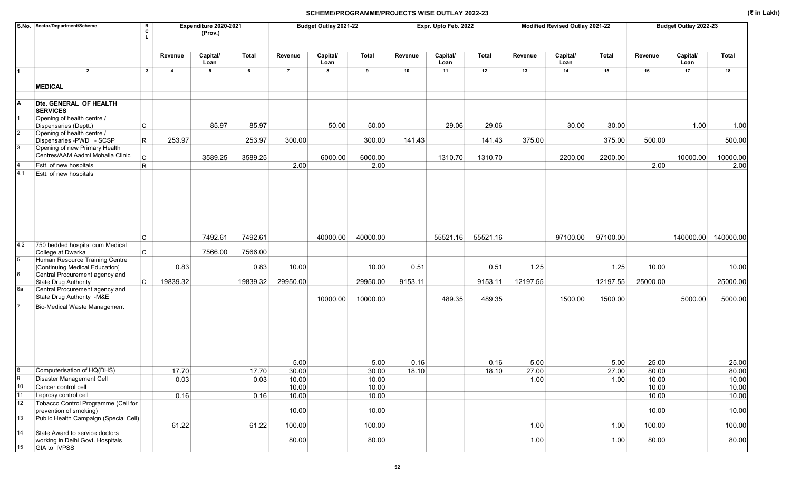|                       | S.No. Sector/Department/Scheme                                   | R<br>C       |                         | Expenditure 2020-2021<br>(Prov.) |          |                | Budget Outlay 2021-22 |              |         | Expr. Upto Feb. 2022 |          |          | Modified Revised Outlay 2021-22 |              |          | Budget Outlay 2022-23 |              |
|-----------------------|------------------------------------------------------------------|--------------|-------------------------|----------------------------------|----------|----------------|-----------------------|--------------|---------|----------------------|----------|----------|---------------------------------|--------------|----------|-----------------------|--------------|
|                       |                                                                  |              | Revenue                 | Capital/<br>Loan                 | Total    | Revenue        | Capital/<br>Loan      | <b>Total</b> | Revenue | Capital/<br>Loan     | Total    | Revenue  | Capital/<br>Loan                | <b>Total</b> | Revenue  | Capital/<br>Loan      | <b>Total</b> |
|                       | $\overline{2}$                                                   | $\mathbf{3}$ | $\overline{\mathbf{4}}$ | 5                                | 6        | $\overline{7}$ | 8                     | 9            | 10      | 11                   | 12       | 13       | 14                              | 15           | 16       | 17                    | 18           |
|                       | <b>MEDICAL</b>                                                   |              |                         |                                  |          |                |                       |              |         |                      |          |          |                                 |              |          |                       |              |
|                       | Dte. GENERAL OF HEALTH<br><b>SERVICES</b>                        |              |                         |                                  |          |                |                       |              |         |                      |          |          |                                 |              |          |                       |              |
|                       | Opening of health centre /<br>Dispensaries (Deptt.)              | C            |                         | 85.97                            | 85.97    |                | 50.00                 | 50.00        |         | 29.06                | 29.06    |          | 30.00                           | 30.00        |          | 1.00                  | 1.00         |
|                       | Opening of health centre /<br>Dispensaries -PWD - SCSP           | R.           | 253.97                  |                                  | 253.97   | 300.00         |                       | 300.00       | 141.43  |                      | 141.43   | 375.00   |                                 | 375.00       | 500.00   |                       | 500.00       |
| 3                     | Opening of new Primary Health                                    |              |                         |                                  |          |                |                       |              |         |                      |          |          |                                 |              |          |                       |              |
|                       | Centres/AAM Aadmi Mohalla Clinic                                 | $\mathsf{C}$ |                         | 3589.25                          | 3589.25  |                | 6000.00               | 6000.00      |         | 1310.70              | 1310.70  |          | 2200.00                         | 2200.00      |          | 10000.00              | 10000.00     |
| 4.1                   | Estt. of new hospitals<br>Estt. of new hospitals                 | $\mathsf{R}$ |                         |                                  |          | 2.00           |                       | 2.00         |         |                      |          |          |                                 |              | 2.00     |                       | 2.00         |
| 4.2                   | 750 bedded hospital cum Medical                                  | C            |                         | 7492.61                          | 7492.61  |                | 40000.00              | 40000.00     |         | 55521.16             | 55521.16 |          | 97100.00                        | 97100.00     |          | 140000.00 140000.00   |              |
|                       | College at Dwarka                                                | C            |                         | 7566.00                          | 7566.00  |                |                       |              |         |                      |          |          |                                 |              |          |                       |              |
| 5                     | Human Resource Training Centre<br>[Continuing Medical Education] |              | 0.83                    |                                  | 0.83     | 10.00          |                       | 10.00        | 0.51    |                      | 0.51     | 1.25     |                                 | 1.25         | 10.00    |                       | 10.00        |
|                       | Central Procurement agency and                                   |              |                         |                                  |          |                |                       |              |         |                      |          |          |                                 |              |          |                       |              |
| 6а                    | State Drug Authority<br>Central Procurement agency and           | C            | 19839.32                |                                  | 19839.32 | 29950.00       |                       | 29950.00     | 9153.11 |                      | 9153.11  | 12197.55 |                                 | 12197.55     | 25000.00 |                       | 25000.00     |
|                       | State Drug Authority -M&E                                        |              |                         |                                  |          |                | 10000.00              | 10000.00     |         | 489.35               | 489.35   |          | 1500.00                         | 1500.00      |          | 5000.00               | 5000.00      |
|                       | <b>Bio-Medical Waste Management</b>                              |              |                         |                                  |          | 5.00           |                       | 5.00         | 0.16    |                      | 0.16     | 5.00     |                                 | 5.00         | 25.00    |                       | 25.00        |
| 8                     | Computerisation of HQ(DHS)                                       |              | 17.70                   |                                  | 17.70    | 30.00          |                       | 30.00        | 18.10   |                      | 18.10    | 27.00    |                                 | 27.00        | 80.00    |                       | 80.00        |
|                       | Disaster Management Cell                                         |              | 0.03                    |                                  | 0.03     | 10.00          |                       | 10.00        |         |                      |          | 1.00     |                                 | 1.00         | 10.00    |                       | 10.00        |
| 10 <sup>1</sup>       | Cancer control cell                                              |              |                         |                                  |          | 10.00          |                       | 10.00        |         |                      |          |          |                                 |              | 10.00    |                       | 10.00        |
| 11<br>12 <sup>°</sup> | Leprosy control cell<br>Tobacco Control Programme (Cell for      |              | 0.16                    |                                  | 0.16     | 10.00          |                       | 10.00        |         |                      |          |          |                                 |              | 10.00    |                       | 10.00        |
|                       | prevention of smoking)                                           |              |                         |                                  |          | 10.00          |                       | 10.00        |         |                      |          |          |                                 |              | 10.00    |                       | 10.00        |
| 13                    | Public Health Campaign (Special Cell)                            |              | 61.22                   |                                  | 61.22    | 100.00         |                       | 100.00       |         |                      |          | 1.00     |                                 | 1.00         | 100.00   |                       | 100.00       |
| 14                    | State Award to service doctors                                   |              |                         |                                  |          |                |                       |              |         |                      |          |          |                                 |              |          |                       |              |
| 15 <sup>15</sup>      | working in Delhi Govt. Hospitals<br>GIA to IVPSS                 |              |                         |                                  |          | 80.00          |                       | 80.00        |         |                      |          | 1.00     |                                 | 1.00         | 80.00    |                       | 80.00        |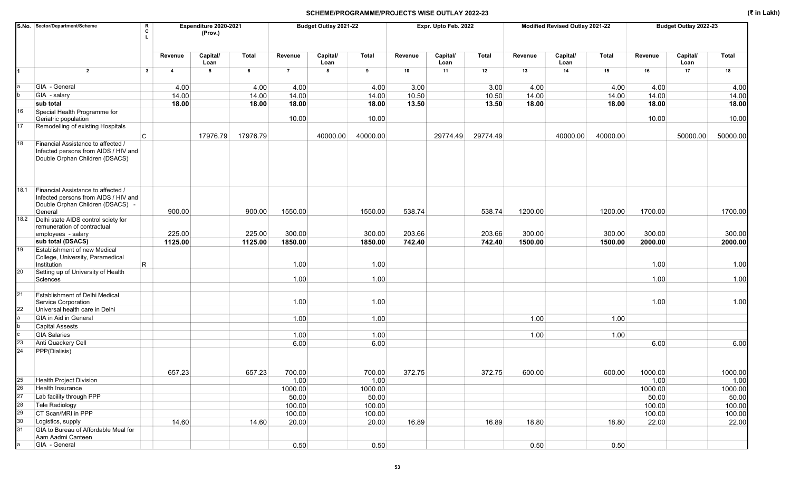|          | S.No. Sector/Department/Scheme                                                                                            | R<br>Expenditure 2020-2021<br>C |                         |                  |          |                  | Budget Outlay 2021-22 |                 |         | Expr. Upto Feb. 2022 |          |         | Modified Revised Outlay 2021-22 |          |                  | Budget Outlay 2022-23 |                 |
|----------|---------------------------------------------------------------------------------------------------------------------------|---------------------------------|-------------------------|------------------|----------|------------------|-----------------------|-----------------|---------|----------------------|----------|---------|---------------------------------|----------|------------------|-----------------------|-----------------|
|          |                                                                                                                           |                                 |                         | (Prov.)          |          |                  |                       |                 |         |                      |          |         |                                 |          |                  |                       |                 |
|          |                                                                                                                           |                                 |                         |                  |          |                  |                       |                 |         |                      |          |         |                                 |          |                  |                       |                 |
|          |                                                                                                                           |                                 | Revenue                 | Capital/<br>Loan | Total    | Revenue          | Capital/<br>Loan      | <b>Total</b>    | Revenue | Capital/<br>Loan     | Total    | Revenue | Capital/<br>Loan                | Total    | Revenue          | Capital/<br>Loan      | <b>Total</b>    |
| 1        | $\overline{2}$                                                                                                            | 3                               | $\overline{\mathbf{4}}$ | 5                | 6        | $\overline{7}$   | 8                     | 9               | 10      | 11                   | 12       | 13      | 14                              | 15       | 16               | 17                    | 18              |
|          | GIA - General                                                                                                             |                                 | 4.00                    |                  | 4.00     | 4.00             |                       | 4.00            | 3.00    |                      | 3.00     | 4.00    |                                 | 4.00     | 4.00             |                       | 4.00            |
|          | GIA - salary                                                                                                              |                                 | 14.00                   |                  | 14.00    | 14.00            |                       | 14.00           | 10.50   |                      | 10.50    | 14.00   |                                 | 14.00    | 14.00            |                       | 14.00           |
|          | sub total                                                                                                                 |                                 | 18.00                   |                  | 18.00    | 18.00            |                       | 18.00           | 13.50   |                      | 13.50    | 18.00   |                                 | 18.00    | 18.00            |                       | 18.00           |
| 16       | Special Health Programme for<br>Geriatric population                                                                      |                                 |                         |                  |          | 10.00            |                       | 10.00           |         |                      |          |         |                                 |          | 10.00            |                       | 10.00           |
| 17       | Remodelling of existing Hospitals                                                                                         |                                 |                         |                  |          |                  |                       |                 |         |                      |          |         |                                 |          |                  |                       |                 |
|          |                                                                                                                           | C                               |                         | 17976.79         | 17976.79 |                  | 40000.00              | 40000.00        |         | 29774.49             | 29774.49 |         | 40000.00                        | 40000.00 |                  | 50000.00              | 50000.00        |
| 18       | Financial Assistance to affected /<br>Infected persons from AIDS / HIV and<br>Double Orphan Children (DSACS)              |                                 |                         |                  |          |                  |                       |                 |         |                      |          |         |                                 |          |                  |                       |                 |
| 18.1     | Financial Assistance to affected /<br>Infected persons from AIDS / HIV and<br>Double Orphan Children (DSACS) -<br>General |                                 | 900.00                  |                  | 900.00   | 1550.00          |                       | 1550.00         | 538.74  |                      | 538.74   | 1200.00 |                                 | 1200.00  | 1700.00          |                       | 1700.00         |
| 18.2     | Delhi state AIDS control sciety for                                                                                       |                                 |                         |                  |          |                  |                       |                 |         |                      |          |         |                                 |          |                  |                       |                 |
|          | remuneration of contractual                                                                                               |                                 |                         |                  |          |                  |                       |                 |         |                      |          |         |                                 |          |                  |                       |                 |
|          | employees - salary                                                                                                        |                                 | 225.00                  |                  | 225.00   | 300.00           |                       | 300.00          | 203.66  |                      | 203.66   | 300.00  |                                 | 300.00   | 300.00           |                       | 300.00          |
| 19       | sub total (DSACS)<br><b>Establishment of new Medical</b>                                                                  |                                 | 1125.00                 |                  | 1125.00  | 1850.00          |                       | 1850.00         | 742.40  |                      | 742.40   | 1500.00 |                                 | 1500.00  | 2000.00          |                       | 2000.00         |
|          | College, University, Paramedical<br>Institution                                                                           | $\mathsf R$                     |                         |                  |          | 1.00             |                       | 1.00            |         |                      |          |         |                                 |          | 1.00             |                       | 1.00            |
| 20       | Setting up of University of Health                                                                                        |                                 |                         |                  |          |                  |                       |                 |         |                      |          |         |                                 |          |                  |                       |                 |
|          | Sciences                                                                                                                  |                                 |                         |                  |          | 1.00             |                       | 1.00            |         |                      |          |         |                                 |          | 1.00             |                       | 1.00            |
|          |                                                                                                                           |                                 |                         |                  |          |                  |                       |                 |         |                      |          |         |                                 |          |                  |                       |                 |
| 21       | <b>Establishment of Delhi Medical</b><br>Service Corporation                                                              |                                 |                         |                  |          | 1.00             |                       | 1.00            |         |                      |          |         |                                 |          | 1.00             |                       | 1.00            |
| 22       | Universal health care in Delhi                                                                                            |                                 |                         |                  |          |                  |                       |                 |         |                      |          |         |                                 |          |                  |                       |                 |
|          | GIA in Aid in General<br><b>Capital Assests</b>                                                                           |                                 |                         |                  |          | 1.00             |                       | 1.00            |         |                      |          | 1.00    |                                 | 1.00     |                  |                       |                 |
|          | <b>GIA Salaries</b>                                                                                                       |                                 |                         |                  |          | 1.00             |                       | 1.00            |         |                      |          | 1.00    |                                 | 1.00     |                  |                       |                 |
| 23       | Anti Quackery Cell                                                                                                        |                                 |                         |                  |          | 6.00             |                       | 6.00            |         |                      |          |         |                                 |          | 6.00             |                       | 6.00            |
| 24       | PPP(Dialisis)                                                                                                             |                                 |                         |                  |          |                  |                       |                 |         |                      |          |         |                                 |          |                  |                       |                 |
|          |                                                                                                                           |                                 | 657.23                  |                  | 657.23   | 700.00           |                       | 700.00          | 372.75  |                      | 372.75   | 600.00  |                                 | 600.00   | 1000.00          |                       | 1000.00         |
| 25       | Health Project Division                                                                                                   |                                 |                         |                  |          | 1.00             |                       | 1.00            |         |                      |          |         |                                 |          | 1.00             |                       | 1.00            |
| 26       | Health Insurance                                                                                                          |                                 |                         |                  |          | 1000.00          |                       | 1000.00         |         |                      |          |         |                                 |          | 1000.00          |                       | 1000.00         |
| 27<br>28 | Lab facility through PPP                                                                                                  |                                 |                         |                  |          | 50.00            |                       | 50.00           |         |                      |          |         |                                 |          | 50.00            |                       | 50.00           |
| 29       | Tele Radiology<br>CT Scan/MRI in PPP                                                                                      |                                 |                         |                  |          | 100.00<br>100.00 |                       | 100.00          |         |                      |          |         |                                 |          | 100.00<br>100.00 |                       | 100.00          |
| 30       | Logistics, supply                                                                                                         |                                 | 14.60                   |                  | 14.60    | 20.00            |                       | 100.00<br>20.00 | 16.89   |                      | 16.89    | 18.80   |                                 | 18.80    | 22.00            |                       | 100.00<br>22.00 |
| 31       | GIA to Bureau of Affordable Meal for                                                                                      |                                 |                         |                  |          |                  |                       |                 |         |                      |          |         |                                 |          |                  |                       |                 |
|          | Aam Aadmi Canteen                                                                                                         |                                 |                         |                  |          |                  |                       |                 |         |                      |          |         |                                 |          |                  |                       |                 |
|          | GIA - General                                                                                                             |                                 |                         |                  |          | 0.50             |                       | 0.50            |         |                      |          | 0.50    |                                 | 0.50     |                  |                       |                 |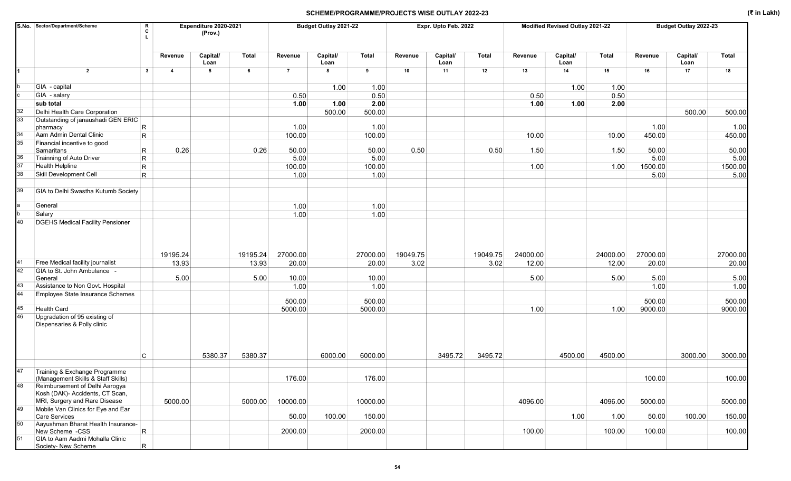|                 | S.No. Sector/Department/Scheme                                                                     | R<br>C                  |                | Expenditure 2020-2021<br>(Prov.) |          |                | Budget Outlay 2021-22 |              |          | Expr. Upto Feb. 2022 |          |          | Modified Revised Outlay 2021-22 |              |          | Budget Outlay 2022-23 |              |
|-----------------|----------------------------------------------------------------------------------------------------|-------------------------|----------------|----------------------------------|----------|----------------|-----------------------|--------------|----------|----------------------|----------|----------|---------------------------------|--------------|----------|-----------------------|--------------|
|                 |                                                                                                    |                         | Revenue        | Capital/<br>Loan                 | Total    | Revenue        | Capital/<br>Loan      | <b>Total</b> | Revenue  | Capital/<br>Loan     | Total    | Revenue  | Capital/<br>Loan                | <b>Total</b> | Revenue  | Capital/<br>Loan      | <b>Total</b> |
|                 | $\overline{2}$                                                                                     | $\mathbf{3}$            | $\overline{4}$ | 5                                | 6        | $\overline{7}$ | 8                     | 9            | 10       | 11                   | 12       | 13       | 14                              | 15           | 16       | 17                    | 18           |
|                 | GIA - capital                                                                                      |                         |                |                                  |          |                |                       |              |          |                      |          |          |                                 |              |          |                       |              |
|                 | GIA - salary                                                                                       |                         |                |                                  |          | 0.50           | 1.00                  | 1.00<br>0.50 |          |                      |          | 0.50     | 1.00                            | 1.00<br>0.50 |          |                       |              |
|                 | sub total                                                                                          |                         |                |                                  |          | 1.00           | 1.00                  | 2.00         |          |                      |          | 1.00     | 1.00                            | 2.00         |          |                       |              |
| 32              | Delhi Health Care Corporation                                                                      |                         |                |                                  |          |                | 500.00                | 500.00       |          |                      |          |          |                                 |              |          | 500.00                | 500.00       |
| 33 <sup>5</sup> | Outstanding of janaushadi GEN ERIC                                                                 |                         |                |                                  |          |                |                       |              |          |                      |          |          |                                 |              |          |                       |              |
|                 | pharmacy                                                                                           | $\mathsf R$             |                |                                  |          | 1.00           |                       | 1.00         |          |                      |          |          |                                 |              | 1.00     |                       | 1.00         |
| 34              | Aam Admin Dental Clinic                                                                            | R.                      |                |                                  |          | 100.00         |                       | 100.00       |          |                      |          | 10.00    |                                 | 10.00        | 450.00   |                       | 450.00       |
| $35\,$          | Financial incentive to good                                                                        |                         |                |                                  |          |                |                       |              |          |                      |          |          |                                 |              |          |                       |              |
|                 | Samaritans                                                                                         | R                       | 0.26           |                                  | 0.26     | 50.00          |                       | 50.00        | 0.50     |                      | 0.50     | 1.50     |                                 | 1.50         | 50.00    |                       | 50.00        |
| 36<br>37        | Trainning of Auto Driver                                                                           | R.                      |                |                                  |          | 5.00           |                       | 5.00         |          |                      |          |          |                                 |              | 5.00     |                       | 5.00         |
| 38              | Health Helpline                                                                                    | $\mathsf{R}$            |                |                                  |          | 100.00         |                       | 100.00       |          |                      |          | 1.00     |                                 | 1.00         | 1500.00  |                       | 1500.00      |
|                 | Skill Development Cell                                                                             | $\overline{\mathsf{R}}$ |                |                                  |          | 1.00           |                       | 1.00         |          |                      |          |          |                                 |              | 5.00     |                       | 5.00         |
| 39              | GIA to Delhi Swastha Kutumb Society                                                                |                         |                |                                  |          |                |                       |              |          |                      |          |          |                                 |              |          |                       |              |
|                 | General                                                                                            |                         |                |                                  |          | 1.00           |                       | 1.00         |          |                      |          |          |                                 |              |          |                       |              |
|                 | Salary<br><b>DGEHS Medical Facility Pensioner</b>                                                  |                         |                |                                  |          | 1.00           |                       | 1.00         |          |                      |          |          |                                 |              |          |                       |              |
|                 |                                                                                                    |                         | 19195.24       |                                  | 19195.24 | 27000.00       |                       | 27000.00     | 19049.75 |                      | 19049.75 | 24000.00 |                                 | 24000.00     | 27000.00 |                       | 27000.00     |
| 41              | Free Medical facility journalist                                                                   |                         | 13.93          |                                  | 13.93    | 20.00          |                       | 20.00        | 3.02     |                      | 3.02     | 12.00    |                                 | 12.00        | 20.00    |                       | 20.00        |
| 42              | GIA to St. John Ambulance -                                                                        |                         |                |                                  |          |                |                       |              |          |                      |          |          |                                 |              |          |                       |              |
|                 | General                                                                                            |                         | 5.00           |                                  | 5.00     | 10.00          |                       | 10.00        |          |                      |          | 5.00     |                                 | 5.00         | 5.00     |                       | 5.00         |
| 43              | Assistance to Non Govt. Hospital                                                                   |                         |                |                                  |          | 1.00           |                       | 1.00         |          |                      |          |          |                                 |              | 1.00     |                       | 1.00         |
| 44              | Employee State Insurance Schemes                                                                   |                         |                |                                  |          | 500.00         |                       | 500.00       |          |                      |          |          |                                 |              | 500.00   |                       | 500.00       |
| 45              | <b>Health Card</b>                                                                                 |                         |                |                                  |          | 5000.00        |                       | 5000.00      |          |                      |          | 1.00     |                                 | 1.00         | 9000.00  |                       | 9000.00      |
| 46              | Upgradation of 95 existing of<br>Dispensaries & Polly clinic                                       |                         |                |                                  |          |                |                       |              |          |                      |          |          |                                 |              |          |                       |              |
|                 |                                                                                                    | C                       |                | 5380.37                          | 5380.37  |                | 6000.00               | 6000.00      |          | 3495.72              | 3495.72  |          | 4500.00                         | 4500.00      |          | 3000.00               | 3000.00      |
| 47              | Training & Exchange Programme<br>(Management Skills & Staff Skills)                                |                         |                |                                  |          | 176.00         |                       | 176.00       |          |                      |          |          |                                 |              | 100.00   |                       | 100.00       |
| 48              | Reimbursement of Delhi Aarogya<br>Kosh (DAK)- Accidents, CT Scan,<br>MRI, Surgery and Rare Disease |                         | 5000.00        |                                  |          |                |                       |              |          |                      |          | 4096.00  |                                 |              |          |                       |              |
| 49              | Mobile Van Clinics for Eye and Ear                                                                 |                         |                |                                  | 5000.00  | 10000.00       |                       | 10000.00     |          |                      |          |          |                                 | 4096.00      | 5000.00  |                       | 5000.00      |
|                 | <b>Care Services</b>                                                                               |                         |                |                                  |          | 50.00          | 100.00                | 150.00       |          |                      |          |          | 1.00                            | 1.00         | 50.00    | 100.00                | 150.00       |
| 50              | Aayushman Bharat Health Insurance-<br>New Scheme -CSS                                              | $\vert R \vert$         |                |                                  |          | 2000.00        |                       | 2000.00      |          |                      |          | 100.00   |                                 | 100.00       | 100.00   |                       | 100.00       |
| 51              | GIA to Aam Aadmi Mohalla Clinic<br>Society- New Scheme                                             | $\mathsf R$             |                |                                  |          |                |                       |              |          |                      |          |          |                                 |              |          |                       |              |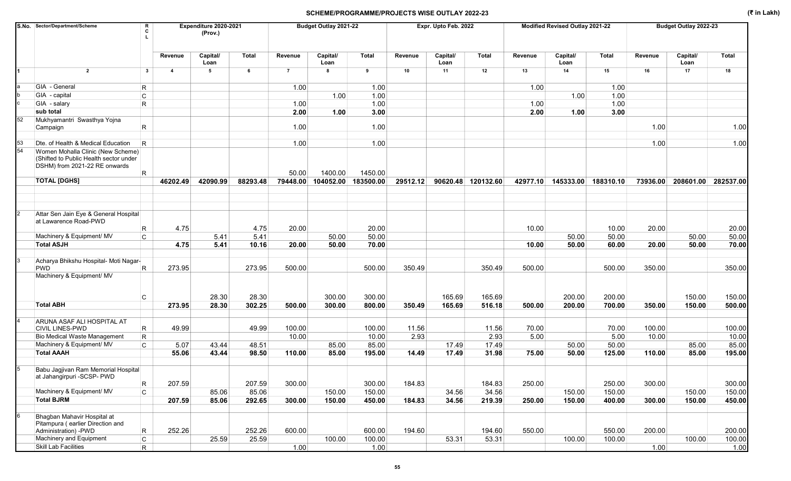|    | S.No. Sector/Department/Scheme                                                                               | R<br>C                  |                | Expenditure 2020-2021<br>(Prov.) |          |                | Budget Outlay 2021-22 |              |          | Expr. Upto Feb. 2022 |                    |          | Modified Revised Outlay 2021-22 |           |          | Budget Outlay 2022-23 |              |
|----|--------------------------------------------------------------------------------------------------------------|-------------------------|----------------|----------------------------------|----------|----------------|-----------------------|--------------|----------|----------------------|--------------------|----------|---------------------------------|-----------|----------|-----------------------|--------------|
|    |                                                                                                              |                         | Revenue        | Capital/<br>Loan                 | Total    | Revenue        | Capital/<br>Loan      | <b>Total</b> | Revenue  | Capital/<br>Loan     | <b>Total</b>       | Revenue  | Capital/<br>Loan                | Total     | Revenue  | Capital/<br>Loan      | <b>Total</b> |
| 1  | $\overline{2}$                                                                                               | $\mathbf{3}$            | $\overline{4}$ | 5                                | 6        | $\overline{7}$ | 8                     | 9            | 10       | 11                   | 12                 | 13       | 14                              | 15        | 16       | 17                    | 18           |
|    | GIA - General                                                                                                | R.                      |                |                                  |          | 1.00           |                       | 1.00         |          |                      |                    | 1.00     |                                 | 1.00      |          |                       |              |
|    | GIA - capital                                                                                                | $\mathtt{C}$            |                |                                  |          |                | 1.00                  | 1.00         |          |                      |                    |          | 1.00                            | 1.00      |          |                       |              |
|    | GIA - salary                                                                                                 | R                       |                |                                  |          | 1.00           |                       | 1.00         |          |                      |                    | 1.00     |                                 | 1.00      |          |                       |              |
|    | sub total                                                                                                    |                         |                |                                  |          | 2.00           | 1.00                  | 3.00         |          |                      |                    | 2.00     | 1.00                            | 3.00      |          |                       |              |
| 52 | Mukhyamantri Swasthya Yojna<br>Campaign                                                                      | R.                      |                |                                  |          | 1.00           |                       | 1.00         |          |                      |                    |          |                                 |           | 1.00     |                       | 1.00         |
| 53 | Dte. of Health & Medical Education                                                                           | $\overline{\mathsf{R}}$ |                |                                  |          | 1.00           |                       | 1.00         |          |                      |                    |          |                                 |           | 1.00     |                       | 1.00         |
| 54 | Women Mohalla Clinic (New Scheme)<br>(Shifted to Public Health sector under<br>DSHM) from 2021-22 RE onwards | R                       |                |                                  |          | 50.00          | 1400.00               | 1450.00      |          |                      |                    |          |                                 |           |          |                       |              |
|    | <b>TOTAL [DGHS]</b>                                                                                          |                         | 46202.49       | 42090.99                         | 88293.48 | 79448.00       | 104052.00             | 183500.00    | 29512.12 |                      | 90620.48 120132.60 | 42977.10 | 145333.00                       | 188310.10 | 73936.00 | 208601.00             | 282537.00    |
|    |                                                                                                              |                         |                |                                  |          |                |                       |              |          |                      |                    |          |                                 |           |          |                       |              |
|    | Attar Sen Jain Eye & General Hospital                                                                        |                         |                |                                  |          |                |                       |              |          |                      |                    |          |                                 |           |          |                       |              |
|    | at Lawarence Road-PWD                                                                                        |                         |                |                                  |          |                |                       |              |          |                      |                    |          |                                 |           |          |                       |              |
|    |                                                                                                              | R                       | 4.75           |                                  | 4.75     | 20.00          |                       | 20.00        |          |                      |                    | 10.00    |                                 | 10.00     | 20.00    |                       | 20.00        |
|    | Machinery & Equipment/ MV                                                                                    | C                       |                | 5.41                             | 5.41     |                | 50.00                 | 50.00        |          |                      |                    |          | 50.00                           | 50.00     |          | 50.00                 | 50.00        |
|    | <b>Total ASJH</b>                                                                                            |                         | 4.75           | 5.41                             | 10.16    | 20.00          | 50.00                 | 70.00        |          |                      |                    | 10.00    | 50.00                           | 60.00     | 20.00    | 50.00                 | 70.00        |
|    | Acharya Bhikshu Hospital- Moti Nagar-                                                                        |                         |                |                                  |          |                |                       |              |          |                      |                    |          |                                 |           |          |                       |              |
|    | <b>PWD</b>                                                                                                   | R                       | 273.95         |                                  | 273.95   | 500.00         |                       | 500.00       | 350.49   |                      | 350.49             | 500.00   |                                 | 500.00    | 350.00   |                       | 350.00       |
|    | Machinery & Equipment/ MV                                                                                    |                         |                |                                  |          |                |                       |              |          |                      |                    |          |                                 |           |          |                       |              |
|    |                                                                                                              | C                       |                | 28.30                            | 28.30    |                | 300.00                | 300.00       |          | 165.69               | 165.69             |          | 200.00                          | 200.00    |          | 150.00                | 150.00       |
|    | <b>Total ABH</b>                                                                                             |                         | 273.95         | 28.30                            | 302.25   | 500.00         | 300.00                | 800.00       | 350.49   | 165.69               | 516.18             | 500.00   | 200.00                          | 700.00    | 350.00   | 150.00                | 500.00       |
|    | ARUNA ASAF ALI HOSPITAL AT<br><b>CIVIL LINES-PWD</b>                                                         |                         | 49.99          |                                  | 49.99    | 100.00         |                       | 100.00       | 11.56    |                      | 11.56              | 70.00    |                                 | 70.00     | 100.00   |                       | 100.00       |
|    | <b>Bio Medical Waste Management</b>                                                                          | R<br>$\mathsf R$        |                |                                  |          | 10.00          |                       | 10.00        | 2.93     |                      | 2.93               | 5.00     |                                 | 5.00      | 10.00    |                       | 10.00        |
|    | Machinery & Equipment/ MV                                                                                    | C.                      | 5.07           | 43.44                            | 48.51    |                | 85.00                 | 85.00        |          | 17.49                | 17.49              |          | 50.00                           | 50.00     |          | 85.00                 | 85.00        |
|    | <b>Total AAAH</b>                                                                                            |                         | 55.06          | 43.44                            | 98.50    | 110.00         | 85.00                 | 195.00       | 14.49    | 17.49                | 31.98              | 75.00    | 50.00                           | 125.00    | 110.00   | 85.00                 | 195.00       |
|    |                                                                                                              |                         |                |                                  |          |                |                       |              |          |                      |                    |          |                                 |           |          |                       |              |
|    | Babu Jagjivan Ram Memorial Hospital<br>at Jahangirpuri -SCSP- PWD                                            |                         |                |                                  |          |                |                       |              |          |                      |                    |          |                                 |           |          |                       |              |
|    |                                                                                                              | R                       | 207.59         |                                  | 207.59   | 300.00         |                       | 300.00       | 184.83   |                      | 184.83             | 250.00   |                                 | 250.00    | 300.00   |                       | 300.00       |
|    | Machinery & Equipment/ MV                                                                                    | $\mathsf{C}$            |                | 85.06                            | 85.06    |                | 150.00                | 150.00       |          | 34.56                | 34.56              |          | 150.00                          | 150.00    |          | 150.00                | 150.00       |
|    | <b>Total BJRM</b>                                                                                            |                         | 207.59         | 85.06                            | 292.65   | 300.00         | 150.00                | 450.00       | 184.83   | 34.56                | 219.39             | 250.00   | 150.00                          | 400.00    | 300.00   | 150.00                | 450.00       |
|    | Bhagban Mahavir Hospital at<br>Pitampura (earlier Direction and                                              |                         |                |                                  |          |                |                       |              |          |                      |                    |          |                                 |           |          |                       |              |
|    | Administration) - PWD                                                                                        | $\mathsf R$             | 252.26         |                                  | 252.26   | 600.00         |                       | 600.00       | 194.60   |                      | 194.60             | 550.00   |                                 | 550.00    | 200.00   |                       | 200.00       |
|    | Machinery and Equipment                                                                                      | $\mathsf{C}$            |                | 25.59                            | 25.59    |                | 100.00                | 100.00       |          | 53.31                | 53.31              |          | 100.00                          | 100.00    |          | 100.00                | 100.00       |
|    | Skill Lab Facilities                                                                                         | R                       |                |                                  |          | 1.00           |                       | 1.00         |          |                      |                    |          |                                 |           | 1.00     |                       | 1.00         |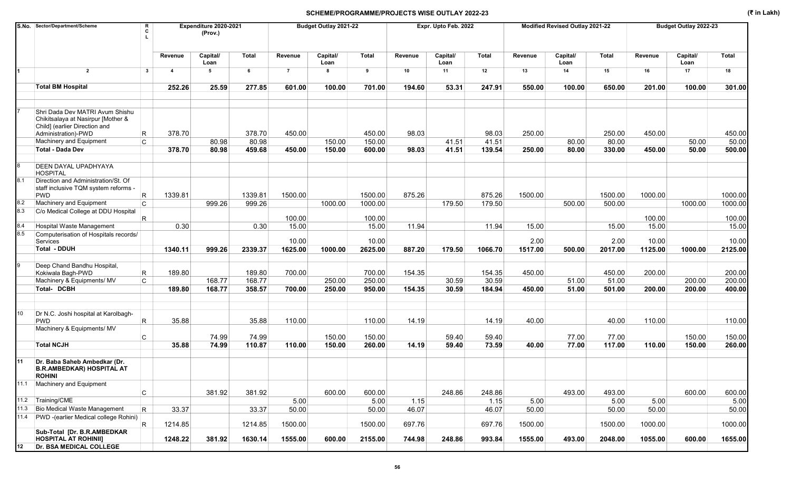|     | S.No. Sector/Department/Scheme                                                                                                | R<br>C       |                         | Expenditure 2020-2021<br>(Prov.) |         |                | Budget Outlay 2021-22 |              |         | Expr. Upto Feb. 2022 |              |         | Modified Revised Outlay 2021-22 |              |         | Budget Outlay 2022-23 |         |
|-----|-------------------------------------------------------------------------------------------------------------------------------|--------------|-------------------------|----------------------------------|---------|----------------|-----------------------|--------------|---------|----------------------|--------------|---------|---------------------------------|--------------|---------|-----------------------|---------|
|     |                                                                                                                               |              | Revenue                 | Capital/<br>Loan                 | Total   | Revenue        | Capital/<br>Loan      | <b>Total</b> | Revenue | Capital/<br>Loan     | <b>Total</b> | Revenue | Capital/<br>Loan                | <b>Total</b> | Revenue | Capital/<br>Loan      | Total   |
|     | $\overline{2}$                                                                                                                | $\mathbf{3}$ | $\overline{\mathbf{A}}$ | 5                                | 6       | $\overline{7}$ | 8                     | 9            | 10      | 11                   | 12           | 13      | 14                              | 15           | 16      | 17                    | 18      |
|     | <b>Total BM Hospital</b>                                                                                                      |              | 252.26                  | 25.59                            | 277.85  | 601.00         | 100.00                | 701.00       | 194.60  | 53.31                | 247.91       | 550.00  | 100.00                          | 650.00       | 201.00  | 100.00                | 301.00  |
|     | Shri Dada Dev MATRI Avum Shishu<br>Chikitsalaya at Nasirpur [Mother &<br>Child] (earlier Direction and<br>Administration)-PWD | R            | 378.70                  |                                  | 378.70  | 450.00         |                       | 450.00       | 98.03   |                      | 98.03        | 250.00  |                                 | 250.00       | 450.00  |                       | 450.00  |
|     | <b>Machinery and Equipment</b>                                                                                                | C.           |                         | 80.98                            | 80.98   |                | 150.00                | 150.00       |         | 41.51                | 41.51        |         | 80.00                           | 80.00        |         | 50.00                 | 50.00   |
|     | <b>Total - Dada Dev</b>                                                                                                       |              | 378.70                  | 80.98                            | 459.68  | 450.00         | 150.00                | 600.00       | 98.03   | 41.51                | 139.54       | 250.00  | 80.00                           | 330.00       | 450.00  | 50.00                 | 500.00  |
| 8.1 | <b>DEEN DAYAL UPADHYAYA</b><br><b>HOSPITAL</b><br>Direction and Administration/St. Of<br>staff inclusive TQM system reforms - |              |                         |                                  |         |                |                       |              |         |                      |              |         |                                 |              |         |                       |         |
|     | <b>PWD</b>                                                                                                                    | R            | 1339.81                 |                                  | 1339.81 | 1500.00        |                       | 1500.00      | 875.26  |                      | 875.26       | 1500.00 |                                 | 1500.00      | 1000.00 |                       | 1000.00 |
| 8.2 | Machinery and Equipment                                                                                                       | $\mathsf{C}$ |                         | 999.26                           | 999.26  |                | 1000.00               | 1000.00      |         | 179.50               | 179.50       |         | 500.00                          | 500.00       |         | 1000.00               | 1000.00 |
| 8.3 | C/o Medical College at DDU Hospital                                                                                           | R            |                         |                                  |         | 100.00         |                       | 100.00       |         |                      |              |         |                                 |              | 100.00  |                       | 100.00  |
| 8.4 | <b>Hospital Waste Management</b>                                                                                              |              | 0.30                    |                                  | 0.30    | 15.00          |                       | 15.00        | 11.94   |                      | 11.94        | 15.00   |                                 | 15.00        | 15.00   |                       | 15.00   |
| 8.5 | Computerisation of Hospitals records/                                                                                         |              |                         |                                  |         |                |                       |              |         |                      |              |         |                                 |              |         |                       |         |
|     | Services                                                                                                                      |              |                         |                                  |         | 10.00          |                       | 10.00        |         |                      |              | 2.00    |                                 | 2.00         | 10.00   |                       | 10.00   |
|     | <b>Total - DDUH</b>                                                                                                           |              | 1340.11                 | 999.26                           | 2339.37 | 1625.00        | 1000.00               | 2625.00      | 887.20  | 179.50               | 1066.70      | 1517.00 | 500.00                          | 2017.00      | 1125.00 | 1000.00               | 2125.00 |
|     | Deep Chand Bandhu Hospital,<br>Kokiwala Bagh-PWD                                                                              | R            | 189.80                  |                                  | 189.80  | 700.00         |                       | 700.00       | 154.35  |                      | 154.35       | 450.00  |                                 | 450.00       | 200.00  |                       | 200.00  |
|     | Machinery & Equipments/ MV                                                                                                    | C.           |                         | 168.77                           | 168.77  |                | 250.00                | 250.00       |         | 30.59                | 30.59        |         | 51.00                           | 51.00        |         | 200.00                | 200.00  |
|     | <b>Total- DCBH</b>                                                                                                            |              | 189.80                  | 168.77                           | 358.57  | 700.00         | 250.00                | 950.00       | 154.35  | 30.59                | 184.94       | 450.00  | 51.00                           | 501.00       | 200.00  | 200.00                | 400.00  |
| 10  |                                                                                                                               |              |                         |                                  |         |                |                       |              |         |                      |              |         |                                 |              |         |                       |         |
|     | Dr N.C. Joshi hospital at Karolbagh-<br><b>PWD</b>                                                                            | R            | 35.88                   |                                  | 35.88   | 110.00         |                       | 110.00       | 14.19   |                      | 14.19        | 40.00   |                                 | 40.00        | 110.00  |                       | 110.00  |
|     | Machinery & Equipments/ MV                                                                                                    |              |                         |                                  |         |                |                       |              |         |                      |              |         |                                 |              |         |                       |         |
|     | <b>Total NCJH</b>                                                                                                             | C            |                         | 74.99                            | 74.99   |                | 150.00                | 150.00       |         | 59.40                | 59.40        |         | 77.00                           | 77.00        |         | 150.00                | 150.00  |
|     |                                                                                                                               |              | 35.88                   | 74.99                            | 110.87  | 110.00         | 150.00                | 260.00       | 14.19   | 59.40                | 73.59        | 40.00   | 77.00                           | 117.00       | 110.00  | 150.00                | 260.00  |
| 11  | Dr. Baba Saheb Ambedkar (Dr.<br><b>B.R.AMBEDKAR) HOSPITAL AT</b><br><b>ROHINI</b>                                             |              |                         |                                  |         |                |                       |              |         |                      |              |         |                                 |              |         |                       |         |
|     | 11.1 Machinery and Equipment                                                                                                  | C            |                         | 381.92                           | 381.92  |                | 600.00                | 600.00       |         | 248.86               | 248.86       |         | 493.00                          | 493.00       |         | 600.00                | 600.00  |
|     | 11.2 Training/CME                                                                                                             |              |                         |                                  |         | 5.00           |                       | 5.00         | 1.15    |                      | 1.15         | 5.00    |                                 | 5.00         | 5.00    |                       | 5.00    |
|     | 11.3 Bio Medical Waste Management                                                                                             | R            | 33.37                   |                                  | 33.37   | 50.00          |                       | 50.00        | 46.07   |                      | 46.07        | 50.00   |                                 | 50.00        | 50.00   |                       | 50.00   |
|     | 11.4 PWD - (earlier Medical college Rohini)                                                                                   |              |                         |                                  |         |                |                       |              |         |                      |              |         |                                 |              |         |                       |         |
|     |                                                                                                                               | R            | 1214.85                 |                                  | 1214.85 | 1500.00        |                       | 1500.00      | 697.76  |                      | 697.76       | 1500.00 |                                 | 1500.00      | 1000.00 |                       | 1000.00 |
| 12  | Sub-Total [Dr. B.R.AMBEDKAR<br><b>HOSPITAL AT ROHINII]</b><br><b>Dr. BSA MEDICAL COLLEGE</b>                                  |              | 1248.22                 | 381.92                           | 1630.14 | 1555.00        | 600.00                | 2155.00      | 744.98  | 248.86               | 993.84       | 1555.00 | 493.00                          | 2048.00      | 1055.00 | 600.00                | 1655.00 |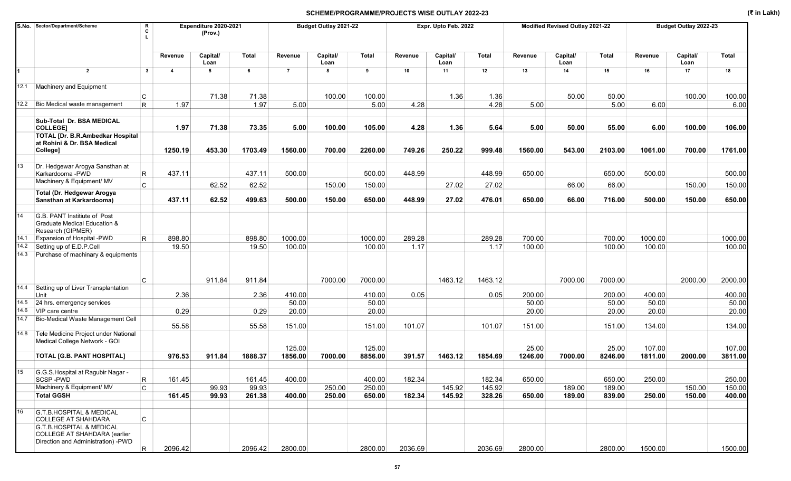|      | S.No. Sector/Department/Scheme                                                                           | R<br>Expenditure 2020-2021<br>C<br>(Prov.) |                         |                  |         | Budget Outlay 2021-22 |                  |              | Expr. Upto Feb. 2022 |                  |         | Modified Revised Outlay 2021-22 |                  |              | Budget Outlay 2022-23 |                  |              |
|------|----------------------------------------------------------------------------------------------------------|--------------------------------------------|-------------------------|------------------|---------|-----------------------|------------------|--------------|----------------------|------------------|---------|---------------------------------|------------------|--------------|-----------------------|------------------|--------------|
|      |                                                                                                          |                                            | Revenue                 | Capital/<br>Loan | Total   | Revenue               | Capital/<br>Loan | <b>Total</b> | Revenue              | Capital/<br>Loan | Total   | Revenue                         | Capital/<br>Loan | <b>Total</b> | Revenue               | Capital/<br>Loan | <b>Total</b> |
| 1    | $\overline{2}$                                                                                           | $\mathbf{3}$                               | $\overline{\mathbf{4}}$ | 5                | 6       | $\overline{7}$        | 8                | 9            | 10                   | 11               | 12      | 13                              | 14               | 15           | 16                    | 17               | 18           |
|      | 12.1 Machinery and Equipment                                                                             |                                            |                         |                  |         |                       |                  |              |                      |                  |         |                                 |                  |              |                       |                  |              |
|      |                                                                                                          | С                                          |                         | 71.38            | 71.38   |                       | 100.00           | 100.00       |                      | 1.36             | 1.36    |                                 | 50.00            | 50.00        |                       | 100.00           | 100.00       |
|      | 12.2 Bio Medical waste management                                                                        | R.                                         | 1.97                    |                  | 1.97    | 5.00                  |                  | 5.00         | 4.28                 |                  | 4.28    | 5.00                            |                  | 5.00         | 6.00                  |                  | 6.00         |
|      | Sub-Total Dr. BSA MEDICAL<br><b>COLLEGE]</b>                                                             |                                            | 1.97                    | 71.38            | 73.35   | 5.00                  | 100.00           | 105.00       | 4.28                 | 1.36             | 5.64    | 5.00                            | 50.00            | 55.00        | 6.00                  | 100.00           | 106.00       |
|      | <b>TOTAL [Dr. B.R.Ambedkar Hospital</b><br>at Rohini & Dr. BSA Medical<br>College]                       |                                            | 1250.19                 | 453.30           | 1703.49 | 1560.00               | 700.00           | 2260.00      | 749.26               | 250.22           | 999.48  | 1560.00                         | 543.00           | 2103.00      | 1061.00               | 700.00           | 1761.00      |
|      |                                                                                                          |                                            |                         |                  |         |                       |                  |              |                      |                  |         |                                 |                  |              |                       |                  |              |
| 13   | Dr. Hedgewar Arogya Sansthan at<br>Karkardooma - PWD                                                     | R                                          | 437.11                  |                  | 437.11  | 500.00                |                  | 500.00       | 448.99               |                  | 448.99  | 650.00                          |                  | 650.00       | 500.00                |                  | 500.00       |
|      | Machinery & Equipment/ MV                                                                                | $\mathsf{C}$                               |                         | 62.52            | 62.52   |                       | 150.00           | 150.00       |                      | 27.02            | 27.02   |                                 | 66.00            | 66.00        |                       | 150.00           | 150.00       |
|      | Total (Dr. Hedgewar Arogya<br>Sansthan at Karkardooma)                                                   |                                            | 437.11                  | 62.52            | 499.63  | 500.00                | 150.00           | 650.00       | 448.99               | 27.02            | 476.01  | 650.00                          | 66.00            | 716.00       | 500.00                | 150.00           | 650.00       |
|      |                                                                                                          |                                            |                         |                  |         |                       |                  |              |                      |                  |         |                                 |                  |              |                       |                  |              |
| 14   | G.B. PANT Institiute of Post<br>Graduate Medical Education &<br>Research (GIPMER)                        |                                            |                         |                  |         |                       |                  |              |                      |                  |         |                                 |                  |              |                       |                  |              |
| 14.1 | Expansion of Hospital -PWD                                                                               | R.                                         | 898.80                  |                  | 898.80  | 1000.00               |                  | 1000.00      | 289.28               |                  | 289.28  | 700.00                          |                  | 700.00       | 1000.00               |                  | 1000.00      |
| 14.2 | Setting up of E.D.P.Cell                                                                                 |                                            | 19.50                   |                  | 19.50   | 100.00                |                  | 100.00       | 1.17                 |                  | 1.17    | 100.00                          |                  | 100.00       | 100.00                |                  | 100.00       |
| 14.3 | Purchase of machinary & equipments                                                                       |                                            |                         |                  |         |                       |                  |              |                      |                  |         |                                 |                  |              |                       |                  |              |
|      |                                                                                                          | C                                          |                         | 911.84           | 911.84  |                       | 7000.00          | 7000.00      |                      | 1463.12          | 1463.12 |                                 | 7000.00          | 7000.00      |                       | 2000.00          | 2000.00      |
| 14.4 | Setting up of Liver Transplantation<br>Unit                                                              |                                            | 2.36                    |                  | 2.36    | 410.00                |                  | 410.00       | 0.05                 |                  | 0.05    | 200.00                          |                  | 200.00       | 400.00                |                  | 400.00       |
| 14.5 | 24 hrs. emergency services                                                                               |                                            |                         |                  |         | 50.00                 |                  | 50.00        |                      |                  |         | 50.00                           |                  | 50.00        | 50.00                 |                  | 50.00        |
| 14.6 | VIP care centre                                                                                          |                                            | 0.29                    |                  | 0.29    | 20.00                 |                  | 20.00        |                      |                  |         | 20.00                           |                  | 20.00        | 20.00                 |                  | 20.00        |
| 14.7 | <b>Bio-Medical Waste Management Cell</b>                                                                 |                                            | 55.58                   |                  | 55.58   | 151.00                |                  | 151.00       | 101.07               |                  | 101.07  | 151.00                          |                  | 151.00       | 134.00                |                  | 134.00       |
| 14.8 | Tele Medicine Project under National<br>Medical College Network - GOI                                    |                                            |                         |                  |         | 125.00                |                  | 125.00       |                      |                  |         | 25.00                           |                  | 25.00        | 107.00                |                  | 107.00       |
|      | <b>TOTAL [G.B. PANT HOSPITAL]</b>                                                                        |                                            | 976.53                  | 911.84           | 1888.37 | 1856.00               | 7000.00          | 8856.00      | 391.57               | 1463.12          | 1854.69 | 1246.00                         | 7000.00          | 8246.00      | 1811.00               | 2000.00          | 3811.00      |
|      |                                                                                                          |                                            |                         |                  |         |                       |                  |              |                      |                  |         |                                 |                  |              |                       |                  |              |
| 15   | G.G.S. Hospital at Ragubir Nagar -<br>SCSP-PWD                                                           | $\vert$ R                                  | 161.45                  |                  | 161.45  | 400.00                |                  | 400.00       | 182.34               |                  | 182.34  | 650.00                          |                  | 650.00       | 250.00                |                  | 250.00       |
|      | Machinery & Equipment/ MV                                                                                | $\mathsf{C}$                               |                         | 99.93            | 99.93   |                       | 250.00           | 250.00       |                      | 145.92           | 145.92  |                                 | 189.00           | 189.00       |                       | 150.00           | 150.00       |
|      | <b>Total GGSH</b>                                                                                        |                                            | 161.45                  | 99.93            | 261.38  | 400.00                | 250.00           | 650.00       | 182.34               | 145.92           | 328.26  | 650.00                          | 189.00           | 839.00       | 250.00                | 150.00           | 400.00       |
| 16   | <b>G.T.B.HOSPITAL &amp; MEDICAL</b><br><b>COLLEGE AT SHAHDARA</b><br><b>G.T.B.HOSPITAL &amp; MEDICAL</b> | C                                          |                         |                  |         |                       |                  |              |                      |                  |         |                                 |                  |              |                       |                  |              |
|      | <b>COLLEGE AT SHAHDARA (earlier</b><br>Direction and Administration) - PWD                               | $\overline{\mathsf{R}}$                    | 2096.42                 |                  | 2096.42 | 2800.00               |                  | 2800.00      | 2036.69              |                  | 2036.69 | 2800.00                         |                  | 2800.00      | 1500.00               |                  | 1500.00      |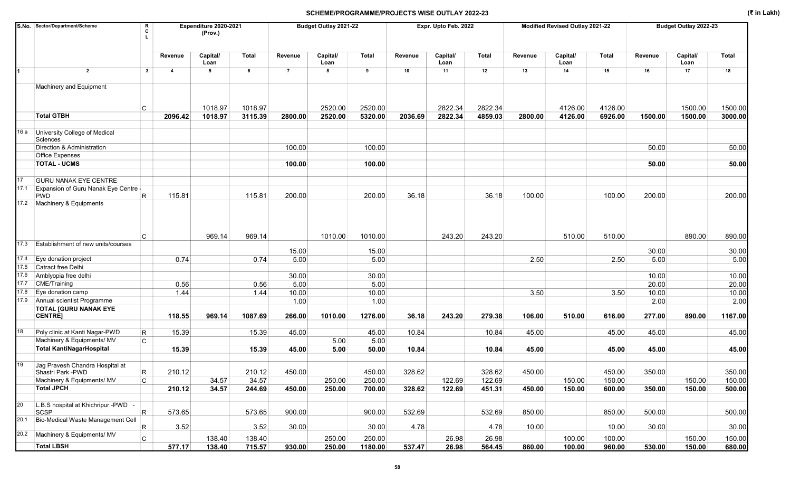|      | S.No. Sector/Department/Scheme<br>R<br>C                  |                | Expenditure 2020-2021<br>(Prov.) |         |                | Budget Outlay 2021-22 |         |         | Expr. Upto Feb. 2022 |         |         | Modified Revised Outlay 2021-22 |         |         | Budget Outlay 2022-23 |              |
|------|-----------------------------------------------------------|----------------|----------------------------------|---------|----------------|-----------------------|---------|---------|----------------------|---------|---------|---------------------------------|---------|---------|-----------------------|--------------|
|      |                                                           | Revenue        | Capital/<br>Loan                 | Total   | Revenue        | Capital/<br>Loan      | Total   | Revenue | Capital/<br>Loan     | Total   | Revenue | Capital/<br>Loan                | Total   | Revenue | Capital/<br>Loan      | <b>Total</b> |
|      | $\overline{2}$<br>$\mathbf{3}$                            | $\overline{4}$ | 5                                | 6       | $\overline{7}$ | 8                     | 9       | 10      | 11                   | 12      | 13      | 14                              | 15      | 16      | 17                    | 18           |
|      | Machinery and Equipment                                   |                |                                  |         |                |                       |         |         |                      |         |         |                                 |         |         |                       |              |
|      | C                                                         |                | 1018.97                          | 1018.97 |                | 2520.00               | 2520.00 |         | 2822.34              | 2822.34 |         | 4126.00                         | 4126.00 |         | 1500.00               | 1500.00      |
|      | <b>Total GTBH</b>                                         | 2096.42        | 1018.97                          | 3115.39 | 2800.00        | 2520.00               | 5320.00 | 2036.69 | 2822.34              | 4859.03 | 2800.00 | 4126.00                         | 6926.00 | 1500.00 | 1500.00               | 3000.00      |
| 16 a | University College of Medical<br>Sciences                 |                |                                  |         |                |                       |         |         |                      |         |         |                                 |         |         |                       |              |
|      | Direction & Administration                                |                |                                  |         | 100.00         |                       | 100.00  |         |                      |         |         |                                 |         | 50.00   |                       | 50.00        |
|      | <b>Office Expenses</b>                                    |                |                                  |         |                |                       |         |         |                      |         |         |                                 |         |         |                       |              |
|      | <b>TOTAL - UCMS</b>                                       |                |                                  |         | 100.00         |                       | 100.00  |         |                      |         |         |                                 |         | 50.00   |                       | 50.00        |
| 17   | <b>GURU NANAK EYE CENTRE</b>                              |                |                                  |         |                |                       |         |         |                      |         |         |                                 |         |         |                       |              |
| 17.1 | Expansion of Guru Nanak Eye Centre -                      |                |                                  |         |                |                       |         |         |                      |         |         |                                 |         |         |                       |              |
|      | R<br><b>PWD</b><br>17.2 Machinery & Equipments            | 115.81         |                                  | 115.81  | 200.00         |                       | 200.00  | 36.18   |                      | 36.18   | 100.00  |                                 | 100.00  | 200.00  |                       | 200.00       |
|      | C                                                         |                | 969.14                           | 969.14  |                | 1010.00               | 1010.00 |         | 243.20               | 243.20  |         | 510.00                          | 510.00  |         | 890.00                | 890.00       |
| 17.3 | <b>Establishment of new units/courses</b>                 |                |                                  |         | 15.00          |                       | 15.00   |         |                      |         |         |                                 |         | 30.00   |                       | 30.00        |
| 17.4 | Eye donation project                                      | 0.74           |                                  | 0.74    | 5.00           |                       | 5.00    |         |                      |         | 2.50    |                                 | 2.50    | 5.00    |                       | 5.00         |
| 17.5 | Catract free Delhi                                        |                |                                  |         |                |                       |         |         |                      |         |         |                                 |         |         |                       |              |
| 17.6 | Amblyopia free delhi                                      |                |                                  |         | 30.00          |                       | 30.00   |         |                      |         |         |                                 |         | 10.00   |                       | 10.00        |
| 17.7 | <b>CME/Training</b>                                       | 0.56           |                                  | 0.56    | 5.00           |                       | 5.00    |         |                      |         |         |                                 |         | 20.00   |                       | 20.00        |
| 17.8 | Eye donation camp                                         | 1.44           |                                  | 1.44    | 10.00          |                       | 10.00   |         |                      |         | 3.50    |                                 | 3.50    | 10.00   |                       | 10.00        |
| 17.9 | Annual scientist Programme                                |                |                                  |         | 1.00           |                       | 1.00    |         |                      |         |         |                                 |         | 2.00    |                       | 2.00         |
|      | <b>TOTAL [GURU NANAK EYE</b><br><b>CENTRE]</b>            | 118.55         | 969.14                           | 1087.69 | 266.00         | 1010.00               | 1276.00 | 36.18   | 243.20               | 279.38  | 106.00  | 510.00                          | 616.00  | 277.00  | 890.00                | 1167.00      |
| 18   | Poly clinic at Kanti Nagar-PWD<br>R                       | 15.39          |                                  | 15.39   | 45.00          |                       | 45.00   | 10.84   |                      | 10.84   | 45.00   |                                 | 45.00   | 45.00   |                       | 45.00        |
|      | Machinery & Equipments/ MV<br>C                           |                |                                  |         |                | 5.00                  | 5.00    |         |                      |         |         |                                 |         |         |                       |              |
|      | <b>Total KantiNagarHospital</b>                           | 15.39          |                                  | 15.39   | 45.00          | 5.00                  | 50.00   | 10.84   |                      | 10.84   | 45.00   |                                 | 45.00   | 45.00   |                       | 45.00        |
| 19   | Jag Pravesh Chandra Hospital at<br>R<br>Shastri Park -PWD | 210.12         |                                  | 210.12  | 450.00         |                       | 450.00  | 328.62  |                      | 328.62  | 450.00  |                                 | 450.00  | 350.00  |                       | 350.00       |
|      | Machinery & Equipments/ MV<br>C                           |                | 34.57                            | 34.57   |                | 250.00                | 250.00  |         | 122.69               | 122.69  |         | 150.00                          | 150.00  |         | 150.00                | 150.00       |
|      | <b>Total JPCH</b>                                         | 210.12         | 34.57                            | 244.69  | 450.00         | 250.00                | 700.00  | 328.62  | 122.69               | 451.31  | 450.00  | 150.00                          | 600.00  | 350.00  | 150.00                | 500.00       |
|      |                                                           |                |                                  |         |                |                       |         |         |                      |         |         |                                 |         |         |                       |              |
| 20   | L.B.S hospital at Khichripur - PWD -<br>R<br>SCSP         | 573.65         |                                  | 573.65  | 900.00         |                       | 900.00  | 532.69  |                      | 532.69  | 850.00  |                                 | 850.00  | 500.00  |                       | 500.00       |
|      | 20.1 Bio-Medical Waste Management Cell<br>R               | 3.52           |                                  | 3.52    | 30.00          |                       | 30.00   | 4.78    |                      | 4.78    | 10.00   |                                 | 10.00   | 30.00   |                       | 30.00        |
|      | 20.2 Machinery & Equipments/ MV<br>$\mathsf{C}$           |                | 138.40                           | 138.40  |                | 250.00                | 250.00  |         | 26.98                | 26.98   |         | 100.00                          | 100.00  |         | 150.00                | 150.00       |
|      | <b>Total LBSH</b>                                         | 577.17         | 138.40                           | 715.57  | 930.00         | 250.00                | 1180.00 | 537.47  | 26.98                | 564.45  | 860.00  | 100.00                          | 960.00  | 530.00  | 150.00                | 680.00       |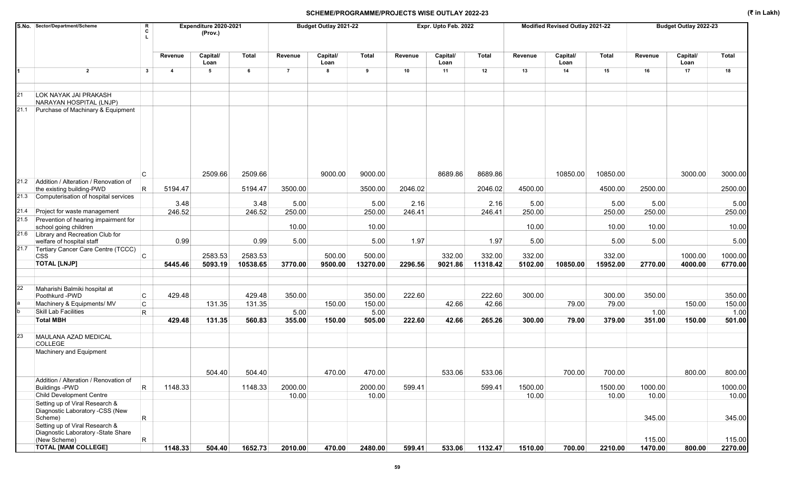|      | S.No. Sector/Department/Scheme                                               | R<br>c                  |                         | Expenditure 2020-2021<br>(Prov.) |          |                | Budget Outlay 2021-22 |              |         | Expr. Upto Feb. 2022 |          |         | Modified Revised Outlay 2021-22 |              |         | Budget Outlay 2022-23 |              |
|------|------------------------------------------------------------------------------|-------------------------|-------------------------|----------------------------------|----------|----------------|-----------------------|--------------|---------|----------------------|----------|---------|---------------------------------|--------------|---------|-----------------------|--------------|
|      |                                                                              |                         | Revenue                 | Capital/<br>Loan                 | Total    | Revenue        | Capital/<br>Loan      | <b>Total</b> | Revenue | Capital/<br>Loan     | Total    | Revenue | Capital/<br>Loan                | <b>Total</b> | Revenue | Capital/<br>Loan      | <b>Total</b> |
|      | $\overline{2}$                                                               | $\mathbf{3}$            | $\overline{\mathbf{4}}$ | 5                                | 6        | $\overline{7}$ | 8                     | 9            | 10      | 11                   | 12       | 13      | 14                              | 15           | 16      | 17                    | 18           |
| 21   | LOK NAYAK JAI PRAKASH<br>NARAYAN HOSPITAL (LNJP)                             |                         |                         |                                  |          |                |                       |              |         |                      |          |         |                                 |              |         |                       |              |
| 21.1 | Purchase of Machinary & Equipment                                            |                         |                         |                                  |          |                |                       |              |         |                      |          |         |                                 |              |         |                       |              |
|      |                                                                              | C                       |                         | 2509.66                          | 2509.66  |                | 9000.00               | 9000.00      |         | 8689.86              | 8689.86  |         | 10850.00                        | 10850.00     |         | 3000.00               | 3000.00      |
| 21.2 | Addition / Alteration / Renovation of                                        |                         | 5194.47                 |                                  | 5194.47  | 3500.00        |                       | 3500.00      | 2046.02 |                      | 2046.02  | 4500.00 |                                 | 4500.00      | 2500.00 |                       | 2500.00      |
|      | the existing building-PWD<br>21.3 Computerisation of hospital services       | $\mathsf R$             |                         |                                  |          |                |                       |              |         |                      |          |         |                                 |              |         |                       |              |
|      |                                                                              |                         | 3.48                    |                                  | 3.48     | 5.00           |                       | 5.00         | 2.16    |                      | 2.16     | 5.00    |                                 | 5.00         | 5.00    |                       | 5.00         |
| 21.4 | Project for waste management                                                 |                         | 246.52                  |                                  | 246.52   | 250.00         |                       | 250.00       | 246.41  |                      | 246.41   | 250.00  |                                 | 250.00       | 250.00  |                       | 250.00       |
| 21.5 | Prevention of hearing impairment for<br>school going children                |                         |                         |                                  |          | 10.00          |                       | 10.00        |         |                      |          | 10.00   |                                 | 10.00        | 10.00   |                       | 10.00        |
|      | 21.6 Library and Recreation Club for<br>welfare of hospital staff            |                         | 0.99                    |                                  | 0.99     | 5.00           |                       | 5.00         | 1.97    |                      | 1.97     | 5.00    |                                 | 5.00         | 5.00    |                       | 5.00         |
| 21.7 | Tertiary Cancer Care Centre (TCCC)<br><b>CSS</b>                             | <b>C</b>                |                         | 2583.53                          | 2583.53  |                | 500.00                | 500.00       |         | 332.00               | 332.00   | 332.00  |                                 | 332.00       |         | 1000.00               | 1000.00      |
|      | <b>TOTAL [LNJP]</b>                                                          |                         | 5445.46                 | 5093.19                          | 10538.65 | 3770.00        | 9500.00               | 13270.00     | 2296.56 | 9021.86              | 11318.42 | 5102.00 | 10850.00                        | 15952.00     | 2770.00 | 4000.00               | 6770.00      |
|      |                                                                              |                         |                         |                                  |          |                |                       |              |         |                      |          |         |                                 |              |         |                       |              |
| 22   | Maharishi Balmiki hospital at                                                |                         |                         |                                  |          |                |                       |              |         |                      |          |         |                                 |              |         |                       |              |
|      | Poothkurd -PWD                                                               | С                       | 429.48                  |                                  | 429.48   | 350.00         |                       | 350.00       | 222.60  |                      | 222.60   | 300.00  |                                 | 300.00       | 350.00  |                       | 350.00       |
|      | Machinery & Equipments/ MV                                                   | $\mathsf{C}$            |                         | 131.35                           | 131.35   |                | 150.00                | 150.00       |         | 42.66                | 42.66    |         | 79.00                           | 79.00        |         | 150.00                | 150.00       |
|      | Skill Lab Facilities<br><b>Total MBH</b>                                     | $\mathsf R$             |                         |                                  |          | 5.00           |                       | 5.00         |         |                      |          |         |                                 |              | 1.00    |                       | 1.00         |
|      |                                                                              |                         | 429.48                  | 131.35                           | 560.83   | 355.00         | 150.00                | 505.00       | 222.60  | 42.66                | 265.26   | 300.00  | 79.00                           | 379.00       | 351.00  | 150.00                | 501.00       |
| 23   | MAULANA AZAD MEDICAL<br><b>COLLEGE</b>                                       |                         |                         |                                  |          |                |                       |              |         |                      |          |         |                                 |              |         |                       |              |
|      | Machinery and Equipment                                                      |                         |                         |                                  |          |                |                       |              |         |                      |          |         |                                 |              |         |                       |              |
|      |                                                                              |                         |                         | 504.40                           | 504.40   |                | 470.00                | 470.00       |         | 533.06               | 533.06   |         | 700.00                          | 700.00       |         | 800.00                | 800.00       |
|      | Addition / Alteration / Renovation of                                        |                         |                         |                                  |          |                |                       |              |         |                      |          |         |                                 |              |         |                       |              |
|      | <b>Buildings -PWD</b>                                                        | $\overline{\mathsf{R}}$ | 1148.33                 |                                  | 1148.33  | 2000.00        |                       | 2000.00      | 599.41  |                      | 599.41   | 1500.00 |                                 | 1500.00      | 1000.00 |                       | 1000.00      |
|      | Child Development Centre                                                     |                         |                         |                                  |          | 10.00          |                       | 10.00        |         |                      |          | 10.00   |                                 | 10.00        | 10.00   |                       | 10.00        |
|      | Setting up of Viral Research &<br>Diagnostic Laboratory -CSS (New<br>Scheme) | $\mathsf{R}$            |                         |                                  |          |                |                       |              |         |                      |          |         |                                 |              | 345.00  |                       | 345.00       |
|      | Setting up of Viral Research &                                               |                         |                         |                                  |          |                |                       |              |         |                      |          |         |                                 |              |         |                       |              |
|      | Diagnostic Laboratory -State Share<br>(New Scheme)                           | R                       |                         |                                  |          |                |                       |              |         |                      |          |         |                                 |              | 115.00  |                       | 115.00       |
|      | <b>TOTAL [MAM COLLEGE]</b>                                                   |                         | 1148.33                 | 504.40                           | 1652.73  | 2010.00        | 470.00                | 2480.00      | 599.41  | 533.06               | 1132.47  | 1510.00 | 700.00                          | 2210.00      | 1470.00 | 800.00                | 2270.00      |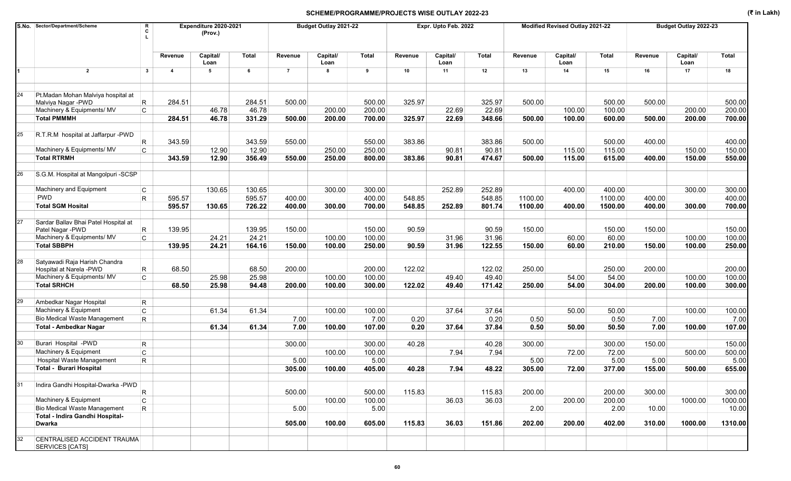|    | S.No. Sector/Department/Scheme<br>C                            | R                       | Expenditure 2020-2021<br>(Prov.) |        |                | Budget Outlay 2021-22 |              |         | Expr. Upto Feb. 2022 |        |         | Modified Revised Outlay 2021-22 |              |         | Budget Outlay 2022-23 |              |
|----|----------------------------------------------------------------|-------------------------|----------------------------------|--------|----------------|-----------------------|--------------|---------|----------------------|--------|---------|---------------------------------|--------------|---------|-----------------------|--------------|
|    |                                                                | Revenue                 | Capital/<br>Loan                 | Total  | Revenue        | Capital/<br>Loan      | <b>Total</b> | Revenue | Capital/<br>Loan     | Total  | Revenue | Capital/<br>Loan                | <b>Total</b> | Revenue | Capital/<br>Loan      | <b>Total</b> |
|    | $\overline{2}$<br>$\overline{\mathbf{3}}$                      | $\overline{\mathbf{4}}$ | 5                                | 6      | $\overline{7}$ | 8                     | 9            | 10      | 11                   | 12     | 13      | 14                              | 15           | 16      | 17                    | 18           |
| 24 | Pt.Madan Mohan Malviya hospital at<br>R<br>Malviya Nagar - PWD | 284.51                  |                                  | 284.51 | 500.00         |                       | 500.00       | 325.97  |                      | 325.97 | 500.00  |                                 | 500.00       | 500.00  |                       | 500.00       |
|    | $\mathsf{C}$<br>Machinery & Equipments/ MV                     |                         | 46.78                            | 46.78  |                | 200.00                | 200.00       |         | 22.69                | 22.69  |         | 100.00                          | 100.00       |         | 200.00                | 200.00       |
|    | <b>Total PMMMH</b>                                             | 284.51                  | 46.78                            | 331.29 | 500.00         | 200.00                | 700.00       | 325.97  | 22.69                | 348.66 | 500.00  | 100.00                          | 600.00       | 500.00  | 200.00                | 700.00       |
|    |                                                                |                         |                                  |        |                |                       |              |         |                      |        |         |                                 |              |         |                       |              |
| 25 | R.T.R.M hospital at Jaffarpur -PWD                             |                         |                                  | 343.59 |                |                       |              |         |                      | 383.86 |         |                                 | 500.00       | 400.00  |                       |              |
|    | R                                                              | 343.59                  |                                  |        | 550.00         |                       | 550.00       | 383.86  |                      |        | 500.00  |                                 |              |         |                       | 400.00       |
|    | Machinery & Equipments/ MV<br>C                                |                         | 12.90                            | 12.90  |                | 250.00                | 250.00       |         | 90.81                | 90.81  |         | 115.00                          | 115.00       |         | 150.00                | 150.00       |
|    | <b>Total RTRMH</b>                                             | 343.59                  | 12.90                            | 356.49 | 550.00         | 250.00                | 800.00       | 383.86  | 90.81                | 474.67 | 500.00  | 115.00                          | 615.00       | 400.00  | 150.00                | 550.00       |
|    | S.G.M. Hospital at Mangolpuri -SCSP                            |                         |                                  |        |                |                       |              |         |                      |        |         |                                 |              |         |                       |              |
|    | Machinery and Equipment<br>C                                   |                         | 130.65                           | 130.65 |                | 300.00                | 300.00       |         | 252.89               | 252.89 |         | 400.00                          | 400.00       |         | 300.00                | 300.00       |
|    | <b>PWD</b><br>R.                                               | 595.57                  |                                  | 595.57 | 400.00         |                       | 400.00       | 548.85  |                      | 548.85 | 1100.00 |                                 | 1100.00      | 400.00  |                       | 400.00       |
|    | <b>Total SGM Hosital</b>                                       | 595.57                  | 130.65                           | 726.22 | 400.00         | 300.00                | 700.00       | 548.85  | 252.89               | 801.74 | 1100.00 | 400.00                          | 1500.00      | 400.00  | 300.00                | 700.00       |
|    |                                                                |                         |                                  |        |                |                       |              |         |                      |        |         |                                 |              |         |                       |              |
| 27 | Sardar Ballav Bhai Patel Hospital at                           |                         |                                  |        |                |                       |              |         |                      |        |         |                                 |              |         |                       |              |
|    | Patel Nagar - PWD<br>R                                         | 139.95                  |                                  | 139.95 | 150.00         |                       | 150.00       | 90.59   |                      | 90.59  | 150.00  |                                 | 150.00       | 150.00  |                       | 150.00       |
|    | Machinery & Equipments/ MV<br>C                                |                         | 24.21                            | 24.21  |                | 100.00                | 100.00       |         | 31.96                | 31.96  |         | 60.00                           | 60.00        |         | 100.00                | 100.00       |
|    | <b>Total SBBPH</b>                                             | 139.95                  | 24.21                            | 164.16 | 150.00         | 100.00                | 250.00       | 90.59   | 31.96                | 122.55 | 150.00  | 60.00                           | 210.00       | 150.00  | 100.00                | 250.00       |
|    |                                                                |                         |                                  |        |                |                       |              |         |                      |        |         |                                 |              |         |                       |              |
| 28 | Satyawadi Raja Harish Chandra<br>R.<br>Hospital at Narela -PWD | 68.50                   |                                  | 68.50  | 200.00         |                       | 200.00       | 122.02  |                      | 122.02 | 250.00  |                                 | 250.00       | 200.00  |                       | 200.00       |
|    | Machinery & Equipments/ MV<br>C                                |                         | 25.98                            | 25.98  |                | 100.00                | 100.00       |         | 49.40                | 49.40  |         | 54.00                           | 54.00        |         | 100.00                | 100.00       |
|    | <b>Total SRHCH</b>                                             | 68.50                   | 25.98                            | 94.48  | 200.00         | 100.00                | 300.00       | 122.02  | 49.40                | 171.42 | 250.00  | 54.00                           | 304.00       | 200.00  | 100.00                | 300.00       |
|    |                                                                |                         |                                  |        |                |                       |              |         |                      |        |         |                                 |              |         |                       |              |
| 29 | Ambedkar Nagar Hospital<br>R.                                  |                         |                                  |        |                |                       |              |         |                      |        |         |                                 |              |         |                       |              |
|    | Machinery & Equipment<br>$\mathsf{C}$                          |                         | 61.34                            | 61.34  |                | 100.00                | 100.00       |         | 37.64                | 37.64  |         | 50.00                           | 50.00        |         | 100.00                | 100.00       |
|    | <b>Bio Medical Waste Management</b><br>R.                      |                         |                                  |        | 7.00           |                       | 7.00         | 0.20    |                      | 0.20   | 0.50    |                                 | 0.50         | 7.00    |                       | 7.00         |
|    | <b>Total - Ambedkar Nagar</b>                                  |                         | 61.34                            | 61.34  | 7.00           | 100.00                | 107.00       | 0.20    | 37.64                | 37.84  | 0.50    | 50.00                           | 50.50        | 7.00    | 100.00                | 107.00       |
|    |                                                                |                         |                                  |        |                |                       |              |         |                      |        |         |                                 |              |         |                       |              |
| 30 | Burari Hospital -PWD<br>R.                                     |                         |                                  |        | 300.00         |                       | 300.00       | 40.28   |                      | 40.28  | 300.00  |                                 | 300.00       | 150.00  |                       | 150.00       |
|    | $\mathsf C$<br>Machinery & Equipment                           |                         |                                  |        |                | 100.00                | 100.00       |         | 7.94                 | 7.94   |         | 72.00                           | 72.00        |         | 500.00                | 500.00       |
|    | <b>Hospital Waste Management</b><br>R                          |                         |                                  |        | 5.00           |                       | 5.00         |         |                      |        | 5.00    |                                 | 5.00         | 5.00    |                       | 5.00         |
|    | Total - Burari Hospital                                        |                         |                                  |        | 305.00         | 100.00                | 405.00       | 40.28   | 7.94                 | 48.22  | 305.00  | 72.00                           | 377.00       | 155.00  | 500.00                | 655.00       |
|    |                                                                |                         |                                  |        |                |                       |              |         |                      |        |         |                                 |              |         |                       |              |
| 31 | Indira Gandhi Hospital-Dwarka -PWD<br>R.                       |                         |                                  |        | 500.00         |                       | 500.00       | 115.83  |                      | 115.83 | 200.00  |                                 | 200.00       | 300.00  |                       | 300.00       |
|    | Machinery & Equipment<br>$\mathsf{C}$                          |                         |                                  |        |                | 100.00                | 100.00       |         | 36.03                | 36.03  |         | 200.00                          | 200.00       |         | 1000.00               | 1000.00      |
|    | <b>Bio Medical Waste Management</b><br>R.                      |                         |                                  |        | 5.00           |                       | 5.00         |         |                      |        | 2.00    |                                 | 2.00         | 10.00   |                       | 10.00        |
|    | Total - Indira Gandhi Hospital-                                |                         |                                  |        |                |                       |              |         |                      |        |         |                                 |              |         |                       |              |
|    | Dwarka                                                         |                         |                                  |        | 505.00         | 100.00                | 605.00       | 115.83  | 36.03                | 151.86 | 202.00  | 200.00                          | 402.00       | 310.00  | 1000.00               | 1310.00      |
|    |                                                                |                         |                                  |        |                |                       |              |         |                      |        |         |                                 |              |         |                       |              |
| 32 | CENTRALISED ACCIDENT TRAUMA                                    |                         |                                  |        |                |                       |              |         |                      |        |         |                                 |              |         |                       |              |
|    | <b>SERVICES [CATS]</b>                                         |                         |                                  |        |                |                       |              |         |                      |        |         |                                 |              |         |                       |              |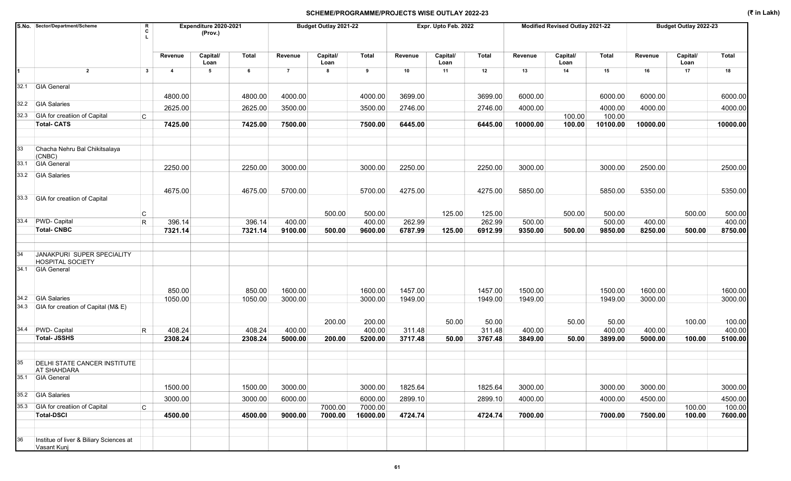|      | S.No. Sector/Department/Scheme                            | R<br>C            |                   | Expenditure 2020-2021<br>(Prov.) |                   |                    | Budget Outlay 2021-22 |                    |                    | Expr. Upto Feb. 2022 |                    |                    | Modified Revised Outlay 2021-22 |                    |                    | Budget Outlay 2022-23 |                    |
|------|-----------------------------------------------------------|-------------------|-------------------|----------------------------------|-------------------|--------------------|-----------------------|--------------------|--------------------|----------------------|--------------------|--------------------|---------------------------------|--------------------|--------------------|-----------------------|--------------------|
|      |                                                           |                   | Revenue           | Capital/                         | Total             | Revenue            | Capital/              | Total              | Revenue            | Capital/             | Total              | Revenue            | Capital/                        | Total              | Revenue            | Capital/              | Total              |
|      | $\overline{2}$                                            | $\mathbf{3}$      | 4                 | Loan<br>5                        | 6                 | $\overline{7}$     | Loan<br>8             | 9                  | 10                 | Loan<br>11           | 12                 | 13                 | Loan<br>14                      | 15                 | 16                 | Loan<br>17            | 18                 |
|      |                                                           |                   |                   |                                  |                   |                    |                       |                    |                    |                      |                    |                    |                                 |                    |                    |                       |                    |
|      | 32.1 GIA General                                          |                   |                   |                                  |                   |                    |                       |                    |                    |                      |                    |                    |                                 |                    |                    |                       |                    |
|      |                                                           |                   | 4800.00           |                                  | 4800.00           | 4000.00            |                       | 4000.00            | 3699.00            |                      | 3699.00            | 6000.00            |                                 | 6000.00            | 6000.00            |                       | 6000.00            |
|      | 32.2 GIA Salaries                                         |                   | 2625.00           |                                  | 2625.00           | 3500.00            |                       | 3500.00            | 2746.00            |                      | 2746.00            | 4000.00            |                                 | 4000.00            | 4000.00            |                       | 4000.00            |
|      | 32.3 GIA for creatiion of Capital                         | C                 |                   |                                  |                   |                    |                       |                    |                    |                      |                    |                    | 100.00                          | 100.00             |                    |                       |                    |
|      | <b>Total-CATS</b>                                         |                   | 7425.00           |                                  | 7425.00           | 7500.00            |                       | 7500.00            | 6445.00            |                      | 6445.00            | 10000.00           | 100.00                          | 10100.00           | 10000.00           |                       | 10000.00           |
| 33   | Chacha Nehru Bal Chikitsalaya<br>(CNBC)                   |                   |                   |                                  |                   |                    |                       |                    |                    |                      |                    |                    |                                 |                    |                    |                       |                    |
| 33.1 | <b>GIA General</b>                                        |                   | 2250.00           |                                  | 2250.00           | 3000.00            |                       | 3000.00            | 2250.00            |                      | 2250.00            | 3000.00            |                                 | 3000.00            | 2500.00            |                       | 2500.00            |
|      | 33.2 GIA Salaries                                         |                   |                   |                                  |                   |                    |                       |                    |                    |                      |                    |                    |                                 |                    |                    |                       |                    |
|      |                                                           |                   | 4675.00           |                                  | 4675.00           | 5700.00            |                       | 5700.00            | 4275.00            |                      | 4275.00            | 5850.00            |                                 | 5850.00            | 5350.00            |                       | 5350.00            |
|      | 33.3 GIA for creatiion of Capital                         |                   |                   |                                  |                   |                    |                       |                    |                    |                      |                    |                    |                                 |                    |                    |                       |                    |
|      |                                                           |                   |                   |                                  |                   |                    |                       |                    |                    |                      |                    |                    |                                 |                    |                    |                       |                    |
|      | 33.4 PWD- Capital                                         | C<br>$\mathsf{R}$ | 396.14            |                                  | 396.14            | 400.00             | 500.00                | 500.00<br>400.00   | 262.99             | 125.00               | 125.00<br>262.99   | 500.00             | 500.00                          | 500.00<br>500.00   | 400.00             | 500.00                | 500.00<br>400.00   |
|      | <b>Total-CNBC</b>                                         |                   | 7321.14           |                                  | 7321.14           | 9100.00            | 500.00                | 9600.00            | 6787.99            | 125.00               | 6912.99            | 9350.00            | 500.00                          | 9850.00            | 8250.00            | 500.00                | 8750.00            |
|      |                                                           |                   |                   |                                  |                   |                    |                       |                    |                    |                      |                    |                    |                                 |                    |                    |                       |                    |
| 34   | JANAKPURI SUPER SPECIALITY<br><b>HOSPITAL SOCIETY</b>     |                   |                   |                                  |                   |                    |                       |                    |                    |                      |                    |                    |                                 |                    |                    |                       |                    |
|      | 34.1 GIA General                                          |                   |                   |                                  |                   |                    |                       |                    |                    |                      |                    |                    |                                 |                    |                    |                       |                    |
| 34.2 | <b>GIA Salaries</b>                                       |                   | 850.00<br>1050.00 |                                  | 850.00<br>1050.00 | 1600.00<br>3000.00 |                       | 1600.00<br>3000.00 | 1457.00<br>1949.00 |                      | 1457.00<br>1949.00 | 1500.00<br>1949.00 |                                 | 1500.00<br>1949.00 | 1600.00<br>3000.00 |                       | 1600.00<br>3000.00 |
|      | 34.3 GIA for creation of Capital (M& E)                   |                   |                   |                                  |                   |                    |                       |                    |                    |                      |                    |                    |                                 |                    |                    |                       |                    |
|      |                                                           |                   |                   |                                  |                   |                    |                       |                    |                    |                      |                    |                    |                                 |                    |                    |                       |                    |
|      | 34.4 PWD- Capital                                         |                   | 408.24            |                                  | 408.24            | 400.00             | 200.00                | 200.00<br>400.00   | 311.48             | 50.00                | 50.00<br>311.48    | 400.00             | 50.00                           | 50.00<br>400.00    | 400.00             | 100.00                | 100.00<br>400.00   |
|      | <b>Total-JSSHS</b>                                        | R                 | 2308.24           |                                  | 2308.24           | 5000.00            | 200.00                | 5200.00            | 3717.48            | 50.00                | 3767.48            | 3849.00            | 50.00                           | 3899.00            | 5000.00            | 100.00                | 5100.00            |
|      |                                                           |                   |                   |                                  |                   |                    |                       |                    |                    |                      |                    |                    |                                 |                    |                    |                       |                    |
| 35   | <b>DELHI STATE CANCER INSTITUTE</b><br><b>AT SHAHDARA</b> |                   |                   |                                  |                   |                    |                       |                    |                    |                      |                    |                    |                                 |                    |                    |                       |                    |
|      | 35.1 GIA General                                          |                   |                   |                                  |                   |                    |                       |                    |                    |                      |                    |                    |                                 |                    |                    |                       |                    |
|      |                                                           |                   | 1500.00           |                                  | 1500.00           | 3000.00            |                       | 3000.00            | 1825.64            |                      | 1825.64            | 3000.00            |                                 | 3000.00            | 3000.00            |                       | 3000.00            |
|      | 35.2 GIA Salaries                                         |                   | 3000.00           |                                  | 3000.00           | 6000.00            |                       | 6000.00            | 2899.10            |                      | 2899.10            | 4000.00            |                                 | 4000.00            | 4500.00            |                       | 4500.00            |
|      | 35.3 GIA for creatiion of Capital<br>C                    |                   |                   |                                  |                   |                    | 7000.00               | 7000.00            |                    |                      |                    |                    |                                 |                    |                    | 100.00                | 100.00             |
|      | <b>Total-DSCI</b>                                         |                   | 4500.00           |                                  | 4500.00           | 9000.00            | 7000.00               | 16000.00           | 4724.74            |                      | 4724.74            | 7000.00            |                                 | 7000.00            | 7500.00            | 100.00                | 7600.00            |
|      |                                                           |                   |                   |                                  |                   |                    |                       |                    |                    |                      |                    |                    |                                 |                    |                    |                       |                    |
| 36   | Institue of liver & Biliary Sciences at<br>Vasant Kunj    |                   |                   |                                  |                   |                    |                       |                    |                    |                      |                    |                    |                                 |                    |                    |                       |                    |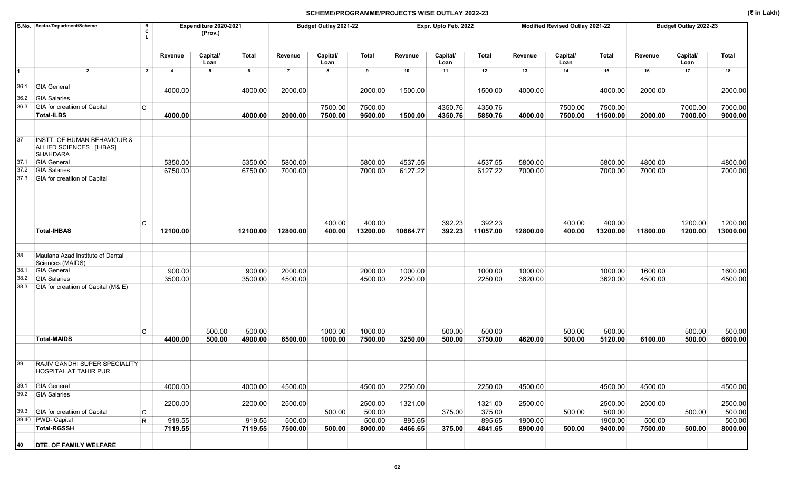|      | S.No. Sector/Department/Scheme                                                       | R<br>c       |                | Expenditure 2020-2021<br>(Prov.) |          |                | Budget Outlay 2021-22 |              |          | Expr. Upto Feb. 2022 |          |          | Modified Revised Outlay 2021-22 |          |          | Budget Outlay 2022-23 |              |
|------|--------------------------------------------------------------------------------------|--------------|----------------|----------------------------------|----------|----------------|-----------------------|--------------|----------|----------------------|----------|----------|---------------------------------|----------|----------|-----------------------|--------------|
|      |                                                                                      |              | Revenue        | Capital/<br>Loan                 | Total    | Revenue        | Capital/<br>Loan      | <b>Total</b> | Revenue  | Capital/<br>Loan     | Total    | Revenue  | Capital/<br>Loan                | Total    | Revenue  | Capital/<br>Loan      | <b>Total</b> |
| 1    | $\overline{2}$                                                                       | $\mathbf{3}$ | $\overline{4}$ | 5                                | 6        | $\overline{7}$ | 8                     | 9            | 10       | 11                   | 12       | 13       | 14                              | 15       | 16       | 17                    | 18           |
| 36.1 | <b>GIA General</b>                                                                   |              | 4000.00        |                                  | 4000.00  | 2000.00        |                       | 2000.00      | 1500.00  |                      | 1500.00  | 4000.00  |                                 | 4000.00  | 2000.00  |                       | 2000.00      |
| 36.2 | <b>GIA Salaries</b>                                                                  |              |                |                                  |          |                |                       |              |          |                      |          |          |                                 |          |          |                       |              |
| 36.3 | GIA for creatiion of Capital                                                         | C            |                |                                  |          |                | 7500.00               | 7500.00      |          | 4350.76              | 4350.76  |          | 7500.00                         | 7500.00  |          | 7000.00               | 7000.00      |
|      | <b>Total-ILBS</b>                                                                    |              | 4000.00        |                                  | 4000.00  | 2000.00        | 7500.00               | 9500.00      | 1500.00  | 4350.76              | 5850.76  | 4000.00  | 7500.00                         | 11500.00 | 2000.00  | 7000.00               | 9000.00      |
| 37   | <b>INSTT. OF HUMAN BEHAVIOUR &amp;</b><br>ALLIED SCIENCES [IHBAS]<br><b>SHAHDARA</b> |              |                |                                  |          |                |                       |              |          |                      |          |          |                                 |          |          |                       |              |
| 37.1 | <b>GIA General</b>                                                                   |              | 5350.00        |                                  | 5350.00  | 5800.00        |                       | 5800.00      | 4537.55  |                      | 4537.55  | 5800.00  |                                 | 5800.00  | 4800.00  |                       | 4800.00      |
| 37.2 | <b>GIA Salaries</b>                                                                  |              | 6750.00        |                                  | 6750.00  | 7000.00        |                       | 7000.00      | 6127.22  |                      | 6127.22  | 7000.00  |                                 | 7000.00  | 7000.00  |                       | 7000.00      |
| 37.3 | <b>GIA</b> for creatiion of Capital                                                  | C            |                |                                  |          |                | 400.00                | 400.00       |          | 392.23               | 392.23   |          | 400.00                          | 400.00   |          | 1200.00               | 1200.00      |
|      | <b>Total-IHBAS</b>                                                                   |              | 12100.00       |                                  | 12100.00 | 12800.00       | 400.00                | 13200.00     | 10664.77 | 392.23               | 11057.00 | 12800.00 | 400.00                          | 13200.00 | 11800.00 | 1200.00               | 13000.00     |
| 38   | Maulana Azad Institute of Dental                                                     |              |                |                                  |          |                |                       |              |          |                      |          |          |                                 |          |          |                       |              |
| 38.1 | Sciences (MAIDS)<br><b>GIA General</b>                                               |              | 900.00         |                                  | 900.00   | 2000.00        |                       | 2000.00      | 1000.00  |                      | 1000.00  | 1000.00  |                                 | 1000.00  | 1600.00  |                       | 1600.00      |
| 38.2 | <b>GIA Salaries</b>                                                                  |              | 3500.00        |                                  | 3500.00  | 4500.00        |                       | 4500.00      | 2250.00  |                      | 2250.00  | 3620.00  |                                 | 3620.00  | 4500.00  |                       | 4500.00      |
| 38.3 | GIA for creatiion of Capital (M& E)                                                  |              |                |                                  |          |                |                       |              |          |                      |          |          |                                 |          |          |                       |              |
|      |                                                                                      | C            |                | 500.00                           | 500.00   |                | 1000.00               | 1000.00      |          | 500.00               | 500.00   |          | 500.00                          | 500.00   |          | 500.00                | 500.00       |
|      | <b>Total-MAIDS</b>                                                                   |              | 4400.00        | 500.00                           | 4900.00  | 6500.00        | 1000.00               | 7500.00      | 3250.00  | 500.00               | 3750.00  | 4620.00  | 500.00                          | 5120.00  | 6100.00  | 500.00                | 6600.00      |
| 39   | <b>RAJIV GANDHI SUPER SPECIALITY</b><br><b>HOSPITAL AT TAHIR PUR</b>                 |              |                |                                  |          |                |                       |              |          |                      |          |          |                                 |          |          |                       |              |
|      | 39.1 GIA General                                                                     |              | 4000.00        |                                  | 4000.00  | 4500.00        |                       | 4500.00      | 2250.00  |                      | 2250.00  | 4500.00  |                                 | 4500.00  | 4500.00  |                       | 4500.00      |
|      | 39.2 GIA Salaries                                                                    |              | 2200.00        |                                  | 2200.00  | 2500.00        |                       | 2500.00      | 1321.00  |                      | 1321.00  | 2500.00  |                                 | 2500.00  | 2500.00  |                       | 2500.00      |
|      | 39.3 GIA for creatiion of Capital                                                    | C            |                |                                  |          |                | 500.00                | 500.00       |          | 375.00               | 375.00   |          | 500.00                          | 500.00   |          | 500.00                | 500.00       |
|      | 39.40 PWD- Capital                                                                   | $\mathsf R$  | 919.55         |                                  | 919.55   | 500.00         |                       | 500.00       | 895.65   |                      | 895.65   | 1900.00  |                                 | 1900.00  | 500.00   |                       | 500.00       |
|      | <b>Total-RGSSH</b>                                                                   |              | 7119.55        |                                  | 7119.55  | 7500.00        | 500.00                | 8000.00      | 4466.65  | 375.00               | 4841.65  | 8900.00  | 500.00                          | 9400.00  | 7500.00  | 500.00                | 8000.00      |
| 40   | <b>DTE. OF FAMILY WELFARE</b>                                                        |              |                |                                  |          |                |                       |              |          |                      |          |          |                                 |          |          |                       |              |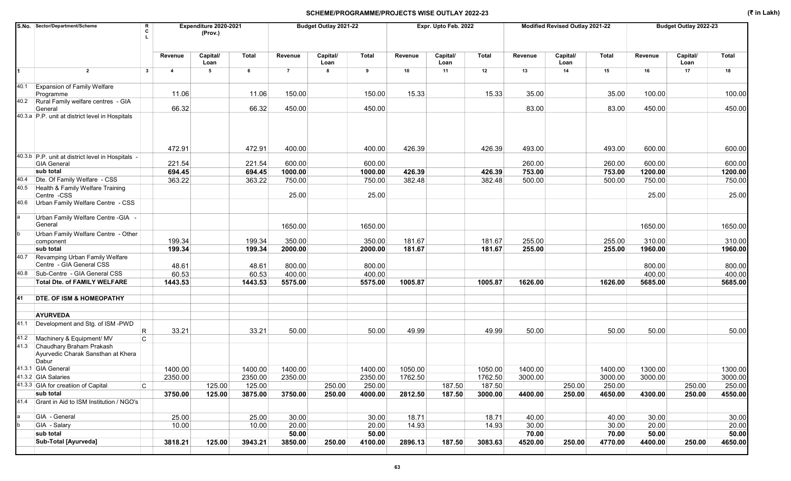|      | S.No. Sector/Department/Scheme<br>R<br>C                                |                         | Expenditure 2020-2021<br>(Prov.) |         |                | Budget Outlay 2021-22 |              |         | Expr. Upto Feb. 2022 |         |         | Modified Revised Outlay 2021-22 |         |         | Budget Outlay 2022-23 |              |
|------|-------------------------------------------------------------------------|-------------------------|----------------------------------|---------|----------------|-----------------------|--------------|---------|----------------------|---------|---------|---------------------------------|---------|---------|-----------------------|--------------|
|      |                                                                         | Revenue                 | Capital/<br>Loan                 | Total   | Revenue        | Capital/<br>Loan      | <b>Total</b> | Revenue | Capital/<br>Loan     | Total   | Revenue | Capital/<br>Loan                | Total   | Revenue | Capital/<br>Loan      | <b>Total</b> |
| 1    | $\overline{2}$<br>$\mathbf{3}$                                          | $\overline{\mathbf{4}}$ | 5                                | 6       | $\overline{7}$ | 8                     | 9            | 10      | 11                   | 12      | 13      | 14                              | 15      | 16      | 17                    | 18           |
| 40.1 | <b>Expansion of Family Welfare</b><br>Programme                         | 11.06                   |                                  | 11.06   | 150.00         |                       | 150.00       | 15.33   |                      | 15.33   | 35.00   |                                 | 35.00   | 100.00  |                       | 100.00       |
|      | 40.2 Rural Family welfare centres - GIA<br>General                      | 66.32                   |                                  | 66.32   | 450.00         |                       | 450.00       |         |                      |         | 83.00   |                                 | 83.00   | 450.00  |                       | 450.00       |
|      | 40.3.a P.P. unit at district level in Hospitals                         |                         |                                  |         |                |                       |              |         |                      |         |         |                                 |         |         |                       |              |
|      |                                                                         | 472.91                  |                                  | 472.91  | 400.00         |                       | 400.00       | 426.39  |                      | 426.39  | 493.00  |                                 | 493.00  | 600.00  |                       | 600.00       |
|      | 40.3.b P.P. unit at district level in Hospitals -<br><b>GIA General</b> | 221.54                  |                                  | 221.54  | 600.00         |                       | 600.00       |         |                      |         | 260.00  |                                 | 260.00  | 600.00  |                       | 600.00       |
|      | sub total                                                               | 694.45                  |                                  | 694.45  | 1000.00        |                       | 1000.00      | 426.39  |                      | 426.39  | 753.00  |                                 | 753.00  | 1200.00 |                       | 1200.00      |
|      | 40.4 Dte. Of Family Welfare - CSS                                       | 363.22                  |                                  | 363.22  | 750.00         |                       | 750.00       | 382.48  |                      | 382.48  | 500.00  |                                 | 500.00  | 750.00  |                       | 750.00       |
| 40.5 | Health & Family Welfare Training<br>Centre -CSS                         |                         |                                  |         | 25.00          |                       | 25.00        |         |                      |         |         |                                 |         | 25.00   |                       | 25.00        |
| 40.6 | Urban Family Welfare Centre - CSS                                       |                         |                                  |         |                |                       |              |         |                      |         |         |                                 |         |         |                       |              |
|      | Urban Family Welfare Centre - GIA -<br>General                          |                         |                                  |         | 1650.00        |                       | 1650.00      |         |                      |         |         |                                 |         | 1650.00 |                       | 1650.00      |
|      | Urban Family Welfare Centre - Other                                     |                         |                                  |         |                |                       |              |         |                      |         |         |                                 |         |         |                       |              |
|      | component                                                               | 199.34                  |                                  | 199.34  | 350.00         |                       | 350.00       | 181.67  |                      | 181.67  | 255.00  |                                 | 255.00  | 310.00  |                       | 310.00       |
|      | sub total                                                               | 199.34                  |                                  | 199.34  | 2000.00        |                       | 2000.00      | 181.67  |                      | 181.67  | 255.00  |                                 | 255.00  | 1960.00 |                       | 1960.00      |
| 40.7 | Revamping Urban Family Welfare<br>Centre - GIA General CSS              | 48.61                   |                                  | 48.61   | 800.00         |                       | 800.00       |         |                      |         |         |                                 |         | 800.00  |                       | 800.00       |
| 40.8 | Sub-Centre - GIA General CSS                                            | 60.53                   |                                  | 60.53   | 400.00         |                       | 400.00       |         |                      |         |         |                                 |         | 400.00  |                       | 400.00       |
|      | <b>Total Dte. of FAMILY WELFARE</b>                                     | 1443.53                 |                                  | 1443.53 | 5575.00        |                       | 5575.00      | 1005.87 |                      | 1005.87 | 1626.00 |                                 | 1626.00 | 5685.00 |                       | 5685.00      |
|      |                                                                         |                         |                                  |         |                |                       |              |         |                      |         |         |                                 |         |         |                       |              |
| 41   | <b>DTE. OF ISM &amp; HOMEOPATHY</b>                                     |                         |                                  |         |                |                       |              |         |                      |         |         |                                 |         |         |                       |              |
|      | <b>AYURVEDA</b>                                                         |                         |                                  |         |                |                       |              |         |                      |         |         |                                 |         |         |                       |              |
|      | 41.1 Development and Stg. of ISM-PWD<br>R                               | 33.21                   |                                  | 33.21   | 50.00          |                       | 50.00        | 49.99   |                      | 49.99   | 50.00   |                                 | 50.00   | 50.00   |                       | 50.00        |
|      | 41.2 Machinery & Equipment/ MV<br>C.                                    |                         |                                  |         |                |                       |              |         |                      |         |         |                                 |         |         |                       |              |
| 41.3 | Chaudhary Braham Prakash<br>Ayurvedic Charak Sansthan at Khera<br>Dabur |                         |                                  |         |                |                       |              |         |                      |         |         |                                 |         |         |                       |              |
|      | 41.3.1 GIA General                                                      | 1400.00                 |                                  | 1400.00 | 1400.00        |                       | 1400.00      | 1050.00 |                      | 1050.00 | 1400.00 |                                 | 1400.00 | 1300.00 |                       | 1300.00      |
|      | 41.3.2 GIA Salaries                                                     | 2350.00                 |                                  | 2350.00 | 2350.00        |                       | 2350.00      | 1762.50 |                      | 1762.50 | 3000.00 |                                 | 3000.00 | 3000.00 |                       | 3000.00      |
|      | 41.3.3 GIA for creatiion of Capital<br>C                                |                         | 125.00                           | 125.00  |                | 250.00                | 250.00       |         | 187.50               | 187.50  |         | 250.00                          | 250.00  |         | 250.00                | 250.00       |
|      | sub total                                                               | 3750.00                 | 125.00                           | 3875.00 | 3750.00        | 250.00                | 4000.00      | 2812.50 | 187.50               | 3000.00 | 4400.00 | 250.00                          | 4650.00 | 4300.00 | 250.00                | 4550.00      |
|      | 41.4 Grant in Aid to ISM Institution / NGO's                            |                         |                                  |         |                |                       |              |         |                      |         |         |                                 |         |         |                       |              |
|      | GIA - General                                                           | 25.00                   |                                  | 25.00   | 30.00          |                       | 30.00        | 18.71   |                      | 18.71   | 40.00   |                                 | 40.00   | 30.00   |                       | 30.00        |
|      | GIA - Salary                                                            | 10.00                   |                                  | 10.00   | 20.00          |                       | 20.00        | 14.93   |                      | 14.93   | 30.00   |                                 | 30.00   | 20.00   |                       | 20.00        |
|      | sub total                                                               |                         |                                  |         | 50.00          |                       | 50.00        |         |                      |         | 70.00   |                                 | 70.00   | 50.00   |                       | 50.00        |
|      | <b>Sub-Total [Ayurveda]</b>                                             | 3818.21                 | 125.00                           | 3943.21 | 3850.00        | 250.00                | 4100.00      | 2896.13 | 187.50               | 3083.63 | 4520.00 | 250.00                          | 4770.00 | 4400.00 | 250.00                | 4650.00      |
|      |                                                                         |                         |                                  |         |                |                       |              |         |                      |         |         |                                 |         |         |                       |              |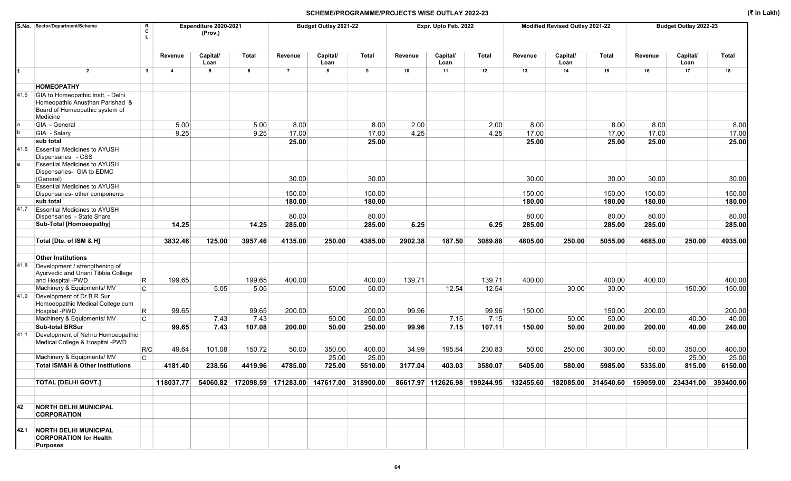|      | S.No. Sector/Department/Scheme<br>R<br>C                                                                           |                         | Expenditure 2020-2021<br>(Prov.) |         |                | Budget Outlay 2021-22 |              |         | Expr. Upto Feb. 2022 |         |         | Modified Revised Outlay 2021-22 |         |         | Budget Outlay 2022-23                                                                                                                     |              |
|------|--------------------------------------------------------------------------------------------------------------------|-------------------------|----------------------------------|---------|----------------|-----------------------|--------------|---------|----------------------|---------|---------|---------------------------------|---------|---------|-------------------------------------------------------------------------------------------------------------------------------------------|--------------|
|      |                                                                                                                    | Revenue                 | Capital/<br>Loan                 | Total   | Revenue        | Capital/<br>Loan      | <b>Total</b> | Revenue | Capital/<br>Loan     | Total   | Revenue | Capital/<br>Loan                | Total   | Revenue | Capital/<br>Loan                                                                                                                          | <b>Total</b> |
|      | $\overline{2}$<br>$\mathbf{3}$                                                                                     | $\overline{\mathbf{A}}$ | 5                                | 6       | $\overline{7}$ | 8                     | 9            | 10      | 11                   | 12      | 13      | 14                              | 15      | 16      | 17                                                                                                                                        | 18           |
|      | <b>HOMEOPATHY</b>                                                                                                  |                         |                                  |         |                |                       |              |         |                      |         |         |                                 |         |         |                                                                                                                                           |              |
| 41.5 | GIA to Homeopathic Instt. - Delhi<br>Homeopathic Anusthan Parishad &<br>Board of Homeopathic system of<br>Medicine |                         |                                  |         |                |                       |              |         |                      |         |         |                                 |         |         |                                                                                                                                           |              |
|      | GIA - General                                                                                                      | 5.00                    |                                  | 5.00    | 8.00           |                       | 8.00         | 2.00    |                      | 2.00    | 8.00    |                                 | 8.00    | 8.00    |                                                                                                                                           | 8.00         |
|      | GIA - Salary                                                                                                       | 9.25                    |                                  | 9.25    | 17.00          |                       | 17.00        | 4.25    |                      | 4.25    | 17.00   |                                 | 17.00   | 17.00   |                                                                                                                                           | 17.00        |
|      | sub total                                                                                                          |                         |                                  |         | 25.00          |                       | 25.00        |         |                      |         | 25.00   |                                 | 25.00   | 25.00   |                                                                                                                                           | 25.00        |
| 41.6 | <b>Essential Medicines to AYUSH</b><br>Dispensaries - CSS<br><b>Essential Medicines to AYUSH</b>                   |                         |                                  |         |                |                       |              |         |                      |         |         |                                 |         |         |                                                                                                                                           |              |
|      | Dispensaries- GIA to EDMC<br>(General)                                                                             |                         |                                  |         | 30.00          |                       | 30.00        |         |                      |         | 30.00   |                                 | 30.00   | 30.00   |                                                                                                                                           | 30.00        |
|      | <b>Essential Medicines to AYUSH</b><br>Dispensaries- other components                                              |                         |                                  |         | 150.00         |                       | 150.00       |         |                      |         | 150.00  |                                 | 150.00  | 150.00  |                                                                                                                                           | 150.00       |
|      | sub total                                                                                                          |                         |                                  |         | 180.00         |                       | 180.00       |         |                      |         | 180.00  |                                 | 180.00  | 180.00  |                                                                                                                                           | 180.00       |
| 41.7 | <b>Essential Medicines to AYUSH</b><br>Dispensaries - State Share                                                  |                         |                                  |         | 80.00          |                       | 80.00        |         |                      |         | 80.00   |                                 | 80.00   | 80.00   |                                                                                                                                           | 80.00        |
|      | Sub-Total [Homoeopathy]                                                                                            | 14.25                   |                                  | 14.25   | 285.00         |                       | 285.00       | 6.25    |                      | 6.25    | 285.00  |                                 | 285.00  | 285.00  |                                                                                                                                           | 285.00       |
|      |                                                                                                                    |                         |                                  |         |                |                       |              |         |                      |         |         |                                 |         |         |                                                                                                                                           |              |
|      | Total [Dte. of ISM & H]                                                                                            | 3832.46                 | 125.00                           | 3957.46 | 4135.00        | 250.00                | 4385.00      | 2902.38 | 187.50               | 3089.88 | 4805.00 | 250.00                          | 5055.00 | 4685.00 | 250.00                                                                                                                                    | 4935.00      |
|      | <b>Other Institutions</b>                                                                                          |                         |                                  |         |                |                       |              |         |                      |         |         |                                 |         |         |                                                                                                                                           |              |
| 41.8 | Development / strengthening of<br>Ayurvedic and Unani Tibbia College<br>and Hospital -PWD<br>R                     | 199.65                  |                                  | 199.65  | 400.00         |                       | 400.00       | 139.71  |                      | 139.71  | 400.00  |                                 | 400.00  | 400.00  |                                                                                                                                           | 400.00       |
|      | Machinery & Equipments/ MV<br>$\mathsf{C}$                                                                         |                         | 5.05                             | 5.05    |                | 50.00                 | 50.00        |         | 12.54                | 12.54   |         | 30.00                           | 30.00   |         | 150.00                                                                                                                                    | 150.00       |
| 41.9 | Development of Dr.B.R.Sur<br>Homoeopathic Medical College cum<br>Hospital -PWD<br>R                                | 99.65                   |                                  | 99.65   | 200.00         |                       | 200.00       | 99.96   |                      | 99.96   | 150.00  |                                 | 150.00  | 200.00  |                                                                                                                                           | 200.00       |
|      | Machinery & Equipments/ MV<br>C                                                                                    |                         | 7.43                             | 7.43    |                | 50.00                 | 50.00        |         | 7.15                 | 7.15    |         | 50.00                           | 50.00   |         | 40.00                                                                                                                                     | 40.00        |
|      | <b>Sub-total BRSur</b>                                                                                             | 99.65                   | 7.43                             | 107.08  | 200.00         | 50.00                 | 250.00       | 99.96   | 7.15                 | 107.11  | 150.00  | 50.00                           | 200.00  | 200.00  | 40.00                                                                                                                                     | 240.00       |
| 41.1 | Development of Nehru Homoeopathic<br>Medical College & Hospital -PWD<br>R/C                                        | 49.64                   | 101.08                           | 150.72  | 50.00          | 350.00                | 400.00       | 34.99   | 195.84               | 230.83  | 50.00   | 250.00                          | 300.00  | 50.00   | 350.00                                                                                                                                    | 400.00       |
|      | Machinery & Equipments/ MV<br>C                                                                                    |                         |                                  |         |                | 25.00                 | 25.00        |         |                      |         |         |                                 |         |         | 25.00                                                                                                                                     | 25.00        |
|      | <b>Total ISM&amp;H &amp; Other Institutions</b>                                                                    | 4181.40                 | 238.56                           | 4419.96 | 4785.00        | 725.00                | 5510.00      | 3177.04 | 403.03               | 3580.07 | 5405.00 | 580.00                          | 5985.00 | 5335.00 | 815.00                                                                                                                                    | 6150.00      |
|      |                                                                                                                    |                         |                                  |         |                |                       |              |         |                      |         |         |                                 |         |         |                                                                                                                                           |              |
|      | <b>TOTAL [DELHI GOVT.]</b>                                                                                         | 118037.77               |                                  |         |                |                       |              |         |                      |         |         |                                 |         |         | 54060.82 172098.59 171283.00 147617.00 318900.00 86617.97 112626.98 199244.95 132455.60 182085.00 314540.60 159059.00 234341.00 393400.00 |              |
|      |                                                                                                                    |                         |                                  |         |                |                       |              |         |                      |         |         |                                 |         |         |                                                                                                                                           |              |
| 42   | <b>NORTH DELHI MUNICIPAL</b><br><b>CORPORATION</b>                                                                 |                         |                                  |         |                |                       |              |         |                      |         |         |                                 |         |         |                                                                                                                                           |              |
|      | 42.1 NORTH DELHI MUNICIPAL<br><b>CORPORATION for Health</b><br><b>Purposes</b>                                     |                         |                                  |         |                |                       |              |         |                      |         |         |                                 |         |         |                                                                                                                                           |              |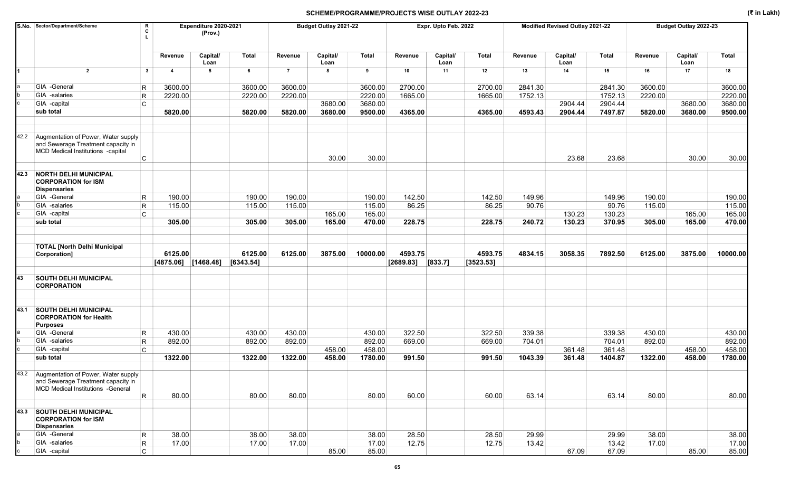|      | S.No. Sector/Department/Scheme                                                                                       | Expenditure 2020-2021   |                         | Budget Outlay 2021-22 |           |                | Expr. Upto Feb. 2022 |              |           | Modified Revised Outlay 2021-22 |           |         | Budget Outlay 2022-23 |              |         |                  |              |
|------|----------------------------------------------------------------------------------------------------------------------|-------------------------|-------------------------|-----------------------|-----------|----------------|----------------------|--------------|-----------|---------------------------------|-----------|---------|-----------------------|--------------|---------|------------------|--------------|
|      |                                                                                                                      |                         | Revenue                 | Capital/<br>Loan      | Total     | Revenue        | Capital/<br>Loan     | <b>Total</b> | Revenue   | Capital/<br>Loan                | Total     | Revenue | Capital/<br>Loan      | <b>Total</b> | Revenue | Capital/<br>Loan | <b>Total</b> |
| 1    | $\overline{2}$                                                                                                       | $\mathbf{3}$            | $\overline{\mathbf{4}}$ | 5                     | 6         | $\overline{7}$ | 8                    | 9            | 10        | 11                              | 12        | 13      | 14                    | 15           | 16      | 17               | 18           |
|      | GIA -General                                                                                                         | R                       | 3600.00                 |                       | 3600.00   | 3600.00        |                      | 3600.00      | 2700.00   |                                 | 2700.00   | 2841.30 |                       | 2841.30      | 3600.00 |                  | 3600.00      |
|      | GIA -salaries                                                                                                        | $\mathsf{R}$            | 2220.00                 |                       | 2220.00   | 2220.00        |                      | 2220.00      | 1665.00   |                                 | 1665.00   | 1752.13 |                       | 1752.13      | 2220.00 |                  | 2220.00      |
|      | GIA -capital                                                                                                         | C                       |                         |                       |           |                | 3680.00              | 3680.00      |           |                                 |           |         | 2904.44               | 2904.44      |         | 3680.00          | 3680.00      |
|      | sub total                                                                                                            |                         | 5820.00                 |                       | 5820.00   | 5820.00        | 3680.00              | 9500.00      | 4365.00   |                                 | 4365.00   | 4593.43 | 2904.44               | 7497.87      | 5820.00 | 3680.00          | 9500.00      |
|      |                                                                                                                      |                         |                         |                       |           |                |                      |              |           |                                 |           |         |                       |              |         |                  |              |
| 42.2 | Augmentation of Power, Water supply                                                                                  |                         |                         |                       |           |                |                      |              |           |                                 |           |         |                       |              |         |                  |              |
|      | and Sewerage Treatment capacity in<br>MCD Medical Institutions -capital                                              |                         |                         |                       |           |                |                      |              |           |                                 |           |         |                       |              |         |                  |              |
|      |                                                                                                                      | C                       |                         |                       |           |                | 30.00                | 30.00        |           |                                 |           |         | 23.68                 | 23.68        |         | 30.00            | 30.00        |
| 42.3 | <b>NORTH DELHI MUNICIPAL</b><br><b>CORPORATION for ISM</b><br><b>Dispensaries</b>                                    |                         |                         |                       |           |                |                      |              |           |                                 |           |         |                       |              |         |                  |              |
|      | GIA -General                                                                                                         | R                       | 190.00                  |                       | 190.00    | 190.00         |                      | 190.00       | 142.50    |                                 | 142.50    | 149.96  |                       | 149.96       | 190.00  |                  | 190.00       |
|      | GIA -salaries                                                                                                        | $\mathsf{R}$            | 115.00                  |                       | 115.00    | 115.00         |                      | 115.00       | 86.25     |                                 | 86.25     | 90.76   |                       | 90.76        | 115.00  |                  | 115.00       |
|      | GIA -capital                                                                                                         | C                       |                         |                       |           |                | 165.00               | 165.00       |           |                                 |           |         | 130.23                | 130.23       |         | 165.00           | 165.00       |
|      | sub total                                                                                                            |                         | 305.00                  |                       | 305.00    | 305.00         | 165.00               | 470.00       | 228.75    |                                 | 228.75    | 240.72  | 130.23                | 370.95       | 305.00  | 165.00           | 470.00       |
|      | <b>TOTAL [North Delhi Municipal</b><br>Corporation]                                                                  |                         | 6125.00                 |                       | 6125.00   | 6125.00        | 3875.00              | 10000.00     | 4593.75   |                                 | 4593.75   | 4834.15 | 3058.35               | 7892.50      | 6125.00 | 3875.00          | 10000.00     |
|      |                                                                                                                      |                         | $[4875.06]$ [1468.48]   |                       | [6343.54] |                |                      |              | [2689.83] | [833.7]                         | [3523.53] |         |                       |              |         |                  |              |
| 43   | <b>SOUTH DELHI MUNICIPAL</b><br><b>CORPORATION</b>                                                                   |                         |                         |                       |           |                |                      |              |           |                                 |           |         |                       |              |         |                  |              |
| 43.1 | <b>SOUTH DELHI MUNICIPAL</b><br><b>CORPORATION for Health</b><br><b>Purposes</b>                                     |                         |                         |                       |           |                |                      |              |           |                                 |           |         |                       |              |         |                  |              |
|      | GIA -General                                                                                                         | $\mathsf R$             | 430.00                  |                       | 430.00    | 430.00         |                      | 430.00       | 322.50    |                                 | 322.50    | 339.38  |                       | 339.38       | 430.00  |                  | 430.00       |
|      | GIA -salaries                                                                                                        | $\mathsf R$             | 892.00                  |                       | 892.00    | 892.00         |                      | 892.00       | 669.00    |                                 | 669.00    | 704.01  |                       | 704.01       | 892.00  |                  | 892.00       |
|      | GIA -capital                                                                                                         | C                       |                         |                       |           |                | 458.00               | 458.00       |           |                                 |           |         | 361.48                | 361.48       |         | 458.00           | 458.00       |
|      | sub total                                                                                                            |                         | 1322.00                 |                       | 1322.00   | 1322.00        | 458.00               | 1780.00      | 991.50    |                                 | 991.50    | 1043.39 | 361.48                | 1404.87      | 1322.00 | 458.00           | 1780.00      |
|      | 43.2 Augmentation of Power, Water supply<br>and Sewerage Treatment capacity in<br>MCD Medical Institutions - General |                         |                         |                       |           |                |                      |              |           |                                 |           |         |                       |              |         |                  |              |
|      |                                                                                                                      | $\overline{\mathsf{R}}$ | 80.00                   |                       | 80.00     | 80.00          |                      | 80.00        | 60.00     |                                 | 60.00     | 63.14   |                       | 63.14        | 80.00   |                  | 80.00        |
| 43.3 | <b>SOUTH DELHI MUNICIPAL</b><br><b>CORPORATION for ISM</b><br><b>Dispensaries</b>                                    |                         |                         |                       |           |                |                      |              |           |                                 |           |         |                       |              |         |                  |              |
|      | GIA -General                                                                                                         | $\mathsf R$             | 38.00                   |                       | 38.00     | 38.00          |                      | 38.00        | 28.50     |                                 | 28.50     | 29.99   |                       | 29.99        | 38.00   |                  | 38.00        |
|      | GIA -salaries                                                                                                        | $\vert R \vert$         | 17.00                   |                       | 17.00     | 17.00          |                      | 17.00        | 12.75     |                                 | 12.75     | 13.42   |                       | 13.42        | 17.00   |                  | 17.00        |
|      | GIA -capital                                                                                                         | C.                      |                         |                       |           |                | 85.00                | 85.00        |           |                                 |           |         | 67.09                 | 67.09        |         | 85.00            | 85.00        |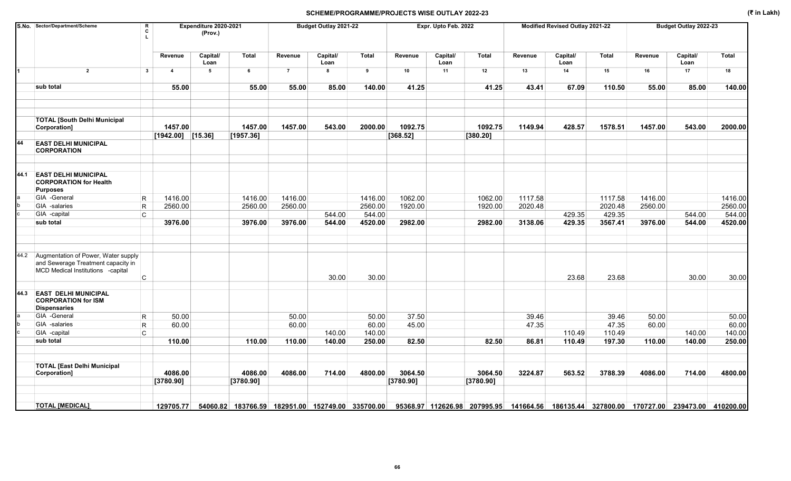|      | S.No. Sector/Department/Scheme                                                                                 | $\frac{\mathsf{R}}{\mathsf{C}}$<br>$\mathbf{L}$ |                     | Expenditure 2020-2021<br>(Prov.) |                                                            |                | Budget Outlay 2021-22 |              |           | Expr. Upto Feb. 2022 |                                                                                          |         | Modified Revised Outlay 2021-22 |              |         | Budget Outlay 2022-23 |         |
|------|----------------------------------------------------------------------------------------------------------------|-------------------------------------------------|---------------------|----------------------------------|------------------------------------------------------------|----------------|-----------------------|--------------|-----------|----------------------|------------------------------------------------------------------------------------------|---------|---------------------------------|--------------|---------|-----------------------|---------|
|      |                                                                                                                |                                                 | Revenue             | Capital/<br>Loan                 | Total                                                      | Revenue        | Capital/<br>Loan      | <b>Total</b> | Revenue   | Capital/<br>Loan     | Total                                                                                    | Revenue | Capital/<br>Loan                | <b>Total</b> | Revenue | Capital/<br>Loan      | Total   |
|      | $\overline{2}$                                                                                                 | $\mathbf{3}$                                    | $\overline{4}$      | 5                                | 6                                                          | $\overline{7}$ | 8                     | 9            | 10        | 11                   | 12                                                                                       | 13      | 14                              | 15           | 16      | 17                    | 18      |
|      | sub total                                                                                                      |                                                 | 55.00               |                                  | 55.00                                                      | 55.00          | 85.00                 | 140.00       | 41.25     |                      | 41.25                                                                                    | 43.41   | 67.09                           | 110.50       | 55.00   | 85.00                 | 140.00  |
|      | <b>TOTAL [South Delhi Municipal</b><br>Corporation]                                                            |                                                 | 1457.00             |                                  | 1457.00                                                    | 1457.00        | 543.00                | 2000.00      | 1092.75   |                      | 1092.75                                                                                  | 1149.94 | 428.57                          | 1578.51      | 1457.00 | 543.00                | 2000.00 |
|      |                                                                                                                |                                                 | $[1942.00]$ [15.36] |                                  | [1957.36]                                                  |                |                       |              | [368.52]  |                      | [380.20]                                                                                 |         |                                 |              |         |                       |         |
| 44   | <b>EAST DELHI MUNICIPAL</b><br><b>CORPORATION</b>                                                              |                                                 |                     |                                  |                                                            |                |                       |              |           |                      |                                                                                          |         |                                 |              |         |                       |         |
| 44.1 | <b>EAST DELHI MUNICIPAL</b><br><b>CORPORATION for Health</b><br><b>Purposes</b>                                |                                                 |                     |                                  |                                                            |                |                       |              |           |                      |                                                                                          |         |                                 |              |         |                       |         |
|      | GIA -General                                                                                                   | R                                               | 1416.00             |                                  | 1416.00                                                    | 1416.00        |                       | 1416.00      | 1062.00   |                      | 1062.00                                                                                  | 1117.58 |                                 | 1117.58      | 1416.00 |                       | 1416.00 |
|      | GIA -salaries                                                                                                  | R                                               | 2560.00             |                                  | 2560.00                                                    | 2560.00        |                       | 2560.00      | 1920.00   |                      | 1920.00                                                                                  | 2020.48 |                                 | 2020.48      | 2560.00 |                       | 2560.00 |
|      | GIA -capital                                                                                                   | C                                               |                     |                                  |                                                            |                | 544.00                | 544.00       |           |                      |                                                                                          |         | 429.35                          | 429.35       |         | 544.00                | 544.00  |
|      | sub total                                                                                                      |                                                 | 3976.00             |                                  | 3976.00                                                    | 3976.00        | 544.00                | 4520.00      | 2982.00   |                      | 2982.00                                                                                  | 3138.06 | 429.35                          | 3567.41      | 3976.00 | 544.00                | 4520.00 |
|      |                                                                                                                |                                                 |                     |                                  |                                                            |                |                       |              |           |                      |                                                                                          |         |                                 |              |         |                       |         |
| 44.2 | Augmentation of Power, Water supply<br>and Sewerage Treatment capacity in<br>MCD Medical Institutions -capital | C                                               |                     |                                  |                                                            |                | 30.00                 | 30.00        |           |                      |                                                                                          |         | 23.68                           | 23.68        |         | 30.00                 | 30.00   |
| 44.3 | <b>EAST DELHI MUNICIPAL</b><br><b>CORPORATION for ISM</b><br><b>Dispensaries</b>                               |                                                 |                     |                                  |                                                            |                |                       |              |           |                      |                                                                                          |         |                                 |              |         |                       |         |
|      | GIA -General                                                                                                   | R                                               | 50.00               |                                  |                                                            | 50.00          |                       | 50.00        | 37.50     |                      |                                                                                          | 39.46   |                                 | 39.46        | 50.00   |                       | 50.00   |
|      | GIA -salaries                                                                                                  | $\mathsf R$                                     | 60.00               |                                  |                                                            | 60.00          |                       | 60.00        | 45.00     |                      |                                                                                          | 47.35   |                                 | 47.35        | 60.00   |                       | 60.00   |
|      | GIA -capital                                                                                                   | C                                               |                     |                                  |                                                            |                | 140.00                | 140.00       |           |                      |                                                                                          |         | 110.49                          | 110.49       |         | 140.00                | 140.00  |
|      | sub total                                                                                                      |                                                 | 110.00              |                                  | 110.00                                                     | 110.00         | 140.00                | 250.00       | 82.50     |                      | 82.50                                                                                    | 86.81   | 110.49                          | 197.30       | 110.00  | 140.00                | 250.00  |
|      | <b>TOTAL [East Delhi Municipal</b>                                                                             |                                                 | 4086.00             |                                  | 4086.00                                                    | 4086.00        |                       | 4800.00      | 3064.50   |                      | 3064.50                                                                                  | 3224.87 | 563.52                          | 3788.39      | 4086.00 | 714.00                | 4800.00 |
|      | Corporation]                                                                                                   |                                                 |                     |                                  |                                                            |                | 714.00                |              |           |                      |                                                                                          |         |                                 |              |         |                       |         |
|      |                                                                                                                |                                                 | [3780.90]           |                                  | [3780.90]                                                  |                |                       |              | [3780.90] |                      | [3780.90]                                                                                |         |                                 |              |         |                       |         |
|      | <b>TOTAL [MEDICAL]</b>                                                                                         |                                                 |                     |                                  | 129705.77 54060.82 183766.59 182951.00 152749.00 335700.00 |                |                       |              |           |                      | 95368.97 112626.98 207995.95 141664.56 186135.44 327800.00 170727.00 239473.00 410200.00 |         |                                 |              |         |                       |         |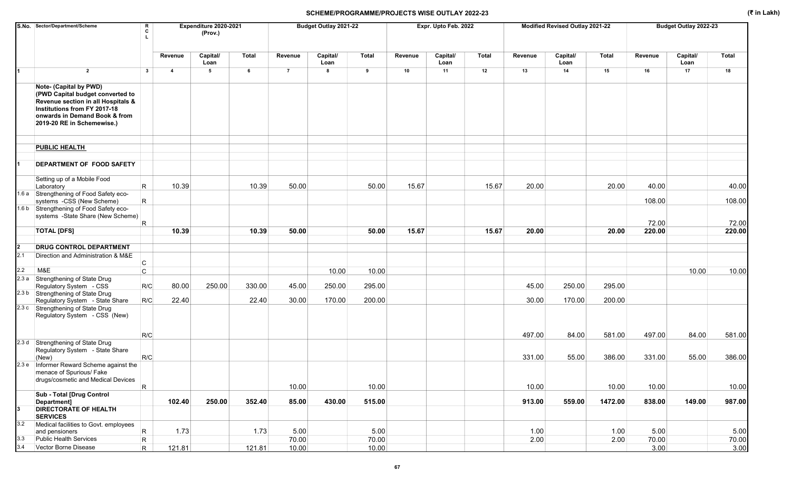|              | S.No. Sector/Department/Scheme                                                                                                                                                                  | R<br>C       |                | Expenditure 2020-2021<br>(Prov.) |              |                | Budget Outlay 2021-22 |               |         | Expr. Upto Feb. 2022 |       |              | Modified Revised Outlay 2021-22 |              |               | Budget Outlay 2022-23 |               |
|--------------|-------------------------------------------------------------------------------------------------------------------------------------------------------------------------------------------------|--------------|----------------|----------------------------------|--------------|----------------|-----------------------|---------------|---------|----------------------|-------|--------------|---------------------------------|--------------|---------------|-----------------------|---------------|
|              |                                                                                                                                                                                                 |              | Revenue        | Capital/<br>Loan                 | <b>Total</b> | Revenue        | Capital/<br>Loan      | <b>Total</b>  | Revenue | Capital/<br>Loan     | Total | Revenue      | Capital/<br>Loan                | Total        | Revenue       | Capital/<br>Loan      | <b>Total</b>  |
|              | $\overline{2}$                                                                                                                                                                                  | $\mathbf{3}$ | $\overline{4}$ | 5                                | 6            | $\overline{7}$ | 8                     | 9             | 10      | 11                   | 12    | 13           | 14                              | 15           | 16            | 17                    | 18            |
|              | Note- (Capital by PWD)<br>(PWD Capital budget converted to<br>Revenue section in all Hospitals &<br>Institutions from FY 2017-18<br>onwards in Demand Book & from<br>2019-20 RE in Schemewise.) |              |                |                                  |              |                |                       |               |         |                      |       |              |                                 |              |               |                       |               |
|              | <b>PUBLIC HEALTH</b>                                                                                                                                                                            |              |                |                                  |              |                |                       |               |         |                      |       |              |                                 |              |               |                       |               |
|              | DEPARTMENT OF FOOD SAFETY                                                                                                                                                                       |              |                |                                  |              |                |                       |               |         |                      |       |              |                                 |              |               |                       |               |
|              | Setting up of a Mobile Food<br>Laboratory                                                                                                                                                       | R.           | 10.39          |                                  | 10.39        | 50.00          |                       | 50.00         | 15.67   |                      | 15.67 | 20.00        |                                 | 20.00        | 40.00         |                       | 40.00         |
|              | 1.6 a Strengthening of Food Safety eco-<br>systems -CSS (New Scheme)                                                                                                                            | R.           |                |                                  |              |                |                       |               |         |                      |       |              |                                 |              | 108.00        |                       | 108.00        |
|              | 1.6 b Strengthening of Food Safety eco-<br>systems -State Share (New Scheme)                                                                                                                    | R            |                |                                  |              |                |                       |               |         |                      |       |              |                                 |              | 72.00         |                       | 72.00         |
|              | <b>TOTAL [DFS]</b>                                                                                                                                                                              |              | 10.39          |                                  | 10.39        | 50.00          |                       | 50.00         | 15.67   |                      | 15.67 | 20.00        |                                 | 20.00        | 220.00        |                       | 220.00        |
| $\mathbf{2}$ | <b>DRUG CONTROL DEPARTMENT</b>                                                                                                                                                                  |              |                |                                  |              |                |                       |               |         |                      |       |              |                                 |              |               |                       |               |
| 2.1          | Direction and Administration & M&E                                                                                                                                                              | С            |                |                                  |              |                |                       |               |         |                      |       |              |                                 |              |               |                       |               |
| 2.2          | M&E                                                                                                                                                                                             | $\mathsf{C}$ |                |                                  |              |                | 10.00                 | 10.00         |         |                      |       |              |                                 |              |               | 10.00                 | 10.00         |
|              | 2.3 a Strengthening of State Drug<br>Regulatory System - CSS                                                                                                                                    | R/C          | 80.00          | 250.00                           | 330.00       | 45.00          | 250.00                | 295.00        |         |                      |       | 45.00        | 250.00                          | 295.00       |               |                       |               |
|              | 2.3 b Strengthening of State Drug<br>Regulatory System - State Share                                                                                                                            | R/C          | 22.40          |                                  | 22.40        | 30.00          | 170.00                | 200.00        |         |                      |       | 30.00        | 170.00                          | 200.00       |               |                       |               |
|              | 2.3 c Strengthening of State Drug<br>Regulatory System - CSS (New)                                                                                                                              |              |                |                                  |              |                |                       |               |         |                      |       |              |                                 |              |               |                       |               |
|              |                                                                                                                                                                                                 | R/C          |                |                                  |              |                |                       |               |         |                      |       | 497.00       | 84.00                           | 581.00       | 497.00        | 84.00                 | 581.00        |
|              | 2.3 d Strengthening of State Drug<br>Regulatory System - State Share<br>(New)                                                                                                                   | R/C          |                |                                  |              |                |                       |               |         |                      |       | 331.00       | 55.00                           | 386.00       | 331.00        | 55.00                 | 386.00        |
|              | 2.3 e   Informer Reward Scheme against the<br>menace of Spurious/ Fake<br>drugs/cosmetic and Medical Devices                                                                                    |              |                |                                  |              |                |                       |               |         |                      |       |              |                                 |              |               |                       |               |
|              |                                                                                                                                                                                                 | R            |                |                                  |              | 10.00          |                       | 10.00         |         |                      |       | 10.00        |                                 | 10.00        | 10.00         |                       | 10.00         |
|              | Sub - Total [Drug Control<br>Department]                                                                                                                                                        |              | 102.40         | 250.00                           | 352.40       | 85.00          | 430.00                | 515.00        |         |                      |       | 913.00       | 559.00                          | 1472.00      | 838.00        | 149.00                | 987.00        |
|              | <b>DIRECTORATE OF HEALTH</b><br><b>SERVICES</b>                                                                                                                                                 |              |                |                                  |              |                |                       |               |         |                      |       |              |                                 |              |               |                       |               |
| 3.2          | Medical facilities to Govt. employees                                                                                                                                                           |              |                |                                  |              |                |                       |               |         |                      |       |              |                                 |              |               |                       |               |
| 3.3          | and pensioners<br>Public Health Services                                                                                                                                                        | R<br>R       | 1.73           |                                  | 1.73         | 5.00<br>70.00  |                       | 5.00<br>70.00 |         |                      |       | 1.00<br>2.00 |                                 | 1.00<br>2.00 | 5.00<br>70.00 |                       | 5.00<br>70.00 |
| 3.4          | Vector Borne Disease                                                                                                                                                                            | R.           | 121.81         |                                  | 121.81       | 10.00          |                       | 10.00         |         |                      |       |              |                                 |              | 3.00          |                       | 3.00          |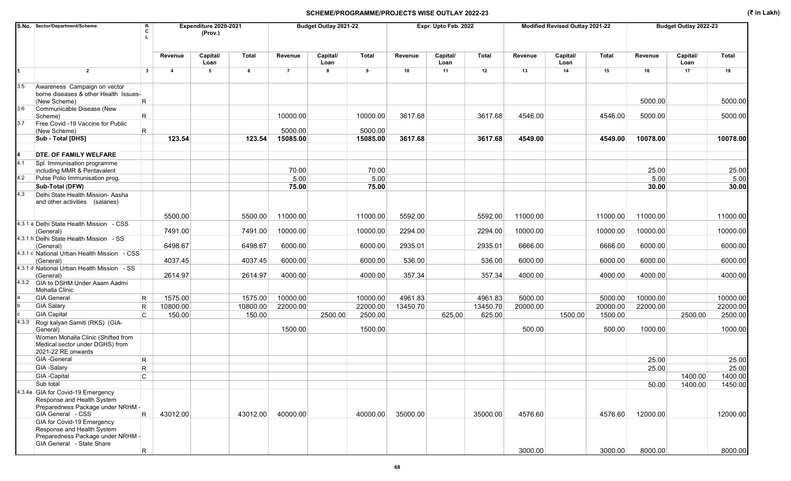|       | S.No. Sector/Department/Scheme                                                                | Expenditure 2020-2021<br>R<br>C<br>(Prov.) |                |                  |          |                | Budget Outlay 2021-22 |          |          | Expr. Upto Feb. 2022 |          |          | Modified Revised Outlay 2021-22 |          |          | Budget Outlay 2022-23 |              |
|-------|-----------------------------------------------------------------------------------------------|--------------------------------------------|----------------|------------------|----------|----------------|-----------------------|----------|----------|----------------------|----------|----------|---------------------------------|----------|----------|-----------------------|--------------|
|       |                                                                                               |                                            | Revenue        | Capital/<br>Loan | Total    | Revenue        | Capital/<br>Loan      | Total    | Revenue  | Capital/<br>Loan     | Total    | Revenue  | Capital/<br>Loan                | Total    | Revenue  | Capital/<br>Loan      | <b>Total</b> |
|       | $\overline{2}$                                                                                | $\mathbf{3}$                               | $\overline{4}$ | 5                | 6        | $\overline{7}$ | 8                     | 9        | 10       | 11                   | 12       | 13       | 14                              | 15       | 16       | 17                    | 18           |
| 3.5   | Awareness Campaign on vector<br>borne diseases & other Health Issues-<br>(New Scheme)         | R.                                         |                |                  |          |                |                       |          |          |                      |          |          |                                 |          | 5000.00  |                       | 5000.00      |
| 3.6   | Communicable Disease (New<br>Scheme)                                                          | R.                                         |                |                  |          | 10000.00       |                       | 10000.00 | 3617.68  |                      | 3617.68  | 4546.00  |                                 | 4546.00  | 5000.00  |                       | 5000.00      |
| 3.7   | Free Covid -19 Vaccine for Public<br>(New Scheme)                                             | R                                          |                |                  |          | 5000.00        |                       | 5000.00  |          |                      |          |          |                                 |          |          |                       |              |
|       | Sub - Total [DHS]                                                                             |                                            | 123.54         |                  | 123.54   | 15085.00       |                       | 15085.00 | 3617.68  |                      | 3617.68  | 4549.00  |                                 | 4549.00  | 10078.00 |                       | 10078.00     |
|       |                                                                                               |                                            |                |                  |          |                |                       |          |          |                      |          |          |                                 |          |          |                       |              |
|       | DTE. OF FAMILY WELFARE                                                                        |                                            |                |                  |          |                |                       |          |          |                      |          |          |                                 |          |          |                       |              |
| 4.1   | Spl. Immunisation programme<br>including MMR & Pentavalent                                    |                                            |                |                  |          | 70.00          |                       | 70.00    |          |                      |          |          |                                 |          | 25.00    |                       | 25.00        |
| 4.2   | Pulse Polio Immunisation prog.                                                                |                                            |                |                  |          | 5.00           |                       | 5.00     |          |                      |          |          |                                 |          | 5.00     |                       | 5.00         |
|       | Sub-Total (DFW)                                                                               |                                            |                |                  |          | 75.00          |                       | 75.00    |          |                      |          |          |                                 |          | 30.00    |                       | 30.00        |
| 4.3   | Delhi State Health Mission- Aasha<br>and other activities (salaries)                          |                                            |                |                  |          |                |                       |          |          |                      |          |          |                                 |          |          |                       |              |
|       |                                                                                               |                                            | 5500.00        |                  | 5500.00  | 11000.00       |                       | 11000.00 | 5592.00  |                      | 5592.00  | 11000.00 |                                 | 11000.00 | 11000.00 |                       | 11000.00     |
|       | 4.3.1 a Delhi State Health Mission - CSS<br>(General)                                         |                                            | 7491.00        |                  | 7491.00  | 10000.00       |                       | 10000.00 | 2294.00  |                      | 2294.00  | 10000.00 |                                 | 10000.00 | 10000.00 |                       | 10000.00     |
|       | 4.3.1 b Delhi State Health Mission - SS<br>(General)                                          |                                            | 6498.67        |                  | 6498.67  | 6000.00        |                       | 6000.00  | 2935.01  |                      | 2935.01  | 6666.00  |                                 | 6666.00  | 6000.00  |                       | 6000.00      |
|       | 4.3.1 c National Urban Health Mission - CSS                                                   |                                            |                |                  |          |                |                       |          |          |                      |          |          |                                 |          |          |                       |              |
|       | (General)                                                                                     |                                            | 4037.45        |                  | 4037.45  | 6000.00        |                       | 6000.00  | 536.00   |                      | 536.00   | 6000.00  |                                 | 6000.00  | 6000.00  |                       | 6000.00      |
|       | 4.3.1 d National Urban Health Mission - SS<br>(General)                                       |                                            | 2614.97        |                  | 2614.97  | 4000.00        |                       | 4000.00  | 357.34   |                      | 357.34   | 4000.00  |                                 | 4000.00  | 4000.00  |                       | 4000.00      |
|       | 4.3.2 GIA to DSHM Under Aaam Aadmi<br>Mohalla Clinic                                          |                                            |                |                  |          |                |                       |          |          |                      |          |          |                                 |          |          |                       |              |
|       | <b>GIA General</b>                                                                            | R                                          | 1575.00        |                  | 1575.00  | 10000.00       |                       | 10000.00 | 4961.83  |                      | 4961.83  | 5000.00  |                                 | 5000.00  | 10000.00 |                       | 10000.00     |
|       | <b>GIA Salary</b>                                                                             | R                                          | 10800.00       |                  | 10800.00 | 22000.00       |                       | 22000.00 | 13450.70 |                      | 13450.70 | 20000.00 |                                 | 20000.00 | 22000.00 |                       | 22000.00     |
|       | <b>GIA Capital</b>                                                                            | lC.                                        | 150.00         |                  | 150.00   |                | 2500.00               | 2500.00  |          | 625.00               | 625.00   |          | 1500.00                         | 1500.00  |          | 2500.00               | 2500.00      |
| 4.3.3 | Rogi kalyan Samiti (RKS) (GIA-<br>General)                                                    |                                            |                |                  |          | 1500.00        |                       | 1500.00  |          |                      |          | 500.00   |                                 | 500.00   | 1000.00  |                       | 1000.00      |
|       | Women Mohalla Clinic (Shifted from<br>Medical sector under DGHS) from<br>2021-22 RE onwards   |                                            |                |                  |          |                |                       |          |          |                      |          |          |                                 |          |          |                       |              |
|       | <b>GIA</b> - General                                                                          | R                                          |                |                  |          |                |                       |          |          |                      |          |          |                                 |          | 25.00    |                       | 25.00        |
|       | GIA -Salary                                                                                   | R                                          |                |                  |          |                |                       |          |          |                      |          |          |                                 |          | 25.00    |                       | 25.00        |
|       | GIA -Capital                                                                                  | C                                          |                |                  |          |                |                       |          |          |                      |          |          |                                 |          |          | 1400.00               | 1400.00      |
|       | Sub total                                                                                     |                                            |                |                  |          |                |                       |          |          |                      |          |          |                                 |          | 50.00    | 1400.00               | 1450.00      |
|       | 4.3.4a GIA for Covid-19 Emergency<br>Response and Health System                               |                                            |                |                  |          |                |                       |          |          |                      |          |          |                                 |          |          |                       |              |
|       | Preparedness Package under NRHM -<br>GIA General - CSS                                        | R                                          | 43012.00       |                  | 43012.00 | 40000.00       |                       | 40000.00 | 35000.00 |                      | 35000.00 | 4576.60  |                                 | 4576.60  | 12000.00 |                       | 12000.00     |
|       | GIA for Covid-19 Emergency<br>Response and Health System<br>Preparedness Package under NRHM - |                                            |                |                  |          |                |                       |          |          |                      |          |          |                                 |          |          |                       |              |
|       | GIA General - State Share                                                                     | R.                                         |                |                  |          |                |                       |          |          |                      |          | 3000.00  |                                 | 3000.00  | 8000.00  |                       | 8000.00      |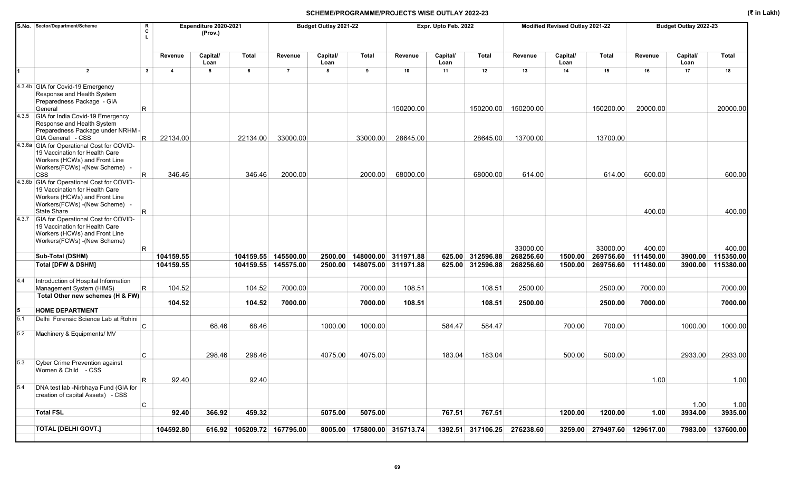|       | S.No. Sector/Department/Scheme<br>R<br>C                                                                                                                          |                         | Expenditure 2020-2021<br>(Prov.) |                            |                                  | Budget Outlay 2021-22 |                |                                            | Expr. Upto Feb. 2022 |                                      |                        | Modified Revised Outlay 2021-22 |                        |                        | Budget Outlay 2022-23 |                        |
|-------|-------------------------------------------------------------------------------------------------------------------------------------------------------------------|-------------------------|----------------------------------|----------------------------|----------------------------------|-----------------------|----------------|--------------------------------------------|----------------------|--------------------------------------|------------------------|---------------------------------|------------------------|------------------------|-----------------------|------------------------|
|       |                                                                                                                                                                   | Revenue                 | Capital/<br>Loan                 | <b>Total</b>               | Revenue                          | Capital/<br>Loan      | <b>Total</b>   | Revenue                                    | Capital/<br>Loan     | Total                                | Revenue                | Capital/<br>Loan                | Total                  | Revenue                | Capital/<br>Loan      | <b>Total</b>           |
|       | $\overline{2}$<br>$\mathbf{3}$                                                                                                                                    | $\overline{\mathbf{4}}$ | 5                                | 6                          | $\overline{7}$                   | 8                     | $\overline{9}$ | 10                                         | 11                   | 12                                   | 13                     | 14                              | 15                     | 16                     | 17                    | 18                     |
|       | 4.3.4b GIA for Covid-19 Emergency<br>Response and Health System<br>Preparedness Package - GIA<br>R<br>General                                                     |                         |                                  |                            |                                  |                       |                | 150200.00                                  |                      | 150200.00                            | 150200.00              |                                 | 150200.00              | 20000.00               |                       | 20000.00               |
|       | 4.3.5 GIA for India Covid-19 Emergency<br>Response and Health System                                                                                              |                         |                                  |                            |                                  |                       |                |                                            |                      |                                      |                        |                                 |                        |                        |                       |                        |
|       | Preparedness Package under NRHM -<br>GIA General - CSS<br>R                                                                                                       | 22134.00                |                                  | 22134.00                   | 33000.00                         |                       | 33000.00       | 28645.00                                   |                      | 28645.00                             | 13700.00               |                                 | 13700.00               |                        |                       |                        |
|       | 4.3.6a GIA for Operational Cost for COVID-<br>19 Vaccination for Health Care<br>Workers (HCWs) and Front Line<br>Workers(FCWs) - (New Scheme) -                   |                         |                                  |                            |                                  |                       |                |                                            |                      |                                      |                        |                                 |                        |                        |                       |                        |
|       | <b>CSS</b><br>R.<br>4.3.6b GIA for Operational Cost for COVID-<br>19 Vaccination for Health Care<br>Workers (HCWs) and Front Line<br>Workers(FCWs) - (New Scheme) | 346.46                  |                                  | 346.46                     | 2000.00                          |                       | 2000.00        | 68000.00                                   |                      | 68000.00                             | 614.00                 |                                 | 614.00                 | 600.00                 |                       | 600.00                 |
|       | State Share<br>R.                                                                                                                                                 |                         |                                  |                            |                                  |                       |                |                                            |                      |                                      |                        |                                 |                        | 400.00                 |                       | 400.00                 |
| 4.3.7 | GIA for Operational Cost for COVID-<br>19 Vaccination for Health Care<br>Workers (HCWs) and Front Line<br>Workers(FCWs) - (New Scheme)                            |                         |                                  |                            |                                  |                       |                |                                            |                      |                                      |                        |                                 |                        |                        |                       |                        |
|       | R.<br>Sub-Total (DSHM)                                                                                                                                            |                         |                                  |                            |                                  | 2500.00               |                |                                            |                      |                                      | 33000.00               |                                 | 33000.00               | 400.00                 |                       | 400.00                 |
|       | <b>Total [DFW &amp; DSHM]</b>                                                                                                                                     | 104159.55<br>104159.55  |                                  | 104159.55                  | 104159.55 145500.00<br>145575.00 | 2500.00               |                | 148000.00 311971.88<br>148075.00 311971.88 |                      | 625.00 312596.88<br>625.00 312596.88 | 268256.60<br>268256.60 | 1500.00<br>1500.00              | 269756.60<br>269756.60 | 111450.00<br>111480.00 | 3900.00<br>3900.00    | 115350.00<br>115380.00 |
| 4.4   |                                                                                                                                                                   |                         |                                  |                            |                                  |                       |                |                                            |                      |                                      |                        |                                 |                        |                        |                       |                        |
|       | Introduction of Hospital Information<br>$\overline{\mathsf{R}}$<br>Management System (HIMS)                                                                       | 104.52                  |                                  | 104.52                     | 7000.00                          |                       | 7000.00        | 108.51                                     |                      | 108.51                               | 2500.00                |                                 | 2500.00                | 7000.00                |                       | 7000.00                |
|       | Total Other new schemes (H & FW)                                                                                                                                  | 104.52                  |                                  | 104.52                     | 7000.00                          |                       | 7000.00        | 108.51                                     |                      | 108.51                               | 2500.00                |                                 | 2500.00                | 7000.00                |                       | 7000.00                |
| 5     | <b>HOME DEPARTMENT</b>                                                                                                                                            |                         |                                  |                            |                                  |                       |                |                                            |                      |                                      |                        |                                 |                        |                        |                       |                        |
| 5.1   | Delhi Forensic Science Lab at Rohini<br>C                                                                                                                         |                         | 68.46                            | 68.46                      |                                  | 1000.00               | 1000.00        |                                            | 584.47               | 584.47                               |                        | 700.00                          | 700.00                 |                        | 1000.00               | 1000.00                |
| 5.2   | Machinery & Equipments/ MV                                                                                                                                        |                         |                                  |                            |                                  |                       |                |                                            |                      |                                      |                        |                                 |                        |                        |                       |                        |
|       | C                                                                                                                                                                 |                         | 298.46                           | 298.46                     |                                  | 4075.00               | 4075.00        |                                            | 183.04               | 183.04                               |                        | 500.00                          | 500.00                 |                        | 2933.00               | 2933.00                |
| 5.3   | Cyber Crime Prevention against<br>Women & Child - CSS                                                                                                             |                         |                                  |                            |                                  |                       |                |                                            |                      |                                      |                        |                                 |                        |                        |                       |                        |
| 5.4   | R<br>DNA test lab -Nirbhaya Fund (GIA for                                                                                                                         | 92.40                   |                                  | 92.40                      |                                  |                       |                |                                            |                      |                                      |                        |                                 |                        | 1.00                   |                       | 1.00                   |
|       | creation of capital Assets) - CSS                                                                                                                                 |                         |                                  |                            |                                  |                       |                |                                            |                      |                                      |                        |                                 |                        |                        |                       |                        |
|       | С                                                                                                                                                                 |                         |                                  |                            |                                  |                       |                |                                            |                      |                                      |                        |                                 |                        |                        | 1.00                  | 1.00                   |
|       | <b>Total FSL</b>                                                                                                                                                  | 92.40                   | 366.92                           | 459.32                     |                                  | 5075.00               | 5075.00        |                                            | 767.51               | 767.51                               |                        | 1200.00                         | 1200.00                | 1.00                   | 3934.00               | 3935.00                |
|       | <b>TOTAL [DELHI GOVT.]</b>                                                                                                                                        | 104592.80               |                                  | 616.92 105209.72 167795.00 |                                  | 8005.00               |                | 175800.00 315713.74                        |                      | 1392.51 317106.25                    | 276238.60              | 3259.00                         | 279497.60              | 129617.00              | 7983.00               | 137600.00              |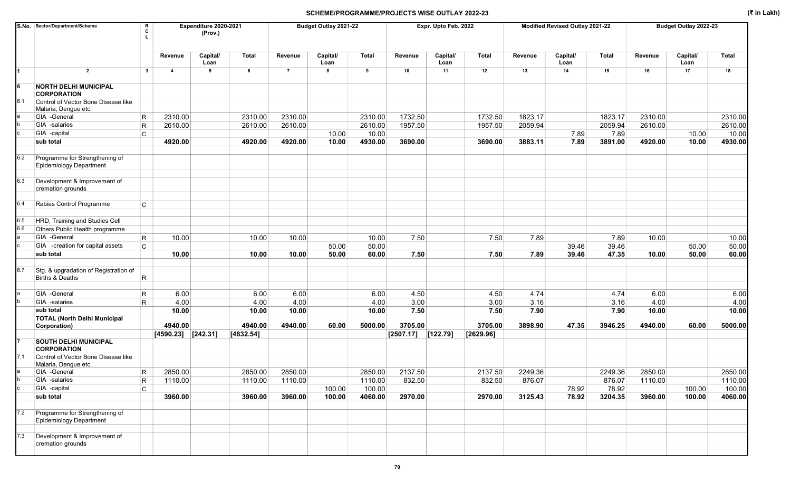|     | S.No. Sector/Department/Scheme                                   | R<br>c                  | Expenditure 2020-2021<br>(Prov.) |               |                | Budget Outlay 2021-22 |               |                      | Expr. Upto Feb. 2022 |              |              | Modified Revised Outlay 2021-22 |              |               | Budget Outlay 2022-23 |               |
|-----|------------------------------------------------------------------|-------------------------|----------------------------------|---------------|----------------|-----------------------|---------------|----------------------|----------------------|--------------|--------------|---------------------------------|--------------|---------------|-----------------------|---------------|
|     |                                                                  |                         | Capital/<br>Revenue<br>Loan      | Total         | Revenue        | Capital/<br>Loan      | <b>Total</b>  | Revenue              | Capital/<br>Loan     | Total        | Revenue      | Capital/<br>Loan                | Total        | Revenue       | Capital/<br>Loan      | <b>Total</b>  |
| 1   | $\overline{2}$                                                   | $\mathbf{3}$            | 5<br>$\overline{\mathbf{4}}$     | 6             | $\overline{7}$ | 8                     | 9             | 10                   | 11                   | 12           | 13           | 14                              | 15           | 16            | 17                    | 18            |
|     | <b>NORTH DELHI MUNICIPAL</b><br><b>CORPORATION</b>               |                         |                                  |               |                |                       |               |                      |                      |              |              |                                 |              |               |                       |               |
| 6.1 | Control of Vector Bone Disease like<br>Malaria, Dengue etc.      |                         |                                  |               |                |                       |               |                      |                      |              |              |                                 |              |               |                       |               |
|     | GIA -General                                                     | R                       | 2310.00                          | 2310.00       | 2310.00        |                       | 2310.00       | 1732.50              |                      | 1732.50      | 1823.17      |                                 | 1823.17      | 2310.00       |                       | 2310.00       |
|     | GIA -salaries                                                    | $\mathsf R$             | 2610.00                          | 2610.00       | 2610.00        |                       | 2610.00       | 1957.50              |                      | 1957.50      | 2059.94      |                                 | 2059.94      | 2610.00       |                       | 2610.00       |
|     | GIA -capital                                                     | C                       |                                  |               |                | 10.00                 | 10.00         |                      |                      |              |              | 7.89                            | 7.89         |               | 10.00                 | 10.00         |
|     | sub total                                                        |                         | 4920.00                          | 4920.00       | 4920.00        | 10.00                 | 4930.00       | 3690.00              |                      | 3690.00      | 3883.11      | 7.89                            | 3891.00      | 4920.00       | 10.00                 | 4930.00       |
|     |                                                                  |                         |                                  |               |                |                       |               |                      |                      |              |              |                                 |              |               |                       |               |
| 6.2 | Programme for Strengthening of<br><b>Epidemiology Department</b> |                         |                                  |               |                |                       |               |                      |                      |              |              |                                 |              |               |                       |               |
| 6.3 | Development & Improvement of<br>cremation grounds                |                         |                                  |               |                |                       |               |                      |                      |              |              |                                 |              |               |                       |               |
| 6.4 | Rabies Control Programme                                         | C                       |                                  |               |                |                       |               |                      |                      |              |              |                                 |              |               |                       |               |
| 6.5 | HRD, Training and Studies Cell                                   |                         |                                  |               |                |                       |               |                      |                      |              |              |                                 |              |               |                       |               |
| 6.6 | Others Public Health programme                                   |                         |                                  |               |                |                       |               |                      |                      |              |              |                                 |              |               |                       |               |
|     | GIA -General                                                     | $\overline{\mathsf{R}}$ | 10.00                            | 10.00         | 10.00          |                       | 10.00         | 7.50                 |                      | 7.50         | 7.89         |                                 | 7.89         | 10.00         |                       | 10.00         |
|     | GIA -creation for capital assets                                 | C                       |                                  |               |                | 50.00                 | 50.00         |                      |                      |              |              | 39.46                           | 39.46        |               | 50.00                 | 50.00         |
|     | sub total                                                        |                         |                                  |               |                |                       |               |                      |                      |              |              |                                 |              |               |                       |               |
|     |                                                                  |                         | 10.00                            | 10.00         | 10.00          | 50.00                 | 60.00         | 7.50                 |                      | 7.50         | 7.89         | 39.46                           | 47.35        | 10.00         | 50.00                 | 60.00         |
| 6.7 | Stg. & upgradation of Registration of<br>Births & Deaths         | R                       |                                  |               |                |                       |               |                      |                      |              |              |                                 |              |               |                       |               |
|     | GIA -General                                                     |                         | 6.00                             | 6.00          | 6.00           |                       | 6.00          | 4.50                 |                      | 4.50         | 4.74         |                                 | 4.74         | 6.00          |                       |               |
|     | GIA -salaries                                                    | R                       |                                  |               |                |                       |               |                      |                      |              |              |                                 |              |               |                       | 6.00          |
|     | sub total                                                        | R.                      | 4.00<br>10.00                    | 4.00<br>10.00 | 4.00<br>10.00  |                       | 4.00<br>10.00 | 3.00<br>7.50         |                      | 3.00<br>7.50 | 3.16<br>7.90 |                                 | 3.16<br>7.90 | 4.00<br>10.00 |                       | 4.00<br>10.00 |
|     | <b>TOTAL (North Delhi Municipal</b>                              |                         |                                  |               |                |                       |               |                      |                      |              |              |                                 |              |               |                       |               |
|     | Corporation)                                                     |                         | 4940.00                          | 4940.00       | 4940.00        | 60.00                 | 5000.00       | 3705.00              |                      | 3705.00      | 3898.90      | 47.35                           | 3946.25      | 4940.00       | 60.00                 | 5000.00       |
|     |                                                                  |                         | $[4590.23]$ [242.31]             | [4832.54]     |                |                       |               | $[2507.17]$ [122.79] |                      | [2629.96]    |              |                                 |              |               |                       |               |
|     | <b>SOUTH DELHI MUNICIPAL</b><br><b>CORPORATION</b>               |                         |                                  |               |                |                       |               |                      |                      |              |              |                                 |              |               |                       |               |
| 7.1 | Control of Vector Bone Disease like<br>Malaria, Dengue etc.      |                         |                                  |               |                |                       |               |                      |                      |              |              |                                 |              |               |                       |               |
| а   | GIA -General                                                     | R.                      | 2850.00                          | 2850.00       | 2850.00        |                       | 2850.00       | 2137.50              |                      | 2137.50      | 2249.36      |                                 | 2249.36      | 2850.00       |                       | 2850.00       |
|     | GIA -salaries                                                    | R                       | 1110.00                          | 1110.00       | 1110.00        |                       | 1110.00       | 832.50               |                      | 832.50       | 876.07       |                                 | 876.07       | 1110.00       |                       | 1110.00       |
|     | GIA -capital                                                     | C.                      |                                  |               |                | 100.00                | 100.00        |                      |                      |              |              | 78.92                           | 78.92        |               | 100.00                | 100.00        |
|     | sub total                                                        |                         | 3960.00                          | 3960.00       | 3960.00        | 100.00                | 4060.00       | 2970.00              |                      | 2970.00      | 3125.43      | 78.92                           | 3204.35      | 3960.00       | 100.00                | 4060.00       |
| 7.2 | Programme for Strengthening of<br>Epidemiology Department        |                         |                                  |               |                |                       |               |                      |                      |              |              |                                 |              |               |                       |               |
| 7.3 | Development & Improvement of<br>cremation grounds                |                         |                                  |               |                |                       |               |                      |                      |              |              |                                 |              |               |                       |               |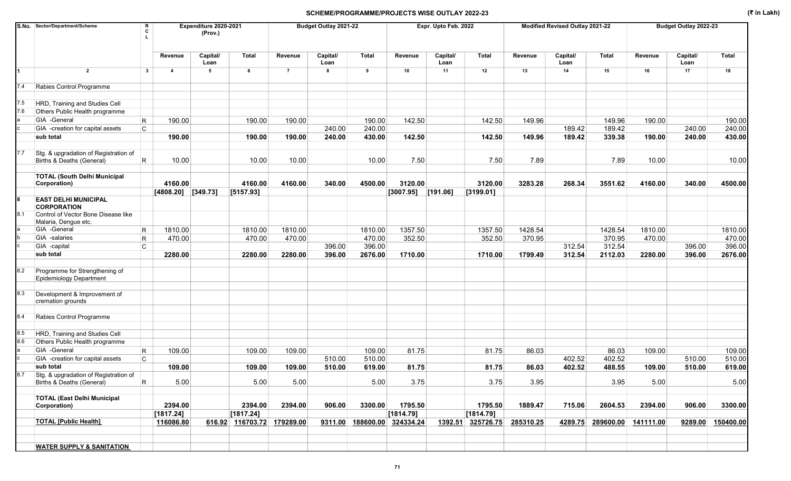|            | S.No. Sector/Department/Scheme<br>R<br>c                                |                         | Expenditure 2020-2021<br>(Prov.) |                            |                | Budget Outlay 2021-22 |              |           | Expr. Upto Feb. 2022 |           |           | Modified Revised Outlay 2021-22 |           |           | Budget Outlay 2022-23 |              |
|------------|-------------------------------------------------------------------------|-------------------------|----------------------------------|----------------------------|----------------|-----------------------|--------------|-----------|----------------------|-----------|-----------|---------------------------------|-----------|-----------|-----------------------|--------------|
|            |                                                                         | Revenue                 | Capital/<br>Loan                 | Total                      | Revenue        | Capital/<br>Loan      | <b>Total</b> | Revenue   | Capital/<br>Loan     | Total     | Revenue   | Capital/<br>Loan                | Total     | Revenue   | Capital/<br>Loan      | <b>Total</b> |
| 1          | $\overline{2}$<br>$\mathbf{3}$                                          | $\overline{\mathbf{4}}$ | 5                                | 6                          | $\overline{7}$ | 8                     | 9            | 10        | 11                   | 12        | 13        | 14                              | 15        | 16        | 17                    | 18           |
| 7.4        | Rabies Control Programme                                                |                         |                                  |                            |                |                       |              |           |                      |           |           |                                 |           |           |                       |              |
| 7.5<br>7.6 | HRD, Training and Studies Cell<br>Others Public Health programme        |                         |                                  |                            |                |                       |              |           |                      |           |           |                                 |           |           |                       |              |
|            | GIA -General<br>$\mathsf{R}$                                            | 190.00                  |                                  | 190.00                     | 190.00         |                       | 190.00       | 142.50    |                      | 142.50    | 149.96    |                                 | 149.96    | 190.00    |                       | 190.00       |
|            | C.<br>GIA -creation for capital assets                                  |                         |                                  |                            |                | 240.00                | 240.00       |           |                      |           |           | 189.42                          | 189.42    |           | 240.00                | 240.00       |
|            | sub total                                                               | 190.00                  |                                  | 190.00                     | 190.00         | 240.00                | 430.00       | 142.50    |                      | 142.50    | 149.96    | 189.42                          | 339.38    | 190.00    | 240.00                | 430.00       |
|            |                                                                         |                         |                                  |                            |                |                       |              |           |                      |           |           |                                 |           |           |                       |              |
| 7.7        | Stg. & upgradation of Registration of<br>Births & Deaths (General)<br>R | 10.00                   |                                  | 10.00                      | 10.00          |                       | 10.00        | 7.50      |                      | 7.50      | 7.89      |                                 | 7.89      | 10.00     |                       | 10.00        |
|            | <b>TOTAL (South Delhi Municipal</b><br>Corporation)                     | 4160.00                 |                                  | 4160.00                    | 4160.00        | 340.00                | 4500.00      | 3120.00   |                      | 3120.00   | 3283.28   | 268.34                          | 3551.62   | 4160.00   | 340.00                | 4500.00      |
|            |                                                                         |                         | $[4808.20]$ [349.73]             | [5157.93]                  |                |                       |              | [3007.95] | [191.06]             | [3199.01] |           |                                 |           |           |                       |              |
|            | <b>EAST DELHI MUNICIPAL</b><br><b>CORPORATION</b>                       |                         |                                  |                            |                |                       |              |           |                      |           |           |                                 |           |           |                       |              |
| 8.1        | Control of Vector Bone Disease like<br>Malaria, Dengue etc.             |                         |                                  |                            |                |                       |              |           |                      |           |           |                                 |           |           |                       |              |
|            | GIA -General<br>$\mathsf R$                                             | 1810.00                 |                                  | 1810.00                    | 1810.00        |                       | 1810.00      | 1357.50   |                      | 1357.50   | 1428.54   |                                 | 1428.54   | 1810.00   |                       | 1810.00      |
|            | GIA -salaries<br>$\mathsf{R}$                                           | 470.00                  |                                  | 470.00                     | 470.00         |                       | 470.00       | 352.50    |                      | 352.50    | 370.95    |                                 | 370.95    | 470.00    |                       | 470.00       |
|            | GIA -capital<br>C                                                       |                         |                                  |                            |                | 396.00                | 396.00       |           |                      |           |           | 312.54                          | 312.54    |           | 396.00                | 396.00       |
|            | sub total                                                               | 2280.00                 |                                  | 2280.00                    | 2280.00        | 396.00                | 2676.00      | 1710.00   |                      | 1710.00   | 1799.49   | 312.54                          | 2112.03   | 2280.00   | 396.00                | 2676.00      |
| 8.2        | Programme for Strengthening of<br>Epidemiology Department               |                         |                                  |                            |                |                       |              |           |                      |           |           |                                 |           |           |                       |              |
| 8.3        | Development & Improvement of<br>cremation grounds                       |                         |                                  |                            |                |                       |              |           |                      |           |           |                                 |           |           |                       |              |
| 8.4        | Rabies Control Programme                                                |                         |                                  |                            |                |                       |              |           |                      |           |           |                                 |           |           |                       |              |
| 8.5        | HRD, Training and Studies Cell                                          |                         |                                  |                            |                |                       |              |           |                      |           |           |                                 |           |           |                       |              |
| 8.6        | Others Public Health programme                                          |                         |                                  |                            |                |                       |              |           |                      |           |           |                                 |           |           |                       |              |
|            | GIA -General<br>$\mathsf{R}$                                            | 109.00                  |                                  | 109.00                     | 109.00         |                       | 109.00       | 81.75     |                      | 81.75     | 86.03     |                                 | 86.03     | 109.00    |                       | 109.00       |
|            | GIA -creation for capital assets<br>C                                   |                         |                                  |                            |                | 510.00                | 510.00       |           |                      |           |           | 402.52                          | 402.52    |           | 510.00                | 510.00       |
|            | sub total                                                               | 109.00                  |                                  | 109.00                     | 109.00         | 510.00                | 619.00       | 81.75     |                      | 81.75     | 86.03     | 402.52                          | 488.55    | 109.00    | 510.00                | 619.00       |
| 8.7        | Stg. & upgradation of Registration of<br>R<br>Births & Deaths (General) | 5.00                    |                                  | 5.00                       | 5.00           |                       | 5.00         | 3.75      |                      | 3.75      | 3.95      |                                 | 3.95      | 5.00      |                       | 5.00         |
|            | <b>TOTAL (East Delhi Municipal</b>                                      | 2394.00                 |                                  | 2394.00                    | 2394.00        | 906.00                | 3300.00      | 1795.50   |                      | 1795.50   | 1889.47   | 715.06                          | 2604.53   | 2394.00   | 906.00                | 3300.00      |
|            | Corporation)                                                            | [1817.24]               |                                  | [1817.24]                  |                |                       |              | [1814.79] |                      | [1814.79] |           |                                 |           |           |                       |              |
|            | <b>TOTAL [Public Health]</b>                                            | 116086.80               |                                  | 616.92 116703.72 179289.00 |                | 9311.00               | 188600.00    | 324334.24 | 1392.51              | 325726.75 | 285310.25 | 4289.75                         | 289600.00 | 141111.00 | 9289.00               | 150400.00    |
|            |                                                                         |                         |                                  |                            |                |                       |              |           |                      |           |           |                                 |           |           |                       |              |
|            | <b>WATER SUPPLY &amp; SANITATION</b>                                    |                         |                                  |                            |                |                       |              |           |                      |           |           |                                 |           |           |                       |              |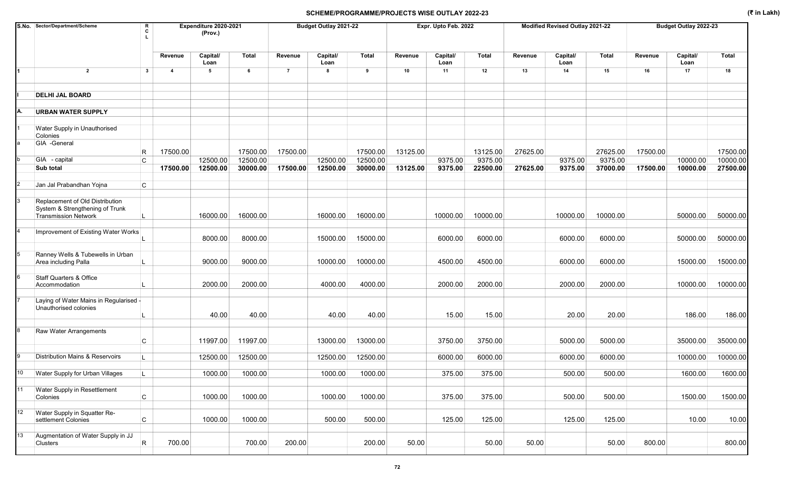|                 | S.No. Sector/Department/Scheme<br>R<br>C                                                          |                         | Expenditure 2020-2021<br>(Prov.) |                      |                | Budget Outlay 2021-22 |                      |          | Expr. Upto Feb. 2022 |                     |          | Modified Revised Outlay 2021-22 |                     |          | Budget Outlay 2022-23 |                      |
|-----------------|---------------------------------------------------------------------------------------------------|-------------------------|----------------------------------|----------------------|----------------|-----------------------|----------------------|----------|----------------------|---------------------|----------|---------------------------------|---------------------|----------|-----------------------|----------------------|
|                 |                                                                                                   | Revenue                 | Capital/<br>Loan                 | Total                | Revenue        | Capital/<br>Loan      | <b>Total</b>         | Revenue  | Capital/<br>Loan     | Total               | Revenue  | Capital/<br>Loan                | <b>Total</b>        | Revenue  | Capital/<br>Loan      | <b>Total</b>         |
|                 | $\overline{2}$<br>$\mathbf{3}$                                                                    | $\overline{\mathbf{4}}$ | 5                                | 6                    | $\overline{7}$ | 8                     | 9                    | 10       | 11                   | 12                  | 13       | 14                              | 15                  | 16       | 17                    | 18                   |
|                 | <b>DELHI JAL BOARD</b>                                                                            |                         |                                  |                      |                |                       |                      |          |                      |                     |          |                                 |                     |          |                       |                      |
|                 | <b>URBAN WATER SUPPLY</b>                                                                         |                         |                                  |                      |                |                       |                      |          |                      |                     |          |                                 |                     |          |                       |                      |
|                 | Water Supply in Unauthorised<br>Colonies                                                          |                         |                                  |                      |                |                       |                      |          |                      |                     |          |                                 |                     |          |                       |                      |
|                 | GIA -General<br>R<br>GIA - capital<br>C                                                           | 17500.00                | 12500.00                         | 17500.00<br>12500.00 | 17500.00       | 12500.00              | 17500.00<br>12500.00 | 13125.00 | 9375.00              | 13125.00<br>9375.00 | 27625.00 | 9375.00                         | 27625.00<br>9375.00 | 17500.00 | 10000.00              | 17500.00<br>10000.00 |
|                 | Sub total                                                                                         | 17500.00                | 12500.00                         | 30000.00             | 17500.00       | 12500.00              | 30000.00             | 13125.00 | 9375.00              | 22500.00            | 27625.00 | 9375.00                         | 37000.00            | 17500.00 | 10000.00              | 27500.00             |
|                 | Jan Jal Prabandhan Yojna<br>C                                                                     |                         |                                  |                      |                |                       |                      |          |                      |                     |          |                                 |                     |          |                       |                      |
|                 | Replacement of Old Distribution<br>System & Strengthening of Trunk<br><b>Transmission Network</b> |                         | 16000.00                         | 16000.00             |                | 16000.00              | 16000.00             |          | 10000.00             | 10000.00            |          | 10000.00                        | 10000.00            |          | 50000.00              | 50000.00             |
|                 | Improvement of Existing Water Works                                                               |                         | 8000.00                          | 8000.00              |                | 15000.00              | 15000.00             |          | 6000.00              | 6000.00             |          | 6000.00                         | 6000.00             |          | 50000.00              | 50000.00             |
| 5               | Ranney Wells & Tubewells in Urban<br>Area including Palla                                         |                         | 9000.00                          | 9000.00              |                | 10000.00              | 10000.00             |          | 4500.00              | 4500.00             |          | 6000.00                         | 6000.00             |          | 15000.00              | 15000.00             |
| 6               | Staff Quarters & Office<br>Accommodation                                                          |                         | 2000.00                          | 2000.00              |                | 4000.00               | 4000.00              |          | 2000.00              | 2000.00             |          | 2000.00                         | 2000.00             |          | 10000.00              | 10000.00             |
|                 | Laying of Water Mains in Regularised -<br>Unauthorised colonies                                   |                         | 40.00                            | 40.00                |                | 40.00                 | 40.00                |          | 15.00                | 15.00               |          | 20.00                           | 20.00               |          | 186.00                | 186.00               |
|                 | <b>Raw Water Arrangements</b><br>C                                                                |                         | 11997.00                         | 11997.00             |                | 13000.00              | 13000.00             |          | 3750.00              | 3750.00             |          | 5000.00                         | 5000.00             |          | 35000.00              | 35000.00             |
|                 | <b>Distribution Mains &amp; Reservoirs</b>                                                        |                         | 12500.00                         | 12500.00             |                | 12500.00              | 12500.00             |          | 6000.00              | 6000.00             |          | 6000.00                         | 6000.00             |          | 10000.00              | 10000.00             |
|                 | Water Supply for Urban Villages                                                                   |                         | 1000.00                          | 1000.00              |                | 1000.00               | 1000.00              |          | 375.00               | 375.00              |          | 500.00                          | 500.00              |          | 1600.00               | 1600.00              |
| 11              | Water Supply in Resettlement<br>$\mathsf{C}$<br>Colonies                                          |                         | 1000.00                          | 1000.00              |                | 1000.00               | 1000.00              |          | 375.00               | 375.00              |          | 500.00                          | 500.00              |          | 1500.00               | 1500.00              |
| 12 <sup>°</sup> | Water Supply in Squatter Re-<br>$\mathsf{C}$<br>settlement Colonies                               |                         | 1000.00                          | 1000.00              |                | 500.00                | 500.00               |          | 125.00               | 125.00              |          | 125.00                          | 125.00              |          | 10.00                 | 10.00                |
| 13              | Augmentation of Water Supply in JJ<br>R<br>Clusters                                               | 700.00                  |                                  | 700.00               | 200.00         |                       | 200.00               | 50.00    |                      | 50.00               | 50.00    |                                 | 50.00               | 800.00   |                       | 800.00               |

72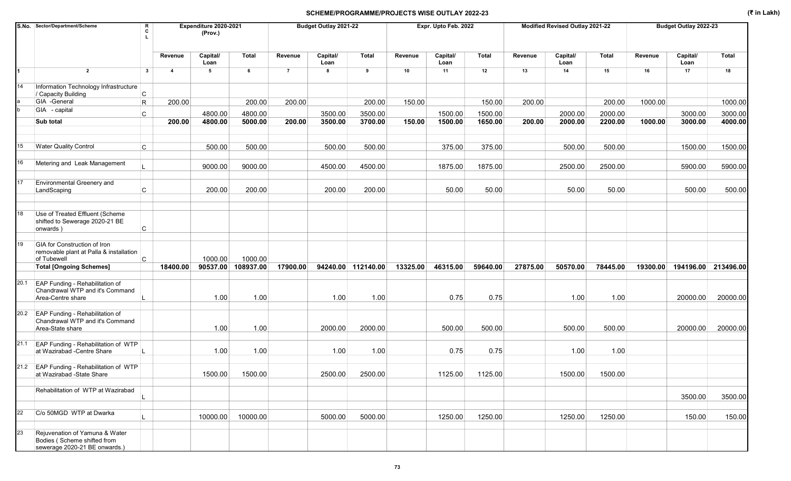|      | S.No. Sector/Department/Scheme                                                                 | R<br>C       |                | Expenditure 2020-2021<br>(Prov.) |           |                | Budget Outlay 2021-22 |                    |          | Expr. Upto Feb. 2022 |          |          | Modified Revised Outlay 2021-22 |          |          | Budget Outlay 2022-23 |              |
|------|------------------------------------------------------------------------------------------------|--------------|----------------|----------------------------------|-----------|----------------|-----------------------|--------------------|----------|----------------------|----------|----------|---------------------------------|----------|----------|-----------------------|--------------|
|      |                                                                                                |              | Revenue        | Capital/<br>Loan                 | Total     | Revenue        | Capital/<br>Loan      | <b>Total</b>       | Revenue  | Capital/<br>Loan     | Total    | Revenue  | Capital/<br>Loan                | Total    | Revenue  | Capital/<br>Loan      | <b>Total</b> |
| 1    | $\overline{2}$                                                                                 | $\mathbf{3}$ | $\overline{4}$ | 5                                | 6         | $\overline{7}$ | 8                     | 9                  | 10       | 11                   | 12       | 13       | 14                              | 15       | 16       | 17                    | 18           |
| 14   | Information Technology Infrastructure<br>/ Capacity Building                                   | C            |                |                                  |           |                |                       |                    |          |                      |          |          |                                 |          |          |                       |              |
|      | GIA -General                                                                                   | $\mathsf R$  | 200.00         |                                  | 200.00    | 200.00         |                       | 200.00             | 150.00   |                      | 150.00   | 200.00   |                                 | 200.00   | 1000.00  |                       | 1000.00      |
|      | GIA - capital                                                                                  | C            |                | 4800.00                          | 4800.00   |                | 3500.00               | 3500.00            |          | 1500.00              | 1500.00  |          | 2000.00                         | 2000.00  |          | 3000.00               | 3000.00      |
|      | <b>Sub total</b>                                                                               |              | 200.00         | 4800.00                          | 5000.00   | 200.00         | 3500.00               | 3700.00            | 150.00   | 1500.00              | 1650.00  | 200.00   | 2000.00                         | 2200.00  | 1000.00  | 3000.00               | 4000.00      |
|      |                                                                                                |              |                |                                  |           |                |                       |                    |          |                      |          |          |                                 |          |          |                       |              |
| 15   | <b>Water Quality Control</b>                                                                   | C            |                | 500.00                           | 500.00    |                | 500.00                | 500.00             |          | 375.00               | 375.00   |          | 500.00                          | 500.00   |          | 1500.00               | 1500.00      |
| 16   | Metering and Leak Management                                                                   |              |                | 9000.00                          | 9000.00   |                | 4500.00               | 4500.00            |          | 1875.00              | 1875.00  |          | 2500.00                         | 2500.00  |          | 5900.00               | 5900.00      |
| 17   | Environmental Greenery and<br>LandScaping                                                      | C            |                | 200.00                           | 200.00    |                | 200.00                | 200.00             |          | 50.00                | 50.00    |          | 50.00                           | 50.00    |          | 500.00                | 500.00       |
| 18   | Use of Treated Effluent (Scheme                                                                |              |                |                                  |           |                |                       |                    |          |                      |          |          |                                 |          |          |                       |              |
|      | shifted to Sewerage 2020-21 BE<br>onwards)                                                     | С            |                |                                  |           |                |                       |                    |          |                      |          |          |                                 |          |          |                       |              |
| 19   | GIA for Construction of Iron<br>removable plant at Palla & installation<br>of Tubewell         | C.           |                | 1000.00                          | 1000.00   |                |                       |                    |          |                      |          |          |                                 |          |          |                       |              |
|      | <b>Total [Ongoing Schemes]</b>                                                                 |              | 18400.00       | 90537.00                         | 108937.00 | 17900.00       |                       | 94240.00 112140.00 | 13325.00 | 46315.00             | 59640.00 | 27875.00 | 50570.00                        | 78445.00 | 19300.00 | 194196.00             | 213496.00    |
| 20.1 | EAP Funding - Rehabilitation of<br>Chandrawal WTP and it's Command<br>Area-Centre share        |              |                | 1.00                             | 1.00      |                | 1.00                  | 1.00               |          | 0.75                 | 0.75     |          | 1.00                            | 1.00     |          | 20000.00              | 20000.00     |
| 20.2 | EAP Funding - Rehabilitation of<br>Chandrawal WTP and it's Command<br>Area-State share         |              |                | 1.00                             | 1.00      |                | 2000.00               | 2000.00            |          | 500.00               | 500.00   |          | 500.00                          | 500.00   |          | 20000.00              | 20000.00     |
|      |                                                                                                |              |                |                                  |           |                |                       |                    |          |                      |          |          |                                 |          |          |                       |              |
| 21.1 | EAP Funding - Rehabilitation of WTP<br>at Wazirabad - Centre Share                             |              |                | 1.00                             | 1.00      |                | 1.00                  | 1.00               |          | 0.75                 | 0.75     |          | 1.00                            | 1.00     |          |                       |              |
|      | 21.2 EAP Funding - Rehabilitation of WTP<br>at Wazirabad -State Share                          |              |                | 1500.00                          | 1500.00   |                | 2500.00               | 2500.00            |          | 1125.00              | 1125.00  |          | 1500.00                         | 1500.00  |          |                       |              |
|      | Rehabilitation of WTP at Wazirabad                                                             |              |                |                                  |           |                |                       |                    |          |                      |          |          |                                 |          |          | 3500.00               | 3500.00      |
| 22   | C/o 50MGD WTP at Dwarka                                                                        |              |                | 10000.00                         | 10000.00  |                | 5000.00               | 5000.00            |          | 1250.00              | 1250.00  |          | 1250.00                         | 1250.00  |          | 150.00                | 150.00       |
| 23   | Rejuvenation of Yamuna & Water<br>Bodies (Scheme shifted from<br>sewerage 2020-21 BE onwards.) |              |                |                                  |           |                |                       |                    |          |                      |          |          |                                 |          |          |                       |              |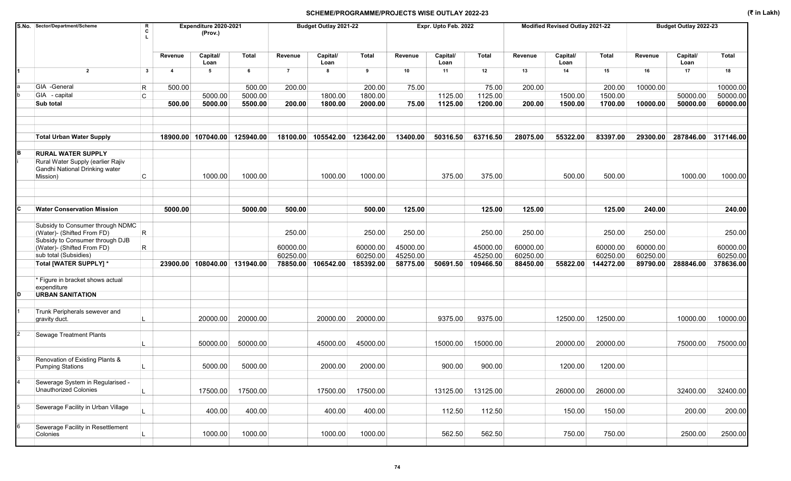|   | S.No. Sector/Department/Scheme                                                  | R<br>C       |                | Expenditure 2020-2021<br>(Prov.) |              |                | Budget Outlay 2021-22 |           |          | Expr. Upto Feb. 2022 |              |          | Modified Revised Outlay 2021-22 |              |          | Budget Outlay 2022-23        |              |
|---|---------------------------------------------------------------------------------|--------------|----------------|----------------------------------|--------------|----------------|-----------------------|-----------|----------|----------------------|--------------|----------|---------------------------------|--------------|----------|------------------------------|--------------|
|   |                                                                                 |              | Revenue        | Capital/<br>Loan                 | <b>Total</b> | Revenue        | Capital/<br>Loan      | Total     | Revenue  | Capital/<br>Loan     | <b>Total</b> | Revenue  | Capital/<br>Loan                | <b>Total</b> | Revenue  | Capital/<br>Loan             | <b>Total</b> |
|   | $\overline{2}$                                                                  | $\mathbf{3}$ | $\overline{4}$ | 5                                | 6            | $\overline{7}$ | 8                     | 9         | 10       | 11                   | 12           | 13       | 14                              | 15           | 16       | 17                           | 18           |
|   | GIA -General                                                                    | R            | 500.00         |                                  | 500.00       | 200.00         |                       | 200.00    | 75.00    |                      | 75.00        | 200.00   |                                 | 200.00       | 10000.00 |                              | 10000.00     |
|   | GIA - capital                                                                   | C            |                | 5000.00                          | 5000.00      |                | 1800.00               | 1800.00   |          | 1125.00              | 1125.00      |          | 1500.00                         | 1500.00      |          | 50000.00                     | 50000.00     |
|   | Sub total                                                                       |              | 500.00         | 5000.00                          | 5500.00      | 200.00         | 1800.00               | 2000.00   | 75.00    | 1125.00              | 1200.00      | 200.00   | 1500.00                         | 1700.00      | 10000.00 | 50000.00                     | 60000.00     |
|   | <b>Total Urban Water Supply</b>                                                 |              |                | 18900.00 107040.00               | 125940.00    | 18100.00       | 105542.00 123642.00   |           | 13400.00 | 50316.50             | 63716.50     | 28075.00 | 55322.00                        | 83397.00     |          | 29300.00 287846.00 317146.00 |              |
| в | <b>RURAL WATER SUPPLY</b>                                                       |              |                |                                  |              |                |                       |           |          |                      |              |          |                                 |              |          |                              |              |
|   | Rural Water Supply (earlier Rajiv<br>Gandhi National Drinking water<br>Mission) | C            |                | 1000.00                          | 1000.00      |                | 1000.00               | 1000.00   |          | 375.00               | 375.00       |          | 500.00                          | 500.00       |          | 1000.00                      | 1000.00      |
| С | <b>Water Conservation Mission</b>                                               |              | 5000.00        |                                  | 5000.00      | 500.00         |                       | 500.00    | 125.00   |                      | 125.00       | 125.00   |                                 | 125.00       | 240.00   |                              | 240.00       |
|   | Subsidy to Consumer through NDMC<br>(Water)- (Shifted From FD)                  | $\mathsf R$  |                |                                  |              | 250.00         |                       | 250.00    | 250.00   |                      | 250.00       | 250.00   |                                 | 250.00       | 250.00   |                              | 250.00       |
|   | Subsidy to Consumer through DJB<br>(Water)- (Shifted From FD)                   | R            |                |                                  |              | 60000.00       |                       | 60000.00  | 45000.00 |                      | 45000.00     | 60000.00 |                                 | 60000.00     | 60000.00 |                              | 60000.00     |
|   | sub total (Subsidies)                                                           |              |                |                                  |              | 60250.00       |                       | 60250.00  | 45250.00 |                      | 45250.00     | 60250.00 |                                 | 60250.00     | 60250.00 |                              | 60250.00     |
|   | Total [WATER SUPPLY] *                                                          |              |                | 23900.00 108040.00 131940.00     |              | 78850.00       | 106542.00             | 185392.00 | 58775.00 | 50691.50             | 109466.50    | 88450.00 | 55822.00                        | 144272.00    | 89790.00 | 288846.00                    | 378636.00    |
|   | * Figure in bracket shows actual<br>expenditure                                 |              |                |                                  |              |                |                       |           |          |                      |              |          |                                 |              |          |                              |              |
|   | <b>URBAN SANITATION</b>                                                         |              |                |                                  |              |                |                       |           |          |                      |              |          |                                 |              |          |                              |              |
|   | Trunk Peripherals sewever and<br>gravity duct.                                  |              |                | 20000.00                         | 20000.00     |                | 20000.00              | 20000.00  |          | 9375.00              | 9375.00      |          | 12500.00                        | 12500.00     |          | 10000.00                     | 10000.00     |
|   | Sewage Treatment Plants                                                         |              |                | 50000.00                         | 50000.00     |                | 45000.00              | 45000.00  |          | 15000.00             | 15000.00     |          | 20000.00                        | 20000.00     |          | 75000.00                     | 75000.00     |
|   | Renovation of Existing Plants &<br><b>Pumping Stations</b>                      |              |                | 5000.00                          | 5000.00      |                | 2000.00               | 2000.00   |          | 900.00               | 900.00       |          | 1200.00                         | 1200.00      |          |                              |              |
|   |                                                                                 |              |                |                                  |              |                |                       |           |          |                      |              |          |                                 |              |          |                              |              |
|   | Sewerage System in Regularised -<br>Unauthorized Colonies                       |              |                | 17500.00                         | 17500.00     |                | 17500.00              | 17500.00  |          | 13125.00             | 13125.00     |          | 26000.00                        | 26000.00     |          | 32400.00                     | 32400.00     |
| 5 | Sewerage Facility in Urban Village                                              |              |                | 400.00                           | 400.00       |                | 400.00                | 400.00    |          | 112.50               | 112.50       |          | 150.00                          | 150.00       |          | 200.00                       | 200.00       |
|   | Sewerage Facility in Resettlement<br>Colonies                                   |              |                | 1000.00                          | 1000.00      |                | 1000.00               | 1000.00   |          | 562.50               | 562.50       |          | 750.00                          | 750.00       |          | 2500.00                      | 2500.00      |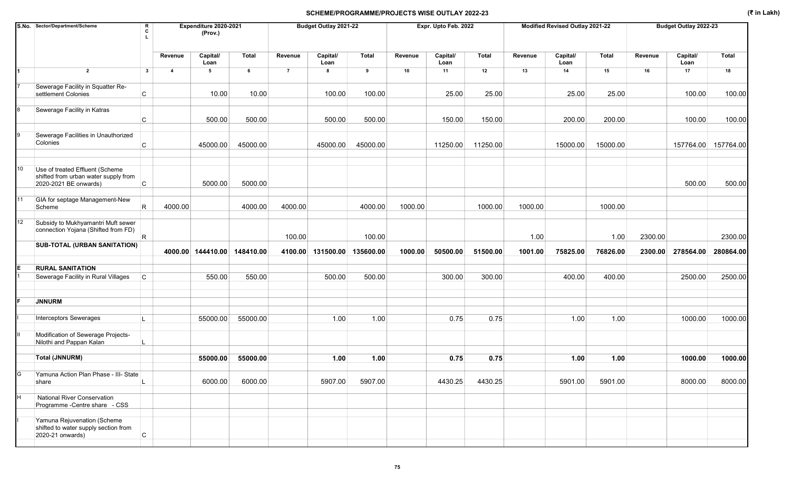|    | S.No. Sector/Department/Scheme                                                                   | R<br>C<br>L  |         | Expenditure 2020-2021<br>(Prov.) |           |                | Budget Outlay 2021-22 |              |         | Expr. Upto Feb. 2022 |          |         | Modified Revised Outlay 2021-22 |              |         | Budget Outlay 2022-23 |                     |
|----|--------------------------------------------------------------------------------------------------|--------------|---------|----------------------------------|-----------|----------------|-----------------------|--------------|---------|----------------------|----------|---------|---------------------------------|--------------|---------|-----------------------|---------------------|
|    |                                                                                                  |              | Revenue | Capital/<br>Loan                 | Total     | Revenue        | Capital/<br>Loan      | <b>Total</b> | Revenue | Capital/<br>Loan     | Total    | Revenue | Capital/<br>Loan                | <b>Total</b> | Revenue | Capital/<br>Loan      | <b>Total</b>        |
|    | $\overline{2}$                                                                                   | $\mathbf{3}$ | 4       | 5                                | 6         | $\overline{7}$ | 8                     | 9            | 10      | 11                   | 12       | 13      | 14                              | 15           | 16      | 17                    | 18                  |
|    | Sewerage Facility in Squatter Re-<br>settlement Colonies                                         | C            |         | 10.00                            | 10.00     |                | 100.00                | 100.00       |         | 25.00                | 25.00    |         | 25.00                           | 25.00        |         | 100.00                | 100.00              |
|    |                                                                                                  |              |         |                                  |           |                |                       |              |         |                      |          |         |                                 |              |         |                       |                     |
|    | Sewerage Facility in Katras                                                                      | С            |         | 500.00                           | 500.00    |                | 500.00                | 500.00       |         | 150.00               | 150.00   |         | 200.00                          | 200.00       |         | 100.00                | 100.00              |
|    |                                                                                                  |              |         |                                  |           |                |                       |              |         |                      |          |         |                                 |              |         |                       |                     |
|    | Sewerage Facilities in Unauthorized<br>Colonies                                                  | C            |         | 45000.00                         | 45000.00  |                | 45000.00              | 45000.00     |         | 11250.00             | 11250.00 |         | 15000.00                        | 15000.00     |         |                       | 157764.00 157764.00 |
|    |                                                                                                  |              |         |                                  |           |                |                       |              |         |                      |          |         |                                 |              |         |                       |                     |
| 10 | Use of treated Effluent (Scheme<br>shifted from urban water supply from<br>2020-2021 BE onwards) | C            |         | 5000.00                          | 5000.00   |                |                       |              |         |                      |          |         |                                 |              |         | 500.00                | 500.00              |
| 11 | GIA for septage Management-New                                                                   |              |         |                                  |           |                |                       |              |         |                      |          |         |                                 |              |         |                       |                     |
|    | Scheme                                                                                           | R            | 4000.00 |                                  | 4000.00   | 4000.00        |                       | 4000.00      | 1000.00 |                      | 1000.00  | 1000.00 |                                 | 1000.00      |         |                       |                     |
| 12 | Subsidy to Mukhyamantri Muft sewer<br>connection Yojana (Shifted from FD)                        | R.           |         |                                  |           |                |                       |              |         |                      |          |         |                                 |              |         |                       |                     |
|    | <b>SUB-TOTAL (URBAN SANITATION)</b>                                                              |              |         |                                  |           | 100.00         |                       | 100.00       |         |                      |          | 1.00    |                                 | 1.00         | 2300.00 |                       | 2300.00             |
|    |                                                                                                  |              |         | 4000.00 144410.00                | 148410.00 | 4100.00        | 131500.00             | 135600.00    | 1000.00 | 50500.00             | 51500.00 | 1001.00 | 75825.00                        | 76826.00     | 2300.00 | 278564.00             | 280864.00           |
|    | <b>RURAL SANITATION</b>                                                                          |              |         |                                  |           |                |                       |              |         |                      |          |         |                                 |              |         |                       |                     |
|    | Sewerage Facility in Rural Villages                                                              | C            |         | 550.00                           | 550.00    |                | 500.00                | 500.00       |         | 300.00               | 300.00   |         | 400.00                          | 400.00       |         | 2500.00               | 2500.00             |
|    |                                                                                                  |              |         |                                  |           |                |                       |              |         |                      |          |         |                                 |              |         |                       |                     |
|    | <b>JNNURM</b>                                                                                    |              |         |                                  |           |                |                       |              |         |                      |          |         |                                 |              |         |                       |                     |
|    | Interceptors Sewerages                                                                           |              |         | 55000.00                         | 55000.00  |                | 1.00                  | 1.00         |         | 0.75                 | 0.75     |         | 1.00                            | 1.00         |         | 1000.00               | 1000.00             |
|    | Modification of Sewerage Projects-<br>Nilothi and Pappan Kalan                                   |              |         |                                  |           |                |                       |              |         |                      |          |         |                                 |              |         |                       |                     |
|    | <b>Total (JNNURM)</b>                                                                            |              |         | 55000.00                         | 55000.00  |                | 1.00                  | 1.00         |         | 0.75                 | 0.75     |         | 1.00                            | 1.00         |         | 1000.00               | 1000.00             |
|    |                                                                                                  |              |         |                                  |           |                |                       |              |         |                      |          |         |                                 |              |         |                       |                     |
| G  | Yamuna Action Plan Phase - III- State<br>share                                                   |              |         | 6000.00                          | 6000.00   |                | 5907.00               | 5907.00      |         | 4430.25              | 4430.25  |         | 5901.00                         | 5901.00      |         | 8000.00               | 8000.00             |
| H  | <b>National River Conservation</b><br>Programme - Centre share - CSS                             |              |         |                                  |           |                |                       |              |         |                      |          |         |                                 |              |         |                       |                     |
|    | Yamuna Rejuvenation (Scheme<br>shifted to water supply section from<br>2020-21 onwards)          | $\mathsf{C}$ |         |                                  |           |                |                       |              |         |                      |          |         |                                 |              |         |                       |                     |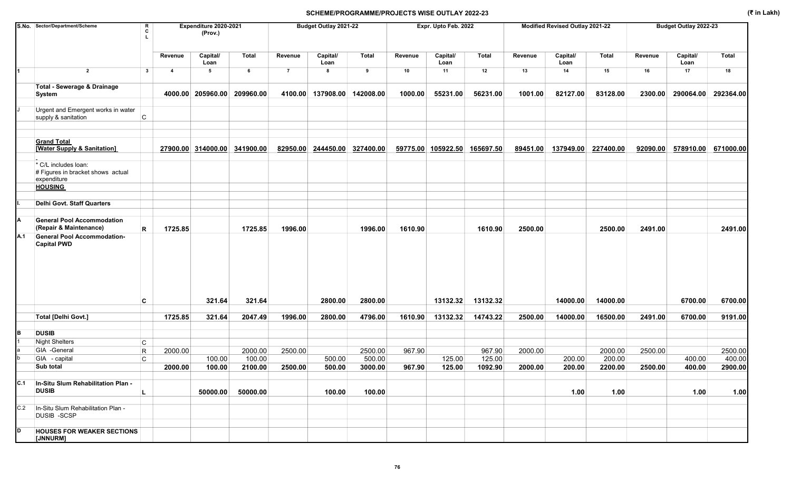|     | S.No. Sector/Department/Scheme                                           | R<br>C<br>L |                | Expenditure 2020-2021<br>(Prov.) |              |                | Budget Outlay 2021-22 |              |          | Expr. Upto Feb. 2022 |           |          | Modified Revised Outlay 2021-22 |              |          | Budget Outlay 2022-23 |              |
|-----|--------------------------------------------------------------------------|-------------|----------------|----------------------------------|--------------|----------------|-----------------------|--------------|----------|----------------------|-----------|----------|---------------------------------|--------------|----------|-----------------------|--------------|
|     |                                                                          |             | Revenue        | Capital/<br>Loan                 | <b>Total</b> | Revenue        | Capital/<br>Loan      | <b>Total</b> | Revenue  | Capital/<br>Loan     | Total     | Revenue  | Capital/<br>Loan                | <b>Total</b> | Revenue  | Capital/<br>Loan      | <b>Total</b> |
| 1   | $\overline{2}$                                                           | 3           | $\overline{4}$ | 5                                | 6            | $\overline{7}$ | 8                     | 9            | 10       | 11                   | 12        | 13       | 14                              | 15           | 16       | 17                    | 18           |
|     | <b>Total - Sewerage &amp; Drainage</b>                                   |             |                |                                  |              |                |                       |              |          |                      |           |          |                                 |              |          |                       |              |
|     | System                                                                   |             |                | 4000.00 205960.00                | 209960.00    | 4100.00        | 137908.00 142008.00   |              | 1000.00  | 55231.00             | 56231.00  | 1001.00  | 82127.00                        | 83128.00     | 2300.00  | 290064.00             | 292364.00    |
|     | Urgent and Emergent works in water<br>supply & sanitation                | C           |                |                                  |              |                |                       |              |          |                      |           |          |                                 |              |          |                       |              |
|     |                                                                          |             |                |                                  |              |                |                       |              |          |                      |           |          |                                 |              |          |                       |              |
|     | <b>Grand Total</b><br>[Water Supply & Sanitation]                        |             |                | 27900.00 314000.00               | 341900.00    | 82950.00       | 244450.00             | 327400.00    | 59775.00 | 105922.50            | 165697.50 | 89451.00 | 137949.00                       | 227400.00    | 92090.00 | 578910.00             | 671000.00    |
|     | * C/L includes loan:<br># Figures in bracket shows actual<br>expenditure |             |                |                                  |              |                |                       |              |          |                      |           |          |                                 |              |          |                       |              |
|     | <b>HOUSING</b>                                                           |             |                |                                  |              |                |                       |              |          |                      |           |          |                                 |              |          |                       |              |
|     |                                                                          |             |                |                                  |              |                |                       |              |          |                      |           |          |                                 |              |          |                       |              |
|     | Delhi Govt. Staff Quarters                                               |             |                |                                  |              |                |                       |              |          |                      |           |          |                                 |              |          |                       |              |
| А   | <b>General Pool Accommodation</b>                                        |             |                |                                  |              |                |                       |              |          |                      |           |          |                                 |              |          |                       |              |
|     | (Repair & Maintenance)                                                   | R           | 1725.85        |                                  | 1725.85      | 1996.00        |                       | 1996.00      | 1610.90  |                      | 1610.90   | 2500.00  |                                 | 2500.00      | 2491.00  |                       | 2491.00      |
| A.1 | <b>General Pool Accommodation-</b><br><b>Capital PWD</b>                 |             |                |                                  |              |                |                       |              |          |                      |           |          |                                 |              |          |                       |              |
|     |                                                                          | C           |                | 321.64                           | 321.64       |                | 2800.00               | 2800.00      |          | 13132.32             | 13132.32  |          | 14000.00                        | 14000.00     |          | 6700.00               | 6700.00      |
|     | Total [Delhi Govt.]                                                      |             | 1725.85        | 321.64                           | 2047.49      | 1996.00        | 2800.00               | 4796.00      | 1610.90  | 13132.32             | 14743.22  | 2500.00  | 14000.00                        | 16500.00     | 2491.00  | 6700.00               | 9191.00      |
| в   | <b>DUSIB</b>                                                             |             |                |                                  |              |                |                       |              |          |                      |           |          |                                 |              |          |                       |              |
|     | <b>Night Shelters</b>                                                    | С           |                |                                  |              |                |                       |              |          |                      |           |          |                                 |              |          |                       |              |
|     | GIA -General                                                             | $\mathsf R$ | 2000.00        |                                  | 2000.00      | 2500.00        |                       | 2500.00      | 967.90   |                      | 967.90    | 2000.00  |                                 | 2000.00      | 2500.00  |                       | 2500.00      |
|     | GIA - capital                                                            | C           |                | 100.00                           | 100.00       |                | 500.00                | 500.00       |          | 125.00               | 125.00    |          | 200.00                          | 200.00       |          | 400.00                | 400.00       |
|     | Sub total                                                                |             | 2000.00        | 100.00                           | 2100.00      | 2500.00        | 500.00                | 3000.00      | 967.90   | 125.00               | 1092.90   | 2000.00  | 200.00                          | 2200.00      | 2500.00  | 400.00                | 2900.00      |
| C.1 | In-Situ Slum Rehabilitation Plan -<br><b>DUSIB</b>                       |             |                | 50000.00                         | 50000.00     |                | 100.00                | 100.00       |          |                      |           |          | 1.00                            | 1.00         |          | 1.00                  | 1.00         |
| C.2 | In-Situ Slum Rehabilitation Plan -<br><b>DUSIB -SCSP</b>                 |             |                |                                  |              |                |                       |              |          |                      |           |          |                                 |              |          |                       |              |
| D   | <b>HOUSES FOR WEAKER SECTIONS</b><br>[JNNURM]                            |             |                |                                  |              |                |                       |              |          |                      |           |          |                                 |              |          |                       |              |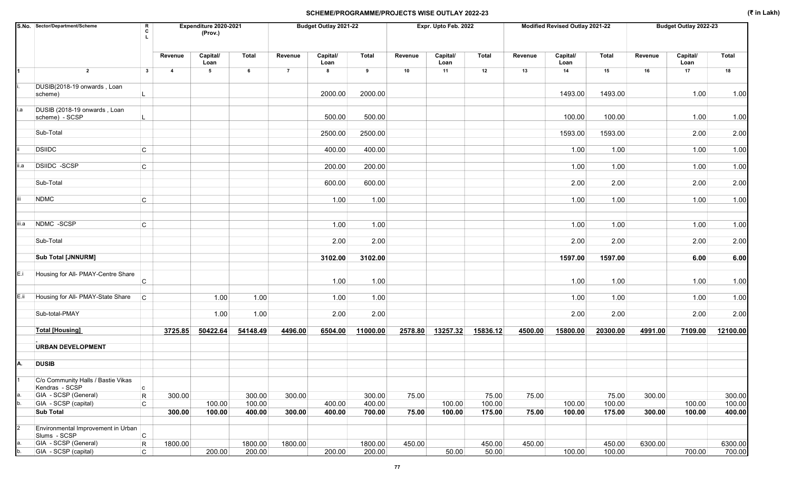|       | S.No. Sector/Department/Scheme                       | R<br>C         |                | Expenditure 2020-2021<br>(Prov.) |          |                | Budget Outlay 2021-22 |              |         | Expr. Upto Feb. 2022 |          |         | Modified Revised Outlay 2021-22 |              |         | Budget Outlay 2022-23 |              |
|-------|------------------------------------------------------|----------------|----------------|----------------------------------|----------|----------------|-----------------------|--------------|---------|----------------------|----------|---------|---------------------------------|--------------|---------|-----------------------|--------------|
|       |                                                      |                | Revenue        | Capital/<br>Loan                 | Total    | Revenue        | Capital/<br>Loan      | <b>Total</b> | Revenue | Capital/<br>Loan     | Total    | Revenue | Capital/<br>Loan                | <b>Total</b> | Revenue | Capital/<br>Loan      | <b>Total</b> |
|       | $\overline{2}$                                       | $\mathbf{3}$   | $\overline{4}$ | 5                                | 6        | $\overline{7}$ | 8                     | 9            | 10      | 11                   | 12       | 13      | 14                              | 15           | 16      | 17                    | 18           |
|       | DUSIB(2018-19 onwards, Loan<br>scheme)               |                |                |                                  |          |                | 2000.00               | 2000.00      |         |                      |          |         | 1493.00                         | 1493.00      |         | 1.00                  | 1.00         |
| i.a   | DUSIB (2018-19 onwards, Loan<br>scheme) - SCSP       |                |                |                                  |          |                | 500.00                | 500.00       |         |                      |          |         | 100.00                          | 100.00       |         | 1.00                  | 1.00         |
|       | Sub-Total                                            |                |                |                                  |          |                | 2500.00               | 2500.00      |         |                      |          |         | 1593.00                         | 1593.00      |         | 2.00                  | 2.00         |
|       | <b>DSIIDC</b>                                        | $\mathsf{C}$   |                |                                  |          |                | 400.00                | 400.00       |         |                      |          |         | 1.00                            | 1.00         |         | 1.00                  | 1.00         |
| ii.a  | <b>DSIIDC -SCSP</b>                                  | C              |                |                                  |          |                | 200.00                | 200.00       |         |                      |          |         | 1.00                            | 1.00         |         | 1.00                  | 1.00         |
|       | Sub-Total                                            |                |                |                                  |          |                | 600.00                | 600.00       |         |                      |          |         | 2.00                            | 2.00         |         | 2.00                  | 2.00         |
|       | <b>NDMC</b>                                          | $\mathsf{C}$   |                |                                  |          |                | 1.00                  | 1.00         |         |                      |          |         | 1.00                            | 1.00         |         | 1.00                  | 1.00         |
| iii.a | NDMC -SCSP                                           | C              |                |                                  |          |                | 1.00                  | 1.00         |         |                      |          |         | 1.00                            | 1.00         |         | 1.00                  | 1.00         |
|       | Sub-Total                                            |                |                |                                  |          |                | 2.00                  | 2.00         |         |                      |          |         | 2.00                            | 2.00         |         | 2.00                  | 2.00         |
|       | <b>Sub Total [JNNURM]</b>                            |                |                |                                  |          |                | 3102.00               | 3102.00      |         |                      |          |         | 1597.00                         | 1597.00      |         | 6.00                  | 6.00         |
| E.i   | Housing for All- PMAY-Centre Share                   | C              |                |                                  |          |                | 1.00                  | 1.00         |         |                      |          |         | 1.00                            | 1.00         |         | 1.00                  | 1.00         |
| E.ii  | Housing for All- PMAY-State Share                    | C              |                | 1.00                             | 1.00     |                | 1.00                  | 1.00         |         |                      |          |         | 1.00                            | 1.00         |         | 1.00                  | 1.00         |
|       | Sub-total-PMAY                                       |                |                | 1.00                             | 1.00     |                | 2.00                  | 2.00         |         |                      |          |         | 2.00                            | 2.00         |         | 2.00                  | 2.00         |
|       | <b>Total [Housing]</b>                               |                | 3725.85        | 50422.64                         | 54148.49 | 4496.00        | 6504.00               | 11000.00     | 2578.80 | 13257.32             | 15836.12 | 4500.00 | 15800.00                        | 20300.00     | 4991.00 | 7109.00               | 12100.00     |
|       | <b>URBAN DEVELOPMENT</b>                             |                |                |                                  |          |                |                       |              |         |                      |          |         |                                 |              |         |                       |              |
| А.    | <b>DUSIB</b>                                         |                |                |                                  |          |                |                       |              |         |                      |          |         |                                 |              |         |                       |              |
|       | C/o Community Halls / Bastie Vikas<br>Kendras - SCSP | $\mathsf{C}$   |                |                                  |          |                |                       |              |         |                      |          |         |                                 |              |         |                       |              |
|       | GIA - SCSP (General)                                 | $\mathsf{R}$   | 300.00         |                                  | 300.00   | 300.00         |                       | 300.00       | 75.00   |                      | 75.00    | 75.00   |                                 | 75.00        | 300.00  |                       | 300.00       |
|       | GIA - SCSP (capital)                                 | $\mathsf{C}$   |                | 100.00                           | 100.00   |                | 400.00                | 400.00       |         | 100.00               | 100.00   |         | 100.00                          | 100.00       |         | 100.00                | 100.00       |
|       | <b>Sub Total</b>                                     |                | 300.00         | 100.00                           | 400.00   | 300.00         | 400.00                | 700.00       | 75.00   | 100.00               | 175.00   | 75.00   | 100.00                          | 175.00       | 300.00  | 100.00                | 400.00       |
|       | Environmental Improvement in Urban<br>Slums - SCSP   | $\overline{C}$ |                |                                  |          |                |                       |              |         |                      |          |         |                                 |              |         |                       |              |
|       | GIA - SCSP (General)                                 | R              | 1800.00        |                                  | 1800.00  | 1800.00        |                       | 1800.00      | 450.00  |                      | 450.00   | 450.00  |                                 | 450.00       | 6300.00 |                       | 6300.00      |
|       | GIA - SCSP (capital)                                 | $\mathsf{C}$   |                | 200.00                           | 200.00   |                | 200.00                | 200.00       |         | 50.00                | 50.00    |         | 100.00                          | 100.00       |         | 700.00                | 700.00       |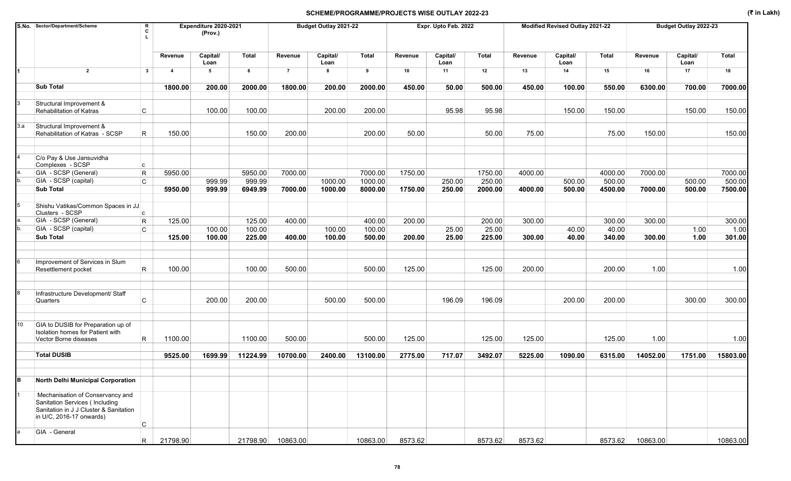|     | S.No. Sector/Department/Scheme                                                                                                           | R<br>C       |                | Expenditure 2020-2021<br>(Prov.) |              |                | Budget Outlay 2021-22 |              |         | Expr. Upto Feb. 2022 |              |         | Modified Revised Outlay 2021-22 |         |          | Budget Outlay 2022-23 |              |
|-----|------------------------------------------------------------------------------------------------------------------------------------------|--------------|----------------|----------------------------------|--------------|----------------|-----------------------|--------------|---------|----------------------|--------------|---------|---------------------------------|---------|----------|-----------------------|--------------|
|     |                                                                                                                                          |              | Revenue        | Capital/<br>Loan                 | <b>Total</b> | Revenue        | Capital/<br>Loan      | <b>Total</b> | Revenue | Capital/<br>Loan     | <b>Total</b> | Revenue | Capital/<br>Loan                | Total   | Revenue  | Capital/<br>Loan      | <b>Total</b> |
|     | $\overline{2}$                                                                                                                           | $\mathbf{3}$ | $\overline{4}$ | $5\phantom{.0}$                  | 6            | $\overline{7}$ | 8                     | 9            | 10      | 11                   | 12           | 13      | 14                              | 15      | 16       | 17                    | 18           |
|     | <b>Sub Total</b>                                                                                                                         |              | 1800.00        | 200.00                           | 2000.00      | 1800.00        | 200.00                | 2000.00      | 450.00  | 50.00                | 500.00       | 450.00  | 100.00                          | 550.00  | 6300.00  | 700.00                | 7000.00      |
|     | Structural Improvement &<br>Rehabilitation of Katras                                                                                     | C            |                | 100.00                           | 100.00       |                | 200.00                | 200.00       |         | 95.98                | 95.98        |         | 150.00                          | 150.00  |          | 150.00                | 150.00       |
| 3.a | Structural Improvement &<br>Rehabilitation of Katras - SCSP                                                                              | R            | 150.00         |                                  | 150.00       | 200.00         |                       | 200.00       | 50.00   |                      | 50.00        | 75.00   |                                 | 75.00   | 150.00   |                       | 150.00       |
|     | C/o Pay & Use Jansuvidha<br>Complexes - SCSP                                                                                             | c.           |                |                                  |              |                |                       |              |         |                      |              |         |                                 |         |          |                       |              |
|     | GIA - SCSP (General)                                                                                                                     | $\mathsf{R}$ | 5950.00        |                                  | 5950.00      | 7000.00        |                       | 7000.00      | 1750.00 |                      | 1750.00      | 4000.00 |                                 | 4000.00 | 7000.00  |                       | 7000.00      |
|     | GIA - SCSP (capital)                                                                                                                     | $\mathsf{C}$ |                | 999.99                           | 999.99       |                | 1000.00               | 1000.00      |         | 250.00               | 250.00       |         | 500.00                          | 500.00  |          | 500.00                | 500.00       |
|     | <b>Sub Total</b>                                                                                                                         |              | 5950.00        | 999.99                           | 6949.99      | 7000.00        | 1000.00               | 8000.00      | 1750.00 | 250.00               | 2000.00      | 4000.00 | 500.00                          | 4500.00 | 7000.00  | 500.00                | 7500.00      |
|     | Shishu Vatikas/Common Spaces in JJ<br>Clusters - SCSP                                                                                    | c.           |                |                                  |              |                |                       |              |         |                      |              |         |                                 |         |          |                       |              |
|     | GIA - SCSP (General)                                                                                                                     | $\mathsf R$  | 125.00         |                                  | 125.00       | 400.00         |                       | 400.00       | 200.00  |                      | 200.00       | 300.00  |                                 | 300.00  | 300.00   |                       | 300.00       |
|     | GIA - SCSP (capital)                                                                                                                     | C            |                | 100.00                           | 100.00       |                | 100.00                | 100.00       |         | 25.00                | 25.00        |         | 40.00                           | 40.00   |          | 1.00                  | 1.00         |
|     | <b>Sub Total</b>                                                                                                                         |              | 125.00         | 100.00                           | 225.00       | 400.00         | 100.00                | 500.00       | 200.00  | 25.00                | 225.00       | 300.00  | 40.00                           | 340.00  | 300.00   | 1.00                  | 301.00       |
|     | Improvement of Services in Slum<br>Resettlement pocket                                                                                   | R.           | 100.00         |                                  | 100.00       | 500.00         |                       | 500.00       | 125.00  |                      | 125.00       | 200.00  |                                 | 200.00  | 1.00     |                       | 1.00         |
|     | Infrastructure Development/ Staff<br>Quarters                                                                                            | $\mathsf{C}$ |                | 200.00                           | 200.00       |                | 500.00                | 500.00       |         | 196.09               | 196.09       |         | 200.00                          | 200.00  |          | 300.00                | 300.00       |
| 10  | GIA to DUSIB for Preparation up of<br>Isolation homes for Patient with<br>Vector Borne diseases                                          | R            | 1100.00        |                                  | 1100.00      | 500.00         |                       | 500.00       | 125.00  |                      | 125.00       | 125.00  |                                 | 125.00  | 1.00     |                       | 1.00         |
|     | <b>Total DUSIB</b>                                                                                                                       |              | 9525.00        | 1699.99                          | 11224.99     | 10700.00       | 2400.00               | 13100.00     | 2775.00 | 717.07               | 3492.07      | 5225.00 | 1090.00                         | 6315.00 | 14052.00 | 1751.00               | 15803.00     |
|     |                                                                                                                                          |              |                |                                  |              |                |                       |              |         |                      |              |         |                                 |         |          |                       |              |
| B   | North Delhi Municipal Corporation                                                                                                        |              |                |                                  |              |                |                       |              |         |                      |              |         |                                 |         |          |                       |              |
|     | Mechanisation of Conservancy and<br>Sanitation Services (Including<br>Sanitation in J J Cluster & Sanitation<br>in U/C, 2016-17 onwards) | $\mathsf{C}$ |                |                                  |              |                |                       |              |         |                      |              |         |                                 |         |          |                       |              |
|     | GIA - General                                                                                                                            | R.           | 21798.90       |                                  | 21798.90     | 10863.00       |                       | 10863.00     | 8573.62 |                      | 8573.62      | 8573.62 |                                 | 8573.62 | 10863.00 |                       | 10863.00     |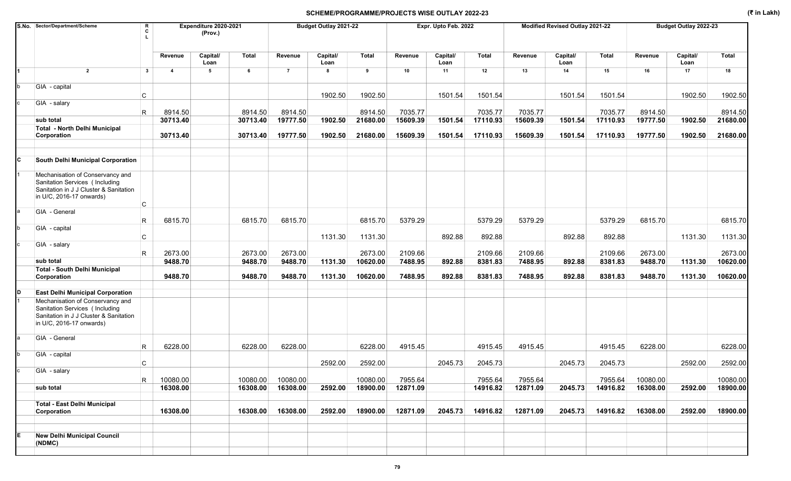|   | S.No. Sector/Department/Scheme                                                                                                           | R<br>c       |                         | Expenditure 2020-2021<br>(Prov.) |              |                | Budget Outlay 2021-22 |              |          | Expr. Upto Feb. 2022 |              |          | Modified Revised Outlay 2021-22 |                   |          | Budget Outlay 2022-23 |              |
|---|------------------------------------------------------------------------------------------------------------------------------------------|--------------|-------------------------|----------------------------------|--------------|----------------|-----------------------|--------------|----------|----------------------|--------------|----------|---------------------------------|-------------------|----------|-----------------------|--------------|
|   |                                                                                                                                          |              | Revenue                 | Capital/<br>Loan                 | <b>Total</b> | Revenue        | Capital/<br>Loan      | <b>Total</b> | Revenue  | Capital/<br>Loan     | <b>Total</b> | Revenue  | Capital/<br>Loan                | <b>Total</b>      | Revenue  | Capital/<br>Loan      | <b>Total</b> |
|   | $\overline{2}$                                                                                                                           | $\mathbf{3}$ | $\overline{\mathbf{4}}$ | 5                                | 6            | $\overline{7}$ | 8                     | 9            | 10       | 11                   | 12           | 13       | 14                              | 15                | 16       | 17                    | 18           |
|   | GIA - capital                                                                                                                            | C            |                         |                                  |              |                | 1902.50               | 1902.50      |          | 1501.54              | 1501.54      |          | 1501.54                         | 1501.54           |          | 1902.50               | 1902.50      |
|   | GIA - salary                                                                                                                             | R            | 8914.50                 |                                  | 8914.50      | 8914.50        |                       | 8914.50      | 7035.77  |                      | 7035.77      | 7035.77  |                                 | 7035.77           | 8914.50  |                       | 8914.50      |
|   | sub total                                                                                                                                |              | 30713.40                |                                  | 30713.40     | 19777.50       | 1902.50               | 21680.00     | 15609.39 | 1501.54              | 17110.93     | 15609.39 | 1501.54                         | 17110.93          | 19777.50 | 1902.50               | 21680.00     |
|   | <b>Total - North Delhi Municipal</b>                                                                                                     |              |                         |                                  |              |                |                       |              |          |                      |              |          |                                 |                   |          |                       |              |
|   | Corporation                                                                                                                              |              | 30713.40                |                                  | 30713.40     | 19777.50       | 1902.50               | 21680.00     | 15609.39 | 1501.54              | 17110.93     | 15609.39 | 1501.54                         | 17110.93          | 19777.50 | 1902.50               | 21680.00     |
| C | <b>South Delhi Municipal Corporation</b>                                                                                                 |              |                         |                                  |              |                |                       |              |          |                      |              |          |                                 |                   |          |                       |              |
|   | Mechanisation of Conservancy and<br>Sanitation Services (Including<br>Sanitation in J J Cluster & Sanitation<br>in U/C, 2016-17 onwards) |              |                         |                                  |              |                |                       |              |          |                      |              |          |                                 |                   |          |                       |              |
|   | GIA - General                                                                                                                            | С            | 6815.70                 |                                  |              | 6815.70        |                       | 6815.70      | 5379.29  |                      |              | 5379.29  |                                 |                   |          |                       |              |
|   | GIA - capital                                                                                                                            | R            |                         |                                  | 6815.70      |                |                       |              |          | 892.88               | 5379.29      |          | 892.88                          | 5379.29<br>892.88 | 6815.70  |                       | 6815.70      |
|   | GIA - salary                                                                                                                             | С            |                         |                                  |              |                | 1131.30               | 1131.30      |          |                      | 892.88       |          |                                 |                   |          | 1131.30               | 1131.30      |
|   |                                                                                                                                          | R            | 2673.00                 |                                  | 2673.00      | 2673.00        |                       | 2673.00      | 2109.66  |                      | 2109.66      | 2109.66  |                                 | 2109.66           | 2673.00  |                       | 2673.00      |
|   | sub total                                                                                                                                |              | 9488.70                 |                                  | 9488.70      | 9488.70        | 1131.30               | 10620.00     | 7488.95  | 892.88               | 8381.83      | 7488.95  | 892.88                          | 8381.83           | 9488.70  | 1131.30               | 10620.00     |
|   | <b>Total - South Delhi Municipal</b><br>Corporation                                                                                      |              | 9488.70                 |                                  | 9488.70      | 9488.70        | 1131.30               | 10620.00     | 7488.95  | 892.88               | 8381.83      | 7488.95  | 892.88                          | 8381.83           | 9488.70  | 1131.30               | 10620.00     |
|   | <b>East Delhi Municipal Corporation</b>                                                                                                  |              |                         |                                  |              |                |                       |              |          |                      |              |          |                                 |                   |          |                       |              |
|   | Mechanisation of Conservancy and<br>Sanitation Services (Including<br>Sanitation in J J Cluster & Sanitation<br>in U/C, 2016-17 onwards) |              |                         |                                  |              |                |                       |              |          |                      |              |          |                                 |                   |          |                       |              |
|   | GIA - General                                                                                                                            | R            | 6228.00                 |                                  | 6228.00      | 6228.00        |                       | 6228.00      | 4915.45  |                      | 4915.45      | 4915.45  |                                 | 4915.45           | 6228.00  |                       | 6228.00      |
|   | GIA - capital                                                                                                                            | C            |                         |                                  |              |                | 2592.00               | 2592.00      |          | 2045.73              | 2045.73      |          | 2045.73                         | 2045.73           |          | 2592.00               | 2592.00      |
| с | GIA - salary                                                                                                                             | R            | 10080.00                |                                  | 10080.00     | 10080.00       |                       | 10080.00     | 7955.64  |                      | 7955.64      | 7955.64  |                                 | 7955.64           | 10080.00 |                       | 10080.00     |
|   | sub total                                                                                                                                |              | 16308.00                |                                  | 16308.00     | 16308.00       | 2592.00               | 18900.00     | 12871.09 |                      | 14916.82     | 12871.09 | 2045.73                         | 14916.82          | 16308.00 | 2592.00               | 18900.00     |
|   | <b>Total - East Delhi Municipal</b><br>Corporation                                                                                       |              | 16308.00                |                                  | 16308.00     | 16308.00       | 2592.00               | 18900.00     | 12871.09 | 2045.73              | 14916.82     | 12871.09 | 2045.73                         | 14916.82          | 16308.00 | 2592.00               | 18900.00     |
| E | <b>New Delhi Municipal Council</b><br>(NDMC)                                                                                             |              |                         |                                  |              |                |                       |              |          |                      |              |          |                                 |                   |          |                       |              |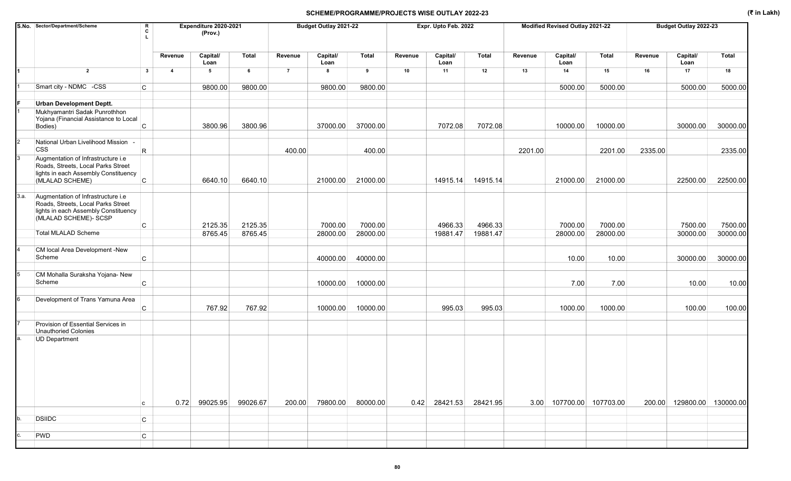| S.No. Sector/Department/Scheme                                                                                                                    | R<br>C<br>$\mathbf{L}$ |                | Expenditure 2020-2021<br>(Prov.) |              |                | Budget Outlay 2021-22    |              |         | Expr. Upto Feb. 2022   |          |         | Modified Revised Outlay 2021-22 |              |         | Budget Outlay 2022-23      |              |
|---------------------------------------------------------------------------------------------------------------------------------------------------|------------------------|----------------|----------------------------------|--------------|----------------|--------------------------|--------------|---------|------------------------|----------|---------|---------------------------------|--------------|---------|----------------------------|--------------|
|                                                                                                                                                   |                        | Revenue        | Capital/<br>Loan                 | <b>Total</b> | Revenue        | Capital/<br>Loan         | <b>Total</b> | Revenue | Capital/<br>Loan       | Total    | Revenue | Capital/<br>Loan                | <b>Total</b> | Revenue | Capital/<br>Loan           | <b>Total</b> |
| $\overline{2}$                                                                                                                                    | $\mathbf{3}$           | $\overline{4}$ | 5                                | 6            | $\overline{7}$ | 8                        | 9            | 10      | 11                     | 12       | 13      | 14                              | 15           | 16      | 17                         | 18           |
| Smart city - NDMC -CSS                                                                                                                            | C                      |                | 9800.00                          | 9800.00      |                | 9800.00                  | 9800.00      |         |                        |          |         | 5000.00                         | 5000.00      |         | 5000.00                    | 5000.00      |
| <b>Urban Development Deptt.</b>                                                                                                                   |                        |                |                                  |              |                |                          |              |         |                        |          |         |                                 |              |         |                            |              |
| Mukhyamantri Sadak Punrothhon<br>Yojana (Financial Assistance to Local<br>Bodies)                                                                 | $\mathsf C$            |                | 3800.96                          | 3800.96      |                | 37000.00                 | 37000.00     |         | 7072.08                | 7072.08  |         | 10000.00                        | 10000.00     |         | 30000.00                   | 30000.00     |
| National Urban Livelihood Mission<br><b>CSS</b>                                                                                                   | R.                     |                |                                  |              | 400.00         |                          | 400.00       |         |                        |          | 2201.00 |                                 | 2201.00      | 2335.00 |                            | 2335.00      |
| Augmentation of Infrastructure i.e<br>Roads, Streets, Local Parks Street<br>lights in each Assembly Constituency                                  |                        |                |                                  |              |                |                          |              |         |                        |          |         |                                 |              |         |                            |              |
| (MLALAD SCHEME)                                                                                                                                   | C.                     |                | 6640.10                          | 6640.10      |                | 21000.00                 | 21000.00     |         | 14915.14               | 14915.14 |         | 21000.00                        | 21000.00     |         | 22500.00                   | 22500.00     |
| 3.a.<br>Augmentation of Infrastructure i.e<br>Roads, Streets, Local Parks Street<br>lights in each Assembly Constituency<br>(MLALAD SCHEME)- SCSP | С                      |                | 2125.35                          | 2125.35      |                | 7000.00                  | 7000.00      |         | 4966.33                | 4966.33  |         | 7000.00                         | 7000.00      |         | 7500.00                    | 7500.00      |
| Total MLALAD Scheme                                                                                                                               |                        |                | 8765.45                          | 8765.45      |                | 28000.00                 | 28000.00     |         | 19881.47               | 19881.47 |         | 28000.00                        | 28000.00     |         | 30000.00                   | 30000.00     |
| CM local Area Development -New<br>Scheme                                                                                                          | C                      |                |                                  |              |                | 40000.00                 | 40000.00     |         |                        |          |         | 10.00                           | 10.00        |         | 30000.00                   | 30000.00     |
|                                                                                                                                                   |                        |                |                                  |              |                |                          |              |         |                        |          |         |                                 |              |         |                            |              |
| CM Mohalla Suraksha Yojana- New<br>Scheme                                                                                                         | C                      |                |                                  |              |                | 10000.00                 | 10000.00     |         |                        |          |         | 7.00                            | 7.00         |         | 10.00                      | 10.00        |
| Development of Trans Yamuna Area                                                                                                                  | C                      |                | 767.92                           | 767.92       |                | 10000.00                 | 10000.00     |         | 995.03                 | 995.03   |         | 1000.00                         | 1000.00      |         | 100.00                     | 100.00       |
| Provision of Essential Services in<br>Unauthoried Colonies                                                                                        |                        |                |                                  |              |                |                          |              |         |                        |          |         |                                 |              |         |                            |              |
| <b>UD Department</b>                                                                                                                              | с                      |                | 0.72 99025.95 99026.67           |              |                | 200.00 79800.00 80000.00 |              |         | 0.42 28421.53 28421.95 |          |         | 3.00 107700.00 107703.00        |              |         | 200.00 129800.00 130000.00 |              |
| <b>DSIIDC</b>                                                                                                                                     |                        |                |                                  |              |                |                          |              |         |                        |          |         |                                 |              |         |                            |              |
|                                                                                                                                                   | C                      |                |                                  |              |                |                          |              |         |                        |          |         |                                 |              |         |                            |              |
| PWD                                                                                                                                               | С                      |                |                                  |              |                |                          |              |         |                        |          |         |                                 |              |         |                            |              |
|                                                                                                                                                   |                        |                |                                  |              |                |                          |              |         |                        |          |         |                                 |              |         |                            |              |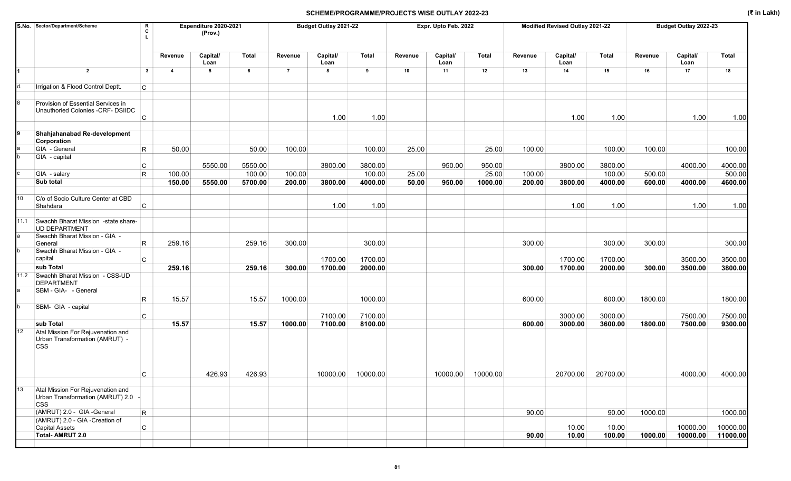|                 | S.No. Sector/Department/Scheme                                                                 | R<br>C                  |                | Expenditure 2020-2021<br>(Prov.) |              |                | Budget Outlay 2021-22 |         |         | Expr. Upto Feb. 2022 |                   |         | Modified Revised Outlay 2021-22 |              |         | Budget Outlay 2022-23 |              |
|-----------------|------------------------------------------------------------------------------------------------|-------------------------|----------------|----------------------------------|--------------|----------------|-----------------------|---------|---------|----------------------|-------------------|---------|---------------------------------|--------------|---------|-----------------------|--------------|
|                 |                                                                                                |                         | Revenue        | Capital/<br>Loan                 | <b>Total</b> | Revenue        | Capital/<br>Loan      | Total   | Revenue | Capital/<br>Loan     | <b>Total</b>      | Revenue | Capital/<br>Loan                | <b>Total</b> | Revenue | Capital/<br>Loan      | <b>Total</b> |
|                 | $\overline{2}$                                                                                 | $\mathbf{3}$            | $\overline{4}$ | $\sqrt{5}$                       | 6            | $\overline{7}$ | 8                     | 9       | 10      | 11                   | 12                | 13      | 14                              | 15           | 16      | 17                    | 18           |
|                 | Irrigation & Flood Control Deptt.                                                              | C.                      |                |                                  |              |                |                       |         |         |                      |                   |         |                                 |              |         |                       |              |
|                 | Provision of Essential Services in<br>Unauthoried Colonies -CRF- DSIIDC                        | C                       |                |                                  |              |                | 1.00                  | 1.00    |         |                      |                   |         | 1.00                            | 1.00         |         | 1.00                  | 1.00         |
| 9               | Shahjahanabad Re-development<br>Corporation                                                    |                         |                |                                  |              |                |                       |         |         |                      |                   |         |                                 |              |         |                       |              |
|                 | GIA - General                                                                                  | $\mathsf R$             | 50.00          |                                  | 50.00        | 100.00         |                       | 100.00  | 25.00   |                      | 25.00             | 100.00  |                                 | 100.00       | 100.00  |                       | 100.00       |
|                 | GIA - capital                                                                                  |                         |                | 5550.00                          | 5550.00      |                | 3800.00               | 3800.00 |         | 950.00               | 950.00            |         | 3800.00                         | 3800.00      |         | 4000.00               | 4000.00      |
|                 | GIA - salary                                                                                   | C<br>R                  | 100.00         |                                  | 100.00       | 100.00         |                       | 100.00  | 25.00   |                      | 25.00             | 100.00  |                                 | 100.00       | 500.00  |                       | 500.00       |
|                 | Sub total                                                                                      |                         | 150.00         | 5550.00                          | 5700.00      | 200.00         | 3800.00               | 4000.00 | 50.00   | 950.00               | 1000.00           | 200.00  | 3800.00                         | 4000.00      | 600.00  | 4000.00               | 4600.00      |
|                 |                                                                                                |                         |                |                                  |              |                |                       |         |         |                      |                   |         |                                 |              |         |                       |              |
| 10              | C/o of Socio Culture Center at CBD<br>Shahdara                                                 | C                       |                |                                  |              |                | 1.00                  | 1.00    |         |                      |                   |         | 1.00                            | 1.00         |         | 1.00                  | 1.00         |
|                 | 11.1 Swachh Bharat Mission -state share-<br><b>UD DEPARTMENT</b>                               |                         |                |                                  |              |                |                       |         |         |                      |                   |         |                                 |              |         |                       |              |
|                 | Swachh Bharat Mission - GIA -<br>General                                                       | R                       | 259.16         |                                  | 259.16       | 300.00         |                       | 300.00  |         |                      |                   | 300.00  |                                 | 300.00       | 300.00  |                       | 300.00       |
|                 | Swachh Bharat Mission - GIA -<br>capital                                                       | C                       |                |                                  |              |                | 1700.00               | 1700.00 |         |                      |                   |         | 1700.00                         | 1700.00      |         | 3500.00               | 3500.00      |
|                 | sub Total                                                                                      |                         | 259.16         |                                  | 259.16       | 300.00         | 1700.00               | 2000.00 |         |                      |                   | 300.00  | 1700.00                         | 2000.00      | 300.00  | 3500.00               | 3800.00      |
|                 | 11.2 Swachh Bharat Mission - CSS-UD<br><b>DEPARTMENT</b>                                       |                         |                |                                  |              |                |                       |         |         |                      |                   |         |                                 |              |         |                       |              |
|                 | SBM - GIA- - General                                                                           | R                       | 15.57          |                                  | 15.57        | 1000.00        |                       | 1000.00 |         |                      |                   | 600.00  |                                 | 600.00       | 1800.00 |                       | 1800.00      |
|                 | SBM- GIA - capital                                                                             |                         |                |                                  |              |                |                       |         |         |                      |                   |         |                                 |              |         |                       |              |
|                 |                                                                                                | C                       |                |                                  |              |                | 7100.00               | 7100.00 |         |                      |                   |         | 3000.00                         | 3000.00      |         | 7500.00               | 7500.00      |
| 12 <sup>2</sup> | sub Total<br>Atal Mission For Rejuvenation and<br>Urban Transformation (AMRUT) -<br><b>CSS</b> |                         | 15.57          |                                  | 15.57        | 1000.00        | 7100.00               | 8100.00 |         |                      |                   | 600.00  | 3000.00                         | 3600.00      | 1800.00 | 7500.00               | 9300.00      |
|                 |                                                                                                | С                       |                | 426.93                           | 426.93       |                | 10000.00 10000.00     |         |         |                      | 10000.00 10000.00 |         | 20700.00 20700.00               |              |         | 4000.00               | 4000.00      |
| 13              | Atal Mission For Rejuvenation and<br>Urban Transformation (AMRUT) 2.0 -<br><b>CSS</b>          |                         |                |                                  |              |                |                       |         |         |                      |                   |         |                                 |              |         |                       |              |
|                 | (AMRUT) 2.0 - GIA -General                                                                     | $\overline{\mathsf{R}}$ |                |                                  |              |                |                       |         |         |                      |                   | 90.00   |                                 | 90.00        | 1000.00 |                       | 1000.00      |
|                 | (AMRUT) 2.0 - GIA -Creation of<br>Capital Assets                                               | $\mathsf{C}$            |                |                                  |              |                |                       |         |         |                      |                   |         | 10.00                           | 10.00        |         | 10000.00              | 10000.00     |
|                 | <b>Total-AMRUT 2.0</b>                                                                         |                         |                |                                  |              |                |                       |         |         |                      |                   | 90.00   | 10.00                           | 100.00       | 1000.00 | 10000.00              | 11000.00     |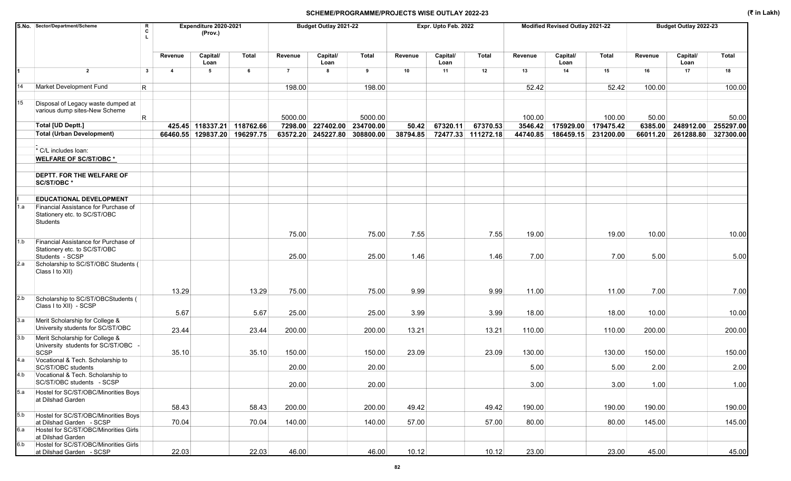|            | S.No. Sector/Department/Scheme<br>R<br>c                                                                  |                         | Expenditure 2020-2021<br>(Prov.) |       |                | Budget Outlay 2021-22 |              |          | Expr. Upto Feb. 2022 |                    |          | Modified Revised Outlay 2021-22 |              |          | Budget Outlay 2022-23 |           |
|------------|-----------------------------------------------------------------------------------------------------------|-------------------------|----------------------------------|-------|----------------|-----------------------|--------------|----------|----------------------|--------------------|----------|---------------------------------|--------------|----------|-----------------------|-----------|
|            |                                                                                                           | Revenue                 | Capital/<br>Loan                 | Total | Revenue        | Capital/<br>Loan      | <b>Total</b> | Revenue  | Capital/<br>Loan     | Total              | Revenue  | Capital/<br>Loan                | <b>Total</b> | Revenue  | Capital/<br>Loan      | Total     |
|            | $\overline{2}$<br>$\mathbf{3}$                                                                            | $\overline{\mathbf{4}}$ | 5                                | 6     | $\overline{7}$ | 8                     | 9            | 10       | 11                   | 12                 | 13       | 14                              | 15           | 16       | 17                    | 18        |
|            | Market Development Fund<br>$\mathsf{R}$                                                                   |                         |                                  |       | 198.00         |                       | 198.00       |          |                      |                    | 52.42    |                                 | 52.42        | 100.00   |                       | 100.00    |
| 15         | Disposal of Legacy waste dumped at<br>various dump sites-New Scheme<br>R                                  |                         |                                  |       | 5000.00        |                       | 5000.00      |          |                      |                    | 100.00   |                                 | 100.00       | 50.00    |                       | 50.00     |
|            | <b>Total [UD Deptt.]</b>                                                                                  |                         | 425.45 118337.21 118762.66       |       | 7298.00        | 227402.00             | 234700.00    | 50.42    | 67320.11             | 67370.53           | 3546.42  | 175929.00                       | 179475.42    | 6385.00  | 248912.00             | 255297.00 |
|            | <b>Total (Urban Development)</b>                                                                          |                         | 66460.55 129837.20 196297.75     |       | 63572.20       | 245227.80             | 308800.00    | 38794.85 |                      | 72477.33 111272.18 | 44740.85 | 186459.15                       | 231200.00    | 66011.20 | 261288.80             | 327300.00 |
|            | * C/L includes loan:                                                                                      |                         |                                  |       |                |                       |              |          |                      |                    |          |                                 |              |          |                       |           |
|            | <b>WELFARE OF SC/ST/OBC*</b>                                                                              |                         |                                  |       |                |                       |              |          |                      |                    |          |                                 |              |          |                       |           |
|            | <b>DEPTT. FOR THE WELFARE OF</b><br>SC/ST/OBC*                                                            |                         |                                  |       |                |                       |              |          |                      |                    |          |                                 |              |          |                       |           |
|            | <b>EDUCATIONAL DEVELOPMENT</b>                                                                            |                         |                                  |       |                |                       |              |          |                      |                    |          |                                 |              |          |                       |           |
| 1.a        | Financial Assistance for Purchase of<br>Stationery etc. to SC/ST/OBC<br>Students                          |                         |                                  |       |                |                       |              |          |                      |                    |          |                                 |              |          |                       |           |
|            |                                                                                                           |                         |                                  |       | 75.00          |                       | 75.00        | 7.55     |                      | 7.55               | 19.00    |                                 | 19.00        | 10.00    |                       | 10.00     |
| 1.b        | Financial Assistance for Purchase of<br>Stationery etc. to SC/ST/OBC<br>Students - SCSP                   |                         |                                  |       | 25.00          |                       | 25.00        | 1.46     |                      | 1.46               | 7.00     |                                 | 7.00         | 5.00     |                       | 5.00      |
| 2.a        | Scholarship to SC/ST/OBC Students (<br>Class I to XII)                                                    |                         |                                  |       |                |                       |              |          |                      |                    |          |                                 |              |          |                       |           |
|            |                                                                                                           | 13.29                   |                                  | 13.29 | 75.00          |                       | 75.00        | 9.99     |                      | 9.99               | 11.00    |                                 | 11.00        | 7.00     |                       | 7.00      |
| 2.b        | Scholarship to SC/ST/OBCStudents (<br>Class I to XII) - SCSP                                              | 5.67                    |                                  | 5.67  | 25.00          |                       | 25.00        | 3.99     |                      | 3.99               | 18.00    |                                 | 18.00        | 10.00    |                       | 10.00     |
| 3.a        | Merit Scholarship for College &<br>University students for SC/ST/OBC                                      | 23.44                   |                                  | 23.44 | 200.00         |                       | 200.00       | 13.21    |                      | 13.21              | 110.00   |                                 | 110.00       | 200.00   |                       | 200.00    |
| 3.b        | Merit Scholarship for College &<br>University students for SC/ST/OBC -<br>SCSP                            | 35.10                   |                                  | 35.10 | 150.00         |                       | 150.00       | 23.09    |                      | 23.09              | 130.00   |                                 | 130.00       | 150.00   |                       | 150.00    |
| 4.a        | Vocational & Tech. Scholarship to<br>SC/ST/OBC students                                                   |                         |                                  |       | 20.00          |                       | 20.00        |          |                      |                    | 5.00     |                                 | 5.00         | 2.00     |                       | 2.00      |
|            | 4.b Vocational & Tech. Scholarship to<br>SC/ST/OBC students - SCSP                                        |                         |                                  |       | 20.00          |                       | 20.00        |          |                      |                    | 3.00     |                                 | 3.00         | 1.00     |                       | 1.00      |
| 5.a        | Hostel for SC/ST/OBC/Minorities Boys<br>at Dilshad Garden                                                 |                         |                                  |       |                |                       |              |          |                      |                    |          |                                 |              |          |                       |           |
|            |                                                                                                           | 58.43                   |                                  | 58.43 | 200.00         |                       | 200.00       | 49.42    |                      | 49.42              | 190.00   |                                 | 190.00       | 190.00   |                       | 190.00    |
| 5.b<br>6.a | Hostel for SC/ST/OBC/Minorities Boys<br>at Dilshad Garden - SCSP<br>Hostel for SC/ST/OBC/Minorities Girls | 70.04                   |                                  | 70.04 | 140.00         |                       | 140.00       | 57.00    |                      | 57.00              | 80.00    |                                 | 80.00        | 145.00   |                       | 145.00    |
|            | at Dilshad Garden                                                                                         |                         |                                  |       |                |                       |              |          |                      |                    |          |                                 |              |          |                       |           |
| 6.b        | Hostel for SC/ST/OBC/Minorities Girls<br>at Dilshad Garden - SCSP                                         | 22.03                   |                                  | 22.03 | 46.00          |                       | 46.00        | 10.12    |                      | 10.12              | 23.00    |                                 | 23.00        | 45.00    |                       | 45.00     |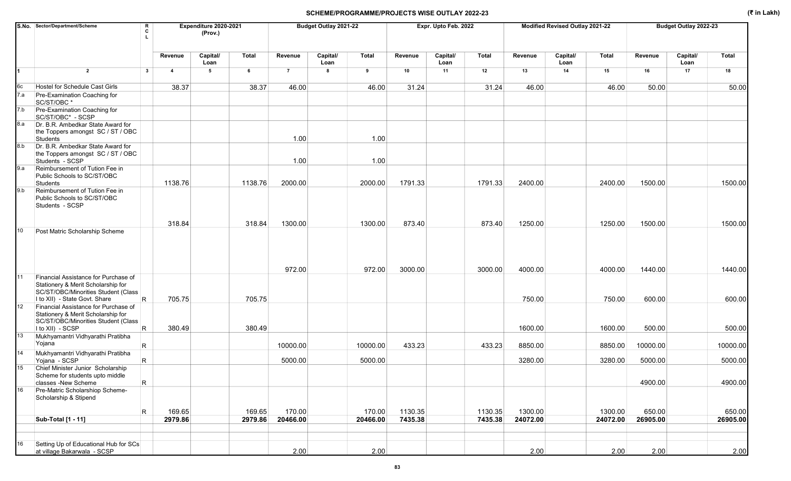|                | S.No. Sector/Department/Scheme<br>R<br>c                                                           |                | Expenditure 2020-2021<br>(Prov.) |         |                | Budget Outlay 2021-22 |              |         | Expr. Upto Feb. 2022 |         |          | Modified Revised Outlay 2021-22 |          |          | Budget Outlay 2022-23 |          |
|----------------|----------------------------------------------------------------------------------------------------|----------------|----------------------------------|---------|----------------|-----------------------|--------------|---------|----------------------|---------|----------|---------------------------------|----------|----------|-----------------------|----------|
|                |                                                                                                    | Revenue        | Capital/<br>Loan                 | Total   | Revenue        | Capital/<br>Loan      | <b>Total</b> | Revenue | Capital/<br>Loan     | Total   | Revenue  | Capital/<br>Loan                | Total    | Revenue  | Capital/<br>Loan      | Total    |
| $\blacksquare$ | $\overline{2}$<br>$\mathbf{3}$                                                                     | $\overline{4}$ | 5                                | 6       | $\overline{7}$ | 8                     | 9            | 10      | 11                   | 12      | 13       | 14                              | 15       | 16       | 17                    | 18       |
| 6c             | Hostel for Schedule Cast Girls                                                                     | 38.37          |                                  | 38.37   | 46.00          |                       | 46.00        | 31.24   |                      | 31.24   | 46.00    |                                 | 46.00    | 50.00    |                       | 50.00    |
| 7.a            | Pre-Examination Coaching for<br>SC/ST/OBC*                                                         |                |                                  |         |                |                       |              |         |                      |         |          |                                 |          |          |                       |          |
| 7.b            | Pre-Examination Coaching for<br>SC/ST/OBC* - SCSP                                                  |                |                                  |         |                |                       |              |         |                      |         |          |                                 |          |          |                       |          |
| 8.a            | Dr. B.R. Ambedkar State Award for<br>the Toppers amongst SC / ST / OBC<br>Students                 |                |                                  |         | 1.00           |                       | 1.00         |         |                      |         |          |                                 |          |          |                       |          |
| 8.b            | Dr. B.R. Ambedkar State Award for<br>the Toppers amongst SC / ST / OBC<br>Students - SCSP          |                |                                  |         | 1.00           |                       | 1.00         |         |                      |         |          |                                 |          |          |                       |          |
| 9.a            | Reimbursement of Tution Fee in<br>Public Schools to SC/ST/OBC<br>Students                          | 1138.76        |                                  | 1138.76 | 2000.00        |                       | 2000.00      | 1791.33 |                      | 1791.33 | 2400.00  |                                 | 2400.00  | 1500.00  |                       | 1500.00  |
| 9.b            | Reimbursement of Tution Fee in<br>Public Schools to SC/ST/OBC<br>Students - SCSP                   |                |                                  |         |                |                       |              |         |                      |         |          |                                 |          |          |                       |          |
|                |                                                                                                    | 318.84         |                                  | 318.84  | 1300.00        |                       | 1300.00      | 873.40  |                      | 873.40  | 1250.00  |                                 | 1250.00  | 1500.00  |                       | 1500.00  |
| 10             | Post Matric Scholarship Scheme                                                                     |                |                                  |         |                |                       |              |         |                      |         |          |                                 |          |          |                       |          |
| 11             | Financial Assistance for Purchase of                                                               |                |                                  |         | 972.00         |                       | 972.00       | 3000.00 |                      | 3000.00 | 4000.00  |                                 | 4000.00  | 1440.00  |                       | 1440.00  |
|                | Stationery & Merit Scholarship for<br>SC/ST/OBC/Minorities Student (Class                          |                |                                  |         |                |                       |              |         |                      |         |          |                                 |          |          |                       |          |
| 12             | $\mathsf{R}$<br>I to XII) - State Govt. Share<br>Financial Assistance for Purchase of              | 705.75         |                                  | 705.75  |                |                       |              |         |                      |         | 750.00   |                                 | 750.00   | 600.00   |                       | 600.00   |
|                | Stationery & Merit Scholarship for<br>SC/ST/OBC/Minorities Student (Class<br>R<br>I to XII) - SCSP | 380.49         |                                  | 380.49  |                |                       |              |         |                      |         | 1600.00  |                                 | 1600.00  | 500.00   |                       | 500.00   |
| 13             | Mukhyamantri Vidhyarathi Pratibha<br>Yojana<br>R.                                                  |                |                                  |         | 10000.00       |                       | 10000.00     | 433.23  |                      | 433.23  | 8850.00  |                                 | 8850.00  | 10000.00 |                       | 10000.00 |
| 14             | Mukhyamantri Vidhyarathi Pratibha                                                                  |                |                                  |         |                |                       |              |         |                      |         |          |                                 |          |          |                       |          |
| 15             | R<br>Yojana - SCSP<br>Chief Minister Junior Scholarship<br>Scheme for students upto middle         |                |                                  |         | 5000.00        |                       | 5000.00      |         |                      |         | 3280.00  |                                 | 3280.00  | 5000.00  |                       | 5000.00  |
|                | $\mathsf{R}$<br>classes -New Scheme                                                                |                |                                  |         |                |                       |              |         |                      |         |          |                                 |          | 4900.00  |                       | 4900.00  |
| 16             | Pre-Matric Scholarshiop Scheme-<br>Scholarship & Stipend                                           |                |                                  |         |                |                       |              |         |                      |         |          |                                 |          |          |                       |          |
|                | $\mathsf R$                                                                                        | 169.65         |                                  | 169.65  | 170.00         |                       | 170.00       | 1130.35 |                      | 1130.35 | 1300.00  |                                 | 1300.00  | 650.00   |                       | 650.00   |
|                | Sub-Total [1 - 11]                                                                                 | 2979.86        |                                  | 2979.86 | 20466.00       |                       | 20466.00     | 7435.38 |                      | 7435.38 | 24072.00 |                                 | 24072.00 | 26905.00 |                       | 26905.00 |
| 16             | Setting Up of Educational Hub for SCs                                                              |                |                                  |         |                |                       |              |         |                      |         |          |                                 |          |          |                       |          |
|                | at village Bakarwala - SCSP                                                                        |                |                                  |         | 2.00           |                       | 2.00         |         |                      |         | 2.00     |                                 | 2.00     | 2.00     |                       | 2.00     |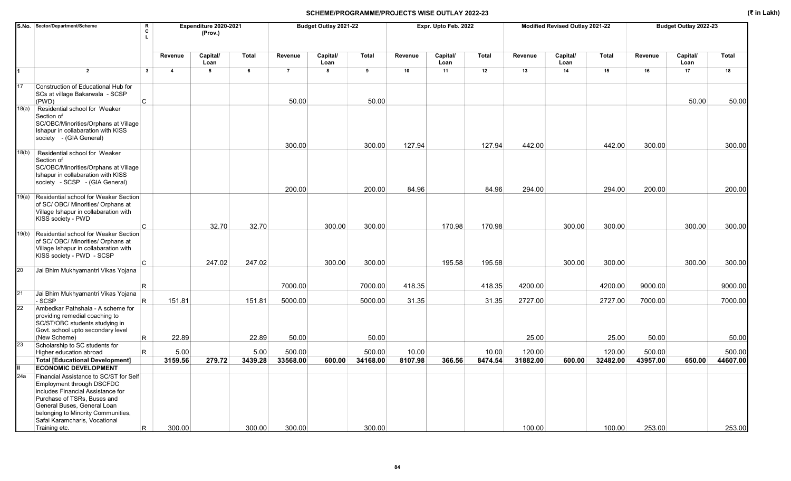| S.No. Sector/Department/Scheme<br>$\mathbf R$<br>т.                                                                                                                                                                                           |                                                                                                                                                                                                                     | Expenditure 2020-2021<br>(Prov.)                          |                           |                                                         | Budget Outlay 2021-22                                               |                            |                                                                                         | Expr. Upto Feb. 2022                |                            |                                                         | Modified Revised Outlay 2021-22                            |                            |                                                                                | Budget Outlay 2022-23                                      |                                     |
|-----------------------------------------------------------------------------------------------------------------------------------------------------------------------------------------------------------------------------------------------|---------------------------------------------------------------------------------------------------------------------------------------------------------------------------------------------------------------------|-----------------------------------------------------------|---------------------------|---------------------------------------------------------|---------------------------------------------------------------------|----------------------------|-----------------------------------------------------------------------------------------|-------------------------------------|----------------------------|---------------------------------------------------------|------------------------------------------------------------|----------------------------|--------------------------------------------------------------------------------|------------------------------------------------------------|-------------------------------------|
|                                                                                                                                                                                                                                               | Revenue                                                                                                                                                                                                             | Capital/<br>Loan                                          | Total                     | Revenue                                                 | Capital/<br>Loan                                                    | Total                      | Revenue                                                                                 | Capital/<br>Loan                    | Total                      | Revenue                                                 | Capital/<br>Loan                                           | <b>Total</b>               | Revenue                                                                        | Capital/<br>Loan                                           | Total                               |
| $\overline{2}$                                                                                                                                                                                                                                | $\overline{4}$                                                                                                                                                                                                      | 5                                                         | 6                         | $\overline{7}$                                          | 8                                                                   | 9                          | 10                                                                                      | 11                                  | 12                         | 13                                                      | 14                                                         | 15                         | 16                                                                             | 17                                                         | 18                                  |
| Construction of Educational Hub for<br>SCs at village Bakarwala - SCSP                                                                                                                                                                        |                                                                                                                                                                                                                     |                                                           |                           |                                                         |                                                                     |                            |                                                                                         |                                     |                            |                                                         |                                                            |                            |                                                                                |                                                            | 50.00                               |
| Residential school for Weaker<br>Section of<br>SC/OBC/Minorities/Orphans at Village<br>Ishapur in collabaration with KISS<br>society - (GIA General)                                                                                          |                                                                                                                                                                                                                     |                                                           |                           |                                                         |                                                                     |                            |                                                                                         |                                     |                            |                                                         |                                                            |                            |                                                                                |                                                            | 300.00                              |
| Residential school for Weaker<br>Section of<br>SC/OBC/Minorities/Orphans at Village<br>Ishapur in collabaration with KISS<br>society - SCSP - (GIA General)                                                                                   |                                                                                                                                                                                                                     |                                                           |                           |                                                         |                                                                     |                            |                                                                                         |                                     |                            |                                                         |                                                            |                            |                                                                                |                                                            |                                     |
| Residential school for Weaker Section<br>of SC/OBC/ Minorities/ Orphans at<br>Village Ishapur in collabaration with<br>KISS society - PWD                                                                                                     |                                                                                                                                                                                                                     |                                                           |                           |                                                         |                                                                     |                            |                                                                                         |                                     |                            |                                                         |                                                            |                            |                                                                                |                                                            | 200.00<br>300.00                    |
| Residential school for Weaker Section<br>of SC/OBC/ Minorities/ Orphans at<br>Village Ishapur in collabaration with<br>KISS society - PWD - SCSP                                                                                              |                                                                                                                                                                                                                     |                                                           |                           |                                                         |                                                                     |                            |                                                                                         |                                     |                            |                                                         |                                                            |                            |                                                                                |                                                            | 300.00                              |
| Jai Bhim Mukhyamantri Vikas Yojana                                                                                                                                                                                                            |                                                                                                                                                                                                                     |                                                           |                           |                                                         |                                                                     |                            |                                                                                         |                                     |                            |                                                         |                                                            |                            |                                                                                |                                                            |                                     |
| R                                                                                                                                                                                                                                             |                                                                                                                                                                                                                     |                                                           |                           | 7000.00                                                 |                                                                     | 7000.00                    | 418.35                                                                                  |                                     | 418.35                     | 4200.00                                                 |                                                            | 4200.00                    | 9000.00                                                                        |                                                            | 9000.00                             |
| Jai Bhim Mukhyamantri Vikas Yojana                                                                                                                                                                                                            |                                                                                                                                                                                                                     |                                                           |                           |                                                         |                                                                     |                            |                                                                                         |                                     |                            |                                                         |                                                            |                            |                                                                                |                                                            | 7000.00                             |
| Ambedkar Pathshala - A scheme for<br>providing remedial coaching to<br>SC/ST/OBC students studying in<br>Govt. school upto secondary level                                                                                                    |                                                                                                                                                                                                                     |                                                           |                           |                                                         |                                                                     |                            |                                                                                         |                                     |                            |                                                         |                                                            |                            |                                                                                |                                                            |                                     |
|                                                                                                                                                                                                                                               |                                                                                                                                                                                                                     |                                                           |                           |                                                         |                                                                     |                            |                                                                                         |                                     |                            |                                                         |                                                            |                            |                                                                                |                                                            | 50.00                               |
| R.<br>Higher education abroad                                                                                                                                                                                                                 | 5.00                                                                                                                                                                                                                |                                                           | 5.00                      | 500.00                                                  |                                                                     | 500.00                     | 10.00                                                                                   |                                     | 10.00                      | 120.00                                                  |                                                            | 120.00                     | 500.00                                                                         |                                                            | 500.00<br>44607.00                  |
|                                                                                                                                                                                                                                               |                                                                                                                                                                                                                     |                                                           |                           |                                                         |                                                                     |                            |                                                                                         |                                     |                            |                                                         |                                                            |                            |                                                                                |                                                            |                                     |
| Financial Assistance to SC/ST for Self<br>Employment through DSCFDC<br>includes Financial Assistance for<br>Purchase of TSRs, Buses and<br>General Buses, General Loan<br>belonging to Minority Communities,<br>Safai Karamcharis, Vocational |                                                                                                                                                                                                                     |                                                           |                           |                                                         |                                                                     |                            |                                                                                         |                                     |                            |                                                         |                                                            |                            |                                                                                |                                                            | 253.00                              |
|                                                                                                                                                                                                                                               | C<br>(PWD)<br>C.<br>C.<br>R.<br>- SCSP<br>$\overline{\mathsf{R}}$<br>(New Scheme)<br>Scholarship to SC students for<br><b>Total [Educational Development]</b><br><b>ECONOMIC DEVELOPMENT</b><br>Training etc.<br>R. | C<br>$\mathbf{3}$<br>151.81<br>22.89<br>3159.56<br>300.00 | 32.70<br>247.02<br>279.72 | 32.70<br>247.02<br>151.81<br>22.89<br>3439.28<br>300.00 | 50.00<br>300.00<br>200.00<br>5000.00<br>50.00<br>33568.00<br>300.00 | 300.00<br>300.00<br>600.00 | 50.00<br>300.00<br>200.00<br>300.00<br>300.00<br>5000.00<br>50.00<br>34168.00<br>300.00 | 127.94<br>84.96<br>31.35<br>8107.98 | 170.98<br>195.58<br>366.56 | 127.94<br>84.96<br>170.98<br>195.58<br>31.35<br>8474.54 | 442.00<br>294.00<br>2727.00<br>25.00<br>31882.00<br>100.00 | 300.00<br>300.00<br>600.00 | 442.00<br>294.00<br>300.00<br>300.00<br>2727.00<br>25.00<br>32482.00<br>100.00 | 300.00<br>200.00<br>7000.00<br>50.00<br>43957.00<br>253.00 | 50.00<br>300.00<br>300.00<br>650.00 |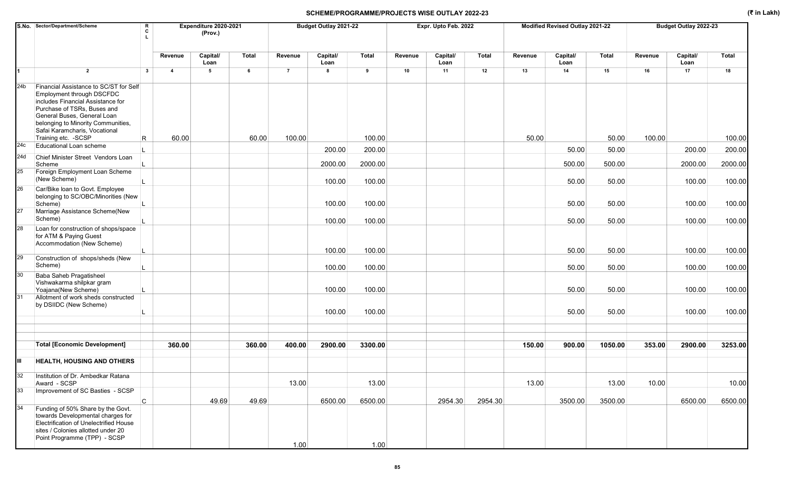|                  | S.No. Sector/Department/Scheme                                                                                                                                                                                                                                        | R<br>C       |                | Expenditure 2020-2021<br>(Prov.) |              |                | Budget Outlay 2021-22 |              |         | Expr. Upto Feb. 2022 |              |         | Modified Revised Outlay 2021-22 |              |         | Budget Outlay 2022-23 |         |
|------------------|-----------------------------------------------------------------------------------------------------------------------------------------------------------------------------------------------------------------------------------------------------------------------|--------------|----------------|----------------------------------|--------------|----------------|-----------------------|--------------|---------|----------------------|--------------|---------|---------------------------------|--------------|---------|-----------------------|---------|
|                  |                                                                                                                                                                                                                                                                       |              | Revenue        | Capital/<br>Loan                 | <b>Total</b> | Revenue        | Capital/<br>Loan      | <b>Total</b> | Revenue | Capital/<br>Loan     | <b>Total</b> | Revenue | Capital/<br>Loan                | <b>Total</b> | Revenue | Capital/<br>Loan      | Total   |
|                  | $\overline{2}$                                                                                                                                                                                                                                                        | $\mathbf{3}$ | $\overline{4}$ | 5                                | 6            | $\overline{7}$ | 8                     | 9            | 10      | 11                   | 12           | 13      | 14                              | 15           | 16      | 17                    | 18      |
| 24b              | Financial Assistance to SC/ST for Self<br>Employment through DSCFDC<br>includes Financial Assistance for<br>Purchase of TSRs, Buses and<br>General Buses, General Loan<br>belonging to Minority Communities,<br>Safai Karamcharis, Vocational<br>Training etc. - SCSP | R            | 60.00          |                                  | 60.00        | 100.00         |                       | 100.00       |         |                      |              | 50.00   |                                 | 50.00        | 100.00  |                       | 100.00  |
| 24c              | Educational Loan scheme                                                                                                                                                                                                                                               |              |                |                                  |              |                | 200.00                | 200.00       |         |                      |              |         | 50.00                           | 50.00        |         | 200.00                | 200.00  |
| 24d              | Chief Minister Street Vendors Loan<br>Scheme                                                                                                                                                                                                                          |              |                |                                  |              |                | 2000.00               | 2000.00      |         |                      |              |         | 500.00                          | 500.00       |         | 2000.00               | 2000.00 |
| $25\overline{)}$ | Foreign Employment Loan Scheme<br>(New Scheme)                                                                                                                                                                                                                        |              |                |                                  |              |                | 100.00                | 100.00       |         |                      |              |         | 50.00                           | 50.00        |         | 100.00                | 100.00  |
| 26               | Car/Bike loan to Govt. Employee<br>belonging to SC/OBC/Minorities (New<br>Scheme)                                                                                                                                                                                     |              |                |                                  |              |                | 100.00                | 100.00       |         |                      |              |         | 50.00                           | 50.00        |         | 100.00                | 100.00  |
| 27               | Marriage Assistance Scheme(New<br>Scheme)                                                                                                                                                                                                                             |              |                |                                  |              |                | 100.00                | 100.00       |         |                      |              |         | 50.00                           | 50.00        |         | 100.00                | 100.00  |
| 28               | Loan for construction of shops/space<br>for ATM & Paying Guest<br>Accommodation (New Scheme)                                                                                                                                                                          |              |                |                                  |              |                | 100.00                | 100.00       |         |                      |              |         | 50.00                           | 50.00        |         | 100.00                | 100.00  |
| 29               | Construction of shops/sheds (New<br>Scheme)                                                                                                                                                                                                                           |              |                |                                  |              |                | 100.00                | 100.00       |         |                      |              |         | 50.00                           | 50.00        |         | 100.00                | 100.00  |
| 30               | Baba Saheb Pragatisheel<br>Vishwakarma shilpkar gram<br>Yoajana(New Scheme)                                                                                                                                                                                           |              |                |                                  |              |                | 100.00                | 100.00       |         |                      |              |         | 50.00                           | 50.00        |         | 100.00                | 100.00  |
| 31               | Allotment of work sheds constructed<br>by DSIIDC (New Scheme)                                                                                                                                                                                                         |              |                |                                  |              |                | 100.00                | 100.00       |         |                      |              |         | 50.00                           | 50.00        |         | 100.00                | 100.00  |
|                  |                                                                                                                                                                                                                                                                       |              |                |                                  |              |                |                       |              |         |                      |              |         |                                 |              |         |                       |         |
|                  | <b>Total [Economic Development]</b>                                                                                                                                                                                                                                   |              | 360.00         |                                  | 360.00       | 400.00         | 2900.00               | 3300.00      |         |                      |              | 150.00  | 900.00                          | 1050.00      | 353.00  | 2900.00               | 3253.00 |
| Ш                | <b>HEALTH, HOUSING AND OTHERS</b>                                                                                                                                                                                                                                     |              |                |                                  |              |                |                       |              |         |                      |              |         |                                 |              |         |                       |         |
| 32               | Institution of Dr. Ambedkar Ratana<br>Award - SCSP                                                                                                                                                                                                                    |              |                |                                  |              | 13.00          |                       | 13.00        |         |                      |              | 13.00   |                                 | 13.00        | 10.00   |                       | 10.00   |
| 33               | Improvement of SC Basties - SCSP                                                                                                                                                                                                                                      |              |                |                                  |              |                |                       |              |         |                      |              |         |                                 |              |         |                       |         |
|                  |                                                                                                                                                                                                                                                                       | $\mathsf{C}$ |                | 49.69                            | 49.69        |                | 6500.00               | 6500.00      |         | 2954.30              | 2954.30      |         | 3500.00                         | 3500.00      |         | 6500.00               | 6500.00 |
| 34               | Funding of 50% Share by the Govt.<br>towards Developmental charges for<br>Electrification of Unelectrified House<br>sites / Colonies allotted under 20<br>Point Programme (TPP) - SCSP                                                                                |              |                |                                  |              | 1.00           |                       | 1.00         |         |                      |              |         |                                 |              |         |                       |         |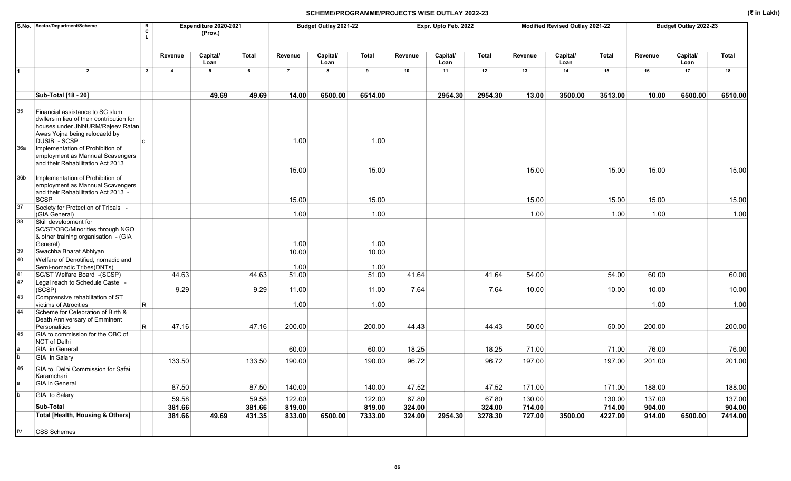|     | S.No. Sector/Department/Scheme<br>R<br>C                                                                                                                               |                         | Expenditure 2020-2021<br>(Prov.) |        |                | Budget Outlay 2021-22 |              |         | Expr. Upto Feb. 2022 |         |         | Modified Revised Outlay 2021-22 |              |         | Budget Outlay 2022-23 |         |
|-----|------------------------------------------------------------------------------------------------------------------------------------------------------------------------|-------------------------|----------------------------------|--------|----------------|-----------------------|--------------|---------|----------------------|---------|---------|---------------------------------|--------------|---------|-----------------------|---------|
|     |                                                                                                                                                                        | Revenue                 | Capital/<br>Loan                 | Total  | Revenue        | Capital/<br>Loan      | <b>Total</b> | Revenue | Capital/<br>Loan     | Total   | Revenue | Capital/<br>Loan                | <b>Total</b> | Revenue | Capital/<br>Loan      | Total   |
|     | $\overline{2}$<br>$3^{\circ}$                                                                                                                                          | $\overline{\mathbf{4}}$ | 5                                | 6      | $\overline{7}$ | 8                     | 9            | 10      | 11                   | 12      | 13      | 14                              | 15           | 16      | 17                    | 18      |
|     | Sub-Total [18 - 20]                                                                                                                                                    |                         | 49.69                            | 49.69  | 14.00          | 6500.00               | 6514.00      |         | 2954.30              | 2954.30 | 13.00   | 3500.00                         | 3513.00      | 10.00   | 6500.00               | 6510.00 |
|     |                                                                                                                                                                        |                         |                                  |        |                |                       |              |         |                      |         |         |                                 |              |         |                       |         |
| 35  | Financial assistance to SC slum<br>dwllers in lieu of their contribution for<br>houses under JNNURM/Rajeev Ratan<br>Awas Yojna being relocaetd by<br>DUSIB - SCSP<br>C |                         |                                  |        | 1.00           |                       | 1.00         |         |                      |         |         |                                 |              |         |                       |         |
| 36a | Implementation of Prohibition of<br>employment as Mannual Scavengers<br>and their Rehabilitation Act 2013                                                              |                         |                                  |        |                |                       |              |         |                      |         |         |                                 |              |         |                       |         |
| 36b | Implementation of Prohibition of<br>employment as Mannual Scavengers                                                                                                   |                         |                                  |        | 15.00          |                       | 15.00        |         |                      |         | 15.00   |                                 | 15.00        | 15.00   |                       | 15.00   |
| 37  | and their Rehabilitation Act 2013 -<br><b>SCSP</b>                                                                                                                     |                         |                                  |        | 15.00          |                       | 15.00        |         |                      |         | 15.00   |                                 | 15.00        | 15.00   |                       | 15.00   |
|     | Society for Protection of Tribals -<br>(GIA General)                                                                                                                   |                         |                                  |        | 1.00           |                       | 1.00         |         |                      |         | 1.00    |                                 | 1.00         | 1.00    |                       | 1.00    |
| 38  | Skill development for<br>SC/ST/OBC/Minorities through NGO<br>& other training organisation - (GIA                                                                      |                         |                                  |        |                |                       |              |         |                      |         |         |                                 |              |         |                       |         |
|     | General)                                                                                                                                                               |                         |                                  |        | 1.00           |                       | 1.00         |         |                      |         |         |                                 |              |         |                       |         |
| 39  | Swachha Bharat Abhiyan                                                                                                                                                 |                         |                                  |        | 10.00          |                       | 10.00        |         |                      |         |         |                                 |              |         |                       |         |
| 40  | Welfare of Denotified, nomadic and<br>Semi-nomadic Tribes(DNTs)                                                                                                        |                         |                                  |        | 1.00           |                       | 1.00         |         |                      |         |         |                                 |              |         |                       |         |
| 41  | SC/ST Welfare Board -(SCSP)                                                                                                                                            | 44.63                   |                                  | 44.63  | 51.00          |                       | 51.00        | 41.64   |                      | 41.64   | 54.00   |                                 | 54.00        | 60.00   |                       | 60.00   |
| 42  | Legal reach to Schedule Caste -<br>(SCSP)                                                                                                                              | 9.29                    |                                  | 9.29   | 11.00          |                       | 11.00        | 7.64    |                      | 7.64    | 10.00   |                                 | 10.00        | 10.00   |                       | 10.00   |
| 43  | Comprensive rehablitation of ST                                                                                                                                        |                         |                                  |        | 1.00           |                       | 1.00         |         |                      |         |         |                                 |              | 1.00    |                       | 1.00    |
| 44  | R<br>victims of Atrocities<br>Scheme for Celebration of Birth &<br>Death Anniversary of Emminent                                                                       |                         |                                  |        |                |                       |              |         |                      |         |         |                                 |              |         |                       |         |
| 45  | R.<br>Personalities<br>GIA to commission for the OBC of<br>NCT of Delhi                                                                                                | 47.16                   |                                  | 47.16  | 200.00         |                       | 200.00       | 44.43   |                      | 44.43   | 50.00   |                                 | 50.00        | 200.00  |                       | 200.00  |
|     | GIA in General                                                                                                                                                         |                         |                                  |        | 60.00          |                       | 60.00        | 18.25   |                      | 18.25   | 71.00   |                                 | 71.00        | 76.00   |                       | 76.00   |
|     | GIA in Salary                                                                                                                                                          | 133.50                  |                                  | 133.50 | 190.00         |                       | 190.00       | 96.72   |                      | 96.72   | 197.00  |                                 | 197.00       | 201.00  |                       | 201.00  |
| 46  | GIA to Delhi Commission for Safai<br>Karamchari                                                                                                                        |                         |                                  |        |                |                       |              |         |                      |         |         |                                 |              |         |                       |         |
|     | <b>GIA</b> in General                                                                                                                                                  | 87.50                   |                                  | 87.50  | 140.00         |                       | 140.00       | 47.52   |                      | 47.52   | 171.00  |                                 | 171.00       | 188.00  |                       | 188.00  |
|     | GIA to Salary                                                                                                                                                          | 59.58                   |                                  | 59.58  | 122.00         |                       | 122.00       | 67.80   |                      | 67.80   | 130.00  |                                 | 130.00       | 137.00  |                       | 137.00  |
|     | Sub-Total                                                                                                                                                              | 381.66                  |                                  | 381.66 | 819.00         |                       | 819.00       | 324.00  |                      | 324.00  | 714.00  |                                 | 714.00       | 904.00  |                       | 904.00  |
|     | <b>Total [Health, Housing &amp; Others]</b>                                                                                                                            | 381.66                  | 49.69                            | 431.35 | 833.00         | 6500.00               | 7333.00      | 324.00  | 2954.30              | 3278.30 | 727.00  | 3500.00                         | 4227.00      | 914.00  | 6500.00               | 7414.00 |
| IV  | <b>CSS Schemes</b>                                                                                                                                                     |                         |                                  |        |                |                       |              |         |                      |         |         |                                 |              |         |                       |         |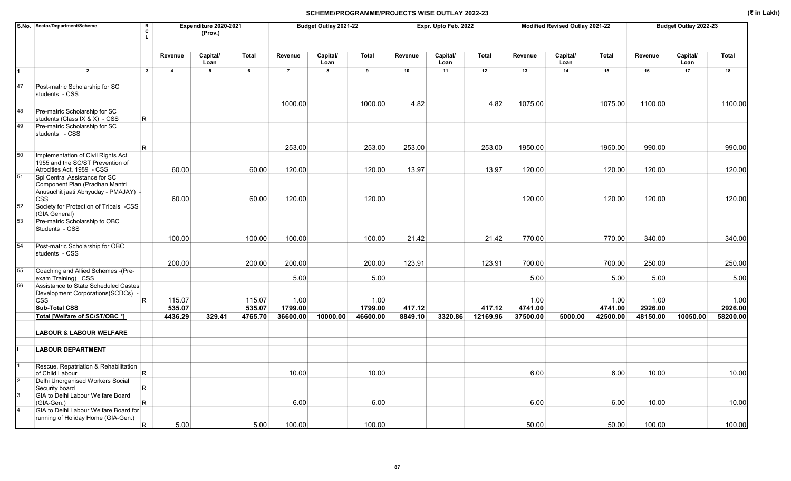|    | S.No. Sector/Department/Scheme<br>R<br>C<br>T.                                                                        |                         | Expenditure 2020-2021<br>(Prov.) |         |                | Budget Outlay 2021-22   |                     |                   | Expr. Upto Feb. 2022 |                    |                     | Modified Revised Outlay 2021-22 |          |                     | Budget Outlay 2022-23 |                     |
|----|-----------------------------------------------------------------------------------------------------------------------|-------------------------|----------------------------------|---------|----------------|-------------------------|---------------------|-------------------|----------------------|--------------------|---------------------|---------------------------------|----------|---------------------|-----------------------|---------------------|
|    |                                                                                                                       | Revenue                 | Capital/<br>Loan                 | Total   | Revenue        | Capital/<br>Loan        | <b>Total</b>        | Revenue           | Capital/<br>Loan     | <b>Total</b>       | Revenue             | Capital/<br>Loan                | Total    | Revenue             | Capital/<br>Loan      | <b>Total</b>        |
| 1  | $\overline{2}$<br>$\mathbf{3}$                                                                                        | $\overline{\mathbf{4}}$ | $5\overline{5}$                  | 6       | $\overline{7}$ | $\overline{\mathbf{8}}$ | 9                   | 10                | 11                   | 12                 | 13                  | 14                              | 15       | 16                  | 17                    | 18                  |
| 47 | Post-matric Scholarship for SC<br>students - CSS                                                                      |                         |                                  |         | 1000.00        |                         | 1000.00             | 4.82              |                      | 4.82               | 1075.00             |                                 | 1075.00  | 1100.00             |                       | 1100.00             |
| 48 | Pre-matric Scholarship for SC<br>R.<br>students (Class IX & X) - CSS                                                  |                         |                                  |         |                |                         |                     |                   |                      |                    |                     |                                 |          |                     |                       |                     |
| 49 | Pre-matric Scholarship for SC<br>students - CSS                                                                       |                         |                                  |         |                |                         |                     |                   |                      |                    |                     |                                 |          |                     |                       |                     |
|    | $\mathsf R$                                                                                                           |                         |                                  |         | 253.00         |                         | 253.00              | 253.00            |                      | 253.00             | 1950.00             |                                 | 1950.00  | 990.00              |                       | 990.00              |
| 50 | Implementation of Civil Rights Act<br>1955 and the SC/ST Prevention of                                                |                         |                                  |         |                |                         |                     |                   |                      |                    |                     |                                 |          |                     |                       |                     |
|    | Atrocities Act. 1989 - CSS                                                                                            | 60.00                   |                                  | 60.00   | 120.00         |                         | 120.00              | 13.97             |                      | 13.97              | 120.00              |                                 | 120.00   | 120.00              |                       | 120.00              |
| 51 | Spl Central Assistance for SC<br>Component Plan (Pradhan Mantri<br>Anusuchit jaati Abhyuday - PMAJAY) -<br><b>CSS</b> | 60.00                   |                                  | 60.00   | 120.00         |                         | 120.00              |                   |                      |                    | 120.00              |                                 | 120.00   | 120.00              |                       | 120.00              |
| 52 | Society for Protection of Tribals -CSS<br>(GIA General)                                                               |                         |                                  |         |                |                         |                     |                   |                      |                    |                     |                                 |          |                     |                       |                     |
| 53 | Pre-matric Scholarship to OBC<br>Students - CSS                                                                       |                         |                                  |         |                |                         |                     |                   |                      |                    |                     |                                 |          |                     |                       |                     |
|    |                                                                                                                       | 100.00                  |                                  | 100.00  | 100.00         |                         | 100.00              | 21.42             |                      | 21.42              | 770.00              |                                 | 770.00   | 340.00              |                       | 340.00              |
| 54 | Post-matric Scholarship for OBC<br>students - CSS                                                                     |                         |                                  |         |                |                         |                     |                   |                      |                    |                     |                                 |          |                     |                       |                     |
|    |                                                                                                                       | 200.00                  |                                  | 200.00  | 200.00         |                         | 200.00              | 123.91            |                      | 123.91             | 700.00              |                                 | 700.00   | 250.00              |                       | 250.00              |
| 55 | Coaching and Allied Schemes - (Pre-<br>exam Training) CSS                                                             |                         |                                  |         | 5.00           |                         | 5.00                |                   |                      |                    | 5.00                |                                 | 5.00     | 5.00                |                       | 5.00                |
| 56 | Assistance to State Scheduled Castes<br>Development Corporations(SCDCs) -                                             |                         |                                  |         |                |                         |                     |                   |                      |                    |                     |                                 |          |                     |                       |                     |
|    | R<br><b>CSS</b><br><b>Sub-Total CSS</b>                                                                               | 115.07                  |                                  | 115.07  | 1.00           |                         | 1.00                |                   |                      |                    | 1.00                |                                 | 1.00     | 1.00                |                       | 1.00                |
|    | Total [Welfare of SC/ST/OBC *]                                                                                        | 535.07                  |                                  | 535.07  | 1799.00        |                         | 1799.00<br>46600.00 | 417.12<br>8849.10 |                      | 417.12<br>12169.96 | 4741.00<br>37500.00 |                                 | 4741.00  | 2926.00<br>48150.00 | 10050.00              | 2926.00<br>58200.00 |
|    |                                                                                                                       | 4436.29                 | 329.41                           | 4765.70 | 36600.00       | 10000.00                |                     |                   | 3320.86              |                    |                     | 5000.00                         | 42500.00 |                     |                       |                     |
|    | <b>LABOUR &amp; LABOUR WELFARE</b>                                                                                    |                         |                                  |         |                |                         |                     |                   |                      |                    |                     |                                 |          |                     |                       |                     |
|    | <b>LABOUR DEPARTMENT</b>                                                                                              |                         |                                  |         |                |                         |                     |                   |                      |                    |                     |                                 |          |                     |                       |                     |
|    | Rescue, Repatriation & Rehabilitation                                                                                 |                         |                                  |         |                |                         |                     |                   |                      |                    |                     |                                 |          |                     |                       |                     |
|    | R<br>of Child Labour                                                                                                  |                         |                                  |         | 10.00          |                         | 10.00               |                   |                      |                    | 6.00                |                                 | 6.00     | 10.00               |                       | 10.00               |
|    | Delhi Unorganised Workers Social<br>$\mathsf{R}$<br>Security board                                                    |                         |                                  |         |                |                         |                     |                   |                      |                    |                     |                                 |          |                     |                       |                     |
|    | GIA to Delhi Labour Welfare Board<br>$\mathsf R$<br>(GIA-Gen.)                                                        |                         |                                  |         | 6.00           |                         | 6.00                |                   |                      |                    | 6.00                |                                 | 6.00     | 10.00               |                       | 10.00               |
|    | GIA to Delhi Labour Welfare Board for<br>running of Holiday Home (GIA-Gen.)                                           |                         |                                  |         |                |                         |                     |                   |                      |                    |                     |                                 |          |                     |                       |                     |
|    | R.                                                                                                                    | 5.00                    |                                  | 5.00    | 100.00         |                         | 100.00              |                   |                      |                    | 50.00               |                                 | 50.00    | 100.00              |                       | 100.00              |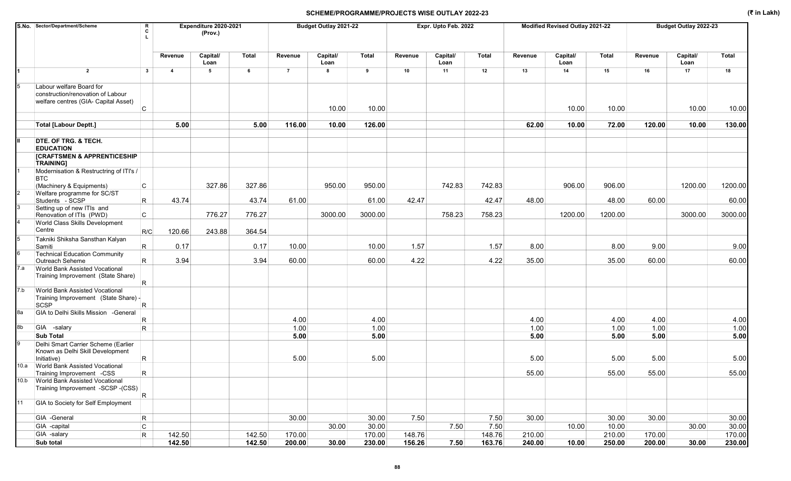|      | S.No. Sector/Department/Scheme                                                                         | R<br>C                       |                | Expenditure 2020-2021<br>(Prov.) |        |                | Budget Outlay 2021-22 |                |         | Expr. Upto Feb. 2022 |              |              | Modified Revised Outlay 2021-22 |                 |              | Budget Outlay 2022-23 |                |
|------|--------------------------------------------------------------------------------------------------------|------------------------------|----------------|----------------------------------|--------|----------------|-----------------------|----------------|---------|----------------------|--------------|--------------|---------------------------------|-----------------|--------------|-----------------------|----------------|
|      |                                                                                                        |                              | Revenue        | Capital/<br>Loan                 | Total  | Revenue        | Capital/<br>Loan      | <b>Total</b>   | Revenue | Capital/<br>Loan     | Total        | Revenue      | Capital/<br>Loan                | <b>Total</b>    | Revenue      | Capital/<br>Loan      | Total          |
| 1    | $\overline{2}$                                                                                         | $\mathbf{3}$                 | $\overline{4}$ | 5                                | 6      | $\overline{7}$ | 8                     | 9              | 10      | 11                   | 12           | 13           | 14                              | 15              | 16           | 17                    | 18             |
|      | Labour welfare Board for<br>construction/renovation of Labour<br>welfare centres (GIA- Capital Asset)  | C                            |                |                                  |        |                | 10.00                 | 10.00          |         |                      |              |              | 10.00                           | 10.00           |              | 10.00                 | 10.00          |
|      | <b>Total [Labour Deptt.]</b>                                                                           |                              | 5.00           |                                  | 5.00   | 116.00         | 10.00                 | 126.00         |         |                      |              | 62.00        | 10.00                           | 72.00           | 120.00       | 10.00                 | 130.00         |
|      | DTE. OF TRG. & TECH.<br><b>EDUCATION</b><br><b>[CRAFTSMEN &amp; APPRENTICESHIP</b><br><b>TRAINING]</b> |                              |                |                                  |        |                |                       |                |         |                      |              |              |                                 |                 |              |                       |                |
|      | Modernisation & Restructring of ITI's /<br><b>BTC</b><br>(Machinery & Equipments)                      | $\mathsf{C}$                 |                | 327.86                           | 327.86 |                | 950.00                | 950.00         |         | 742.83               | 742.83       |              | 906.00                          | 906.00          |              | 1200.00               | 1200.00        |
|      | Welfare programme for SC/ST<br>Students - SCSP                                                         | R                            | 43.74          |                                  | 43.74  | 61.00          |                       | 61.00          | 42.47   |                      | 42.47        | 48.00        |                                 | 48.00           | 60.00        |                       | 60.00          |
|      | Setting up of new ITIs and<br>Renovation of ITIs (PWD)                                                 | C                            |                | 776.27                           | 776.27 |                | 3000.00               | 3000.00        |         | 758.23               | 758.23       |              | 1200.00                         | 1200.00         |              | 3000.00               | 3000.00        |
|      | World Class Skills Development<br>Centre                                                               | R/C                          | 120.66         | 243.88                           | 364.54 |                |                       |                |         |                      |              |              |                                 |                 |              |                       |                |
|      | Takniki Shiksha Sansthan Kalyan<br>Samiti                                                              | $\mathsf R$                  | 0.17           |                                  | 0.17   | 10.00          |                       | 10.00          | 1.57    |                      | 1.57         | 8.00         |                                 | 8.00            | 9.00         |                       | 9.00           |
| 7.a  | <b>Technical Education Community</b><br>Outreach Seheme<br><b>World Bank Assisted Vocational</b>       | R.                           | 3.94           |                                  | 3.94   | 60.00          |                       | 60.00          | 4.22    |                      | 4.22         | 35.00        |                                 | 35.00           | 60.00        |                       | 60.00          |
|      | Training Improvement (State Share)                                                                     | R                            |                |                                  |        |                |                       |                |         |                      |              |              |                                 |                 |              |                       |                |
| 7.b  | <b>World Bank Assisted Vocational</b><br>Training Improvement (State Share) -<br>SCSP                  | $\vert R \vert$              |                |                                  |        |                |                       |                |         |                      |              |              |                                 |                 |              |                       |                |
| 8a   | GIA to Delhi Skills Mission - General                                                                  | R                            |                |                                  |        | 4.00           |                       | 4.00           |         |                      |              | 4.00         |                                 | 4.00            | 4.00         |                       | 4.00           |
| 8b   | GIA -salary<br><b>Sub Total</b>                                                                        | R                            |                |                                  |        | 1.00<br>5.00   |                       | 1.00<br>5.00   |         |                      |              | 1.00<br>5.00 |                                 | 1.00<br>5.00    | 1.00<br>5.00 |                       | 1.00<br>5.00   |
|      | Delhi Smart Carrier Scheme (Earlier<br>Known as Delhi Skill Development<br>Initiative)                 | R                            |                |                                  |        | 5.00           |                       | 5.00           |         |                      |              | 5.00         |                                 | 5.00            | 5.00         |                       | 5.00           |
| 10.a | <b>World Bank Assisted Vocational</b><br>Training Improvement -CSS                                     | R                            |                |                                  |        |                |                       |                |         |                      |              | 55.00        |                                 | 55.00           | 55.00        |                       | 55.00          |
|      | 10.b World Bank Assisted Vocational<br>Training Improvement -SCSP -(CSS)                               | R.                           |                |                                  |        |                |                       |                |         |                      |              |              |                                 |                 |              |                       |                |
| 11   | GIA to Society for Self Employment                                                                     |                              |                |                                  |        |                |                       |                |         |                      |              |              |                                 |                 |              |                       |                |
|      | GIA -General<br>GIA -capital                                                                           | $\mathsf{R}$<br>$\mathtt{C}$ |                |                                  |        | 30.00          | 30.00                 | 30.00<br>30.00 | 7.50    | 7.50                 | 7.50<br>7.50 | 30.00        | 10.00                           | 30.00           | 30.00        | 30.00                 | 30.00<br>30.00 |
|      | GIA -salary                                                                                            | $\mathsf R$                  | 142.50         |                                  | 142.50 | 170.00         |                       | 170.00         | 148.76  |                      | 148.76       | 210.00       |                                 | 10.00<br>210.00 | 170.00       |                       | 170.00         |
|      | Sub total                                                                                              |                              | 142.50         |                                  | 142.50 | 200.00         | 30.00                 | 230.00         | 156.26  | 7.50                 | 163.76       | 240.00       | 10.00                           | 250.00          | 200.00       | 30.00                 | 230.00         |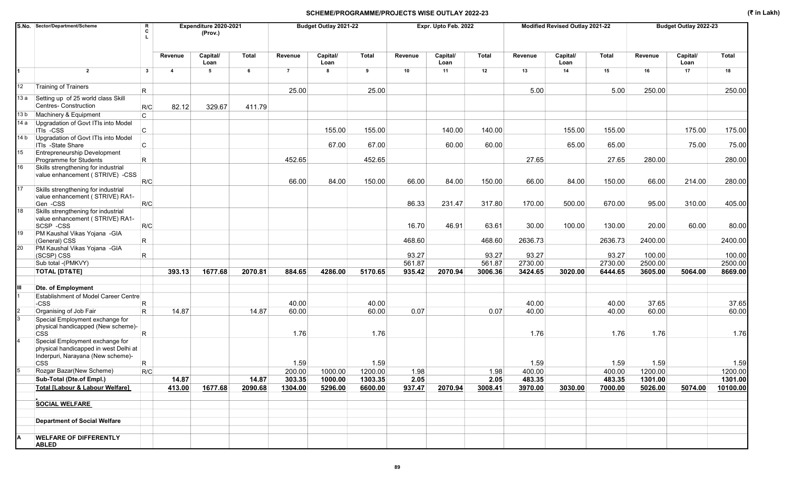|      | S.No. Sector/Department/Scheme                                                                                              | R<br>C       |                | Expenditure 2020-2021<br>(Prov.) |              |                | Budget Outlay 2021-22 |         |         | Expr. Upto Feb. 2022 |              |         | Modified Revised Outlay 2021-22 |              |         | Budget Outlay 2022-23 |          |
|------|-----------------------------------------------------------------------------------------------------------------------------|--------------|----------------|----------------------------------|--------------|----------------|-----------------------|---------|---------|----------------------|--------------|---------|---------------------------------|--------------|---------|-----------------------|----------|
|      |                                                                                                                             |              | Revenue        | Capital/<br>Loan                 | <b>Total</b> | Revenue        | Capital/<br>Loan      | Total   | Revenue | Capital/<br>Loan     | <b>Total</b> | Revenue | Capital/<br>Loan                | <b>Total</b> | Revenue | Capital/<br>Loan      | Total    |
|      | $\overline{2}$                                                                                                              | $\mathbf{3}$ | $\overline{4}$ | 5                                | 6            | $\overline{7}$ | 8                     | 9       | 10      | 11                   | 12           | 13      | 14                              | 15           | 16      | 17                    | 18       |
| 12   | <b>Training of Trainers</b>                                                                                                 | R            |                |                                  |              | 25.00          |                       | 25.00   |         |                      |              | 5.00    |                                 | 5.00         | 250.00  |                       | 250.00   |
| 13 a | Setting up of 25 world class Skill<br>Centres- Construction                                                                 | R/C          | 82.12          | 329.67                           | 411.79       |                |                       |         |         |                      |              |         |                                 |              |         |                       |          |
| 13 b | Machinery & Equipment                                                                                                       | C            |                |                                  |              |                |                       |         |         |                      |              |         |                                 |              |         |                       |          |
| 14 a | Upgradation of Govt ITIs into Model<br>ITIs -CSS                                                                            | C            |                |                                  |              |                | 155.00                | 155.00  |         | 140.00               | 140.00       |         | 155.00                          | 155.00       |         | 175.00                | 175.00   |
| 14 b | Upgradation of Govt ITIs into Model<br>ITIs -State Share                                                                    | C            |                |                                  |              |                | 67.00                 | 67.00   |         | 60.00                | 60.00        |         | 65.00                           | 65.00        |         | 75.00                 | 75.00    |
| 15   | <b>Entrepreneurship Development</b><br>Programme for Students                                                               | R            |                |                                  |              | 452.65         |                       | 452.65  |         |                      |              | 27.65   |                                 | 27.65        | 280.00  |                       | 280.00   |
| 16   | Skills strengthening for industrial<br>value enhancement (STRIVE) -CSS                                                      | R/C          |                |                                  |              | 66.00          | 84.00                 | 150.00  | 66.00   | 84.00                | 150.00       | 66.00   | 84.00                           | 150.00       | 66.00   | 214.00                | 280.00   |
| 17   | Skills strengthening for industrial<br>value enhancement (STRIVE) RA1-<br>Gen -CSS                                          | R/C          |                |                                  |              |                |                       |         | 86.33   | 231.47               | 317.80       | 170.00  | 500.00                          | 670.00       | 95.00   | 310.00                | 405.00   |
| 18   | Skills strengthening for industrial<br>value enhancement (STRIVE) RA1-<br>SCSP-CSS                                          | R/C          |                |                                  |              |                |                       |         | 16.70   | 46.91                | 63.61        | 30.00   | 100.00                          | 130.00       | 20.00   | 60.00                 | 80.00    |
| 19   | PM Kaushal Vikas Yojana - GIA                                                                                               |              |                |                                  |              |                |                       |         |         |                      |              |         |                                 |              |         |                       |          |
|      | (General) CSS                                                                                                               | R            |                |                                  |              |                |                       |         | 468.60  |                      | 468.60       | 2636.73 |                                 | 2636.73      | 2400.00 |                       | 2400.00  |
| 20   | PM Kaushal Vikas Yojana - GIA<br>(SCSP) CSS                                                                                 | R            |                |                                  |              |                |                       |         | 93.27   |                      | 93.27        | 93.27   |                                 | 93.27        | 100.00  |                       | 100.00   |
|      | Sub total -(PMKVY)                                                                                                          |              |                |                                  |              |                |                       |         | 561.87  |                      | 561.87       | 2730.00 |                                 | 2730.00      | 2500.00 |                       | 2500.00  |
|      | <b>TOTAL [DT&amp;TE]</b>                                                                                                    |              | 393.13         | 1677.68                          | 2070.81      | 884.65         | 4286.00               | 5170.65 | 935.42  | 2070.94              | 3006.36      | 3424.65 | 3020.00                         | 6444.65      | 3605.00 | 5064.00               | 8669.00  |
|      |                                                                                                                             |              |                |                                  |              |                |                       |         |         |                      |              |         |                                 |              |         |                       |          |
|      | Dte. of Employment                                                                                                          |              |                |                                  |              |                |                       |         |         |                      |              |         |                                 |              |         |                       |          |
|      | Establishment of Model Career Centre<br>-CSS                                                                                | R            |                |                                  |              | 40.00          |                       | 40.00   |         |                      |              | 40.00   |                                 | 40.00        | 37.65   |                       | 37.65    |
|      | Organising of Job Fair                                                                                                      | R            | 14.87          |                                  | 14.87        | 60.00          |                       | 60.00   | 0.07    |                      | 0.07         | 40.00   |                                 | 40.00        | 60.00   |                       | 60.00    |
|      | Special Employment exchange for<br>physical handicapped (New scheme)-<br><b>CSS</b>                                         | R            |                |                                  |              | 1.76           |                       | 1.76    |         |                      |              | 1.76    |                                 | 1.76         | 1.76    |                       | 1.76     |
|      | Special Employment exchange for<br>physical handicapped in west Delhi at<br>Inderpuri, Narayana (New scheme)-<br><b>CSS</b> | R            |                |                                  |              | 1.59           |                       | 1.59    |         |                      |              | 1.59    |                                 | 1.59         | 1.59    |                       | 1.59     |
|      | Rozgar Bazar(New Scheme)                                                                                                    | R/C          |                |                                  |              | 200.00         | 1000.00               | 1200.00 | 1.98    |                      | 1.98         | 400.00  |                                 | 400.00       | 1200.00 |                       | 1200.00  |
|      | Sub-Total (Dte.of Empl.)                                                                                                    |              | 14.87          |                                  | 14.87        | 303.35         | 1000.00               | 1303.35 | 2.05    |                      | 2.05         | 483.35  |                                 | 483.35       | 1301.00 |                       | 1301.00  |
|      | Total [Labour & Labour Welfare]                                                                                             |              | 413.00         | 1677.68                          | 2090.68      | 1304.00        | 5296.00               | 6600.00 | 937.47  | 2070.94              | 3008.41      | 3970.00 | 3030.00                         | 7000.00      | 5026.00 | 5074.00               | 10100.00 |
|      | <b>SOCIAL WELFARE</b>                                                                                                       |              |                |                                  |              |                |                       |         |         |                      |              |         |                                 |              |         |                       |          |
|      | <b>Department of Social Welfare</b>                                                                                         |              |                |                                  |              |                |                       |         |         |                      |              |         |                                 |              |         |                       |          |
|      | <b>WELFARE OF DIFFERENTLY</b><br><b>ABLED</b>                                                                               |              |                |                                  |              |                |                       |         |         |                      |              |         |                                 |              |         |                       |          |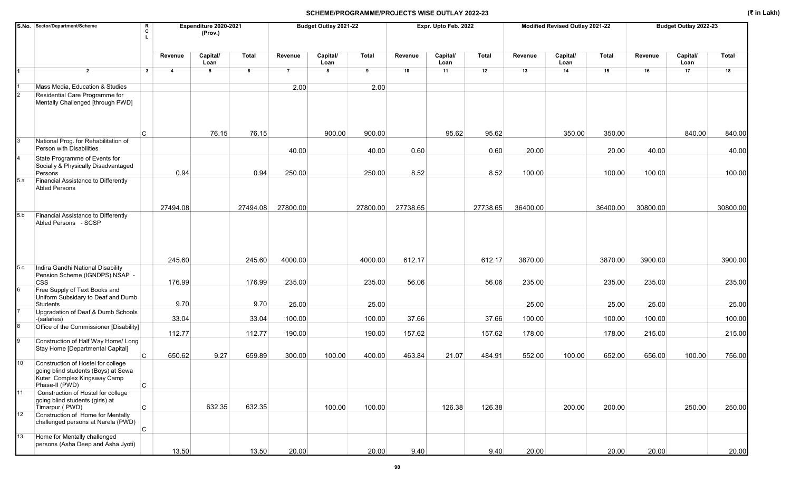|     | S.No. Sector/Department/Scheme                                                                                             |              |                         | Expenditure 2020-2021<br>(Prov.) |              |                | Budget Outlay 2021-22 |              |          | Expr. Upto Feb. 2022 |              |          | Modified Revised Outlay 2021-22 |              |          | Budget Outlay 2022-23 |              |
|-----|----------------------------------------------------------------------------------------------------------------------------|--------------|-------------------------|----------------------------------|--------------|----------------|-----------------------|--------------|----------|----------------------|--------------|----------|---------------------------------|--------------|----------|-----------------------|--------------|
|     |                                                                                                                            |              | Revenue                 | Capital/<br>Loan                 | <b>Total</b> | Revenue        | Capital/<br>Loan      | <b>Total</b> | Revenue  | Capital/<br>Loan     | <b>Total</b> | Revenue  | Capital/<br>Loan                | <b>Total</b> | Revenue  | Capital/<br>Loan      | <b>Total</b> |
| 1   | $\overline{2}$                                                                                                             | $\mathbf{3}$ | $\overline{\mathbf{4}}$ | $5\phantom{a}$                   | 6            | $\overline{7}$ | 8                     | 9            | 10       | 11                   | 12           | 13       | 14                              | 15           | 16       | 17                    | 18           |
|     | Mass Media, Education & Studies                                                                                            |              |                         |                                  |              | 2.00           |                       | 2.00         |          |                      |              |          |                                 |              |          |                       |              |
|     | Residential Care Programme for<br>Mentally Challenged [through PWD]                                                        |              |                         |                                  |              |                |                       |              |          |                      |              |          |                                 |              |          |                       |              |
|     |                                                                                                                            | C            |                         | 76.15                            | 76.15        |                | 900.00                | 900.00       |          | 95.62                | 95.62        |          | 350.00                          | 350.00       |          | 840.00                | 840.00       |
|     | National Prog. for Rehabilitation of<br>Person with Disabilities                                                           |              |                         |                                  |              | 40.00          |                       | 40.00        | 0.60     |                      | 0.60         | 20.00    |                                 | 20.00        | 40.00    |                       | 40.00        |
|     | State Programme of Events for<br>Socially & Physically Disadvantaged<br>Persons                                            |              | 0.94                    |                                  | 0.94         | 250.00         |                       | 250.00       | 8.52     |                      | 8.52         | 100.00   |                                 | 100.00       | 100.00   |                       | 100.00       |
| 5.a | Financial Assistance to Differently<br><b>Abled Persons</b>                                                                |              |                         |                                  |              |                |                       |              |          |                      |              |          |                                 |              |          |                       |              |
|     |                                                                                                                            |              | 27494.08                |                                  | 27494.08     | 27800.00       |                       | 27800.00     | 27738.65 |                      | 27738.65     | 36400.00 |                                 | 36400.00     | 30800.00 |                       | 30800.00     |
| 5.b | Financial Assistance to Differently<br>Abled Persons - SCSP                                                                |              |                         |                                  |              |                |                       |              |          |                      |              |          |                                 |              |          |                       |              |
|     |                                                                                                                            |              | 245.60                  |                                  | 245.60       | 4000.00        |                       | 4000.00      | 612.17   |                      | 612.17       | 3870.00  |                                 | 3870.00      | 3900.00  |                       | 3900.00      |
| 5.c | Indira Gandhi National Disability<br>Pension Scheme (IGNDPS) NSAP -<br><b>CSS</b>                                          |              | 176.99                  |                                  | 176.99       | 235.00         |                       | 235.00       | 56.06    |                      | 56.06        | 235.00   |                                 | 235.00       | 235.00   |                       | 235.00       |
|     | Free Supply of Text Books and<br>Uniform Subsidary to Deaf and Dumb<br>Students                                            |              | 9.70                    |                                  | 9.70         | 25.00          |                       | 25.00        |          |                      |              | 25.00    |                                 | 25.00        | 25.00    |                       | 25.00        |
|     | Upgradation of Deaf & Dumb Schools                                                                                         |              | 33.04                   |                                  |              | 100.00         |                       | 100.00       | 37.66    |                      | 37.66        | 100.00   |                                 |              | 100.00   |                       | 100.00       |
|     | -(salaries)<br>Office of the Commissioner [Disability]                                                                     |              |                         |                                  | 33.04        |                |                       |              |          |                      |              |          |                                 | 100.00       |          |                       |              |
|     | Construction of Half Way Home/ Long                                                                                        |              | 112.77                  |                                  | 112.77       | 190.00         |                       | 190.00       | 157.62   |                      | 157.62       | 178.00   |                                 | 178.00       | 215.00   |                       | 215.00       |
|     | Stay Home [Departmental Capital]                                                                                           | C            | 650.62                  | 9.27                             | 659.89       | 300.00         | 100.00                | 400.00       | 463.84   | 21.07                | 484.91       | 552.00   | 100.00                          | 652.00       | 656.00   | 100.00                | 756.00       |
| 10  | Construction of Hostel for college<br>going blind students (Boys) at Sewa<br>Kuter Complex Kingsway Camp<br>Phase-II (PWD) | $\mathtt{C}$ |                         |                                  |              |                |                       |              |          |                      |              |          |                                 |              |          |                       |              |
| 11  | Construction of Hostel for college<br>going blind students (girls) at<br>Timarpur (PWD)                                    | $\mathsf{C}$ |                         | 632.35                           | 632.35       |                | 100.00                | 100.00       |          | 126.38               | 126.38       |          | 200.00                          | 200.00       |          | 250.00                | 250.00       |
| 12  | Construction of Home for Mentally<br>challenged persons at Narela (PWD)                                                    | $\mathsf{C}$ |                         |                                  |              |                |                       |              |          |                      |              |          |                                 |              |          |                       |              |
| 13  | Home for Mentally challenged<br>persons (Asha Deep and Asha Jyoti)                                                         |              | 13.50                   |                                  | 13.50        | 20.00          |                       | 20.00        | 9.40     |                      | 9.40         | 20.00    |                                 | 20.00        | 20.00    |                       | 20.00        |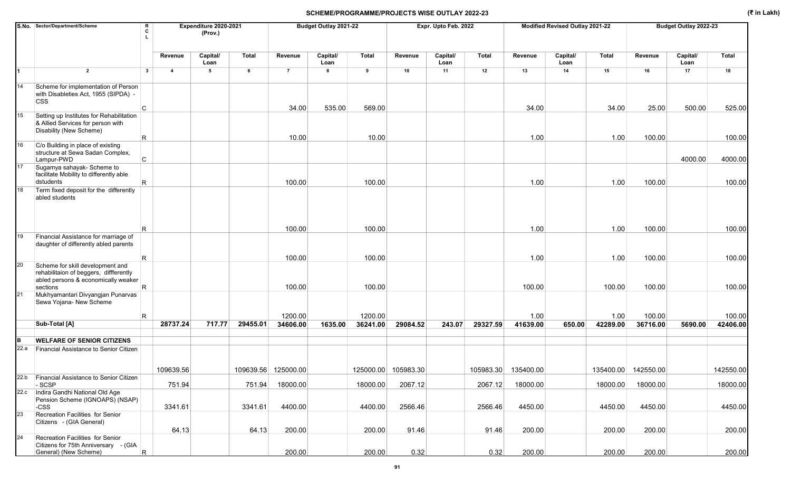|      | S.No. Sector/Department/Scheme<br>R<br>C                                                                          |                         | Expenditure 2020-2021<br>(Prov.) |          |                     | Budget Outlay 2021-22 |                     |                     | Expr. Upto Feb. 2022 |           |                  | Modified Revised Outlay 2021-22 |                  |                     | Budget Outlay 2022-23 |                    |
|------|-------------------------------------------------------------------------------------------------------------------|-------------------------|----------------------------------|----------|---------------------|-----------------------|---------------------|---------------------|----------------------|-----------|------------------|---------------------------------|------------------|---------------------|-----------------------|--------------------|
|      |                                                                                                                   |                         |                                  |          |                     |                       |                     |                     |                      |           |                  |                                 |                  |                     |                       |                    |
|      |                                                                                                                   | Revenue                 | Capital/<br>Loan                 | Total    | Revenue             | Capital/<br>Loan      | <b>Total</b>        | Revenue             | Capital/<br>Loan     | Total     | Revenue          | Capital/<br>Loan                | <b>Total</b>     | Revenue             | Capital/<br>Loan      | <b>Total</b>       |
| 1    | $\overline{2}$<br>$\mathbf{3}$                                                                                    | $\overline{\mathbf{4}}$ | 5                                | 6        | $\overline{7}$      | 8                     | 9                   | 10                  | 11                   | 12        | 13               | 14                              | 15               | 16                  | 17                    | 18                 |
| 14   | Scheme for implementation of Person<br>with Disableties Act, 1955 (SIPDA) -<br><b>CSS</b>                         |                         |                                  |          |                     |                       |                     |                     |                      |           |                  |                                 |                  |                     |                       |                    |
|      | C                                                                                                                 |                         |                                  |          | 34.00               | 535.00                | 569.00              |                     |                      |           | 34.00            |                                 | 34.00            | 25.00               | 500.00                | 525.00             |
| 15   | Setting up Institutes for Rehabilitation<br>& Allied Services for person with<br>Disability (New Scheme)<br>R     |                         |                                  |          | 10.00               |                       | 10.00               |                     |                      |           | 1.00             |                                 | 1.00             | 100.00              |                       | 100.00             |
| 16   | C/o Building in place of existing                                                                                 |                         |                                  |          |                     |                       |                     |                     |                      |           |                  |                                 |                  |                     |                       |                    |
|      | structure at Sewa Sadan Complex,<br>C<br>Lampur-PWD                                                               |                         |                                  |          |                     |                       |                     |                     |                      |           |                  |                                 |                  |                     | 4000.00               | 4000.00            |
| 17   | Sugamya sahayak- Scheme to                                                                                        |                         |                                  |          |                     |                       |                     |                     |                      |           |                  |                                 |                  |                     |                       |                    |
|      | facilitate Mobility to differently able<br>dstudents<br>R                                                         |                         |                                  |          | 100.00              |                       | 100.00              |                     |                      |           | 1.00             |                                 | 1.00             | 100.00              |                       | 100.00             |
| 18   | Term fixed deposit for the differently<br>abled students                                                          |                         |                                  |          |                     |                       |                     |                     |                      |           |                  |                                 |                  |                     |                       |                    |
|      | R.                                                                                                                |                         |                                  |          | 100.00              |                       | 100.00              |                     |                      |           | 1.00             |                                 | 1.00             | 100.00              |                       | 100.00             |
| 19   | Financial Assistance for marriage of<br>daughter of differently abled parents<br>R                                |                         |                                  |          | 100.00              |                       | 100.00              |                     |                      |           | 1.00             |                                 | 1.00             | 100.00              |                       | 100.00             |
| 20   | Scheme for skill development and<br>rehabilitaion of beggers, diffferently<br>abled persons & economically weaker |                         |                                  |          |                     |                       |                     |                     |                      |           |                  |                                 |                  |                     |                       |                    |
|      | R.<br>sections                                                                                                    |                         |                                  |          | 100.00              |                       | 100.00              |                     |                      |           | 100.00           |                                 | 100.00           | 100.00              |                       | 100.00             |
| 21   | Mukhyamantari Divyangjan Punarvas<br>Sewa Yojana- New Scheme                                                      |                         |                                  |          |                     |                       |                     |                     |                      |           |                  |                                 |                  |                     |                       |                    |
|      | R<br>Sub-Total [A]                                                                                                | 28737.24                | 717.77                           | 29455.01 | 1200.00<br>34606.00 | 1635.00               | 1200.00<br>36241.00 | 29084.52            | 243.07               | 29327.59  | 1.00<br>41639.00 | 650.00                          | 1.00<br>42289.00 | 100.00<br>36716.00  | 5690.00               | 100.00<br>42406.00 |
|      |                                                                                                                   |                         |                                  |          |                     |                       |                     |                     |                      |           |                  |                                 |                  |                     |                       |                    |
| B    | <b>WELFARE OF SENIOR CITIZENS</b>                                                                                 |                         |                                  |          |                     |                       |                     |                     |                      |           |                  |                                 |                  |                     |                       |                    |
| 22.a | Financial Assistance to Senior Citizen                                                                            |                         |                                  |          |                     |                       |                     |                     |                      |           |                  |                                 |                  |                     |                       |                    |
|      |                                                                                                                   | 109639.56               |                                  |          | 109639.56 125000.00 |                       |                     | 125000.00 105983.30 |                      | 105983.30 | 135400.00        |                                 |                  | 135400.00 142550.00 |                       | 142550.00          |
| 22.b | Financial Assistance to Senior Citizen<br>$-SCSP$                                                                 | 751.94                  |                                  | 751.94   | 18000.00            |                       | 18000.00            | 2067.12             |                      | 2067.12   | 18000.00         |                                 | 18000.00         | 18000.00            |                       | 18000.00           |
| 22.c | Indira Gandhi National Old Age<br>Pension Scheme (IGNOAPS) (NSAP)                                                 |                         |                                  |          |                     |                       |                     |                     |                      |           |                  |                                 |                  |                     |                       |                    |
| 23   | -CSS<br>Recreation Facilities for Senior                                                                          | 3341.61                 |                                  | 3341.61  | 4400.00             |                       | 4400.00             | 2566.46             |                      | 2566.46   | 4450.00          |                                 | 4450.00          | 4450.00             |                       | 4450.00            |
|      | Citizens - (GIA General)                                                                                          |                         |                                  |          |                     |                       |                     |                     |                      |           |                  |                                 |                  |                     |                       |                    |
| 24   | Recreation Facilities for Senior                                                                                  | 64.13                   |                                  | 64.13    | 200.00              |                       | 200.00              | 91.46               |                      | 91.46     | 200.00           |                                 | 200.00           | 200.00              |                       | 200.00             |
|      | Citizens for 75th Anniversary - (GIA                                                                              |                         |                                  |          |                     |                       |                     |                     |                      |           |                  |                                 |                  |                     |                       |                    |
|      | $\overline{\mathsf{R}}$<br>General) (New Scheme)                                                                  |                         |                                  |          | 200.00              |                       | 200.00              | 0.32                |                      | 0.32      | 200.00           |                                 | 200.00           | 200.00              |                       | 200.00             |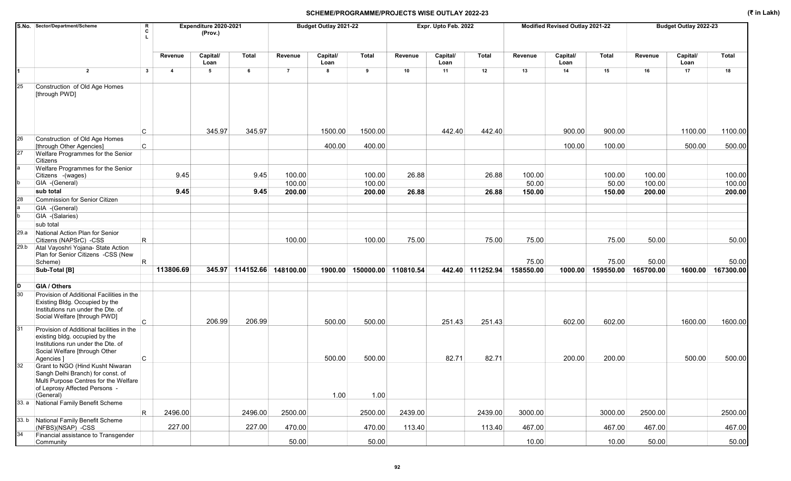|      | S.No. Sector/Department/Scheme<br>R<br>c                                                                                                                              |                         | Expenditure 2020-2021<br>(Prov.) |                            |                  | Budget Outlay 2021-22 |                             |         | Expr. Upto Feb. 2022 |                  |                 | Modified Revised Outlay 2021-22 |                 |                  | Budget Outlay 2022-23 |                  |
|------|-----------------------------------------------------------------------------------------------------------------------------------------------------------------------|-------------------------|----------------------------------|----------------------------|------------------|-----------------------|-----------------------------|---------|----------------------|------------------|-----------------|---------------------------------|-----------------|------------------|-----------------------|------------------|
|      |                                                                                                                                                                       | Revenue                 | Capital/<br>Loan                 | <b>Total</b>               | Revenue          | Capital/<br>Loan      | <b>Total</b>                | Revenue | Capital/<br>Loan     | Total            | Revenue         | Capital/<br>Loan                | <b>Total</b>    | Revenue          | Capital/<br>Loan      | <b>Total</b>     |
| 1    | $\overline{2}$<br>$\mathbf{3}$                                                                                                                                        | $\overline{\mathbf{4}}$ | 5                                | 6                          | $\overline{7}$   | 8                     | 9                           | 10      | 11                   | 12               | 13              | 14                              | 15              | 16               | 17                    | 18               |
| 25   | Construction of Old Age Homes<br>[through PWD]                                                                                                                        |                         |                                  |                            |                  |                       |                             |         |                      |                  |                 |                                 |                 |                  |                       |                  |
|      | С                                                                                                                                                                     |                         | 345.97                           | 345.97                     |                  | 1500.00               | 1500.00                     |         | 442.40               | 442.40           |                 | 900.00                          | 900.00          |                  | 1100.00               | 1100.00          |
| 26   | Construction of Old Age Homes<br>C<br>[through Other Agencies]                                                                                                        |                         |                                  |                            |                  | 400.00                | 400.00                      |         |                      |                  |                 | 100.00                          | 100.00          |                  | 500.00                | 500.00           |
| 27   | Welfare Programmes for the Senior<br>Citizens                                                                                                                         |                         |                                  |                            |                  |                       |                             |         |                      |                  |                 |                                 |                 |                  |                       |                  |
|      | Welfare Programmes for the Senior<br>Citizens - (wages)<br>GIA -(General)                                                                                             | 9.45                    |                                  | 9.45                       | 100.00<br>100.00 |                       | 100.00<br>100.00            | 26.88   |                      | 26.88            | 100.00<br>50.00 |                                 | 100.00<br>50.00 | 100.00<br>100.00 |                       | 100.00<br>100.00 |
|      | sub total                                                                                                                                                             | 9.45                    |                                  | 9.45                       | 200.00           |                       | 200.00                      | 26.88   |                      | 26.88            | 150.00          |                                 | 150.00          | 200.00           |                       | 200.00           |
| 28   | Commission for Senior Citizen                                                                                                                                         |                         |                                  |                            |                  |                       |                             |         |                      |                  |                 |                                 |                 |                  |                       |                  |
|      | GIA - (General)                                                                                                                                                       |                         |                                  |                            |                  |                       |                             |         |                      |                  |                 |                                 |                 |                  |                       |                  |
|      | GIA -(Salaries)                                                                                                                                                       |                         |                                  |                            |                  |                       |                             |         |                      |                  |                 |                                 |                 |                  |                       |                  |
|      | sub total                                                                                                                                                             |                         |                                  |                            |                  |                       |                             |         |                      |                  |                 |                                 |                 |                  |                       |                  |
| 29.a | National Action Plan for Senior                                                                                                                                       |                         |                                  |                            |                  |                       |                             |         |                      |                  |                 |                                 |                 |                  |                       |                  |
|      | R.<br>Citizens (NAPSrC) -CSS                                                                                                                                          |                         |                                  |                            | 100.00           |                       | 100.00                      | 75.00   |                      | 75.00            | 75.00           |                                 | 75.00           | 50.00            |                       | 50.00            |
| 29.b | Atal Vayoshri Yojana- State Action<br>Plan for Senior Citizens -CSS (New<br>Scheme)<br>R                                                                              |                         |                                  |                            |                  |                       |                             |         |                      |                  | 75.00           |                                 | 75.00           | 50.00            |                       | 50.00            |
|      | Sub-Total [B]                                                                                                                                                         | 113806.69               |                                  | 345.97 114152.66 148100.00 |                  |                       | 1900.00 150000.00 110810.54 |         |                      | 442.40 111252.94 | 158550.00       | 1000.00                         | 159550.00       | 165700.00        | 1600.00               | 167300.00        |
|      |                                                                                                                                                                       |                         |                                  |                            |                  |                       |                             |         |                      |                  |                 |                                 |                 |                  |                       |                  |
| D    | GIA / Others                                                                                                                                                          |                         |                                  |                            |                  |                       |                             |         |                      |                  |                 |                                 |                 |                  |                       |                  |
| 30   | Provision of Additional Facilities in the<br>Existing Bldg. Occupied by the<br>Institutions run under the Dte. of<br>Social Welfare [through PWD]<br>C.               |                         | 206.99                           | 206.99                     |                  | 500.00                | 500.00                      |         | 251.43               | 251.43           |                 | 602.00                          | 602.00          |                  | 1600.00               | 1600.00          |
| 31   | Provision of Additional facilities in the<br>existing bldg. occupied by the<br>Institutions run under the Dte. of<br>Social Welfare [through Other<br>C<br>Agencies ] |                         |                                  |                            |                  | 500.00                | 500.00                      |         | 82.71                | 82.71            |                 | 200.00                          | 200.00          |                  | 500.00                | 500.00           |
| 32   | Grant to NGO (Hind Kusht Niwaran<br>Sangh Delhi Branch) for const. of<br>Multi Purpose Centres for the Welfare<br>of Leprosy Affected Persons -<br>(General)          |                         |                                  |                            |                  | 1.00                  | 1.00                        |         |                      |                  |                 |                                 |                 |                  |                       |                  |
|      | 33. a National Family Benefit Scheme                                                                                                                                  |                         |                                  |                            |                  |                       |                             |         |                      |                  |                 |                                 |                 |                  |                       |                  |
|      | R                                                                                                                                                                     | 2496.00                 |                                  | 2496.00                    | 2500.00          |                       | 2500.00                     | 2439.00 |                      | 2439.00          | 3000.00         |                                 | 3000.00         | 2500.00          |                       | 2500.00          |
|      | 33. b National Family Benefit Scheme<br>(NFBS)(NSAP) -CSS                                                                                                             | 227.00                  |                                  | 227.00                     | 470.00           |                       | 470.00                      | 113.40  |                      | 113.40           | 467.00          |                                 | 467.00          | 467.00           |                       | 467.00           |
| 34   | Financial assistance to Transgender<br>Community                                                                                                                      |                         |                                  |                            | 50.00            |                       | 50.00                       |         |                      |                  | 10.00           |                                 | 10.00           | 50.00            |                       | 50.00            |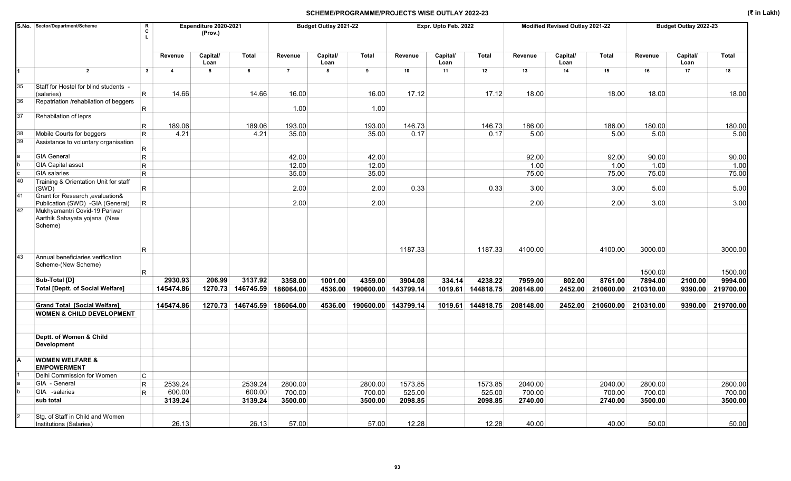|    | S.No. Sector/Department/Scheme                                                                               | R<br>Expenditure 2020-2021<br>c<br>(Prov.)<br>Capital/<br>Revenue |                |         |              |                | Budget Outlay 2021-22 |                             |         | Expr. Upto Feb. 2022 |           |           | <b>Modified Revised Outlay 2021-22</b> |              |           | Budget Outlay 2022-23 |           |
|----|--------------------------------------------------------------------------------------------------------------|-------------------------------------------------------------------|----------------|---------|--------------|----------------|-----------------------|-----------------------------|---------|----------------------|-----------|-----------|----------------------------------------|--------------|-----------|-----------------------|-----------|
|    |                                                                                                              |                                                                   |                | Loan    | <b>Total</b> | Revenue        | Capital/<br>Loan      | Total                       | Revenue | Capital/<br>Loan     | Total     | Revenue   | Capital/<br>Loan                       | <b>Total</b> | Revenue   | Capital/<br>Loan      | Total     |
|    | $\overline{2}$                                                                                               | $\mathbf{3}$                                                      | $\overline{4}$ | 5       | 6            | $\overline{7}$ | 8                     | 9                           | 10      | 11                   | 12        | 13        | 14                                     | 15           | 16        | 17                    | 18        |
| 35 | Staff for Hostel for blind students -                                                                        |                                                                   |                |         |              |                |                       |                             |         |                      |           |           |                                        |              |           |                       |           |
|    | (salaries)                                                                                                   | R                                                                 | 14.66          |         | 14.66        | 16.00          |                       | 16.00                       | 17.12   |                      | 17.12     | 18.00     |                                        | 18.00        | 18.00     |                       | 18.00     |
| 36 | Repatriation /rehabilation of beggers                                                                        | R                                                                 |                |         |              | 1.00           |                       | 1.00                        |         |                      |           |           |                                        |              |           |                       |           |
| 37 | Rehabilation of leprs                                                                                        |                                                                   |                |         |              |                |                       |                             |         |                      |           |           |                                        |              |           |                       |           |
|    |                                                                                                              | R                                                                 | 189.06         |         | 189.06       | 193.00         |                       | 193.00                      | 146.73  |                      | 146.73    | 186.00    |                                        | 186.00       | 180.00    |                       | 180.00    |
| 38 | Mobile Courts for beggers                                                                                    | $\mathsf R$                                                       | 4.21           |         | 4.21         | 35.00          |                       | 35.00                       | 0.17    |                      | 0.17      | 5.00      |                                        | 5.00         | 5.00      |                       | 5.00      |
| 39 | Assistance to voluntary organisation                                                                         | R                                                                 |                |         |              |                |                       |                             |         |                      |           |           |                                        |              |           |                       |           |
|    | <b>GIA General</b>                                                                                           | $\mathsf R$                                                       |                |         |              | 42.00          |                       | 42.00                       |         |                      |           | 92.00     |                                        | 92.00        | 90.00     |                       | 90.00     |
|    | <b>GIA Capital asset</b>                                                                                     | $\mathsf R$                                                       |                |         |              | 12.00          |                       | 12.00                       |         |                      |           | 1.00      |                                        | 1.00         | 1.00      |                       | 1.00      |
|    | <b>GIA</b> salaries                                                                                          | $\mathsf{R}$                                                      |                |         |              | 35.00          |                       | 35.00                       |         |                      |           | 75.00     |                                        | 75.00        | 75.00     |                       | 75.00     |
| 40 | Training & Orientation Unit for staff<br>(SWD)                                                               | $\mathsf R$                                                       |                |         |              | 2.00           |                       | 2.00                        | 0.33    |                      | 0.33      | 3.00      |                                        | 3.00         | 5.00      |                       | 5.00      |
| 41 | Grant for Research, evaluation&                                                                              |                                                                   |                |         |              |                |                       |                             |         |                      |           |           |                                        |              |           |                       |           |
| 42 | Publication (SWD) -GIA (General)<br>Mukhyamantri Covid-19 Pariwar<br>Aarthik Sahayata yojana (New<br>Scheme) | R                                                                 |                |         |              | 2.00           |                       | 2.00                        |         |                      |           | 2.00      |                                        | 2.00         | 3.00      |                       | 3.00      |
| 43 |                                                                                                              | R                                                                 |                |         |              |                |                       |                             | 1187.33 |                      | 1187.33   | 4100.00   |                                        | 4100.00      | 3000.00   |                       | 3000.00   |
|    | Annual beneficiaries verification<br>Scheme-(New Scheme)                                                     | $\mathsf R$                                                       |                |         |              |                |                       |                             |         |                      |           |           |                                        |              | 1500.00   |                       | 1500.00   |
|    | Sub-Total [D]                                                                                                |                                                                   | 2930.93        | 206.99  | 3137.92      | 3358.00        | 1001.00               | 4359.00                     | 3904.08 | 334.14               | 4238.22   | 7959.00   | 802.00                                 | 8761.00      | 7894.00   | 2100.00               | 9994.00   |
|    | <b>Total [Deptt. of Social Welfare]</b>                                                                      |                                                                   | 145474.86      | 1270.73 | 146745.59    | 186064.00      | 4536.00               | 190600.00 143799.14         |         | 1019.61              | 144818.75 | 208148.00 | 2452.00                                | 210600.00    | 210310.00 | 9390.00               | 219700.00 |
|    | <b>Grand Total [Social Welfare]</b><br><b>WOMEN &amp; CHILD DEVELOPMENT</b>                                  |                                                                   | 145474.86      | 1270.73 | 146745.59    | 186064.00      |                       | 4536.00 190600.00 143799.14 |         | 1019.61              | 144818.75 | 208148.00 | 2452.00                                | 210600.00    | 210310.00 | 9390.00               | 219700.00 |
|    |                                                                                                              |                                                                   |                |         |              |                |                       |                             |         |                      |           |           |                                        |              |           |                       |           |
|    | Deptt. of Women & Child<br>Development                                                                       |                                                                   |                |         |              |                |                       |                             |         |                      |           |           |                                        |              |           |                       |           |
|    | <b>WOMEN WELFARE &amp;</b><br><b>EMPOWERMENT</b>                                                             |                                                                   |                |         |              |                |                       |                             |         |                      |           |           |                                        |              |           |                       |           |
|    | Delhi Commission for Women                                                                                   | C                                                                 |                |         |              |                |                       |                             |         |                      |           |           |                                        |              |           |                       |           |
|    | GIA - General                                                                                                | $\mathsf R$                                                       | 2539.24        |         | 2539.24      | 2800.00        |                       | 2800.00                     | 1573.85 |                      | 1573.85   | 2040.00   |                                        | 2040.00      | 2800.00   |                       | 2800.00   |
|    | GIA -salaries                                                                                                | $\mathsf R$                                                       | 600.00         |         | 600.00       | 700.00         |                       | 700.00                      | 525.00  |                      | 525.00    | 700.00    |                                        | 700.00       | 700.00    |                       | 700.00    |
|    | sub total                                                                                                    |                                                                   | 3139.24        |         | 3139.24      | 3500.00        |                       | 3500.00                     | 2098.85 |                      | 2098.85   | 2740.00   |                                        | 2740.00      | 3500.00   |                       | 3500.00   |
|    | Stg. of Staff in Child and Women<br><b>Institutions (Salaries)</b>                                           |                                                                   | 26.13          |         | 26.13        | 57.00          |                       | 57.00                       | 12.28   |                      | 12.28     | 40.00     |                                        | 40.00        | 50.00     |                       | 50.00     |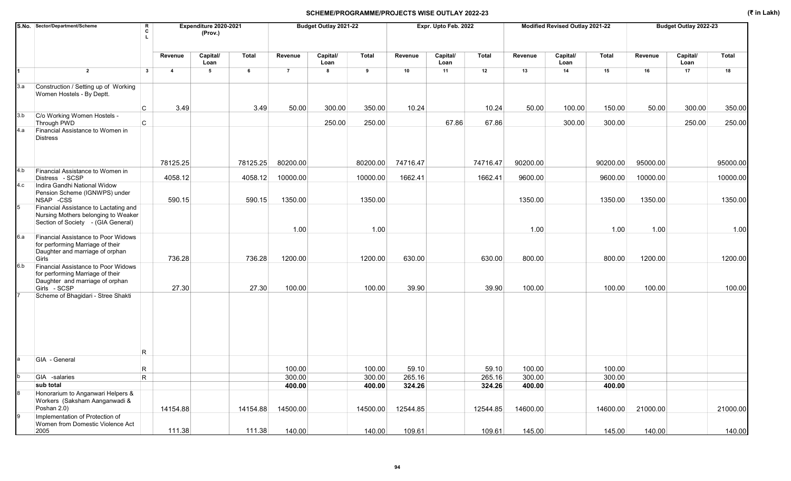|     | S.No. Sector/Department/Scheme<br>R<br>c                                                                                            |                 | Expenditure 2020-2021<br>(Prov.) |                 |                   | Budget Outlay 2021-22 |                   |                 | Expr. Upto Feb. 2022 |                 |                  | Modified Revised Outlay 2021-22 |                  |                   | Budget Outlay 2022-23 |                   |
|-----|-------------------------------------------------------------------------------------------------------------------------------------|-----------------|----------------------------------|-----------------|-------------------|-----------------------|-------------------|-----------------|----------------------|-----------------|------------------|---------------------------------|------------------|-------------------|-----------------------|-------------------|
|     |                                                                                                                                     | Revenue         | Capital/<br>Loan                 | <b>Total</b>    | Revenue           | Capital/<br>Loan      | <b>Total</b>      | Revenue         | Capital/<br>Loan     | Total           | Revenue          | Capital/<br>Loan                | <b>Total</b>     | Revenue           | Capital/<br>Loan      | <b>Total</b>      |
| 1   | $\overline{2}$<br>$\mathbf{3}$                                                                                                      | $\overline{4}$  | 5                                | 6               | $\overline{7}$    | 8                     | 9                 | 10              | 11                   | 12              | 13               | 14                              | 15               | 16                | 17                    | 18                |
| 3.a | Construction / Setting up of Working<br>Women Hostels - By Deptt.                                                                   |                 |                                  |                 |                   |                       |                   |                 |                      |                 |                  |                                 |                  |                   |                       |                   |
|     | C                                                                                                                                   | 3.49            |                                  | 3.49            | 50.00             | 300.00                | 350.00            | 10.24           |                      | 10.24           | 50.00            | 100.00                          | 150.00           | 50.00             | 300.00                | 350.00            |
| 3.b | C/o Working Women Hostels -<br>C<br>Through PWD                                                                                     |                 |                                  |                 |                   | 250.00                | 250.00            |                 | 67.86                | 67.86           |                  | 300.00                          | 300.00           |                   | 250.00                | 250.00            |
| 4.a | Financial Assistance to Women in<br><b>Distress</b>                                                                                 |                 |                                  |                 |                   |                       |                   |                 |                      |                 |                  |                                 |                  |                   |                       |                   |
| 4.b | Financial Assistance to Women in                                                                                                    | 78125.25        |                                  | 78125.25        | 80200.00          |                       | 80200.00          | 74716.47        |                      | 74716.47        | 90200.00         |                                 | 90200.00         | 95000.00          |                       | 95000.00          |
| 4.c | Distress - SCSP<br>Indira Gandhi National Widow                                                                                     | 4058.12         |                                  | 4058.12         | 10000.00          |                       | 10000.00          | 1662.41         |                      | 1662.41         | 9600.00          |                                 | 9600.00          | 10000.00          |                       | 10000.00          |
|     | Pension Scheme (IGNWPS) under<br>NSAP -CSS                                                                                          | 590.15          |                                  | 590.15          | 1350.00           |                       | 1350.00           |                 |                      |                 | 1350.00          |                                 | 1350.00          | 1350.00           |                       | 1350.00           |
|     | Financial Assistance to Lactating and<br>Nursing Mothers belonging to Weaker<br>Section of Society - (GIA General)                  |                 |                                  |                 | 1.00              |                       | 1.00              |                 |                      |                 | 1.00             |                                 | 1.00             | 1.00              |                       | 1.00              |
| 6.a | Financial Assistance to Poor Widows<br>for performing Marriage of their<br>Daughter and marriage of orphan                          |                 |                                  |                 |                   |                       |                   |                 |                      |                 |                  |                                 |                  |                   |                       |                   |
| 6.b | Girls<br>Financial Assistance to Poor Widows<br>for performing Marriage of their<br>Daughter and marriage of orphan<br>Girls - SCSP | 736.28<br>27.30 |                                  | 736.28<br>27.30 | 1200.00<br>100.00 |                       | 1200.00<br>100.00 | 630.00<br>39.90 |                      | 630.00<br>39.90 | 800.00<br>100.00 |                                 | 800.00<br>100.00 | 1200.00<br>100.00 |                       | 1200.00<br>100.00 |
|     | Scheme of Bhagidari - Stree Shakti<br>R                                                                                             |                 |                                  |                 |                   |                       |                   |                 |                      |                 |                  |                                 |                  |                   |                       |                   |
|     | GIA - General                                                                                                                       |                 |                                  |                 |                   |                       |                   |                 |                      |                 |                  |                                 |                  |                   |                       |                   |
|     | R<br>GIA -salaries<br>$\overline{\mathsf{R}}$                                                                                       |                 |                                  |                 | 100.00<br>300.00  |                       | 100.00<br>300.00  | 59.10<br>265.16 |                      | 59.10<br>265.16 | 100.00<br>300.00 |                                 | 100.00<br>300.00 |                   |                       |                   |
|     | sub total                                                                                                                           |                 |                                  |                 | 400.00            |                       | 400.00            | 324.26          |                      | 324.26          | 400.00           |                                 | 400.00           |                   |                       |                   |
|     | Honorarium to Anganwari Helpers &<br>Workers (Saksham Aanganwadi &<br>Poshan 2.0)                                                   | 14154.88        |                                  | 14154.88        | 14500.00          |                       | 14500.00          | 12544.85        |                      | 12544.85        | 14600.00         |                                 | 14600.00         | 21000.00          |                       | 21000.00          |
|     | Implementation of Protection of<br>Women from Domestic Violence Act<br>2005                                                         | 111.38          |                                  | 111.38          | 140.00            |                       | 140.00            | 109.61          |                      | 109.61          | 145.00           |                                 | 145.00           | 140.00            |                       | 140.00            |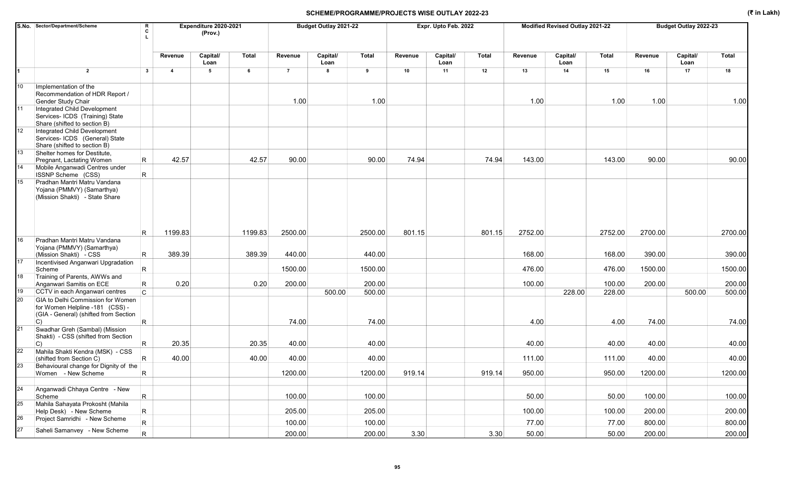|    | S.No. Sector/Department/Scheme                                                                                                 | R<br>C          |                         | Expenditure 2020-2021<br>(Prov.) |         |                | Budget Outlay 2021-22 |              |         | Expr. Upto Feb. 2022 |        |         | Modified Revised Outlay 2021-22 |         |         | Budget Outlay 2022-23 |         |
|----|--------------------------------------------------------------------------------------------------------------------------------|-----------------|-------------------------|----------------------------------|---------|----------------|-----------------------|--------------|---------|----------------------|--------|---------|---------------------------------|---------|---------|-----------------------|---------|
|    |                                                                                                                                |                 | Revenue                 | Capital/<br>Loan                 | Total   | Revenue        | Capital/<br>Loan      | <b>Total</b> | Revenue | Capital/<br>Loan     | Total  | Revenue | Capital/<br>Loan                | Total   | Revenue | Capital/<br>Loan      | Total   |
|    | $\overline{2}$                                                                                                                 | $\mathbf{3}$    | $\overline{\mathbf{4}}$ | 5                                | 6       | $\overline{7}$ | 8                     | 9            | 10      | 11                   | 12     | 13      | 14                              | 15      | 16      | 17                    | 18      |
| 10 | Implementation of the<br>Recommendation of HDR Report /<br>Gender Study Chair                                                  |                 |                         |                                  |         | 1.00           |                       | 1.00         |         |                      |        | 1.00    |                                 | 1.00    | 1.00    |                       | 1.00    |
| 11 | Integrated Child Development<br>Services- ICDS (Training) State<br>Share (shifted to section B)                                |                 |                         |                                  |         |                |                       |              |         |                      |        |         |                                 |         |         |                       |         |
| 12 | Integrated Child Development<br>Services- ICDS (General) State<br>Share (shifted to section B)                                 |                 |                         |                                  |         |                |                       |              |         |                      |        |         |                                 |         |         |                       |         |
| 13 | Shelter homes for Destitute,<br>Pregnant, Lactating Women                                                                      | R               | 42.57                   |                                  | 42.57   | 90.00          |                       | 90.00        | 74.94   |                      | 74.94  | 143.00  |                                 | 143.00  | 90.00   |                       | 90.00   |
| 14 | Mobile Anganwadi Centres under<br>ISSNP Scheme (CSS)                                                                           | R               |                         |                                  |         |                |                       |              |         |                      |        |         |                                 |         |         |                       |         |
| 15 | Pradhan Mantri Matru Vandana<br>Yojana (PMMVY) (Samarthya)<br>(Mission Shakti) - State Share                                   |                 |                         |                                  |         |                |                       |              |         |                      |        |         |                                 |         |         |                       |         |
|    |                                                                                                                                | R               | 1199.83                 |                                  | 1199.83 | 2500.00        |                       | 2500.00      | 801.15  |                      | 801.15 | 2752.00 |                                 | 2752.00 | 2700.00 |                       | 2700.00 |
| 16 | Pradhan Mantri Matru Vandana<br>Yojana (PMMVY) (Samarthya)<br>(Mission Shakti) - CSS                                           | R.              | 389.39                  |                                  | 389.39  | 440.00         |                       | 440.00       |         |                      |        | 168.00  |                                 | 168.00  | 390.00  |                       | 390.00  |
| 17 | Incentivised Anganwari Upgradation<br>Scheme                                                                                   | R               |                         |                                  |         | 1500.00        |                       | 1500.00      |         |                      |        | 476.00  |                                 | 476.00  | 1500.00 |                       | 1500.00 |
| 18 | Training of Parents, AWWs and<br>Anganwari Samitis on ECE                                                                      | R               | 0.20                    |                                  | 0.20    | 200.00         |                       | 200.00       |         |                      |        | 100.00  |                                 | 100.00  | 200.00  |                       | 200.00  |
| 19 | CCTV in each Anganwari centres                                                                                                 | $\mathsf{C}$    |                         |                                  |         |                | 500.00                | 500.00       |         |                      |        |         | 228.00                          | 228.00  |         | 500.00                | 500.00  |
| 20 | GIA to Delhi Commission for Women<br>for Women Helpline -181 (CSS) -<br>(GIA - General) (shifted from Section<br>$\mathcal{C}$ | R               |                         |                                  |         | 74.00          |                       | 74.00        |         |                      |        | 4.00    |                                 | 4.00    | 74.00   |                       | 74.00   |
| 21 | Swadhar Greh (Sambal) (Mission<br>Shakti) - CSS (shifted from Section<br>$ C\rangle$                                           | R               | 20.35                   |                                  | 20.35   | 40.00          |                       | 40.00        |         |                      |        | 40.00   |                                 | 40.00   | 40.00   |                       | 40.00   |
| 22 | Mahila Shakti Kendra (MSK) - CSS<br>(shifted from Section C)                                                                   | R               | 40.00                   |                                  | 40.00   | 40.00          |                       | 40.00        |         |                      |        | 111.00  |                                 | 111.00  | 40.00   |                       | 40.00   |
| 23 | Behavioural change for Dignity of the<br>Women - New Scheme                                                                    | $\mathsf R$     |                         |                                  |         | 1200.00        |                       | 1200.00      | 919.14  |                      | 919.14 | 950.00  |                                 | 950.00  | 1200.00 |                       | 1200.00 |
| 24 | Anganwadi Chhaya Centre - New<br>Scheme                                                                                        | R               |                         |                                  |         | 100.00         |                       | 100.00       |         |                      |        | 50.00   |                                 | 50.00   | 100.00  |                       | 100.00  |
| 25 | Mahila Sahayata Prokosht (Mahila<br>Help Desk) - New Scheme                                                                    | R               |                         |                                  |         | 205.00         |                       | 205.00       |         |                      |        | 100.00  |                                 | 100.00  | 200.00  |                       | 200.00  |
| 26 | Project Samridhi - New Scheme                                                                                                  | $\vert R \vert$ |                         |                                  |         | 100.00         |                       | 100.00       |         |                      |        | 77.00   |                                 | 77.00   | 800.00  |                       | 800.00  |
| 27 | Saheli Samanvey - New Scheme                                                                                                   | $\overline{R}$  |                         |                                  |         | 200.00         |                       | 200.00       | 3.30    |                      | 3.30   | 50.00   |                                 | 50.00   | 200.00  |                       | 200.00  |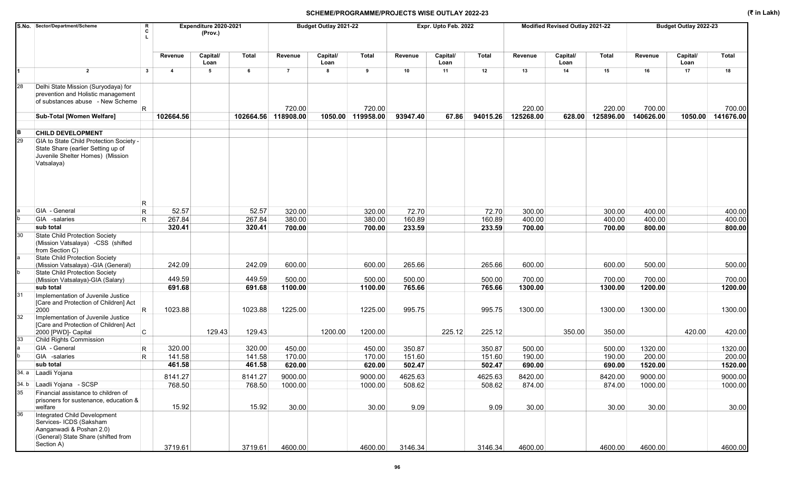|    | S.No. Sector/Department/Scheme<br>R<br>c                                                                                                 |                                                    | Expenditure 2020-2021<br>(Prov.) |           |                | Budget Outlay 2021-22 |              |          | Expr. Upto Feb. 2022 |          |           | Modified Revised Outlay 2021-22 |              |           | Budget Outlay 2022-23 |              |
|----|------------------------------------------------------------------------------------------------------------------------------------------|----------------------------------------------------|----------------------------------|-----------|----------------|-----------------------|--------------|----------|----------------------|----------|-----------|---------------------------------|--------------|-----------|-----------------------|--------------|
|    |                                                                                                                                          | Revenue                                            | Capital/<br>Loan                 | Total     | Revenue        | Capital/<br>Loan      | <b>Total</b> | Revenue  | Capital/<br>Loan     | Total    | Revenue   | Capital/<br>Loan                | <b>Total</b> | Revenue   | Capital/<br>Loan      | <b>Total</b> |
|    | $\overline{2}$                                                                                                                           | $\overline{\mathbf{3}}$<br>$\overline{\mathbf{4}}$ | 5                                | 6         | $\overline{7}$ | 8                     | 9            | 10       | 11                   | 12       | 13        | 14                              | 15           | 16        | 17                    | 18           |
| 28 | Delhi State Mission (Suryodaya) for<br>prevention and Holistic management<br>of substances abuse - New Scheme<br>R.                      |                                                    |                                  |           | 720.00         |                       | 720.00       |          |                      |          | 220.00    |                                 | 220.00       | 700.00    |                       | 700.00       |
|    | Sub-Total [Women Welfare]                                                                                                                | 102664.56                                          |                                  | 102664.56 | 118908.00      | 1050.00               | 119958.00    | 93947.40 | 67.86                | 94015.26 | 125268.00 | 628.00                          | 125896.00    | 140626.00 | 1050.00               | 141676.00    |
| B  | <b>CHILD DEVELOPMENT</b>                                                                                                                 |                                                    |                                  |           |                |                       |              |          |                      |          |           |                                 |              |           |                       |              |
| 29 | GIA to State Child Protection Society -<br>State Share (earlier Setting up of<br>Juvenile Shelter Homes) (Mission<br>Vatsalaya)          |                                                    |                                  |           |                |                       |              |          |                      |          |           |                                 |              |           |                       |              |
|    | R<br>GIA - General<br>R                                                                                                                  | 52.57                                              |                                  | 52.57     | 320.00         |                       | 320.00       | 72.70    |                      | 72.70    | 300.00    |                                 | 300.00       | 400.00    |                       | 400.00       |
|    | GIA -salaries<br>$\mathsf{R}$                                                                                                            | 267.84                                             |                                  | 267.84    | 380.00         |                       | 380.00       | 160.89   |                      | 160.89   | 400.00    |                                 | 400.00       | 400.00    |                       | 400.00       |
|    | sub total                                                                                                                                | 320.41                                             |                                  | 320.41    | 700.00         |                       | 700.00       | 233.59   |                      | 233.59   | 700.00    |                                 | 700.00       | 800.00    |                       | 800.00       |
| 30 | <b>State Child Protection Society</b><br>(Mission Vatsalaya) -CSS (shifted<br>from Section C)<br>State Child Protection Society          |                                                    |                                  |           |                |                       |              |          |                      |          |           |                                 |              |           |                       |              |
|    | (Mission Vatsalaya) - GIA (General)<br>State Child Protection Society                                                                    | 242.09                                             |                                  | 242.09    | 600.00         |                       | 600.00       | 265.66   |                      | 265.66   | 600.00    |                                 | 600.00       | 500.00    |                       | 500.00       |
|    | (Mission Vatsalaya)-GIA (Salary)                                                                                                         | 449.59                                             |                                  | 449.59    | 500.00         |                       | 500.00       | 500.00   |                      | 500.00   | 700.00    |                                 | 700.00       | 700.00    |                       | 700.00       |
|    | sub total                                                                                                                                | 691.68                                             |                                  | 691.68    | 1100.00        |                       | 1100.00      | 765.66   |                      | 765.66   | 1300.00   |                                 | 1300.00      | 1200.00   |                       | 1200.00      |
| 31 | Implementation of Juvenile Justice<br>[Care and Protection of Children] Act<br>R<br>2000                                                 | 1023.88                                            |                                  | 1023.88   | 1225.00        |                       | 1225.00      | 995.75   |                      | 995.75   | 1300.00   |                                 | 1300.00      | 1300.00   |                       | 1300.00      |
| 32 | Implementation of Juvenile Justice<br>[Care and Protection of Children] Act<br>C<br>2000 [PWD]- Capital                                  |                                                    | 129.43                           | 129.43    |                | 1200.00               | 1200.00      |          | 225.12               | 225.12   |           | 350.00                          | 350.00       |           | 420.00                | 420.00       |
| 33 | Child Rights Commission                                                                                                                  |                                                    |                                  |           |                |                       |              |          |                      |          |           |                                 |              |           |                       |              |
|    | GIA - General<br>R                                                                                                                       | 320.00                                             |                                  | 320.00    | 450.00         |                       | 450.00       | 350.87   |                      | 350.87   | 500.00    |                                 | 500.00       | 1320.00   |                       | 1320.00      |
|    | GIA -salaries<br>R.                                                                                                                      | 141.58                                             |                                  | 141.58    | 170.00         |                       | 170.00       | 151.60   |                      | 151.60   | 190.00    |                                 | 190.00       | 200.00    |                       | 200.00       |
|    | sub total                                                                                                                                | 461.58                                             |                                  | 461.58    | 620.00         |                       | 620.00       | 502.47   |                      | 502.47   | 690.00    |                                 | 690.00       | 1520.00   |                       | 1520.00      |
|    | 34. a Laadli Yojana                                                                                                                      | 8141.27                                            |                                  | 8141.27   | 9000.00        |                       | 9000.00      | 4625.63  |                      | 4625.63  | 8420.00   |                                 | 8420.00      | 9000.00   |                       | 9000.00      |
|    | 34. b Laadli Yojana - SCSP                                                                                                               | 768.50                                             |                                  | 768.50    | 1000.00        |                       | 1000.00      | 508.62   |                      | 508.62   | 874.00    |                                 | 874.00       | 1000.00   |                       | 1000.00      |
| 35 | Financial assistance to children of<br>prisoners for sustenance, education &<br>welfare                                                  | 15.92                                              |                                  | 15.92     | 30.00          |                       | 30.00        | 9.09     |                      | 9.09     | 30.00     |                                 | 30.00        | 30.00     |                       | 30.00        |
| 36 | Integrated Child Development<br>Services- ICDS (Saksham<br>Aanganwadi & Poshan 2.0)<br>(General) State Share (shifted from<br>Section A) | 3719.61                                            |                                  | 3719.61   | 4600.00        |                       | 4600.00      | 3146.34  |                      | 3146.34  | 4600.00   |                                 | 4600.00      | 4600.00   |                       | 4600.00      |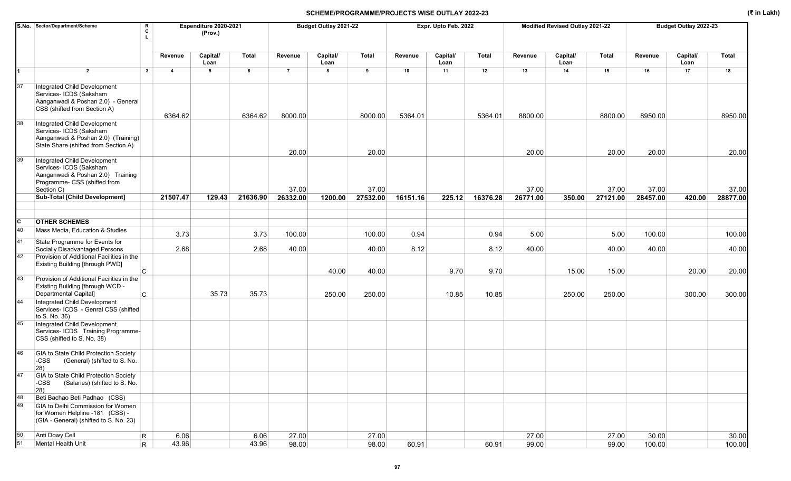|    | S.No. Sector/Department/Scheme                                                                                                             | R<br>c       |                         | Expenditure 2020-2021<br>(Prov.) |              |                | Budget Outlay 2021-22 |              |          | Expr. Upto Feb. 2022 |          |          | Modified Revised Outlay 2021-22 |              |          | Budget Outlay 2022-23 |          |
|----|--------------------------------------------------------------------------------------------------------------------------------------------|--------------|-------------------------|----------------------------------|--------------|----------------|-----------------------|--------------|----------|----------------------|----------|----------|---------------------------------|--------------|----------|-----------------------|----------|
|    |                                                                                                                                            |              | Revenue                 | Capital/                         | <b>Total</b> | Revenue        | Capital/              | <b>Total</b> | Revenue  | Capital/             | Total    | Revenue  | Capital/                        | <b>Total</b> | Revenue  | Capital/              | Total    |
|    |                                                                                                                                            |              |                         | Loan                             |              |                | Loan                  |              |          | Loan                 |          |          | Loan                            |              |          | Loan                  |          |
| 1  | $\overline{2}$                                                                                                                             | $\mathbf{3}$ | $\overline{\mathbf{4}}$ | 5                                | 6            | $\overline{7}$ | 8                     | 9            | 10       | 11                   | 12       | 13       | 14                              | 15           | 16       | 17                    | 18       |
| 37 | Integrated Child Development<br>Services- ICDS (Saksham<br>Aanganwadi & Poshan 2.0) - General                                              |              |                         |                                  |              |                |                       |              |          |                      |          |          |                                 |              |          |                       |          |
|    | CSS (shifted from Section A)                                                                                                               |              | 6364.62                 |                                  | 6364.62      | 8000.00        |                       | 8000.00      | 5364.01  |                      | 5364.01  | 8800.00  |                                 | 8800.00      | 8950.00  |                       | 8950.00  |
| 38 | Integrated Child Development<br>Services- ICDS (Saksham<br>Aanganwadi & Poshan 2.0) (Training)<br>State Share (shifted from Section A)     |              |                         |                                  |              | 20.00          |                       | 20.00        |          |                      |          | 20.00    |                                 | 20.00        | 20.00    |                       | 20.00    |
| 39 | Integrated Child Development<br>Services- ICDS (Saksham<br>Aanganwadi & Poshan 2.0) Training<br>Programme- CSS (shifted from<br>Section C) |              |                         |                                  |              | 37.00          |                       | 37.00        |          |                      |          | 37.00    |                                 | 37.00        | 37.00    |                       | 37.00    |
|    | Sub-Total [Child Development]                                                                                                              |              | 21507.47                | 129.43                           | 21636.90     | 26332.00       | 1200.00               | 27532.00     | 16151.16 | 225.12               | 16376.28 | 26771.00 | 350.00                          | 27121.00     | 28457.00 | 420.00                | 28877.00 |
|    |                                                                                                                                            |              |                         |                                  |              |                |                       |              |          |                      |          |          |                                 |              |          |                       |          |
| C  | <b>OTHER SCHEMES</b>                                                                                                                       |              |                         |                                  |              |                |                       |              |          |                      |          |          |                                 |              |          |                       |          |
| 40 | Mass Media. Education & Studies                                                                                                            |              |                         |                                  |              |                |                       |              |          |                      |          |          |                                 |              |          |                       |          |
| 41 | State Programme for Events for                                                                                                             |              | 3.73                    |                                  | 3.73         | 100.00         |                       | 100.00       | 0.94     |                      | 0.94     | 5.00     |                                 | 5.00         | 100.00   |                       | 100.00   |
|    | Socially Disadvantaged Persons                                                                                                             |              | 2.68                    |                                  | 2.68         | 40.00          |                       | 40.00        | 8.12     |                      | 8.12     | 40.00    |                                 | 40.00        | 40.00    |                       | 40.00    |
| 42 | Provision of Additional Facilities in the<br>Existing Building [through PWD]                                                               | C.           |                         |                                  |              |                | 40.00                 | 40.00        |          | 9.70                 | 9.70     |          | 15.00                           | 15.00        |          | 20.00                 | 20.00    |
| 43 | Provision of Additional Facilities in the<br>Existing Building [through WCD -<br>Departmental Capital]                                     |              |                         | 35.73                            | 35.73        |                | 250.00                | 250.00       |          | 10.85                | 10.85    |          | 250.00                          | 250.00       |          | 300.00                | 300.00   |
| 44 | Integrated Child Development<br>Services- ICDS - Genral CSS (shifted<br>to S. No. 36)                                                      | C            |                         |                                  |              |                |                       |              |          |                      |          |          |                                 |              |          |                       |          |
| 45 | Integrated Child Development<br>Services- ICDS Training Programme-<br>CSS (shifted to S. No. 38)                                           |              |                         |                                  |              |                |                       |              |          |                      |          |          |                                 |              |          |                       |          |
| 46 | GIA to State Child Protection Society<br>-CSS<br>(General) (shifted to S. No.<br>$ 28\rangle$                                              |              |                         |                                  |              |                |                       |              |          |                      |          |          |                                 |              |          |                       |          |
| 47 | GIA to State Child Protection Society<br>-CSS<br>(Salaries) (shifted to S. No.<br>$ 28\rangle$                                             |              |                         |                                  |              |                |                       |              |          |                      |          |          |                                 |              |          |                       |          |
| 48 | Beti Bachao Beti Padhao (CSS)                                                                                                              |              |                         |                                  |              |                |                       |              |          |                      |          |          |                                 |              |          |                       |          |
| 49 | GIA to Delhi Commission for Women<br>for Women Helpline -181 (CSS) -<br>(GIA - General) (shifted to S. No. 23)                             |              |                         |                                  |              |                |                       |              |          |                      |          |          |                                 |              |          |                       |          |
| 50 | Anti Dowy Cell                                                                                                                             | R            | 6.06                    |                                  | 6.06         | 27.00          |                       | 27.00        |          |                      |          | 27.00    |                                 | 27.00        | 30.00    |                       | 30.00    |
| 51 | Mental Health Unit                                                                                                                         | R            | 43.96                   |                                  | 43.96        | 98.00          |                       | 98.00        | 60.91    |                      | 60.91    | 99.00    |                                 | 99.00        | 100.00   |                       | 100.00   |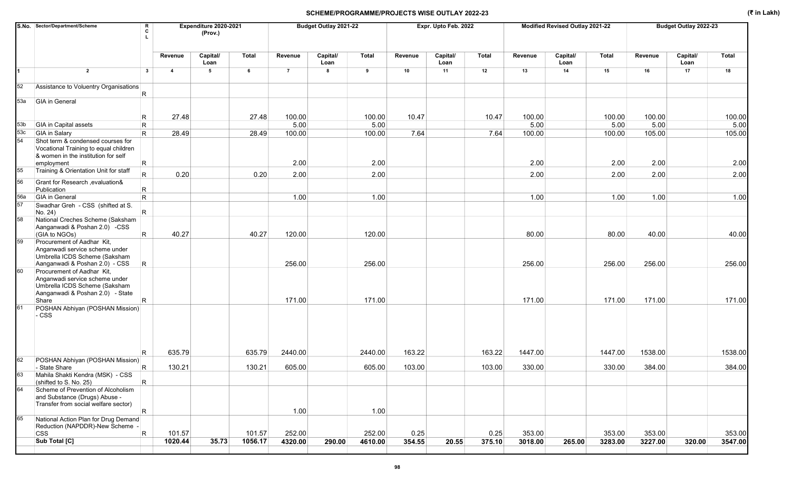|                 | S.No. Sector/Department/Scheme<br>R<br>C                                                                                                         |                | Expenditure 2020-2021<br>(Prov.) |              |                | Budget Outlay 2021-22 |              |         | Expr. Upto Feb. 2022 |        |         | Modified Revised Outlay 2021-22 |         |         | Budget Outlay 2022-23 |              |
|-----------------|--------------------------------------------------------------------------------------------------------------------------------------------------|----------------|----------------------------------|--------------|----------------|-----------------------|--------------|---------|----------------------|--------|---------|---------------------------------|---------|---------|-----------------------|--------------|
|                 |                                                                                                                                                  | Revenue        | Capital/<br>Loan                 | <b>Total</b> | Revenue        | Capital/<br>Loan      | <b>Total</b> | Revenue | Capital/<br>Loan     | Total  | Revenue | Capital/<br>Loan                | Total   | Revenue | Capital/<br>Loan      | <b>Total</b> |
| 1               | $\overline{2}$<br>$\mathbf{3}$                                                                                                                   | $\overline{4}$ | 5                                | 6            | $\overline{7}$ | 8                     | 9            | 10      | 11                   | 12     | 13      | 14                              | 15      | 16      | 17                    | 18           |
| 52              | Assistance to Voluentry Organisations<br>R                                                                                                       |                |                                  |              |                |                       |              |         |                      |        |         |                                 |         |         |                       |              |
| 53a             | GIA in General                                                                                                                                   |                |                                  |              |                |                       |              |         |                      |        |         |                                 |         |         |                       |              |
|                 | R                                                                                                                                                | 27.48          |                                  | 27.48        | 100.00         |                       | 100.00       | 10.47   |                      | 10.47  | 100.00  |                                 | 100.00  | 100.00  |                       | 100.00       |
| 53 <sub>b</sub> | <b>GIA</b> in Capital assets<br>$\mathsf R$                                                                                                      |                |                                  |              | 5.00           |                       | 5.00         |         |                      |        | 5.00    |                                 | 5.00    | 5.00    |                       | 5.00         |
| 53c             | <b>GIA</b> in Salary<br>R.                                                                                                                       | 28.49          |                                  | 28.49        | 100.00         |                       | 100.00       | 7.64    |                      | 7.64   | 100.00  |                                 | 100.00  | 105.00  |                       | 105.00       |
| 54              | Shot term & condensed courses for<br>Vocational Training to equal children<br>& women in the institution for self                                |                |                                  |              |                |                       |              |         |                      |        |         |                                 |         |         |                       |              |
|                 | R<br>employment                                                                                                                                  |                |                                  |              | 2.00           |                       | 2.00         |         |                      |        | 2.00    |                                 | 2.00    | 2.00    |                       | 2.00         |
| 55<br>56        | Training & Orientation Unit for staff<br>$\overline{R}$<br>Grant for Research , evaluation&                                                      | 0.20           |                                  | 0.20         | 2.00           |                       | 2.00         |         |                      |        | 2.00    |                                 | 2.00    | 2.00    |                       | 2.00         |
|                 | $\mathsf{R}$<br>Publication                                                                                                                      |                |                                  |              |                |                       |              |         |                      |        |         |                                 |         |         |                       |              |
| 56a             | <b>GIA</b> in General<br>R.                                                                                                                      |                |                                  |              | 1.00           |                       | 1.00         |         |                      |        | 1.00    |                                 | 1.00    | 1.00    |                       | 1.00         |
| 57              | Swadhar Greh - CSS (shifted at S.<br>R.<br>No. 24)                                                                                               |                |                                  |              |                |                       |              |         |                      |        |         |                                 |         |         |                       |              |
| 58              | National Creches Scheme (Saksham<br>Aanganwadi & Poshan 2.0) -CSS<br>$\mathsf{R}$<br>(GIA to NGOs)                                               | 40.27          |                                  | 40.27        | 120.00         |                       | 120.00       |         |                      |        | 80.00   |                                 | 80.00   | 40.00   |                       | 40.00        |
| 59              | Procurement of Aadhar Kit,<br>Anganwadi service scheme under<br>Umbrella ICDS Scheme (Saksham<br>Aanganwadi & Poshan 2.0) - CSS<br>R             |                |                                  |              | 256.00         |                       | 256.00       |         |                      |        | 256.00  |                                 | 256.00  | 256.00  |                       | 256.00       |
| 60              | Procurement of Aadhar Kit,<br>Anganwadi service scheme under<br>Umbrella ICDS Scheme (Saksham<br>Aanganwadi & Poshan 2.0) - State<br>Share<br>R. |                |                                  |              | 171.00         |                       | 171.00       |         |                      |        | 171.00  |                                 | 171.00  | 171.00  |                       | 171.00       |
| 61              | POSHAN Abhiyan (POSHAN Mission)<br>$-css$                                                                                                        |                |                                  |              |                |                       |              |         |                      |        |         |                                 |         |         |                       |              |
|                 | R                                                                                                                                                | 635.79         |                                  | 635.79       | 2440.00        |                       | 2440.00      | 163.22  |                      | 163.22 | 1447.00 |                                 | 1447.00 | 1538.00 |                       | 1538.00      |
| 62              | POSHAN Abhiyan (POSHAN Mission)<br>R<br>- State Share                                                                                            | 130.21         |                                  | 130.21       | 605.00         |                       | 605.00       | 103.00  |                      | 103.00 | 330.00  |                                 | 330.00  | 384.00  |                       | 384.00       |
| 63              | Mahila Shakti Kendra (MSK) - CSS<br>$\mathsf R$<br>(shifted to S. No. 25)                                                                        |                |                                  |              |                |                       |              |         |                      |        |         |                                 |         |         |                       |              |
| 64              | Scheme of Prevention of Alcoholism<br>and Substance (Drugs) Abuse -<br>Transfer from social welfare sector)                                      |                |                                  |              |                |                       |              |         |                      |        |         |                                 |         |         |                       |              |
|                 | R                                                                                                                                                |                |                                  |              | 1.00           |                       | 1.00         |         |                      |        |         |                                 |         |         |                       |              |
| 65              | National Action Plan for Drug Demand<br>Reduction (NAPDDR)-New Scheme -                                                                          |                |                                  |              |                |                       |              |         |                      |        |         |                                 |         |         |                       |              |
|                 | <b>CSS</b><br>$\vert$ R                                                                                                                          | 101.57         |                                  | 101.57       | 252.00         |                       | 252.00       | 0.25    |                      | 0.25   | 353.00  |                                 | 353.00  | 353.00  |                       | 353.00       |
|                 | Sub Total [C]                                                                                                                                    | 1020.44        | 35.73                            | 1056.17      | 4320.00        | 290.00                | 4610.00      | 354.55  | 20.55                | 375.10 | 3018.00 | 265.00                          | 3283.00 | 3227.00 | 320.00                | 3547.00      |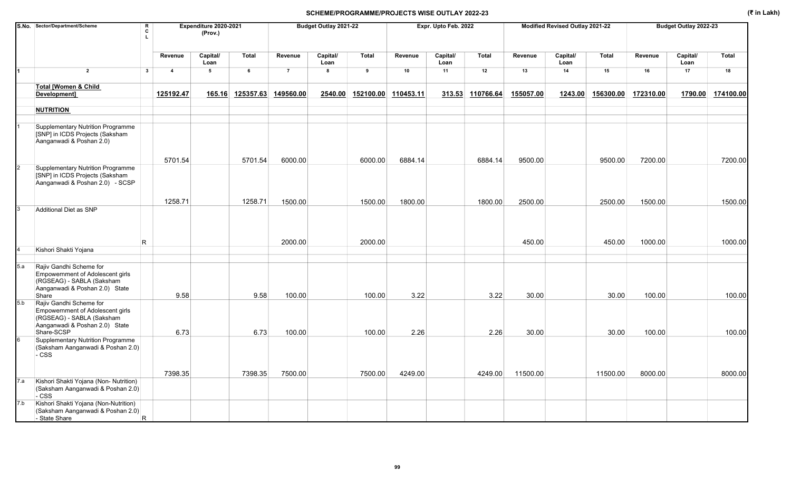|     | S.No. Sector/Department/Scheme                                                                                                             | R<br>C<br>$\mathbf{L}$ |                | Expenditure 2020-2021<br>(Prov.) |           |                | Budget Outlay 2021-22 |                     |         | Expr. Upto Feb. 2022 |           |           | Modified Revised Outlay 2021-22 |           |           | Budget Outlay 2022-23 |              |
|-----|--------------------------------------------------------------------------------------------------------------------------------------------|------------------------|----------------|----------------------------------|-----------|----------------|-----------------------|---------------------|---------|----------------------|-----------|-----------|---------------------------------|-----------|-----------|-----------------------|--------------|
|     |                                                                                                                                            |                        | Revenue        | Capital/<br>Loan                 | Total     | Revenue        | Capital/<br>Loan      | <b>Total</b>        | Revenue | Capital/<br>Loan     | Total     | Revenue   | Capital/<br>Loan                | Total     | Revenue   | Capital/<br>Loan      | <b>Total</b> |
| 1   | $\overline{2}$                                                                                                                             | $3^{\circ}$            | $\overline{4}$ | 5                                | 6         | $\overline{7}$ | 8                     | 9                   | 10      | 11                   | 12        | 13        | 14                              | 15        | 16        | 17                    | 18           |
|     | <b>Total [Women &amp; Child</b><br>Development]                                                                                            |                        | 125192.47      | 165.16                           | 125357.63 | 149560.00      | 2540.00               | 152100.00 110453.11 |         | 313.53               | 110766.64 | 155057.00 | 1243.00                         | 156300.00 | 172310.00 | 1790.00               | 174100.00    |
|     | <b>NUTRITION</b>                                                                                                                           |                        |                |                                  |           |                |                       |                     |         |                      |           |           |                                 |           |           |                       |              |
|     | Supplementary Nutrition Programme<br>[SNP] in ICDS Projects (Saksham<br>Aanganwadi & Poshan 2.0)                                           |                        |                |                                  |           |                |                       |                     |         |                      |           |           |                                 |           |           |                       |              |
|     |                                                                                                                                            |                        | 5701.54        |                                  | 5701.54   | 6000.00        |                       | 6000.00             | 6884.14 |                      | 6884.14   | 9500.00   |                                 | 9500.00   | 7200.00   |                       | 7200.00      |
|     | <b>Supplementary Nutrition Programme</b><br>[SNP] in ICDS Projects (Saksham<br>Aanganwadi & Poshan 2.0) - SCSP                             |                        |                |                                  |           |                |                       |                     |         |                      |           |           |                                 |           |           |                       |              |
|     |                                                                                                                                            |                        | 1258.71        |                                  | 1258.71   | 1500.00        |                       | 1500.00             | 1800.00 |                      | 1800.00   | 2500.00   |                                 | 2500.00   | 1500.00   |                       | 1500.00      |
|     | Additional Diet as SNP                                                                                                                     | R                      |                |                                  |           | 2000.00        |                       | 2000.00             |         |                      |           | 450.00    |                                 | 450.00    | 1000.00   |                       | 1000.00      |
|     | Kishori Shakti Yojana                                                                                                                      |                        |                |                                  |           |                |                       |                     |         |                      |           |           |                                 |           |           |                       |              |
| 5.a | Rajiv Gandhi Scheme for<br><b>Empowernment of Adolescent girls</b><br>(RGSEAG) - SABLA (Saksham<br>Aanganwadi & Poshan 2.0) State<br>Share |                        | 9.58           |                                  | 9.58      | 100.00         |                       | 100.00              | 3.22    |                      | 3.22      | 30.00     |                                 | 30.00     | 100.00    |                       | 100.00       |
| 5.b | Rajiv Gandhi Scheme for<br>Empowernment of Adolescent girls<br>(RGSEAG) - SABLA (Saksham<br>Aanganwadi & Poshan 2.0) State<br>Share-SCSP   |                        | 6.73           |                                  | 6.73      | 100.00         |                       | 100.00              | 2.26    |                      | 2.26      | 30.00     |                                 | 30.00     | 100.00    |                       | 100.00       |
|     | Supplementary Nutrition Programme<br>(Saksham Aanganwadi & Poshan 2.0)<br>- CSS                                                            |                        |                |                                  |           |                |                       |                     |         |                      |           |           |                                 |           |           |                       |              |
|     |                                                                                                                                            |                        | 7398.35        |                                  | 7398.35   | 7500.00        |                       | 7500.00             | 4249.00 |                      | 4249.00   | 11500.00  |                                 | 11500.00  | 8000.00   |                       | 8000.00      |
| 7.a | Kishori Shakti Yojana (Non- Nutrition)<br>(Saksham Aanganwadi & Poshan 2.0)<br>- CSS                                                       |                        |                |                                  |           |                |                       |                     |         |                      |           |           |                                 |           |           |                       |              |
| 7.b | Kishori Shakti Yojana (Non-Nutrition)<br>(Saksham Aanganwadi & Poshan 2.0)<br>- State Share                                                | R                      |                |                                  |           |                |                       |                     |         |                      |           |           |                                 |           |           |                       |              |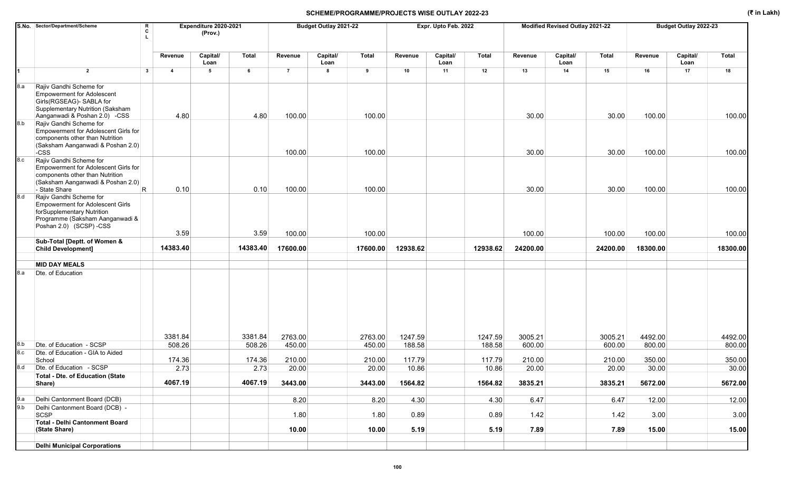|     | S.No. Sector/Department/Scheme<br>R<br>c                                                                                                                                              |                | Expenditure 2020-2021<br>(Prov.) |          |                | Budget Outlay 2021-22 |              |          | Expr. Upto Feb. 2022 |          |          | Modified Revised Outlay 2021-22 |              |          | Budget Outlay 2022-23 |              |
|-----|---------------------------------------------------------------------------------------------------------------------------------------------------------------------------------------|----------------|----------------------------------|----------|----------------|-----------------------|--------------|----------|----------------------|----------|----------|---------------------------------|--------------|----------|-----------------------|--------------|
|     |                                                                                                                                                                                       | Revenue        | Capital/<br>Loan                 | Total    | Revenue        | Capital/<br>Loan      | <b>Total</b> | Revenue  | Capital/<br>Loan     | Total    | Revenue  | Capital/<br>Loan                | <b>Total</b> | Revenue  | Capital/<br>Loan      | <b>Total</b> |
| 1   | $\overline{2}$<br>$\mathbf{3}$                                                                                                                                                        | $\overline{4}$ | 5                                | 6        | $\overline{7}$ | 8                     | 9            | 10       | 11                   | 12       | 13       | 14                              | 15           | 16       | 17                    | 18           |
| 8.a | Rajiv Gandhi Scheme for<br><b>Empowerment for Adolescent</b><br>Girls(RGSEAG)- SABLA for<br>Supplementary Nutrition (Saksham<br>Aanganwadi & Poshan 2.0) -CSS                         | 4.80           |                                  | 4.80     | 100.00         |                       | 100.00       |          |                      |          | 30.00    |                                 | 30.00        | 100.00   |                       | 100.00       |
| 8.b | Rajiv Gandhi Scheme for<br>Empowerment for Adolescent Girls for<br>components other than Nutrition<br>(Saksham Aanganwadi & Poshan 2.0)<br>$-css$                                     |                |                                  |          | 100.00         |                       | 100.00       |          |                      |          | 30.00    |                                 | 30.00        | 100.00   |                       | 100.00       |
| 8.c | Rajiv Gandhi Scheme for<br>Empowerment for Adolescent Girls for<br>components other than Nutrition<br>(Saksham Aanganwadi & Poshan 2.0)                                               |                |                                  |          |                |                       |              |          |                      |          |          |                                 |              |          |                       |              |
| 8.d | - State Share<br>R.<br>Rajiv Gandhi Scheme for<br><b>Empowerment for Adolescent Girls</b><br>forSupplementary Nutrition<br>Programme (Saksham Aanganwadi &<br>Poshan 2.0) (SCSP) -CSS | 0.10           |                                  | 0.10     | 100.00         |                       | 100.00       |          |                      |          | 30.00    |                                 | 30.00        | 100.00   |                       | 100.00       |
|     |                                                                                                                                                                                       | 3.59           |                                  | 3.59     | 100.00         |                       | 100.00       |          |                      |          | 100.00   |                                 | 100.00       | 100.00   |                       | 100.00       |
|     | Sub-Total [Deptt. of Women &<br><b>Child Development]</b>                                                                                                                             | 14383.40       |                                  | 14383.40 | 17600.00       |                       | 17600.00     | 12938.62 |                      | 12938.62 | 24200.00 |                                 | 24200.00     | 18300.00 |                       | 18300.00     |
|     | <b>MID DAY MEALS</b>                                                                                                                                                                  |                |                                  |          |                |                       |              |          |                      |          |          |                                 |              |          |                       |              |
| 8.a | Dte. of Education                                                                                                                                                                     | 3381.84        |                                  | 3381.84  | 2763.00        |                       | 2763.00      | 1247.59  |                      | 1247.59  | 3005.21  |                                 | 3005.21      | 4492.00  |                       | 4492.00      |
| 8.b | Dte. of Education - SCSP                                                                                                                                                              | 508.26         |                                  | 508.26   | 450.00         |                       | 450.00       | 188.58   |                      | 188.58   | 600.00   |                                 | 600.00       | 800.00   |                       | 800.00       |
| 8.c | Dte. of Education - GIA to Aided<br>School                                                                                                                                            | 174.36         |                                  | 174.36   | 210.00         |                       | 210.00       | 117.79   |                      | 117.79   | 210.00   |                                 | 210.00       | 350.00   |                       | 350.00       |
| 8.d | Dte. of Education - SCSP                                                                                                                                                              | 2.73           |                                  | 2.73     | 20.00          |                       | 20.00        | 10.86    |                      | 10.86    | 20.00    |                                 | 20.00        | 30.00    |                       | 30.00        |
|     | <b>Total - Dte. of Education (State</b><br>Share)                                                                                                                                     | 4067.19        |                                  | 4067.19  | 3443.00        |                       | 3443.00      | 1564.82  |                      | 1564.82  | 3835.21  |                                 | 3835.21      | 5672.00  |                       | 5672.00      |
| 9.a | Delhi Cantonment Board (DCB)                                                                                                                                                          |                |                                  |          | 8.20           |                       | 8.20         | 4.30     |                      | 4.30     | 6.47     |                                 | 6.47         | 12.00    |                       | 12.00        |
| 9.b | Delhi Cantonment Board (DCB) -<br>SCSP                                                                                                                                                |                |                                  |          | 1.80           |                       | 1.80         | 0.89     |                      | 0.89     | 1.42     |                                 | 1.42         | 3.00     |                       | 3.00         |
|     | Total - Delhi Cantonment Board<br>(State Share)                                                                                                                                       |                |                                  |          | 10.00          |                       | 10.00        | 5.19     |                      | 5.19     | 7.89     |                                 | 7.89         | 15.00    |                       | 15.00        |
|     | <b>Delhi Municipal Corporations</b>                                                                                                                                                   |                |                                  |          |                |                       |              |          |                      |          |          |                                 |              |          |                       |              |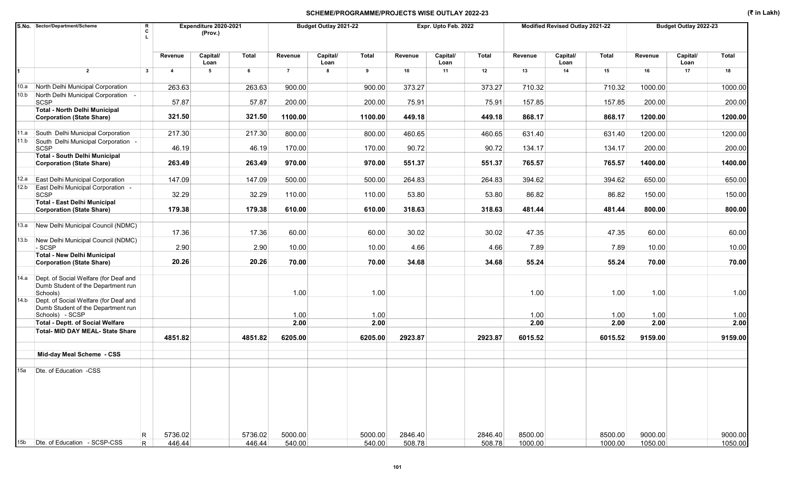|      | S.No. Sector/Department/Scheme<br>R<br>C                                                |                | Expenditure 2020-2021<br>(Prov.) |         |                | Budget Outlay 2021-22 |              |         | Expr. Upto Feb. 2022 |              |         | Modified Revised Outlay 2021-22 |         |         | Budget Outlay 2022-23 |              |
|------|-----------------------------------------------------------------------------------------|----------------|----------------------------------|---------|----------------|-----------------------|--------------|---------|----------------------|--------------|---------|---------------------------------|---------|---------|-----------------------|--------------|
|      |                                                                                         | Revenue        | Capital/<br>Loan                 | Total   | Revenue        | Capital/<br>Loan      | <b>Total</b> | Revenue | Capital/<br>Loan     | <b>Total</b> | Revenue | Capital/<br>Loan                | Total   | Revenue | Capital/<br>Loan      | <b>Total</b> |
|      | $\overline{2}$<br>$\mathbf{3}$                                                          | $\overline{4}$ | 5                                | 6       | $\overline{7}$ | 8                     | 9            | 10      | 11                   | 12           | 13      | 14                              | 15      | 16      | 17                    | 18           |
|      | 10.a North Delhi Municipal Corporation                                                  | 263.63         |                                  | 263.63  | 900.00         |                       | 900.00       | 373.27  |                      | 373.27       | 710.32  |                                 | 710.32  | 1000.00 |                       | 1000.00      |
| 10.b | North Delhi Municipal Corporation -<br><b>SCSP</b>                                      | 57.87          |                                  | 57.87   | 200.00         |                       | 200.00       | 75.91   |                      | 75.91        | 157.85  |                                 | 157.85  | 200.00  |                       | 200.00       |
|      | <b>Total - North Delhi Municipal</b><br><b>Corporation (State Share)</b>                | 321.50         |                                  | 321.50  | 1100.00        |                       | 1100.00      | 449.18  |                      | 449.18       | 868.17  |                                 | 868.17  | 1200.00 |                       | 1200.00      |
| 11.a | South Delhi Municipal Corporation                                                       | 217.30         |                                  | 217.30  | 800.00         |                       | 800.00       | 460.65  |                      | 460.65       | 631.40  |                                 | 631.40  | 1200.00 |                       | 1200.00      |
| 11.b | South Delhi Municipal Corporation -                                                     |                |                                  |         |                |                       |              |         |                      |              |         |                                 |         |         |                       |              |
|      | <b>SCSP</b><br><b>Total - South Delhi Municipal</b>                                     | 46.19          |                                  | 46.19   | 170.00         |                       | 170.00       | 90.72   |                      | 90.72        | 134.17  |                                 | 134.17  | 200.00  |                       | 200.00       |
|      | <b>Corporation (State Share)</b>                                                        | 263.49         |                                  | 263.49  | 970.00         |                       | 970.00       | 551.37  |                      | 551.37       | 765.57  |                                 | 765.57  | 1400.00 |                       | 1400.00      |
| 12.a | East Delhi Municipal Corporation                                                        | 147.09         |                                  | 147.09  | 500.00         |                       | 500.00       | 264.83  |                      | 264.83       | 394.62  |                                 | 394.62  | 650.00  |                       | 650.00       |
| 12.b | East Delhi Municipal Corporation -<br><b>SCSP</b>                                       | 32.29          |                                  | 32.29   | 110.00         |                       | 110.00       | 53.80   |                      | 53.80        | 86.82   |                                 | 86.82   | 150.00  |                       | 150.00       |
|      | <b>Total - East Delhi Municipal</b><br><b>Corporation (State Share)</b>                 | 179.38         |                                  | 179.38  | 610.00         |                       | 610.00       | 318.63  |                      | 318.63       | 481.44  |                                 | 481.44  | 800.00  |                       | 800.00       |
|      | 13.a New Delhi Municipal Council (NDMC)                                                 | 17.36          |                                  | 17.36   | 60.00          |                       | 60.00        | 30.02   |                      | 30.02        | 47.35   |                                 | 47.35   | 60.00   |                       | 60.00        |
| 13.b | New Delhi Municipal Council (NDMC)<br>$-SCSP$                                           | 2.90           |                                  | 2.90    | 10.00          |                       | 10.00        | 4.66    |                      | 4.66         | 7.89    |                                 | 7.89    | 10.00   |                       | 10.00        |
|      | <b>Total - New Delhi Municipal</b><br><b>Corporation (State Share)</b>                  | 20.26          |                                  | 20.26   | 70.00          |                       | 70.00        | 34.68   |                      | 34.68        | 55.24   |                                 | 55.24   | 70.00   |                       | 70.00        |
| 14.a |                                                                                         |                |                                  |         |                |                       |              |         |                      |              |         |                                 |         |         |                       |              |
|      | Dept. of Social Welfare (for Deaf and<br>Dumb Student of the Department run<br>Schools) |                |                                  |         | 1.00           |                       | 1.00         |         |                      |              | 1.00    |                                 | 1.00    | 1.00    |                       | 1.00         |
| 14.b | Dept. of Social Welfare (for Deaf and<br>Dumb Student of the Department run             |                |                                  |         |                |                       |              |         |                      |              |         |                                 |         |         |                       |              |
|      | Schools) - SCSP<br><b>Total - Deptt. of Social Welfare</b>                              |                |                                  |         | 1.00           |                       | 1.00         |         |                      |              | 1.00    |                                 | 1.00    | 1.00    |                       | 1.00         |
|      | <b>Total- MID DAY MEAL- State Share</b>                                                 |                |                                  |         | 2.00           |                       | 2.00         |         |                      |              | 2.00    |                                 | 2.00    | 2.00    |                       | 2.00         |
|      |                                                                                         | 4851.82        |                                  | 4851.82 | 6205.00        |                       | 6205.00      | 2923.87 |                      | 2923.87      | 6015.52 |                                 | 6015.52 | 9159.00 |                       | 9159.00      |
|      | Mid-day Meal Scheme - CSS                                                               |                |                                  |         |                |                       |              |         |                      |              |         |                                 |         |         |                       |              |
| 15a  | Dte. of Education -CSS                                                                  |                |                                  |         |                |                       |              |         |                      |              |         |                                 |         |         |                       |              |
|      |                                                                                         |                |                                  |         |                |                       |              |         |                      |              |         |                                 |         |         |                       |              |
| 15b  | R<br>Dte. of Education - SCSP-CSS                                                       | 5736.02        |                                  | 5736.02 | 5000.00        |                       | 5000.00      | 2846.40 |                      | 2846.40      | 8500.00 |                                 | 8500.00 | 9000.00 |                       | 9000.00      |
|      | $\overline{R}$                                                                          | 446.44         |                                  | 446.44  | 540.00         |                       | 540.00       | 508.78  |                      | 508.78       | 1000.00 |                                 | 1000.00 | 1050.00 |                       | 1050.00      |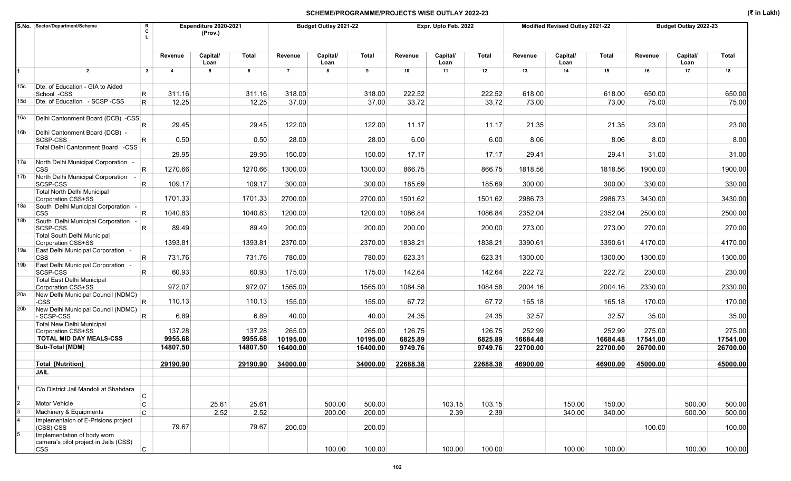|                 | S.No. Sector/Department/Scheme<br>R<br>C                             |                         | Expenditure 2020-2021<br>(Prov.) |                     |                      | Budget Outlay 2021-22 |                      |                    | Expr. Upto Feb. 2022 |                    |                      | Modified Revised Outlay 2021-22 |                      |                      | Budget Outlay 2022-23 |                      |
|-----------------|----------------------------------------------------------------------|-------------------------|----------------------------------|---------------------|----------------------|-----------------------|----------------------|--------------------|----------------------|--------------------|----------------------|---------------------------------|----------------------|----------------------|-----------------------|----------------------|
|                 |                                                                      | Revenue                 | Capital/<br>Loan                 | <b>Total</b>        | Revenue              | Capital/<br>Loan      | Total                | Revenue            | Capital/<br>Loan     | <b>Total</b>       | Revenue              | Capital/<br>Loan                | Total                | Revenue              | Capital/<br>Loan      | Total                |
|                 | $\overline{2}$<br>$\mathbf{3}$                                       | $\overline{\mathbf{4}}$ | 5                                | 6                   | $\overline{7}$       | 8                     | 9                    | 10                 | 11                   | 12                 | 13                   | 14                              | 15                   | 16                   | 17                    | 18                   |
| 15c             | Dte. of Education - GIA to Aided<br>School -CSS<br>R                 | 311.16                  |                                  | 311.16              | 318.00               |                       | 318.00               | 222.52             |                      | 222.52             | 618.00               |                                 | 618.00               | 650.00               |                       | 650.00               |
| 15d             | Dte. of Education - SCSP -CSS<br>R.                                  | 12.25                   |                                  | 12.25               | 37.00                |                       | 37.00                | 33.72              |                      | 33.72              | 73.00                |                                 | 73.00                | 75.00                |                       | 75.00                |
| 16a             | Delhi Cantonment Board (DCB) -CSS                                    |                         |                                  |                     |                      |                       |                      |                    |                      |                    |                      |                                 |                      |                      |                       |                      |
| 16b             | R<br>Delhi Cantonment Board (DCB) -                                  | 29.45                   |                                  | 29.45               | 122.00               |                       | 122.00               | 11.17              |                      | 11.17              | 21.35                |                                 | 21.35                | 23.00                |                       | 23.00                |
|                 | R.<br>SCSP-CSS<br>Total Delhi Cantonment Board -CSS                  | 0.50                    |                                  | 0.50                | 28.00                |                       | 28.00                | 6.00               |                      | 6.00               | 8.06                 |                                 | 8.06                 | 8.00                 |                       | 8.00                 |
| 17a             | North Delhi Municipal Corporation -                                  | 29.95                   |                                  | 29.95               | 150.00               |                       | 150.00               | 17.17              |                      | 17.17              | 29.41                |                                 | 29.41                | 31.00                |                       | 31.00                |
|                 | $\overline{\mathsf{R}}$<br><b>CSS</b>                                | 1270.66                 |                                  | 1270.66             | 1300.00              |                       | 1300.00              | 866.75             |                      | 866.75             | 1818.56              |                                 | 1818.56              | 1900.00              |                       | 1900.00              |
| 17b             | North Delhi Municipal Corporation -<br>R.<br>SCSP-CSS                | 109.17                  |                                  | 109.17              | 300.00               |                       | 300.00               | 185.69             |                      | 185.69             | 300.00               |                                 | 300.00               | 330.00               |                       | 330.00               |
|                 | Total North Delhi Municipal<br>Corporation CSS+SS                    | 1701.33                 |                                  | 1701.33             | 2700.00              |                       | 2700.00              | 1501.62            |                      | 1501.62            | 2986.73              |                                 | 2986.73              | 3430.00              |                       | 3430.00              |
| 18a             | South Delhi Municipal Corporation -<br>R<br><b>CSS</b>               | 1040.83                 |                                  | 1040.83             | 1200.00              |                       | 1200.00              | 1086.84            |                      | 1086.84            | 2352.04              |                                 | 2352.04              | 2500.00              |                       | 2500.00              |
| 18b             | South Delhi Municipal Corporation -<br>SCSP-CSS<br>R.                | 89.49                   |                                  | 89.49               | 200.00               |                       | 200.00               | 200.00             |                      | 200.00             | 273.00               |                                 | 273.00               | 270.00               |                       | 270.00               |
|                 | Total South Delhi Municipal<br>Corporation CSS+SS                    | 1393.81                 |                                  | 1393.81             | 2370.00              |                       | 2370.00              | 1838.21            |                      | 1838.21            | 3390.61              |                                 | 3390.61              | 4170.00              |                       | 4170.00              |
| 19a             | East Delhi Municipal Corporation -<br><b>CSS</b><br>R                | 731.76                  |                                  | 731.76              | 780.00               |                       | 780.00               | 623.31             |                      | 623.31             | 1300.00              |                                 | 1300.00              | 1300.00              |                       | 1300.00              |
| 19b             | East Delhi Municipal Corporation -<br>SCSP-CSS<br>R.                 | 60.93                   |                                  | 60.93               | 175.00               |                       | 175.00               | 142.64             |                      | 142.64             | 222.72               |                                 | 222.72               | 230.00               |                       | 230.00               |
|                 | Total East Delhi Municipal                                           |                         |                                  |                     |                      |                       |                      |                    |                      |                    |                      |                                 |                      |                      |                       |                      |
| 20a             | Corporation CSS+SS<br>New Delhi Municipal Council (NDMC)             | 972.07                  |                                  | 972.07              | 1565.00              |                       | 1565.00              | 1084.58            |                      | 1084.58            | 2004.16              |                                 | 2004.16              | 2330.00              |                       | 2330.00              |
| 20 <sub>b</sub> | R<br>-CSS<br>New Delhi Municipal Council (NDMC)                      | 110.13                  |                                  | 110.13              | 155.00               |                       | 155.00               | 67.72              |                      | 67.72              | 165.18               |                                 | 165.18               | 170.00               |                       | 170.00               |
|                 | - SCSP-CSS<br>IR.<br>Total New Delhi Municipal                       | 6.89                    |                                  | 6.89                | 40.00                |                       | 40.00                | 24.35              |                      | 24.35              | 32.57                |                                 | 32.57                | 35.00                |                       | 35.00                |
|                 | Corporation CSS+SS                                                   | 137.28                  |                                  | 137.28              | 265.00               |                       | 265.00               | 126.75             |                      | 126.75             | 252.99               |                                 | 252.99               | 275.00               |                       | 275.00               |
|                 | TOTAL MID DAY MEALS-CSS<br>Sub-Total [MDM]                           | 9955.68<br>14807.50     |                                  | 9955.68<br>14807.50 | 10195.00<br>16400.00 |                       | 10195.00<br>16400.00 | 6825.89<br>9749.76 |                      | 6825.89<br>9749.76 | 16684.48<br>22700.00 |                                 | 16684.48<br>22700.00 | 17541.00<br>26700.00 |                       | 17541.00<br>26700.00 |
|                 |                                                                      |                         |                                  |                     |                      |                       |                      |                    |                      |                    |                      |                                 |                      |                      |                       |                      |
|                 | <b>Total [Nutrition]</b><br><b>JAIL</b>                              | 29190.90                |                                  | 29190.90            | 34000.00             |                       | 34000.00             | 22688.38           |                      | 22688.38           | 46900.00             |                                 | 46900.00             | 45000.00             |                       | 45000.00             |
|                 |                                                                      |                         |                                  |                     |                      |                       |                      |                    |                      |                    |                      |                                 |                      |                      |                       |                      |
|                 | C/o District Jail Mandoli at Shahdara<br>$\mathsf{C}$                |                         |                                  |                     |                      |                       |                      |                    |                      |                    |                      |                                 |                      |                      |                       |                      |
|                 | Motor Vehicle<br>C                                                   |                         | 25.61                            | 25.61               |                      | 500.00                | 500.00               |                    | 103.15               | 103.15             |                      | 150.00                          | 150.00               |                      | 500.00                | 500.00               |
|                 | Machinery & Equipments<br>$\mathsf{C}$                               |                         | 2.52                             | 2.52                |                      | 200.00                | 200.00               |                    | 2.39                 | 2.39               |                      | 340.00                          | 340.00               |                      | 500.00                | 500.00               |
|                 | Implementaion of E-Prisions project<br>(CSS) CSS                     | 79.67                   |                                  | 79.67               | 200.00               |                       | 200.00               |                    |                      |                    |                      |                                 |                      | 100.00               |                       | 100.00               |
| 5               | Implementation of body worn<br>camera's pilot project in Jails (CSS) |                         |                                  |                     |                      |                       |                      |                    |                      |                    |                      |                                 |                      |                      |                       |                      |
|                 | C.<br><b>CSS</b>                                                     |                         |                                  |                     |                      | 100.00                | 100.00               |                    | 100.00               | 100.00             |                      | 100.00                          | 100.00               |                      | 100.00                | 100.00               |

102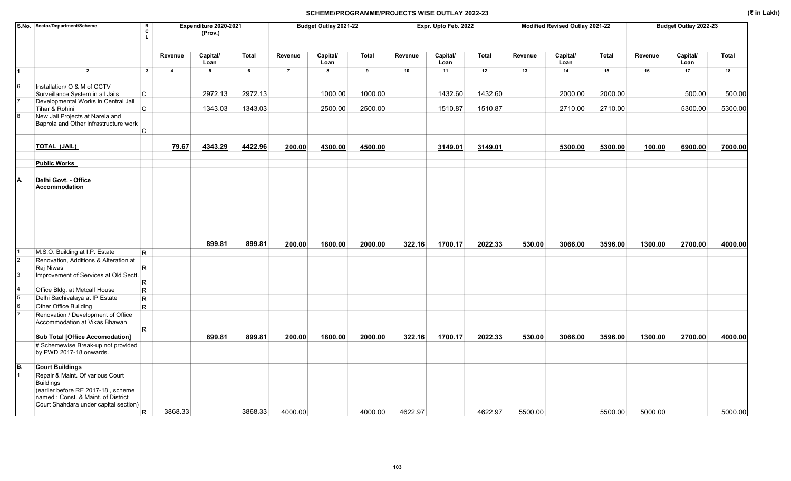|    | S.No. Sector/Department/Scheme                                                                                                                                            | R<br>C<br>Τ. |                         | Expenditure 2020-2021<br>(Prov.) |         |                | Budget Outlay 2021-22 |              |         | Expr. Upto Feb. 2022 |         |         | <b>Modified Revised Outlay 2021-22</b> |         |         | Budget Outlay 2022-23 |         |
|----|---------------------------------------------------------------------------------------------------------------------------------------------------------------------------|--------------|-------------------------|----------------------------------|---------|----------------|-----------------------|--------------|---------|----------------------|---------|---------|----------------------------------------|---------|---------|-----------------------|---------|
|    |                                                                                                                                                                           |              | Revenue                 | Capital/<br>Loan                 | Total   | Revenue        | Capital/<br>Loan      | <b>Total</b> | Revenue | Capital/<br>Loan     | Total   | Revenue | Capital/<br>Loan                       | Total   | Revenue | Capital/<br>Loan      | Total   |
|    | $\overline{2}$                                                                                                                                                            | $\mathbf{3}$ | $\overline{\mathbf{4}}$ | $5\phantom{.0}$                  | 6       | $\overline{7}$ | 8                     | 9            | 10      | 11                   | 12      | 13      | 14                                     | 15      | 16      | 17                    | 18      |
| 6  | Installation/ O & M of CCTV<br>Surveillance System in all Jails                                                                                                           | $\mathbf C$  |                         | 2972.13                          | 2972.13 |                | 1000.00               | 1000.00      |         | 1432.60              | 1432.60 |         | 2000.00                                | 2000.00 |         | 500.00                | 500.00  |
|    | Developmental Works in Central Jail<br>Tihar & Rohini                                                                                                                     | C            |                         | 1343.03                          | 1343.03 |                | 2500.00               | 2500.00      |         | 1510.87              | 1510.87 |         | 2710.00                                | 2710.00 |         | 5300.00               | 5300.00 |
|    | New Jail Projects at Narela and<br>Baprola and Other infrastructure work                                                                                                  | C            |                         |                                  |         |                |                       |              |         |                      |         |         |                                        |         |         |                       |         |
|    | <b>TOTAL (JAIL)</b>                                                                                                                                                       |              | 79.67                   | 4343.29                          | 4422.96 | 200.00         | 4300.00               | 4500.00      |         | 3149.01              | 3149.01 |         | 5300.00                                | 5300.00 | 100.00  | 6900.00               | 7000.00 |
|    | <b>Public Works</b>                                                                                                                                                       |              |                         |                                  |         |                |                       |              |         |                      |         |         |                                        |         |         |                       |         |
| А. | Delhi Govt. - Office<br><b>Accommodation</b>                                                                                                                              |              |                         |                                  |         |                |                       |              |         |                      |         |         |                                        |         |         |                       |         |
|    |                                                                                                                                                                           |              |                         | 899.81                           | 899.81  | 200.00         | 1800.00               | 2000.00      | 322.16  | 1700.17              | 2022.33 | 530.00  | 3066.00                                | 3596.00 | 1300.00 | 2700.00               | 4000.00 |
|    | M.S.O. Building at I.P. Estate                                                                                                                                            | R.           |                         |                                  |         |                |                       |              |         |                      |         |         |                                        |         |         |                       |         |
|    | Renovation, Additions & Alteration at<br>Raj Niwas                                                                                                                        | R.           |                         |                                  |         |                |                       |              |         |                      |         |         |                                        |         |         |                       |         |
|    | Improvement of Services at Old Sectt.                                                                                                                                     | R            |                         |                                  |         |                |                       |              |         |                      |         |         |                                        |         |         |                       |         |
|    | Office Bldg. at Metcalf House                                                                                                                                             | R            |                         |                                  |         |                |                       |              |         |                      |         |         |                                        |         |         |                       |         |
|    | Delhi Sachivalaya at IP Estate                                                                                                                                            | R            |                         |                                  |         |                |                       |              |         |                      |         |         |                                        |         |         |                       |         |
|    | Other Office Building                                                                                                                                                     | R.           |                         |                                  |         |                |                       |              |         |                      |         |         |                                        |         |         |                       |         |
|    | Renovation / Development of Office<br>Accommodation at Vikas Bhawan                                                                                                       | R.           |                         |                                  |         |                |                       |              |         |                      |         |         |                                        |         |         |                       |         |
|    | <b>Sub Total [Office Accomodation]</b>                                                                                                                                    |              |                         | 899.81                           | 899.81  | 200.00         | 1800.00               | 2000.00      | 322.16  | 1700.17              | 2022.33 | 530.00  | 3066.00                                | 3596.00 | 1300.00 | 2700.00               | 4000.00 |
|    | # Schemewise Break-up not provided<br>by PWD 2017-18 onwards.                                                                                                             |              |                         |                                  |         |                |                       |              |         |                      |         |         |                                        |         |         |                       |         |
| B. | <b>Court Buildings</b>                                                                                                                                                    |              |                         |                                  |         |                |                       |              |         |                      |         |         |                                        |         |         |                       |         |
|    | Repair & Maint. Of various Court<br><b>Buildings</b><br>(earlier before RE 2017-18, scheme<br>named: Const. & Maint. of District<br>Court Shahdara under capital section) |              |                         |                                  |         |                |                       |              |         |                      |         |         |                                        |         |         |                       |         |
|    |                                                                                                                                                                           | R.           | 3868.33                 |                                  | 3868.33 | 4000.00        |                       | 4000.00      | 4622.97 |                      | 4622.97 | 5500.00 |                                        | 5500.00 | 5000.00 |                       | 5000.00 |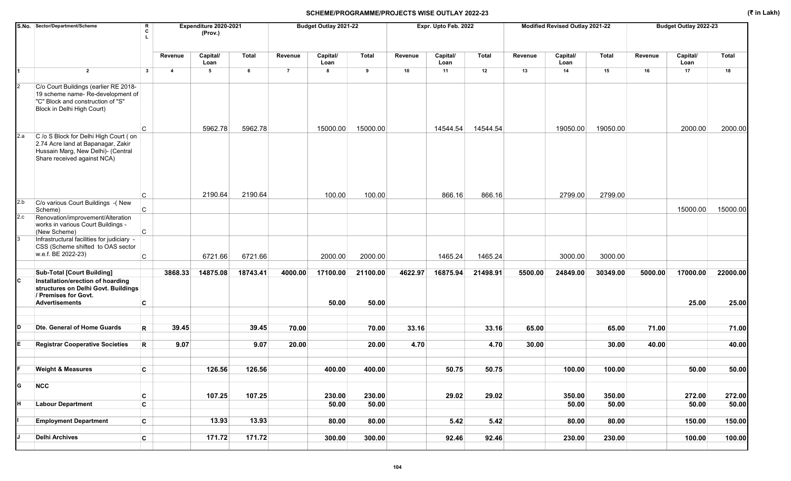|                         | S.No. Sector/Department/Scheme                                                                                                                   | R<br>C       |                | Expenditure 2020-2021<br>(Prov.) |              |                | Budget Outlay 2021-22 |              |         | Expr. Upto Feb. 2022 |          |         | Modified Revised Outlay 2021-22 |              |         | Budget Outlay 2022-23 |              |
|-------------------------|--------------------------------------------------------------------------------------------------------------------------------------------------|--------------|----------------|----------------------------------|--------------|----------------|-----------------------|--------------|---------|----------------------|----------|---------|---------------------------------|--------------|---------|-----------------------|--------------|
|                         |                                                                                                                                                  |              | Revenue        | Capital/<br>Loan                 | <b>Total</b> | Revenue        | Capital/<br>Loan      | <b>Total</b> | Revenue | Capital/<br>Loan     | Total    | Revenue | Capital/<br>Loan                | <b>Total</b> | Revenue | Capital/<br>Loan      | <b>Total</b> |
|                         | $\overline{2}$                                                                                                                                   | $\mathbf{3}$ | $\overline{4}$ | 5                                | 6            | $\overline{7}$ | 8                     | 9            | 10      | 11                   | 12       | 13      | 14                              | 15           | 16      | 17                    | 18           |
|                         | C/o Court Buildings (earlier RE 2018-<br>19 scheme name- Re-development of<br>"C" Block and construction of "S"<br>Block in Delhi High Court)    |              |                |                                  |              |                |                       |              |         |                      |          |         |                                 |              |         |                       |              |
| 2.a                     |                                                                                                                                                  | C            |                | 5962.78                          | 5962.78      |                | 15000.00              | 15000.00     |         | 14544.54             | 14544.54 |         | 19050.00                        | 19050.00     |         | 2000.00               | 2000.00      |
|                         | C /o S Block for Delhi High Court (on<br>2.74 Acre land at Bapanagar, Zakir<br>Hussain Marg, New Delhi)- (Central<br>Share received against NCA) |              |                |                                  |              |                |                       |              |         |                      |          |         |                                 |              |         |                       |              |
|                         |                                                                                                                                                  | C            |                | 2190.64                          | 2190.64      |                | 100.00                | 100.00       |         | 866.16               | 866.16   |         | 2799.00                         | 2799.00      |         |                       |              |
| 2.b                     | C/o various Court Buildings -(New<br>Scheme)                                                                                                     | $\mathsf{C}$ |                |                                  |              |                |                       |              |         |                      |          |         |                                 |              |         | 15000.00              | 15000.00     |
| 2.c                     | Renovation/improvement/Alteration                                                                                                                |              |                |                                  |              |                |                       |              |         |                      |          |         |                                 |              |         |                       |              |
|                         | works in various Court Buildings -<br>(New Scheme)                                                                                               | C            |                |                                  |              |                |                       |              |         |                      |          |         |                                 |              |         |                       |              |
|                         | Infrastructural facilities for judiciary -<br>CSS (Scheme shifted to OAS sector<br>w.e.f. BE 2022-23)                                            | $\mathsf C$  |                | 6721.66                          | 6721.66      |                | 2000.00               | 2000.00      |         | 1465.24              | 1465.24  |         | 3000.00                         | 3000.00      |         |                       |              |
|                         |                                                                                                                                                  |              |                |                                  |              |                |                       |              |         |                      |          |         |                                 |              |         |                       |              |
|                         | <b>Sub-Total [Court Building]</b>                                                                                                                |              | 3868.33        | 14875.08                         | 18743.41     | 4000.00        | 17100.00              | 21100.00     | 4622.97 | 16875.94             | 21498.91 | 5500.00 | 24849.00                        | 30349.00     | 5000.00 | 17000.00              | 22000.00     |
| IС                      | Installation/erection of hoarding<br>structures on Delhi Govt. Buildings<br>/ Premises for Govt.<br><b>Advertisements</b>                        | C            |                |                                  |              |                | 50.00                 | 50.00        |         |                      |          |         |                                 |              |         | 25.00                 | 25.00        |
|                         |                                                                                                                                                  |              |                |                                  |              |                |                       |              |         |                      |          |         |                                 |              |         |                       |              |
| D                       | Dte. General of Home Guards                                                                                                                      | R            | 39.45          |                                  | 39.45        | 70.00          |                       | 70.00        | 33.16   |                      | 33.16    | 65.00   |                                 | 65.00        | 71.00   |                       | 71.00        |
|                         |                                                                                                                                                  |              |                |                                  |              |                |                       |              |         |                      |          |         |                                 |              |         |                       |              |
| E                       | <b>Registrar Cooperative Societies</b>                                                                                                           | R            | 9.07           |                                  | 9.07         | 20.00          |                       | 20.00        | 4.70    |                      | 4.70     | 30.00   |                                 | 30.00        | 40.00   |                       | 40.00        |
|                         |                                                                                                                                                  |              |                |                                  |              |                |                       |              |         |                      |          |         |                                 |              |         |                       |              |
|                         | <b>Weight &amp; Measures</b>                                                                                                                     | C            |                | 126.56                           | 126.56       |                | 400.00                | 400.00       |         | 50.75                | 50.75    |         | 100.00                          | 100.00       |         | 50.00                 | 50.00        |
| G                       | <b>NCC</b>                                                                                                                                       |              |                |                                  |              |                |                       |              |         |                      |          |         |                                 |              |         |                       |              |
|                         |                                                                                                                                                  | C            |                | 107.25                           | 107.25       |                | 230.00                | 230.00       |         | 29.02                | 29.02    |         | 350.00                          | 350.00       |         | 272.00                | 272.00       |
| $\overline{\mathsf{H}}$ | <b>Labour Department</b>                                                                                                                         | C            |                |                                  |              |                | 50.00                 | 50.00        |         |                      |          |         | 50.00                           | 50.00        |         | 50.00                 | 50.00        |
|                         | <b>Employment Department</b>                                                                                                                     | C            |                | 13.93                            | 13.93        |                | 80.00                 | 80.00        |         | 5.42                 | 5.42     |         | 80.00                           | 80.00        |         | 150.00                | 150.00       |
|                         |                                                                                                                                                  |              |                |                                  |              |                |                       |              |         |                      |          |         |                                 |              |         |                       |              |
|                         | <b>Delhi Archives</b>                                                                                                                            | C            |                | 171.72                           | 171.72       |                | 300.00                | 300.00       |         | 92.46                | 92.46    |         | 230.00                          | 230.00       |         | 100.00                | 100.00       |
|                         |                                                                                                                                                  |              |                |                                  |              |                |                       |              |         |                      |          |         |                                 |              |         |                       |              |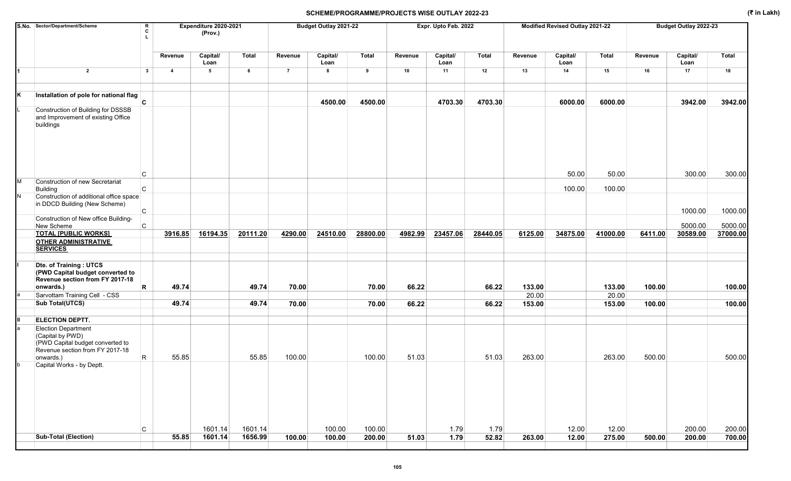|   | S.No. Sector/Department/Scheme                                                                                                     | $\mathbf R$<br>c |                         | Expenditure 2020-2021<br>(Prov.) |                    |                | Budget Outlay 2021-22 |                  |         | Expr. Upto Feb. 2022 |               |         | Modified Revised Outlay 2021-22 |                 |         | Budget Outlay 2022-23 |                    |
|---|------------------------------------------------------------------------------------------------------------------------------------|------------------|-------------------------|----------------------------------|--------------------|----------------|-----------------------|------------------|---------|----------------------|---------------|---------|---------------------------------|-----------------|---------|-----------------------|--------------------|
|   |                                                                                                                                    |                  | Revenue                 | Capital/<br>Loan                 | <b>Total</b>       | Revenue        | Capital/<br>Loan      | <b>Total</b>     | Revenue | Capital/<br>Loan     | Total         | Revenue | Capital/<br>Loan                | <b>Total</b>    | Revenue | Capital/<br>Loan      | <b>Total</b>       |
| И | $\overline{2}$                                                                                                                     | $\mathbf{3}$     | $\overline{\mathbf{4}}$ | 5                                | 6                  | $\overline{7}$ | 8                     | 9                | 10      | 11                   | 12            | 13      | 14                              | 15              | 16      | 17                    | 18                 |
| Κ | Installation of pole for national flag<br>$\overline{c}$                                                                           |                  |                         |                                  |                    |                | 4500.00               | 4500.00          |         | 4703.30              | 4703.30       |         | 6000.00                         | 6000.00         |         | 3942.00               | 3942.00            |
|   | <b>Construction of Building for DSSSB</b><br>and Improvement of existing Office<br>buildings                                       |                  |                         |                                  |                    |                |                       |                  |         |                      |               |         |                                 |                 |         |                       |                    |
|   | C                                                                                                                                  |                  |                         |                                  |                    |                |                       |                  |         |                      |               |         | 50.00                           | 50.00           |         | 300.00                | 300.00             |
| M | Construction of new Secretariat<br>Building                                                                                        | C.               |                         |                                  |                    |                |                       |                  |         |                      |               |         | 100.00                          | 100.00          |         |                       |                    |
| N | Construction of additional office space<br>in DDCD Building (New Scheme)                                                           |                  |                         |                                  |                    |                |                       |                  |         |                      |               |         |                                 |                 |         |                       |                    |
|   | $\mathsf{C}$<br>Construction of New office Building-<br>New Scheme                                                                 | $\mathsf{C}$     |                         |                                  |                    |                |                       |                  |         |                      |               |         |                                 |                 |         | 1000.00<br>5000.00    | 1000.00<br>5000.00 |
|   | <b>TOTAL [PUBLIC WORKS]</b>                                                                                                        |                  | 3916.85                 | 16194.35                         | 20111.20           | 4290.00        | 24510.00              | 28800.00         | 4982.99 | 23457.06             | 28440.05      | 6125.00 | 34875.00                        | 41000.00        | 6411.00 | 30589.00              | 37000.00           |
|   | <b>OTHER ADMINISTRATIVE</b><br><b>SERVICES</b>                                                                                     |                  |                         |                                  |                    |                |                       |                  |         |                      |               |         |                                 |                 |         |                       |                    |
|   | Dte. of Training: UTCS<br>(PWD Capital budget converted to<br>Revenue section from FY 2017-18<br>onwards.)                         | R                | 49.74                   |                                  | 49.74              | 70.00          |                       | 70.00            | 66.22   |                      | 66.22         | 133.00  |                                 | 133.00          | 100.00  |                       | 100.00             |
|   | Sarvottam Training Cell - CSS                                                                                                      |                  |                         |                                  |                    |                |                       |                  |         |                      |               | 20.00   |                                 | 20.00           |         |                       |                    |
|   | <b>Sub Total(UTCS)</b>                                                                                                             |                  | 49.74                   |                                  | 49.74              | 70.00          |                       | 70.00            | 66.22   |                      | 66.22         | 153.00  |                                 | 153.00          | 100.00  |                       | 100.00             |
| Ш | <b>ELECTION DEPTT.</b>                                                                                                             |                  |                         |                                  |                    |                |                       |                  |         |                      |               |         |                                 |                 |         |                       |                    |
|   | <b>Election Department</b><br>(Capital by PWD)<br>(PWD Capital budget converted to<br>Revenue section from FY 2017-18<br>onwards.) | R                | 55.85                   |                                  | 55.85              | 100.00         |                       | 100.00           | 51.03   |                      | 51.03         | 263.00  |                                 | 263.00          | 500.00  |                       | 500.00             |
| b | Capital Works - by Deptt.                                                                                                          |                  |                         |                                  |                    |                |                       |                  |         |                      |               |         |                                 |                 |         |                       |                    |
|   | <b>Sub-Total (Election)</b>                                                                                                        | C                | 55.85                   | 1601.14<br>1601.14               | 1601.14<br>1656.99 | 100.00         | 100.00<br>100.00      | 100.00<br>200.00 | 51.03   | 1.79<br>1.79         | 1.79<br>52.82 | 263.00  | 12.00<br>12.00                  | 12.00<br>275.00 | 500.00  | 200.00<br>200.00      | 200.00<br>700.00   |
|   |                                                                                                                                    |                  |                         |                                  |                    |                |                       |                  |         |                      |               |         |                                 |                 |         |                       |                    |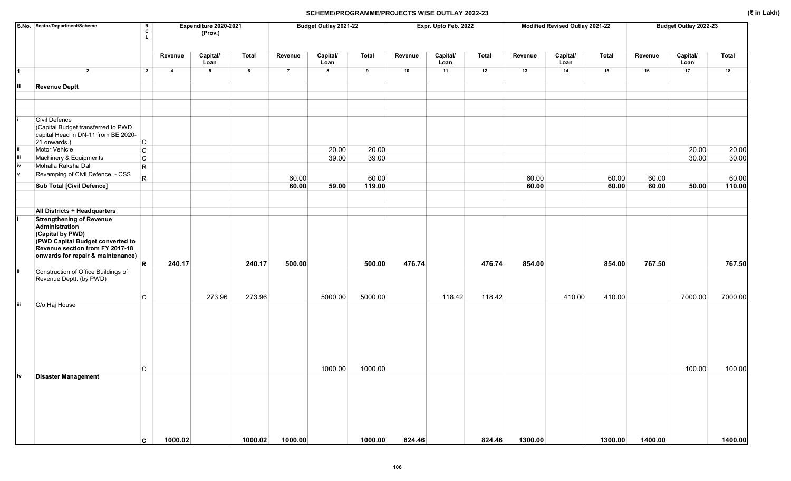|     | S.No. Sector/Department/Scheme<br>R<br>C<br>л.                                                                                                                                    |                         | Expenditure 2020-2021<br>(Prov.) |         |                | Budget Outlay 2021-22 |              |         | Expr. Upto Feb. 2022 |        |         | Modified Revised Outlay 2021-22 |              |            | Budget Outlay 2022-23 |              |
|-----|-----------------------------------------------------------------------------------------------------------------------------------------------------------------------------------|-------------------------|----------------------------------|---------|----------------|-----------------------|--------------|---------|----------------------|--------|---------|---------------------------------|--------------|------------|-----------------------|--------------|
|     |                                                                                                                                                                                   | Revenue                 | Capital/<br>Loan                 | Total   | Revenue        | Capital/<br>Loan      | <b>Total</b> | Revenue | Capital/<br>Loan     | Total  | Revenue | Capital/<br>Loan                | <b>Total</b> | Revenue    | Capital/<br>Loan      | <b>Total</b> |
| 1   | $\overline{2}$<br>$\mathbf{3}$                                                                                                                                                    | $\overline{\mathbf{4}}$ | 5                                | 6       | $\overline{7}$ | 8                     | 9            | 10      | 11                   | 12     | 13      | 14                              | 15           | ${\bf 16}$ | 17                    | 18           |
| Ш   | <b>Revenue Deptt</b>                                                                                                                                                              |                         |                                  |         |                |                       |              |         |                      |        |         |                                 |              |            |                       |              |
|     |                                                                                                                                                                                   |                         |                                  |         |                |                       |              |         |                      |        |         |                                 |              |            |                       |              |
|     |                                                                                                                                                                                   |                         |                                  |         |                |                       |              |         |                      |        |         |                                 |              |            |                       |              |
|     | Civil Defence<br>(Capital Budget transferred to PWD<br>capital Head in DN-11 from BE 2020-<br>21 onwards.)<br>C                                                                   |                         |                                  |         |                |                       |              |         |                      |        |         |                                 |              |            |                       |              |
|     | Motor Vehicle<br>$\mathsf{C}$                                                                                                                                                     |                         |                                  |         |                | 20.00                 | 20.00        |         |                      |        |         |                                 |              |            | 20.00                 | 20.00        |
|     | Machinery & Equipments<br>$\mathsf{C}$                                                                                                                                            |                         |                                  |         |                | 39.00                 | 39.00        |         |                      |        |         |                                 |              |            | 30.00                 | 30.00        |
|     | Mohalla Raksha Dal<br>$\mathsf{R}$                                                                                                                                                |                         |                                  |         |                |                       |              |         |                      |        |         |                                 |              |            |                       |              |
|     | Revamping of Civil Defence - CSS<br>$\mathsf{R}$                                                                                                                                  |                         |                                  |         | 60.00          |                       | 60.00        |         |                      |        | 60.00   |                                 | 60.00        | 60.00      |                       | 60.00        |
|     | <b>Sub Total [Civil Defence]</b>                                                                                                                                                  |                         |                                  |         | 60.00          | 59.00                 | 119.00       |         |                      |        | 60.00   |                                 | 60.00        | 60.00      | 50.00                 | 110.00       |
|     |                                                                                                                                                                                   |                         |                                  |         |                |                       |              |         |                      |        |         |                                 |              |            |                       |              |
|     | <b>All Districts + Headquarters</b>                                                                                                                                               |                         |                                  |         |                |                       |              |         |                      |        |         |                                 |              |            |                       |              |
|     | <b>Strengthening of Revenue</b><br>Administration<br>(Capital by PWD)<br>(PWD Capital Budget converted to<br>Revenue section from FY 2017-18<br>onwards for repair & maintenance) |                         |                                  |         |                |                       |              |         |                      |        |         |                                 |              |            |                       |              |
|     | $\mathsf{R}$                                                                                                                                                                      | 240.17                  |                                  | 240.17  | 500.00         |                       | 500.00       | 476.74  |                      | 476.74 | 854.00  |                                 | 854.00       | 767.50     |                       | 767.50       |
|     | Construction of Office Buildings of<br>Revenue Deptt. (by PWD)                                                                                                                    |                         |                                  |         |                |                       |              |         |                      |        |         |                                 |              |            |                       |              |
|     | C                                                                                                                                                                                 |                         | 273.96                           | 273.96  |                | 5000.00               | 5000.00      |         | 118.42               | 118.42 |         | 410.00                          | 410.00       |            | 7000.00               | 7000.00      |
| iij | C/o Haj House                                                                                                                                                                     |                         |                                  |         |                |                       |              |         |                      |        |         |                                 |              |            |                       |              |
| iv  | C<br><b>Disaster Management</b>                                                                                                                                                   |                         |                                  |         |                | 1000.00               | 1000.00      |         |                      |        |         |                                 |              |            | 100.00                | 100.00       |
|     | C                                                                                                                                                                                 | 1000.02                 |                                  | 1000.02 | 1000.00        |                       | 1000.00      | 824.46  |                      | 824.46 | 1300.00 |                                 | 1300.00      | 1400.00    |                       | 1400.00      |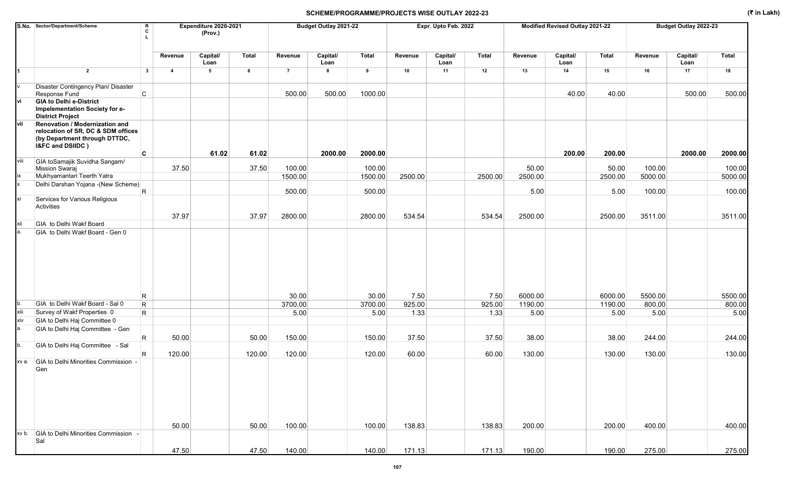|       | S.No. Sector/Department/Scheme                                                                                             | R<br>C       |                | Expenditure 2020-2021<br>(Prov.) |        |                | Budget Outlay 2021-22 |              |         | Expr. Upto Feb. 2022 |         |         | Modified Revised Outlay 2021-22 |              |         | Budget Outlay 2022-23 |         |
|-------|----------------------------------------------------------------------------------------------------------------------------|--------------|----------------|----------------------------------|--------|----------------|-----------------------|--------------|---------|----------------------|---------|---------|---------------------------------|--------------|---------|-----------------------|---------|
|       |                                                                                                                            |              | Revenue        | Capital/<br>Loan                 | Total  | Revenue        | Capital/<br>Loan      | <b>Total</b> | Revenue | Capital/<br>Loan     | Total   | Revenue | Capital/<br>Loan                | <b>Total</b> | Revenue | Capital/<br>Loan      | Total   |
|       | $\overline{2}$                                                                                                             | $\mathbf{3}$ | $\overline{4}$ | $5\phantom{.0}$                  | 6      | $\overline{7}$ | 8                     | 9            | 10      | 11                   | 12      | 13      | 14                              | 15           | 16      | 17                    | 18      |
|       | Disaster Contingency Plan/ Disaster<br>Response Fund                                                                       | $\mathsf{C}$ |                |                                  |        | 500.00         | 500.00                | 1000.00      |         |                      |         |         | 40.00                           | 40.00        |         | 500.00                | 500.00  |
| vi    | <b>GIA to Delhi e-District</b><br>Impelementation Society for e-<br><b>District Project</b>                                |              |                |                                  |        |                |                       |              |         |                      |         |         |                                 |              |         |                       |         |
| lvii  | Renovation / Modernization and<br>relocation of SR, DC & SDM offices<br>(by Department through DTTDC,<br>I&FC and DSIIDC ) |              |                |                                  |        |                |                       |              |         |                      |         |         |                                 |              |         |                       |         |
| viii  |                                                                                                                            | C            |                | 61.02                            | 61.02  |                | 2000.00               | 2000.00      |         |                      |         |         | 200.00                          | 200.00       |         | 2000.00               | 2000.00 |
|       | GIA toSamajik Suvidha Sangam/<br>Mission Swaraj                                                                            |              | 37.50          |                                  | 37.50  | 100.00         |                       | 100.00       |         |                      |         | 50.00   |                                 | 50.00        | 100.00  |                       | 100.00  |
| ix    | Mukhyamantari Teerth Yatra                                                                                                 |              |                |                                  |        | 1500.00        |                       | 1500.00      | 2500.00 |                      | 2500.00 | 2500.00 |                                 | 2500.00      | 5000.00 |                       | 5000.00 |
|       | Delhi Darshan Yojana - (New Scheme)                                                                                        | $\mathsf R$  |                |                                  |        | 500.00         |                       | 500.00       |         |                      |         | 5.00    |                                 | 5.00         | 100.00  |                       | 100.00  |
| xi    | Services for Various Religious<br>Activities                                                                               |              |                |                                  |        |                |                       |              |         |                      |         |         |                                 |              |         |                       |         |
|       |                                                                                                                            |              | 37.97          |                                  | 37.97  | 2800.00        |                       | 2800.00      | 534.54  |                      | 534.54  | 2500.00 |                                 | 2500.00      | 3511.00 |                       | 3511.00 |
| xii   | GIA to Delhi Wakf Board<br>GIA to Delhi Wakf Board - Gen 0                                                                 |              |                |                                  |        |                |                       |              |         |                      |         |         |                                 |              |         |                       |         |
|       |                                                                                                                            | R            |                |                                  |        | 30.00          |                       | 30.00        | 7.50    |                      | 7.50    | 6000.00 |                                 | 6000.00      | 5500.00 |                       | 5500.00 |
| b.    | GIA to Delhi Wakf Board - Sal 0                                                                                            | R            |                |                                  |        | 3700.00        |                       | 3700.00      | 925.00  |                      | 925.00  | 1190.00 |                                 | 1190.00      | 800.00  |                       | 800.00  |
| xiii  | Survey of Wakf Properties 0                                                                                                | $\mathsf{R}$ |                |                                  |        | 5.00           |                       | 5.00         | 1.33    |                      | 1.33    | 5.00    |                                 | 5.00         | 5.00    |                       | 5.00    |
| xiv   | GIA to Delhi Haj Committee 0                                                                                               |              |                |                                  |        |                |                       |              |         |                      |         |         |                                 |              |         |                       |         |
| а.    | GIA to Delhi Haj Committee - Gen                                                                                           | R.           | 50.00          |                                  | 50.00  | 150.00         |                       | 150.00       | 37.50   |                      | 37.50   | 38.00   |                                 | 38.00        | 244.00  |                       | 244.00  |
| b.    | GIA to Delhi Haj Committee - Sal                                                                                           | R.           | 120.00         |                                  | 120.00 | 120.00         |                       | 120.00       | 60.00   |                      | 60.00   | 130.00  |                                 | 130.00       | 130.00  |                       | 130.00  |
| xv a. | GIA to Delhi Minorities Commission -<br>Gen                                                                                |              | 50.00          |                                  | 50.00  | 100.00         |                       | 100.00       | 138.83  |                      | 138.83  | 200.00  |                                 | 200.00       | 400.00  |                       | 400.00  |
|       | xv b. GIA to Delhi Minorities Commission -<br>Sal                                                                          |              |                |                                  |        |                |                       |              |         |                      |         |         |                                 |              |         |                       |         |
|       |                                                                                                                            |              | 47.50          |                                  | 47.50  | 140.00         |                       | 140.00       | 171.13  |                      | 171.13  | 190.00  |                                 | 190.00       | 275.00  |                       | 275.00  |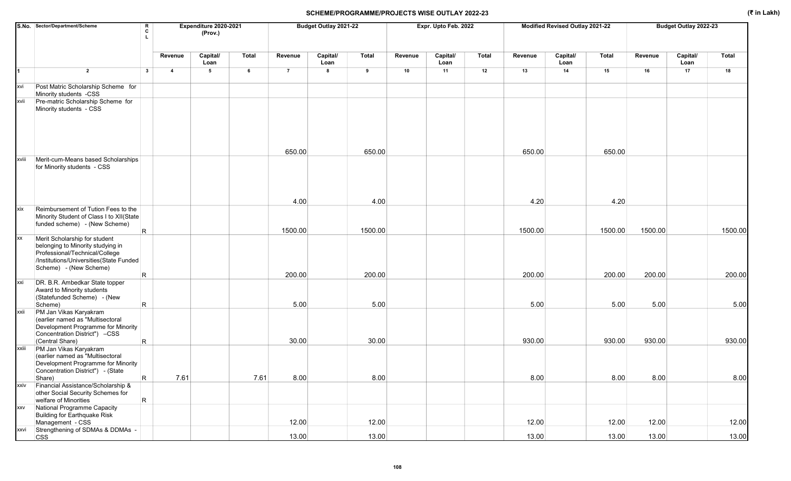|            | S.No. Sector/Department/Scheme<br>R<br>C                                                                                                                                                  |                         | Expenditure 2020-2021<br>(Prov.) |              |                 | Budget Outlay 2021-22 |                 |         | Expr. Upto Feb. 2022 |              |                 | Modified Revised Outlay 2021-22 |                 |         | Budget Outlay 2022-23 |              |
|------------|-------------------------------------------------------------------------------------------------------------------------------------------------------------------------------------------|-------------------------|----------------------------------|--------------|-----------------|-----------------------|-----------------|---------|----------------------|--------------|-----------------|---------------------------------|-----------------|---------|-----------------------|--------------|
|            |                                                                                                                                                                                           | Revenue                 | Capital/<br>Loan                 | <b>Total</b> | Revenue         | Capital/<br>Loan      | <b>Total</b>    | Revenue | Capital/<br>Loan     | <b>Total</b> | Revenue         | Capital/<br>Loan                | <b>Total</b>    | Revenue | Capital/<br>Loan      | <b>Total</b> |
| 1          | $\overline{2}$<br>$\mathbf{3}$                                                                                                                                                            | $\overline{\mathbf{4}}$ | 5                                | 6            | $\overline{7}$  | 8                     | 9               | 10      | 11                   | 12           | 13              | 14                              | 15              | 16      | 17                    | 18           |
| xvi        | Post Matric Scholarship Scheme for<br>Minority students -CSS                                                                                                                              |                         |                                  |              |                 |                       |                 |         |                      |              |                 |                                 |                 |         |                       |              |
| xvii       | Pre-matric Scholarship Scheme for<br>Minority students - CSS                                                                                                                              |                         |                                  |              |                 |                       |                 |         |                      |              |                 |                                 |                 |         |                       |              |
| xviii      | Merit-cum-Means based Scholarships<br>for Minority students - CSS                                                                                                                         |                         |                                  |              | 650.00          |                       | 650.00          |         |                      |              | 650.00          |                                 | 650.00          |         |                       |              |
| xix        | Reimbursement of Tution Fees to the<br>Minority Student of Class I to XII(State<br>funded scheme) - (New Scheme)<br>R.                                                                    |                         |                                  |              | 4.00<br>1500.00 |                       | 4.00<br>1500.00 |         |                      |              | 4.20<br>1500.00 |                                 | 4.20<br>1500.00 | 1500.00 |                       | 1500.00      |
| XX         | Merit Scholarship for student<br>belonging to Minority studying in<br>Professional/Technical/College<br>/Institutions/Universities(State Funded<br>Scheme) - (New Scheme)<br>$\mathsf{R}$ |                         |                                  |              | 200.00          |                       | 200.00          |         |                      |              | 200.00          |                                 | 200.00          | 200.00  |                       | 200.00       |
| xxi        | DR. B.R. Ambedkar State topper<br>Award to Minority students<br>(Statefunded Scheme) - (New<br>R.<br>Scheme)                                                                              |                         |                                  |              | 5.00            |                       | 5.00            |         |                      |              | 5.00            |                                 | 5.00            | 5.00    |                       | 5.00         |
| xxii       | PM Jan Vikas Karyakram<br>(earlier named as "Multisectoral<br>Development Programme for Minority<br>Concentration District") -CSS<br>(Central Share)<br>R.                                |                         |                                  |              | 30.00           |                       | 30.00           |         |                      |              | 930.00          |                                 | 930.00          | 930.00  |                       | 930.00       |
| xxiii      | PM Jan Vikas Karyakram<br>(earlier named as "Multisectoral<br>Development Programme for Minority<br>Concentration District") - (State<br>$\mathsf{R}$<br>Share)                           | 7.61                    |                                  | 7.61         | 8.00            |                       | 8.00            |         |                      |              | 8.00            |                                 | 8.00            | 8.00    |                       | 8.00         |
| xxiv       | Financial Assistance/Scholarship &<br>other Social Security Schemes for<br>$\mathsf{R}$<br>welfare of Minorities                                                                          |                         |                                  |              |                 |                       |                 |         |                      |              |                 |                                 |                 |         |                       |              |
| <b>XXV</b> | National Programme Capacity<br>Building for Earthquake Risk<br>Management - CSS                                                                                                           |                         |                                  |              | 12.00           |                       | 12.00           |         |                      |              | 12.00           |                                 | 12.00           | 12.00   |                       | 12.00        |
| xxvi       | Strengthening of SDMAs & DDMAs -<br><b>CSS</b>                                                                                                                                            |                         |                                  |              | 13.00           |                       | 13.00           |         |                      |              | 13.00           |                                 | 13.00           | 13.00   |                       | 13.00        |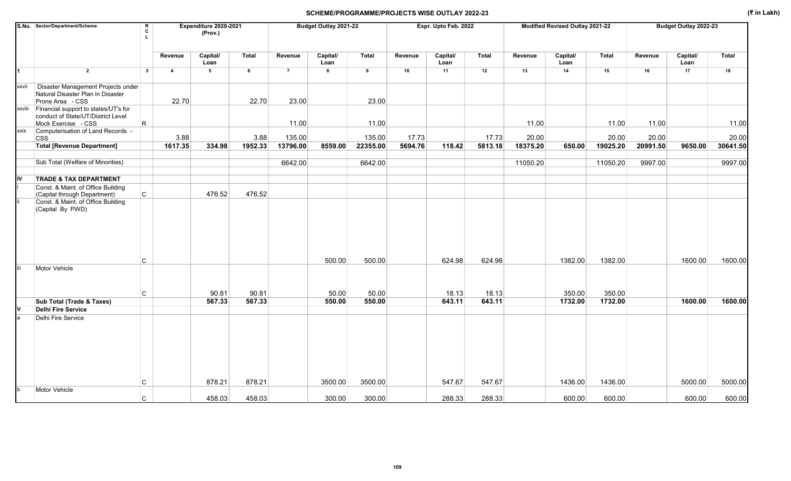## SCHEME/PROGRAMME/PROJECTS WISE OUTLAY 2022-23 (₹ in Lakh) (₹ in Lakh)

|        | S.No. Sector/Department/Scheme<br>$\mathbf{I}$                                                         | R<br>C                         | Expenditure 2020-2021<br>(Prov.) |              | Budget Outlay 2021-22 |                  |              |         | Expr. Upto Feb. 2022 |              |          | Modified Revised Outlay 2021-22 |              | Budget Outlay 2022-23 |                  |          |
|--------|--------------------------------------------------------------------------------------------------------|--------------------------------|----------------------------------|--------------|-----------------------|------------------|--------------|---------|----------------------|--------------|----------|---------------------------------|--------------|-----------------------|------------------|----------|
|        |                                                                                                        | Revenue                        | Capital/<br>Loan                 | <b>Total</b> | Revenue               | Capital/<br>Loan | <b>Total</b> | Revenue | Capital/<br>Loan     | <b>Total</b> | Revenue  | Capital/<br>Loan                | <b>Total</b> | Revenue               | Capital/<br>Loan | Total    |
| 1      | $\overline{2}$                                                                                         | $\mathbf{3}$<br>$\overline{4}$ | 5                                | 6            | $\overline{7}$        | 8                | 9            | 10      | 11                   | 12           | 13       | 14                              | 15           | 16                    | 17               | 18       |
| xxvii  | Disaster Management Projects under<br>Natural Disaster Plan in Disaster<br>Prone Area - CSS            | 22.70                          |                                  | 22.70        | 23.00                 |                  | 23.00        |         |                      |              |          |                                 |              |                       |                  |          |
| xxviii | Financial support to states/UT's for<br>conduct of State/UT/District Level<br>Mock Exercise - CSS<br>R |                                |                                  |              | 11.00                 |                  | 11.00        |         |                      |              | 11.00    |                                 | 11.00        | 11.00                 |                  | 11.00    |
| xxix   | Computerisation of Land Records -<br><b>CSS</b>                                                        | 3.88                           |                                  | 3.88         | 135.00                |                  | 135.00       | 17.73   |                      | 17.73        | 20.00    |                                 | 20.00        | 20.00                 |                  | 20.00    |
|        | <b>Total [Revenue Department]</b>                                                                      | 1617.35                        | 334.98                           | 1952.33      | 13796.00              | 8559.00          | 22355.00     | 5694.76 | 118.42               | 5813.18      | 18375.20 | 650.00                          | 19025.20     | 20991.50              | 9650.00          | 30641.50 |
|        | Sub Total (Welfare of Minorities)                                                                      |                                |                                  |              | 6642.00               |                  | 6642.00      |         |                      |              | 11050.20 |                                 | 11050.20     | 9997.00               |                  | 9997.00  |
| IV     | <b>TRADE &amp; TAX DEPARTMENT</b>                                                                      |                                |                                  |              |                       |                  |              |         |                      |              |          |                                 |              |                       |                  |          |
|        | Const. & Maint. of Office Building<br>$\mathsf{C}$<br>(Capital through Department)                     |                                | 476.52                           | 476.52       |                       |                  |              |         |                      |              |          |                                 |              |                       |                  |          |
|        | Const. & Maint. of Office Building<br>(Capital By PWD)                                                 |                                |                                  |              |                       |                  |              |         |                      |              |          |                                 |              |                       |                  |          |
|        | С                                                                                                      |                                |                                  |              |                       | 500.00           | 500.00       |         | 624.98               | 624.98       |          | 1382.00                         | 1382.00      |                       | 1600.00          | 1600.00  |
|        | Motor Vehicle<br>C                                                                                     |                                | 90.81                            | 90.81        |                       | 50.00            | 50.00        |         | 18.13                | 18.13        |          | 350.00                          | 350.00       |                       |                  |          |
|        | Sub Total (Trade & Taxes)                                                                              |                                | 567.33                           | 567.33       |                       | 550.00           | 550.00       |         | 643.11               | 643.11       |          | 1732.00                         | 1732.00      |                       | 1600.00          | 1600.00  |
|        | <b>Delhi Fire Service</b>                                                                              |                                |                                  |              |                       |                  |              |         |                      |              |          |                                 |              |                       |                  |          |
|        | Delhi Fire Service<br>C                                                                                |                                | 878.21                           | 878.21       |                       | 3500.00          | 3500.00      |         | 547.67               | 547.67       |          | 1436.00                         | 1436.00      |                       | 5000.00          | 5000.00  |
|        | Motor Vehicle                                                                                          |                                |                                  |              |                       |                  |              |         |                      |              |          |                                 |              |                       |                  |          |
|        | C.                                                                                                     |                                | 458.03                           | 458.03       |                       | 300.00           | 300.00       |         | 288.33               | 288.33       |          | 600.00                          | 600.00       |                       | 600.00           | 600.00   |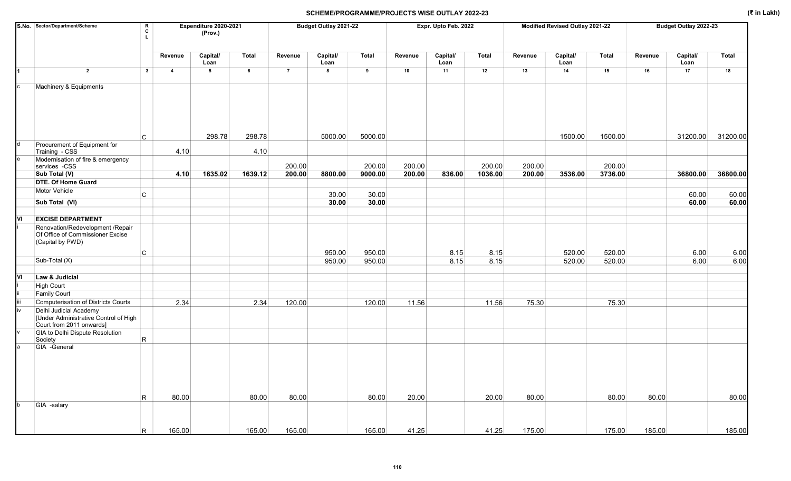## SCHEME/PROGRAMME/PROJECTS WISE OUTLAY 2022-23 (₹ in Lakh)

|     | S.No. Sector/Department/Scheme                                                              | R<br>Expenditure 2020-2021<br>c<br>(Prov.) |                |                  |         | Budget Outlay 2021-22<br>Expr. Upto Feb. 2022 |                  |         |         |                  |         |         | Budget Outlay 2022-23<br>Modified Revised Outlay 2021-22 |         |         |                  |          |
|-----|---------------------------------------------------------------------------------------------|--------------------------------------------|----------------|------------------|---------|-----------------------------------------------|------------------|---------|---------|------------------|---------|---------|----------------------------------------------------------|---------|---------|------------------|----------|
|     |                                                                                             |                                            | Revenue        | Capital/<br>Loan | Total   | Revenue                                       | Capital/<br>Loan | Total   | Revenue | Capital/<br>Loan | Total   | Revenue | Capital/<br>Loan                                         | Total   | Revenue | Capital/<br>Loan | Total    |
| 1   | $\overline{2}$                                                                              | $\mathbf{3}$                               | $\overline{4}$ | $5\phantom{.0}$  | 6       | $\overline{7}$                                | 8                | 9       | 10      | 11               | 12      | 13      | 14                                                       | 15      | 16      | 17               | 18       |
| c   | Machinery & Equipments                                                                      |                                            |                |                  |         |                                               |                  |         |         |                  |         |         |                                                          |         |         |                  |          |
|     | C                                                                                           |                                            |                | 298.78           | 298.78  |                                               | 5000.00          | 5000.00 |         |                  |         |         | 1500.00                                                  | 1500.00 |         | 31200.00         | 31200.00 |
| d   | Procurement of Equipment for<br>Training - CSS                                              |                                            | 4.10           |                  | 4.10    |                                               |                  |         |         |                  |         |         |                                                          |         |         |                  |          |
| e   | Modernisation of fire & emergency<br>services -CSS                                          |                                            |                |                  |         | 200.00                                        |                  | 200.00  | 200.00  |                  | 200.00  | 200.00  |                                                          | 200.00  |         |                  |          |
|     | Sub Total (V)                                                                               |                                            | 4.10           | 1635.02          | 1639.12 | 200.00                                        | 8800.00          | 9000.00 | 200.00  | 836.00           | 1036.00 | 200.00  | 3536.00                                                  | 3736.00 |         | 36800.00         | 36800.00 |
|     | <b>DTE. Of Home Guard</b>                                                                   |                                            |                |                  |         |                                               |                  |         |         |                  |         |         |                                                          |         |         |                  |          |
|     | Motor Vehicle<br>$\mathsf{C}$                                                               |                                            |                |                  |         |                                               | 30.00            | 30.00   |         |                  |         |         |                                                          |         |         | 60.00            | 60.00    |
|     | Sub Total (VI)                                                                              |                                            |                |                  |         |                                               | 30.00            | 30.00   |         |                  |         |         |                                                          |         |         | 60.00            | 60.00    |
|     |                                                                                             |                                            |                |                  |         |                                               |                  |         |         |                  |         |         |                                                          |         |         |                  |          |
| lvı | <b>EXCISE DEPARTMENT</b>                                                                    |                                            |                |                  |         |                                               |                  |         |         |                  |         |         |                                                          |         |         |                  |          |
|     | Renovation/Redevelopment /Repair<br>Of Office of Commissioner Excise<br>(Capital by PWD)    |                                            |                |                  |         |                                               |                  |         |         |                  |         |         |                                                          |         |         |                  |          |
|     | C                                                                                           |                                            |                |                  |         |                                               | 950.00           | 950.00  |         | 8.15             | 8.15    |         | 520.00                                                   | 520.00  |         | 6.00             | 6.00     |
|     | Sub-Total (X)                                                                               |                                            |                |                  |         |                                               | 950.00           | 950.00  |         | 8.15             | 8.15    |         | 520.00                                                   | 520.00  |         | 6.00             | 6.00     |
|     |                                                                                             |                                            |                |                  |         |                                               |                  |         |         |                  |         |         |                                                          |         |         |                  |          |
| lνι | Law & Judicial                                                                              |                                            |                |                  |         |                                               |                  |         |         |                  |         |         |                                                          |         |         |                  |          |
|     | High Court                                                                                  |                                            |                |                  |         |                                               |                  |         |         |                  |         |         |                                                          |         |         |                  |          |
|     | <b>Family Court</b>                                                                         |                                            |                |                  |         |                                               |                  |         |         |                  |         |         |                                                          |         |         |                  |          |
|     | Computerisation of Districts Courts                                                         |                                            | 2.34           |                  | 2.34    | 120.00                                        |                  | 120.00  | 11.56   |                  | 11.56   | 75.30   |                                                          | 75.30   |         |                  |          |
| iv  | Delhi Judicial Academy<br>[Under Administrative Control of High<br>Court from 2011 onwards] |                                            |                |                  |         |                                               |                  |         |         |                  |         |         |                                                          |         |         |                  |          |
|     | GIA to Delhi Dispute Resolution<br>$\mathsf R$<br>Society                                   |                                            |                |                  |         |                                               |                  |         |         |                  |         |         |                                                          |         |         |                  |          |
| a   | GIA -General                                                                                |                                            |                |                  |         |                                               |                  |         |         |                  |         |         |                                                          |         |         |                  |          |
|     | $\mathsf R$                                                                                 |                                            | 80.00          |                  | 80.00   | 80.00                                         |                  | 80.00   | 20.00   |                  | 20.00   | 80.00   |                                                          | 80.00   | 80.00   |                  | 80.00    |
| b   | GIA -salary                                                                                 |                                            |                |                  |         |                                               |                  |         |         |                  |         |         |                                                          |         |         |                  |          |
|     | R.                                                                                          |                                            | 165.00         |                  | 165.00  | 165.00                                        |                  | 165.00  | 41.25   |                  | 41.25   | 175.00  |                                                          | 175.00  | 185.00  |                  | 185.00   |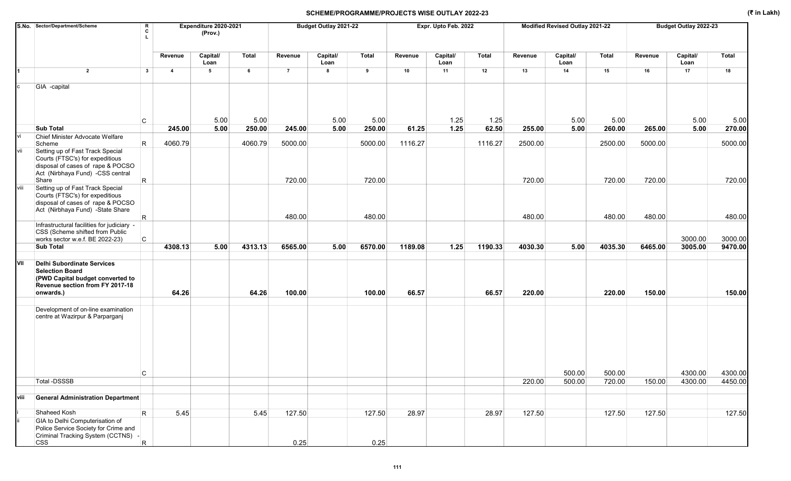## SCHEME/PROGRAMME/PROJECTS WISE OUTLAY 2022-23 (₹ in Lakh)

|      | S.No. Sector/Department/Scheme<br>R<br>c                                                                                                                    |                | Expenditure 2020-2021<br>(Prov.) |         |                | Budget Outlay 2021-22 |         |         | Expr. Upto Feb. 2022 |         |         | Modified Revised Outlay 2021-22 |         | Budget Outlay 2022-23 |                  |              |  |
|------|-------------------------------------------------------------------------------------------------------------------------------------------------------------|----------------|----------------------------------|---------|----------------|-----------------------|---------|---------|----------------------|---------|---------|---------------------------------|---------|-----------------------|------------------|--------------|--|
|      |                                                                                                                                                             | Revenue        | Capital/<br>Loan                 | Total   | Revenue        | Capital/<br>Loan      | Total   | Revenue | Capital/<br>Loan     | Total   | Revenue | Capital/<br>Loan                | Total   | Revenue               | Capital/<br>Loan | <b>Total</b> |  |
|      | $\overline{2}$<br>$\mathbf{3}$                                                                                                                              | $\overline{a}$ | 5                                | 6       | $\overline{7}$ | 8                     | 9       | 10      | 11                   | 12      | 13      | 14                              | 15      | 16                    | 17               | 18           |  |
|      | GIA -capital                                                                                                                                                |                |                                  |         |                |                       |         |         |                      |         |         |                                 |         |                       |                  |              |  |
|      | C                                                                                                                                                           |                | 5.00                             | 5.00    |                | 5.00                  | 5.00    |         | 1.25                 | 1.25    |         | 5.00                            | 5.00    |                       | 5.00             | 5.00         |  |
| ٧i   | <b>Sub Total</b><br>Chief Minister Advocate Welfare                                                                                                         | 245.00         | 5.00                             | 250.00  | 245.00         | 5.00                  | 250.00  | 61.25   | 1.25                 | 62.50   | 255.00  | 5.00                            | 260.00  | 265.00                | 5.00             | 270.00       |  |
|      | R.<br>Scheme                                                                                                                                                | 4060.79        |                                  | 4060.79 | 5000.00        |                       | 5000.00 | 1116.27 |                      | 1116.27 | 2500.00 |                                 | 2500.00 | 5000.00               |                  | 5000.00      |  |
| vii  | Setting up of Fast Track Special<br>Courts (FTSC's) for expeditious<br>disposal of cases of rape & POCSO<br>Act (Nirbhaya Fund) -CSS central<br>R.<br>Share |                |                                  |         | 720.00         |                       | 720.00  |         |                      |         | 720.00  |                                 | 720.00  | 720.00                |                  | 720.00       |  |
| viii | Setting up of Fast Track Special<br>Courts (FTSC's) for expeditious<br>disposal of cases of rape & POCSO                                                    |                |                                  |         |                |                       |         |         |                      |         |         |                                 |         |                       |                  |              |  |
|      | Act (Nirbhaya Fund) -State Share<br>R                                                                                                                       |                |                                  |         | 480.00         |                       | 480.00  |         |                      |         | 480.00  |                                 | 480.00  | 480.00                |                  | 480.00       |  |
|      | Infrastructural facilities for judiciary -<br>CSS (Scheme shifted from Public<br>C                                                                          |                |                                  |         |                |                       |         |         |                      |         |         |                                 |         |                       | 3000.00          | 3000.00      |  |
|      | works sector w.e.f. BE 2022-23)<br><b>Sub Total</b>                                                                                                         | 4308.13        | 5.00                             | 4313.13 | 6565.00        | 5.00                  | 6570.00 | 1189.08 | 1.25                 | 1190.33 | 4030.30 | 5.00                            | 4035.30 | 6465.00               | 3005.00          | 9470.00      |  |
| VII  | <b>Delhi Subordinate Services</b><br><b>Selection Board</b><br>(PWD Capital budget converted to<br>Revenue section from FY 2017-18<br>onwards.)             | 64.26          |                                  | 64.26   | 100.00         |                       | 100.00  | 66.57   |                      | 66.57   | 220.00  |                                 | 220.00  | 150.00                |                  | 150.00       |  |
|      | Development of on-line examination<br>centre at Wazirpur & Parparganj                                                                                       |                |                                  |         |                |                       |         |         |                      |         |         |                                 |         |                       |                  |              |  |
|      | С                                                                                                                                                           |                |                                  |         |                |                       |         |         |                      |         |         | 500.00                          | 500.00  |                       | 4300.00          | 4300.00      |  |
|      | Total -DSSSB                                                                                                                                                |                |                                  |         |                |                       |         |         |                      |         | 220.00  | 500.00                          | 720.00  | 150.00                | 4300.00          | 4450.00      |  |
| viii | <b>General Administration Department</b>                                                                                                                    |                |                                  |         |                |                       |         |         |                      |         |         |                                 |         |                       |                  |              |  |
|      | Shaheed Kosh<br>$\mathsf{R}$                                                                                                                                | 5.45           |                                  | 5.45    | 127.50         |                       | 127.50  | 28.97   |                      | 28.97   | 127.50  |                                 | 127.50  | 127.50                |                  | 127.50       |  |
|      | GIA to Delhi Computerisation of<br>Police Service Society for Crime and<br>Criminal Tracking System (CCTNS) -<br><b>CSS</b><br>R                            |                |                                  |         | 0.25           |                       | 0.25    |         |                      |         |         |                                 |         |                       |                  |              |  |